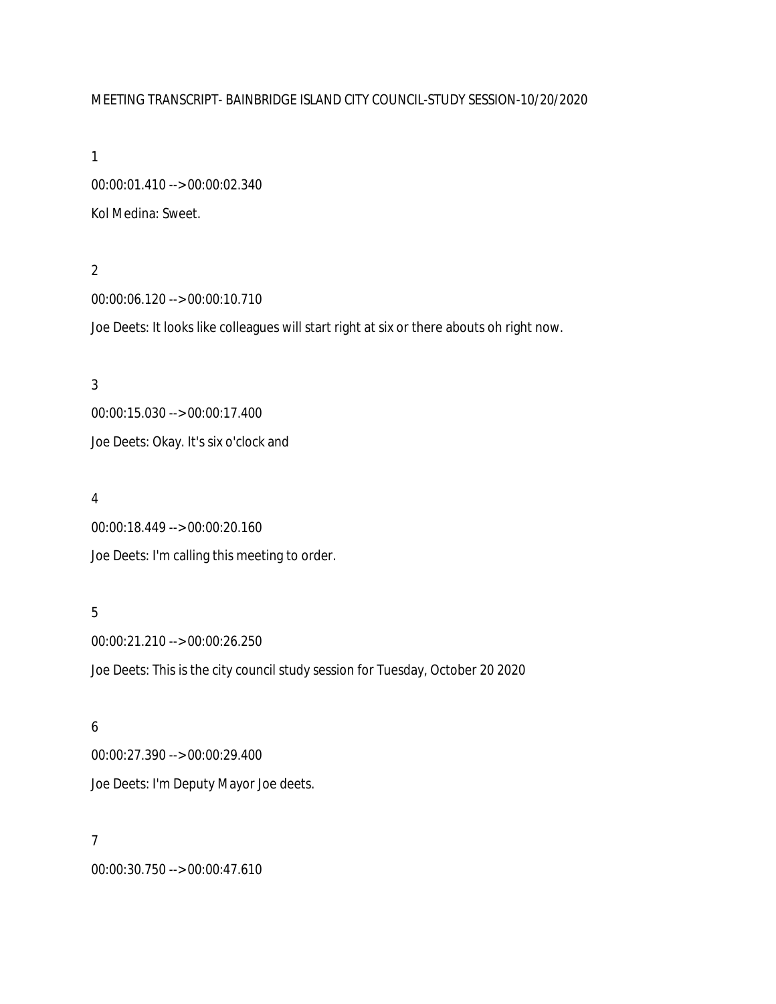### MEETING TRANSCRIPT- BAINBRIDGE ISLAND CITY COUNCIL-STUDY SESSION-10/20/2020

1

00:00:01.410 --> 00:00:02.340 Kol Medina: Sweet.

#### 2

00:00:06.120 --> 00:00:10.710

Joe Deets: It looks like colleagues will start right at six or there abouts oh right now.

# 3 00:00:15.030 --> 00:00:17.400 Joe Deets: Okay. It's six o'clock and

#### 4

00:00:18.449 --> 00:00:20.160 Joe Deets: I'm calling this meeting to order.

#### 5

00:00:21.210 --> 00:00:26.250 Joe Deets: This is the city council study session for Tuesday, October 20 2020

#### 6

00:00:27.390 --> 00:00:29.400 Joe Deets: I'm Deputy Mayor Joe deets.

#### 7

00:00:30.750 --> 00:00:47.610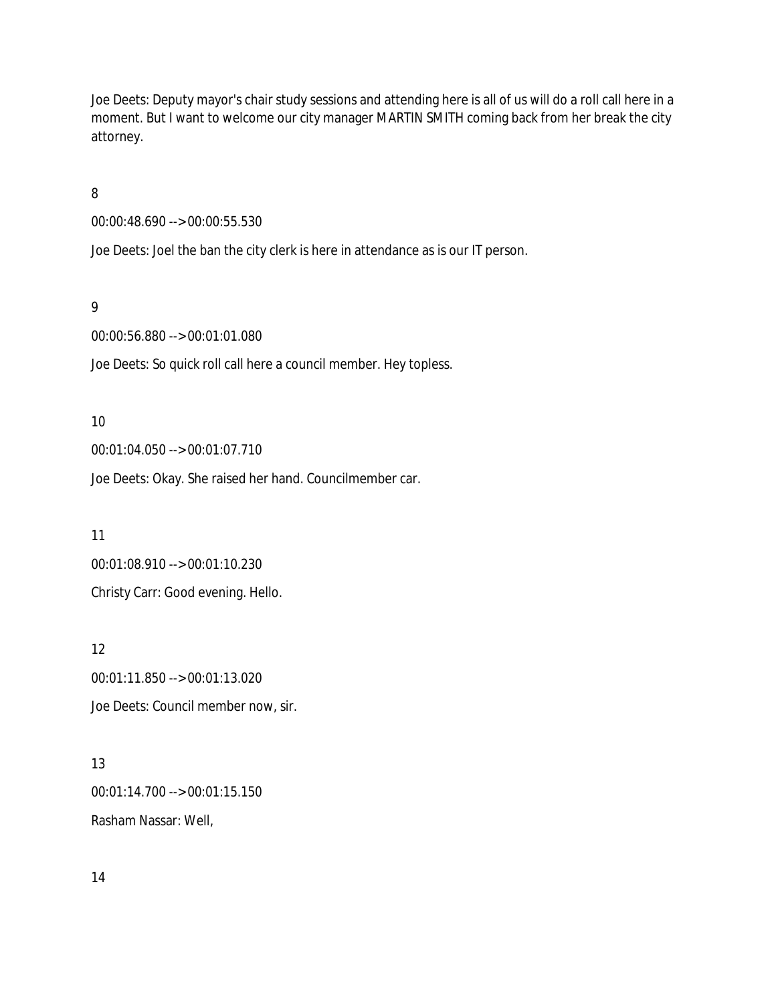Joe Deets: Deputy mayor's chair study sessions and attending here is all of us will do a roll call here in a moment. But I want to welcome our city manager MARTIN SMITH coming back from her break the city attorney.

8

00:00:48.690 --> 00:00:55.530

Joe Deets: Joel the ban the city clerk is here in attendance as is our IT person.

9

00:00:56.880 --> 00:01:01.080

Joe Deets: So quick roll call here a council member. Hey topless.

10

00:01:04.050 --> 00:01:07.710

Joe Deets: Okay. She raised her hand. Councilmember car.

11 00:01:08.910 --> 00:01:10.230 Christy Carr: Good evening. Hello.

12 00:01:11.850 --> 00:01:13.020 Joe Deets: Council member now, sir.

13 00:01:14.700 --> 00:01:15.150 Rasham Nassar: Well,

14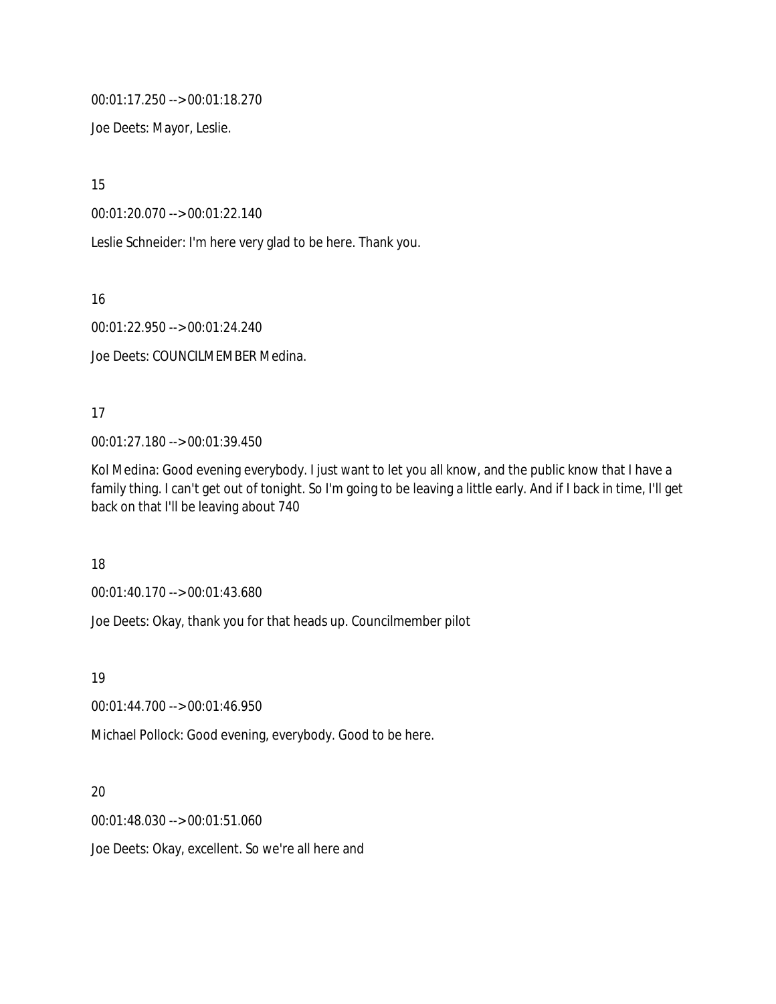00:01:17.250 --> 00:01:18.270

Joe Deets: Mayor, Leslie.

15

00:01:20.070 --> 00:01:22.140

Leslie Schneider: I'm here very glad to be here. Thank you.

16

00:01:22.950 --> 00:01:24.240

Joe Deets: COUNCILMEMBER Medina.

### 17

00:01:27.180 --> 00:01:39.450

Kol Medina: Good evening everybody. I just want to let you all know, and the public know that I have a family thing. I can't get out of tonight. So I'm going to be leaving a little early. And if I back in time, I'll get back on that I'll be leaving about 740

18

00:01:40.170 --> 00:01:43.680

Joe Deets: Okay, thank you for that heads up. Councilmember pilot

19

00:01:44.700 --> 00:01:46.950

Michael Pollock: Good evening, everybody. Good to be here.

### 20

00:01:48.030 --> 00:01:51.060

Joe Deets: Okay, excellent. So we're all here and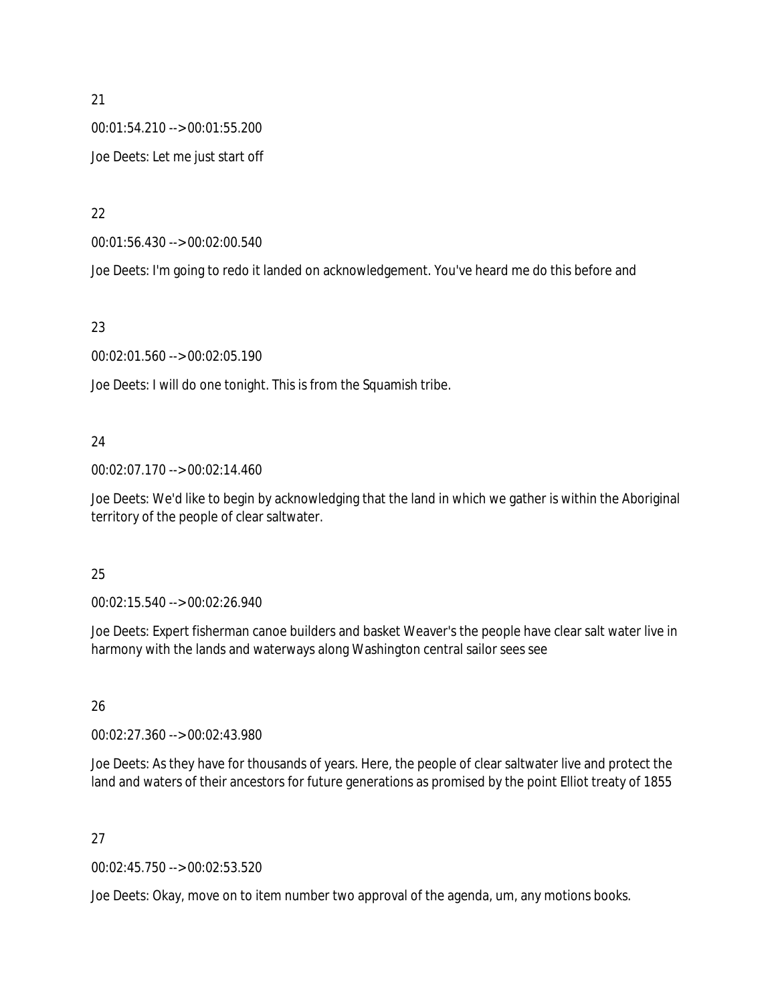00:01:54.210 --> 00:01:55.200 Joe Deets: Let me just start off

22

00:01:56.430 --> 00:02:00.540

Joe Deets: I'm going to redo it landed on acknowledgement. You've heard me do this before and

23

00:02:01.560 --> 00:02:05.190

Joe Deets: I will do one tonight. This is from the Squamish tribe.

### 24

00:02:07.170 --> 00:02:14.460

Joe Deets: We'd like to begin by acknowledging that the land in which we gather is within the Aboriginal territory of the people of clear saltwater.

### 25

00:02:15.540 --> 00:02:26.940

Joe Deets: Expert fisherman canoe builders and basket Weaver's the people have clear salt water live in harmony with the lands and waterways along Washington central sailor sees see

### 26

00:02:27.360 --> 00:02:43.980

Joe Deets: As they have for thousands of years. Here, the people of clear saltwater live and protect the land and waters of their ancestors for future generations as promised by the point Elliot treaty of 1855

### 27

00:02:45.750 --> 00:02:53.520

Joe Deets: Okay, move on to item number two approval of the agenda, um, any motions books.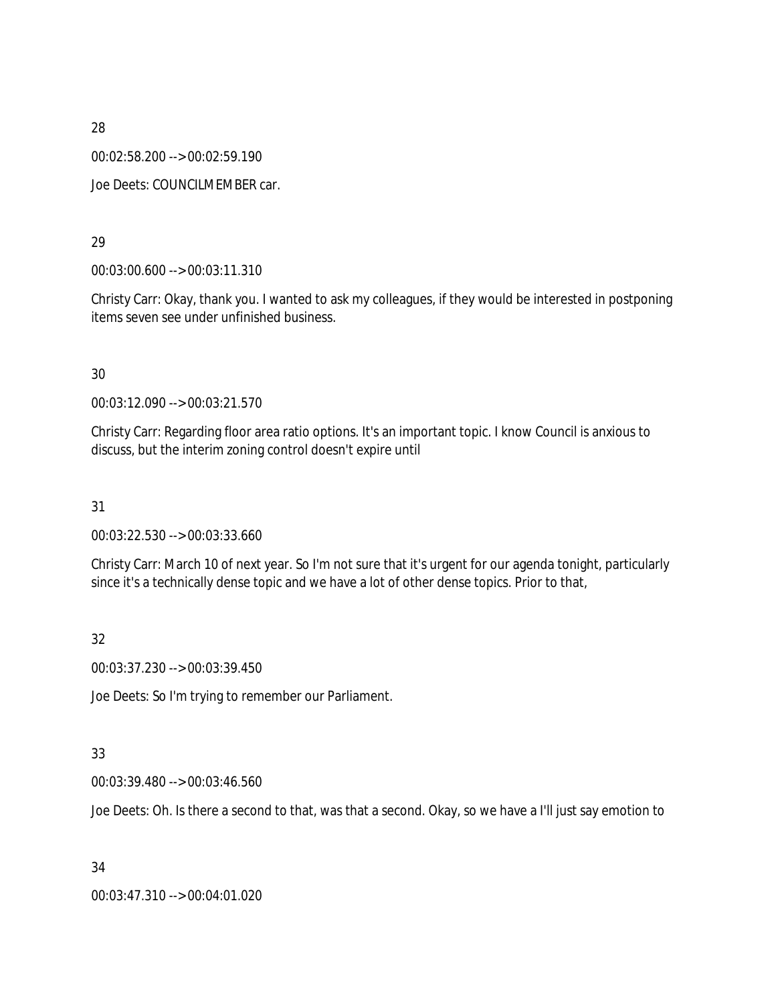00:02:58.200 --> 00:02:59.190

Joe Deets: COUNCILMEMBER car.

#### 29

00:03:00.600 --> 00:03:11.310

Christy Carr: Okay, thank you. I wanted to ask my colleagues, if they would be interested in postponing items seven see under unfinished business.

#### 30

00:03:12.090 --> 00:03:21.570

Christy Carr: Regarding floor area ratio options. It's an important topic. I know Council is anxious to discuss, but the interim zoning control doesn't expire until

31

00:03:22.530 --> 00:03:33.660

Christy Carr: March 10 of next year. So I'm not sure that it's urgent for our agenda tonight, particularly since it's a technically dense topic and we have a lot of other dense topics. Prior to that,

#### 32

00:03:37.230 --> 00:03:39.450

Joe Deets: So I'm trying to remember our Parliament.

#### 33

00:03:39.480 --> 00:03:46.560

Joe Deets: Oh. Is there a second to that, was that a second. Okay, so we have a I'll just say emotion to

34

00:03:47.310 --> 00:04:01.020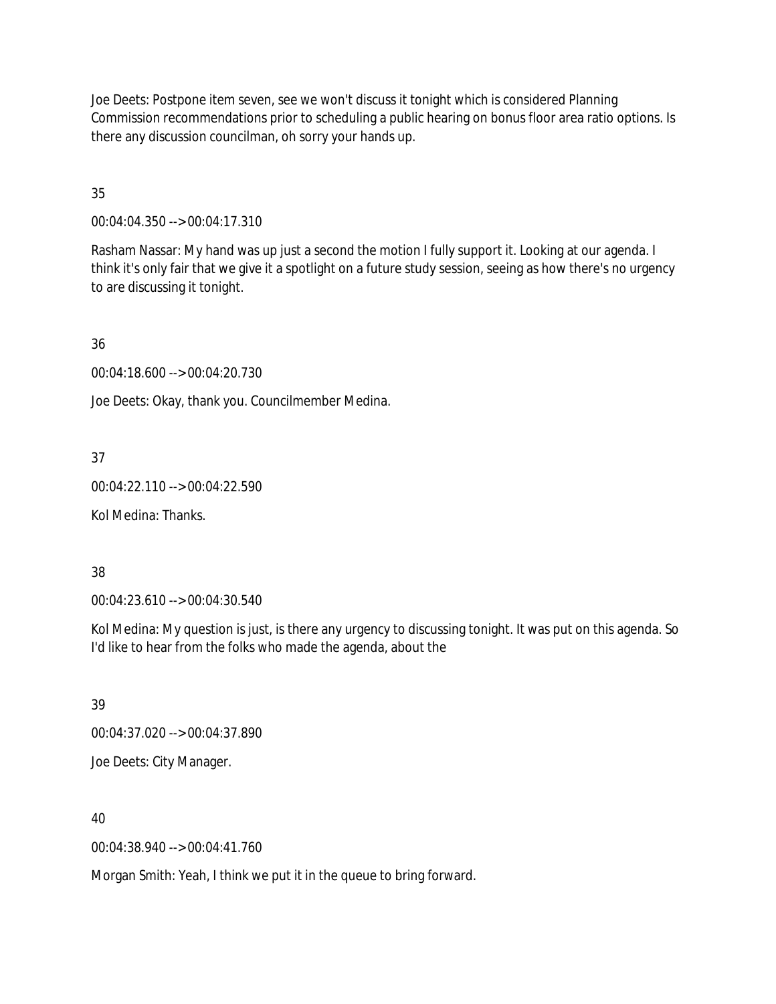Joe Deets: Postpone item seven, see we won't discuss it tonight which is considered Planning Commission recommendations prior to scheduling a public hearing on bonus floor area ratio options. Is there any discussion councilman, oh sorry your hands up.

35

00:04:04.350 --> 00:04:17.310

Rasham Nassar: My hand was up just a second the motion I fully support it. Looking at our agenda. I think it's only fair that we give it a spotlight on a future study session, seeing as how there's no urgency to are discussing it tonight.

36

00:04:18.600 --> 00:04:20.730

Joe Deets: Okay, thank you. Councilmember Medina.

#### 37

00:04:22.110 --> 00:04:22.590

Kol Medina: Thanks.

#### 38

00:04:23.610 --> 00:04:30.540

Kol Medina: My question is just, is there any urgency to discussing tonight. It was put on this agenda. So I'd like to hear from the folks who made the agenda, about the

39

00:04:37.020 --> 00:04:37.890 Joe Deets: City Manager.

40

00:04:38.940 --> 00:04:41.760

Morgan Smith: Yeah, I think we put it in the queue to bring forward.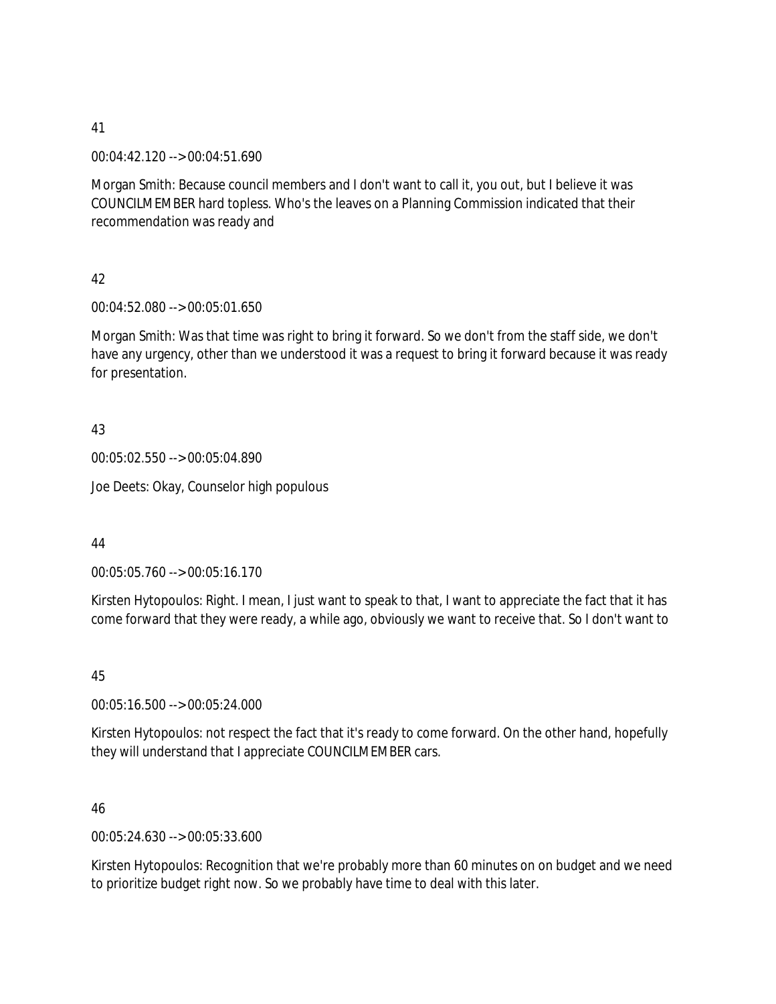00:04:42.120 --> 00:04:51.690

Morgan Smith: Because council members and I don't want to call it, you out, but I believe it was COUNCILMEMBER hard topless. Who's the leaves on a Planning Commission indicated that their recommendation was ready and

42

00:04:52.080 --> 00:05:01.650

Morgan Smith: Was that time was right to bring it forward. So we don't from the staff side, we don't have any urgency, other than we understood it was a request to bring it forward because it was ready for presentation.

#### 43

00:05:02.550 --> 00:05:04.890

Joe Deets: Okay, Counselor high populous

44

00:05:05.760 --> 00:05:16.170

Kirsten Hytopoulos: Right. I mean, I just want to speak to that, I want to appreciate the fact that it has come forward that they were ready, a while ago, obviously we want to receive that. So I don't want to

45

00:05:16.500 --> 00:05:24.000

Kirsten Hytopoulos: not respect the fact that it's ready to come forward. On the other hand, hopefully they will understand that I appreciate COUNCILMEMBER cars.

46

00:05:24.630 --> 00:05:33.600

Kirsten Hytopoulos: Recognition that we're probably more than 60 minutes on on budget and we need to prioritize budget right now. So we probably have time to deal with this later.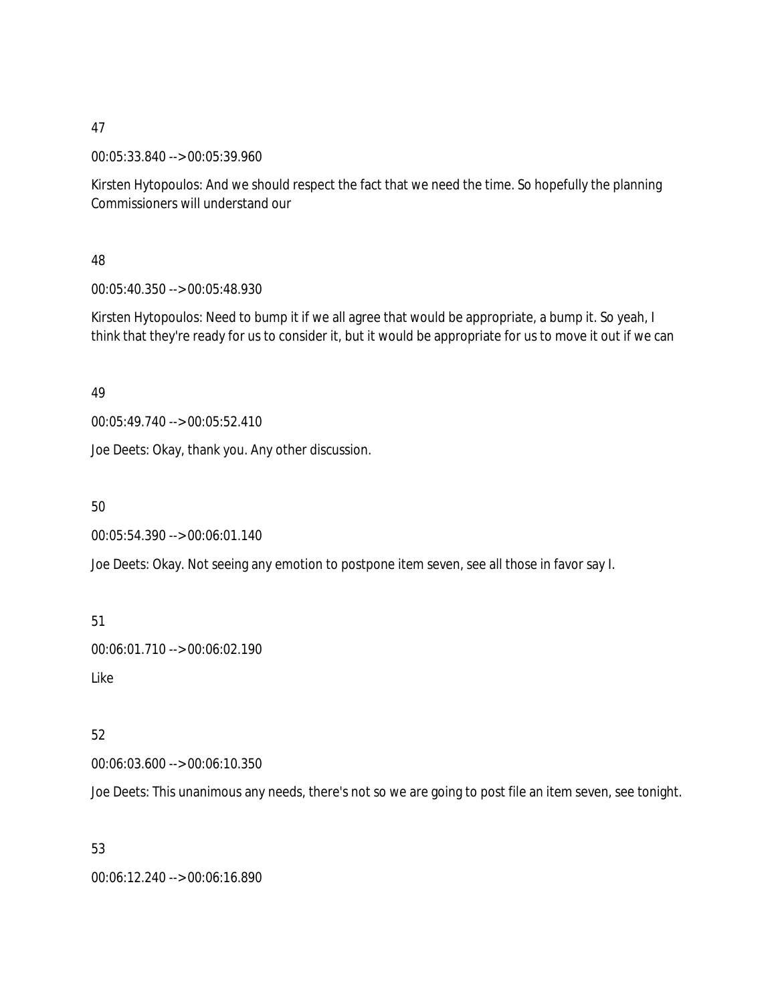00:05:33.840 --> 00:05:39.960

Kirsten Hytopoulos: And we should respect the fact that we need the time. So hopefully the planning Commissioners will understand our

48

00:05:40.350 --> 00:05:48.930

Kirsten Hytopoulos: Need to bump it if we all agree that would be appropriate, a bump it. So yeah, I think that they're ready for us to consider it, but it would be appropriate for us to move it out if we can

49

00:05:49.740 --> 00:05:52.410

Joe Deets: Okay, thank you. Any other discussion.

50

00:05:54.390 --> 00:06:01.140

Joe Deets: Okay. Not seeing any emotion to postpone item seven, see all those in favor say I.

51

00:06:01.710 --> 00:06:02.190

Like

52

00:06:03.600 --> 00:06:10.350

Joe Deets: This unanimous any needs, there's not so we are going to post file an item seven, see tonight.

53

00:06:12.240 --> 00:06:16.890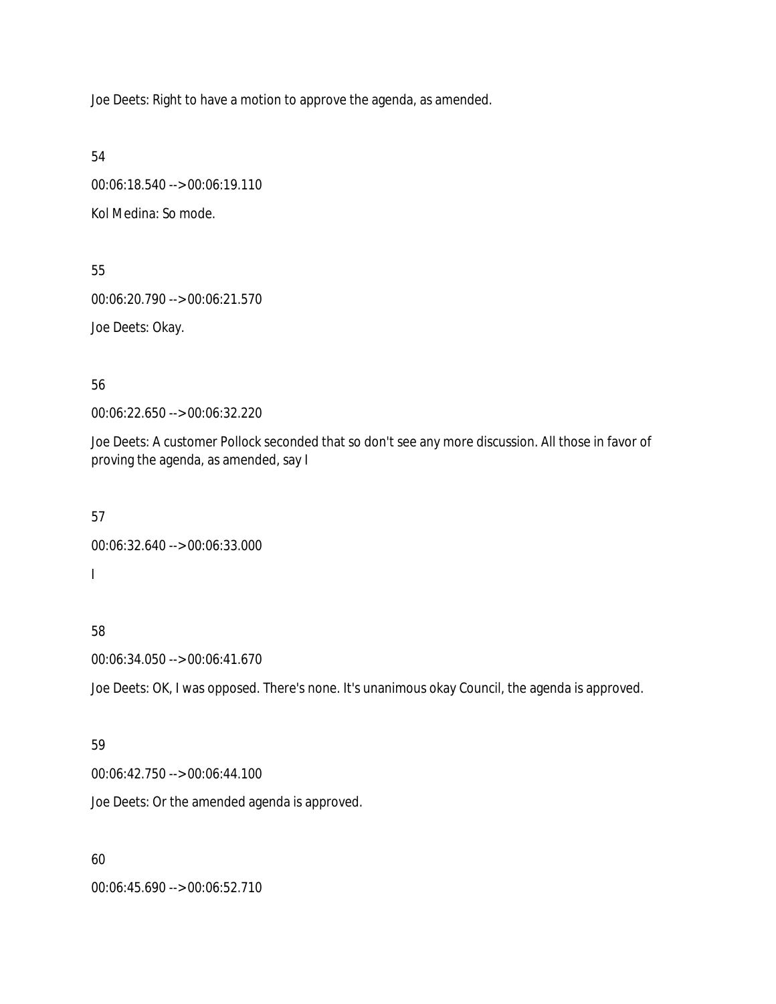Joe Deets: Right to have a motion to approve the agenda, as amended.

54

00:06:18.540 --> 00:06:19.110 Kol Medina: So mode.

55 00:06:20.790 --> 00:06:21.570 Joe Deets: Okay.

56

00:06:22.650 --> 00:06:32.220

Joe Deets: A customer Pollock seconded that so don't see any more discussion. All those in favor of proving the agenda, as amended, say I

57

```
00:06:32.640 --> 00:06:33.000
I
```
58

```
00:06:34.050 --> 00:06:41.670
```
Joe Deets: OK, I was opposed. There's none. It's unanimous okay Council, the agenda is approved.

#### 59

00:06:42.750 --> 00:06:44.100

Joe Deets: Or the amended agenda is approved.

60

00:06:45.690 --> 00:06:52.710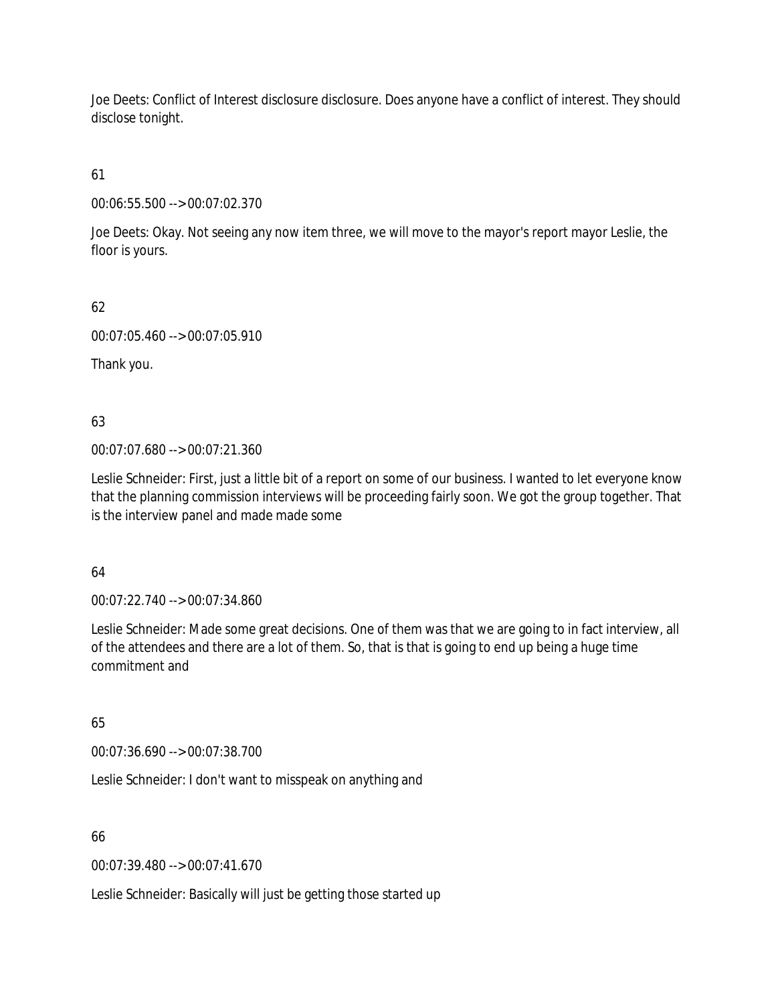Joe Deets: Conflict of Interest disclosure disclosure. Does anyone have a conflict of interest. They should disclose tonight.

61

00:06:55.500 --> 00:07:02.370

Joe Deets: Okay. Not seeing any now item three, we will move to the mayor's report mayor Leslie, the floor is yours.

62

00:07:05.460 --> 00:07:05.910

Thank you.

63

00:07:07.680 --> 00:07:21.360

Leslie Schneider: First, just a little bit of a report on some of our business. I wanted to let everyone know that the planning commission interviews will be proceeding fairly soon. We got the group together. That is the interview panel and made made some

64

00:07:22.740 --> 00:07:34.860

Leslie Schneider: Made some great decisions. One of them was that we are going to in fact interview, all of the attendees and there are a lot of them. So, that is that is going to end up being a huge time commitment and

65

00:07:36.690 --> 00:07:38.700

Leslie Schneider: I don't want to misspeak on anything and

66

00:07:39.480 --> 00:07:41.670

Leslie Schneider: Basically will just be getting those started up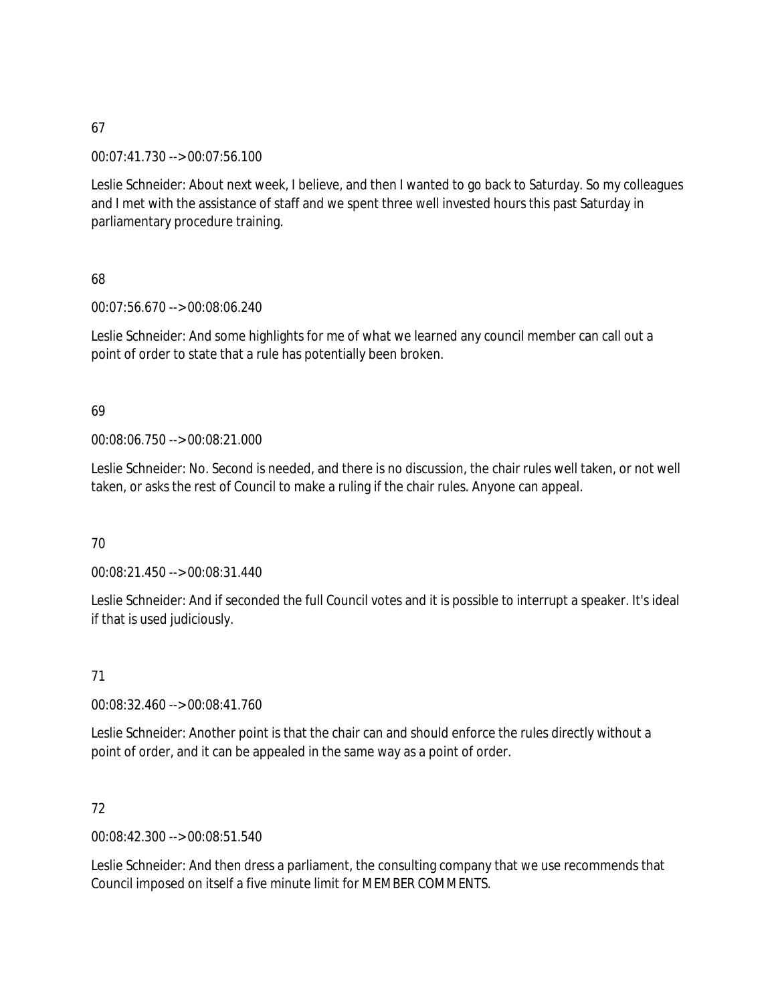00:07:41.730 --> 00:07:56.100

Leslie Schneider: About next week, I believe, and then I wanted to go back to Saturday. So my colleagues and I met with the assistance of staff and we spent three well invested hours this past Saturday in parliamentary procedure training.

### 68

00:07:56.670 --> 00:08:06.240

Leslie Schneider: And some highlights for me of what we learned any council member can call out a point of order to state that a rule has potentially been broken.

### 69

00:08:06.750 --> 00:08:21.000

Leslie Schneider: No. Second is needed, and there is no discussion, the chair rules well taken, or not well taken, or asks the rest of Council to make a ruling if the chair rules. Anyone can appeal.

### 70

00:08:21.450 --> 00:08:31.440

Leslie Schneider: And if seconded the full Council votes and it is possible to interrupt a speaker. It's ideal if that is used judiciously.

### 71

00:08:32.460 --> 00:08:41.760

Leslie Schneider: Another point is that the chair can and should enforce the rules directly without a point of order, and it can be appealed in the same way as a point of order.

### 72

00:08:42.300 --> 00:08:51.540

Leslie Schneider: And then dress a parliament, the consulting company that we use recommends that Council imposed on itself a five minute limit for MEMBER COMMENTS.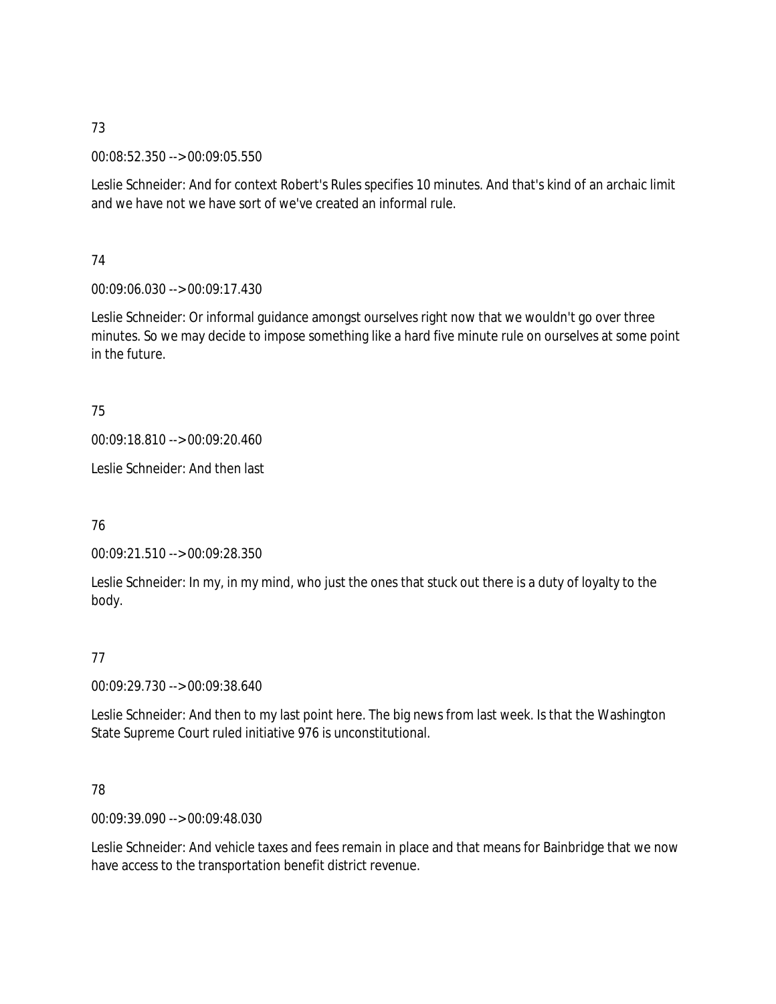00:08:52.350 --> 00:09:05.550

Leslie Schneider: And for context Robert's Rules specifies 10 minutes. And that's kind of an archaic limit and we have not we have sort of we've created an informal rule.

74

00:09:06.030 --> 00:09:17.430

Leslie Schneider: Or informal guidance amongst ourselves right now that we wouldn't go over three minutes. So we may decide to impose something like a hard five minute rule on ourselves at some point in the future.

75

00:09:18.810 --> 00:09:20.460

Leslie Schneider: And then last

76

00:09:21.510 --> 00:09:28.350

Leslie Schneider: In my, in my mind, who just the ones that stuck out there is a duty of loyalty to the body.

77

00:09:29.730 --> 00:09:38.640

Leslie Schneider: And then to my last point here. The big news from last week. Is that the Washington State Supreme Court ruled initiative 976 is unconstitutional.

78

00:09:39.090 --> 00:09:48.030

Leslie Schneider: And vehicle taxes and fees remain in place and that means for Bainbridge that we now have access to the transportation benefit district revenue.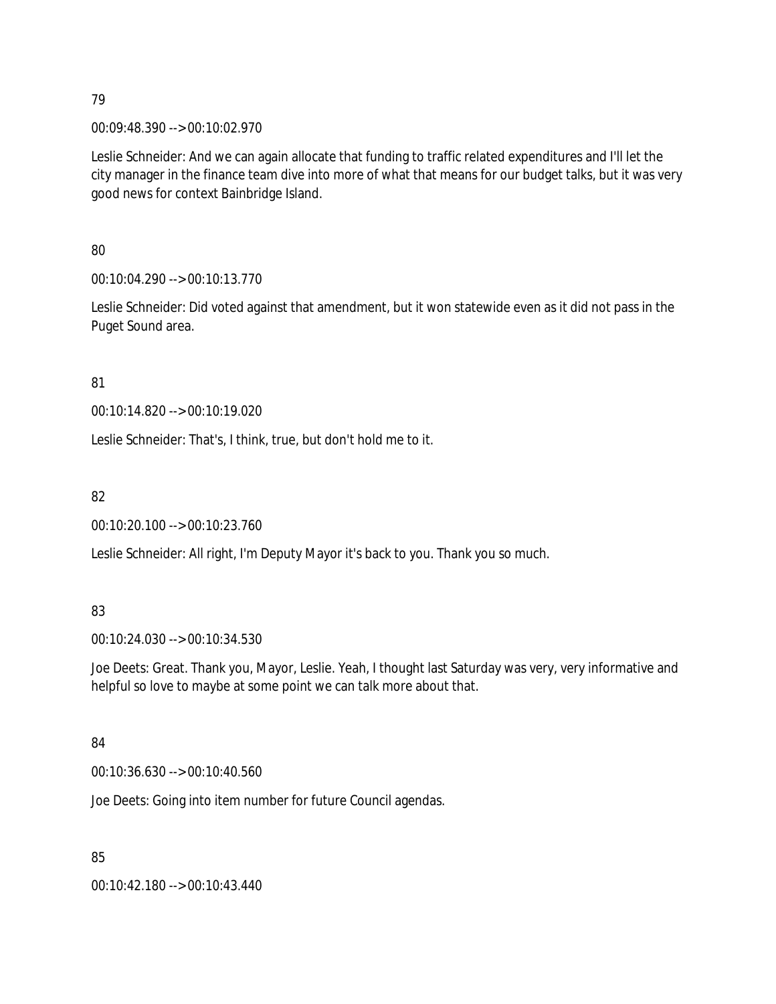00:09:48.390 --> 00:10:02.970

Leslie Schneider: And we can again allocate that funding to traffic related expenditures and I'll let the city manager in the finance team dive into more of what that means for our budget talks, but it was very good news for context Bainbridge Island.

80

00:10:04.290 --> 00:10:13.770

Leslie Schneider: Did voted against that amendment, but it won statewide even as it did not pass in the Puget Sound area.

81

00:10:14.820 --> 00:10:19.020

Leslie Schneider: That's, I think, true, but don't hold me to it.

82

00:10:20.100 --> 00:10:23.760

Leslie Schneider: All right, I'm Deputy Mayor it's back to you. Thank you so much.

### 83

00:10:24.030 --> 00:10:34.530

Joe Deets: Great. Thank you, Mayor, Leslie. Yeah, I thought last Saturday was very, very informative and helpful so love to maybe at some point we can talk more about that.

### 84

00:10:36.630 --> 00:10:40.560

Joe Deets: Going into item number for future Council agendas.

85

00:10:42.180 --> 00:10:43.440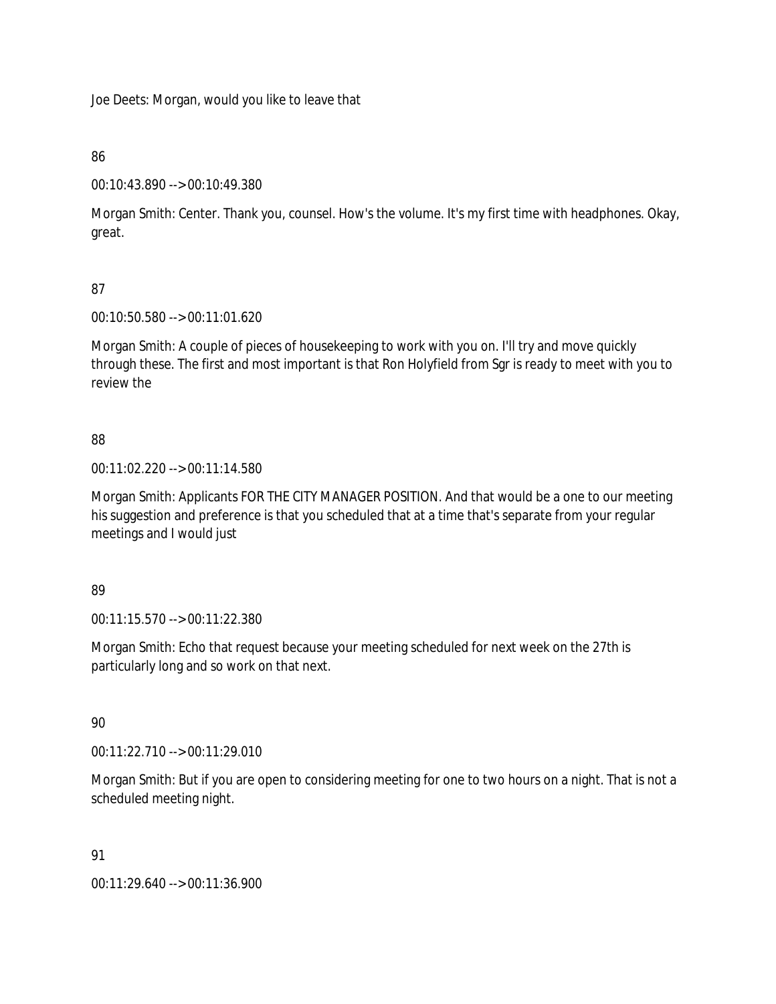Joe Deets: Morgan, would you like to leave that

### 86

00:10:43.890 --> 00:10:49.380

Morgan Smith: Center. Thank you, counsel. How's the volume. It's my first time with headphones. Okay, great.

# 87

00:10:50.580 --> 00:11:01.620

Morgan Smith: A couple of pieces of housekeeping to work with you on. I'll try and move quickly through these. The first and most important is that Ron Holyfield from Sgr is ready to meet with you to review the

# 88

00:11:02.220 --> 00:11:14.580

Morgan Smith: Applicants FOR THE CITY MANAGER POSITION. And that would be a one to our meeting his suggestion and preference is that you scheduled that at a time that's separate from your regular meetings and I would just

### 89

00:11:15.570 --> 00:11:22.380

Morgan Smith: Echo that request because your meeting scheduled for next week on the 27th is particularly long and so work on that next.

### 90

00:11:22.710 --> 00:11:29.010

Morgan Smith: But if you are open to considering meeting for one to two hours on a night. That is not a scheduled meeting night.

### 91

00:11:29.640 --> 00:11:36.900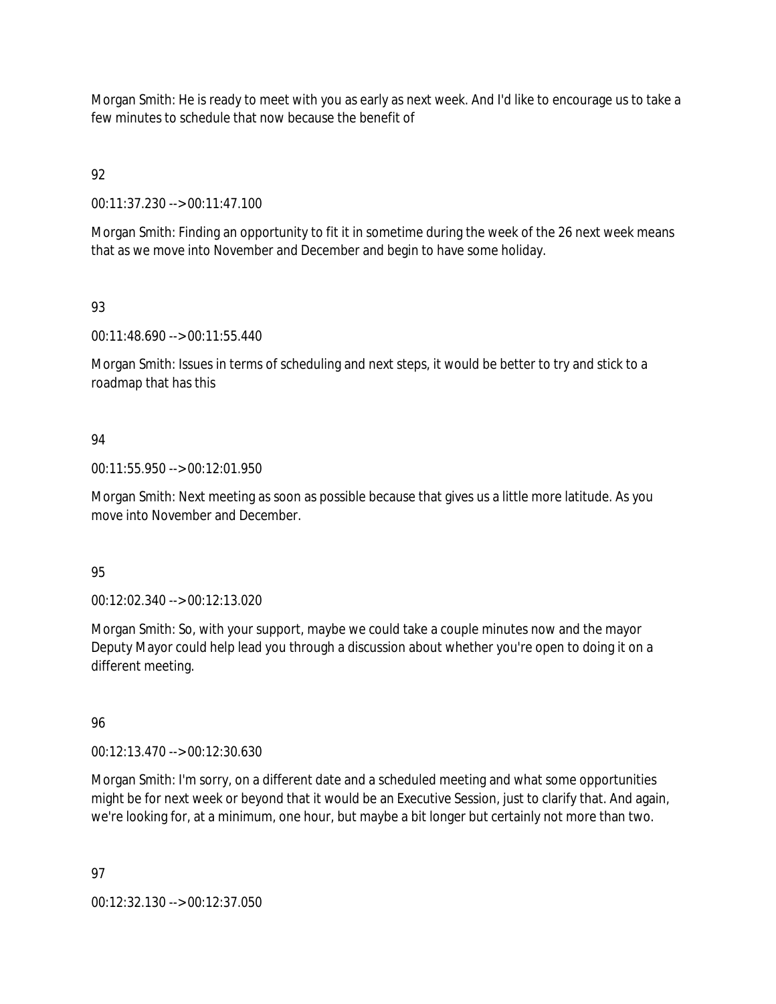Morgan Smith: He is ready to meet with you as early as next week. And I'd like to encourage us to take a few minutes to schedule that now because the benefit of

92

00:11:37.230 --> 00:11:47.100

Morgan Smith: Finding an opportunity to fit it in sometime during the week of the 26 next week means that as we move into November and December and begin to have some holiday.

# 93

00:11:48.690 --> 00:11:55.440

Morgan Smith: Issues in terms of scheduling and next steps, it would be better to try and stick to a roadmap that has this

### 94

00:11:55.950 --> 00:12:01.950

Morgan Smith: Next meeting as soon as possible because that gives us a little more latitude. As you move into November and December.

### 95

00:12:02.340 --> 00:12:13.020

Morgan Smith: So, with your support, maybe we could take a couple minutes now and the mayor Deputy Mayor could help lead you through a discussion about whether you're open to doing it on a different meeting.

### 96

00:12:13.470 --> 00:12:30.630

Morgan Smith: I'm sorry, on a different date and a scheduled meeting and what some opportunities might be for next week or beyond that it would be an Executive Session, just to clarify that. And again, we're looking for, at a minimum, one hour, but maybe a bit longer but certainly not more than two.

97

00:12:32.130 --> 00:12:37.050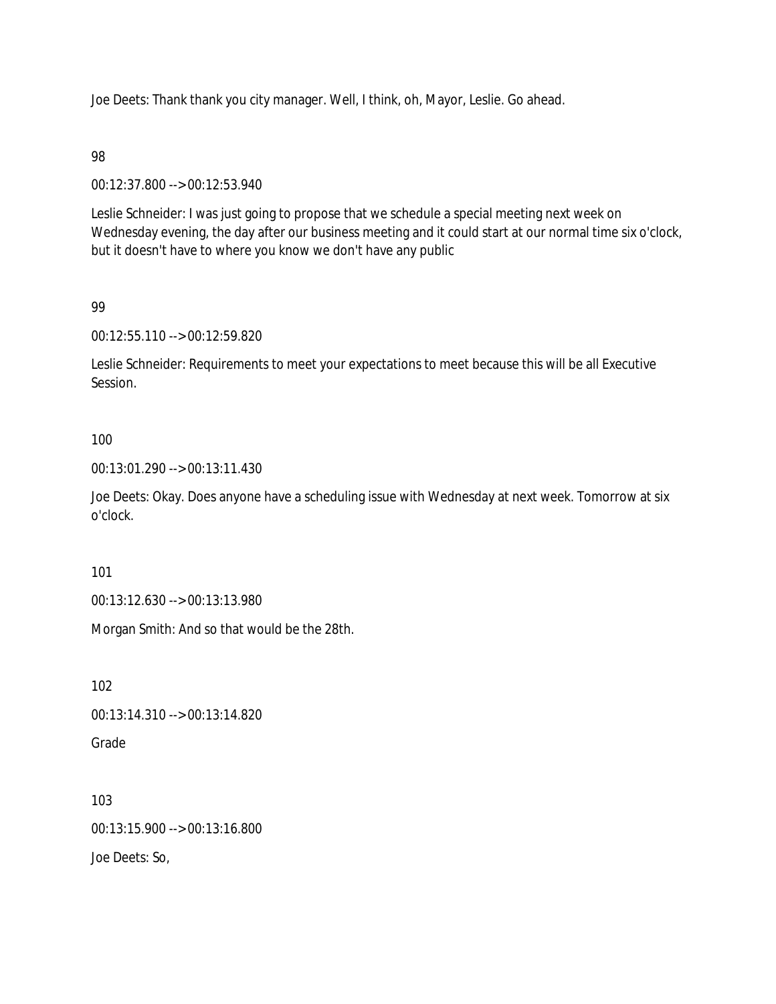Joe Deets: Thank thank you city manager. Well, I think, oh, Mayor, Leslie. Go ahead.

98

00:12:37.800 --> 00:12:53.940

Leslie Schneider: I was just going to propose that we schedule a special meeting next week on Wednesday evening, the day after our business meeting and it could start at our normal time six o'clock, but it doesn't have to where you know we don't have any public

99

00:12:55.110 --> 00:12:59.820

Leslie Schneider: Requirements to meet your expectations to meet because this will be all Executive Session.

#### 100

00:13:01.290 --> 00:13:11.430

Joe Deets: Okay. Does anyone have a scheduling issue with Wednesday at next week. Tomorrow at six o'clock.

101

00:13:12.630 --> 00:13:13.980

Morgan Smith: And so that would be the 28th.

102

00:13:14.310 --> 00:13:14.820

Grade

103 00:13:15.900 --> 00:13:16.800

Joe Deets: So,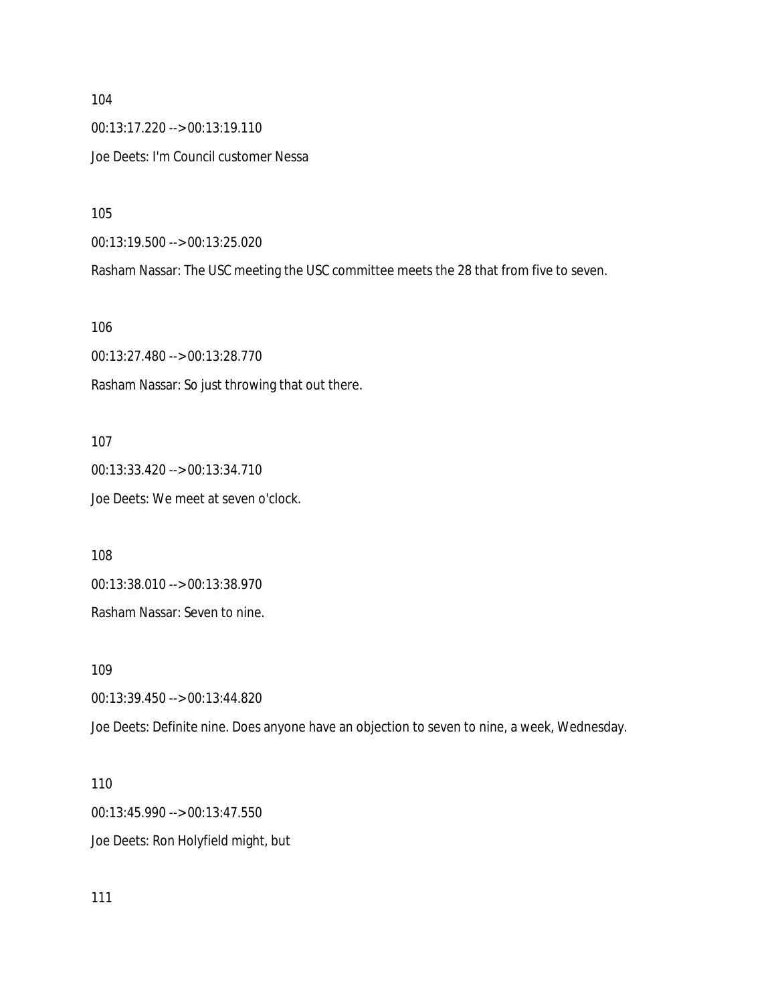104 00:13:17.220 --> 00:13:19.110 Joe Deets: I'm Council customer Nessa

105

00:13:19.500 --> 00:13:25.020

Rasham Nassar: The USC meeting the USC committee meets the 28 that from five to seven.

106

00:13:27.480 --> 00:13:28.770 Rasham Nassar: So just throwing that out there.

107

00:13:33.420 --> 00:13:34.710 Joe Deets: We meet at seven o'clock.

108

00:13:38.010 --> 00:13:38.970

Rasham Nassar: Seven to nine.

109

00:13:39.450 --> 00:13:44.820

Joe Deets: Definite nine. Does anyone have an objection to seven to nine, a week, Wednesday.

110 00:13:45.990 --> 00:13:47.550 Joe Deets: Ron Holyfield might, but

111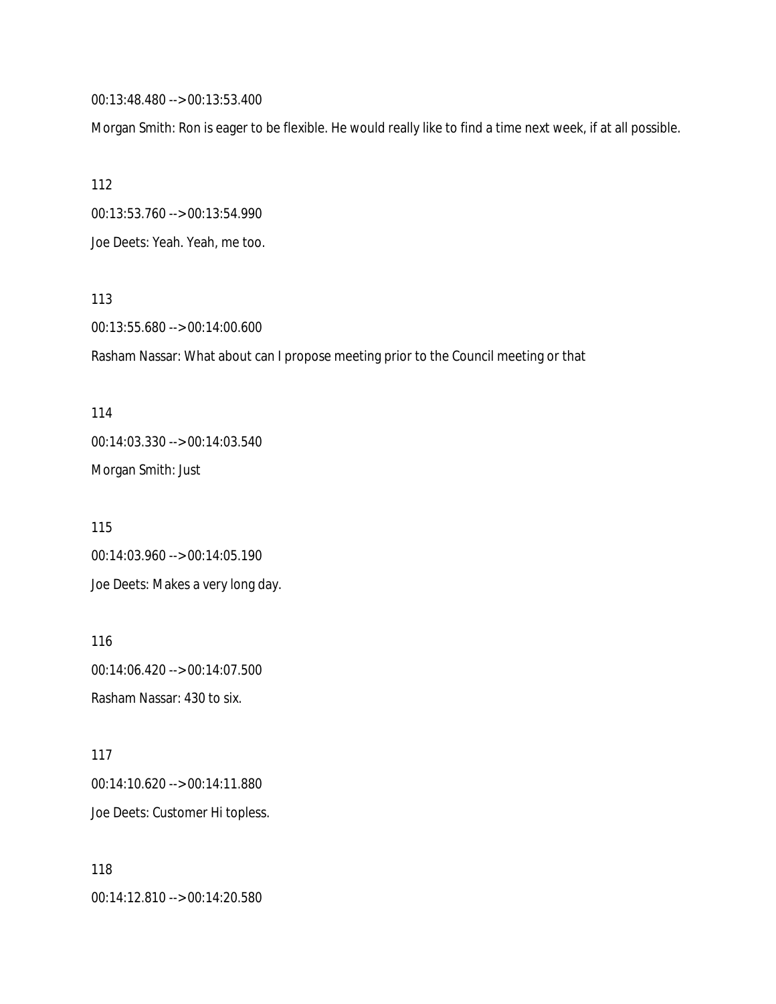00:13:48.480 --> 00:13:53.400

Morgan Smith: Ron is eager to be flexible. He would really like to find a time next week, if at all possible.

112

00:13:53.760 --> 00:13:54.990

Joe Deets: Yeah. Yeah, me too.

113

00:13:55.680 --> 00:14:00.600

Rasham Nassar: What about can I propose meeting prior to the Council meeting or that

114 00:14:03.330 --> 00:14:03.540 Morgan Smith: Just

115 00:14:03.960 --> 00:14:05.190 Joe Deets: Makes a very long day.

116 00:14:06.420 --> 00:14:07.500 Rasham Nassar: 430 to six.

117 00:14:10.620 --> 00:14:11.880 Joe Deets: Customer Hi topless.

118 00:14:12.810 --> 00:14:20.580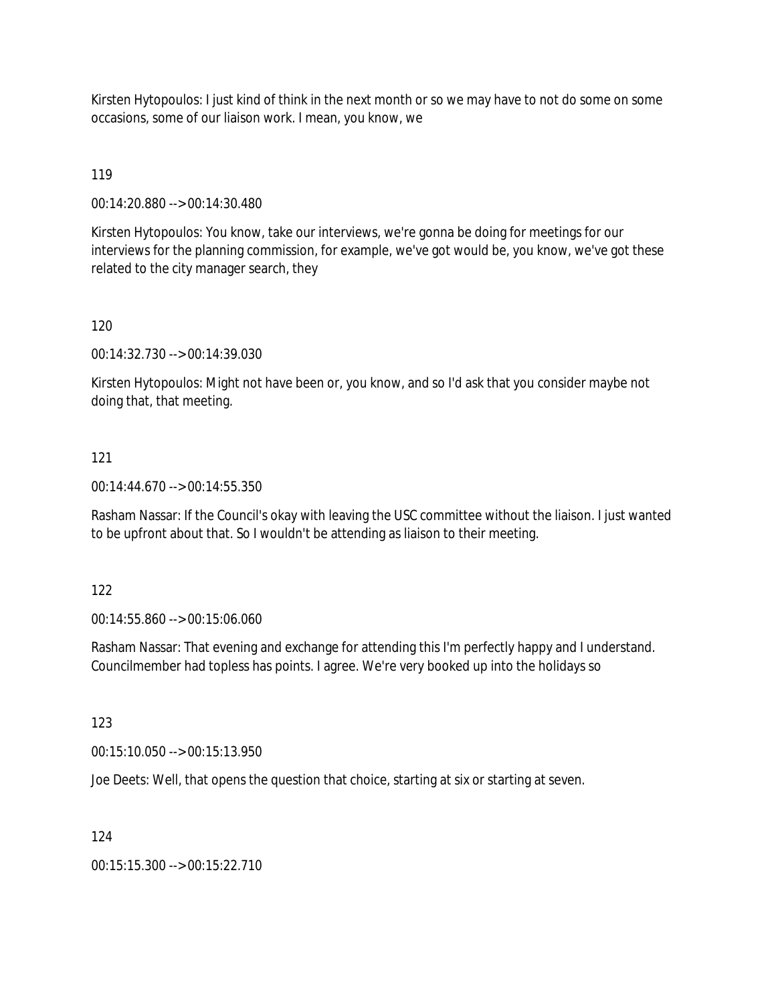Kirsten Hytopoulos: I just kind of think in the next month or so we may have to not do some on some occasions, some of our liaison work. I mean, you know, we

119

00:14:20.880 --> 00:14:30.480

Kirsten Hytopoulos: You know, take our interviews, we're gonna be doing for meetings for our interviews for the planning commission, for example, we've got would be, you know, we've got these related to the city manager search, they

120

00:14:32.730 --> 00:14:39.030

Kirsten Hytopoulos: Might not have been or, you know, and so I'd ask that you consider maybe not doing that, that meeting.

#### 121

00:14:44.670 --> 00:14:55.350

Rasham Nassar: If the Council's okay with leaving the USC committee without the liaison. I just wanted to be upfront about that. So I wouldn't be attending as liaison to their meeting.

122

00:14:55.860 --> 00:15:06.060

Rasham Nassar: That evening and exchange for attending this I'm perfectly happy and I understand. Councilmember had topless has points. I agree. We're very booked up into the holidays so

123

00:15:10.050 --> 00:15:13.950

Joe Deets: Well, that opens the question that choice, starting at six or starting at seven.

124

00:15:15.300 --> 00:15:22.710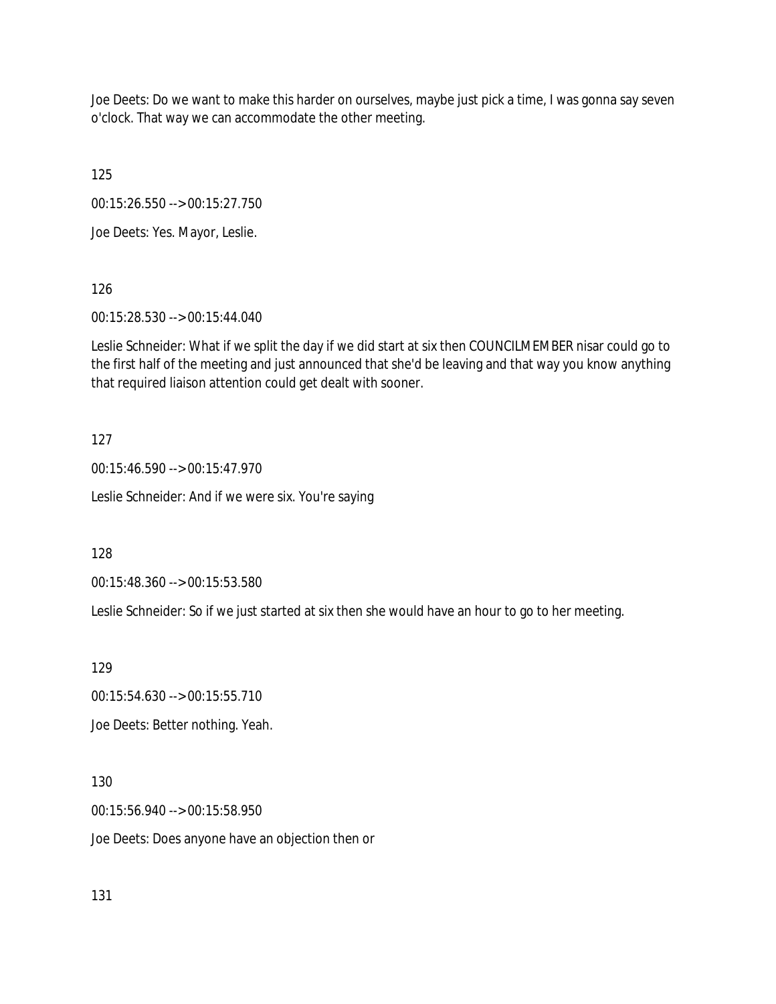Joe Deets: Do we want to make this harder on ourselves, maybe just pick a time, I was gonna say seven o'clock. That way we can accommodate the other meeting.

125

00:15:26.550 --> 00:15:27.750

Joe Deets: Yes. Mayor, Leslie.

126

00:15:28.530 --> 00:15:44.040

Leslie Schneider: What if we split the day if we did start at six then COUNCILMEMBER nisar could go to the first half of the meeting and just announced that she'd be leaving and that way you know anything that required liaison attention could get dealt with sooner.

127

00:15:46.590 --> 00:15:47.970

Leslie Schneider: And if we were six. You're saying

128

00:15:48.360 --> 00:15:53.580

Leslie Schneider: So if we just started at six then she would have an hour to go to her meeting.

129

00:15:54.630 --> 00:15:55.710 Joe Deets: Better nothing. Yeah.

130

00:15:56.940 --> 00:15:58.950 Joe Deets: Does anyone have an objection then or

131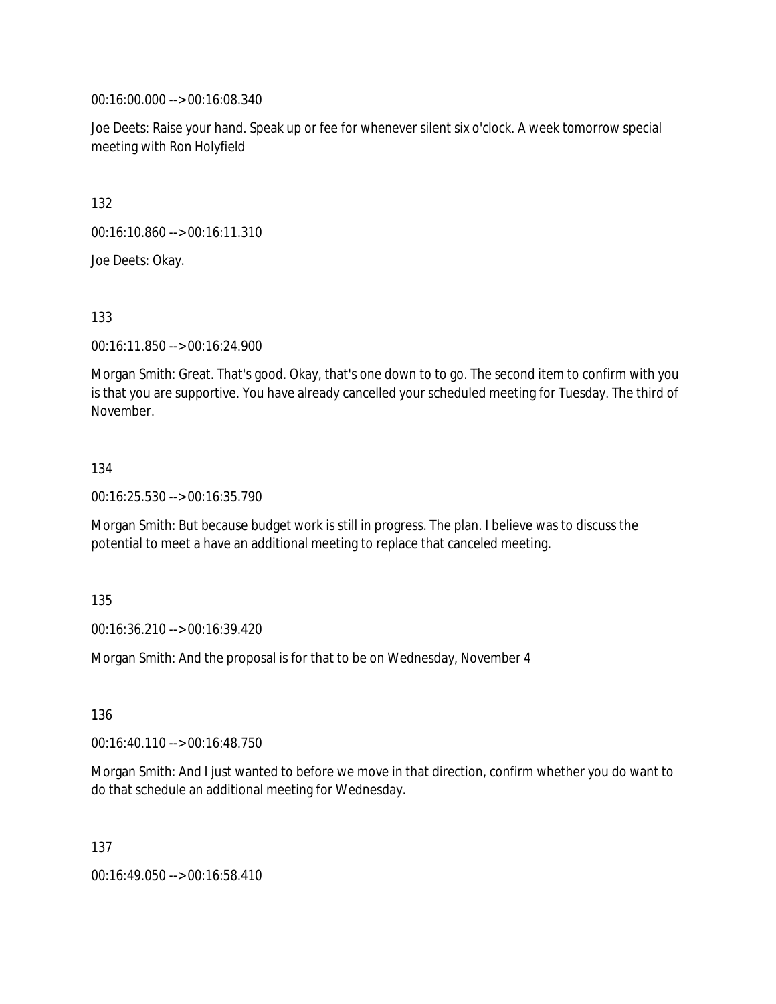00:16:00.000 --> 00:16:08.340

Joe Deets: Raise your hand. Speak up or fee for whenever silent six o'clock. A week tomorrow special meeting with Ron Holyfield

132

00:16:10.860 --> 00:16:11.310

Joe Deets: Okay.

133

00:16:11.850 --> 00:16:24.900

Morgan Smith: Great. That's good. Okay, that's one down to to go. The second item to confirm with you is that you are supportive. You have already cancelled your scheduled meeting for Tuesday. The third of November.

#### 134

00:16:25.530 --> 00:16:35.790

Morgan Smith: But because budget work is still in progress. The plan. I believe was to discuss the potential to meet a have an additional meeting to replace that canceled meeting.

135

00:16:36.210 --> 00:16:39.420

Morgan Smith: And the proposal is for that to be on Wednesday, November 4

136

00:16:40.110 --> 00:16:48.750

Morgan Smith: And I just wanted to before we move in that direction, confirm whether you do want to do that schedule an additional meeting for Wednesday.

137

00:16:49.050 --> 00:16:58.410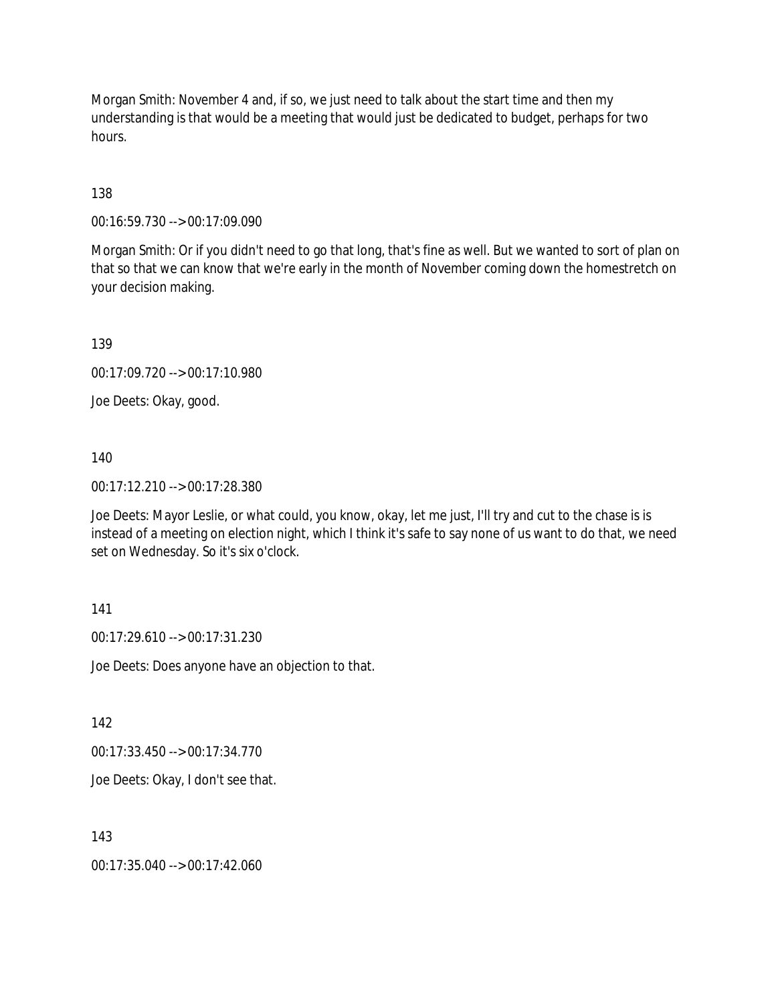Morgan Smith: November 4 and, if so, we just need to talk about the start time and then my understanding is that would be a meeting that would just be dedicated to budget, perhaps for two hours.

#### 138

00:16:59.730 --> 00:17:09.090

Morgan Smith: Or if you didn't need to go that long, that's fine as well. But we wanted to sort of plan on that so that we can know that we're early in the month of November coming down the homestretch on your decision making.

139

00:17:09.720 --> 00:17:10.980

Joe Deets: Okay, good.

#### 140

00:17:12.210 --> 00:17:28.380

Joe Deets: Mayor Leslie, or what could, you know, okay, let me just, I'll try and cut to the chase is is instead of a meeting on election night, which I think it's safe to say none of us want to do that, we need set on Wednesday. So it's six o'clock.

#### 141

00:17:29.610 --> 00:17:31.230

Joe Deets: Does anyone have an objection to that.

142

00:17:33.450 --> 00:17:34.770

Joe Deets: Okay, I don't see that.

#### 143

00:17:35.040 --> 00:17:42.060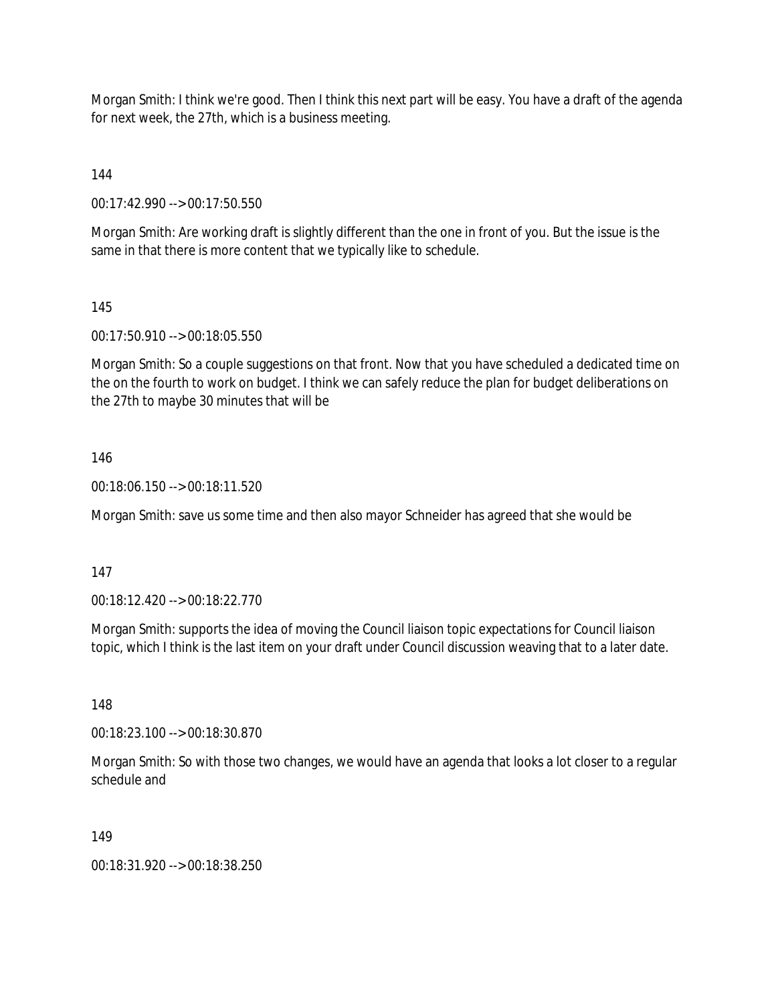Morgan Smith: I think we're good. Then I think this next part will be easy. You have a draft of the agenda for next week, the 27th, which is a business meeting.

144

00:17:42.990 --> 00:17:50.550

Morgan Smith: Are working draft is slightly different than the one in front of you. But the issue is the same in that there is more content that we typically like to schedule.

145

00:17:50.910 --> 00:18:05.550

Morgan Smith: So a couple suggestions on that front. Now that you have scheduled a dedicated time on the on the fourth to work on budget. I think we can safely reduce the plan for budget deliberations on the 27th to maybe 30 minutes that will be

#### 146

00:18:06.150 --> 00:18:11.520

Morgan Smith: save us some time and then also mayor Schneider has agreed that she would be

#### 147

00:18:12.420 --> 00:18:22.770

Morgan Smith: supports the idea of moving the Council liaison topic expectations for Council liaison topic, which I think is the last item on your draft under Council discussion weaving that to a later date.

148

00:18:23.100 --> 00:18:30.870

Morgan Smith: So with those two changes, we would have an agenda that looks a lot closer to a regular schedule and

#### 149

00:18:31.920 --> 00:18:38.250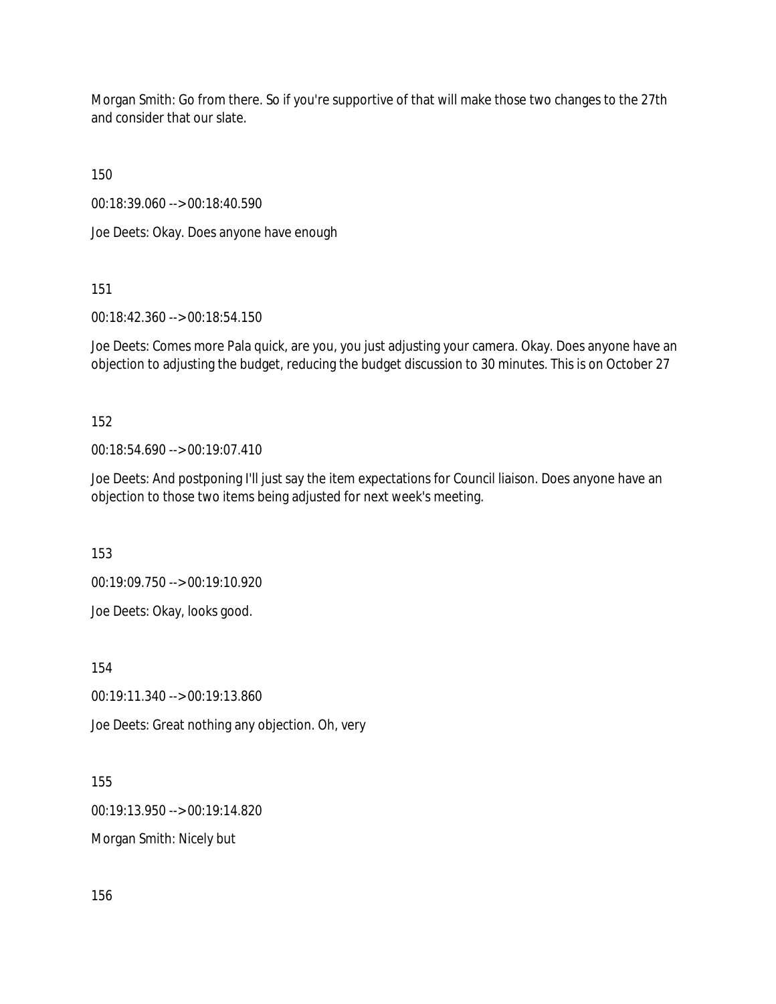Morgan Smith: Go from there. So if you're supportive of that will make those two changes to the 27th and consider that our slate.

150

00:18:39.060 --> 00:18:40.590

Joe Deets: Okay. Does anyone have enough

151

00:18:42.360 --> 00:18:54.150

Joe Deets: Comes more Pala quick, are you, you just adjusting your camera. Okay. Does anyone have an objection to adjusting the budget, reducing the budget discussion to 30 minutes. This is on October 27

152

00:18:54.690 --> 00:19:07.410

Joe Deets: And postponing I'll just say the item expectations for Council liaison. Does anyone have an objection to those two items being adjusted for next week's meeting.

153

00:19:09.750 --> 00:19:10.920

Joe Deets: Okay, looks good.

154

00:19:11.340 --> 00:19:13.860

Joe Deets: Great nothing any objection. Oh, very

155

00:19:13.950 --> 00:19:14.820

Morgan Smith: Nicely but

156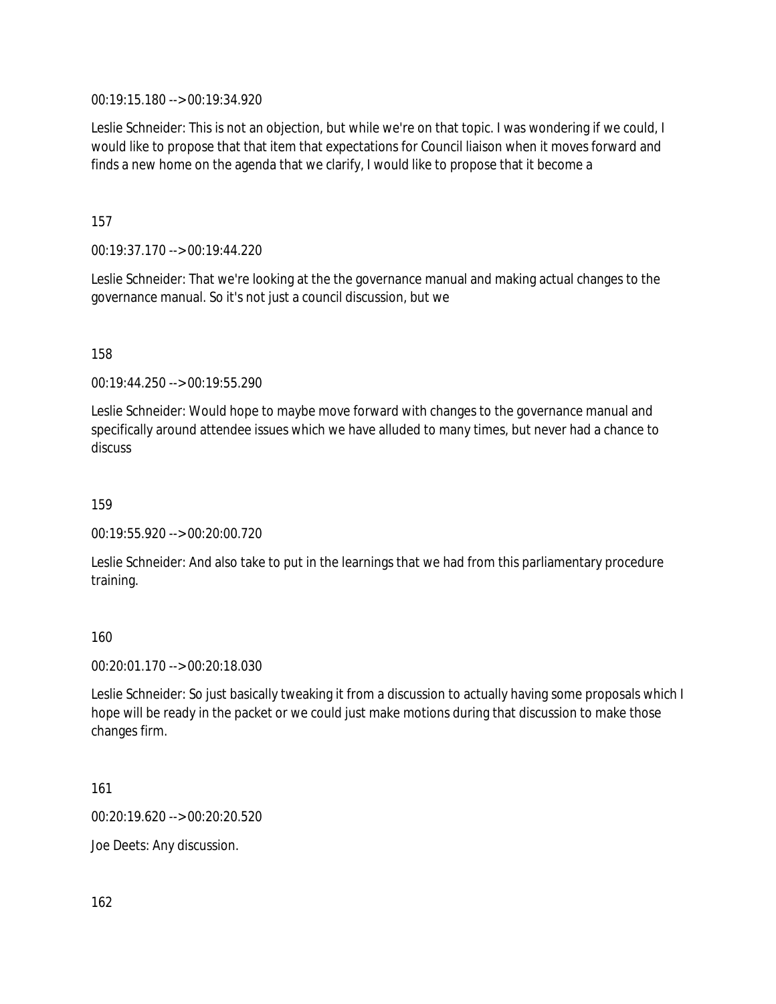00:19:15.180 --> 00:19:34.920

Leslie Schneider: This is not an objection, but while we're on that topic. I was wondering if we could, I would like to propose that that item that expectations for Council liaison when it moves forward and finds a new home on the agenda that we clarify, I would like to propose that it become a

157

00:19:37.170 --> 00:19:44.220

Leslie Schneider: That we're looking at the the governance manual and making actual changes to the governance manual. So it's not just a council discussion, but we

158

00:19:44.250 --> 00:19:55.290

Leslie Schneider: Would hope to maybe move forward with changes to the governance manual and specifically around attendee issues which we have alluded to many times, but never had a chance to discuss

159

00:19:55.920 --> 00:20:00.720

Leslie Schneider: And also take to put in the learnings that we had from this parliamentary procedure training.

160

00:20:01.170 --> 00:20:18.030

Leslie Schneider: So just basically tweaking it from a discussion to actually having some proposals which I hope will be ready in the packet or we could just make motions during that discussion to make those changes firm.

161

00:20:19.620 --> 00:20:20.520

Joe Deets: Any discussion.

162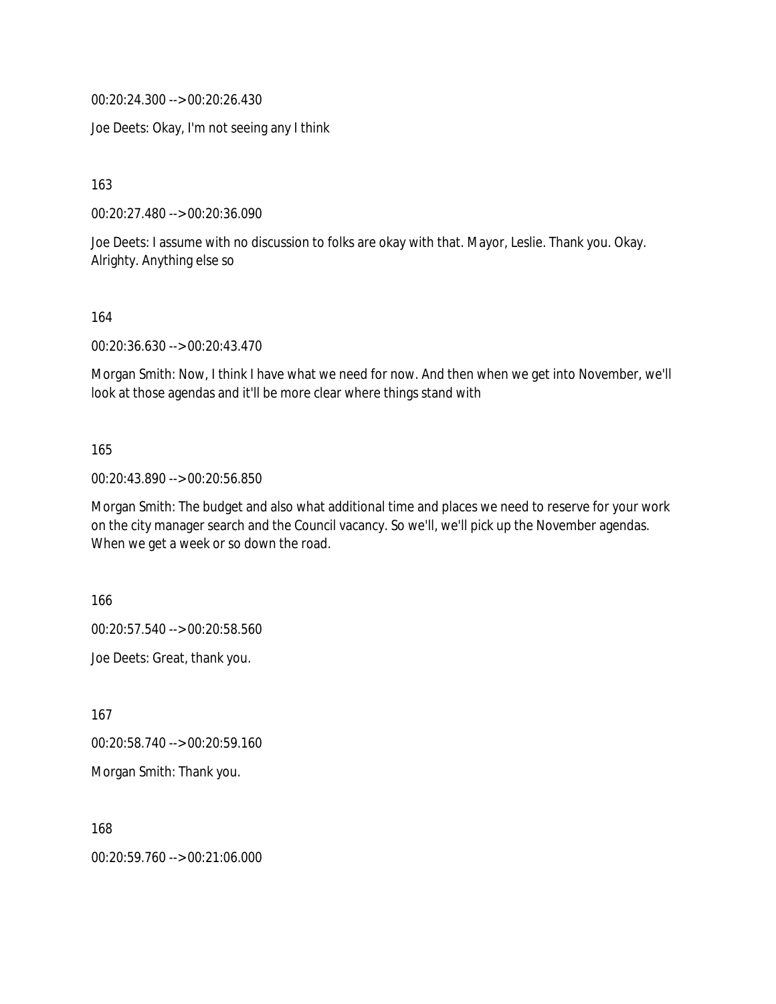00:20:24.300 --> 00:20:26.430

Joe Deets: Okay, I'm not seeing any I think

163

00:20:27.480 --> 00:20:36.090

Joe Deets: I assume with no discussion to folks are okay with that. Mayor, Leslie. Thank you. Okay. Alrighty. Anything else so

164

00:20:36.630 --> 00:20:43.470

Morgan Smith: Now, I think I have what we need for now. And then when we get into November, we'll look at those agendas and it'll be more clear where things stand with

#### 165

00:20:43.890 --> 00:20:56.850

Morgan Smith: The budget and also what additional time and places we need to reserve for your work on the city manager search and the Council vacancy. So we'll, we'll pick up the November agendas. When we get a week or so down the road.

166

00:20:57.540 --> 00:20:58.560

Joe Deets: Great, thank you.

167

00:20:58.740 --> 00:20:59.160

Morgan Smith: Thank you.

168

00:20:59.760 --> 00:21:06.000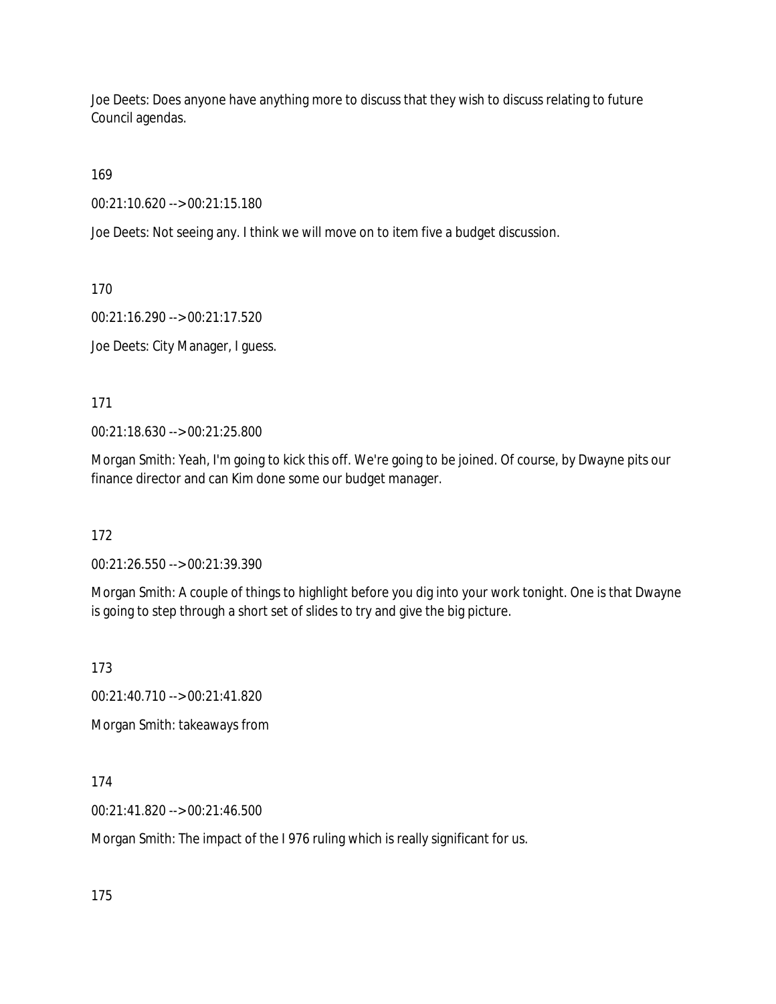Joe Deets: Does anyone have anything more to discuss that they wish to discuss relating to future Council agendas.

169

00:21:10.620 --> 00:21:15.180

Joe Deets: Not seeing any. I think we will move on to item five a budget discussion.

170

00:21:16.290 --> 00:21:17.520

Joe Deets: City Manager, I guess.

171

00:21:18.630 --> 00:21:25.800

Morgan Smith: Yeah, I'm going to kick this off. We're going to be joined. Of course, by Dwayne pits our finance director and can Kim done some our budget manager.

172

00:21:26.550 --> 00:21:39.390

Morgan Smith: A couple of things to highlight before you dig into your work tonight. One is that Dwayne is going to step through a short set of slides to try and give the big picture.

173

00:21:40.710 --> 00:21:41.820

Morgan Smith: takeaways from

174

00:21:41.820 --> 00:21:46.500

Morgan Smith: The impact of the I 976 ruling which is really significant for us.

175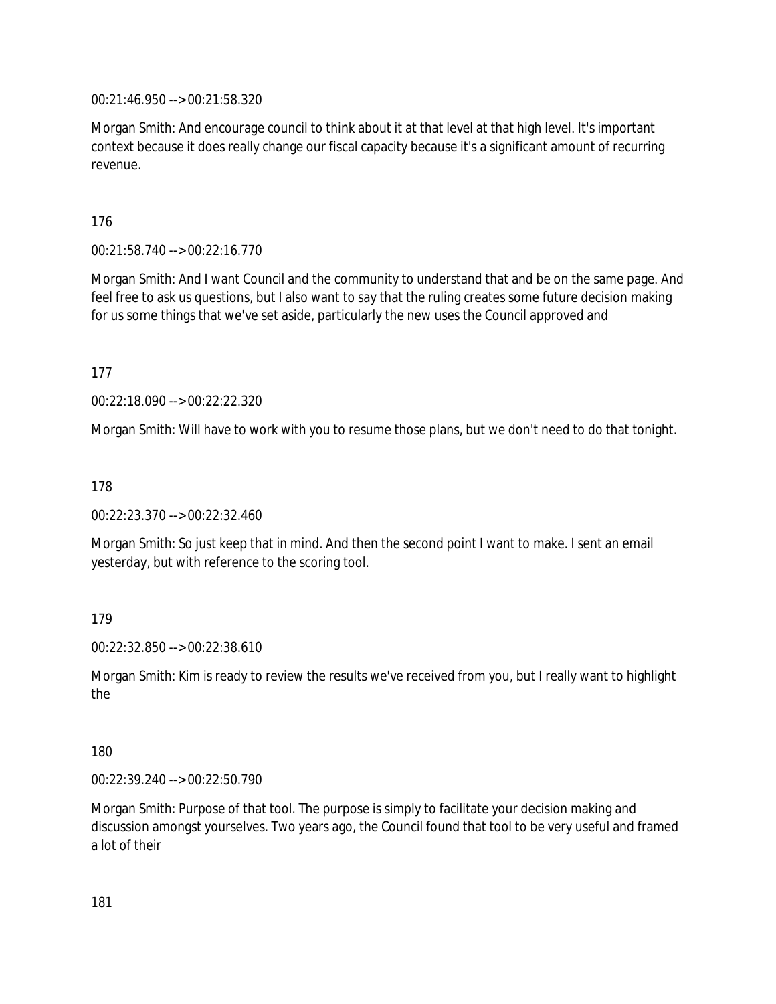00:21:46.950 --> 00:21:58.320

Morgan Smith: And encourage council to think about it at that level at that high level. It's important context because it does really change our fiscal capacity because it's a significant amount of recurring revenue.

176

00:21:58.740 --> 00:22:16.770

Morgan Smith: And I want Council and the community to understand that and be on the same page. And feel free to ask us questions, but I also want to say that the ruling creates some future decision making for us some things that we've set aside, particularly the new uses the Council approved and

177

00:22:18.090 --> 00:22:22.320

Morgan Smith: Will have to work with you to resume those plans, but we don't need to do that tonight.

178

00:22:23.370 --> 00:22:32.460

Morgan Smith: So just keep that in mind. And then the second point I want to make. I sent an email yesterday, but with reference to the scoring tool.

179

00:22:32.850 --> 00:22:38.610

Morgan Smith: Kim is ready to review the results we've received from you, but I really want to highlight the

180

00:22:39.240 --> 00:22:50.790

Morgan Smith: Purpose of that tool. The purpose is simply to facilitate your decision making and discussion amongst yourselves. Two years ago, the Council found that tool to be very useful and framed a lot of their

181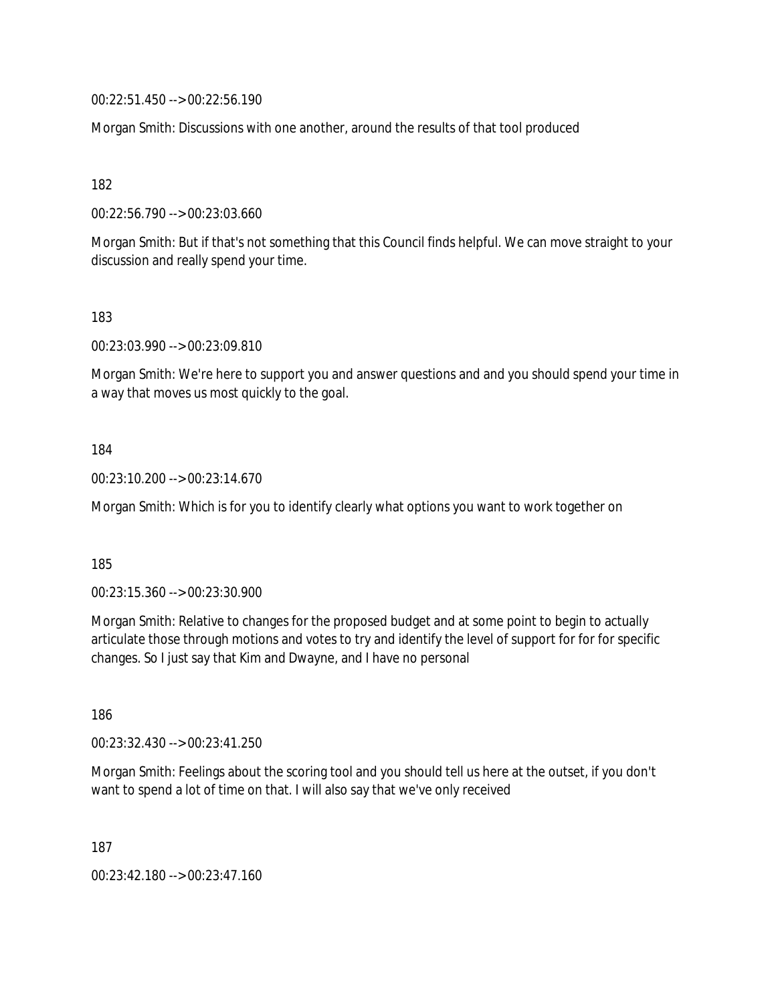00:22:51.450 --> 00:22:56.190

Morgan Smith: Discussions with one another, around the results of that tool produced

182

00:22:56.790 --> 00:23:03.660

Morgan Smith: But if that's not something that this Council finds helpful. We can move straight to your discussion and really spend your time.

183

00:23:03.990 --> 00:23:09.810

Morgan Smith: We're here to support you and answer questions and and you should spend your time in a way that moves us most quickly to the goal.

184

00:23:10.200 --> 00:23:14.670

Morgan Smith: Which is for you to identify clearly what options you want to work together on

185

00:23:15.360 --> 00:23:30.900

Morgan Smith: Relative to changes for the proposed budget and at some point to begin to actually articulate those through motions and votes to try and identify the level of support for for for specific changes. So I just say that Kim and Dwayne, and I have no personal

186

00:23:32.430 --> 00:23:41.250

Morgan Smith: Feelings about the scoring tool and you should tell us here at the outset, if you don't want to spend a lot of time on that. I will also say that we've only received

187

00:23:42.180 --> 00:23:47.160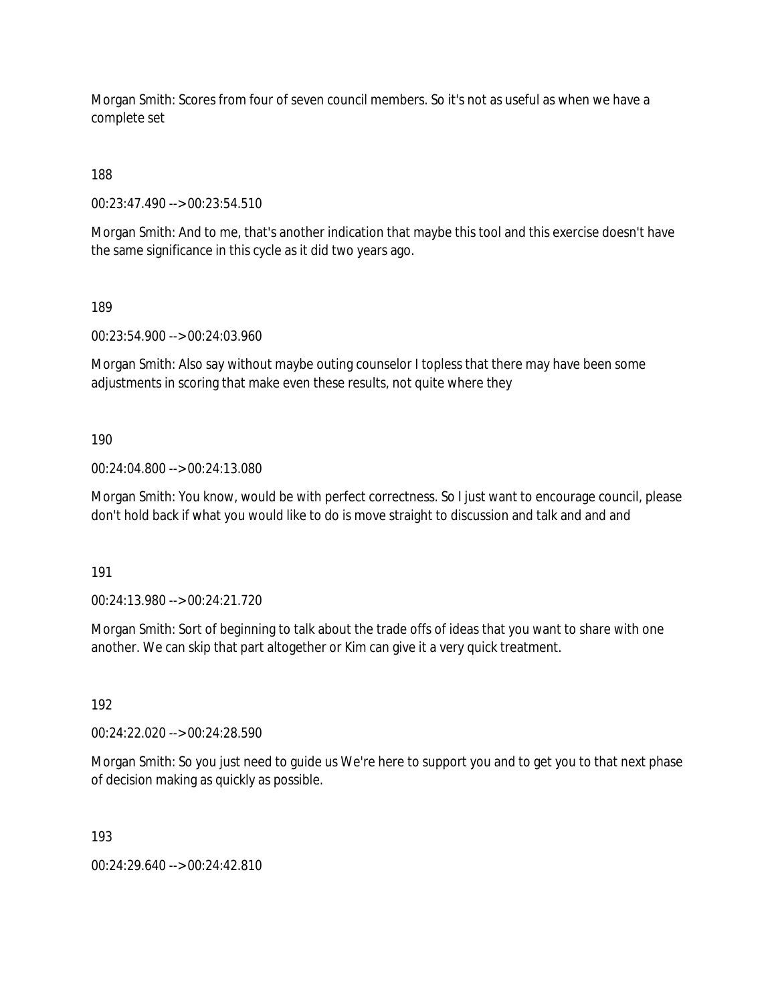Morgan Smith: Scores from four of seven council members. So it's not as useful as when we have a complete set

188

00:23:47.490 --> 00:23:54.510

Morgan Smith: And to me, that's another indication that maybe this tool and this exercise doesn't have the same significance in this cycle as it did two years ago.

189

00:23:54.900 --> 00:24:03.960

Morgan Smith: Also say without maybe outing counselor I topless that there may have been some adjustments in scoring that make even these results, not quite where they

190

00:24:04.800 --> 00:24:13.080

Morgan Smith: You know, would be with perfect correctness. So I just want to encourage council, please don't hold back if what you would like to do is move straight to discussion and talk and and and

191

00:24:13.980 --> 00:24:21.720

Morgan Smith: Sort of beginning to talk about the trade offs of ideas that you want to share with one another. We can skip that part altogether or Kim can give it a very quick treatment.

192

00:24:22.020 --> 00:24:28.590

Morgan Smith: So you just need to guide us We're here to support you and to get you to that next phase of decision making as quickly as possible.

193

00:24:29.640 --> 00:24:42.810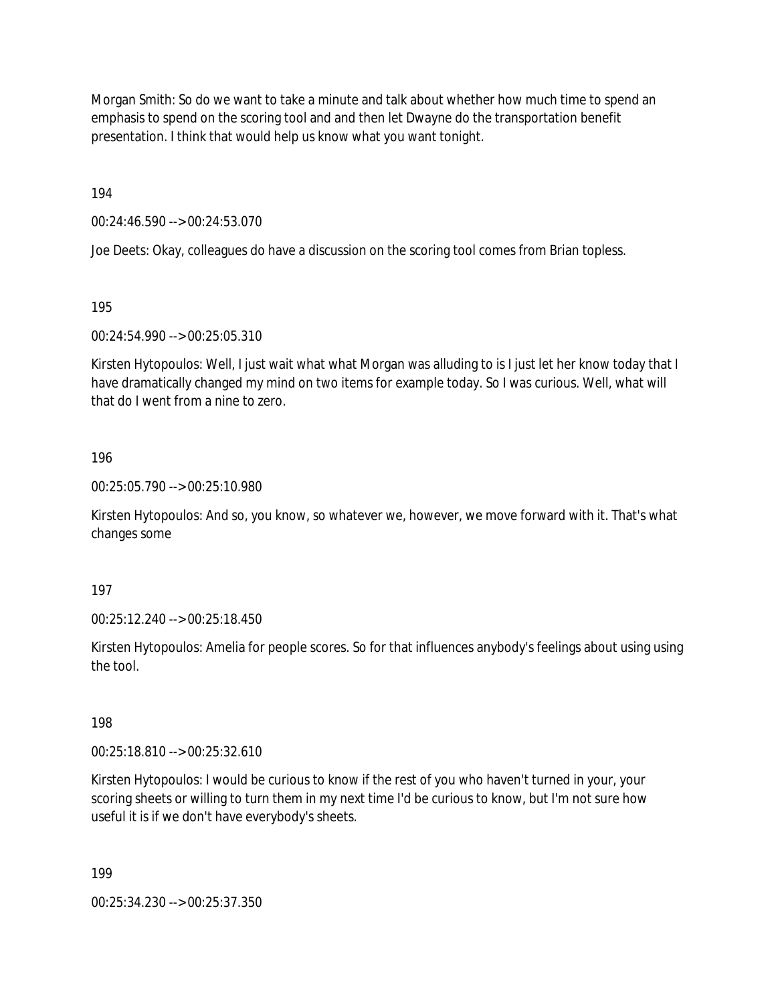Morgan Smith: So do we want to take a minute and talk about whether how much time to spend an emphasis to spend on the scoring tool and and then let Dwayne do the transportation benefit presentation. I think that would help us know what you want tonight.

194

00:24:46.590 --> 00:24:53.070

Joe Deets: Okay, colleagues do have a discussion on the scoring tool comes from Brian topless.

195

00:24:54.990 --> 00:25:05.310

Kirsten Hytopoulos: Well, I just wait what what Morgan was alluding to is I just let her know today that I have dramatically changed my mind on two items for example today. So I was curious. Well, what will that do I went from a nine to zero.

#### 196

00:25:05.790 --> 00:25:10.980

Kirsten Hytopoulos: And so, you know, so whatever we, however, we move forward with it. That's what changes some

197

00:25:12.240 --> 00:25:18.450

Kirsten Hytopoulos: Amelia for people scores. So for that influences anybody's feelings about using using the tool.

198

00:25:18.810 --> 00:25:32.610

Kirsten Hytopoulos: I would be curious to know if the rest of you who haven't turned in your, your scoring sheets or willing to turn them in my next time I'd be curious to know, but I'm not sure how useful it is if we don't have everybody's sheets.

199

00:25:34.230 --> 00:25:37.350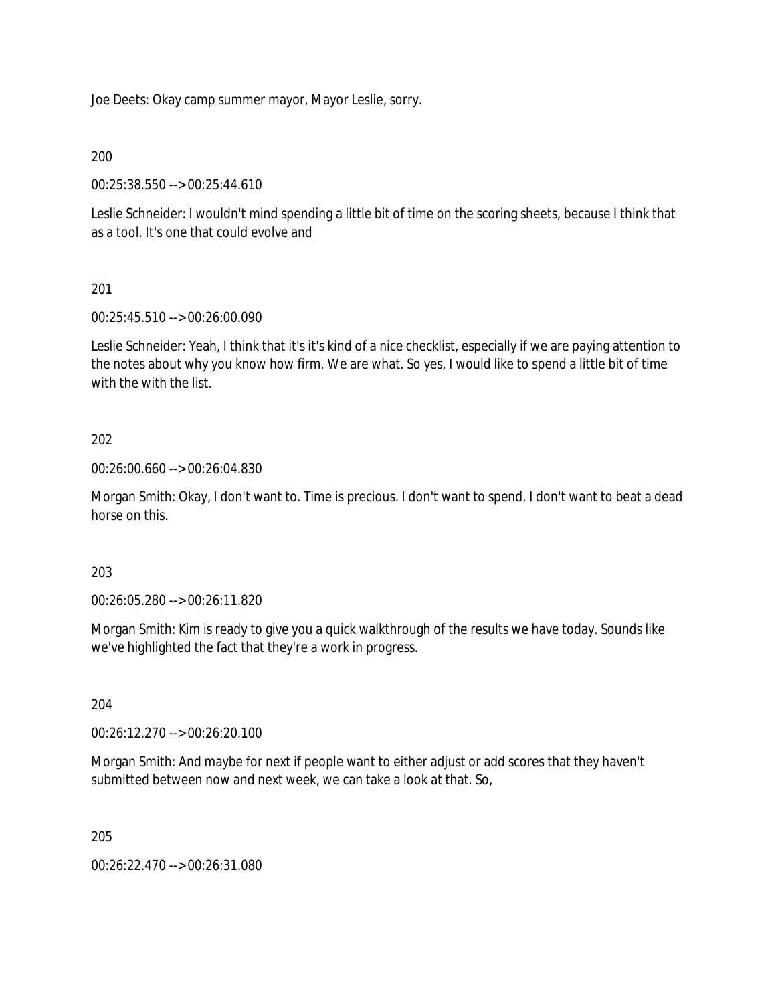Joe Deets: Okay camp summer mayor, Mayor Leslie, sorry.

#### 200

00:25:38.550 --> 00:25:44.610

Leslie Schneider: I wouldn't mind spending a little bit of time on the scoring sheets, because I think that as a tool. It's one that could evolve and

#### 201

00:25:45.510 --> 00:26:00.090

Leslie Schneider: Yeah, I think that it's it's kind of a nice checklist, especially if we are paying attention to the notes about why you know how firm. We are what. So yes, I would like to spend a little bit of time with the with the list.

#### 202

00:26:00.660 --> 00:26:04.830

Morgan Smith: Okay, I don't want to. Time is precious. I don't want to spend. I don't want to beat a dead horse on this.

#### 203

00:26:05.280 --> 00:26:11.820

Morgan Smith: Kim is ready to give you a quick walkthrough of the results we have today. Sounds like we've highlighted the fact that they're a work in progress.

#### 204

00:26:12.270 --> 00:26:20.100

Morgan Smith: And maybe for next if people want to either adjust or add scores that they haven't submitted between now and next week, we can take a look at that. So,

205

00:26:22.470 --> 00:26:31.080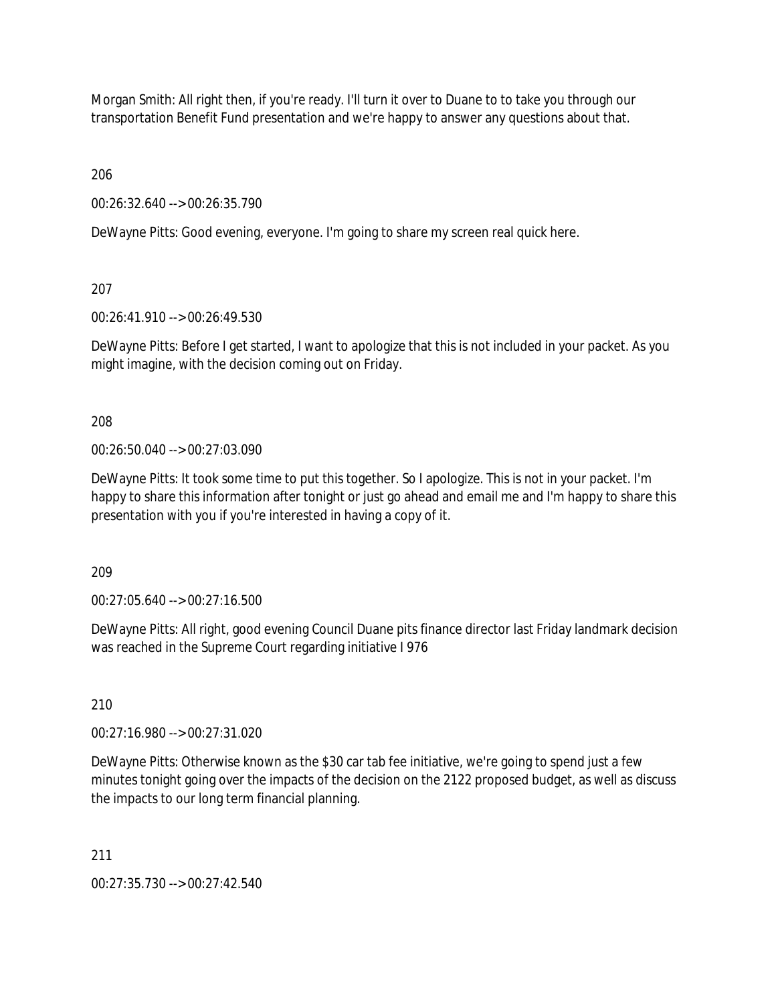Morgan Smith: All right then, if you're ready. I'll turn it over to Duane to to take you through our transportation Benefit Fund presentation and we're happy to answer any questions about that.

206

00:26:32.640 --> 00:26:35.790

DeWayne Pitts: Good evening, everyone. I'm going to share my screen real quick here.

207

00:26:41.910 --> 00:26:49.530

DeWayne Pitts: Before I get started, I want to apologize that this is not included in your packet. As you might imagine, with the decision coming out on Friday.

208

00:26:50.040 --> 00:27:03.090

DeWayne Pitts: It took some time to put this together. So I apologize. This is not in your packet. I'm happy to share this information after tonight or just go ahead and email me and I'm happy to share this presentation with you if you're interested in having a copy of it.

209

00:27:05.640 --> 00:27:16.500

DeWayne Pitts: All right, good evening Council Duane pits finance director last Friday landmark decision was reached in the Supreme Court regarding initiative I 976

210

00:27:16.980 --> 00:27:31.020

DeWayne Pitts: Otherwise known as the \$30 car tab fee initiative, we're going to spend just a few minutes tonight going over the impacts of the decision on the 2122 proposed budget, as well as discuss the impacts to our long term financial planning.

211

00:27:35.730 --> 00:27:42.540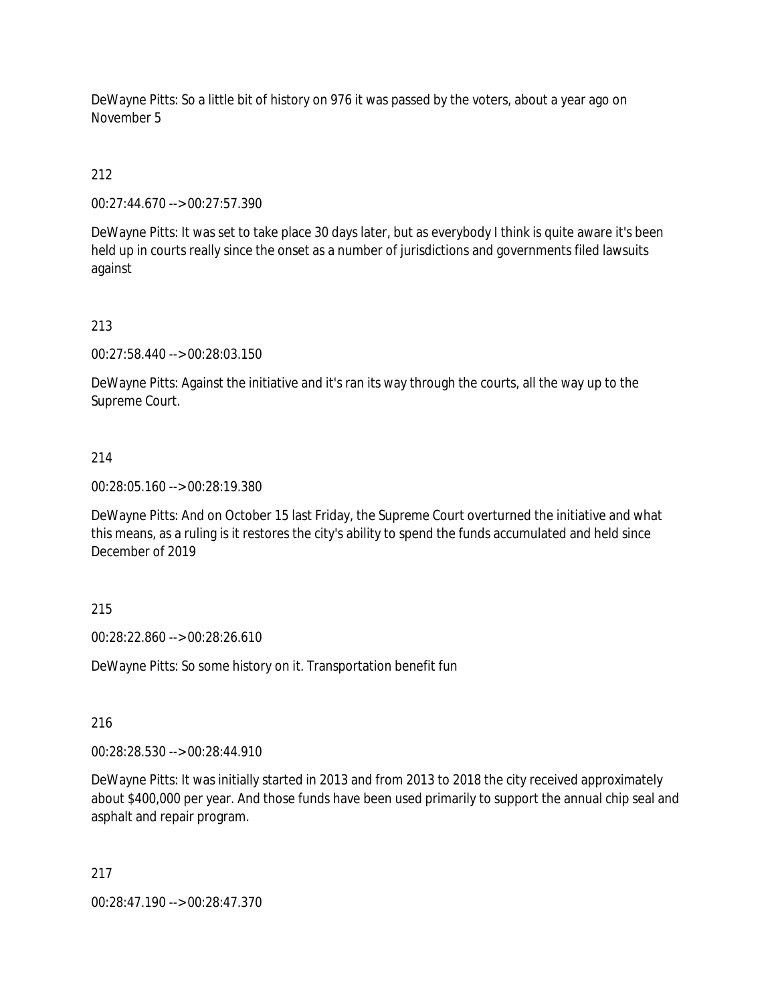DeWayne Pitts: So a little bit of history on 976 it was passed by the voters, about a year ago on November 5

# 212

00:27:44.670 --> 00:27:57.390

DeWayne Pitts: It was set to take place 30 days later, but as everybody I think is quite aware it's been held up in courts really since the onset as a number of jurisdictions and governments filed lawsuits against

# 213

00:27:58.440 --> 00:28:03.150

DeWayne Pitts: Against the initiative and it's ran its way through the courts, all the way up to the Supreme Court.

# 214

00:28:05.160 --> 00:28:19.380

DeWayne Pitts: And on October 15 last Friday, the Supreme Court overturned the initiative and what this means, as a ruling is it restores the city's ability to spend the funds accumulated and held since December of 2019

# 215

00:28:22.860 --> 00:28:26.610

DeWayne Pitts: So some history on it. Transportation benefit fun

### 216

00:28:28.530 --> 00:28:44.910

DeWayne Pitts: It was initially started in 2013 and from 2013 to 2018 the city received approximately about \$400,000 per year. And those funds have been used primarily to support the annual chip seal and asphalt and repair program.

### 217

00:28:47.190 --> 00:28:47.370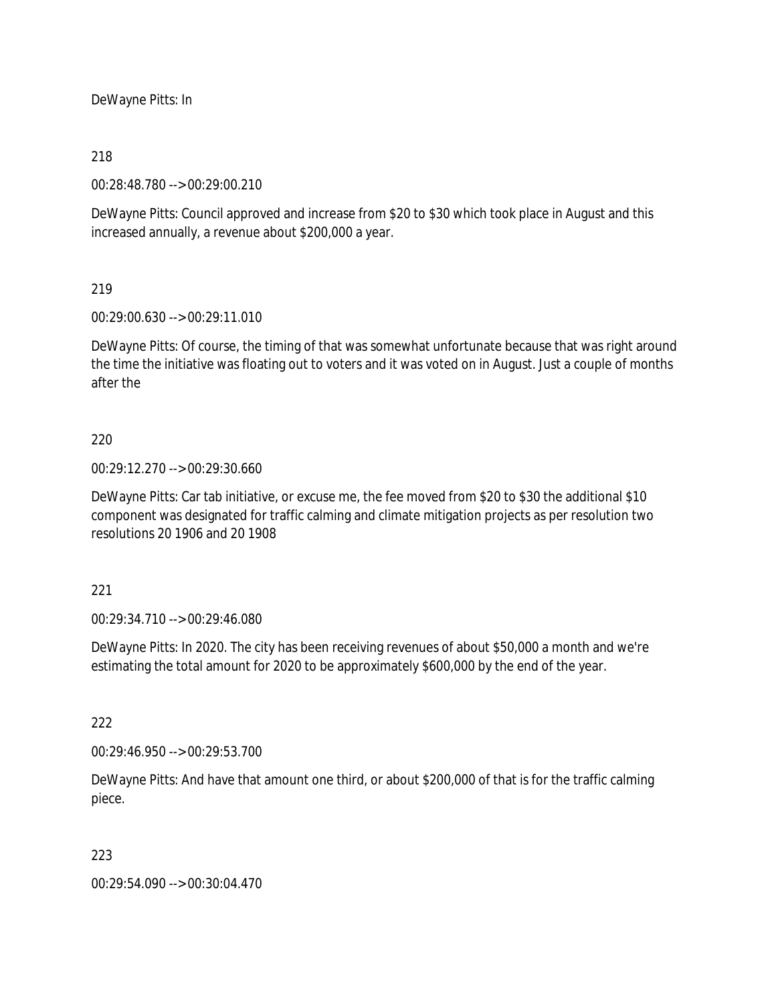DeWayne Pitts: In

#### 218

00:28:48.780 --> 00:29:00.210

DeWayne Pitts: Council approved and increase from \$20 to \$30 which took place in August and this increased annually, a revenue about \$200,000 a year.

#### 219

00:29:00.630 --> 00:29:11.010

DeWayne Pitts: Of course, the timing of that was somewhat unfortunate because that was right around the time the initiative was floating out to voters and it was voted on in August. Just a couple of months after the

#### 220

00:29:12.270 --> 00:29:30.660

DeWayne Pitts: Car tab initiative, or excuse me, the fee moved from \$20 to \$30 the additional \$10 component was designated for traffic calming and climate mitigation projects as per resolution two resolutions 20 1906 and 20 1908

#### 221

00:29:34.710 --> 00:29:46.080

DeWayne Pitts: In 2020. The city has been receiving revenues of about \$50,000 a month and we're estimating the total amount for 2020 to be approximately \$600,000 by the end of the year.

# 222

00:29:46.950 --> 00:29:53.700

DeWayne Pitts: And have that amount one third, or about \$200,000 of that is for the traffic calming piece.

#### 223

00:29:54.090 --> 00:30:04.470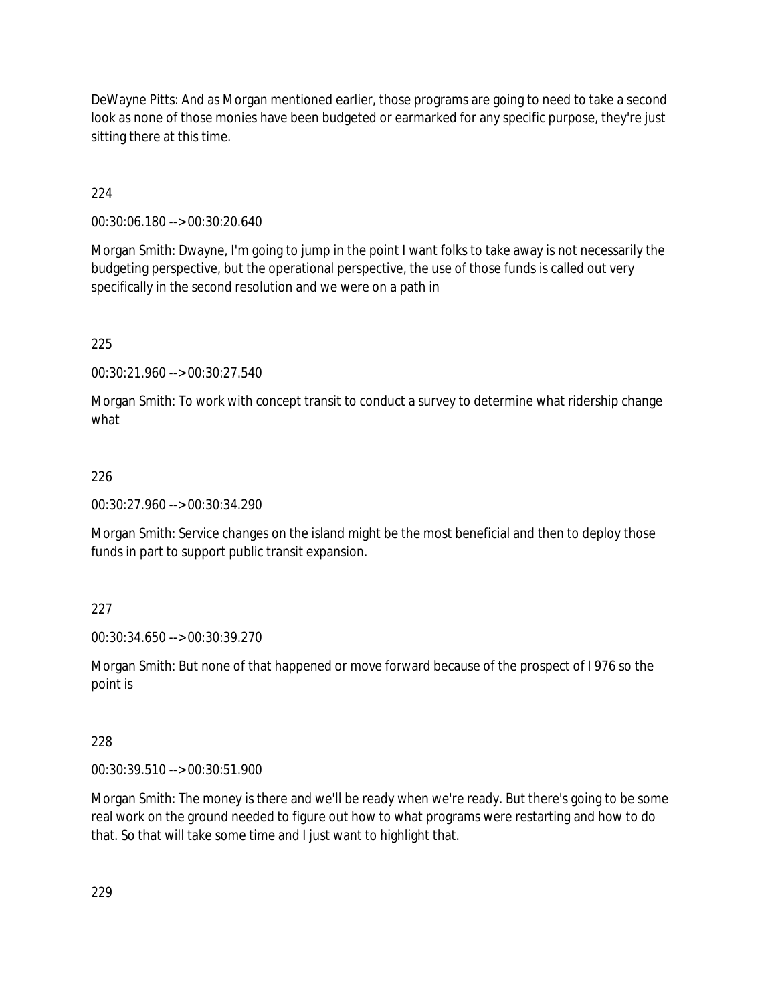DeWayne Pitts: And as Morgan mentioned earlier, those programs are going to need to take a second look as none of those monies have been budgeted or earmarked for any specific purpose, they're just sitting there at this time.

224

00:30:06.180 --> 00:30:20.640

Morgan Smith: Dwayne, I'm going to jump in the point I want folks to take away is not necessarily the budgeting perspective, but the operational perspective, the use of those funds is called out very specifically in the second resolution and we were on a path in

225

00:30:21.960 --> 00:30:27.540

Morgan Smith: To work with concept transit to conduct a survey to determine what ridership change what

#### 226

00:30:27.960 --> 00:30:34.290

Morgan Smith: Service changes on the island might be the most beneficial and then to deploy those funds in part to support public transit expansion.

### 227

00:30:34.650 --> 00:30:39.270

Morgan Smith: But none of that happened or move forward because of the prospect of I 976 so the point is

#### 228

00:30:39.510 --> 00:30:51.900

Morgan Smith: The money is there and we'll be ready when we're ready. But there's going to be some real work on the ground needed to figure out how to what programs were restarting and how to do that. So that will take some time and I just want to highlight that.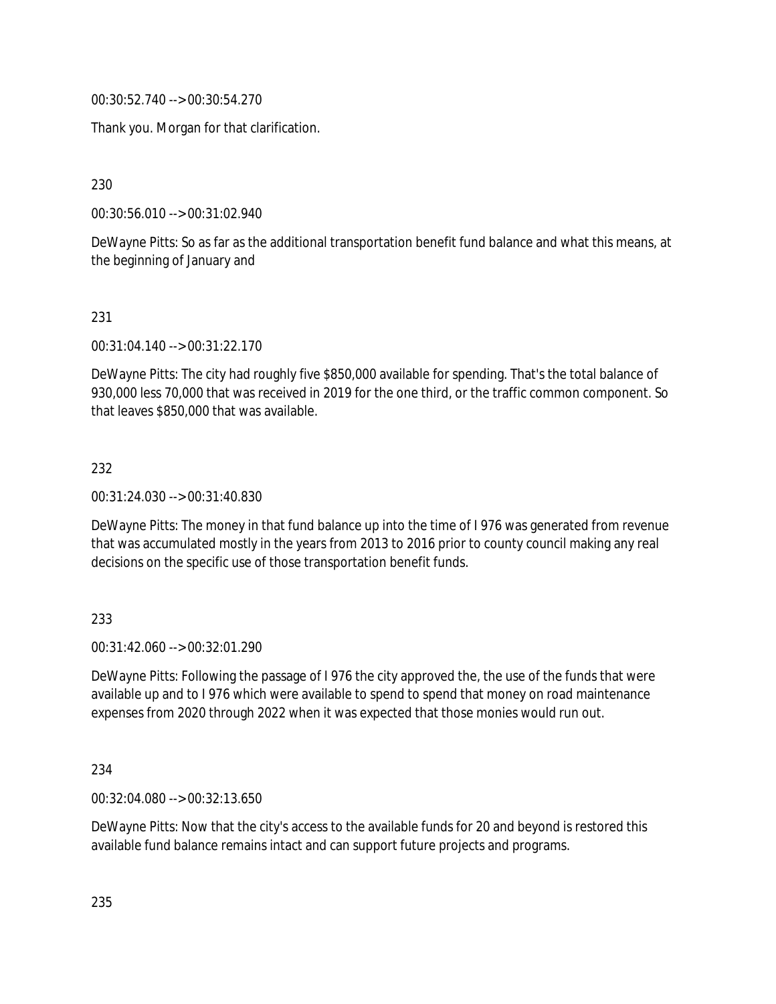00:30:52.740 --> 00:30:54.270

Thank you. Morgan for that clarification.

230

00:30:56.010 --> 00:31:02.940

DeWayne Pitts: So as far as the additional transportation benefit fund balance and what this means, at the beginning of January and

231

00:31:04.140 --> 00:31:22.170

DeWayne Pitts: The city had roughly five \$850,000 available for spending. That's the total balance of 930,000 less 70,000 that was received in 2019 for the one third, or the traffic common component. So that leaves \$850,000 that was available.

232

00:31:24.030 --> 00:31:40.830

DeWayne Pitts: The money in that fund balance up into the time of I 976 was generated from revenue that was accumulated mostly in the years from 2013 to 2016 prior to county council making any real decisions on the specific use of those transportation benefit funds.

#### 233

00:31:42.060 --> 00:32:01.290

DeWayne Pitts: Following the passage of I 976 the city approved the, the use of the funds that were available up and to I 976 which were available to spend to spend that money on road maintenance expenses from 2020 through 2022 when it was expected that those monies would run out.

234

00:32:04.080 --> 00:32:13.650

DeWayne Pitts: Now that the city's access to the available funds for 20 and beyond is restored this available fund balance remains intact and can support future projects and programs.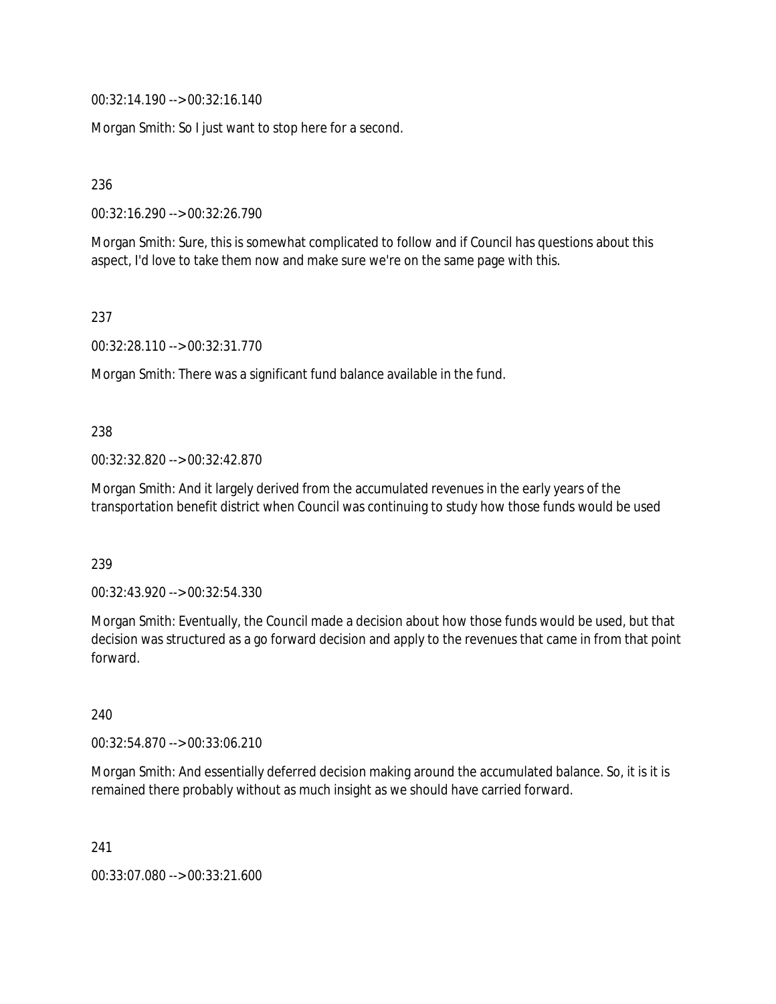00:32:14.190 --> 00:32:16.140

Morgan Smith: So I just want to stop here for a second.

236

00:32:16.290 --> 00:32:26.790

Morgan Smith: Sure, this is somewhat complicated to follow and if Council has questions about this aspect, I'd love to take them now and make sure we're on the same page with this.

237

00:32:28.110 --> 00:32:31.770

Morgan Smith: There was a significant fund balance available in the fund.

238

00:32:32.820 --> 00:32:42.870

Morgan Smith: And it largely derived from the accumulated revenues in the early years of the transportation benefit district when Council was continuing to study how those funds would be used

239

00:32:43.920 --> 00:32:54.330

Morgan Smith: Eventually, the Council made a decision about how those funds would be used, but that decision was structured as a go forward decision and apply to the revenues that came in from that point forward.

240

00:32:54.870 --> 00:33:06.210

Morgan Smith: And essentially deferred decision making around the accumulated balance. So, it is it is remained there probably without as much insight as we should have carried forward.

241

00:33:07.080 --> 00:33:21.600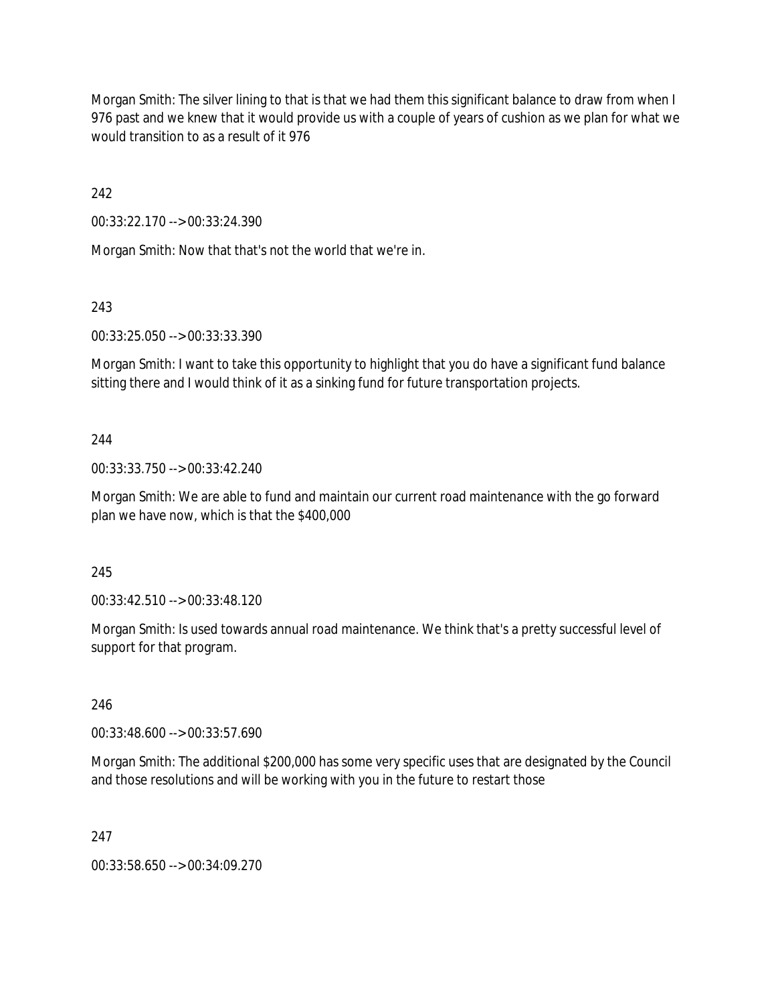Morgan Smith: The silver lining to that is that we had them this significant balance to draw from when I 976 past and we knew that it would provide us with a couple of years of cushion as we plan for what we would transition to as a result of it 976

242

00:33:22.170 --> 00:33:24.390

Morgan Smith: Now that that's not the world that we're in.

243

00:33:25.050 --> 00:33:33.390

Morgan Smith: I want to take this opportunity to highlight that you do have a significant fund balance sitting there and I would think of it as a sinking fund for future transportation projects.

244

00:33:33.750 --> 00:33:42.240

Morgan Smith: We are able to fund and maintain our current road maintenance with the go forward plan we have now, which is that the \$400,000

245

00:33:42.510 --> 00:33:48.120

Morgan Smith: Is used towards annual road maintenance. We think that's a pretty successful level of support for that program.

246

00:33:48.600 --> 00:33:57.690

Morgan Smith: The additional \$200,000 has some very specific uses that are designated by the Council and those resolutions and will be working with you in the future to restart those

247

00:33:58.650 --> 00:34:09.270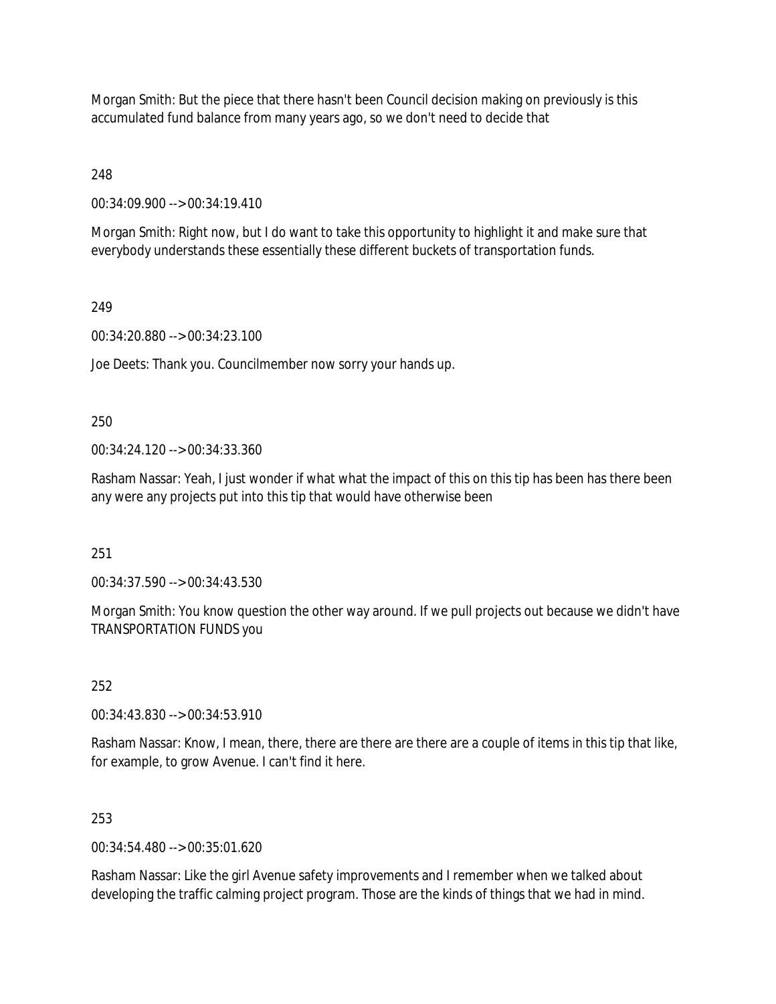Morgan Smith: But the piece that there hasn't been Council decision making on previously is this accumulated fund balance from many years ago, so we don't need to decide that

248

00:34:09.900 --> 00:34:19.410

Morgan Smith: Right now, but I do want to take this opportunity to highlight it and make sure that everybody understands these essentially these different buckets of transportation funds.

249

00:34:20.880 --> 00:34:23.100

Joe Deets: Thank you. Councilmember now sorry your hands up.

250

00:34:24.120 --> 00:34:33.360

Rasham Nassar: Yeah, I just wonder if what what the impact of this on this tip has been has there been any were any projects put into this tip that would have otherwise been

251

00:34:37.590 --> 00:34:43.530

Morgan Smith: You know question the other way around. If we pull projects out because we didn't have TRANSPORTATION FUNDS you

252

00:34:43.830 --> 00:34:53.910

Rasham Nassar: Know, I mean, there, there are there are there are a couple of items in this tip that like, for example, to grow Avenue. I can't find it here.

#### 253

00:34:54.480 --> 00:35:01.620

Rasham Nassar: Like the girl Avenue safety improvements and I remember when we talked about developing the traffic calming project program. Those are the kinds of things that we had in mind.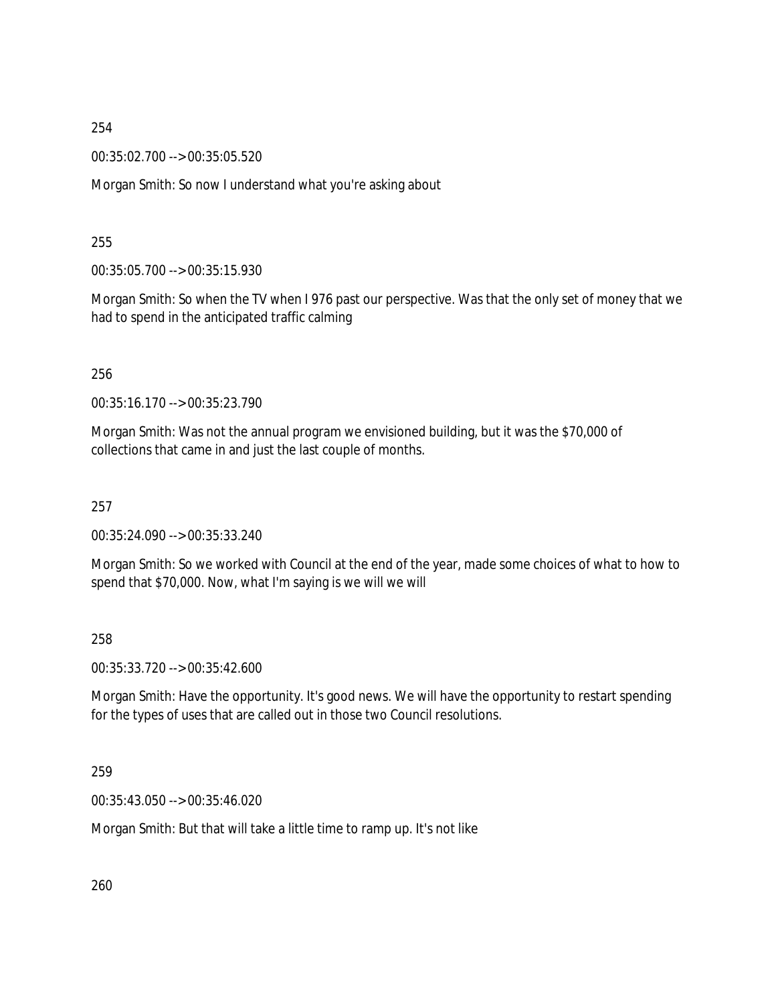00:35:02.700 --> 00:35:05.520

Morgan Smith: So now I understand what you're asking about

#### 255

00:35:05.700 --> 00:35:15.930

Morgan Smith: So when the TV when I 976 past our perspective. Was that the only set of money that we had to spend in the anticipated traffic calming

256

00:35:16.170 --> 00:35:23.790

Morgan Smith: Was not the annual program we envisioned building, but it was the \$70,000 of collections that came in and just the last couple of months.

257

00:35:24.090 --> 00:35:33.240

Morgan Smith: So we worked with Council at the end of the year, made some choices of what to how to spend that \$70,000. Now, what I'm saying is we will we will

258

00:35:33.720 --> 00:35:42.600

Morgan Smith: Have the opportunity. It's good news. We will have the opportunity to restart spending for the types of uses that are called out in those two Council resolutions.

259

00:35:43.050 --> 00:35:46.020

Morgan Smith: But that will take a little time to ramp up. It's not like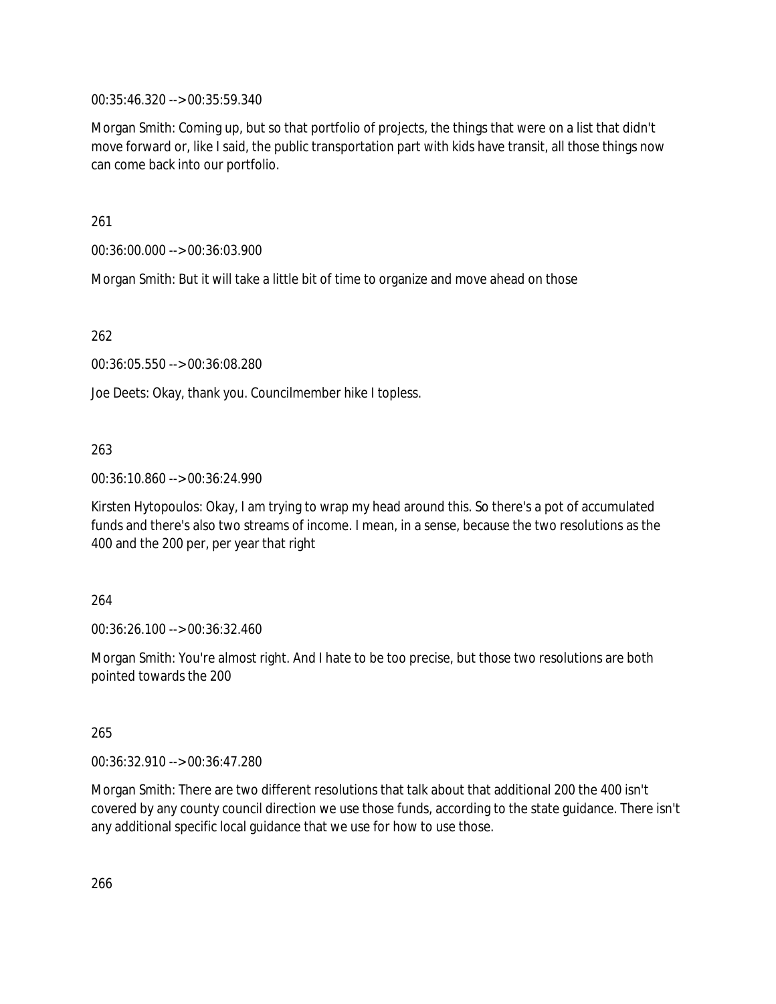00:35:46.320 --> 00:35:59.340

Morgan Smith: Coming up, but so that portfolio of projects, the things that were on a list that didn't move forward or, like I said, the public transportation part with kids have transit, all those things now can come back into our portfolio.

261

00:36:00.000 --> 00:36:03.900

Morgan Smith: But it will take a little bit of time to organize and move ahead on those

262

00:36:05.550 --> 00:36:08.280

Joe Deets: Okay, thank you. Councilmember hike I topless.

## 263

00:36:10.860 --> 00:36:24.990

Kirsten Hytopoulos: Okay, I am trying to wrap my head around this. So there's a pot of accumulated funds and there's also two streams of income. I mean, in a sense, because the two resolutions as the 400 and the 200 per, per year that right

#### 264

00:36:26.100 --> 00:36:32.460

Morgan Smith: You're almost right. And I hate to be too precise, but those two resolutions are both pointed towards the 200

#### 265

00:36:32.910 --> 00:36:47.280

Morgan Smith: There are two different resolutions that talk about that additional 200 the 400 isn't covered by any county council direction we use those funds, according to the state guidance. There isn't any additional specific local guidance that we use for how to use those.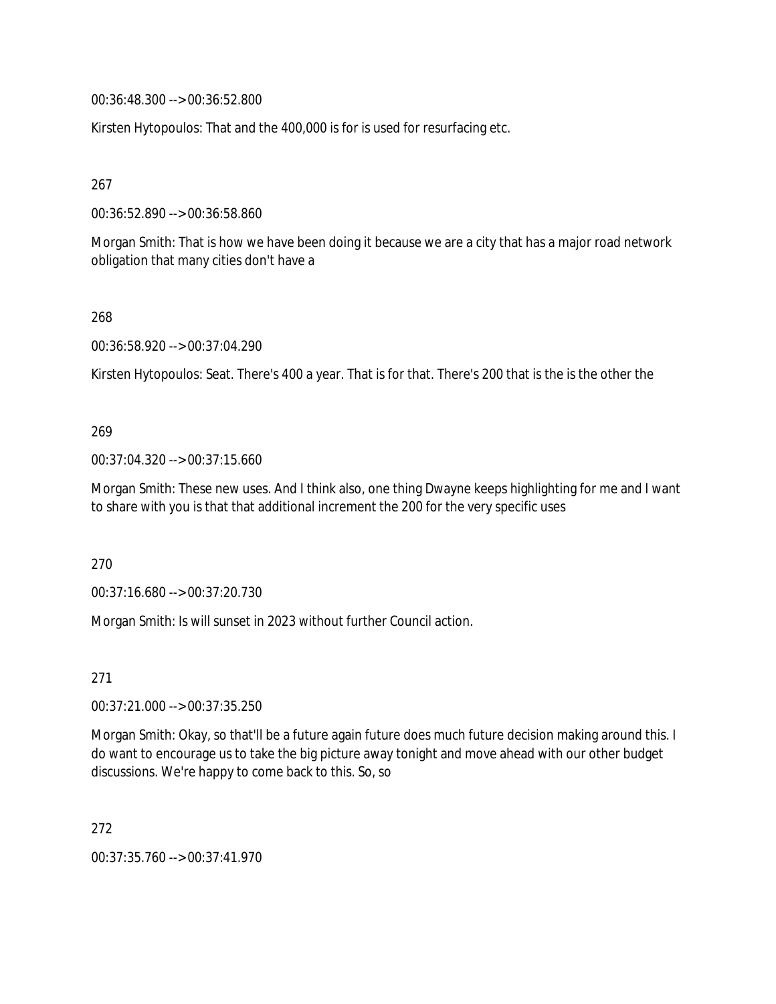00:36:48.300 --> 00:36:52.800

Kirsten Hytopoulos: That and the 400,000 is for is used for resurfacing etc.

267

00:36:52.890 --> 00:36:58.860

Morgan Smith: That is how we have been doing it because we are a city that has a major road network obligation that many cities don't have a

268

00:36:58.920 --> 00:37:04.290

Kirsten Hytopoulos: Seat. There's 400 a year. That is for that. There's 200 that is the is the other the

#### 269

00:37:04.320 --> 00:37:15.660

Morgan Smith: These new uses. And I think also, one thing Dwayne keeps highlighting for me and I want to share with you is that that additional increment the 200 for the very specific uses

270

00:37:16.680 --> 00:37:20.730

Morgan Smith: Is will sunset in 2023 without further Council action.

271

00:37:21.000 --> 00:37:35.250

Morgan Smith: Okay, so that'll be a future again future does much future decision making around this. I do want to encourage us to take the big picture away tonight and move ahead with our other budget discussions. We're happy to come back to this. So, so

272

00:37:35.760 --> 00:37:41.970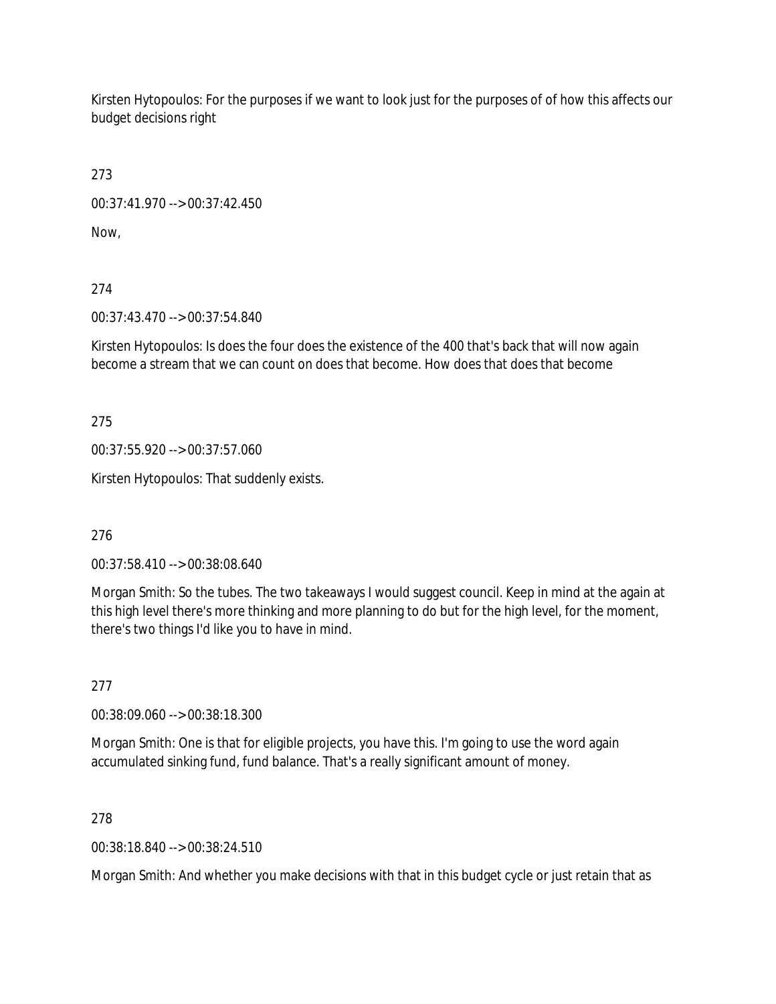Kirsten Hytopoulos: For the purposes if we want to look just for the purposes of of how this affects our budget decisions right

273

00:37:41.970 --> 00:37:42.450

Now,

274

00:37:43.470 --> 00:37:54.840

Kirsten Hytopoulos: Is does the four does the existence of the 400 that's back that will now again become a stream that we can count on does that become. How does that does that become

275

00:37:55.920 --> 00:37:57.060

Kirsten Hytopoulos: That suddenly exists.

276

00:37:58.410 --> 00:38:08.640

Morgan Smith: So the tubes. The two takeaways I would suggest council. Keep in mind at the again at this high level there's more thinking and more planning to do but for the high level, for the moment, there's two things I'd like you to have in mind.

277

00:38:09.060 --> 00:38:18.300

Morgan Smith: One is that for eligible projects, you have this. I'm going to use the word again accumulated sinking fund, fund balance. That's a really significant amount of money.

278

00:38:18.840 --> 00:38:24.510

Morgan Smith: And whether you make decisions with that in this budget cycle or just retain that as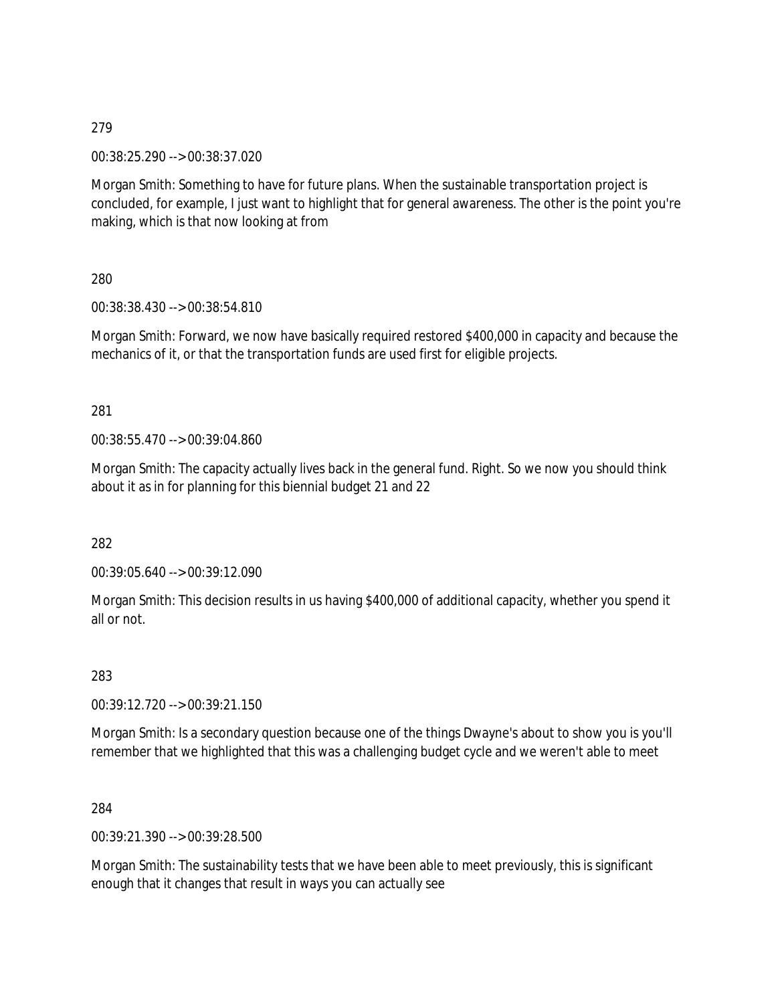00:38:25.290 --> 00:38:37.020

Morgan Smith: Something to have for future plans. When the sustainable transportation project is concluded, for example, I just want to highlight that for general awareness. The other is the point you're making, which is that now looking at from

280

00:38:38.430 --> 00:38:54.810

Morgan Smith: Forward, we now have basically required restored \$400,000 in capacity and because the mechanics of it, or that the transportation funds are used first for eligible projects.

281

00:38:55.470 --> 00:39:04.860

Morgan Smith: The capacity actually lives back in the general fund. Right. So we now you should think about it as in for planning for this biennial budget 21 and 22

282

00:39:05.640 --> 00:39:12.090

Morgan Smith: This decision results in us having \$400,000 of additional capacity, whether you spend it all or not.

283

00:39:12.720 --> 00:39:21.150

Morgan Smith: Is a secondary question because one of the things Dwayne's about to show you is you'll remember that we highlighted that this was a challenging budget cycle and we weren't able to meet

284

00:39:21.390 --> 00:39:28.500

Morgan Smith: The sustainability tests that we have been able to meet previously, this is significant enough that it changes that result in ways you can actually see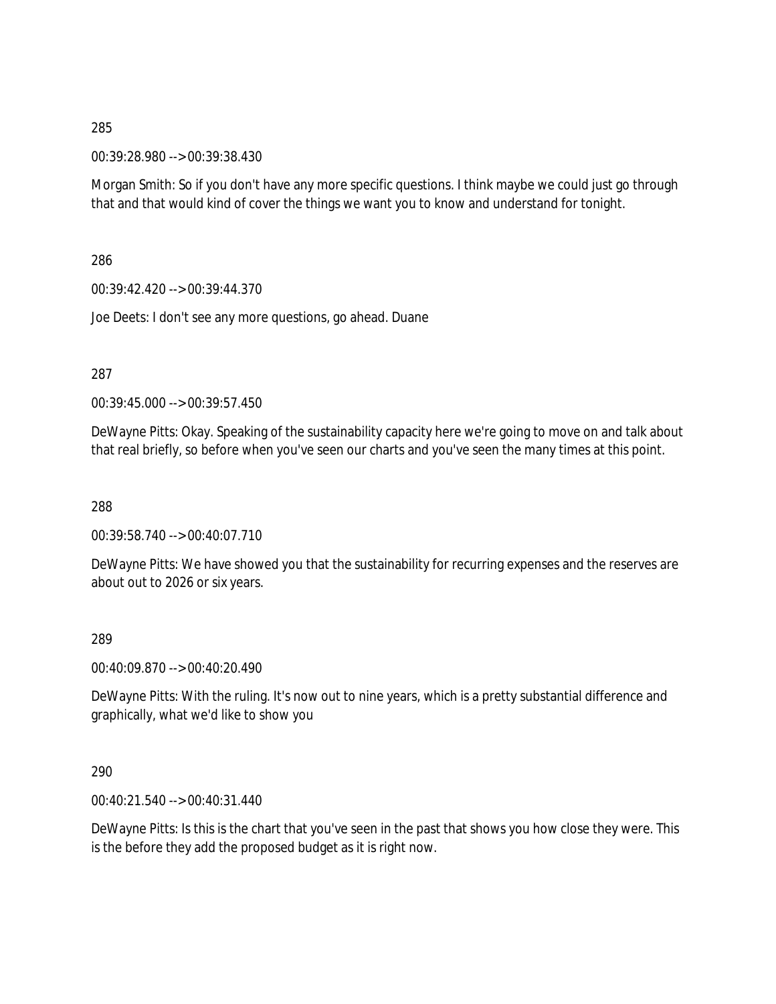00:39:28.980 --> 00:39:38.430

Morgan Smith: So if you don't have any more specific questions. I think maybe we could just go through that and that would kind of cover the things we want you to know and understand for tonight.

286

00:39:42.420 --> 00:39:44.370

Joe Deets: I don't see any more questions, go ahead. Duane

287

00:39:45.000 --> 00:39:57.450

DeWayne Pitts: Okay. Speaking of the sustainability capacity here we're going to move on and talk about that real briefly, so before when you've seen our charts and you've seen the many times at this point.

288

00:39:58.740 --> 00:40:07.710

DeWayne Pitts: We have showed you that the sustainability for recurring expenses and the reserves are about out to 2026 or six years.

289

00:40:09.870 --> 00:40:20.490

DeWayne Pitts: With the ruling. It's now out to nine years, which is a pretty substantial difference and graphically, what we'd like to show you

290

00:40:21.540 --> 00:40:31.440

DeWayne Pitts: Is this is the chart that you've seen in the past that shows you how close they were. This is the before they add the proposed budget as it is right now.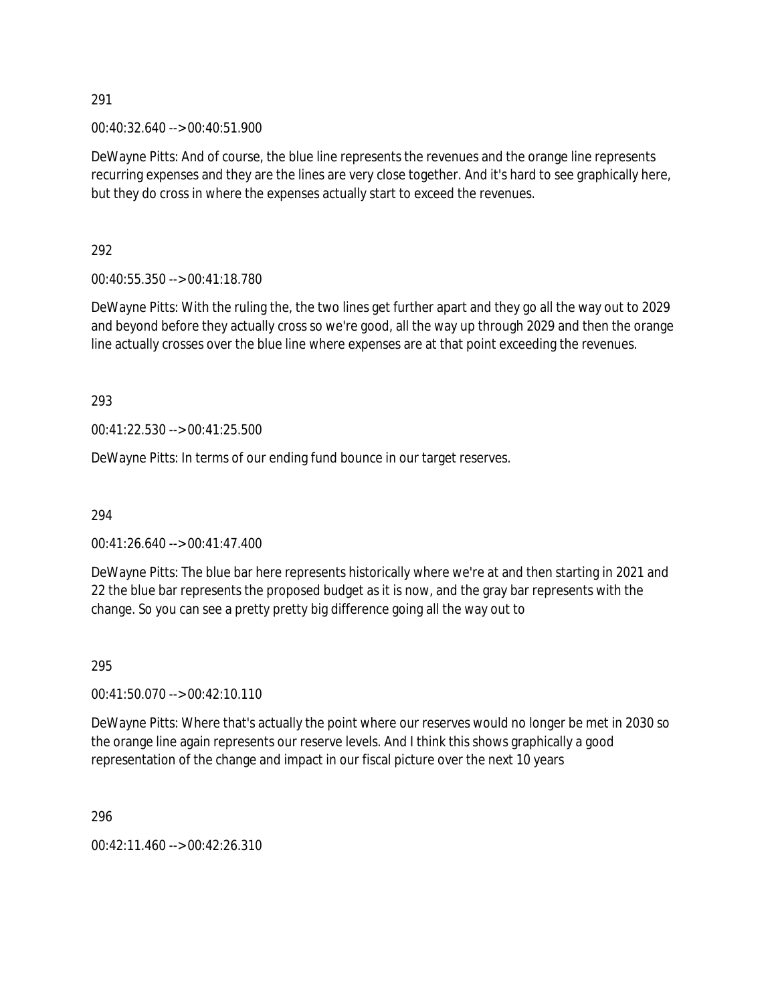00:40:32.640 --> 00:40:51.900

DeWayne Pitts: And of course, the blue line represents the revenues and the orange line represents recurring expenses and they are the lines are very close together. And it's hard to see graphically here, but they do cross in where the expenses actually start to exceed the revenues.

292

00:40:55.350 --> 00:41:18.780

DeWayne Pitts: With the ruling the, the two lines get further apart and they go all the way out to 2029 and beyond before they actually cross so we're good, all the way up through 2029 and then the orange line actually crosses over the blue line where expenses are at that point exceeding the revenues.

293

00:41:22.530 --> 00:41:25.500

DeWayne Pitts: In terms of our ending fund bounce in our target reserves.

294

00:41:26.640 --> 00:41:47.400

DeWayne Pitts: The blue bar here represents historically where we're at and then starting in 2021 and 22 the blue bar represents the proposed budget as it is now, and the gray bar represents with the change. So you can see a pretty pretty big difference going all the way out to

295

00:41:50.070 --> 00:42:10.110

DeWayne Pitts: Where that's actually the point where our reserves would no longer be met in 2030 so the orange line again represents our reserve levels. And I think this shows graphically a good representation of the change and impact in our fiscal picture over the next 10 years

296

00:42:11.460 --> 00:42:26.310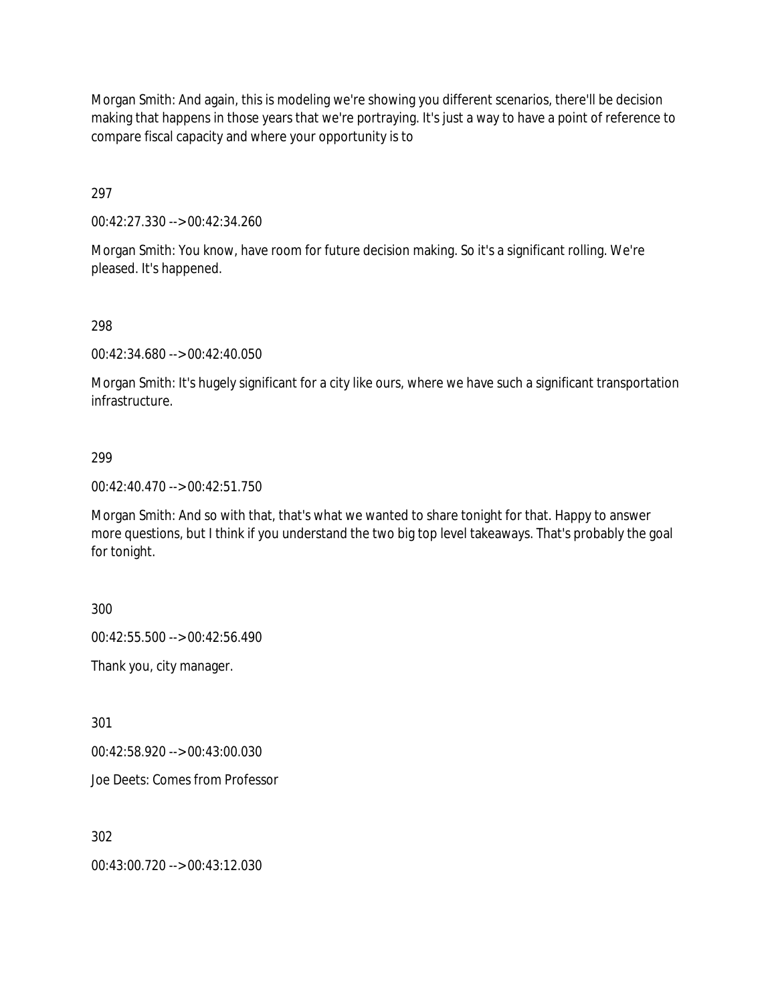Morgan Smith: And again, this is modeling we're showing you different scenarios, there'll be decision making that happens in those years that we're portraying. It's just a way to have a point of reference to compare fiscal capacity and where your opportunity is to

297

00:42:27.330 --> 00:42:34.260

Morgan Smith: You know, have room for future decision making. So it's a significant rolling. We're pleased. It's happened.

#### 298

00:42:34.680 --> 00:42:40.050

Morgan Smith: It's hugely significant for a city like ours, where we have such a significant transportation infrastructure.

#### 299

00:42:40.470 --> 00:42:51.750

Morgan Smith: And so with that, that's what we wanted to share tonight for that. Happy to answer more questions, but I think if you understand the two big top level takeaways. That's probably the goal for tonight.

300

00:42:55.500 --> 00:42:56.490

Thank you, city manager.

301

00:42:58.920 --> 00:43:00.030

Joe Deets: Comes from Professor

302

00:43:00.720 --> 00:43:12.030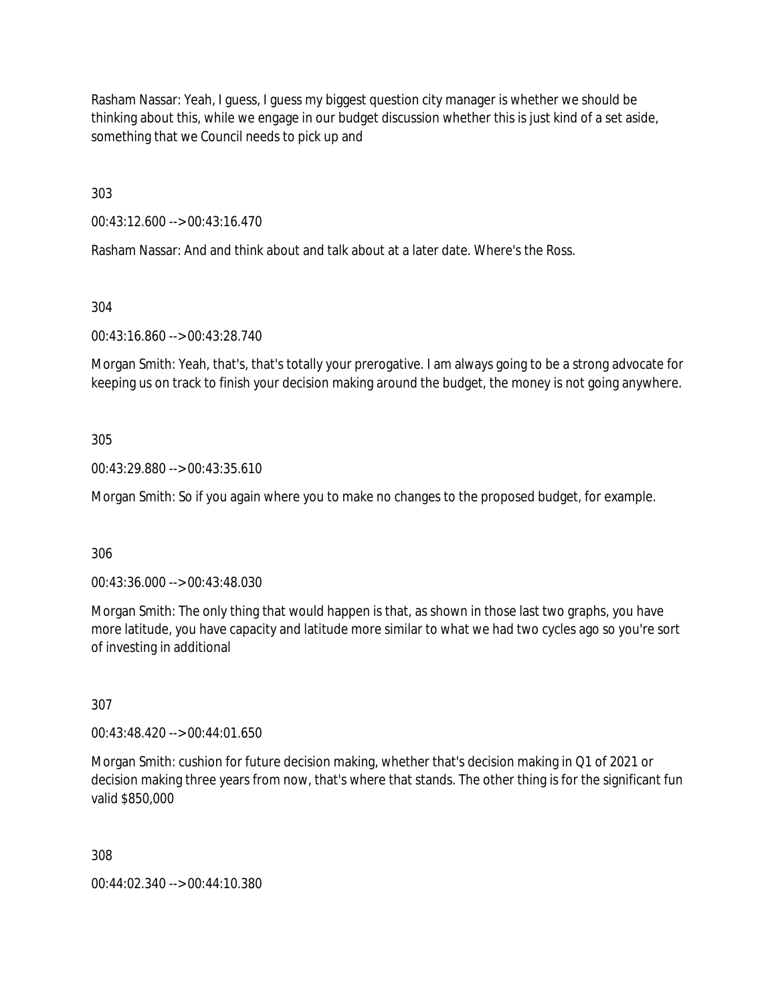Rasham Nassar: Yeah, I guess, I guess my biggest question city manager is whether we should be thinking about this, while we engage in our budget discussion whether this is just kind of a set aside, something that we Council needs to pick up and

303

00:43:12.600 --> 00:43:16.470

Rasham Nassar: And and think about and talk about at a later date. Where's the Ross.

304

00:43:16.860 --> 00:43:28.740

Morgan Smith: Yeah, that's, that's totally your prerogative. I am always going to be a strong advocate for keeping us on track to finish your decision making around the budget, the money is not going anywhere.

305

00:43:29.880 --> 00:43:35.610

Morgan Smith: So if you again where you to make no changes to the proposed budget, for example.

306

00:43:36.000 --> 00:43:48.030

Morgan Smith: The only thing that would happen is that, as shown in those last two graphs, you have more latitude, you have capacity and latitude more similar to what we had two cycles ago so you're sort of investing in additional

307

00:43:48.420 --> 00:44:01.650

Morgan Smith: cushion for future decision making, whether that's decision making in Q1 of 2021 or decision making three years from now, that's where that stands. The other thing is for the significant fun valid \$850,000

308

00:44:02.340 --> 00:44:10.380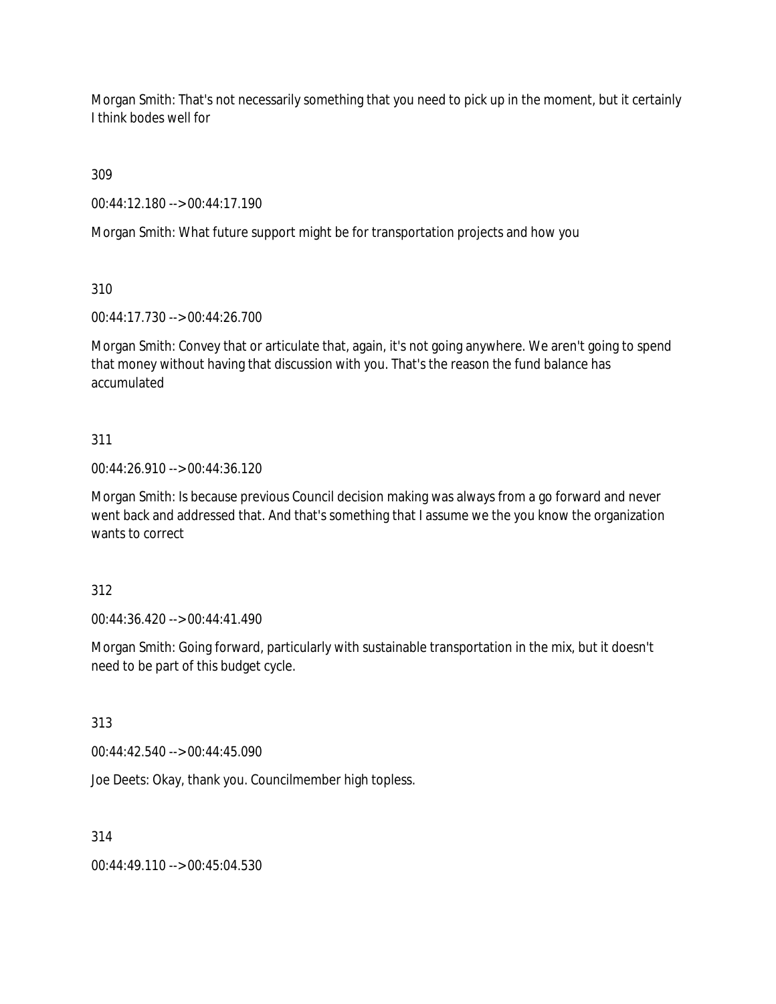Morgan Smith: That's not necessarily something that you need to pick up in the moment, but it certainly I think bodes well for

309

00:44:12.180 --> 00:44:17.190

Morgan Smith: What future support might be for transportation projects and how you

310

00:44:17.730 --> 00:44:26.700

Morgan Smith: Convey that or articulate that, again, it's not going anywhere. We aren't going to spend that money without having that discussion with you. That's the reason the fund balance has accumulated

# 311

00:44:26.910 --> 00:44:36.120

Morgan Smith: Is because previous Council decision making was always from a go forward and never went back and addressed that. And that's something that I assume we the you know the organization wants to correct

# 312

00:44:36.420 --> 00:44:41.490

Morgan Smith: Going forward, particularly with sustainable transportation in the mix, but it doesn't need to be part of this budget cycle.

313

00:44:42.540 --> 00:44:45.090

Joe Deets: Okay, thank you. Councilmember high topless.

314

00:44:49.110 --> 00:45:04.530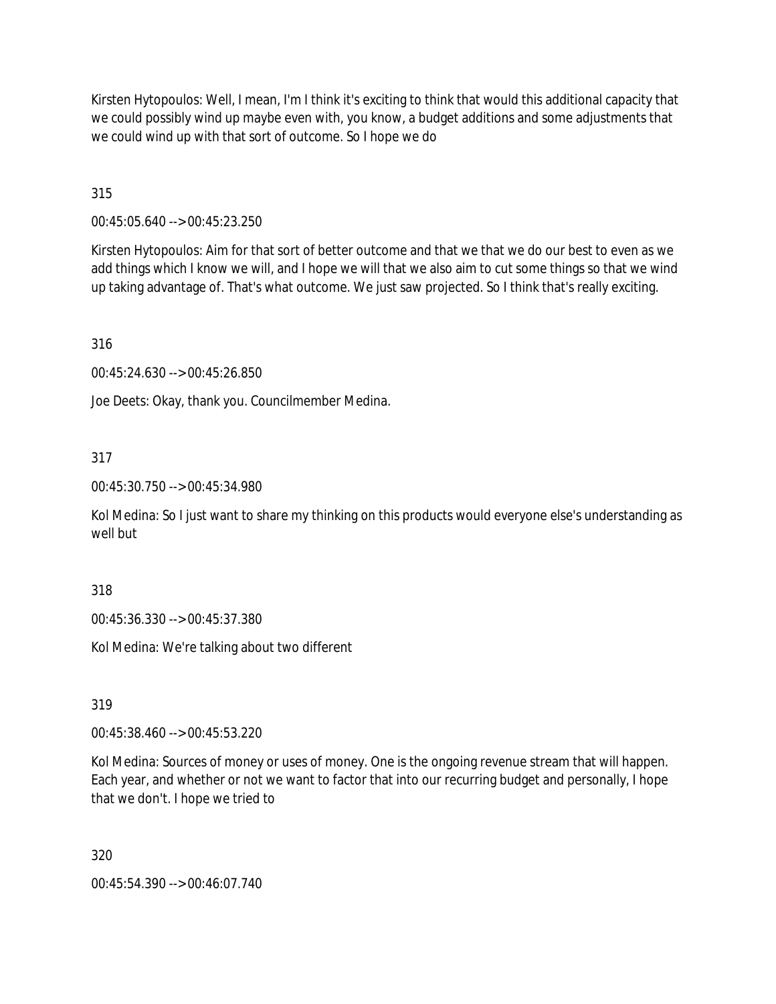Kirsten Hytopoulos: Well, I mean, I'm I think it's exciting to think that would this additional capacity that we could possibly wind up maybe even with, you know, a budget additions and some adjustments that we could wind up with that sort of outcome. So I hope we do

315

00:45:05.640 --> 00:45:23.250

Kirsten Hytopoulos: Aim for that sort of better outcome and that we that we do our best to even as we add things which I know we will, and I hope we will that we also aim to cut some things so that we wind up taking advantage of. That's what outcome. We just saw projected. So I think that's really exciting.

316

00:45:24.630 --> 00:45:26.850

Joe Deets: Okay, thank you. Councilmember Medina.

#### 317

00:45:30.750 --> 00:45:34.980

Kol Medina: So I just want to share my thinking on this products would everyone else's understanding as well but

318

00:45:36.330 --> 00:45:37.380

Kol Medina: We're talking about two different

319

00:45:38.460 --> 00:45:53.220

Kol Medina: Sources of money or uses of money. One is the ongoing revenue stream that will happen. Each year, and whether or not we want to factor that into our recurring budget and personally, I hope that we don't. I hope we tried to

320

00:45:54.390 --> 00:46:07.740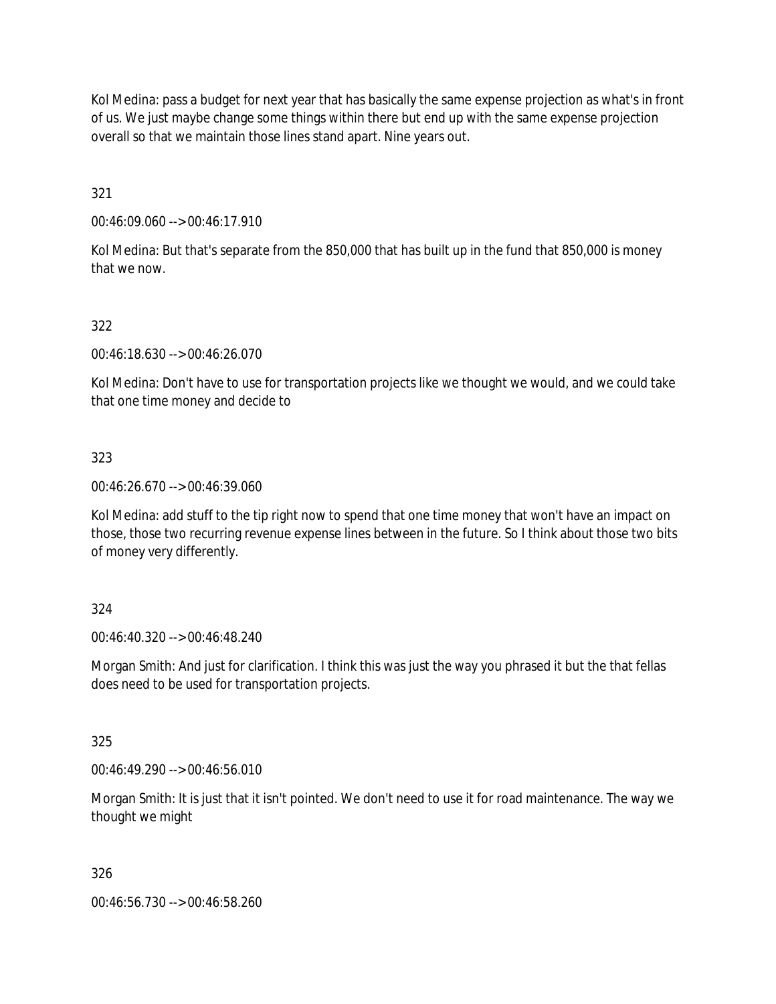Kol Medina: pass a budget for next year that has basically the same expense projection as what's in front of us. We just maybe change some things within there but end up with the same expense projection overall so that we maintain those lines stand apart. Nine years out.

321

00:46:09.060 --> 00:46:17.910

Kol Medina: But that's separate from the 850,000 that has built up in the fund that 850,000 is money that we now.

## 322

00:46:18.630 --> 00:46:26.070

Kol Medina: Don't have to use for transportation projects like we thought we would, and we could take that one time money and decide to

#### 323

00:46:26.670 --> 00:46:39.060

Kol Medina: add stuff to the tip right now to spend that one time money that won't have an impact on those, those two recurring revenue expense lines between in the future. So I think about those two bits of money very differently.

#### 324

00:46:40.320 --> 00:46:48.240

Morgan Smith: And just for clarification. I think this was just the way you phrased it but the that fellas does need to be used for transportation projects.

#### 325

00:46:49.290 --> 00:46:56.010

Morgan Smith: It is just that it isn't pointed. We don't need to use it for road maintenance. The way we thought we might

#### 326

00:46:56.730 --> 00:46:58.260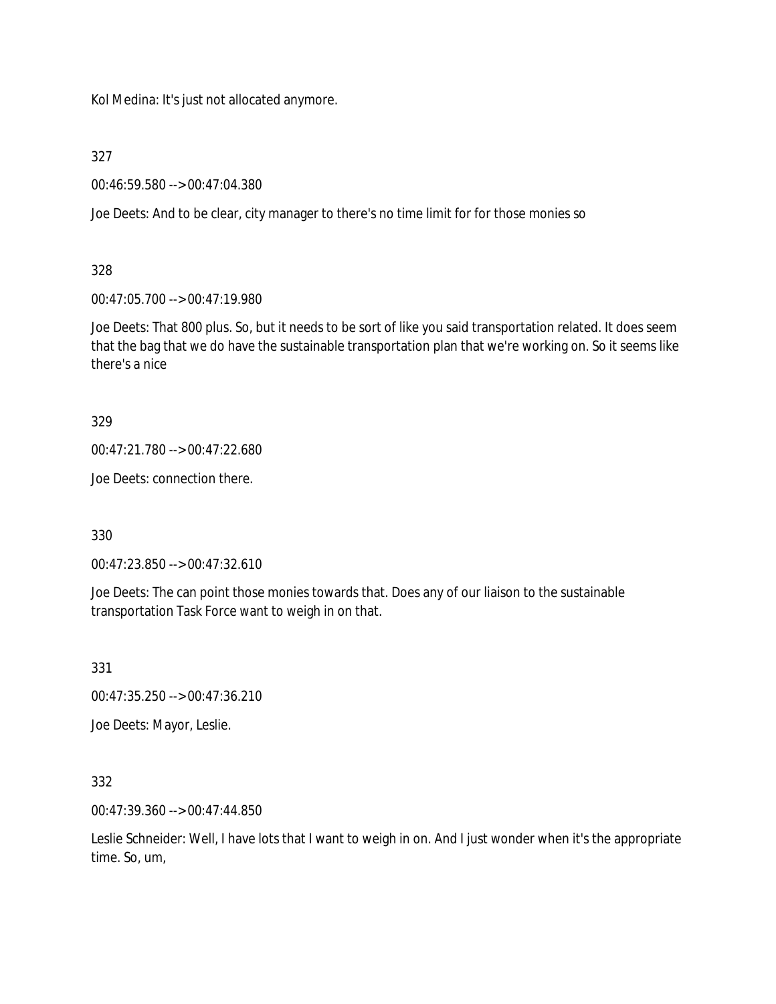Kol Medina: It's just not allocated anymore.

327

00:46:59.580 --> 00:47:04.380

Joe Deets: And to be clear, city manager to there's no time limit for for those monies so

## 328

00:47:05.700 --> 00:47:19.980

Joe Deets: That 800 plus. So, but it needs to be sort of like you said transportation related. It does seem that the bag that we do have the sustainable transportation plan that we're working on. So it seems like there's a nice

## 329

```
00:47:21.780 --> 00:47:22.680
```
Joe Deets: connection there.

330

00:47:23.850 --> 00:47:32.610

Joe Deets: The can point those monies towards that. Does any of our liaison to the sustainable transportation Task Force want to weigh in on that.

331

00:47:35.250 --> 00:47:36.210

Joe Deets: Mayor, Leslie.

332

00:47:39.360 --> 00:47:44.850

Leslie Schneider: Well, I have lots that I want to weigh in on. And I just wonder when it's the appropriate time. So, um,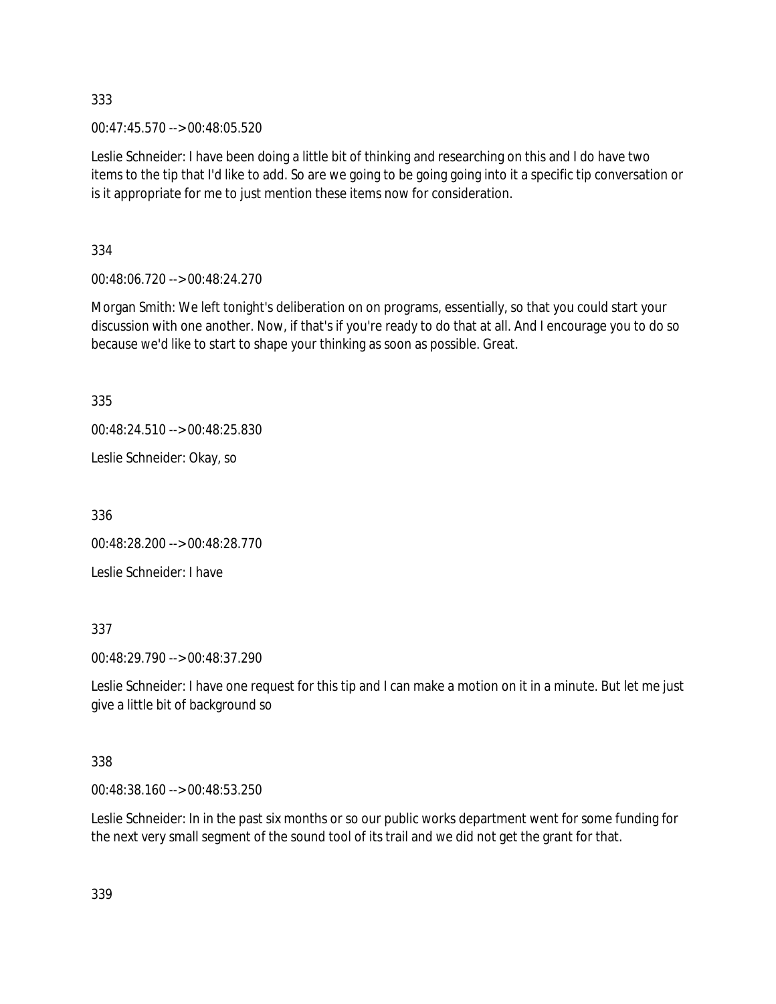00:47:45.570 --> 00:48:05.520

Leslie Schneider: I have been doing a little bit of thinking and researching on this and I do have two items to the tip that I'd like to add. So are we going to be going going into it a specific tip conversation or is it appropriate for me to just mention these items now for consideration.

334

00:48:06.720 --> 00:48:24.270

Morgan Smith: We left tonight's deliberation on on programs, essentially, so that you could start your discussion with one another. Now, if that's if you're ready to do that at all. And I encourage you to do so because we'd like to start to shape your thinking as soon as possible. Great.

335

00:48:24.510 --> 00:48:25.830

Leslie Schneider: Okay, so

336

00:48:28.200 --> 00:48:28.770

Leslie Schneider: I have

337

00:48:29.790 --> 00:48:37.290

Leslie Schneider: I have one request for this tip and I can make a motion on it in a minute. But let me just give a little bit of background so

338

00:48:38.160 --> 00:48:53.250

Leslie Schneider: In in the past six months or so our public works department went for some funding for the next very small segment of the sound tool of its trail and we did not get the grant for that.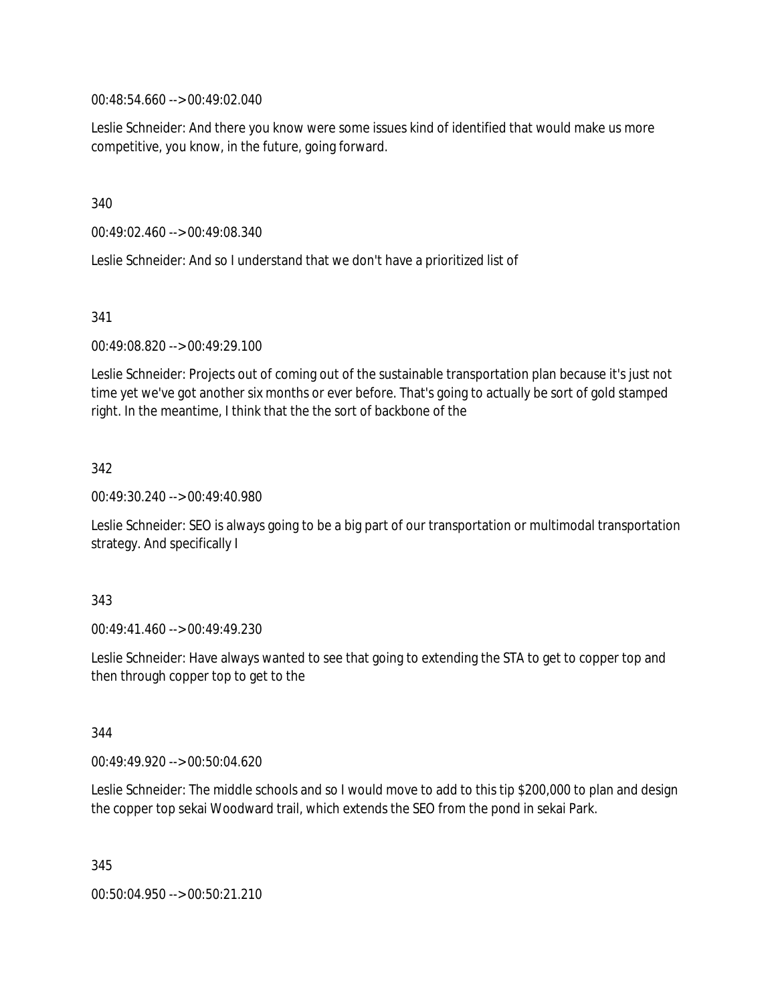00:48:54.660 --> 00:49:02.040

Leslie Schneider: And there you know were some issues kind of identified that would make us more competitive, you know, in the future, going forward.

340

00:49:02.460 --> 00:49:08.340

Leslie Schneider: And so I understand that we don't have a prioritized list of

341

00:49:08.820 --> 00:49:29.100

Leslie Schneider: Projects out of coming out of the sustainable transportation plan because it's just not time yet we've got another six months or ever before. That's going to actually be sort of gold stamped right. In the meantime, I think that the the sort of backbone of the

342

00:49:30.240 --> 00:49:40.980

Leslie Schneider: SEO is always going to be a big part of our transportation or multimodal transportation strategy. And specifically I

343

00:49:41.460 --> 00:49:49.230

Leslie Schneider: Have always wanted to see that going to extending the STA to get to copper top and then through copper top to get to the

344

00:49:49.920 --> 00:50:04.620

Leslie Schneider: The middle schools and so I would move to add to this tip \$200,000 to plan and design the copper top sekai Woodward trail, which extends the SEO from the pond in sekai Park.

345 00:50:04.950 --> 00:50:21.210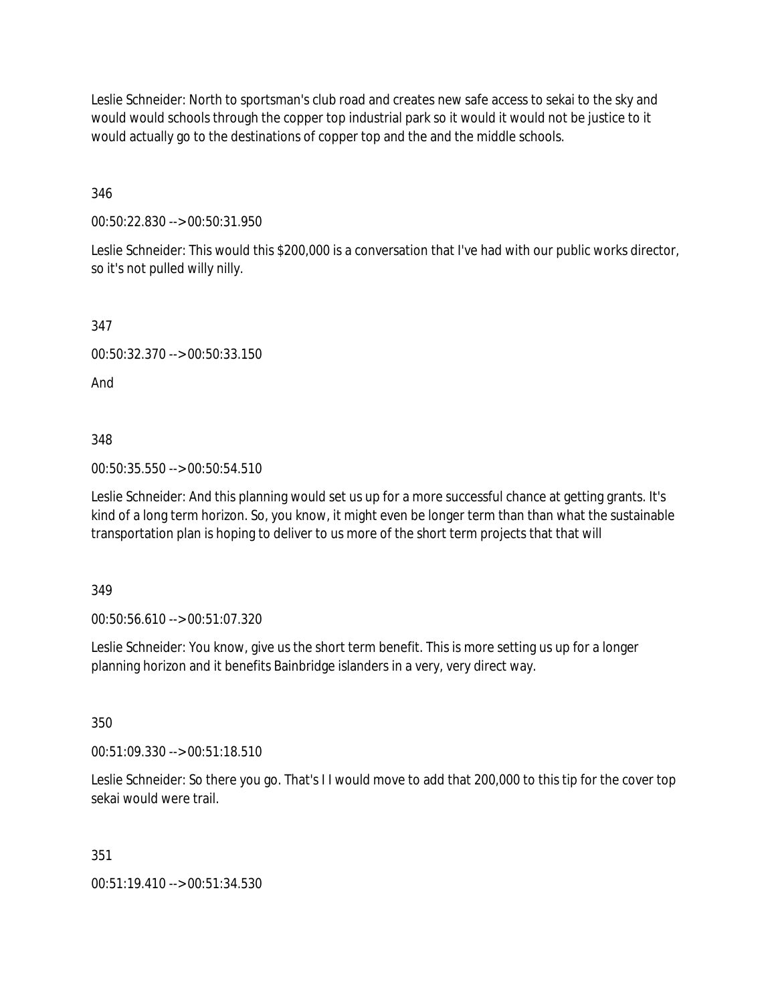Leslie Schneider: North to sportsman's club road and creates new safe access to sekai to the sky and would would schools through the copper top industrial park so it would it would not be justice to it would actually go to the destinations of copper top and the and the middle schools.

346

00:50:22.830 --> 00:50:31.950

Leslie Schneider: This would this \$200,000 is a conversation that I've had with our public works director, so it's not pulled willy nilly.

347

00:50:32.370 --> 00:50:33.150

And

348

00:50:35.550 --> 00:50:54.510

Leslie Schneider: And this planning would set us up for a more successful chance at getting grants. It's kind of a long term horizon. So, you know, it might even be longer term than than what the sustainable transportation plan is hoping to deliver to us more of the short term projects that that will

349

00:50:56.610 --> 00:51:07.320

Leslie Schneider: You know, give us the short term benefit. This is more setting us up for a longer planning horizon and it benefits Bainbridge islanders in a very, very direct way.

350

00:51:09.330 --> 00:51:18.510

Leslie Schneider: So there you go. That's I I would move to add that 200,000 to this tip for the cover top sekai would were trail.

351

00:51:19.410 --> 00:51:34.530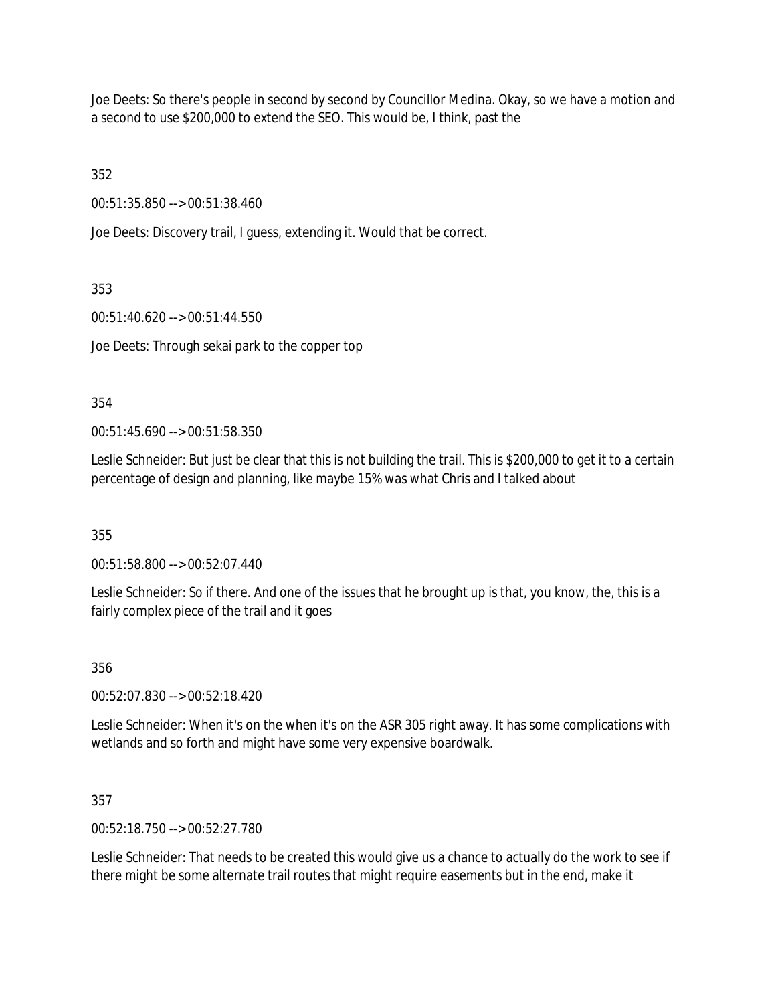Joe Deets: So there's people in second by second by Councillor Medina. Okay, so we have a motion and a second to use \$200,000 to extend the SEO. This would be, I think, past the

352

00:51:35.850 --> 00:51:38.460

Joe Deets: Discovery trail, I guess, extending it. Would that be correct.

353

00:51:40.620 --> 00:51:44.550

Joe Deets: Through sekai park to the copper top

354

00:51:45.690 --> 00:51:58.350

Leslie Schneider: But just be clear that this is not building the trail. This is \$200,000 to get it to a certain percentage of design and planning, like maybe 15% was what Chris and I talked about

355

00:51:58.800 --> 00:52:07.440

Leslie Schneider: So if there. And one of the issues that he brought up is that, you know, the, this is a fairly complex piece of the trail and it goes

356

00:52:07.830 --> 00:52:18.420

Leslie Schneider: When it's on the when it's on the ASR 305 right away. It has some complications with wetlands and so forth and might have some very expensive boardwalk.

357

00:52:18.750 --> 00:52:27.780

Leslie Schneider: That needs to be created this would give us a chance to actually do the work to see if there might be some alternate trail routes that might require easements but in the end, make it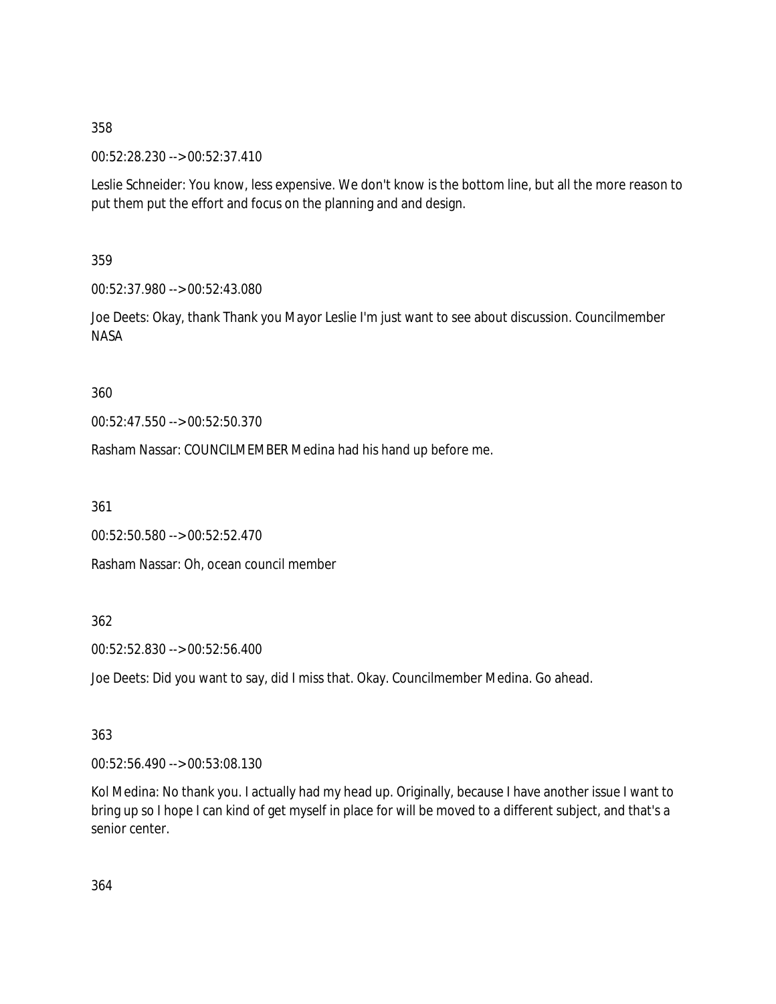00:52:28.230 --> 00:52:37.410

Leslie Schneider: You know, less expensive. We don't know is the bottom line, but all the more reason to put them put the effort and focus on the planning and and design.

359

00:52:37.980 --> 00:52:43.080

Joe Deets: Okay, thank Thank you Mayor Leslie I'm just want to see about discussion. Councilmember NASA

360

00:52:47.550 --> 00:52:50.370

Rasham Nassar: COUNCILMEMBER Medina had his hand up before me.

361

00:52:50.580 --> 00:52:52.470

Rasham Nassar: Oh, ocean council member

362

00:52:52.830 --> 00:52:56.400

Joe Deets: Did you want to say, did I miss that. Okay. Councilmember Medina. Go ahead.

363

00:52:56.490 --> 00:53:08.130

Kol Medina: No thank you. I actually had my head up. Originally, because I have another issue I want to bring up so I hope I can kind of get myself in place for will be moved to a different subject, and that's a senior center.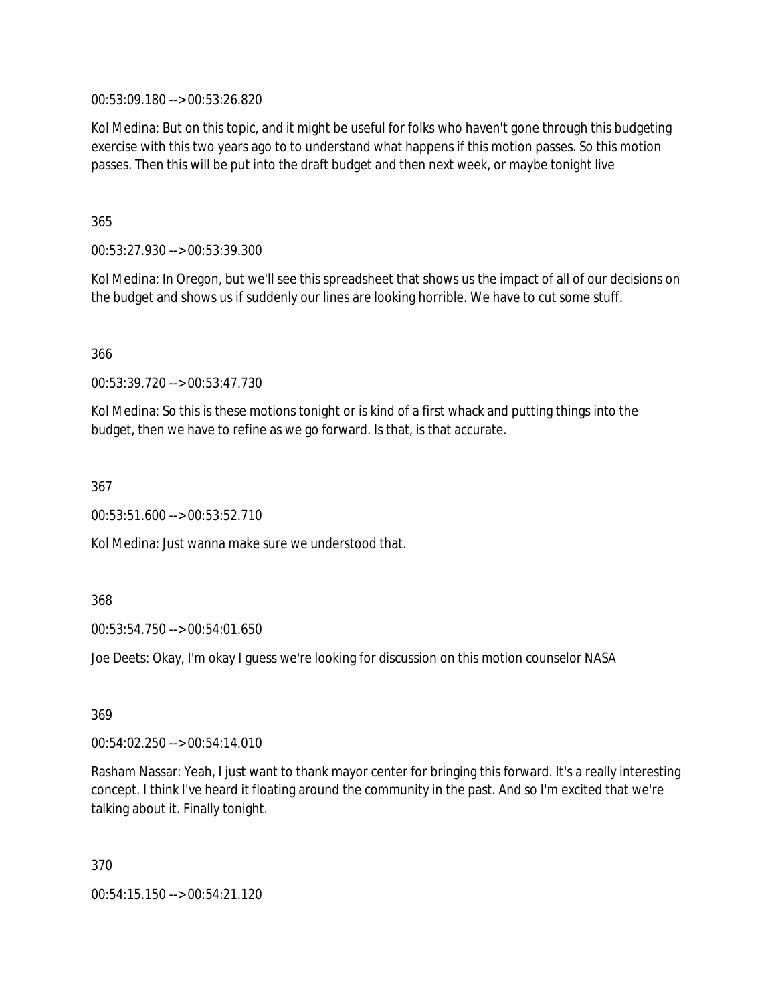00:53:09.180 --> 00:53:26.820

Kol Medina: But on this topic, and it might be useful for folks who haven't gone through this budgeting exercise with this two years ago to to understand what happens if this motion passes. So this motion passes. Then this will be put into the draft budget and then next week, or maybe tonight live

365

00:53:27.930 --> 00:53:39.300

Kol Medina: In Oregon, but we'll see this spreadsheet that shows us the impact of all of our decisions on the budget and shows us if suddenly our lines are looking horrible. We have to cut some stuff.

366

00:53:39.720 --> 00:53:47.730

Kol Medina: So this is these motions tonight or is kind of a first whack and putting things into the budget, then we have to refine as we go forward. Is that, is that accurate.

367

00:53:51.600 --> 00:53:52.710

Kol Medina: Just wanna make sure we understood that.

368

00:53:54.750 --> 00:54:01.650

Joe Deets: Okay, I'm okay I guess we're looking for discussion on this motion counselor NASA

369

00:54:02.250 --> 00:54:14.010

Rasham Nassar: Yeah, I just want to thank mayor center for bringing this forward. It's a really interesting concept. I think I've heard it floating around the community in the past. And so I'm excited that we're talking about it. Finally tonight.

370

00:54:15.150 --> 00:54:21.120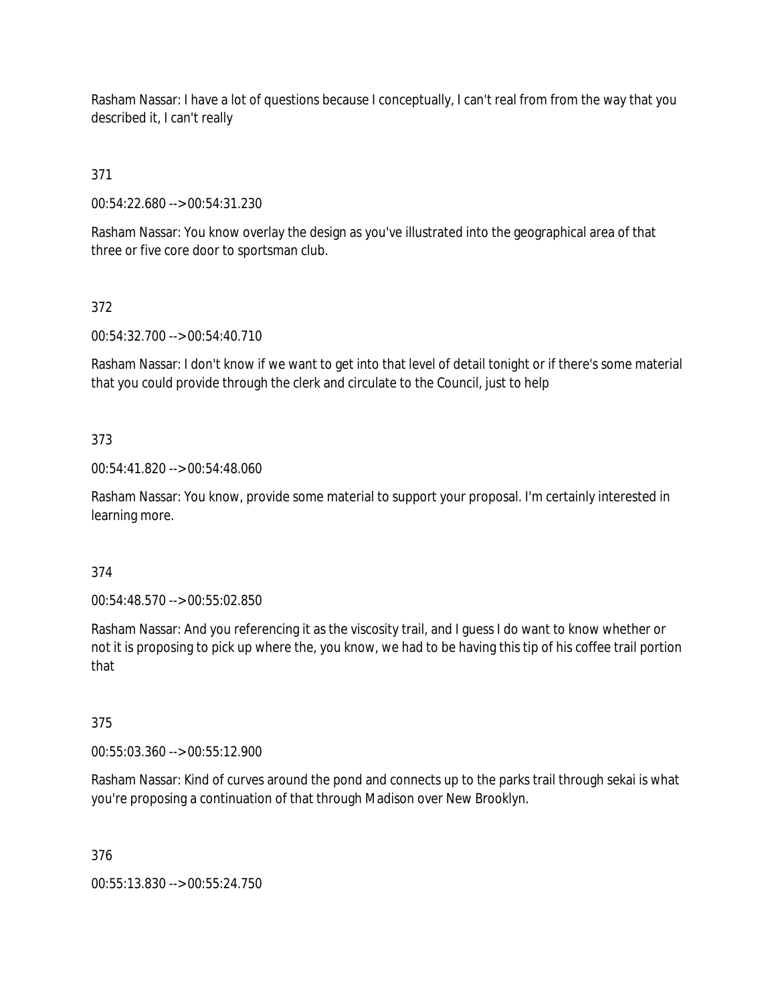Rasham Nassar: I have a lot of questions because I conceptually, I can't real from from the way that you described it, I can't really

# 371

00:54:22.680 --> 00:54:31.230

Rasham Nassar: You know overlay the design as you've illustrated into the geographical area of that three or five core door to sportsman club.

# 372

00:54:32.700 --> 00:54:40.710

Rasham Nassar: I don't know if we want to get into that level of detail tonight or if there's some material that you could provide through the clerk and circulate to the Council, just to help

# 373

00:54:41.820 --> 00:54:48.060

Rasham Nassar: You know, provide some material to support your proposal. I'm certainly interested in learning more.

# 374

00:54:48.570 --> 00:55:02.850

Rasham Nassar: And you referencing it as the viscosity trail, and I guess I do want to know whether or not it is proposing to pick up where the, you know, we had to be having this tip of his coffee trail portion that

# 375

00:55:03.360 --> 00:55:12.900

Rasham Nassar: Kind of curves around the pond and connects up to the parks trail through sekai is what you're proposing a continuation of that through Madison over New Brooklyn.

#### 376

00:55:13.830 --> 00:55:24.750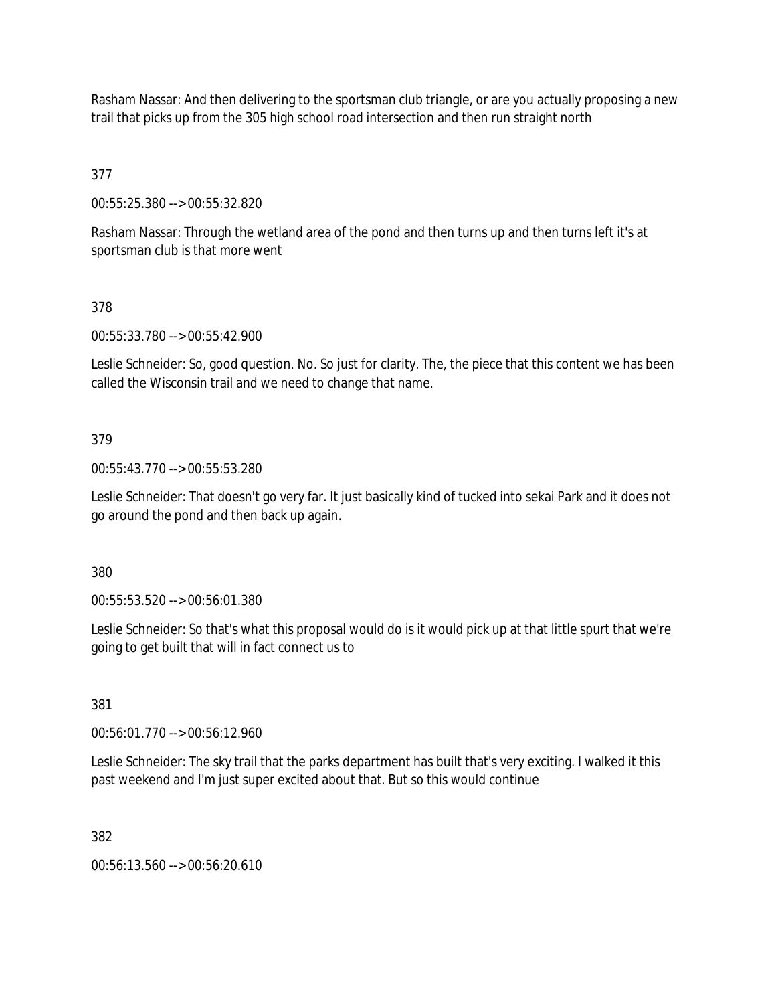Rasham Nassar: And then delivering to the sportsman club triangle, or are you actually proposing a new trail that picks up from the 305 high school road intersection and then run straight north

377

00:55:25.380 --> 00:55:32.820

Rasham Nassar: Through the wetland area of the pond and then turns up and then turns left it's at sportsman club is that more went

378

00:55:33.780 --> 00:55:42.900

Leslie Schneider: So, good question. No. So just for clarity. The, the piece that this content we has been called the Wisconsin trail and we need to change that name.

#### 379

00:55:43.770 --> 00:55:53.280

Leslie Schneider: That doesn't go very far. It just basically kind of tucked into sekai Park and it does not go around the pond and then back up again.

380

00:55:53.520 --> 00:56:01.380

Leslie Schneider: So that's what this proposal would do is it would pick up at that little spurt that we're going to get built that will in fact connect us to

381

00:56:01.770 --> 00:56:12.960

Leslie Schneider: The sky trail that the parks department has built that's very exciting. I walked it this past weekend and I'm just super excited about that. But so this would continue

382

00:56:13.560 --> 00:56:20.610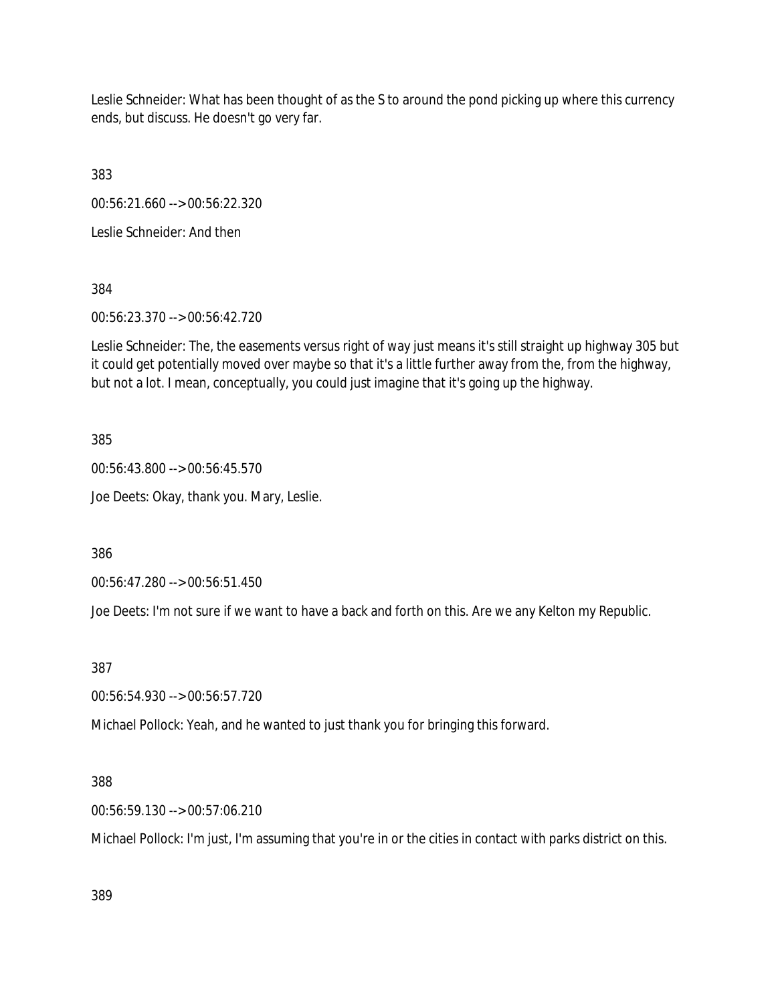Leslie Schneider: What has been thought of as the S to around the pond picking up where this currency ends, but discuss. He doesn't go very far.

383

00:56:21.660 --> 00:56:22.320

Leslie Schneider: And then

384

00:56:23.370 --> 00:56:42.720

Leslie Schneider: The, the easements versus right of way just means it's still straight up highway 305 but it could get potentially moved over maybe so that it's a little further away from the, from the highway, but not a lot. I mean, conceptually, you could just imagine that it's going up the highway.

385

00:56:43.800 --> 00:56:45.570 Joe Deets: Okay, thank you. Mary, Leslie.

386

00:56:47.280 --> 00:56:51.450

Joe Deets: I'm not sure if we want to have a back and forth on this. Are we any Kelton my Republic.

387

00:56:54.930 --> 00:56:57.720

Michael Pollock: Yeah, and he wanted to just thank you for bringing this forward.

388

00:56:59.130 --> 00:57:06.210

Michael Pollock: I'm just, I'm assuming that you're in or the cities in contact with parks district on this.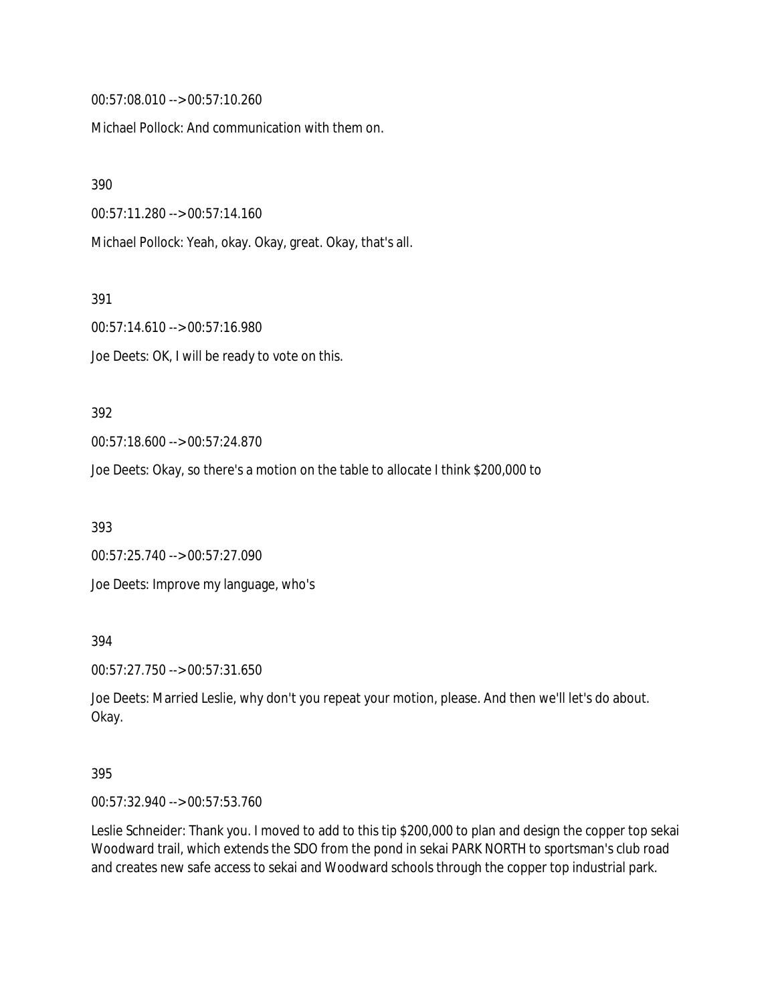00:57:08.010 --> 00:57:10.260

Michael Pollock: And communication with them on.

390

00:57:11.280 --> 00:57:14.160

Michael Pollock: Yeah, okay. Okay, great. Okay, that's all.

391

00:57:14.610 --> 00:57:16.980

Joe Deets: OK, I will be ready to vote on this.

#### 392

00:57:18.600 --> 00:57:24.870

Joe Deets: Okay, so there's a motion on the table to allocate I think \$200,000 to

393

00:57:25.740 --> 00:57:27.090 Joe Deets: Improve my language, who's

394

00:57:27.750 --> 00:57:31.650

Joe Deets: Married Leslie, why don't you repeat your motion, please. And then we'll let's do about. Okay.

#### 395

00:57:32.940 --> 00:57:53.760

Leslie Schneider: Thank you. I moved to add to this tip \$200,000 to plan and design the copper top sekai Woodward trail, which extends the SDO from the pond in sekai PARK NORTH to sportsman's club road and creates new safe access to sekai and Woodward schools through the copper top industrial park.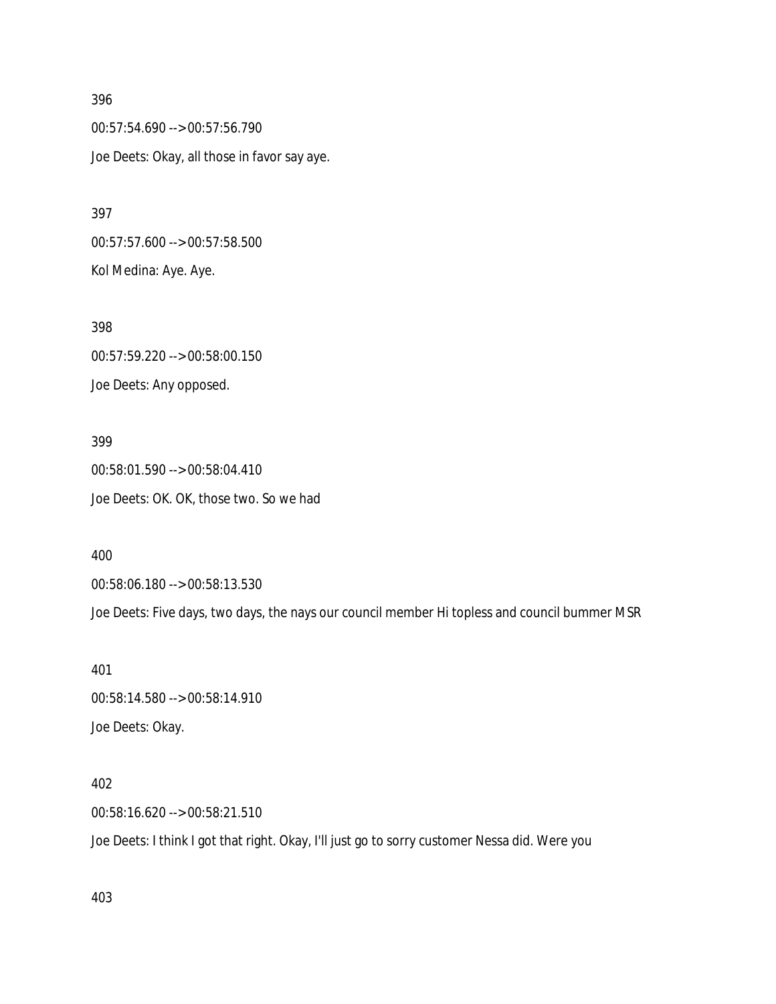396 00:57:54.690 --> 00:57:56.790 Joe Deets: Okay, all those in favor say aye.

00:57:57.600 --> 00:57:58.500 Kol Medina: Aye. Aye.

398 00:57:59.220 --> 00:58:00.150 Joe Deets: Any opposed.

399 00:58:01.590 --> 00:58:04.410 Joe Deets: OK. OK, those two. So we had

400

397

00:58:06.180 --> 00:58:13.530

Joe Deets: Five days, two days, the nays our council member Hi topless and council bummer MSR

401 00:58:14.580 --> 00:58:14.910 Joe Deets: Okay.

402 00:58:16.620 --> 00:58:21.510 Joe Deets: I think I got that right. Okay, I'll just go to sorry customer Nessa did. Were you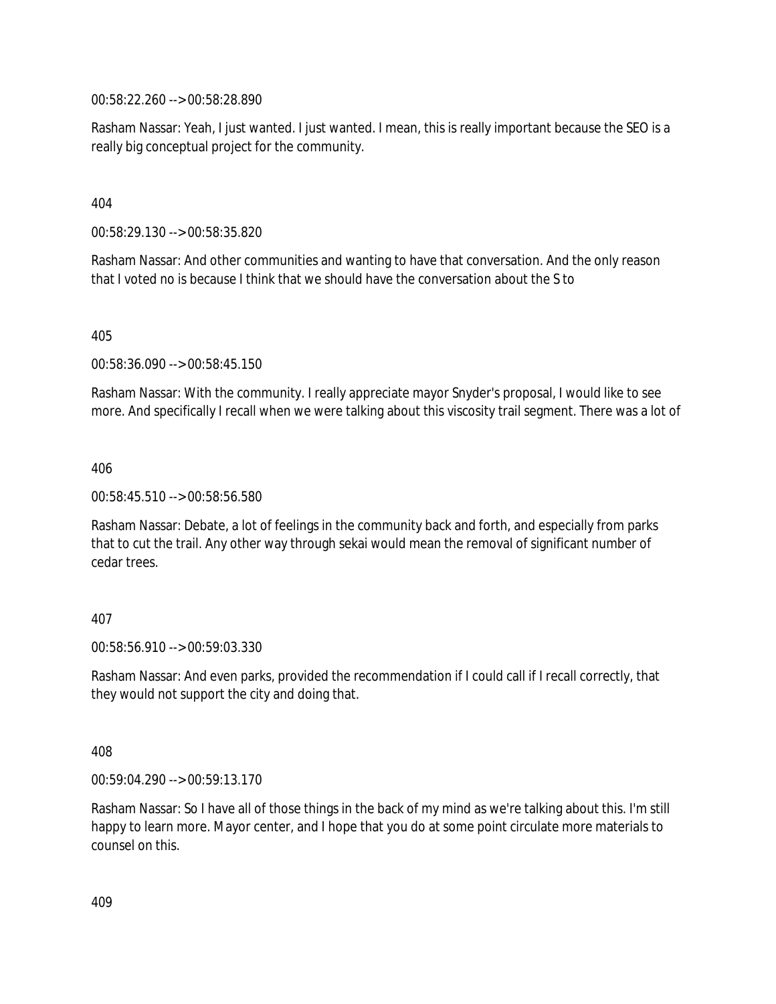00:58:22.260 --> 00:58:28.890

Rasham Nassar: Yeah, I just wanted. I just wanted. I mean, this is really important because the SEO is a really big conceptual project for the community.

404

00:58:29.130 --> 00:58:35.820

Rasham Nassar: And other communities and wanting to have that conversation. And the only reason that I voted no is because I think that we should have the conversation about the S to

405

00:58:36.090 --> 00:58:45.150

Rasham Nassar: With the community. I really appreciate mayor Snyder's proposal, I would like to see more. And specifically I recall when we were talking about this viscosity trail segment. There was a lot of

406

00:58:45.510 --> 00:58:56.580

Rasham Nassar: Debate, a lot of feelings in the community back and forth, and especially from parks that to cut the trail. Any other way through sekai would mean the removal of significant number of cedar trees.

#### 407

00:58:56.910 --> 00:59:03.330

Rasham Nassar: And even parks, provided the recommendation if I could call if I recall correctly, that they would not support the city and doing that.

408

00:59:04.290 --> 00:59:13.170

Rasham Nassar: So I have all of those things in the back of my mind as we're talking about this. I'm still happy to learn more. Mayor center, and I hope that you do at some point circulate more materials to counsel on this.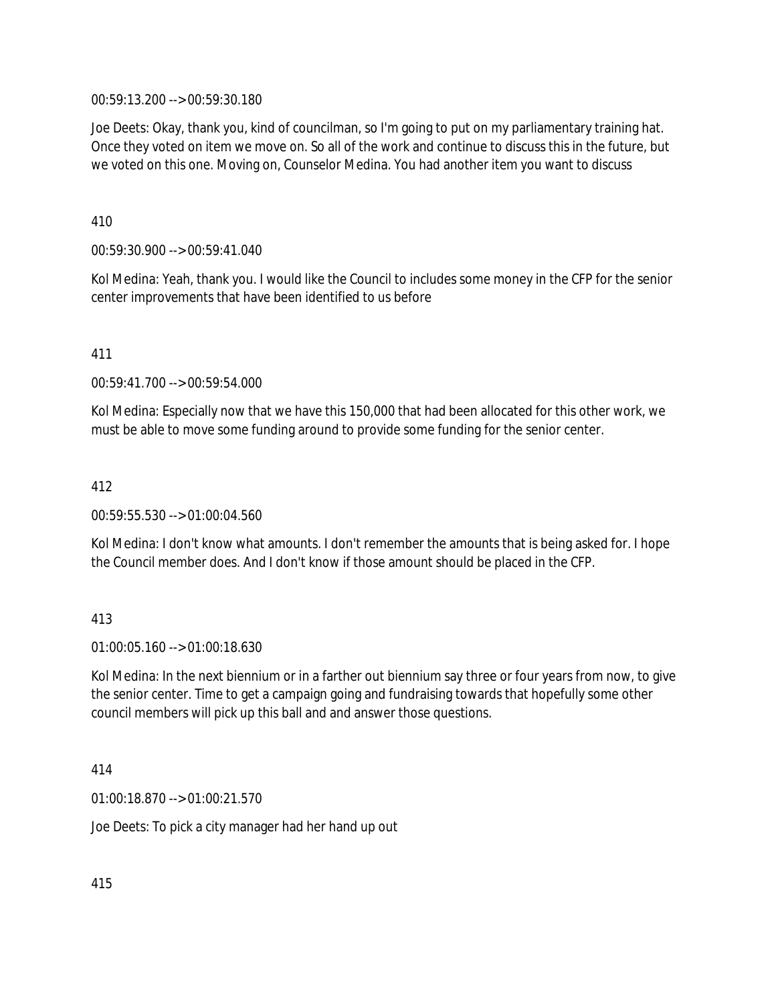00:59:13.200 --> 00:59:30.180

Joe Deets: Okay, thank you, kind of councilman, so I'm going to put on my parliamentary training hat. Once they voted on item we move on. So all of the work and continue to discuss this in the future, but we voted on this one. Moving on, Counselor Medina. You had another item you want to discuss

410

00:59:30.900 --> 00:59:41.040

Kol Medina: Yeah, thank you. I would like the Council to includes some money in the CFP for the senior center improvements that have been identified to us before

411

00:59:41.700 --> 00:59:54.000

Kol Medina: Especially now that we have this 150,000 that had been allocated for this other work, we must be able to move some funding around to provide some funding for the senior center.

412

00:59:55.530 --> 01:00:04.560

Kol Medina: I don't know what amounts. I don't remember the amounts that is being asked for. I hope the Council member does. And I don't know if those amount should be placed in the CFP.

#### 413

01:00:05.160 --> 01:00:18.630

Kol Medina: In the next biennium or in a farther out biennium say three or four years from now, to give the senior center. Time to get a campaign going and fundraising towards that hopefully some other council members will pick up this ball and and answer those questions.

414

01:00:18.870 --> 01:00:21.570

Joe Deets: To pick a city manager had her hand up out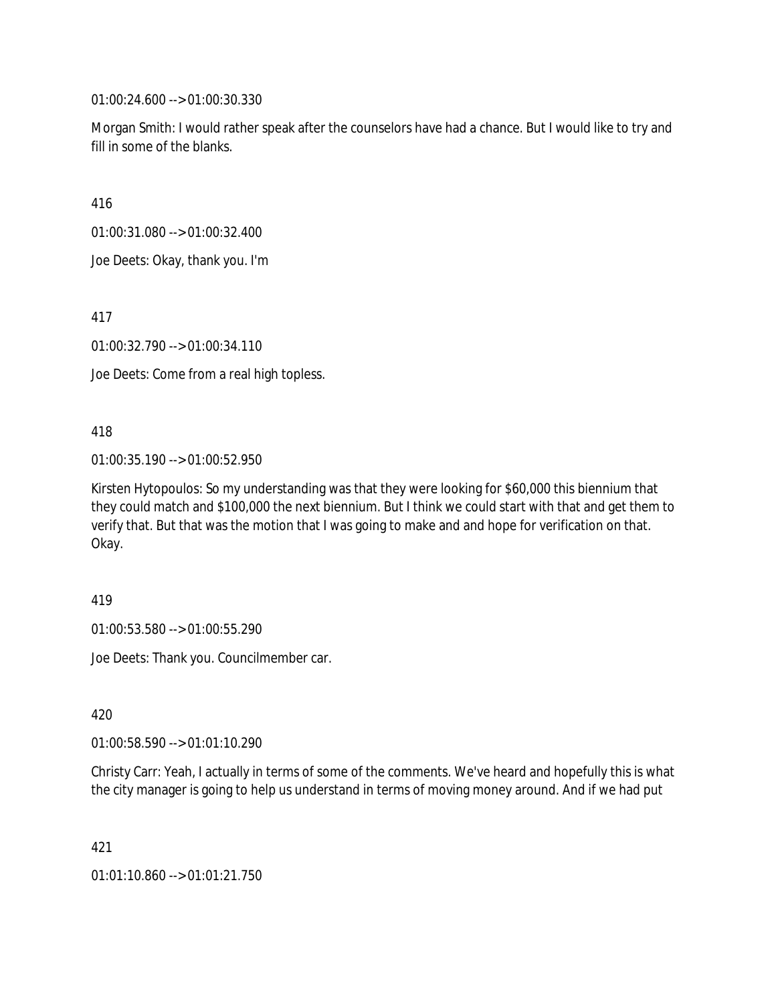01:00:24.600 --> 01:00:30.330

Morgan Smith: I would rather speak after the counselors have had a chance. But I would like to try and fill in some of the blanks.

416

01:00:31.080 --> 01:00:32.400

Joe Deets: Okay, thank you. I'm

417

01:00:32.790 --> 01:00:34.110

Joe Deets: Come from a real high topless.

418

01:00:35.190 --> 01:00:52.950

Kirsten Hytopoulos: So my understanding was that they were looking for \$60,000 this biennium that they could match and \$100,000 the next biennium. But I think we could start with that and get them to verify that. But that was the motion that I was going to make and and hope for verification on that. Okay.

419

01:00:53.580 --> 01:00:55.290

Joe Deets: Thank you. Councilmember car.

420

01:00:58.590 --> 01:01:10.290

Christy Carr: Yeah, I actually in terms of some of the comments. We've heard and hopefully this is what the city manager is going to help us understand in terms of moving money around. And if we had put

421

01:01:10.860 --> 01:01:21.750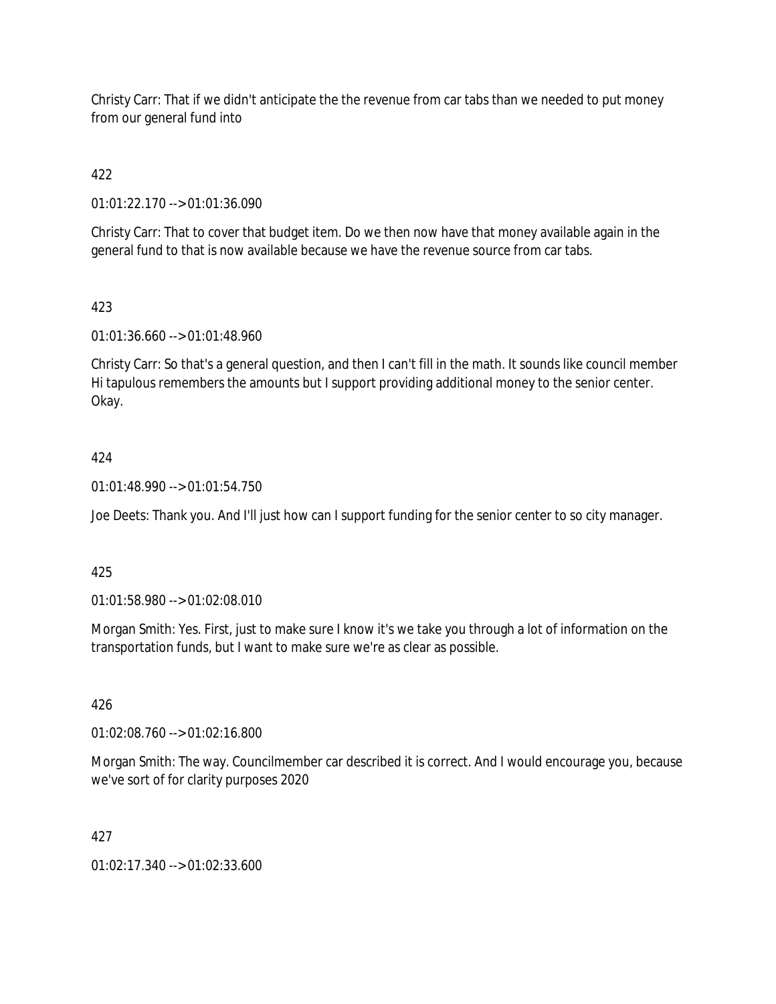Christy Carr: That if we didn't anticipate the the revenue from car tabs than we needed to put money from our general fund into

422

01:01:22.170 --> 01:01:36.090

Christy Carr: That to cover that budget item. Do we then now have that money available again in the general fund to that is now available because we have the revenue source from car tabs.

# 423

01:01:36.660 --> 01:01:48.960

Christy Carr: So that's a general question, and then I can't fill in the math. It sounds like council member Hi tapulous remembers the amounts but I support providing additional money to the senior center. Okay.

# 424

01:01:48.990 --> 01:01:54.750

Joe Deets: Thank you. And I'll just how can I support funding for the senior center to so city manager.

# 425

01:01:58.980 --> 01:02:08.010

Morgan Smith: Yes. First, just to make sure I know it's we take you through a lot of information on the transportation funds, but I want to make sure we're as clear as possible.

# 426

01:02:08.760 --> 01:02:16.800

Morgan Smith: The way. Councilmember car described it is correct. And I would encourage you, because we've sort of for clarity purposes 2020

# 427

01:02:17.340 --> 01:02:33.600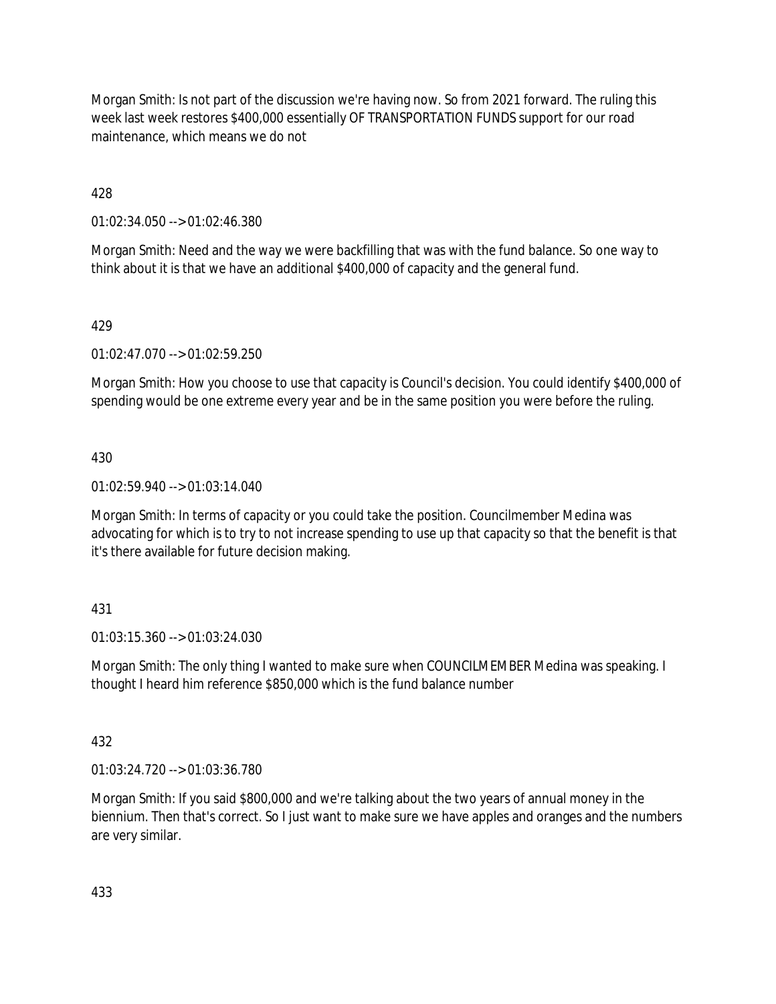Morgan Smith: Is not part of the discussion we're having now. So from 2021 forward. The ruling this week last week restores \$400,000 essentially OF TRANSPORTATION FUNDS support for our road maintenance, which means we do not

428

01:02:34.050 --> 01:02:46.380

Morgan Smith: Need and the way we were backfilling that was with the fund balance. So one way to think about it is that we have an additional \$400,000 of capacity and the general fund.

## 429

01:02:47.070 --> 01:02:59.250

Morgan Smith: How you choose to use that capacity is Council's decision. You could identify \$400,000 of spending would be one extreme every year and be in the same position you were before the ruling.

#### 430

01:02:59.940 --> 01:03:14.040

Morgan Smith: In terms of capacity or you could take the position. Councilmember Medina was advocating for which is to try to not increase spending to use up that capacity so that the benefit is that it's there available for future decision making.

#### 431

01:03:15.360 --> 01:03:24.030

Morgan Smith: The only thing I wanted to make sure when COUNCILMEMBER Medina was speaking. I thought I heard him reference \$850,000 which is the fund balance number

#### 432

01:03:24.720 --> 01:03:36.780

Morgan Smith: If you said \$800,000 and we're talking about the two years of annual money in the biennium. Then that's correct. So I just want to make sure we have apples and oranges and the numbers are very similar.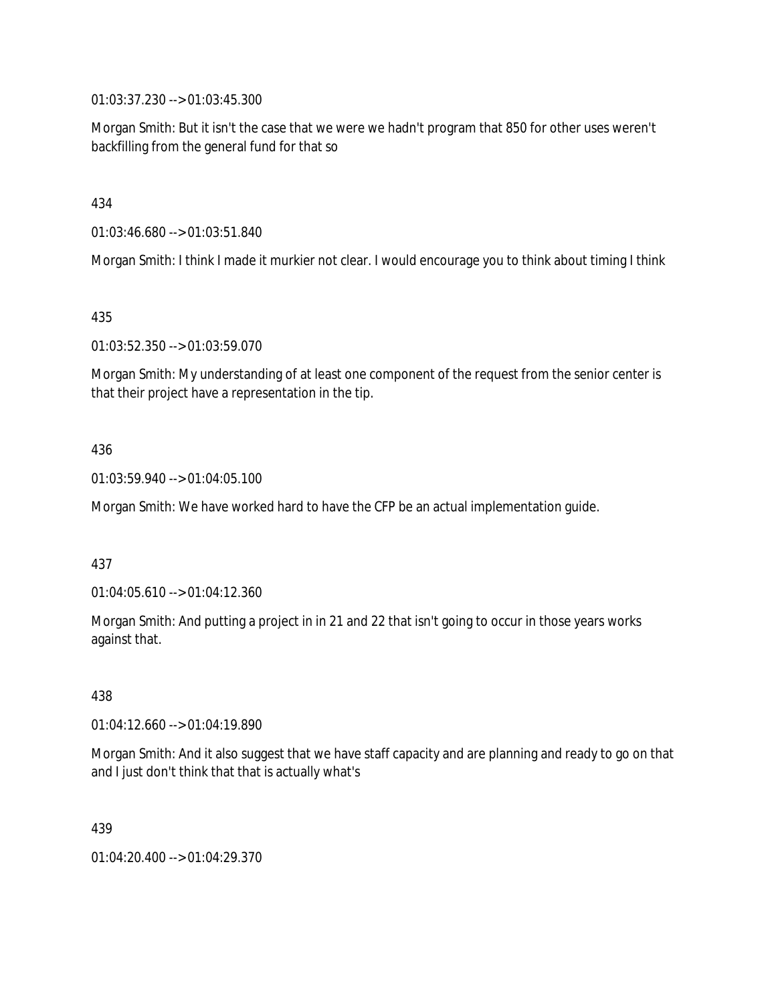01:03:37.230 --> 01:03:45.300

Morgan Smith: But it isn't the case that we were we hadn't program that 850 for other uses weren't backfilling from the general fund for that so

434

01:03:46.680 --> 01:03:51.840

Morgan Smith: I think I made it murkier not clear. I would encourage you to think about timing I think

435

01:03:52.350 --> 01:03:59.070

Morgan Smith: My understanding of at least one component of the request from the senior center is that their project have a representation in the tip.

#### 436

01:03:59.940 --> 01:04:05.100

Morgan Smith: We have worked hard to have the CFP be an actual implementation guide.

#### 437

01:04:05.610 --> 01:04:12.360

Morgan Smith: And putting a project in in 21 and 22 that isn't going to occur in those years works against that.

438

01:04:12.660 --> 01:04:19.890

Morgan Smith: And it also suggest that we have staff capacity and are planning and ready to go on that and I just don't think that that is actually what's

439

01:04:20.400 --> 01:04:29.370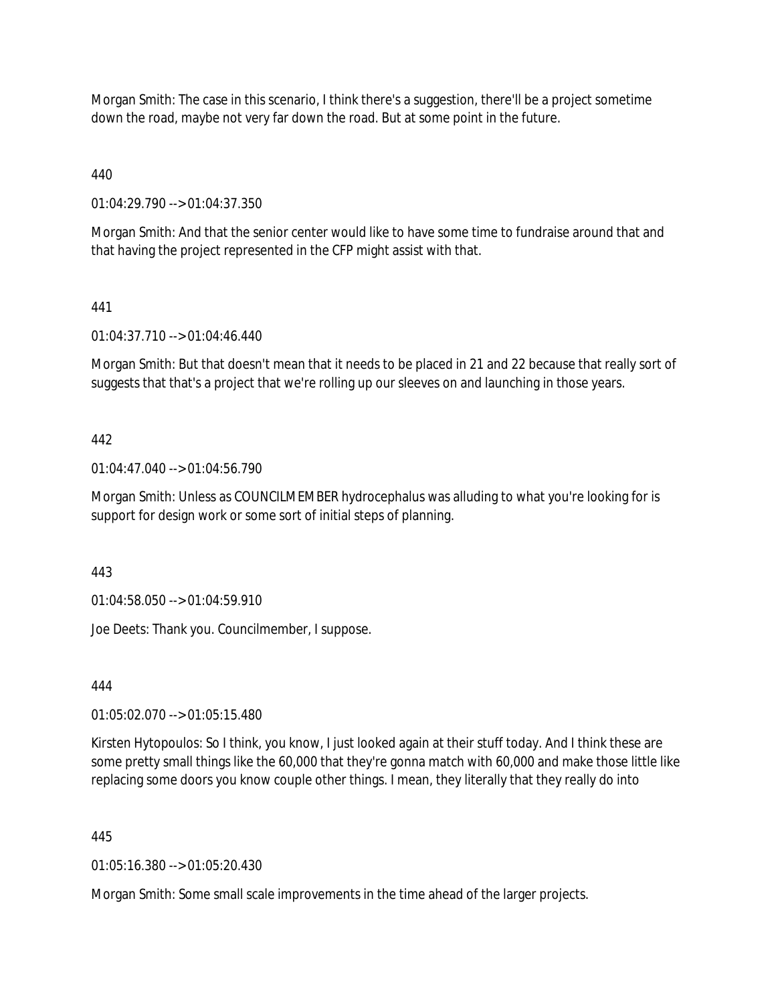Morgan Smith: The case in this scenario, I think there's a suggestion, there'll be a project sometime down the road, maybe not very far down the road. But at some point in the future.

440

01:04:29.790 --> 01:04:37.350

Morgan Smith: And that the senior center would like to have some time to fundraise around that and that having the project represented in the CFP might assist with that.

## 441

01:04:37.710 --> 01:04:46.440

Morgan Smith: But that doesn't mean that it needs to be placed in 21 and 22 because that really sort of suggests that that's a project that we're rolling up our sleeves on and launching in those years.

## 442

01:04:47.040 --> 01:04:56.790

Morgan Smith: Unless as COUNCILMEMBER hydrocephalus was alluding to what you're looking for is support for design work or some sort of initial steps of planning.

443

01:04:58.050 --> 01:04:59.910

Joe Deets: Thank you. Councilmember, I suppose.

444

01:05:02.070 --> 01:05:15.480

Kirsten Hytopoulos: So I think, you know, I just looked again at their stuff today. And I think these are some pretty small things like the 60,000 that they're gonna match with 60,000 and make those little like replacing some doors you know couple other things. I mean, they literally that they really do into

#### 445

01:05:16.380 --> 01:05:20.430

Morgan Smith: Some small scale improvements in the time ahead of the larger projects.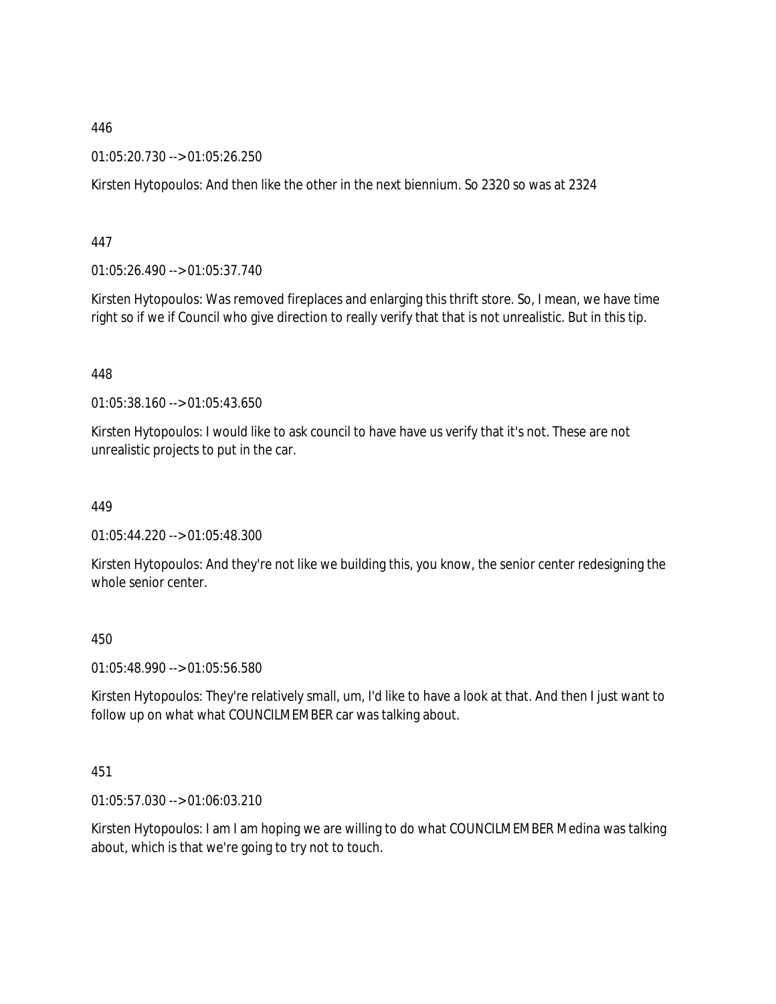01:05:20.730 --> 01:05:26.250

Kirsten Hytopoulos: And then like the other in the next biennium. So 2320 so was at 2324

447

01:05:26.490 --> 01:05:37.740

Kirsten Hytopoulos: Was removed fireplaces and enlarging this thrift store. So, I mean, we have time right so if we if Council who give direction to really verify that that is not unrealistic. But in this tip.

448

01:05:38.160 --> 01:05:43.650

Kirsten Hytopoulos: I would like to ask council to have have us verify that it's not. These are not unrealistic projects to put in the car.

449

01:05:44.220 --> 01:05:48.300

Kirsten Hytopoulos: And they're not like we building this, you know, the senior center redesigning the whole senior center.

450

01:05:48.990 --> 01:05:56.580

Kirsten Hytopoulos: They're relatively small, um, I'd like to have a look at that. And then I just want to follow up on what what COUNCILMEMBER car was talking about.

451

01:05:57.030 --> 01:06:03.210

Kirsten Hytopoulos: I am I am hoping we are willing to do what COUNCILMEMBER Medina was talking about, which is that we're going to try not to touch.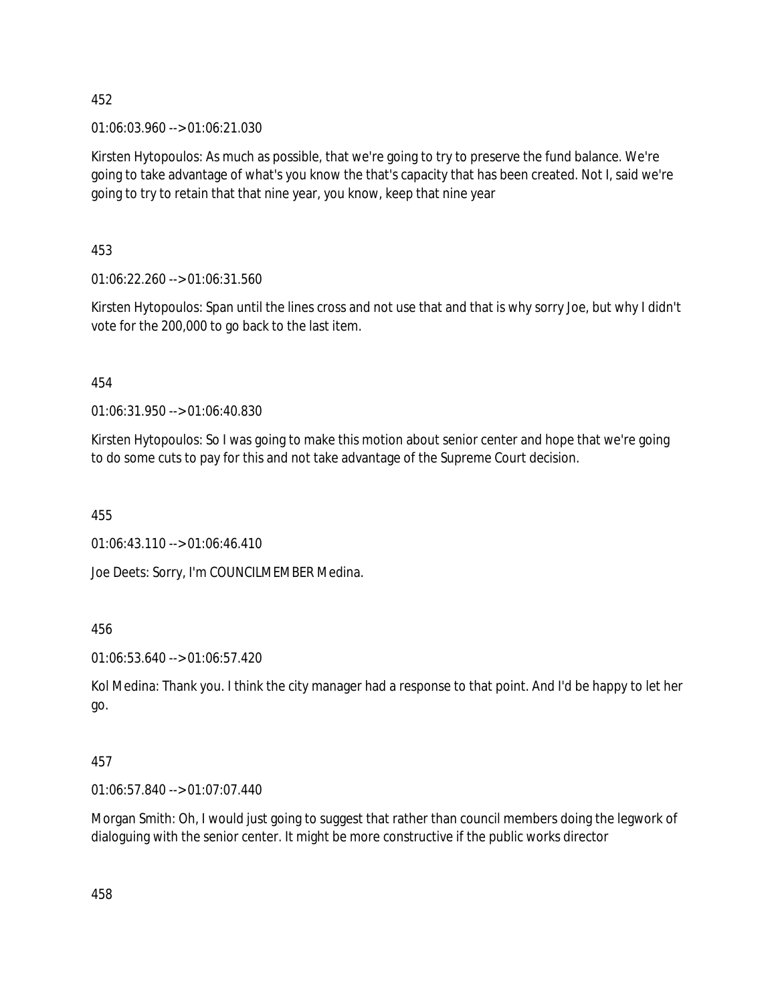01:06:03.960 --> 01:06:21.030

Kirsten Hytopoulos: As much as possible, that we're going to try to preserve the fund balance. We're going to take advantage of what's you know the that's capacity that has been created. Not I, said we're going to try to retain that that nine year, you know, keep that nine year

453

01:06:22.260 --> 01:06:31.560

Kirsten Hytopoulos: Span until the lines cross and not use that and that is why sorry Joe, but why I didn't vote for the 200,000 to go back to the last item.

454

01:06:31.950 --> 01:06:40.830

Kirsten Hytopoulos: So I was going to make this motion about senior center and hope that we're going to do some cuts to pay for this and not take advantage of the Supreme Court decision.

455

01:06:43.110 --> 01:06:46.410

Joe Deets: Sorry, I'm COUNCILMEMBER Medina.

456

01:06:53.640 --> 01:06:57.420

Kol Medina: Thank you. I think the city manager had a response to that point. And I'd be happy to let her go.

# 457

01:06:57.840 --> 01:07:07.440

Morgan Smith: Oh, I would just going to suggest that rather than council members doing the legwork of dialoguing with the senior center. It might be more constructive if the public works director

458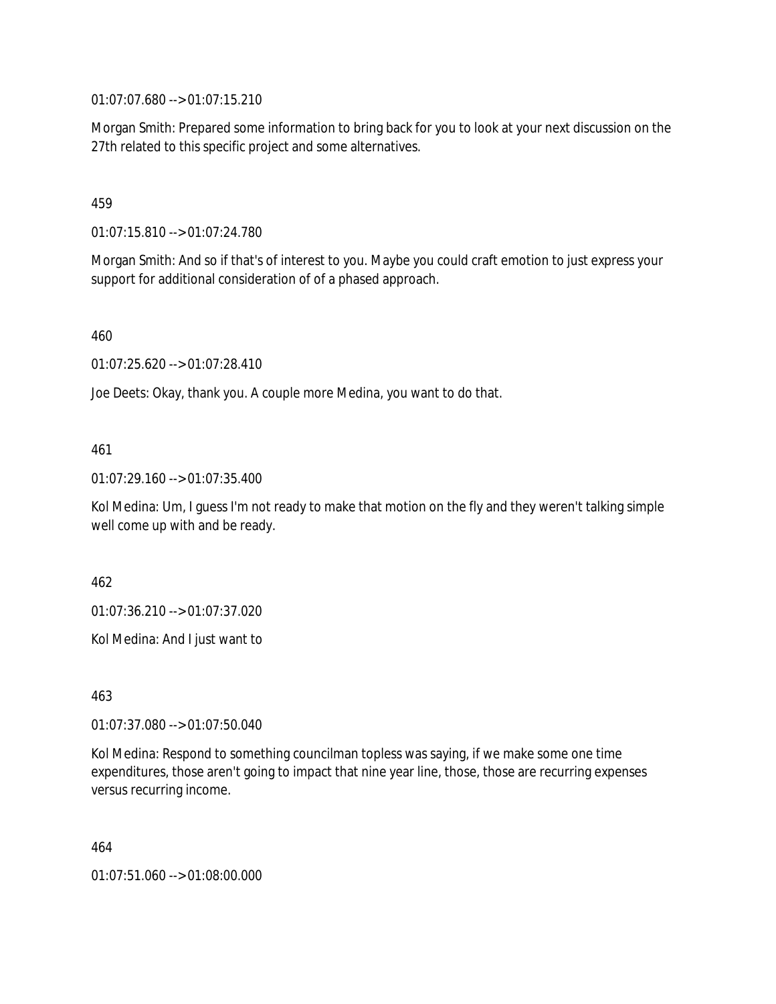01:07:07.680 --> 01:07:15.210

Morgan Smith: Prepared some information to bring back for you to look at your next discussion on the 27th related to this specific project and some alternatives.

# 459

01:07:15.810 --> 01:07:24.780

Morgan Smith: And so if that's of interest to you. Maybe you could craft emotion to just express your support for additional consideration of of a phased approach.

460

01:07:25.620 --> 01:07:28.410

Joe Deets: Okay, thank you. A couple more Medina, you want to do that.

# 461

01:07:29.160 --> 01:07:35.400

Kol Medina: Um, I guess I'm not ready to make that motion on the fly and they weren't talking simple well come up with and be ready.

462

01:07:36.210 --> 01:07:37.020

Kol Medina: And I just want to

463

01:07:37.080 --> 01:07:50.040

Kol Medina: Respond to something councilman topless was saying, if we make some one time expenditures, those aren't going to impact that nine year line, those, those are recurring expenses versus recurring income.

464

01:07:51.060 --> 01:08:00.000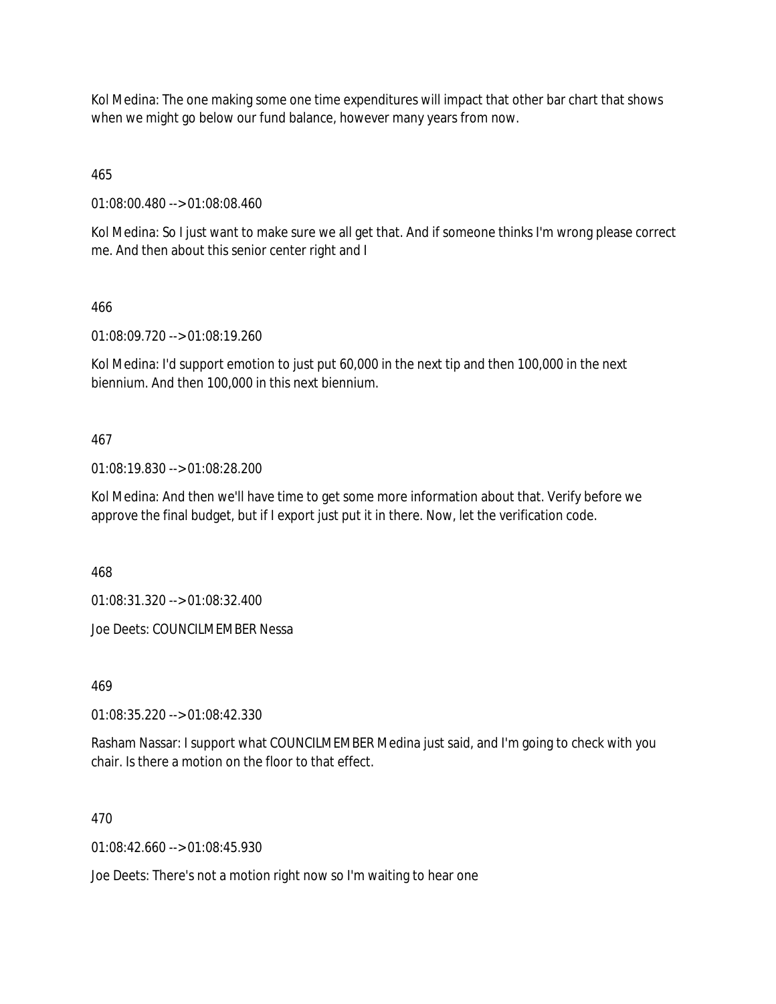Kol Medina: The one making some one time expenditures will impact that other bar chart that shows when we might go below our fund balance, however many years from now.

465

01:08:00.480 --> 01:08:08.460

Kol Medina: So I just want to make sure we all get that. And if someone thinks I'm wrong please correct me. And then about this senior center right and I

466

01:08:09.720 --> 01:08:19.260

Kol Medina: I'd support emotion to just put 60,000 in the next tip and then 100,000 in the next biennium. And then 100,000 in this next biennium.

# 467

01:08:19.830 --> 01:08:28.200

Kol Medina: And then we'll have time to get some more information about that. Verify before we approve the final budget, but if I export just put it in there. Now, let the verification code.

468

01:08:31.320 --> 01:08:32.400

Joe Deets: COUNCILMEMBER Nessa

469

01:08:35.220 --> 01:08:42.330

Rasham Nassar: I support what COUNCILMEMBER Medina just said, and I'm going to check with you chair. Is there a motion on the floor to that effect.

470

 $01:08:42.660 \rightarrow 01:08:45.930$ 

Joe Deets: There's not a motion right now so I'm waiting to hear one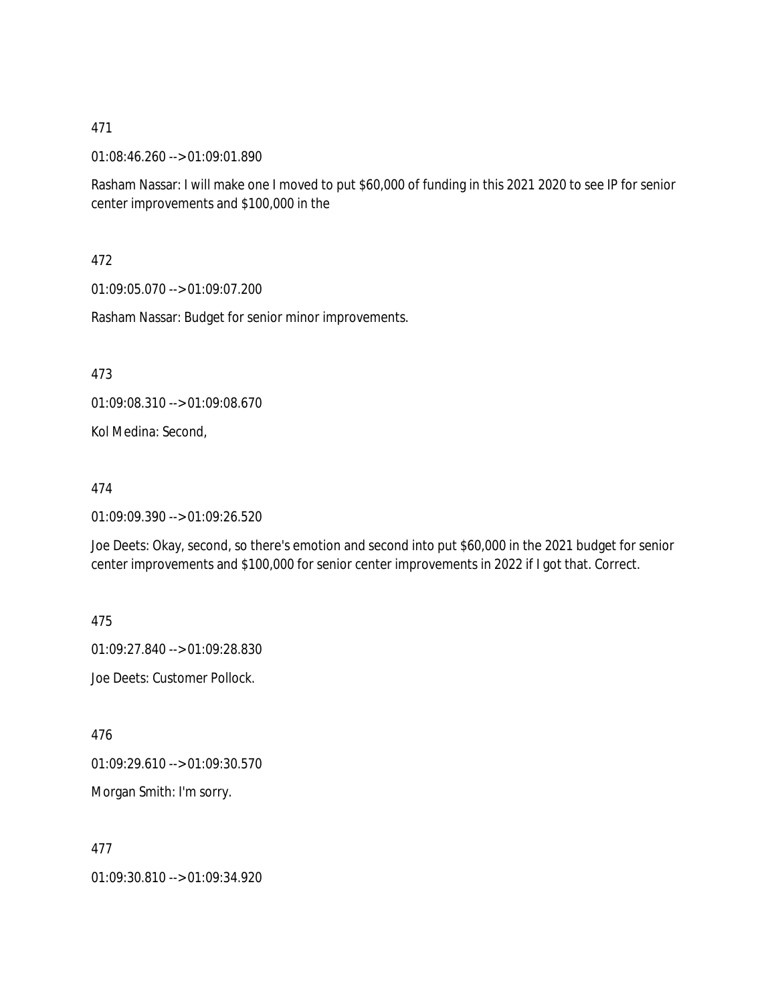01:08:46.260 --> 01:09:01.890

Rasham Nassar: I will make one I moved to put \$60,000 of funding in this 2021 2020 to see IP for senior center improvements and \$100,000 in the

472

01:09:05.070 --> 01:09:07.200

Rasham Nassar: Budget for senior minor improvements.

473

01:09:08.310 --> 01:09:08.670

Kol Medina: Second,

#### 474

01:09:09.390 --> 01:09:26.520

Joe Deets: Okay, second, so there's emotion and second into put \$60,000 in the 2021 budget for senior center improvements and \$100,000 for senior center improvements in 2022 if I got that. Correct.

475

01:09:27.840 --> 01:09:28.830

Joe Deets: Customer Pollock.

476

01:09:29.610 --> 01:09:30.570

Morgan Smith: I'm sorry.

477

01:09:30.810 --> 01:09:34.920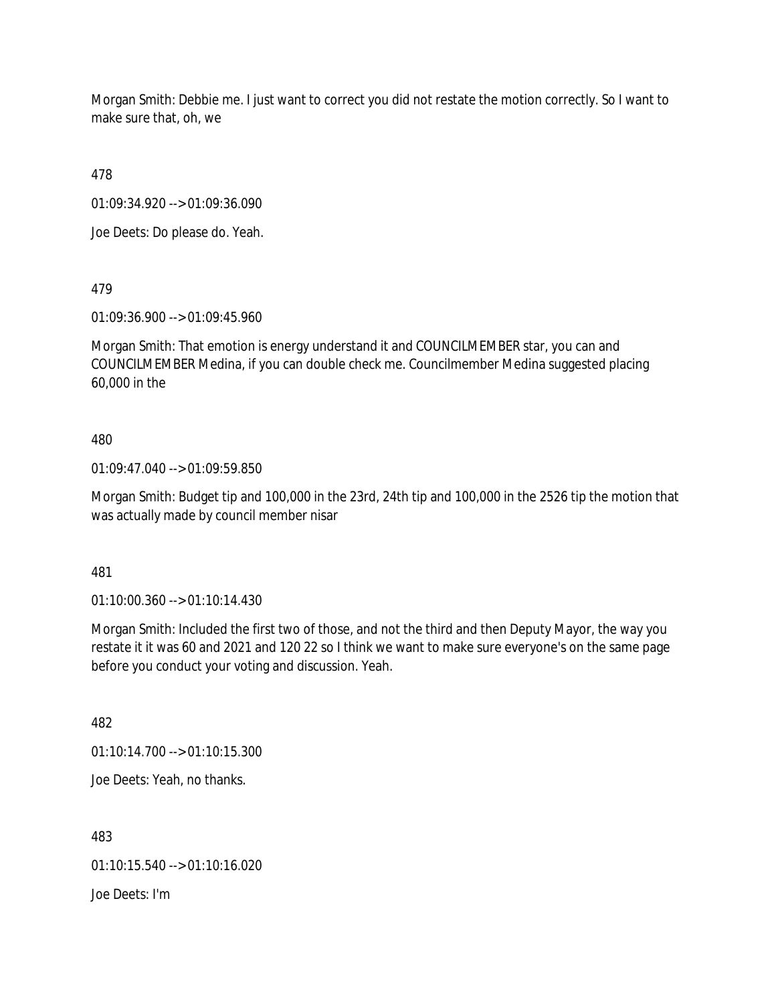Morgan Smith: Debbie me. I just want to correct you did not restate the motion correctly. So I want to make sure that, oh, we

478

01:09:34.920 --> 01:09:36.090

Joe Deets: Do please do. Yeah.

479

01:09:36.900 --> 01:09:45.960

Morgan Smith: That emotion is energy understand it and COUNCILMEMBER star, you can and COUNCILMEMBER Medina, if you can double check me. Councilmember Medina suggested placing 60,000 in the

# 480

01:09:47.040 --> 01:09:59.850

Morgan Smith: Budget tip and 100,000 in the 23rd, 24th tip and 100,000 in the 2526 tip the motion that was actually made by council member nisar

481

01:10:00.360 --> 01:10:14.430

Morgan Smith: Included the first two of those, and not the third and then Deputy Mayor, the way you restate it it was 60 and 2021 and 120 22 so I think we want to make sure everyone's on the same page before you conduct your voting and discussion. Yeah.

482

01:10:14.700 --> 01:10:15.300

Joe Deets: Yeah, no thanks.

483

01:10:15.540 --> 01:10:16.020

Joe Deets: I'm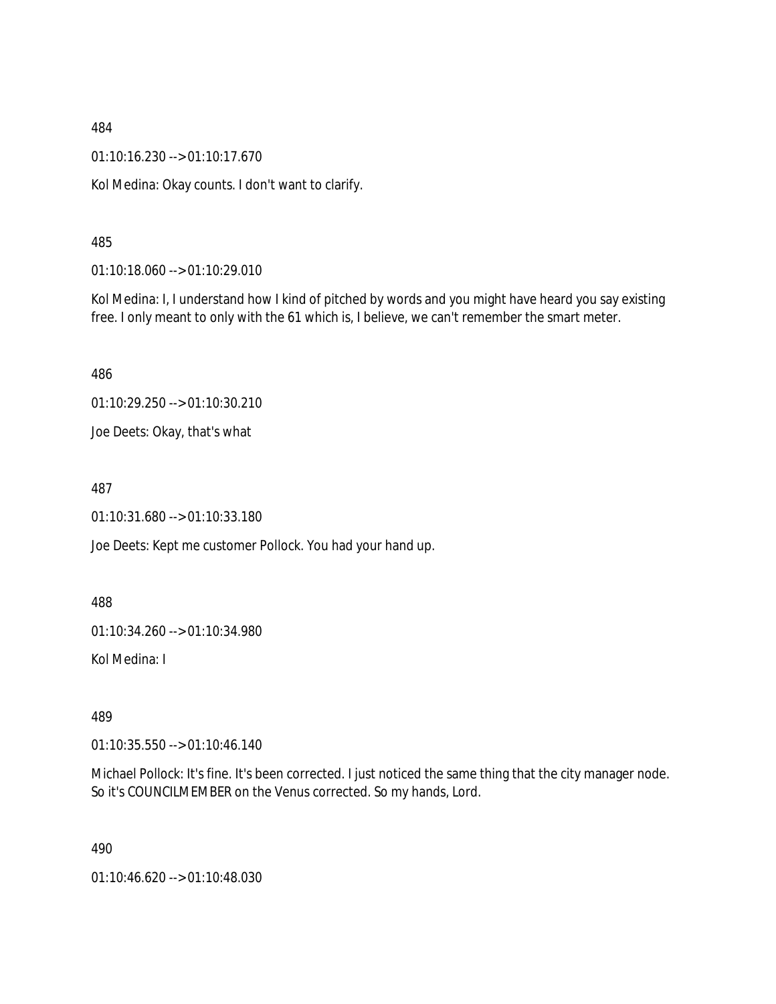01:10:16.230 --> 01:10:17.670

Kol Medina: Okay counts. I don't want to clarify.

485

01:10:18.060 --> 01:10:29.010

Kol Medina: I, I understand how I kind of pitched by words and you might have heard you say existing free. I only meant to only with the 61 which is, I believe, we can't remember the smart meter.

486

01:10:29.250 --> 01:10:30.210

Joe Deets: Okay, that's what

487

01:10:31.680 --> 01:10:33.180

Joe Deets: Kept me customer Pollock. You had your hand up.

488

01:10:34.260 --> 01:10:34.980

Kol Medina: I

489

01:10:35.550 --> 01:10:46.140

Michael Pollock: It's fine. It's been corrected. I just noticed the same thing that the city manager node. So it's COUNCILMEMBER on the Venus corrected. So my hands, Lord.

490

01:10:46.620 --> 01:10:48.030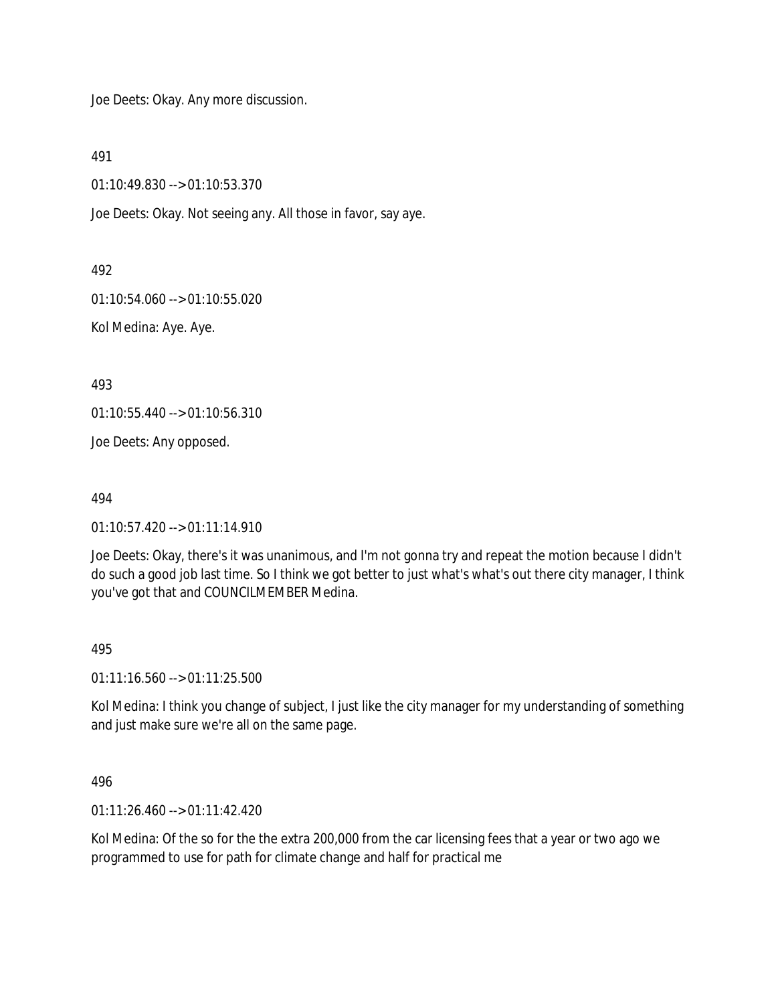Joe Deets: Okay. Any more discussion.

491

01:10:49.830 --> 01:10:53.370

Joe Deets: Okay. Not seeing any. All those in favor, say aye.

492

01:10:54.060 --> 01:10:55.020

Kol Medina: Aye. Aye.

493

01:10:55.440 --> 01:10:56.310

Joe Deets: Any opposed.

494

01:10:57.420 --> 01:11:14.910

Joe Deets: Okay, there's it was unanimous, and I'm not gonna try and repeat the motion because I didn't do such a good job last time. So I think we got better to just what's what's out there city manager, I think you've got that and COUNCILMEMBER Medina.

#### 495

01:11:16.560 --> 01:11:25.500

Kol Medina: I think you change of subject, I just like the city manager for my understanding of something and just make sure we're all on the same page.

496

01:11:26.460 --> 01:11:42.420

Kol Medina: Of the so for the the extra 200,000 from the car licensing fees that a year or two ago we programmed to use for path for climate change and half for practical me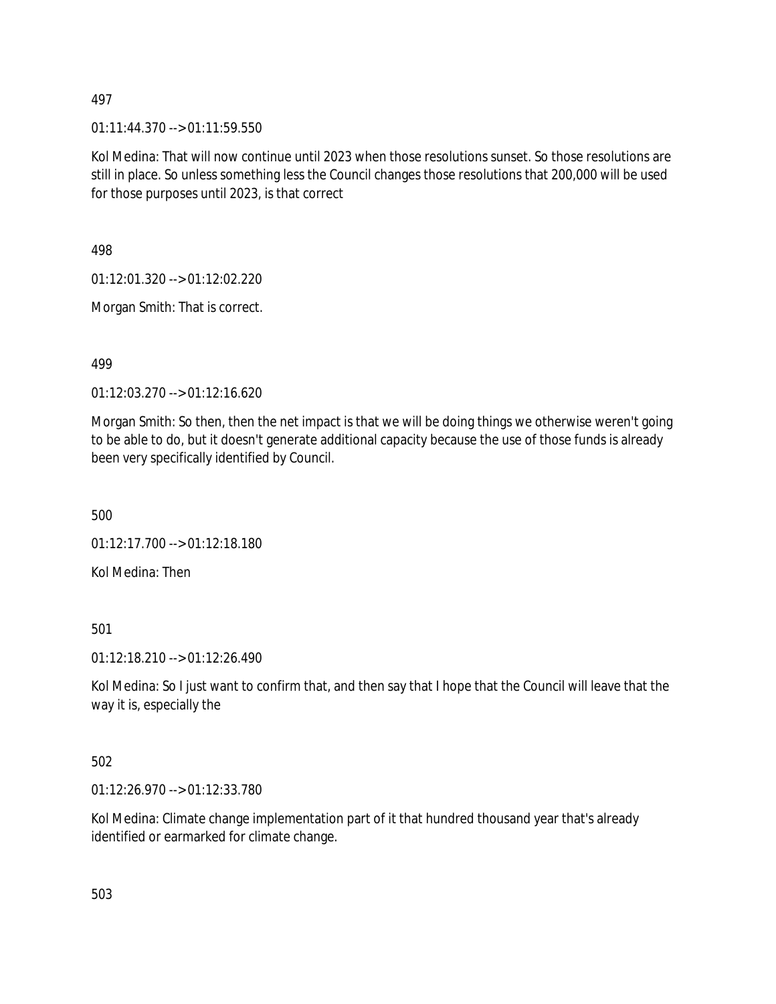$01:11:44.370 \rightarrow 01:11:59.550$ 

Kol Medina: That will now continue until 2023 when those resolutions sunset. So those resolutions are still in place. So unless something less the Council changes those resolutions that 200,000 will be used for those purposes until 2023, is that correct

498

01:12:01.320 --> 01:12:02.220

Morgan Smith: That is correct.

499

01:12:03.270 --> 01:12:16.620

Morgan Smith: So then, then the net impact is that we will be doing things we otherwise weren't going to be able to do, but it doesn't generate additional capacity because the use of those funds is already been very specifically identified by Council.

500

01:12:17.700 --> 01:12:18.180

Kol Medina: Then

501

01:12:18.210 --> 01:12:26.490

Kol Medina: So I just want to confirm that, and then say that I hope that the Council will leave that the way it is, especially the

502

01:12:26.970 --> 01:12:33.780

Kol Medina: Climate change implementation part of it that hundred thousand year that's already identified or earmarked for climate change.

503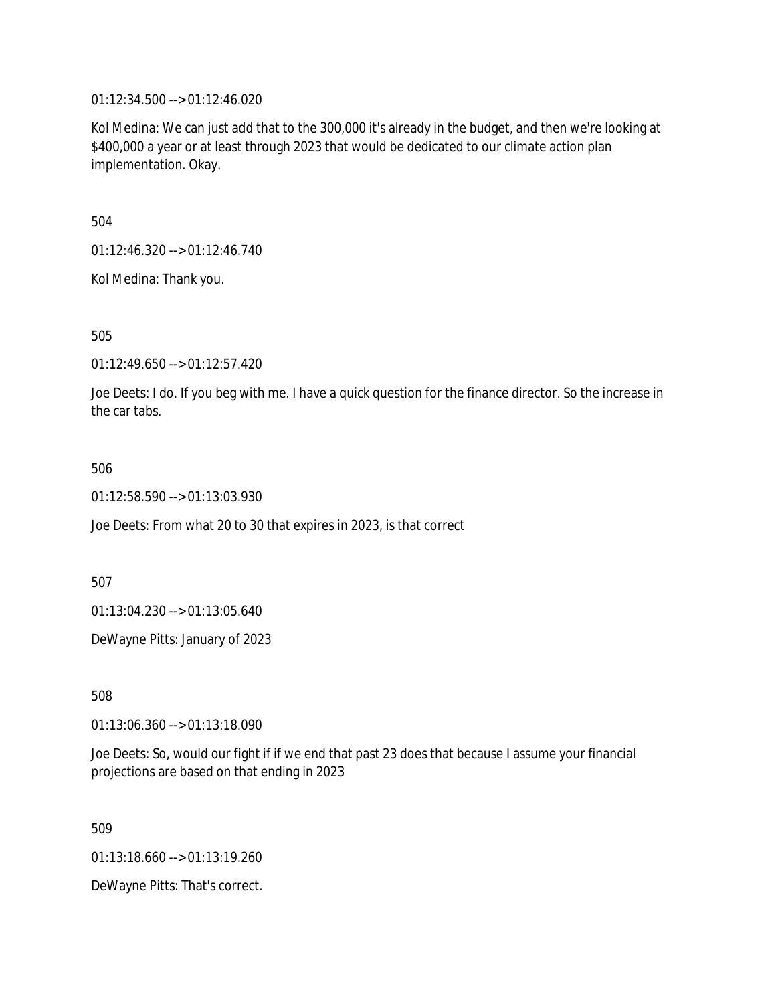01:12:34.500 --> 01:12:46.020

Kol Medina: We can just add that to the 300,000 it's already in the budget, and then we're looking at \$400,000 a year or at least through 2023 that would be dedicated to our climate action plan implementation. Okay.

504

01:12:46.320 --> 01:12:46.740

Kol Medina: Thank you.

505

01:12:49.650 --> 01:12:57.420

Joe Deets: I do. If you beg with me. I have a quick question for the finance director. So the increase in the car tabs.

#### 506

01:12:58.590 --> 01:13:03.930

Joe Deets: From what 20 to 30 that expires in 2023, is that correct

507

01:13:04.230 --> 01:13:05.640

DeWayne Pitts: January of 2023

508

01:13:06.360 --> 01:13:18.090

Joe Deets: So, would our fight if if we end that past 23 does that because I assume your financial projections are based on that ending in 2023

509

01:13:18.660 --> 01:13:19.260

DeWayne Pitts: That's correct.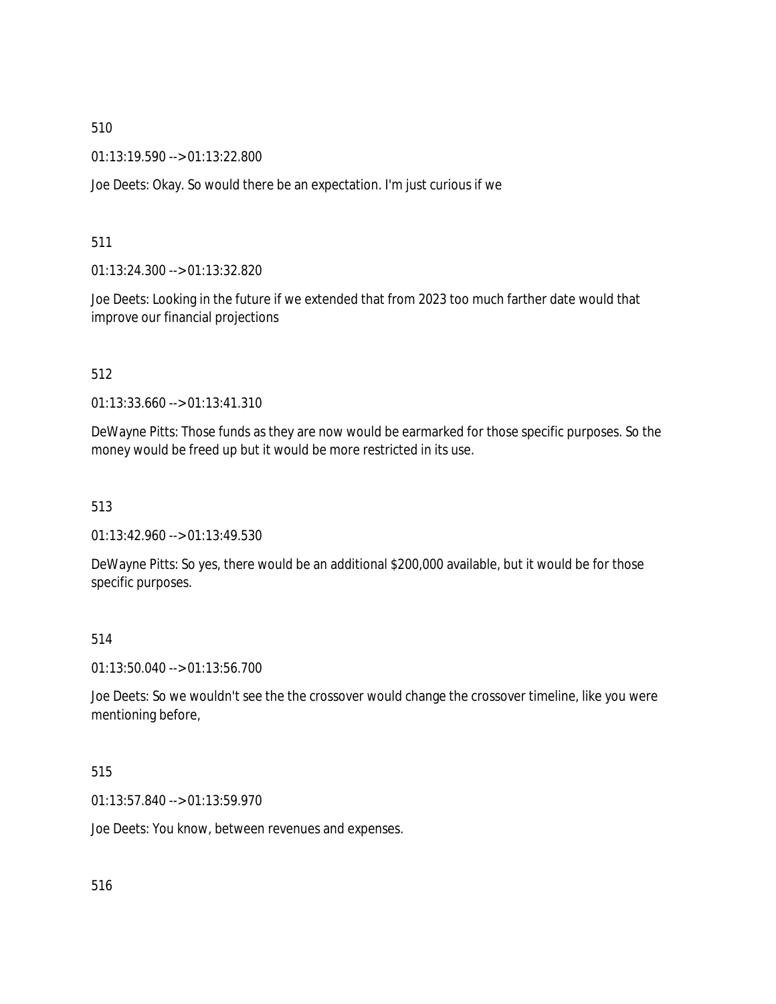01:13:19.590 --> 01:13:22.800

Joe Deets: Okay. So would there be an expectation. I'm just curious if we

# 511

01:13:24.300 --> 01:13:32.820

Joe Deets: Looking in the future if we extended that from 2023 too much farther date would that improve our financial projections

# 512

01:13:33.660 --> 01:13:41.310

DeWayne Pitts: Those funds as they are now would be earmarked for those specific purposes. So the money would be freed up but it would be more restricted in its use.

# 513

01:13:42.960 --> 01:13:49.530

DeWayne Pitts: So yes, there would be an additional \$200,000 available, but it would be for those specific purposes.

# 514

01:13:50.040 --> 01:13:56.700

Joe Deets: So we wouldn't see the the crossover would change the crossover timeline, like you were mentioning before,

#### 515

01:13:57.840 --> 01:13:59.970

Joe Deets: You know, between revenues and expenses.

516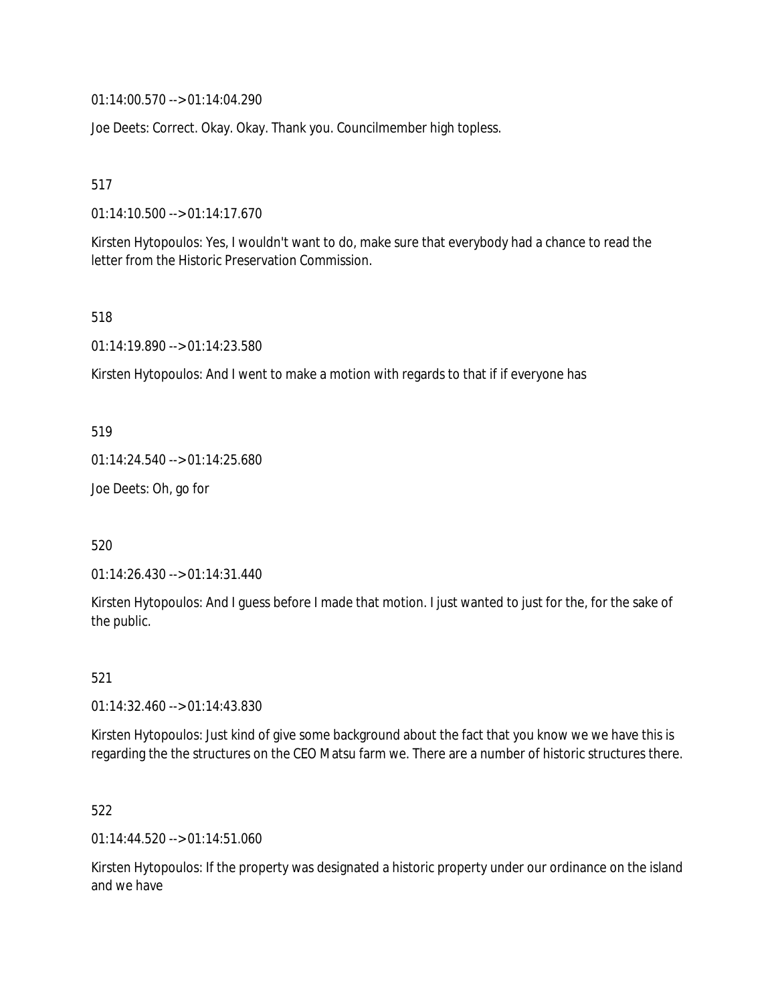01:14:00.570 --> 01:14:04.290

Joe Deets: Correct. Okay. Okay. Thank you. Councilmember high topless.

517

01:14:10.500 --> 01:14:17.670

Kirsten Hytopoulos: Yes, I wouldn't want to do, make sure that everybody had a chance to read the letter from the Historic Preservation Commission.

518

01:14:19.890 --> 01:14:23.580

Kirsten Hytopoulos: And I went to make a motion with regards to that if if everyone has

519

01:14:24.540 --> 01:14:25.680

Joe Deets: Oh, go for

520

01:14:26.430 --> 01:14:31.440

Kirsten Hytopoulos: And I guess before I made that motion. I just wanted to just for the, for the sake of the public.

521

01:14:32.460 --> 01:14:43.830

Kirsten Hytopoulos: Just kind of give some background about the fact that you know we we have this is regarding the the structures on the CEO Matsu farm we. There are a number of historic structures there.

522

01:14:44.520 --> 01:14:51.060

Kirsten Hytopoulos: If the property was designated a historic property under our ordinance on the island and we have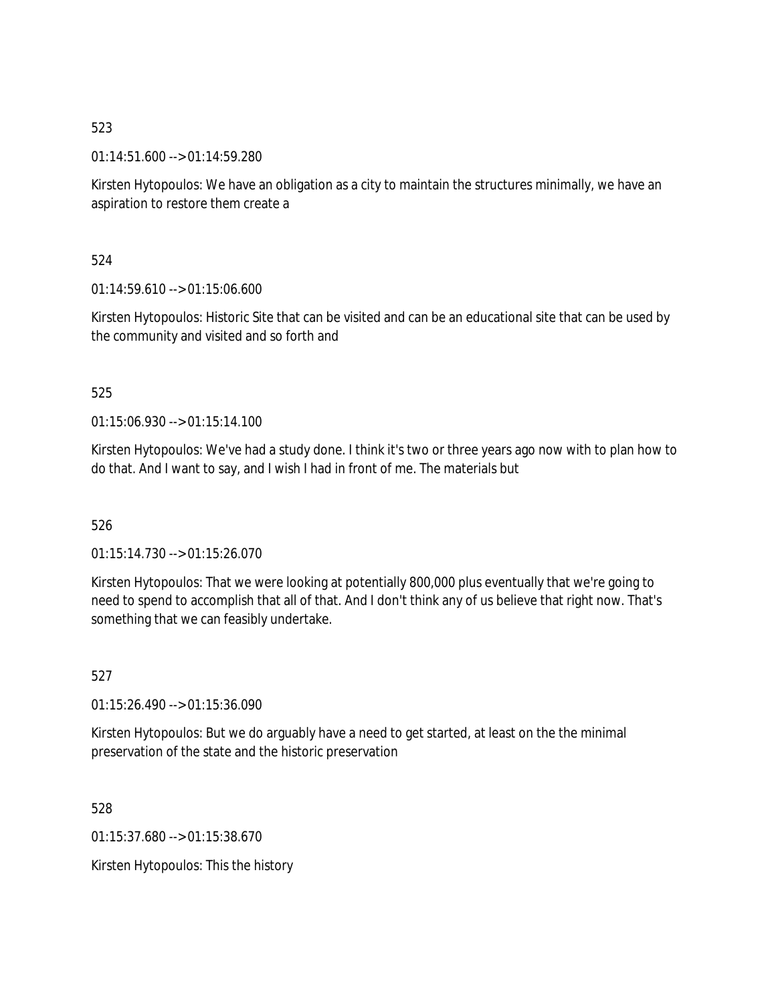01:14:51.600 --> 01:14:59.280

Kirsten Hytopoulos: We have an obligation as a city to maintain the structures minimally, we have an aspiration to restore them create a

524

 $01:14:59.610 \rightarrow 01:15:06.600$ 

Kirsten Hytopoulos: Historic Site that can be visited and can be an educational site that can be used by the community and visited and so forth and

# 525

01:15:06.930 --> 01:15:14.100

Kirsten Hytopoulos: We've had a study done. I think it's two or three years ago now with to plan how to do that. And I want to say, and I wish I had in front of me. The materials but

# 526

01:15:14.730 --> 01:15:26.070

Kirsten Hytopoulos: That we were looking at potentially 800,000 plus eventually that we're going to need to spend to accomplish that all of that. And I don't think any of us believe that right now. That's something that we can feasibly undertake.

527

01:15:26.490 --> 01:15:36.090

Kirsten Hytopoulos: But we do arguably have a need to get started, at least on the the minimal preservation of the state and the historic preservation

528

01:15:37.680 --> 01:15:38.670

Kirsten Hytopoulos: This the history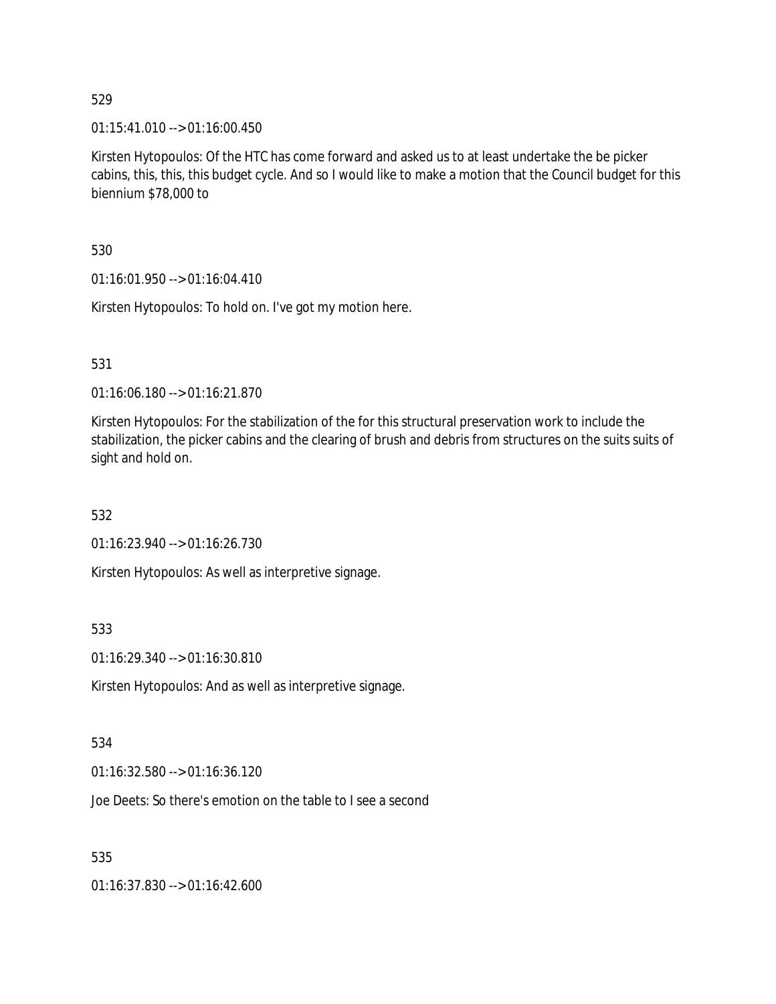01:15:41.010 --> 01:16:00.450

Kirsten Hytopoulos: Of the HTC has come forward and asked us to at least undertake the be picker cabins, this, this, this budget cycle. And so I would like to make a motion that the Council budget for this biennium \$78,000 to

530

01:16:01.950 --> 01:16:04.410

Kirsten Hytopoulos: To hold on. I've got my motion here.

531

01:16:06.180 --> 01:16:21.870

Kirsten Hytopoulos: For the stabilization of the for this structural preservation work to include the stabilization, the picker cabins and the clearing of brush and debris from structures on the suits suits of sight and hold on.

532

01:16:23.940 --> 01:16:26.730

Kirsten Hytopoulos: As well as interpretive signage.

533

01:16:29.340 --> 01:16:30.810

Kirsten Hytopoulos: And as well as interpretive signage.

# 534

01:16:32.580 --> 01:16:36.120

Joe Deets: So there's emotion on the table to I see a second

535

01:16:37.830 --> 01:16:42.600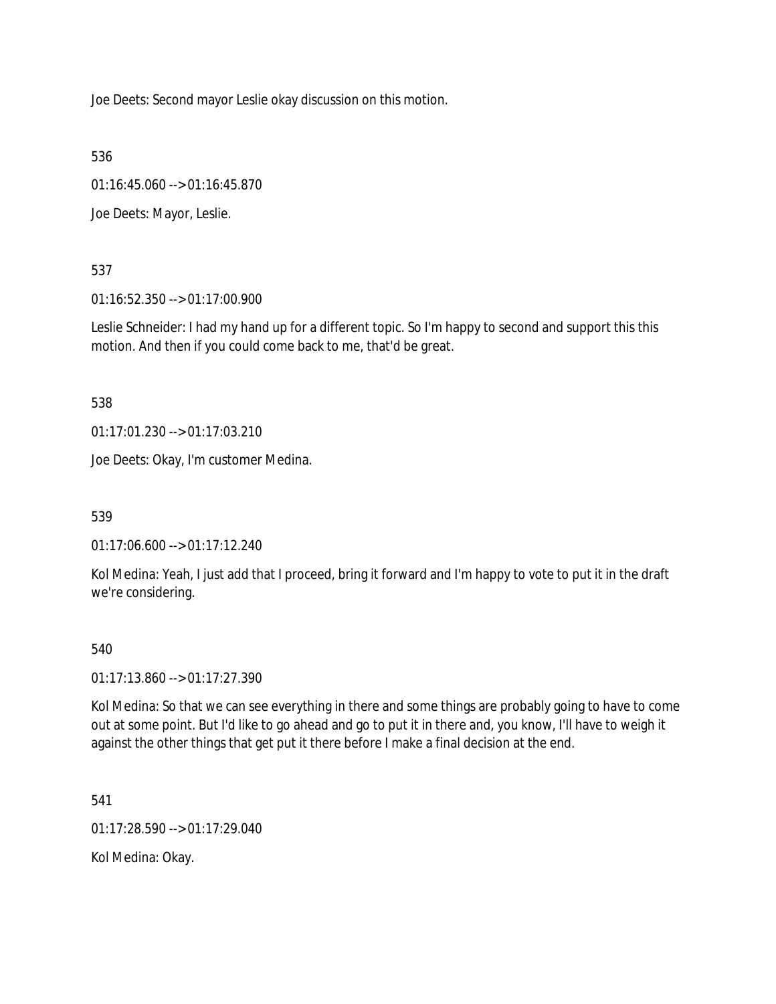Joe Deets: Second mayor Leslie okay discussion on this motion.

536

01:16:45.060 --> 01:16:45.870

Joe Deets: Mayor, Leslie.

537

01:16:52.350 --> 01:17:00.900

Leslie Schneider: I had my hand up for a different topic. So I'm happy to second and support this this motion. And then if you could come back to me, that'd be great.

538

01:17:01.230 --> 01:17:03.210

Joe Deets: Okay, I'm customer Medina.

539

01:17:06.600 --> 01:17:12.240

Kol Medina: Yeah, I just add that I proceed, bring it forward and I'm happy to vote to put it in the draft we're considering.

# 540

01:17:13.860 --> 01:17:27.390

Kol Medina: So that we can see everything in there and some things are probably going to have to come out at some point. But I'd like to go ahead and go to put it in there and, you know, I'll have to weigh it against the other things that get put it there before I make a final decision at the end.

541

01:17:28.590 --> 01:17:29.040

Kol Medina: Okay.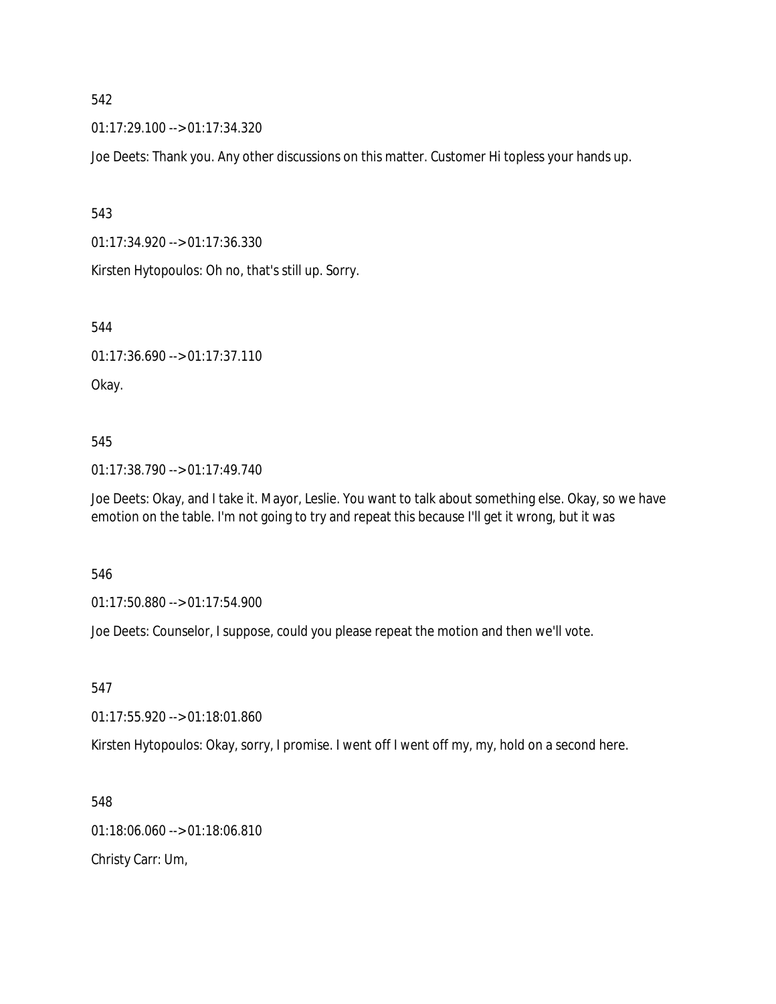01:17:29.100 --> 01:17:34.320

Joe Deets: Thank you. Any other discussions on this matter. Customer Hi topless your hands up.

543

01:17:34.920 --> 01:17:36.330

Kirsten Hytopoulos: Oh no, that's still up. Sorry.

544

01:17:36.690 --> 01:17:37.110

Okay.

545

01:17:38.790 --> 01:17:49.740

Joe Deets: Okay, and I take it. Mayor, Leslie. You want to talk about something else. Okay, so we have emotion on the table. I'm not going to try and repeat this because I'll get it wrong, but it was

546

01:17:50.880 --> 01:17:54.900

Joe Deets: Counselor, I suppose, could you please repeat the motion and then we'll vote.

547

01:17:55.920 --> 01:18:01.860

Kirsten Hytopoulos: Okay, sorry, I promise. I went off I went off my, my, hold on a second here.

548

01:18:06.060 --> 01:18:06.810

Christy Carr: Um,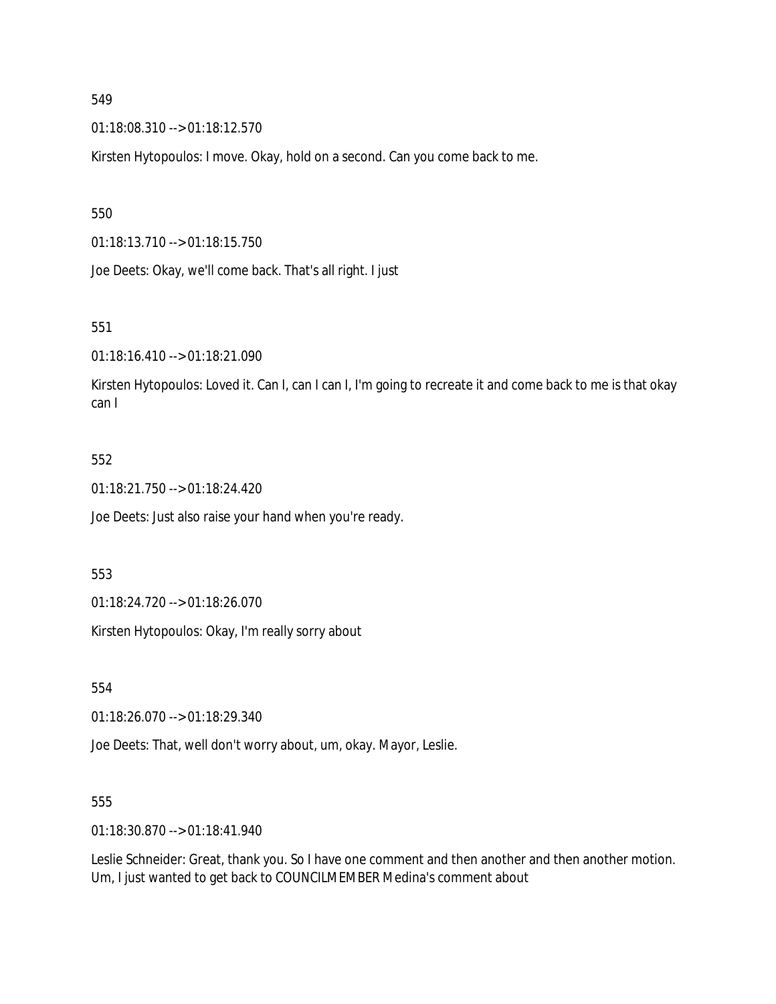01:18:08.310 --> 01:18:12.570

Kirsten Hytopoulos: I move. Okay, hold on a second. Can you come back to me.

# 550

01:18:13.710 --> 01:18:15.750

Joe Deets: Okay, we'll come back. That's all right. I just

# 551

01:18:16.410 --> 01:18:21.090

Kirsten Hytopoulos: Loved it. Can I, can I can I, I'm going to recreate it and come back to me is that okay can I

# 552

01:18:21.750 --> 01:18:24.420

Joe Deets: Just also raise your hand when you're ready.

#### 553

01:18:24.720 --> 01:18:26.070

Kirsten Hytopoulos: Okay, I'm really sorry about

554

01:18:26.070 --> 01:18:29.340

Joe Deets: That, well don't worry about, um, okay. Mayor, Leslie.

#### 555

01:18:30.870 --> 01:18:41.940

Leslie Schneider: Great, thank you. So I have one comment and then another and then another motion. Um, I just wanted to get back to COUNCILMEMBER Medina's comment about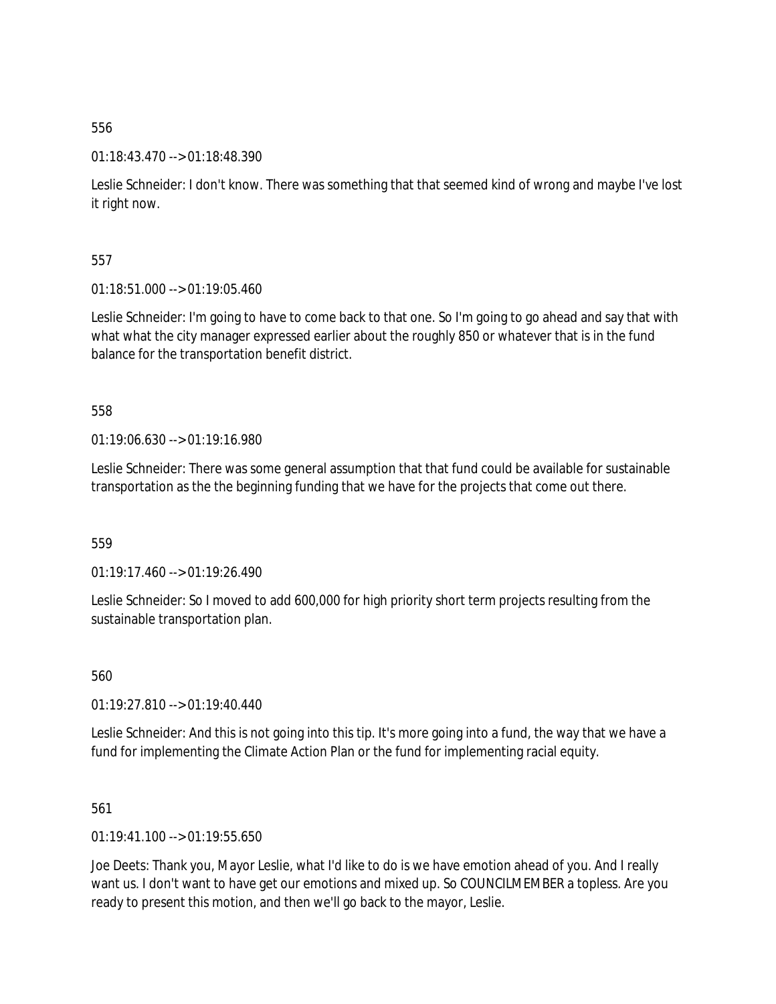# 01:18:43.470 --> 01:18:48.390

Leslie Schneider: I don't know. There was something that that seemed kind of wrong and maybe I've lost it right now.

557

 $01:18:51.000 \rightarrow 01:19:05.460$ 

Leslie Schneider: I'm going to have to come back to that one. So I'm going to go ahead and say that with what what the city manager expressed earlier about the roughly 850 or whatever that is in the fund balance for the transportation benefit district.

558

01:19:06.630 --> 01:19:16.980

Leslie Schneider: There was some general assumption that that fund could be available for sustainable transportation as the the beginning funding that we have for the projects that come out there.

559

01:19:17.460 --> 01:19:26.490

Leslie Schneider: So I moved to add 600,000 for high priority short term projects resulting from the sustainable transportation plan.

560

01:19:27.810 --> 01:19:40.440

Leslie Schneider: And this is not going into this tip. It's more going into a fund, the way that we have a fund for implementing the Climate Action Plan or the fund for implementing racial equity.

561

01:19:41.100 --> 01:19:55.650

Joe Deets: Thank you, Mayor Leslie, what I'd like to do is we have emotion ahead of you. And I really want us. I don't want to have get our emotions and mixed up. So COUNCILMEMBER a topless. Are you ready to present this motion, and then we'll go back to the mayor, Leslie.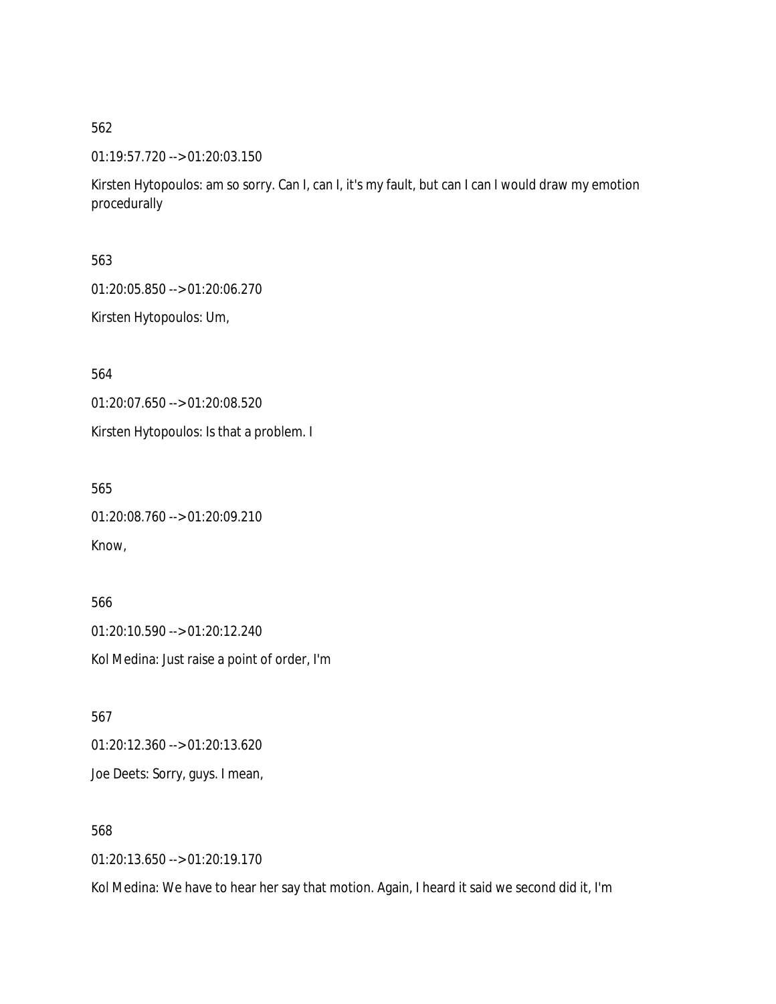01:19:57.720 --> 01:20:03.150

Kirsten Hytopoulos: am so sorry. Can I, can I, it's my fault, but can I can I would draw my emotion procedurally

563

01:20:05.850 --> 01:20:06.270

Kirsten Hytopoulos: Um,

564

01:20:07.650 --> 01:20:08.520

Kirsten Hytopoulos: Is that a problem. I

565

01:20:08.760 --> 01:20:09.210 Know,

566 01:20:10.590 --> 01:20:12.240 Kol Medina: Just raise a point of order, I'm

567 01:20:12.360 --> 01:20:13.620 Joe Deets: Sorry, guys. I mean,

568

01:20:13.650 --> 01:20:19.170

Kol Medina: We have to hear her say that motion. Again, I heard it said we second did it, I'm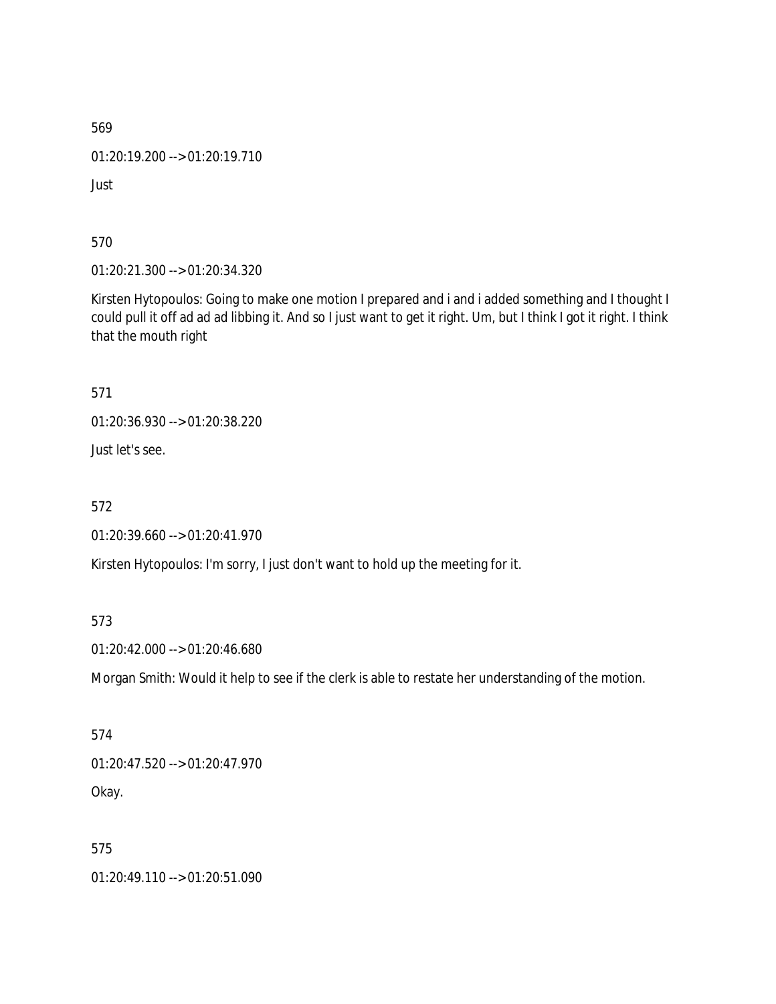01:20:19.200 --> 01:20:19.710

Just

570

01:20:21.300 --> 01:20:34.320

Kirsten Hytopoulos: Going to make one motion I prepared and i and i added something and I thought I could pull it off ad ad ad libbing it. And so I just want to get it right. Um, but I think I got it right. I think that the mouth right

571

01:20:36.930 --> 01:20:38.220

Just let's see.

572

01:20:39.660 --> 01:20:41.970

Kirsten Hytopoulos: I'm sorry, I just don't want to hold up the meeting for it.

573

01:20:42.000 --> 01:20:46.680

Morgan Smith: Would it help to see if the clerk is able to restate her understanding of the motion.

574 01:20:47.520 --> 01:20:47.970 Okay.

575

01:20:49.110 --> 01:20:51.090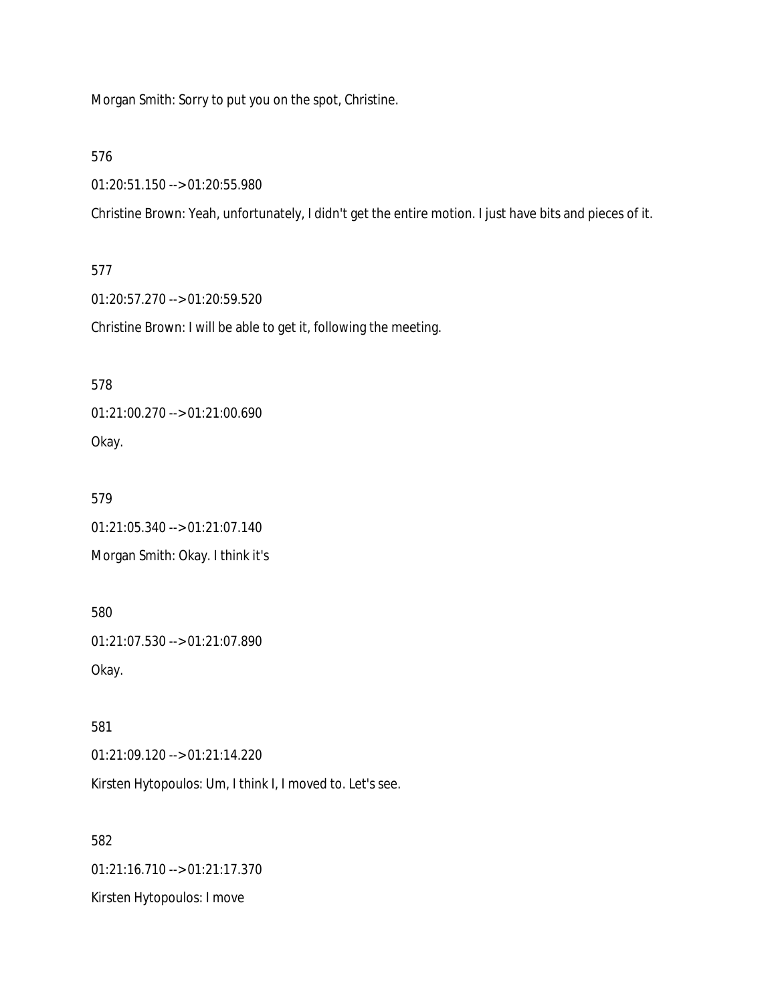Morgan Smith: Sorry to put you on the spot, Christine.

576

01:20:51.150 --> 01:20:55.980

Christine Brown: Yeah, unfortunately, I didn't get the entire motion. I just have bits and pieces of it.

577

01:20:57.270 --> 01:20:59.520

Christine Brown: I will be able to get it, following the meeting.

578

01:21:00.270 --> 01:21:00.690 Okay.

579 01:21:05.340 --> 01:21:07.140

Morgan Smith: Okay. I think it's

580 01:21:07.530 --> 01:21:07.890 Okay.

581 01:21:09.120 --> 01:21:14.220

Kirsten Hytopoulos: Um, I think I, I moved to. Let's see.

582 01:21:16.710 --> 01:21:17.370 Kirsten Hytopoulos: I move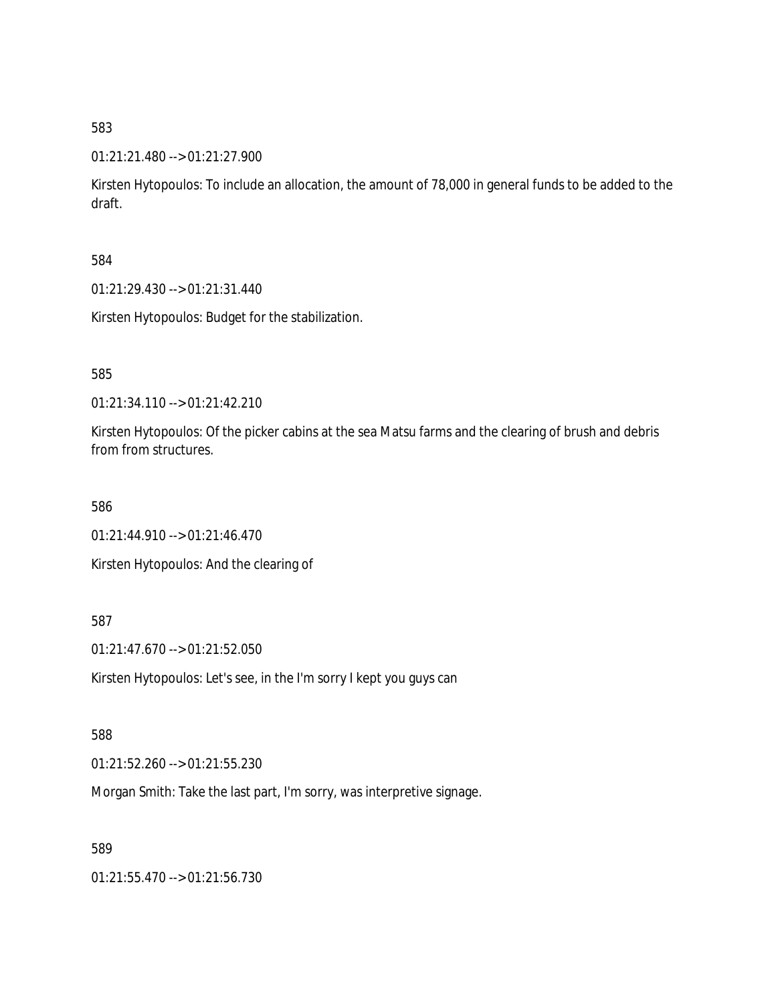01:21:21.480 --> 01:21:27.900

Kirsten Hytopoulos: To include an allocation, the amount of 78,000 in general funds to be added to the draft.

584

01:21:29.430 --> 01:21:31.440

Kirsten Hytopoulos: Budget for the stabilization.

585

01:21:34.110 --> 01:21:42.210

Kirsten Hytopoulos: Of the picker cabins at the sea Matsu farms and the clearing of brush and debris from from structures.

586

01:21:44.910 --> 01:21:46.470

Kirsten Hytopoulos: And the clearing of

587

01:21:47.670 --> 01:21:52.050

Kirsten Hytopoulos: Let's see, in the I'm sorry I kept you guys can

588

01:21:52.260 --> 01:21:55.230

Morgan Smith: Take the last part, I'm sorry, was interpretive signage.

589

01:21:55.470 --> 01:21:56.730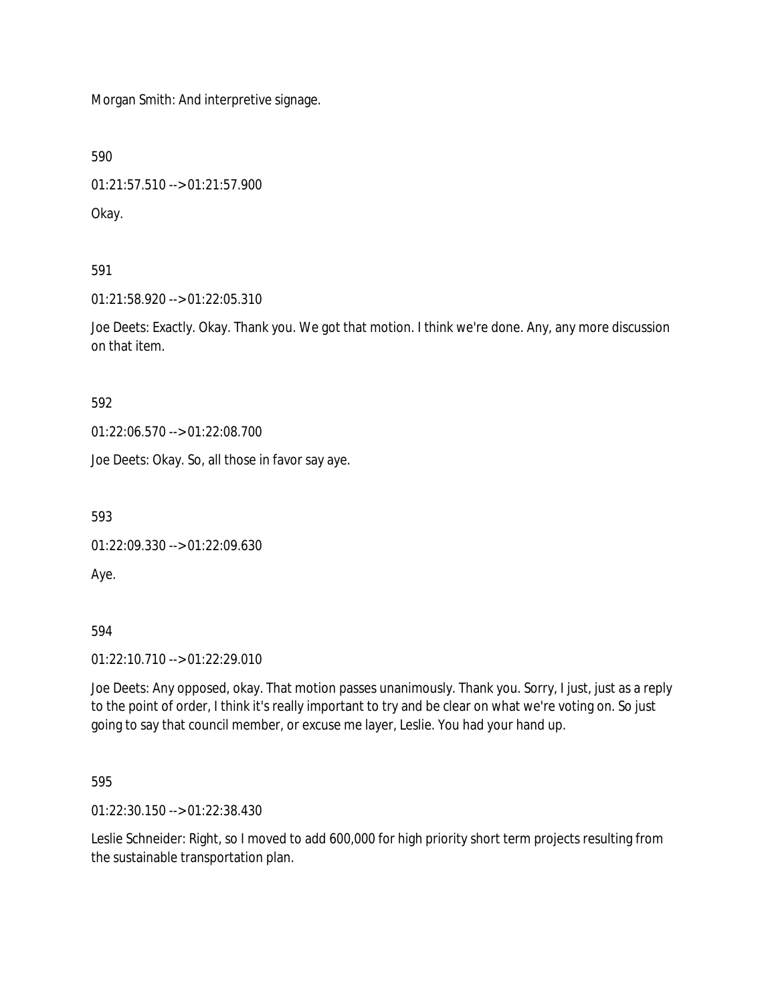Morgan Smith: And interpretive signage.

590

01:21:57.510 --> 01:21:57.900

Okay.

591

01:21:58.920 --> 01:22:05.310

Joe Deets: Exactly. Okay. Thank you. We got that motion. I think we're done. Any, any more discussion on that item.

592

01:22:06.570 --> 01:22:08.700

Joe Deets: Okay. So, all those in favor say aye.

593

01:22:09.330 --> 01:22:09.630

Aye.

594

01:22:10.710 --> 01:22:29.010

Joe Deets: Any opposed, okay. That motion passes unanimously. Thank you. Sorry, I just, just as a reply to the point of order, I think it's really important to try and be clear on what we're voting on. So just going to say that council member, or excuse me layer, Leslie. You had your hand up.

595

01:22:30.150 --> 01:22:38.430

Leslie Schneider: Right, so I moved to add 600,000 for high priority short term projects resulting from the sustainable transportation plan.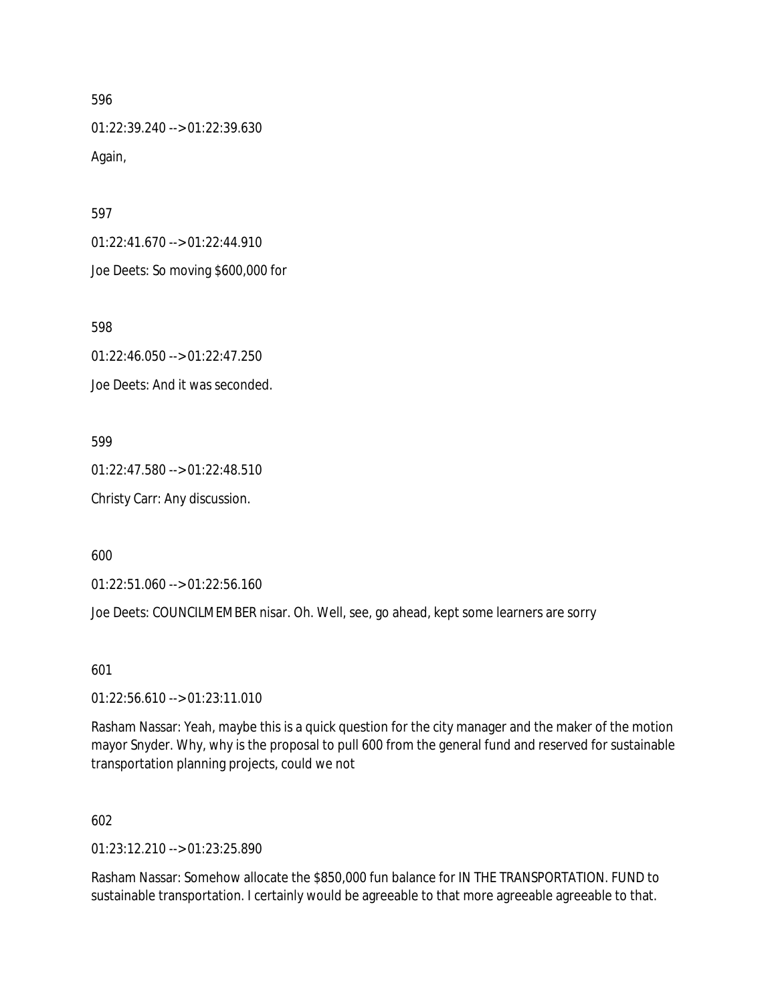01:22:39.240 --> 01:22:39.630 Again,

597

01:22:41.670 --> 01:22:44.910

Joe Deets: So moving \$600,000 for

598

01:22:46.050 --> 01:22:47.250

Joe Deets: And it was seconded.

599

01:22:47.580 --> 01:22:48.510

Christy Carr: Any discussion.

600

01:22:51.060 --> 01:22:56.160

Joe Deets: COUNCILMEMBER nisar. Oh. Well, see, go ahead, kept some learners are sorry

601

01:22:56.610 --> 01:23:11.010

Rasham Nassar: Yeah, maybe this is a quick question for the city manager and the maker of the motion mayor Snyder. Why, why is the proposal to pull 600 from the general fund and reserved for sustainable transportation planning projects, could we not

602

01:23:12.210 --> 01:23:25.890

Rasham Nassar: Somehow allocate the \$850,000 fun balance for IN THE TRANSPORTATION. FUND to sustainable transportation. I certainly would be agreeable to that more agreeable agreeable to that.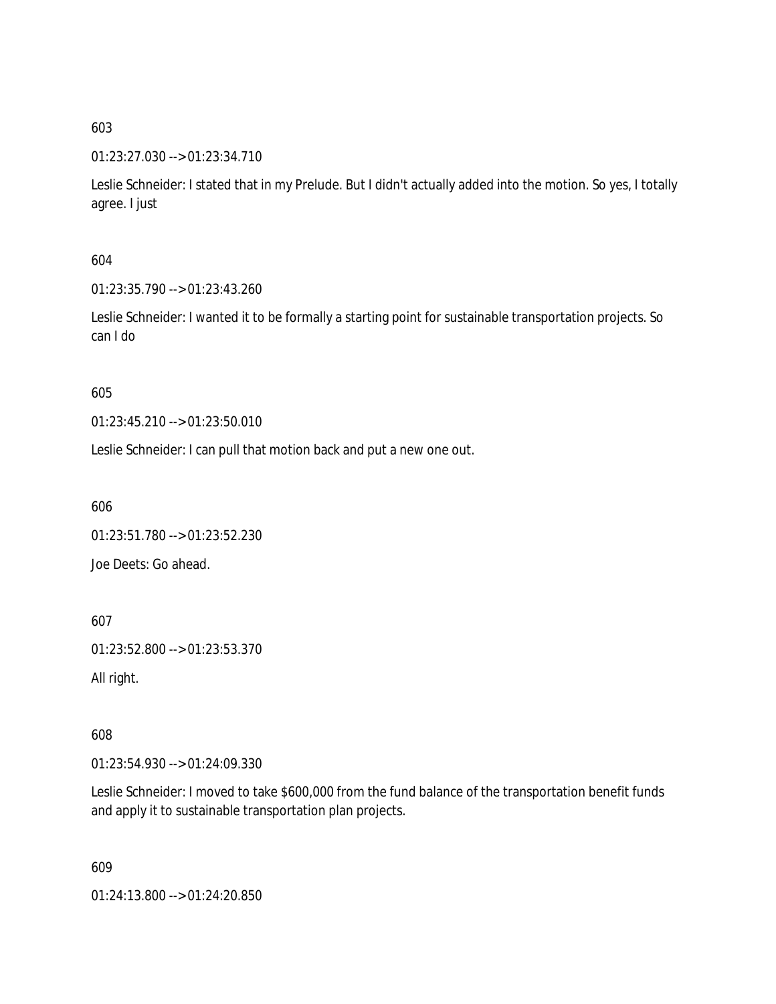# 01:23:27.030 --> 01:23:34.710

Leslie Schneider: I stated that in my Prelude. But I didn't actually added into the motion. So yes, I totally agree. I just

# 604

01:23:35.790 --> 01:23:43.260

Leslie Schneider: I wanted it to be formally a starting point for sustainable transportation projects. So can I do

# 605

01:23:45.210 --> 01:23:50.010

Leslie Schneider: I can pull that motion back and put a new one out.

606

01:23:51.780 --> 01:23:52.230 Joe Deets: Go ahead.

607

01:23:52.800 --> 01:23:53.370

All right.

608

01:23:54.930 --> 01:24:09.330

Leslie Schneider: I moved to take \$600,000 from the fund balance of the transportation benefit funds and apply it to sustainable transportation plan projects.

609

01:24:13.800 --> 01:24:20.850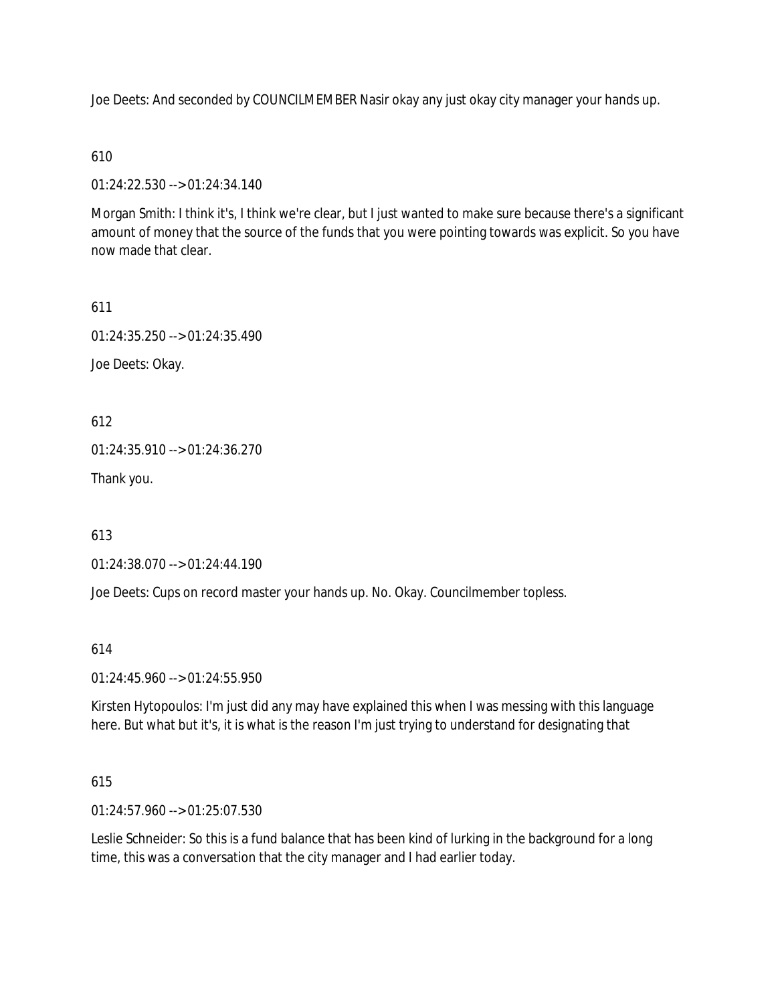Joe Deets: And seconded by COUNCILMEMBER Nasir okay any just okay city manager your hands up.

610

01:24:22.530 --> 01:24:34.140

Morgan Smith: I think it's, I think we're clear, but I just wanted to make sure because there's a significant amount of money that the source of the funds that you were pointing towards was explicit. So you have now made that clear.

611 01:24:35.250 --> 01:24:35.490 Joe Deets: Okay.

612

01:24:35.910 --> 01:24:36.270

Thank you.

613

01:24:38.070 --> 01:24:44.190

Joe Deets: Cups on record master your hands up. No. Okay. Councilmember topless.

614

01:24:45.960 --> 01:24:55.950

Kirsten Hytopoulos: I'm just did any may have explained this when I was messing with this language here. But what but it's, it is what is the reason I'm just trying to understand for designating that

615

01:24:57.960 --> 01:25:07.530

Leslie Schneider: So this is a fund balance that has been kind of lurking in the background for a long time, this was a conversation that the city manager and I had earlier today.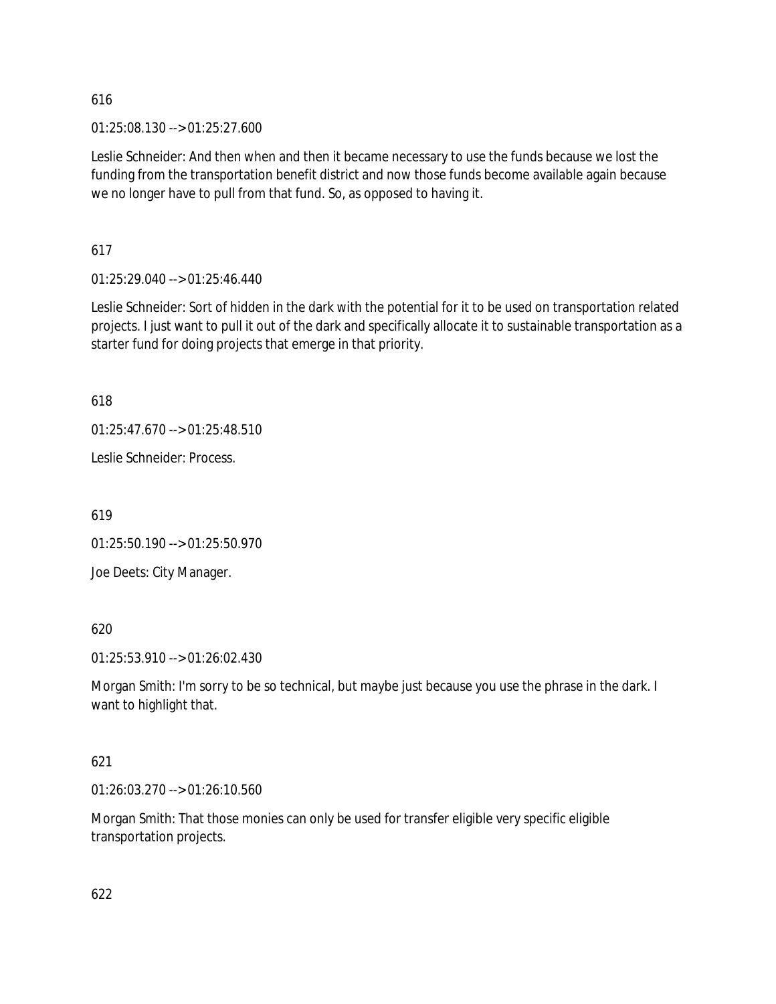01:25:08.130 --> 01:25:27.600

Leslie Schneider: And then when and then it became necessary to use the funds because we lost the funding from the transportation benefit district and now those funds become available again because we no longer have to pull from that fund. So, as opposed to having it.

617

01:25:29.040 --> 01:25:46.440

Leslie Schneider: Sort of hidden in the dark with the potential for it to be used on transportation related projects. I just want to pull it out of the dark and specifically allocate it to sustainable transportation as a starter fund for doing projects that emerge in that priority.

618

 $01:25:47.670 \rightarrow 01:25:48.510$ 

Leslie Schneider: Process.

619

01:25:50.190 --> 01:25:50.970

Joe Deets: City Manager.

620

01:25:53.910 --> 01:26:02.430

Morgan Smith: I'm sorry to be so technical, but maybe just because you use the phrase in the dark. I want to highlight that.

621

01:26:03.270 --> 01:26:10.560

Morgan Smith: That those monies can only be used for transfer eligible very specific eligible transportation projects.

622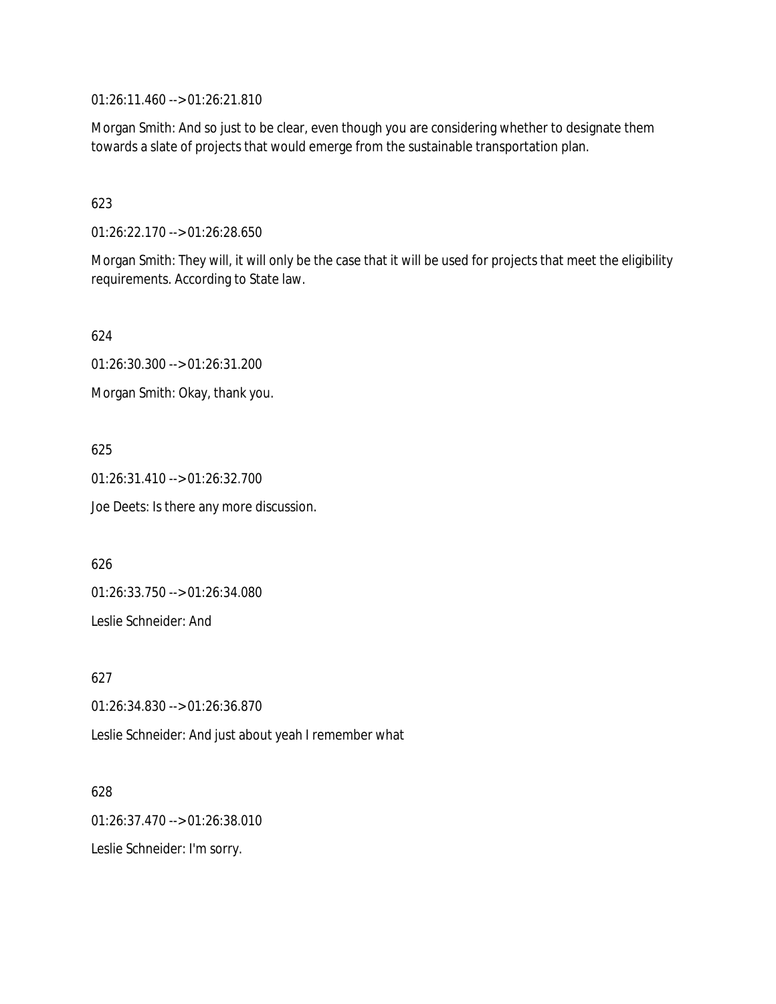01:26:11.460 --> 01:26:21.810

Morgan Smith: And so just to be clear, even though you are considering whether to designate them towards a slate of projects that would emerge from the sustainable transportation plan.

# 623

01:26:22.170 --> 01:26:28.650

Morgan Smith: They will, it will only be the case that it will be used for projects that meet the eligibility requirements. According to State law.

624

01:26:30.300 --> 01:26:31.200

Morgan Smith: Okay, thank you.

625

01:26:31.410 --> 01:26:32.700 Joe Deets: Is there any more discussion.

626

01:26:33.750 --> 01:26:34.080

Leslie Schneider: And

627

01:26:34.830 --> 01:26:36.870

Leslie Schneider: And just about yeah I remember what

628

01:26:37.470 --> 01:26:38.010

Leslie Schneider: I'm sorry.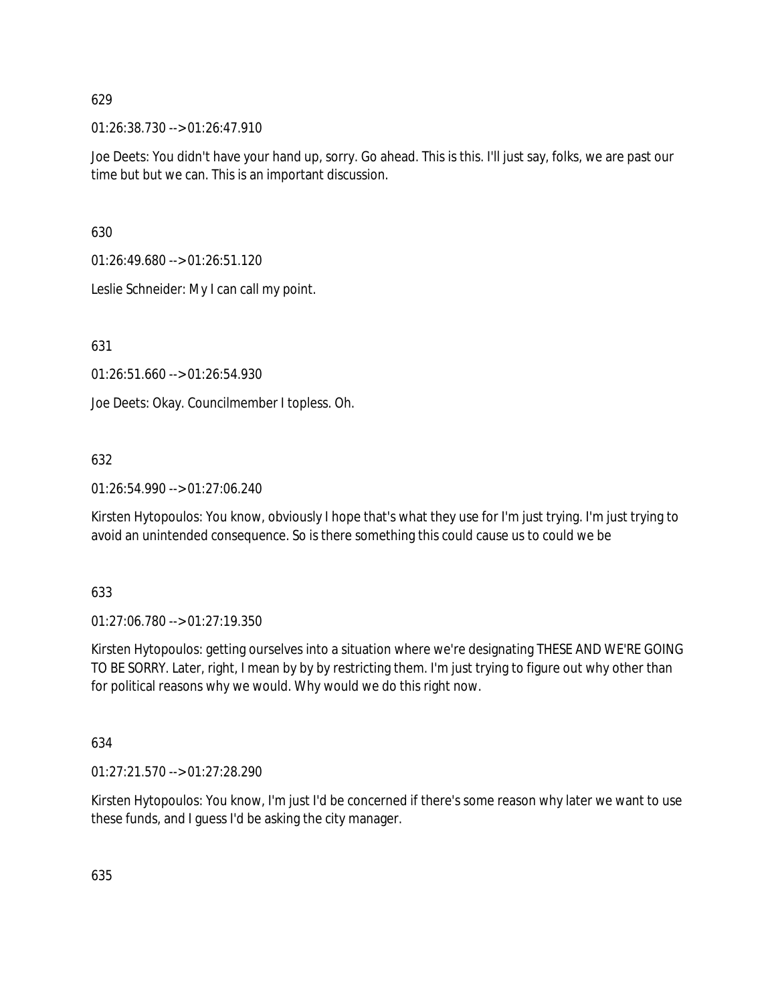01:26:38.730 --> 01:26:47.910

Joe Deets: You didn't have your hand up, sorry. Go ahead. This is this. I'll just say, folks, we are past our time but but we can. This is an important discussion.

630

01:26:49.680 --> 01:26:51.120

Leslie Schneider: My I can call my point.

631

01:26:51.660 --> 01:26:54.930

Joe Deets: Okay. Councilmember I topless. Oh.

# 632

01:26:54.990 --> 01:27:06.240

Kirsten Hytopoulos: You know, obviously I hope that's what they use for I'm just trying. I'm just trying to avoid an unintended consequence. So is there something this could cause us to could we be

# 633

01:27:06.780 --> 01:27:19.350

Kirsten Hytopoulos: getting ourselves into a situation where we're designating THESE AND WE'RE GOING TO BE SORRY. Later, right, I mean by by by restricting them. I'm just trying to figure out why other than for political reasons why we would. Why would we do this right now.

634

01:27:21.570 --> 01:27:28.290

Kirsten Hytopoulos: You know, I'm just I'd be concerned if there's some reason why later we want to use these funds, and I guess I'd be asking the city manager.

635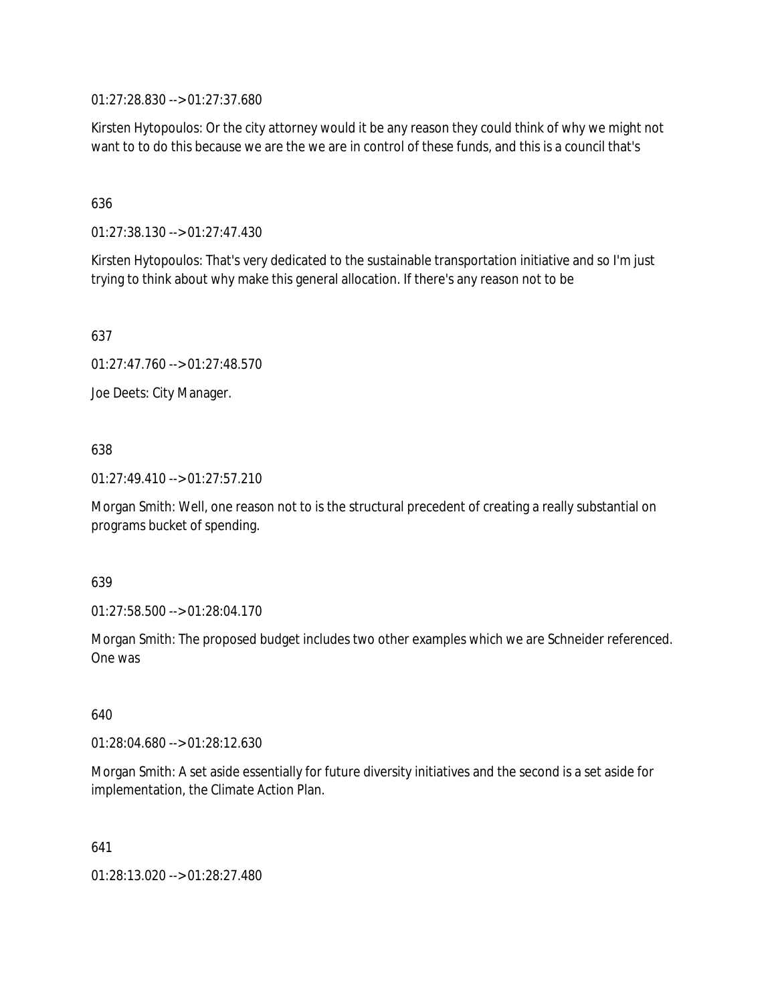01:27:28.830 --> 01:27:37.680

Kirsten Hytopoulos: Or the city attorney would it be any reason they could think of why we might not want to to do this because we are the we are in control of these funds, and this is a council that's

# 636

01:27:38.130 --> 01:27:47.430

Kirsten Hytopoulos: That's very dedicated to the sustainable transportation initiative and so I'm just trying to think about why make this general allocation. If there's any reason not to be

637

01:27:47.760 --> 01:27:48.570

Joe Deets: City Manager.

# 638

01:27:49.410 --> 01:27:57.210

Morgan Smith: Well, one reason not to is the structural precedent of creating a really substantial on programs bucket of spending.

# 639

01:27:58.500 --> 01:28:04.170

Morgan Smith: The proposed budget includes two other examples which we are Schneider referenced. One was

640

01:28:04.680 --> 01:28:12.630

Morgan Smith: A set aside essentially for future diversity initiatives and the second is a set aside for implementation, the Climate Action Plan.

641

01:28:13.020 --> 01:28:27.480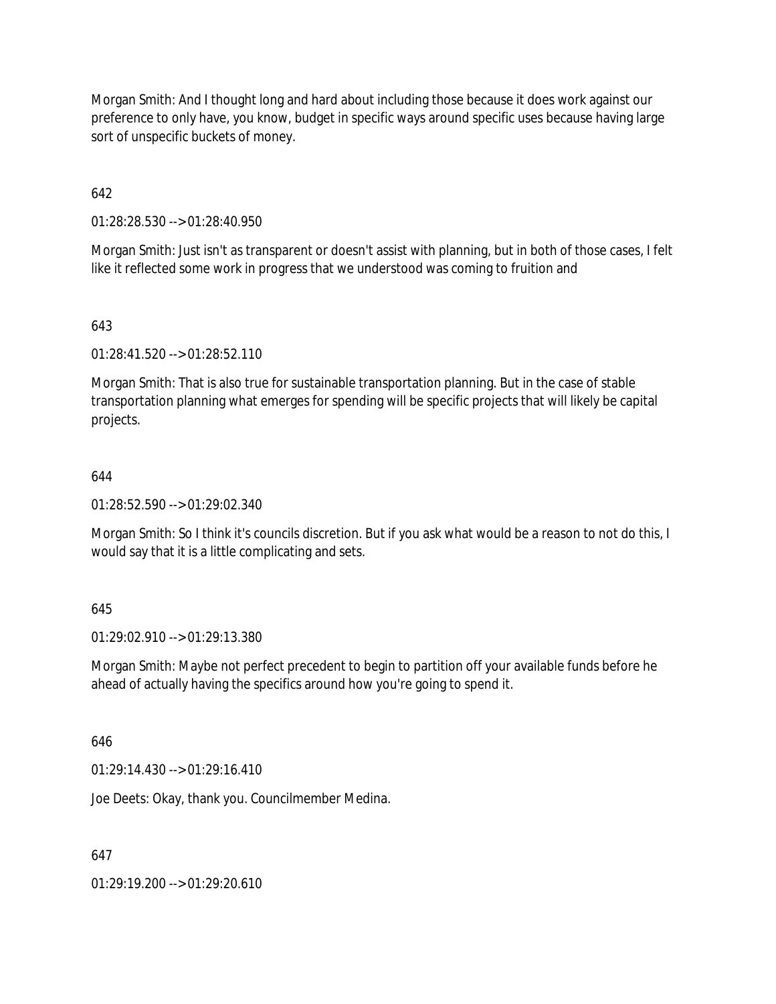Morgan Smith: And I thought long and hard about including those because it does work against our preference to only have, you know, budget in specific ways around specific uses because having large sort of unspecific buckets of money.

642

01:28:28.530 --> 01:28:40.950

Morgan Smith: Just isn't as transparent or doesn't assist with planning, but in both of those cases, I felt like it reflected some work in progress that we understood was coming to fruition and

# 643

01:28:41.520 --> 01:28:52.110

Morgan Smith: That is also true for sustainable transportation planning. But in the case of stable transportation planning what emerges for spending will be specific projects that will likely be capital projects.

# 644

01:28:52.590 --> 01:29:02.340

Morgan Smith: So I think it's councils discretion. But if you ask what would be a reason to not do this, I would say that it is a little complicating and sets.

# 645

01:29:02.910 --> 01:29:13.380

Morgan Smith: Maybe not perfect precedent to begin to partition off your available funds before he ahead of actually having the specifics around how you're going to spend it.

# 646

01:29:14.430 --> 01:29:16.410

Joe Deets: Okay, thank you. Councilmember Medina.

# 647

01:29:19.200 --> 01:29:20.610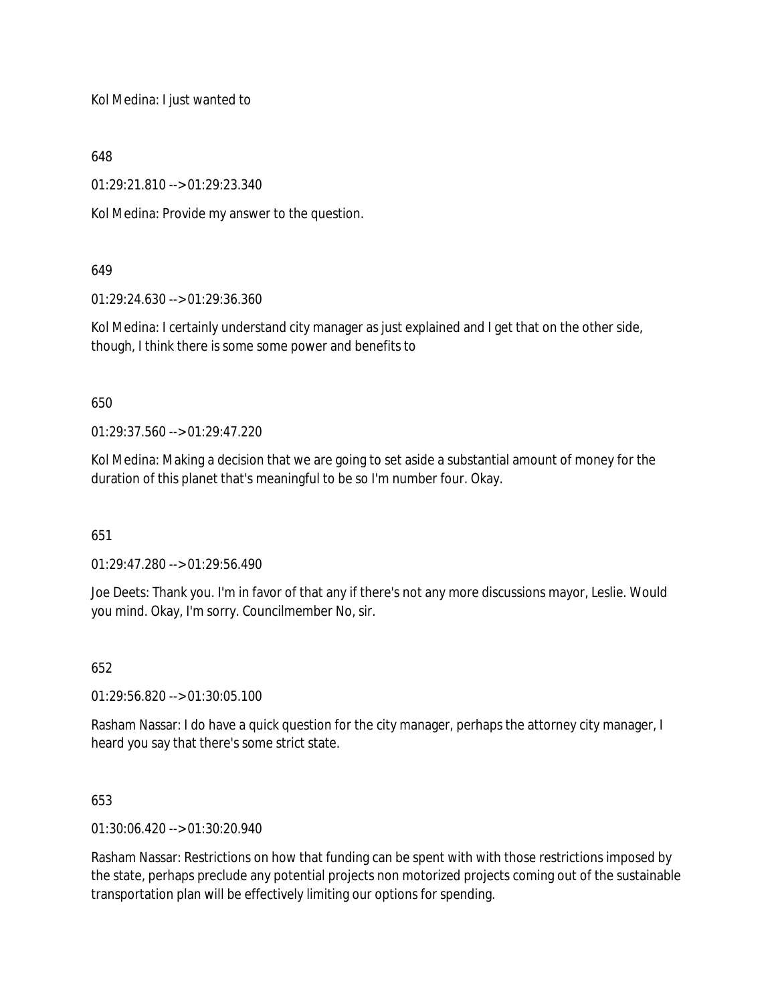Kol Medina: I just wanted to

648

01:29:21.810 --> 01:29:23.340

Kol Medina: Provide my answer to the question.

# 649

01:29:24.630 --> 01:29:36.360

Kol Medina: I certainly understand city manager as just explained and I get that on the other side, though, I think there is some some power and benefits to

650

01:29:37.560 --> 01:29:47.220

Kol Medina: Making a decision that we are going to set aside a substantial amount of money for the duration of this planet that's meaningful to be so I'm number four. Okay.

651

01:29:47.280 --> 01:29:56.490

Joe Deets: Thank you. I'm in favor of that any if there's not any more discussions mayor, Leslie. Would you mind. Okay, I'm sorry. Councilmember No, sir.

652

01:29:56.820 --> 01:30:05.100

Rasham Nassar: I do have a quick question for the city manager, perhaps the attorney city manager, I heard you say that there's some strict state.

653

01:30:06.420 --> 01:30:20.940

Rasham Nassar: Restrictions on how that funding can be spent with with those restrictions imposed by the state, perhaps preclude any potential projects non motorized projects coming out of the sustainable transportation plan will be effectively limiting our options for spending.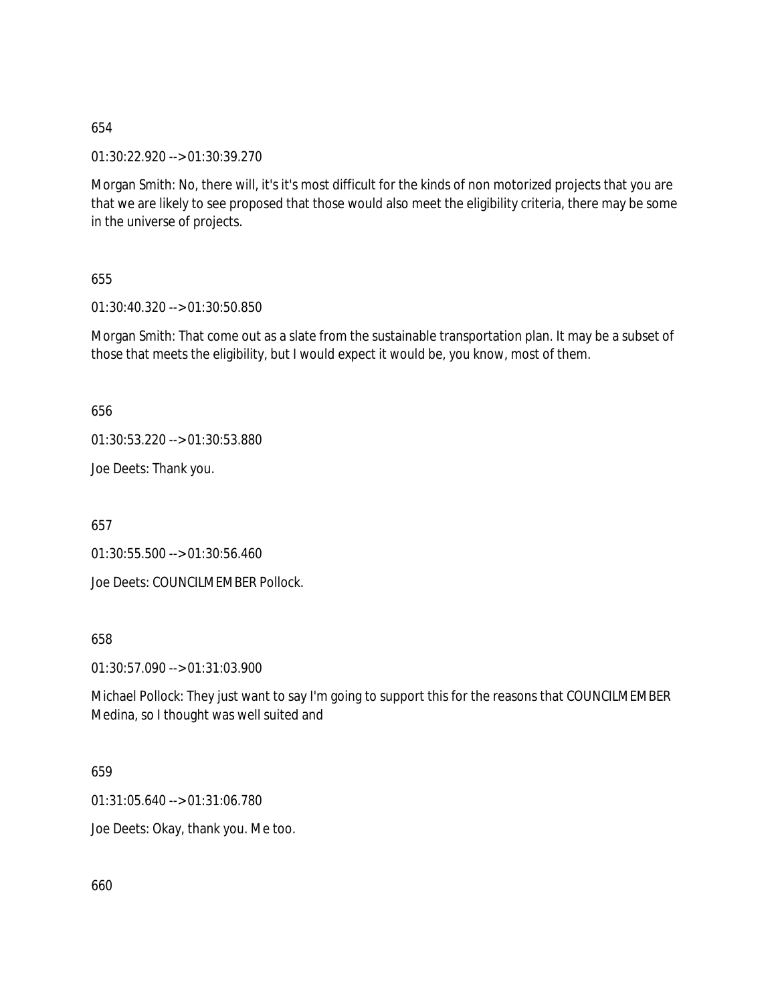01:30:22.920 --> 01:30:39.270

Morgan Smith: No, there will, it's it's most difficult for the kinds of non motorized projects that you are that we are likely to see proposed that those would also meet the eligibility criteria, there may be some in the universe of projects.

655

01:30:40.320 --> 01:30:50.850

Morgan Smith: That come out as a slate from the sustainable transportation plan. It may be a subset of those that meets the eligibility, but I would expect it would be, you know, most of them.

656

01:30:53.220 --> 01:30:53.880

Joe Deets: Thank you.

657

01:30:55.500 --> 01:30:56.460

Joe Deets: COUNCILMEMBER Pollock.

658

01:30:57.090 --> 01:31:03.900

Michael Pollock: They just want to say I'm going to support this for the reasons that COUNCILMEMBER Medina, so I thought was well suited and

659

01:31:05.640 --> 01:31:06.780

Joe Deets: Okay, thank you. Me too.

660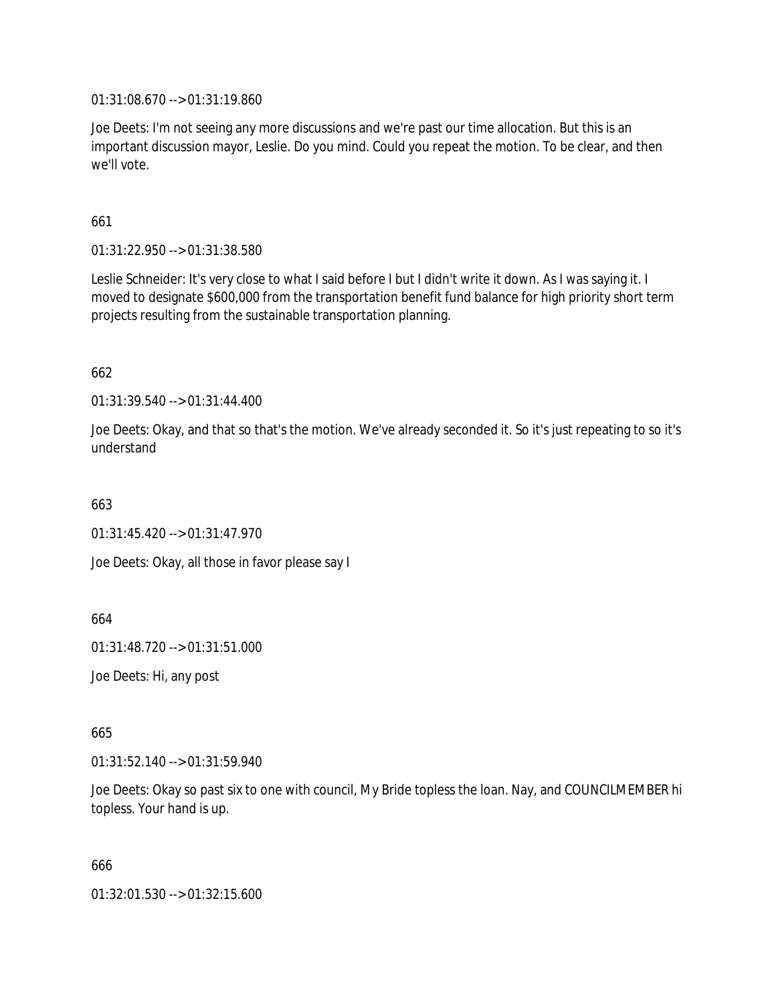01:31:08.670 --> 01:31:19.860

Joe Deets: I'm not seeing any more discussions and we're past our time allocation. But this is an important discussion mayor, Leslie. Do you mind. Could you repeat the motion. To be clear, and then we'll vote.

661

01:31:22.950 --> 01:31:38.580

Leslie Schneider: It's very close to what I said before I but I didn't write it down. As I was saying it. I moved to designate \$600,000 from the transportation benefit fund balance for high priority short term projects resulting from the sustainable transportation planning.

662

01:31:39.540 --> 01:31:44.400

Joe Deets: Okay, and that so that's the motion. We've already seconded it. So it's just repeating to so it's understand

663

 $01:31:45.420 \rightarrow 01:31:47.970$ 

Joe Deets: Okay, all those in favor please say I

664

01:31:48.720 --> 01:31:51.000

Joe Deets: Hi, any post

665

01:31:52.140 --> 01:31:59.940

Joe Deets: Okay so past six to one with council, My Bride topless the loan. Nay, and COUNCILMEMBER hi topless. Your hand is up.

666

01:32:01.530 --> 01:32:15.600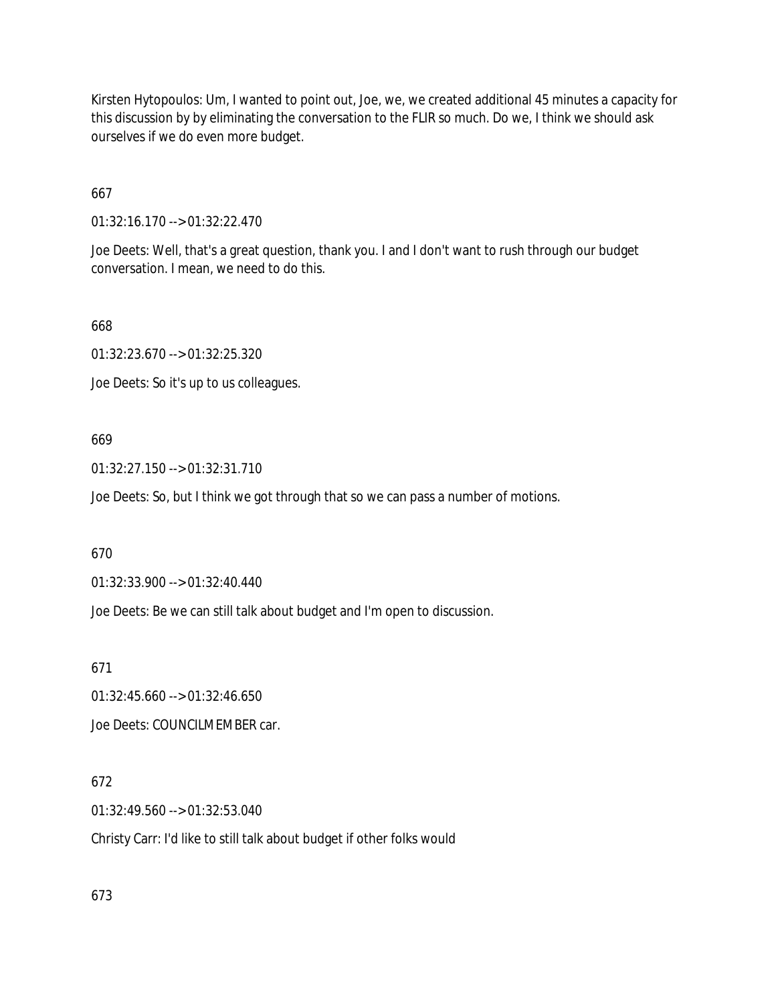Kirsten Hytopoulos: Um, I wanted to point out, Joe, we, we created additional 45 minutes a capacity for this discussion by by eliminating the conversation to the FLIR so much. Do we, I think we should ask ourselves if we do even more budget.

667

01:32:16.170 --> 01:32:22.470

Joe Deets: Well, that's a great question, thank you. I and I don't want to rush through our budget conversation. I mean, we need to do this.

668

01:32:23.670 --> 01:32:25.320

Joe Deets: So it's up to us colleagues.

#### 669

01:32:27.150 --> 01:32:31.710

Joe Deets: So, but I think we got through that so we can pass a number of motions.

670

01:32:33.900 --> 01:32:40.440

Joe Deets: Be we can still talk about budget and I'm open to discussion.

671

01:32:45.660 --> 01:32:46.650 Joe Deets: COUNCILMEMBER car.

# 672

01:32:49.560 --> 01:32:53.040

Christy Carr: I'd like to still talk about budget if other folks would

673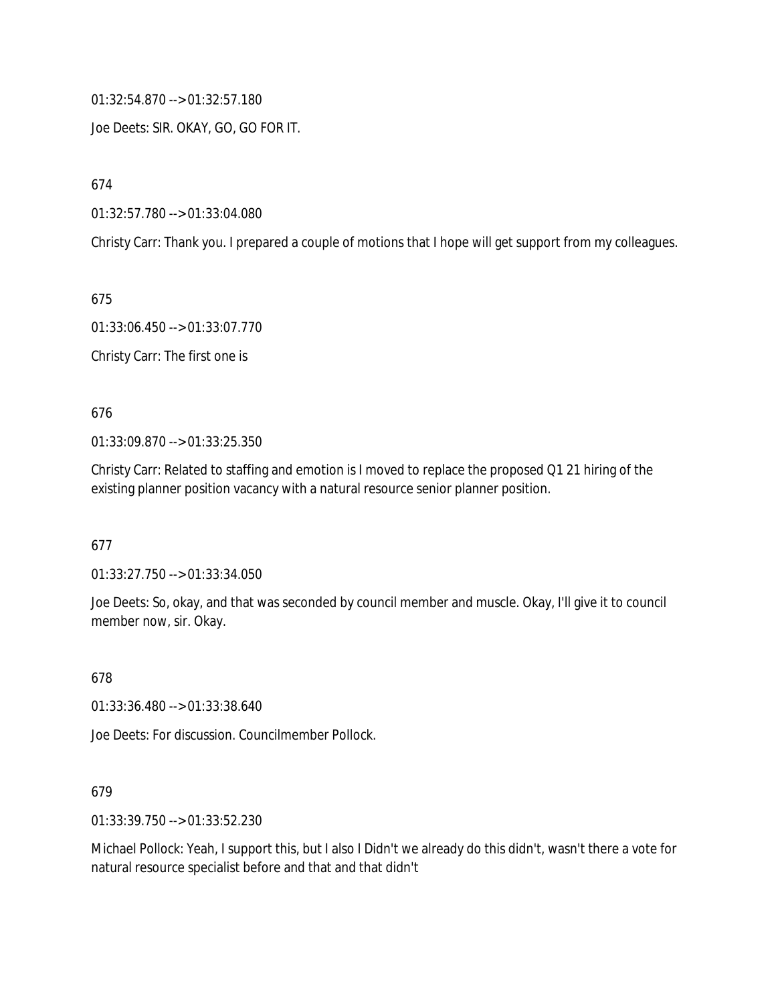01:32:54.870 --> 01:32:57.180

Joe Deets: SIR. OKAY, GO, GO FOR IT.

674

01:32:57.780 --> 01:33:04.080

Christy Carr: Thank you. I prepared a couple of motions that I hope will get support from my colleagues.

675

01:33:06.450 --> 01:33:07.770

Christy Carr: The first one is

676

01:33:09.870 --> 01:33:25.350

Christy Carr: Related to staffing and emotion is I moved to replace the proposed Q1 21 hiring of the existing planner position vacancy with a natural resource senior planner position.

677

01:33:27.750 --> 01:33:34.050

Joe Deets: So, okay, and that was seconded by council member and muscle. Okay, I'll give it to council member now, sir. Okay.

678

01:33:36.480 --> 01:33:38.640

Joe Deets: For discussion. Councilmember Pollock.

679

01:33:39.750 --> 01:33:52.230

Michael Pollock: Yeah, I support this, but I also I Didn't we already do this didn't, wasn't there a vote for natural resource specialist before and that and that didn't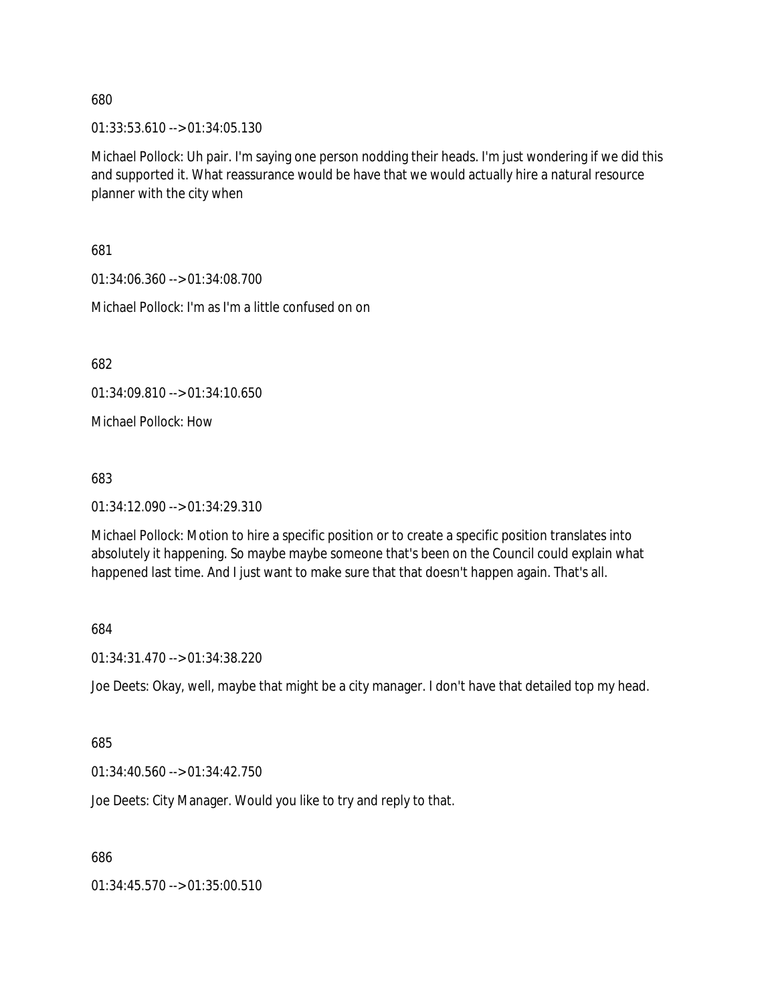01:33:53.610 --> 01:34:05.130

Michael Pollock: Uh pair. I'm saying one person nodding their heads. I'm just wondering if we did this and supported it. What reassurance would be have that we would actually hire a natural resource planner with the city when

681

01:34:06.360 --> 01:34:08.700

Michael Pollock: I'm as I'm a little confused on on

682

01:34:09.810 --> 01:34:10.650

Michael Pollock: How

683

01:34:12.090 --> 01:34:29.310

Michael Pollock: Motion to hire a specific position or to create a specific position translates into absolutely it happening. So maybe maybe someone that's been on the Council could explain what happened last time. And I just want to make sure that that doesn't happen again. That's all.

684

01:34:31.470 --> 01:34:38.220

Joe Deets: Okay, well, maybe that might be a city manager. I don't have that detailed top my head.

685

01:34:40.560 --> 01:34:42.750

Joe Deets: City Manager. Would you like to try and reply to that.

686

01:34:45.570 --> 01:35:00.510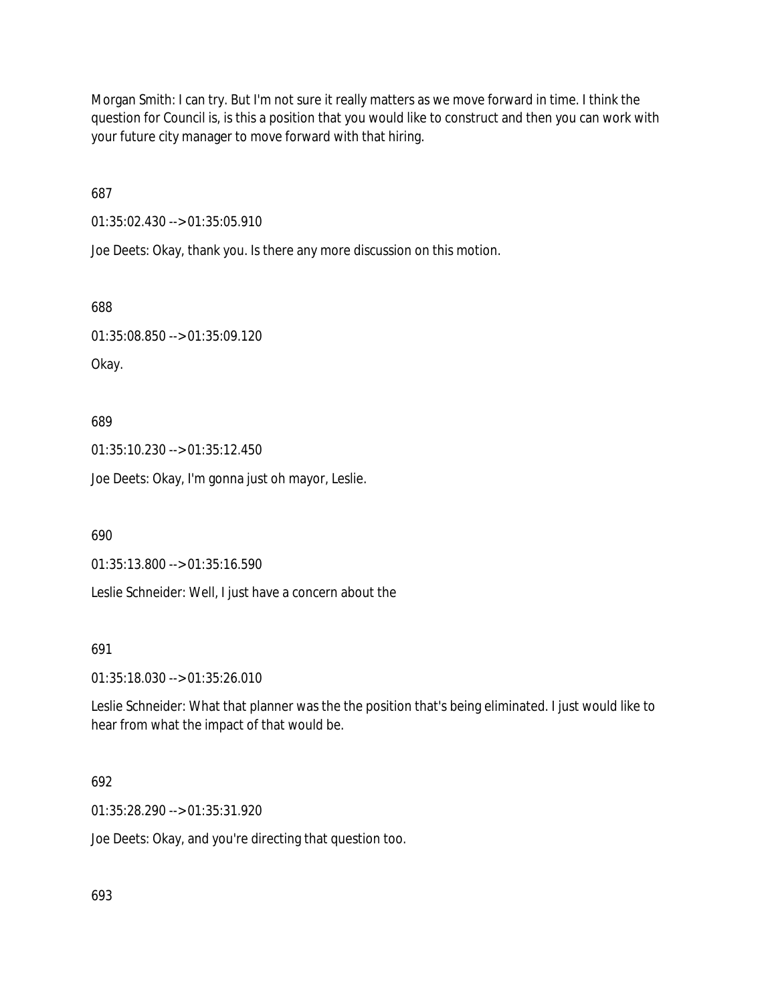Morgan Smith: I can try. But I'm not sure it really matters as we move forward in time. I think the question for Council is, is this a position that you would like to construct and then you can work with your future city manager to move forward with that hiring.

687

01:35:02.430 --> 01:35:05.910

Joe Deets: Okay, thank you. Is there any more discussion on this motion.

688

01:35:08.850 --> 01:35:09.120

Okay.

689

01:35:10.230 --> 01:35:12.450

Joe Deets: Okay, I'm gonna just oh mayor, Leslie.

690

01:35:13.800 --> 01:35:16.590

Leslie Schneider: Well, I just have a concern about the

691

01:35:18.030 --> 01:35:26.010

Leslie Schneider: What that planner was the the position that's being eliminated. I just would like to hear from what the impact of that would be.

## 692

01:35:28.290 --> 01:35:31.920

Joe Deets: Okay, and you're directing that question too.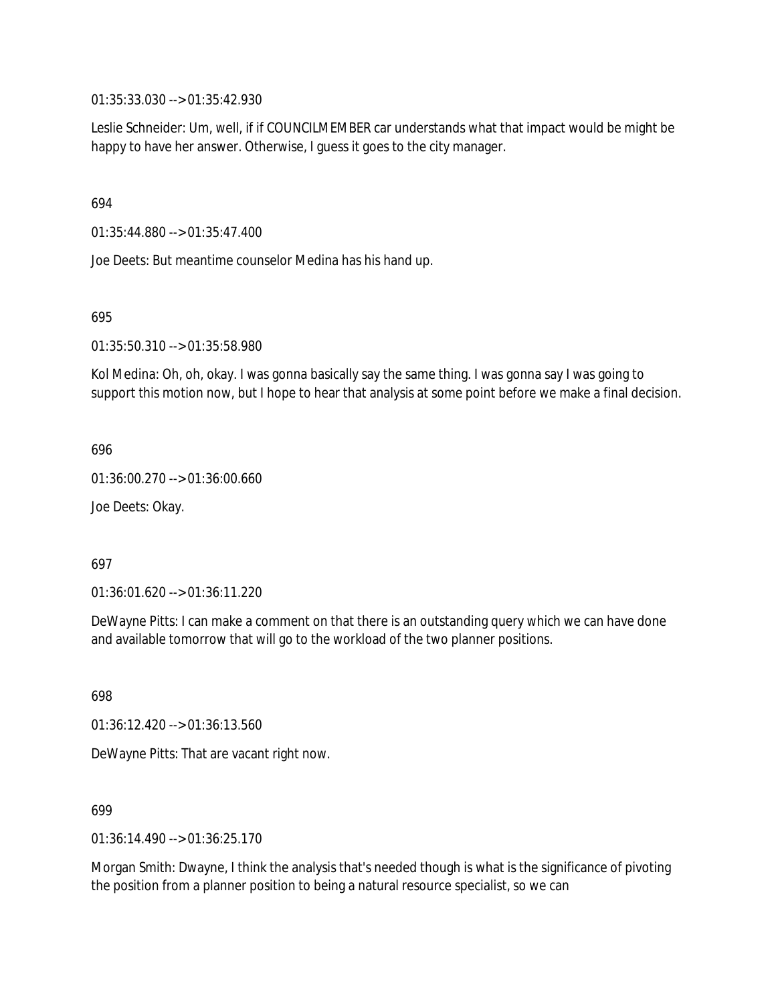01:35:33.030 --> 01:35:42.930

Leslie Schneider: Um, well, if if COUNCILMEMBER car understands what that impact would be might be happy to have her answer. Otherwise, I guess it goes to the city manager.

694

01:35:44.880 --> 01:35:47.400

Joe Deets: But meantime counselor Medina has his hand up.

695

01:35:50.310 --> 01:35:58.980

Kol Medina: Oh, oh, okay. I was gonna basically say the same thing. I was gonna say I was going to support this motion now, but I hope to hear that analysis at some point before we make a final decision.

696

01:36:00.270 --> 01:36:00.660

Joe Deets: Okay.

697

01:36:01.620 --> 01:36:11.220

DeWayne Pitts: I can make a comment on that there is an outstanding query which we can have done and available tomorrow that will go to the workload of the two planner positions.

698

01:36:12.420 --> 01:36:13.560

DeWayne Pitts: That are vacant right now.

699

01:36:14.490 --> 01:36:25.170

Morgan Smith: Dwayne, I think the analysis that's needed though is what is the significance of pivoting the position from a planner position to being a natural resource specialist, so we can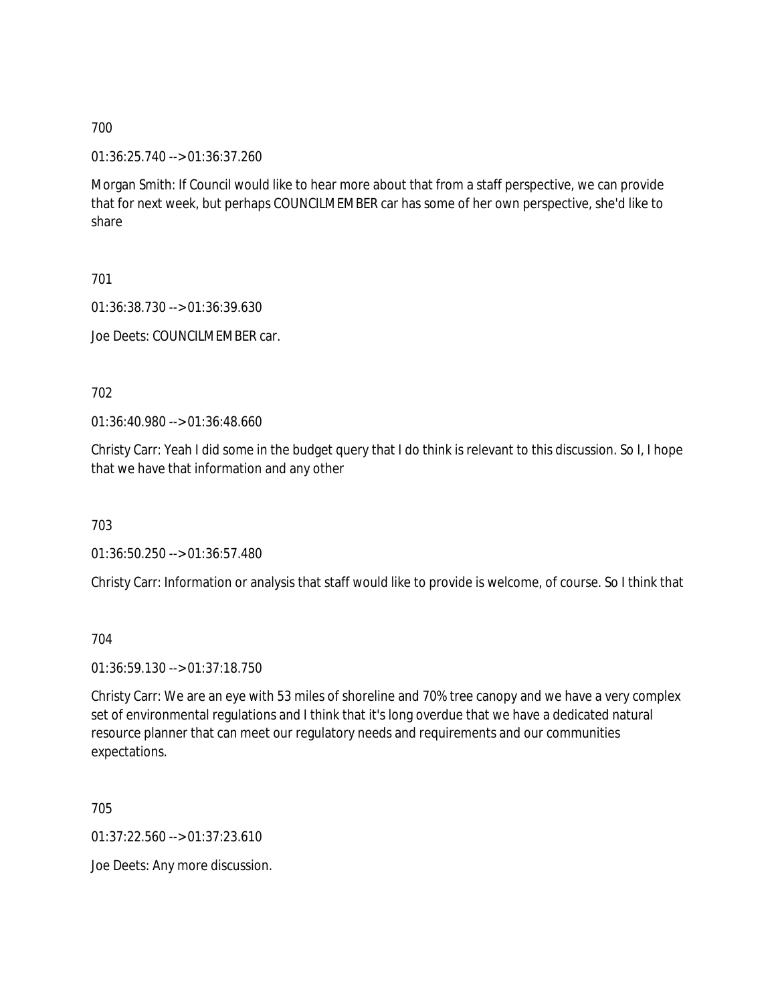01:36:25.740 --> 01:36:37.260

Morgan Smith: If Council would like to hear more about that from a staff perspective, we can provide that for next week, but perhaps COUNCILMEMBER car has some of her own perspective, she'd like to share

701

01:36:38.730 --> 01:36:39.630

Joe Deets: COUNCILMEMBER car.

702

01:36:40.980 --> 01:36:48.660

Christy Carr: Yeah I did some in the budget query that I do think is relevant to this discussion. So I, I hope that we have that information and any other

703

01:36:50.250 --> 01:36:57.480

Christy Carr: Information or analysis that staff would like to provide is welcome, of course. So I think that

704

01:36:59.130 --> 01:37:18.750

Christy Carr: We are an eye with 53 miles of shoreline and 70% tree canopy and we have a very complex set of environmental regulations and I think that it's long overdue that we have a dedicated natural resource planner that can meet our regulatory needs and requirements and our communities expectations.

705

01:37:22.560 --> 01:37:23.610

Joe Deets: Any more discussion.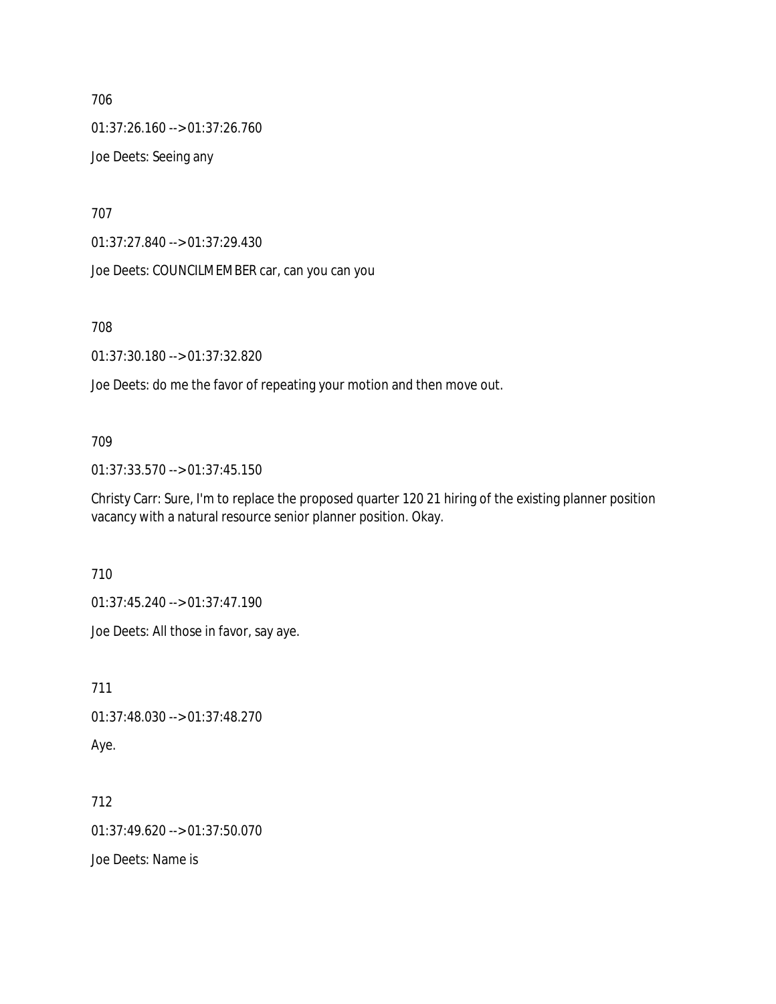706 01:37:26.160 --> 01:37:26.760 Joe Deets: Seeing any

707

01:37:27.840 --> 01:37:29.430

Joe Deets: COUNCILMEMBER car, can you can you

708

01:37:30.180 --> 01:37:32.820

Joe Deets: do me the favor of repeating your motion and then move out.

## 709

01:37:33.570 --> 01:37:45.150

Christy Carr: Sure, I'm to replace the proposed quarter 120 21 hiring of the existing planner position vacancy with a natural resource senior planner position. Okay.

710

01:37:45.240 --> 01:37:47.190

Joe Deets: All those in favor, say aye.

711

01:37:48.030 --> 01:37:48.270

Aye.

712

01:37:49.620 --> 01:37:50.070

Joe Deets: Name is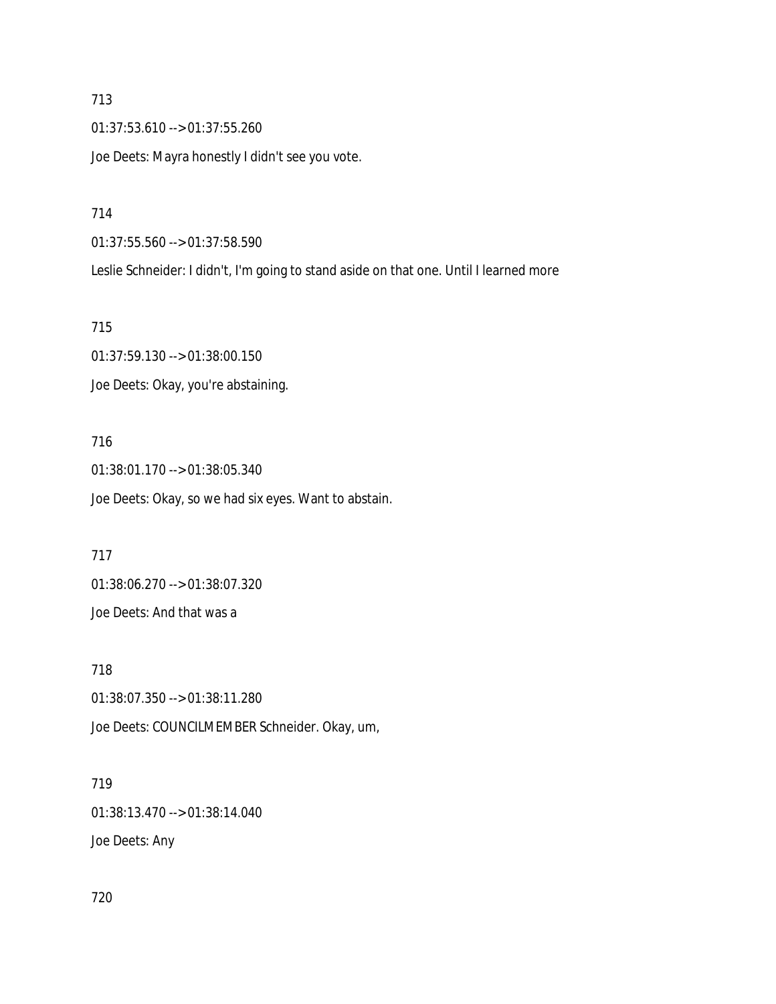713 01:37:53.610 --> 01:37:55.260 Joe Deets: Mayra honestly I didn't see you vote.

714

01:37:55.560 --> 01:37:58.590 Leslie Schneider: I didn't, I'm going to stand aside on that one. Until I learned more

715 01:37:59.130 --> 01:38:00.150 Joe Deets: Okay, you're abstaining.

716 01:38:01.170 --> 01:38:05.340 Joe Deets: Okay, so we had six eyes. Want to abstain.

717 01:38:06.270 --> 01:38:07.320 Joe Deets: And that was a

718 01:38:07.350 --> 01:38:11.280 Joe Deets: COUNCILMEMBER Schneider. Okay, um,

719 01:38:13.470 --> 01:38:14.040 Joe Deets: Any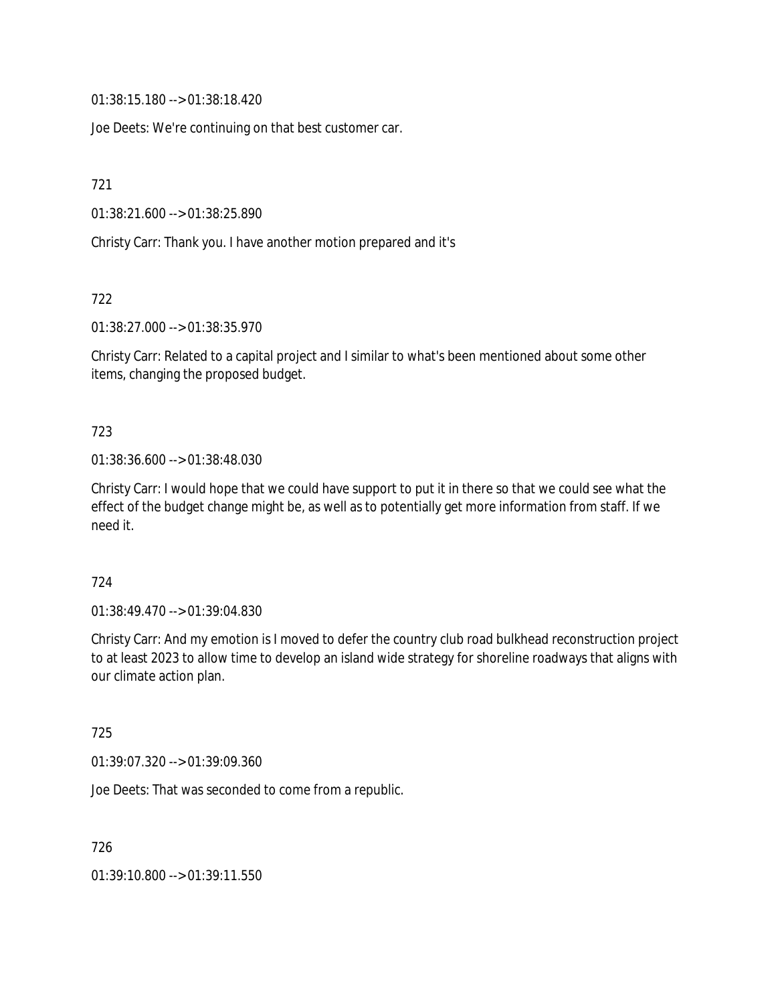01:38:15.180 --> 01:38:18.420

Joe Deets: We're continuing on that best customer car.

721

01:38:21.600 --> 01:38:25.890

Christy Carr: Thank you. I have another motion prepared and it's

722

01:38:27.000 --> 01:38:35.970

Christy Carr: Related to a capital project and I similar to what's been mentioned about some other items, changing the proposed budget.

### 723

01:38:36.600 --> 01:38:48.030

Christy Carr: I would hope that we could have support to put it in there so that we could see what the effect of the budget change might be, as well as to potentially get more information from staff. If we need it.

### 724

01:38:49.470 --> 01:39:04.830

Christy Carr: And my emotion is I moved to defer the country club road bulkhead reconstruction project to at least 2023 to allow time to develop an island wide strategy for shoreline roadways that aligns with our climate action plan.

725

01:39:07.320 --> 01:39:09.360

Joe Deets: That was seconded to come from a republic.

726

01:39:10.800 --> 01:39:11.550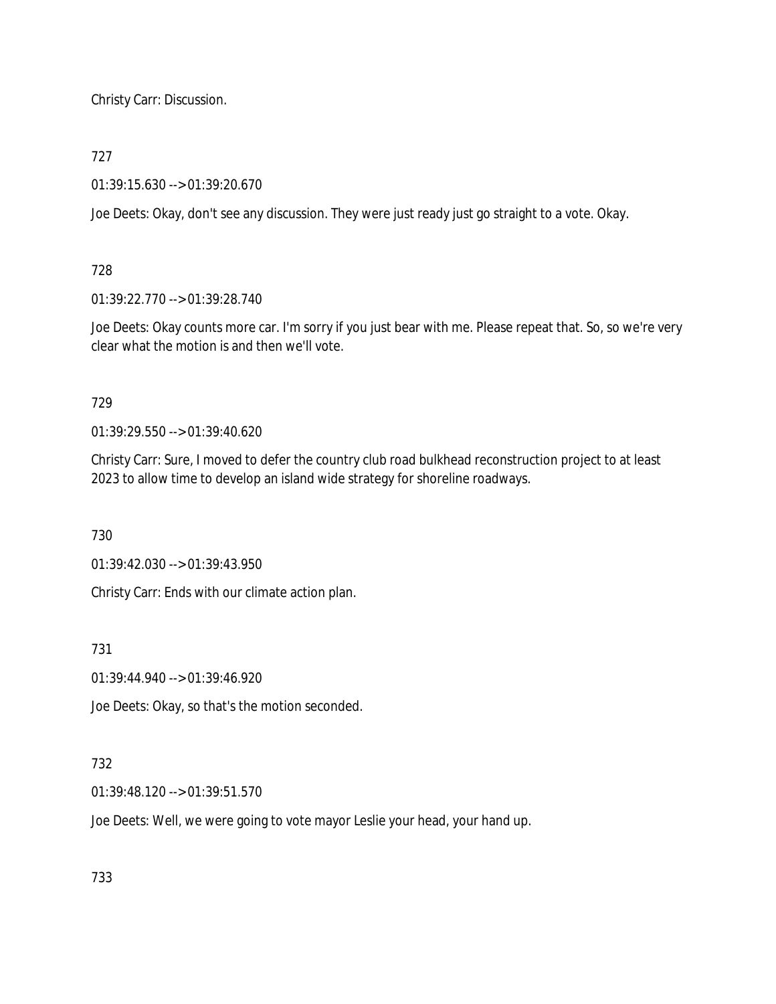Christy Carr: Discussion.

## 727

01:39:15.630 --> 01:39:20.670

Joe Deets: Okay, don't see any discussion. They were just ready just go straight to a vote. Okay.

## 728

01:39:22.770 --> 01:39:28.740

Joe Deets: Okay counts more car. I'm sorry if you just bear with me. Please repeat that. So, so we're very clear what the motion is and then we'll vote.

## 729

01:39:29.550 --> 01:39:40.620

Christy Carr: Sure, I moved to defer the country club road bulkhead reconstruction project to at least 2023 to allow time to develop an island wide strategy for shoreline roadways.

730

01:39:42.030 --> 01:39:43.950

Christy Carr: Ends with our climate action plan.

731

01:39:44.940 --> 01:39:46.920

Joe Deets: Okay, so that's the motion seconded.

## 732

01:39:48.120 --> 01:39:51.570

Joe Deets: Well, we were going to vote mayor Leslie your head, your hand up.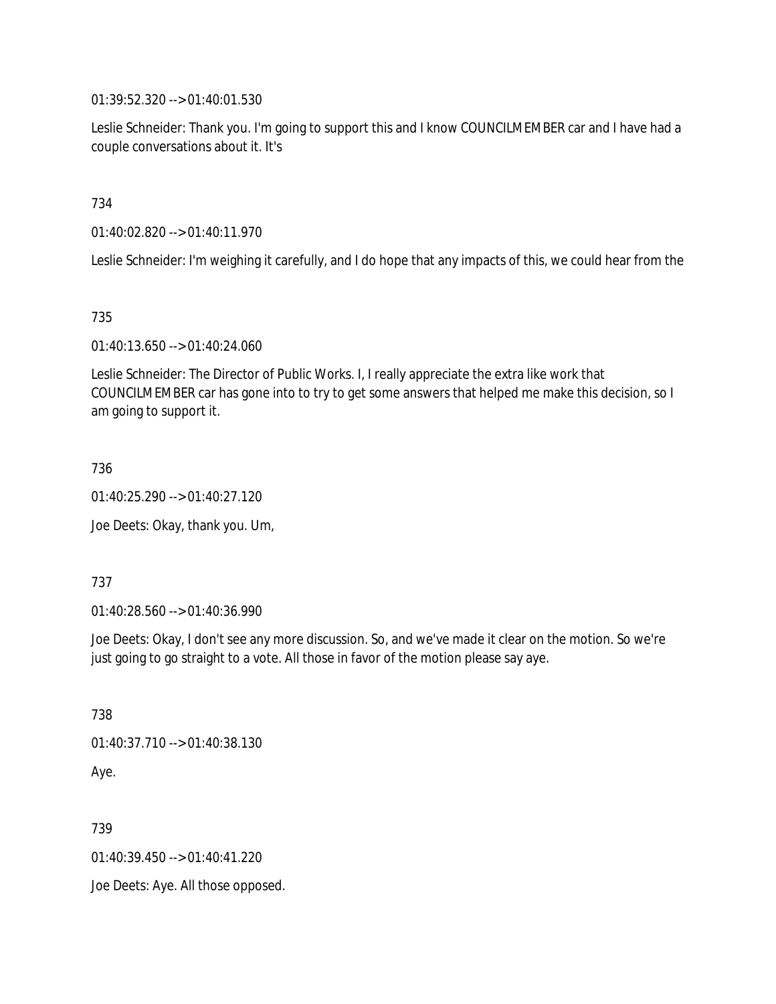01:39:52.320 --> 01:40:01.530

Leslie Schneider: Thank you. I'm going to support this and I know COUNCILMEMBER car and I have had a couple conversations about it. It's

734

01:40:02.820 --> 01:40:11.970

Leslie Schneider: I'm weighing it carefully, and I do hope that any impacts of this, we could hear from the

735

01:40:13.650 --> 01:40:24.060

Leslie Schneider: The Director of Public Works. I, I really appreciate the extra like work that COUNCILMEMBER car has gone into to try to get some answers that helped me make this decision, so I am going to support it.

736

01:40:25.290 --> 01:40:27.120

Joe Deets: Okay, thank you. Um,

737

01:40:28.560 --> 01:40:36.990

Joe Deets: Okay, I don't see any more discussion. So, and we've made it clear on the motion. So we're just going to go straight to a vote. All those in favor of the motion please say aye.

738

01:40:37.710 --> 01:40:38.130

Aye.

739

01:40:39.450 --> 01:40:41.220

Joe Deets: Aye. All those opposed.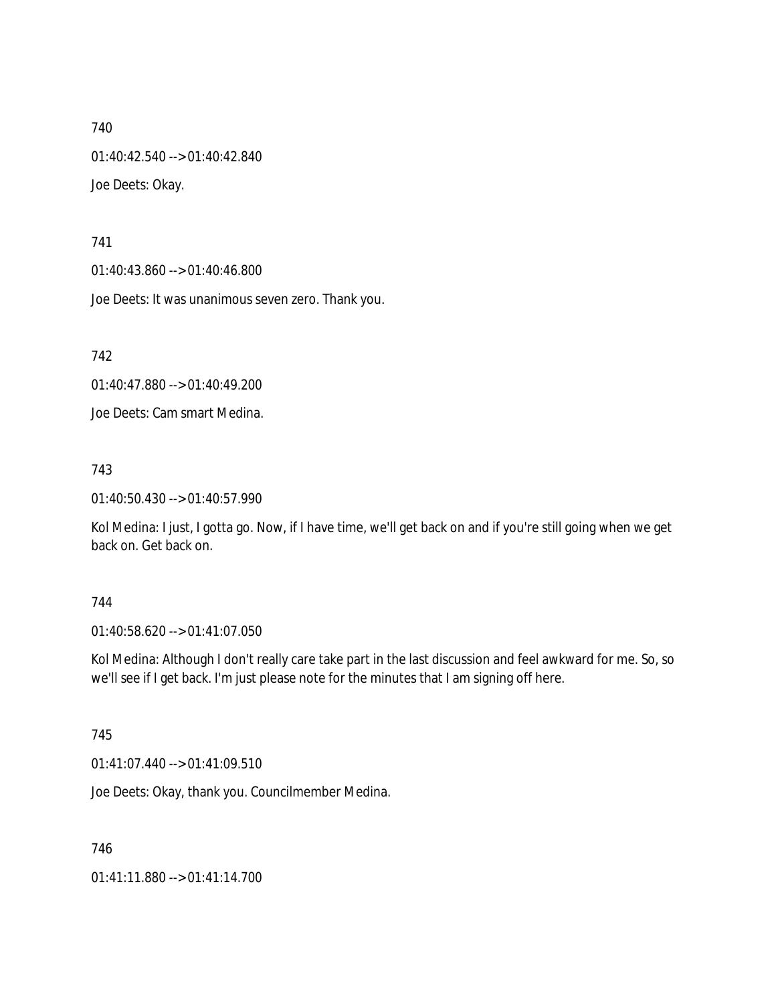01:40:42.540 --> 01:40:42.840

Joe Deets: Okay.

741

01:40:43.860 --> 01:40:46.800

Joe Deets: It was unanimous seven zero. Thank you.

742

01:40:47.880 --> 01:40:49.200

Joe Deets: Cam smart Medina.

743

01:40:50.430 --> 01:40:57.990

Kol Medina: I just, I gotta go. Now, if I have time, we'll get back on and if you're still going when we get back on. Get back on.

## 744

01:40:58.620 --> 01:41:07.050

Kol Medina: Although I don't really care take part in the last discussion and feel awkward for me. So, so we'll see if I get back. I'm just please note for the minutes that I am signing off here.

745

01:41:07.440 --> 01:41:09.510

Joe Deets: Okay, thank you. Councilmember Medina.

746

01:41:11.880 --> 01:41:14.700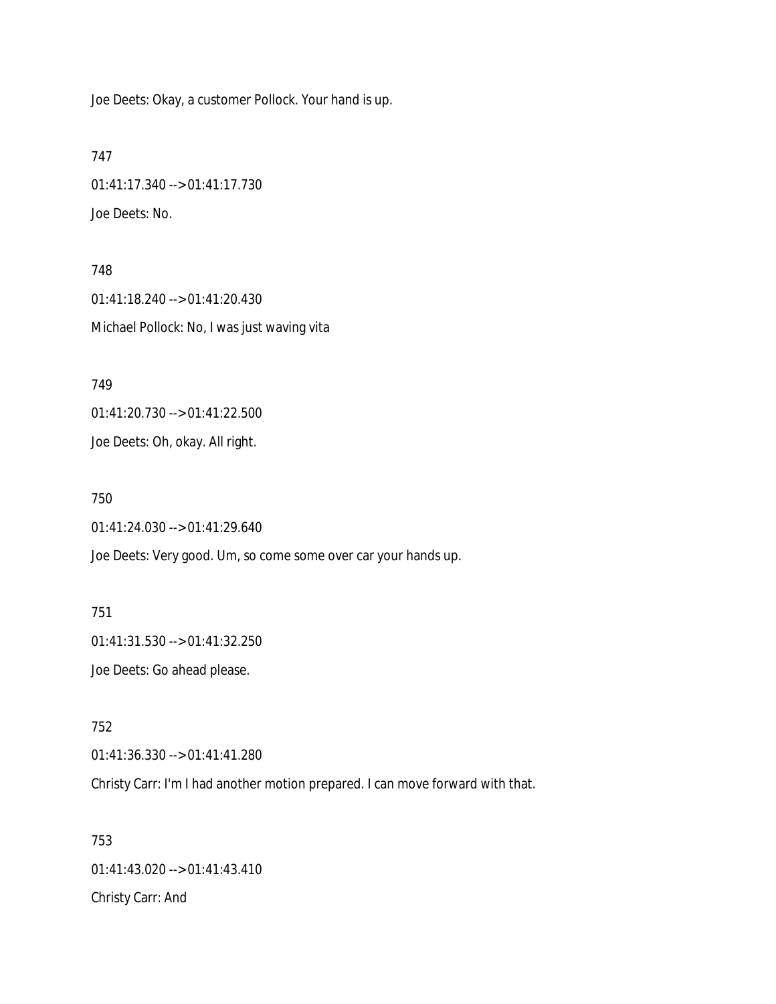Joe Deets: Okay, a customer Pollock. Your hand is up.

747 01:41:17.340 --> 01:41:17.730 Joe Deets: No.

748 01:41:18.240 --> 01:41:20.430 Michael Pollock: No, I was just waving vita

749 01:41:20.730 --> 01:41:22.500

Joe Deets: Oh, okay. All right.

750 01:41:24.030 --> 01:41:29.640

Joe Deets: Very good. Um, so come some over car your hands up.

751 01:41:31.530 --> 01:41:32.250 Joe Deets: Go ahead please.

752 01:41:36.330 --> 01:41:41.280

Christy Carr: I'm I had another motion prepared. I can move forward with that.

753 01:41:43.020 --> 01:41:43.410 Christy Carr: And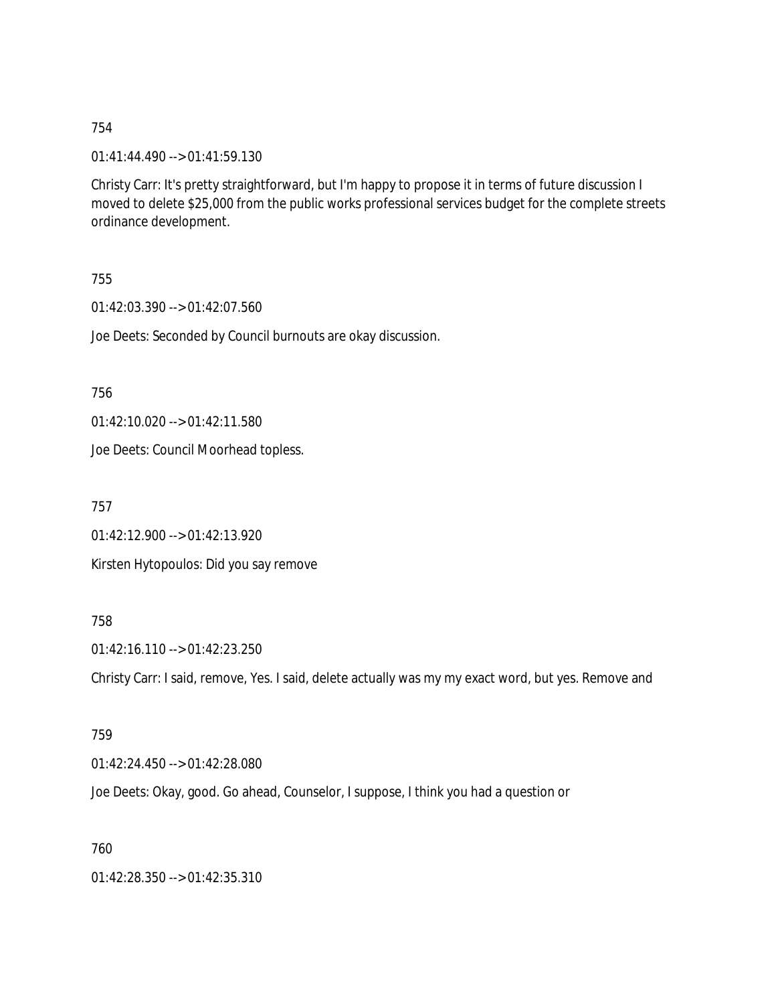01:41:44.490 --> 01:41:59.130

Christy Carr: It's pretty straightforward, but I'm happy to propose it in terms of future discussion I moved to delete \$25,000 from the public works professional services budget for the complete streets ordinance development.

755

01:42:03.390 --> 01:42:07.560

Joe Deets: Seconded by Council burnouts are okay discussion.

756

01:42:10.020 --> 01:42:11.580

Joe Deets: Council Moorhead topless.

757

01:42:12.900 --> 01:42:13.920 Kirsten Hytopoulos: Did you say remove

## 758

01:42:16.110 --> 01:42:23.250

Christy Carr: I said, remove, Yes. I said, delete actually was my my exact word, but yes. Remove and

### 759

01:42:24.450 --> 01:42:28.080

Joe Deets: Okay, good. Go ahead, Counselor, I suppose, I think you had a question or

### 760

01:42:28.350 --> 01:42:35.310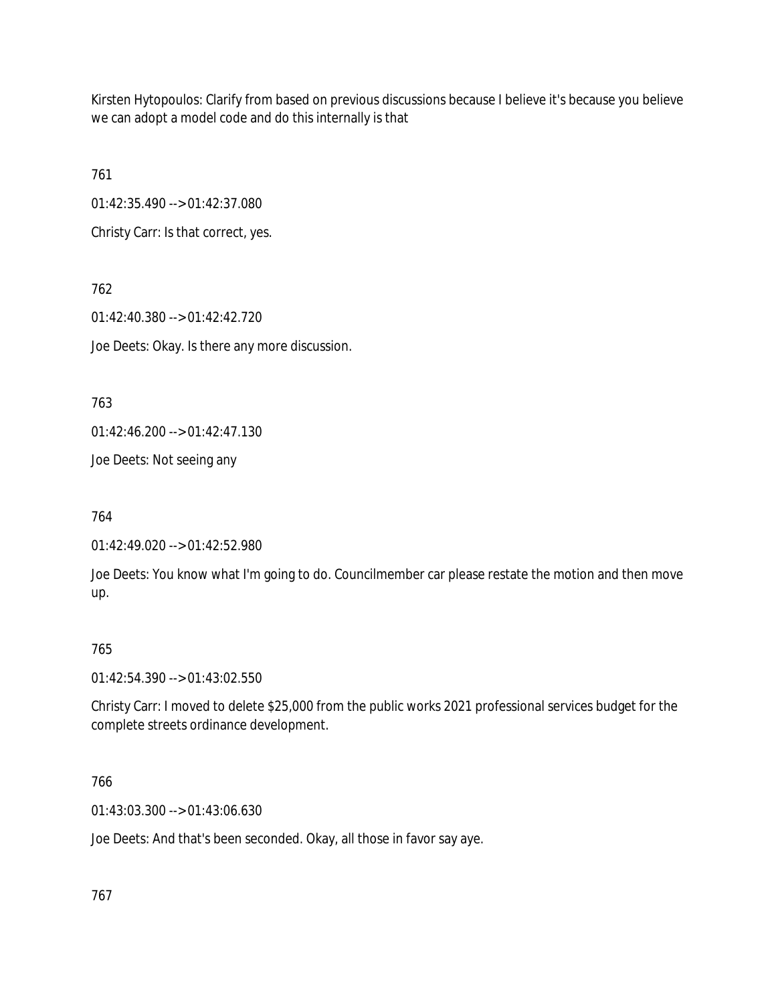Kirsten Hytopoulos: Clarify from based on previous discussions because I believe it's because you believe we can adopt a model code and do this internally is that

761

01:42:35.490 --> 01:42:37.080

Christy Carr: Is that correct, yes.

762 01:42:40.380 --> 01:42:42.720 Joe Deets: Okay. Is there any more discussion.

763

01:42:46.200 --> 01:42:47.130

Joe Deets: Not seeing any

764

01:42:49.020 --> 01:42:52.980

Joe Deets: You know what I'm going to do. Councilmember car please restate the motion and then move up.

## 765

01:42:54.390 --> 01:43:02.550

Christy Carr: I moved to delete \$25,000 from the public works 2021 professional services budget for the complete streets ordinance development.

## 766

01:43:03.300 --> 01:43:06.630

Joe Deets: And that's been seconded. Okay, all those in favor say aye.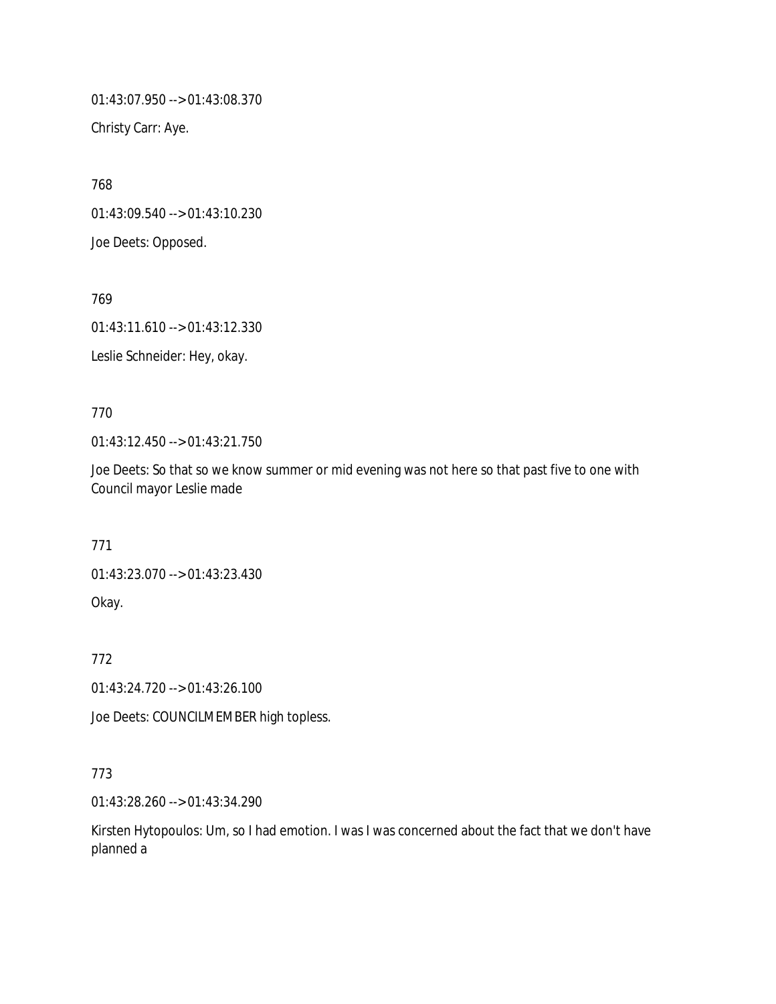01:43:07.950 --> 01:43:08.370

Christy Carr: Aye.

768 01:43:09.540 --> 01:43:10.230 Joe Deets: Opposed.

769 01:43:11.610 --> 01:43:12.330

Leslie Schneider: Hey, okay.

770

01:43:12.450 --> 01:43:21.750

Joe Deets: So that so we know summer or mid evening was not here so that past five to one with Council mayor Leslie made

771

01:43:23.070 --> 01:43:23.430

Okay.

772

01:43:24.720 --> 01:43:26.100

Joe Deets: COUNCILMEMBER high topless.

773

01:43:28.260 --> 01:43:34.290

Kirsten Hytopoulos: Um, so I had emotion. I was I was concerned about the fact that we don't have planned a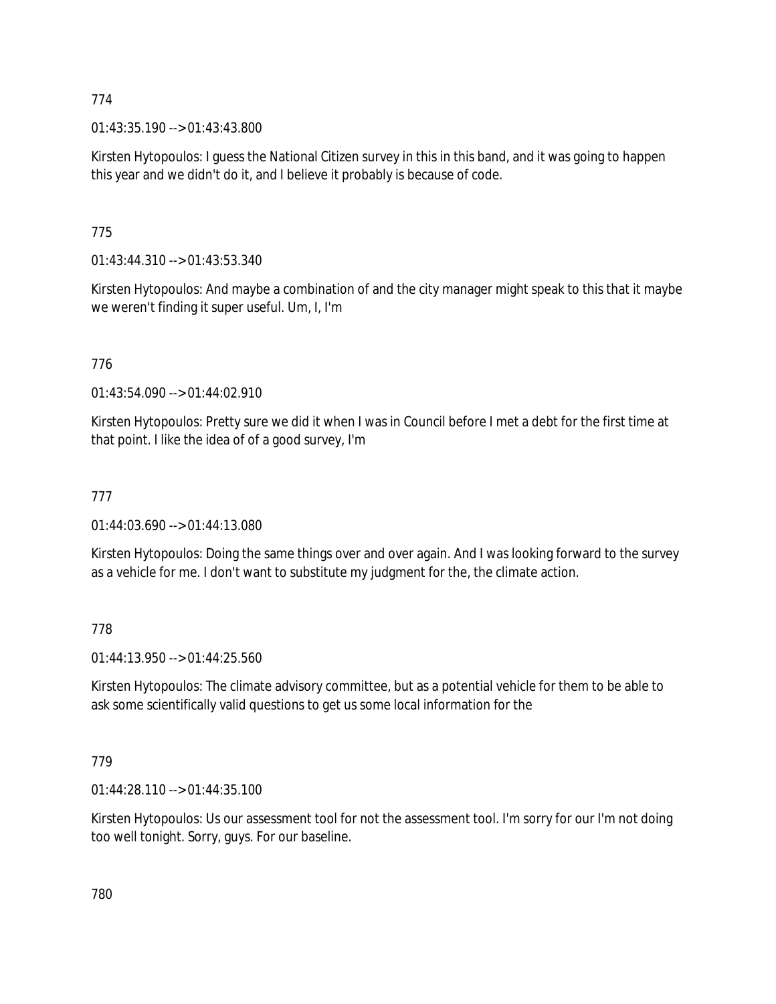01:43:35.190 --> 01:43:43.800

Kirsten Hytopoulos: I guess the National Citizen survey in this in this band, and it was going to happen this year and we didn't do it, and I believe it probably is because of code.

# 775

01:43:44.310 --> 01:43:53.340

Kirsten Hytopoulos: And maybe a combination of and the city manager might speak to this that it maybe we weren't finding it super useful. Um, I, I'm

# 776

01:43:54.090 --> 01:44:02.910

Kirsten Hytopoulos: Pretty sure we did it when I was in Council before I met a debt for the first time at that point. I like the idea of of a good survey, I'm

## 777

01:44:03.690 --> 01:44:13.080

Kirsten Hytopoulos: Doing the same things over and over again. And I was looking forward to the survey as a vehicle for me. I don't want to substitute my judgment for the, the climate action.

## 778

01:44:13.950 --> 01:44:25.560

Kirsten Hytopoulos: The climate advisory committee, but as a potential vehicle for them to be able to ask some scientifically valid questions to get us some local information for the

## 779

01:44:28.110 --> 01:44:35.100

Kirsten Hytopoulos: Us our assessment tool for not the assessment tool. I'm sorry for our I'm not doing too well tonight. Sorry, guys. For our baseline.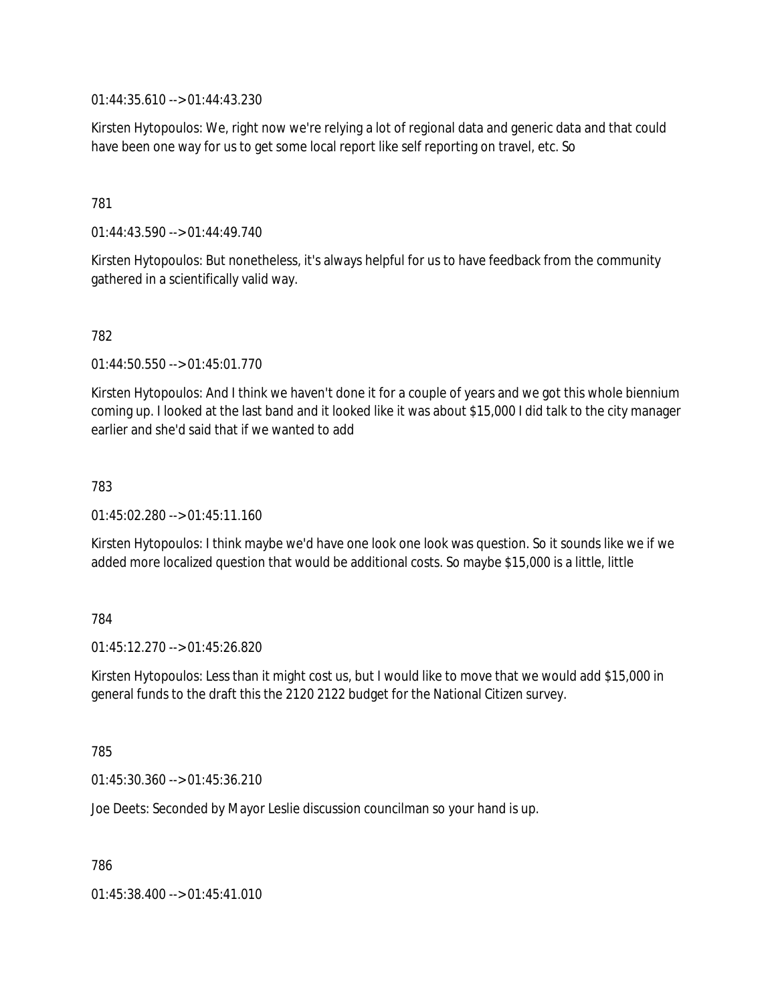01:44:35.610 --> 01:44:43.230

Kirsten Hytopoulos: We, right now we're relying a lot of regional data and generic data and that could have been one way for us to get some local report like self reporting on travel, etc. So

## 781

01:44:43.590 --> 01:44:49.740

Kirsten Hytopoulos: But nonetheless, it's always helpful for us to have feedback from the community gathered in a scientifically valid way.

## 782

01:44:50.550 --> 01:45:01.770

Kirsten Hytopoulos: And I think we haven't done it for a couple of years and we got this whole biennium coming up. I looked at the last band and it looked like it was about \$15,000 I did talk to the city manager earlier and she'd said that if we wanted to add

## 783

01:45:02.280 --> 01:45:11.160

Kirsten Hytopoulos: I think maybe we'd have one look one look was question. So it sounds like we if we added more localized question that would be additional costs. So maybe \$15,000 is a little, little

## 784

 $01:45:12.270 \rightarrow 01:45:26.820$ 

Kirsten Hytopoulos: Less than it might cost us, but I would like to move that we would add \$15,000 in general funds to the draft this the 2120 2122 budget for the National Citizen survey.

### 785

01:45:30.360 --> 01:45:36.210

Joe Deets: Seconded by Mayor Leslie discussion councilman so your hand is up.

786

01:45:38.400 --> 01:45:41.010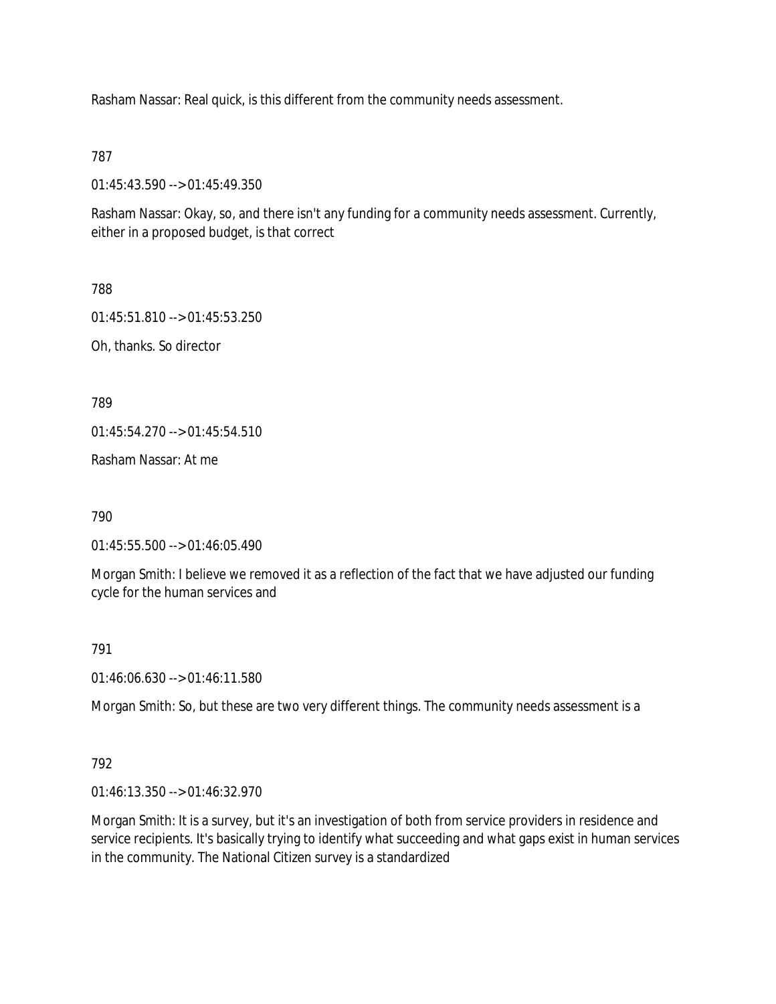Rasham Nassar: Real quick, is this different from the community needs assessment.

787

01:45:43.590 --> 01:45:49.350

Rasham Nassar: Okay, so, and there isn't any funding for a community needs assessment. Currently, either in a proposed budget, is that correct

788

01:45:51.810 --> 01:45:53.250

Oh, thanks. So director

789

01:45:54.270 --> 01:45:54.510

Rasham Nassar: At me

790

01:45:55.500 --> 01:46:05.490

Morgan Smith: I believe we removed it as a reflection of the fact that we have adjusted our funding cycle for the human services and

791

01:46:06.630 --> 01:46:11.580

Morgan Smith: So, but these are two very different things. The community needs assessment is a

792

01:46:13.350 --> 01:46:32.970

Morgan Smith: It is a survey, but it's an investigation of both from service providers in residence and service recipients. It's basically trying to identify what succeeding and what gaps exist in human services in the community. The National Citizen survey is a standardized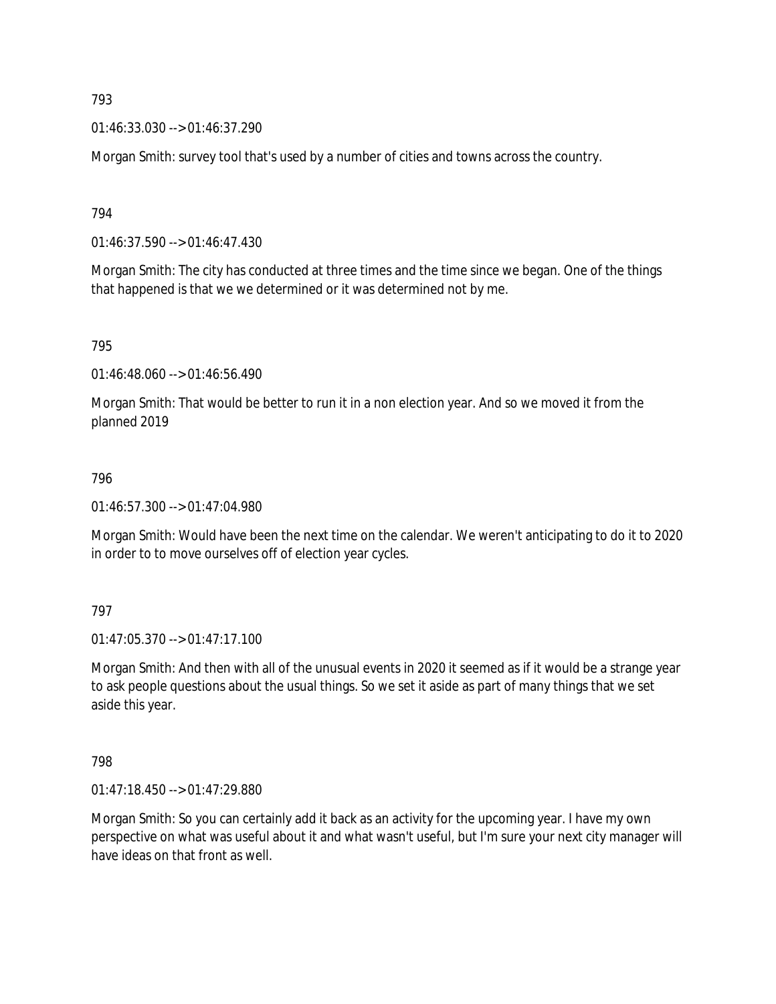01:46:33.030 --> 01:46:37.290

Morgan Smith: survey tool that's used by a number of cities and towns across the country.

794

01:46:37.590 --> 01:46:47.430

Morgan Smith: The city has conducted at three times and the time since we began. One of the things that happened is that we we determined or it was determined not by me.

795

01:46:48.060 --> 01:46:56.490

Morgan Smith: That would be better to run it in a non election year. And so we moved it from the planned 2019

### 796

01:46:57.300 --> 01:47:04.980

Morgan Smith: Would have been the next time on the calendar. We weren't anticipating to do it to 2020 in order to to move ourselves off of election year cycles.

797

01:47:05.370 --> 01:47:17.100

Morgan Smith: And then with all of the unusual events in 2020 it seemed as if it would be a strange year to ask people questions about the usual things. So we set it aside as part of many things that we set aside this year.

798

01:47:18.450 --> 01:47:29.880

Morgan Smith: So you can certainly add it back as an activity for the upcoming year. I have my own perspective on what was useful about it and what wasn't useful, but I'm sure your next city manager will have ideas on that front as well.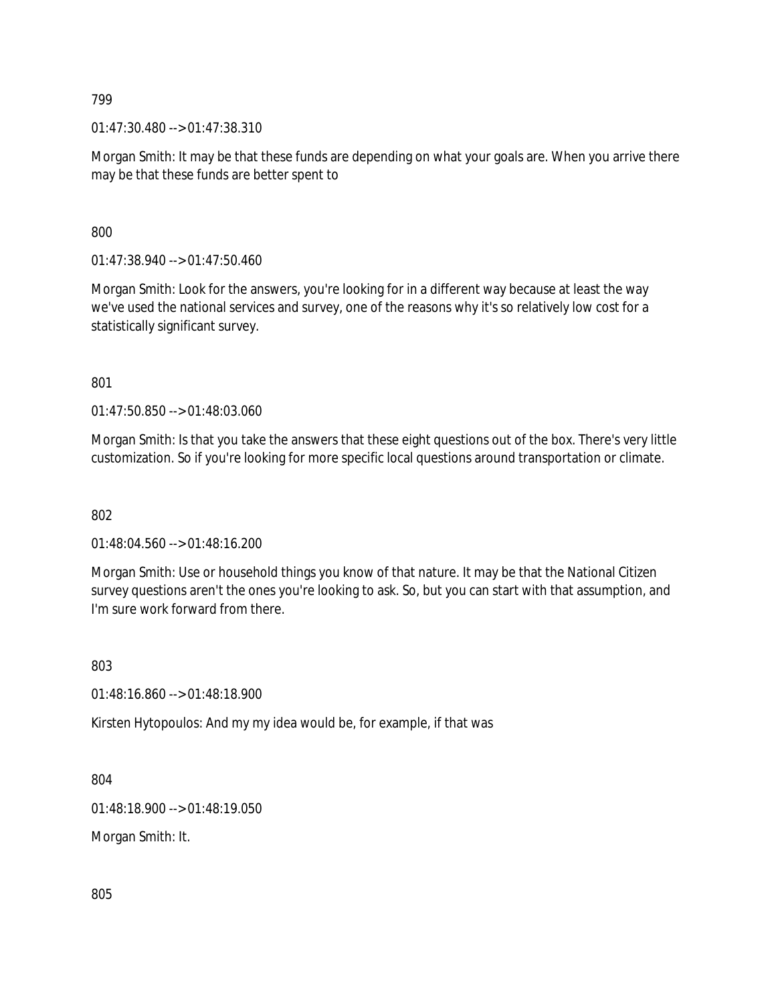01:47:30.480 --> 01:47:38.310

Morgan Smith: It may be that these funds are depending on what your goals are. When you arrive there may be that these funds are better spent to

800

01:47:38.940 --> 01:47:50.460

Morgan Smith: Look for the answers, you're looking for in a different way because at least the way we've used the national services and survey, one of the reasons why it's so relatively low cost for a statistically significant survey.

801

01:47:50.850 --> 01:48:03.060

Morgan Smith: Is that you take the answers that these eight questions out of the box. There's very little customization. So if you're looking for more specific local questions around transportation or climate.

802

01:48:04.560 --> 01:48:16.200

Morgan Smith: Use or household things you know of that nature. It may be that the National Citizen survey questions aren't the ones you're looking to ask. So, but you can start with that assumption, and I'm sure work forward from there.

803

01:48:16.860 --> 01:48:18.900

Kirsten Hytopoulos: And my my idea would be, for example, if that was

804

01:48:18.900 --> 01:48:19.050

Morgan Smith: It.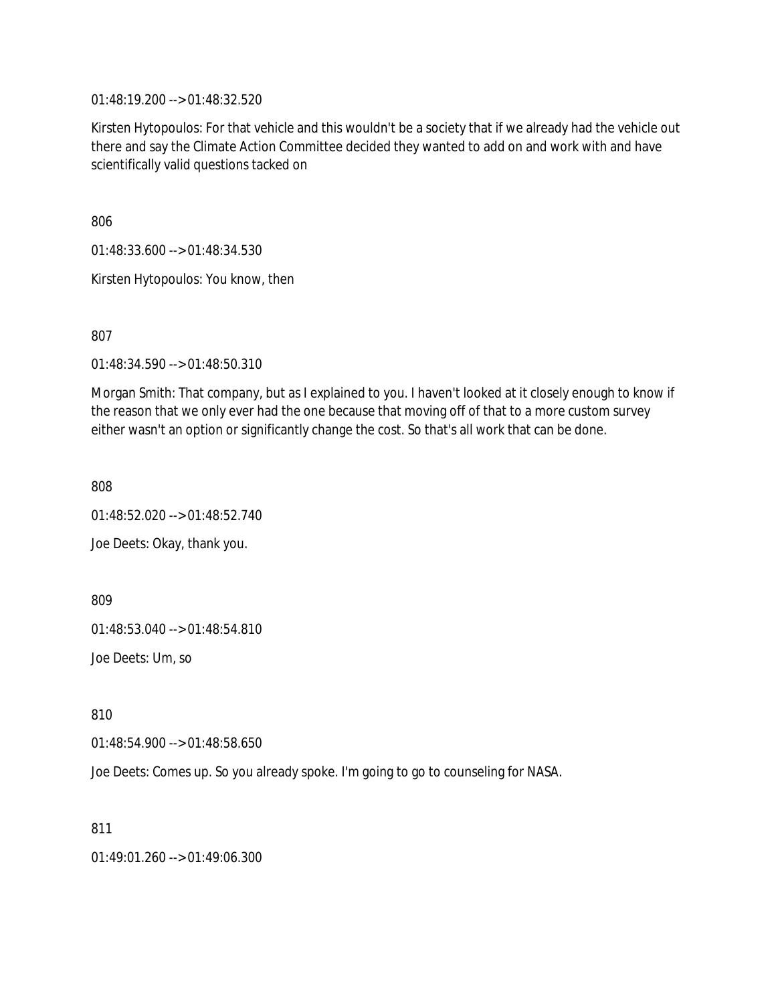01:48:19.200 --> 01:48:32.520

Kirsten Hytopoulos: For that vehicle and this wouldn't be a society that if we already had the vehicle out there and say the Climate Action Committee decided they wanted to add on and work with and have scientifically valid questions tacked on

806

01:48:33.600 --> 01:48:34.530

Kirsten Hytopoulos: You know, then

807

01:48:34.590 --> 01:48:50.310

Morgan Smith: That company, but as I explained to you. I haven't looked at it closely enough to know if the reason that we only ever had the one because that moving off of that to a more custom survey either wasn't an option or significantly change the cost. So that's all work that can be done.

808

01:48:52.020 --> 01:48:52.740

Joe Deets: Okay, thank you.

809

01:48:53.040 --> 01:48:54.810

Joe Deets: Um, so

810

01:48:54.900 --> 01:48:58.650

Joe Deets: Comes up. So you already spoke. I'm going to go to counseling for NASA.

811

01:49:01.260 --> 01:49:06.300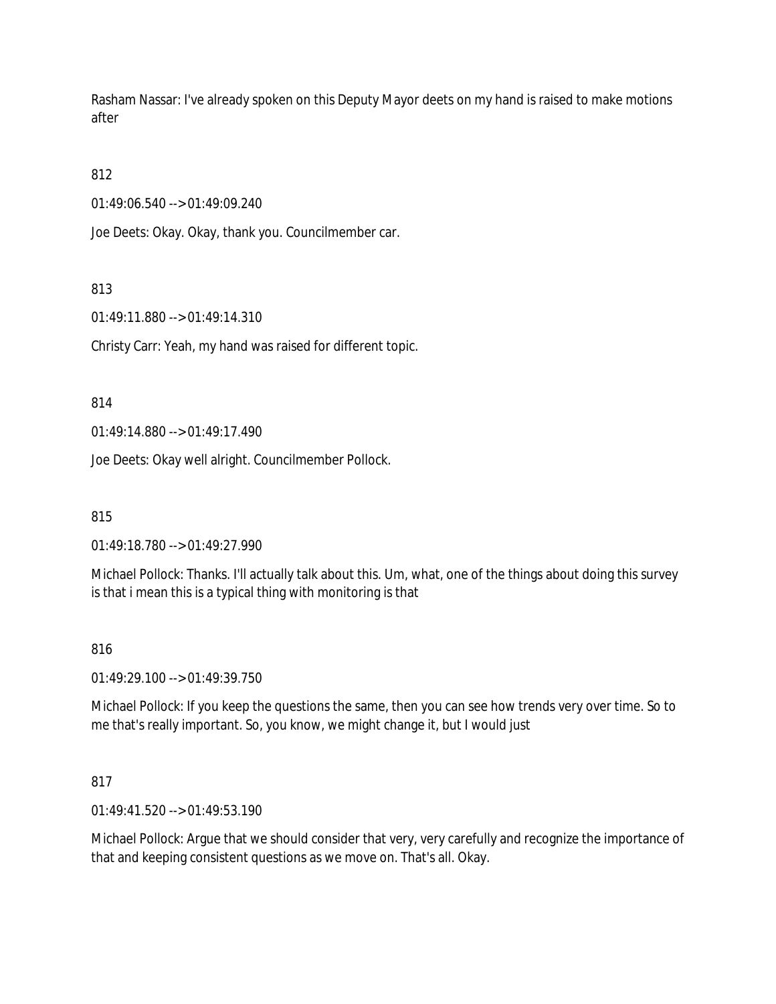Rasham Nassar: I've already spoken on this Deputy Mayor deets on my hand is raised to make motions after

# 812

01:49:06.540 --> 01:49:09.240

Joe Deets: Okay. Okay, thank you. Councilmember car.

## 813

01:49:11.880 --> 01:49:14.310

Christy Carr: Yeah, my hand was raised for different topic.

## 814

01:49:14.880 --> 01:49:17.490

Joe Deets: Okay well alright. Councilmember Pollock.

815

01:49:18.780 --> 01:49:27.990

Michael Pollock: Thanks. I'll actually talk about this. Um, what, one of the things about doing this survey is that i mean this is a typical thing with monitoring is that

## 816

01:49:29.100 --> 01:49:39.750

Michael Pollock: If you keep the questions the same, then you can see how trends very over time. So to me that's really important. So, you know, we might change it, but I would just

## 817

01:49:41.520 --> 01:49:53.190

Michael Pollock: Argue that we should consider that very, very carefully and recognize the importance of that and keeping consistent questions as we move on. That's all. Okay.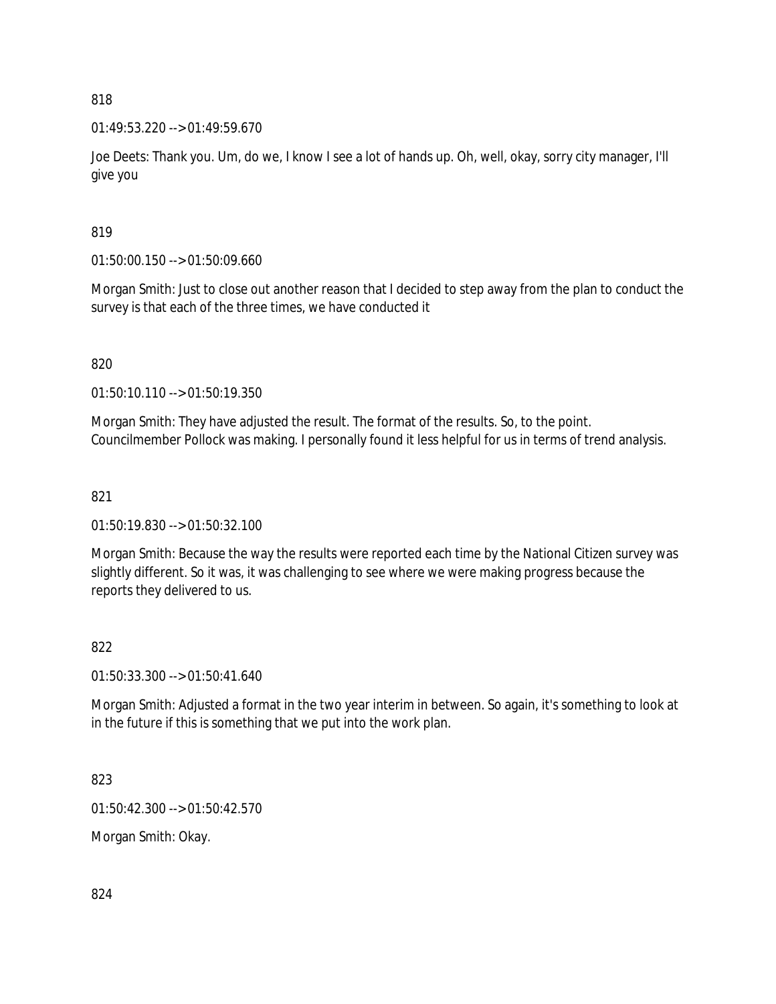01:49:53.220 --> 01:49:59.670

Joe Deets: Thank you. Um, do we, I know I see a lot of hands up. Oh, well, okay, sorry city manager, I'll give you

819

01:50:00.150 --> 01:50:09.660

Morgan Smith: Just to close out another reason that I decided to step away from the plan to conduct the survey is that each of the three times, we have conducted it

820

01:50:10.110 --> 01:50:19.350

Morgan Smith: They have adjusted the result. The format of the results. So, to the point. Councilmember Pollock was making. I personally found it less helpful for us in terms of trend analysis.

## 821

01:50:19.830 --> 01:50:32.100

Morgan Smith: Because the way the results were reported each time by the National Citizen survey was slightly different. So it was, it was challenging to see where we were making progress because the reports they delivered to us.

## 822

01:50:33.300 --> 01:50:41.640

Morgan Smith: Adjusted a format in the two year interim in between. So again, it's something to look at in the future if this is something that we put into the work plan.

823

01:50:42.300 --> 01:50:42.570

Morgan Smith: Okay.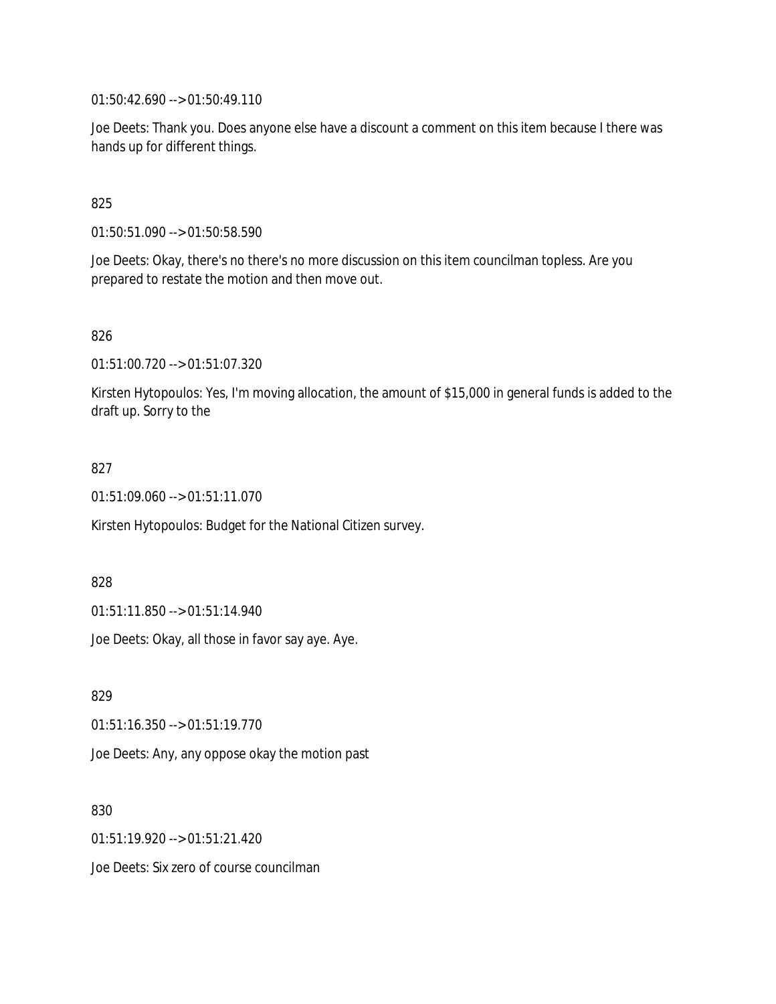01:50:42.690 --> 01:50:49.110

Joe Deets: Thank you. Does anyone else have a discount a comment on this item because I there was hands up for different things.

## 825

01:50:51.090 --> 01:50:58.590

Joe Deets: Okay, there's no there's no more discussion on this item councilman topless. Are you prepared to restate the motion and then move out.

## 826

01:51:00.720 --> 01:51:07.320

Kirsten Hytopoulos: Yes, I'm moving allocation, the amount of \$15,000 in general funds is added to the draft up. Sorry to the

### 827

01:51:09.060 --> 01:51:11.070

Kirsten Hytopoulos: Budget for the National Citizen survey.

828

01:51:11.850 --> 01:51:14.940

Joe Deets: Okay, all those in favor say aye. Aye.

829

01:51:16.350 --> 01:51:19.770

Joe Deets: Any, any oppose okay the motion past

830

01:51:19.920 --> 01:51:21.420

Joe Deets: Six zero of course councilman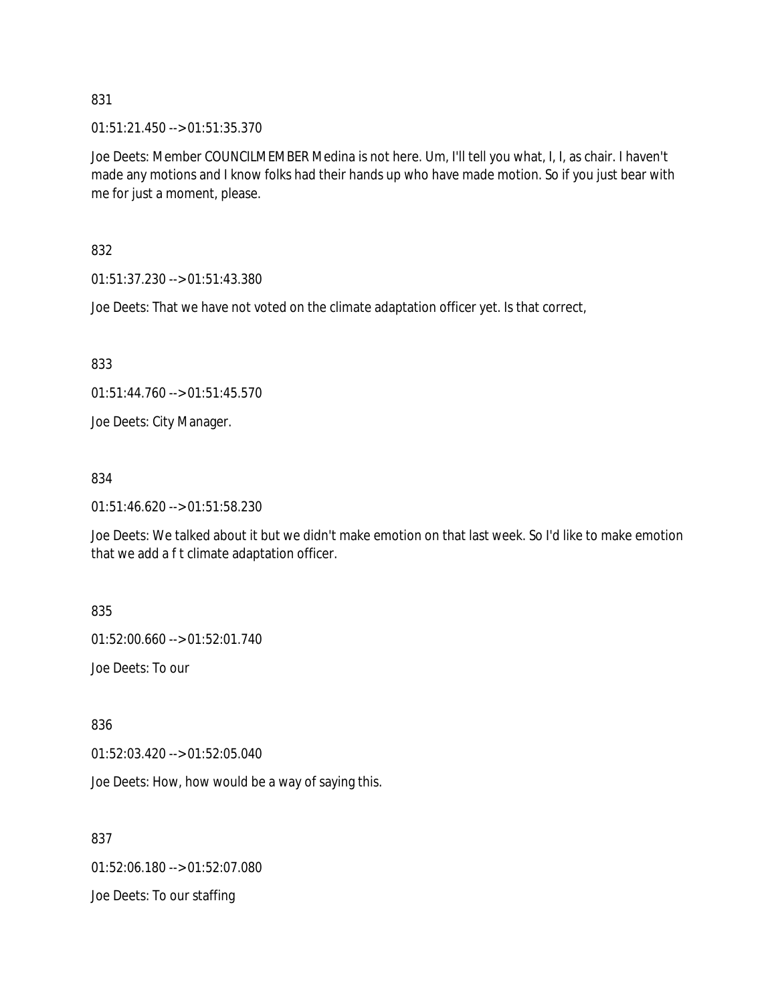01:51:21.450 --> 01:51:35.370

Joe Deets: Member COUNCILMEMBER Medina is not here. Um, I'll tell you what, I, I, as chair. I haven't made any motions and I know folks had their hands up who have made motion. So if you just bear with me for just a moment, please.

832

01:51:37.230 --> 01:51:43.380

Joe Deets: That we have not voted on the climate adaptation officer yet. Is that correct,

833

01:51:44.760 --> 01:51:45.570

Joe Deets: City Manager.

834

01:51:46.620 --> 01:51:58.230

Joe Deets: We talked about it but we didn't make emotion on that last week. So I'd like to make emotion that we add a f t climate adaptation officer.

835

01:52:00.660 --> 01:52:01.740

Joe Deets: To our

836

01:52:03.420 --> 01:52:05.040

Joe Deets: How, how would be a way of saying this.

837

01:52:06.180 --> 01:52:07.080

Joe Deets: To our staffing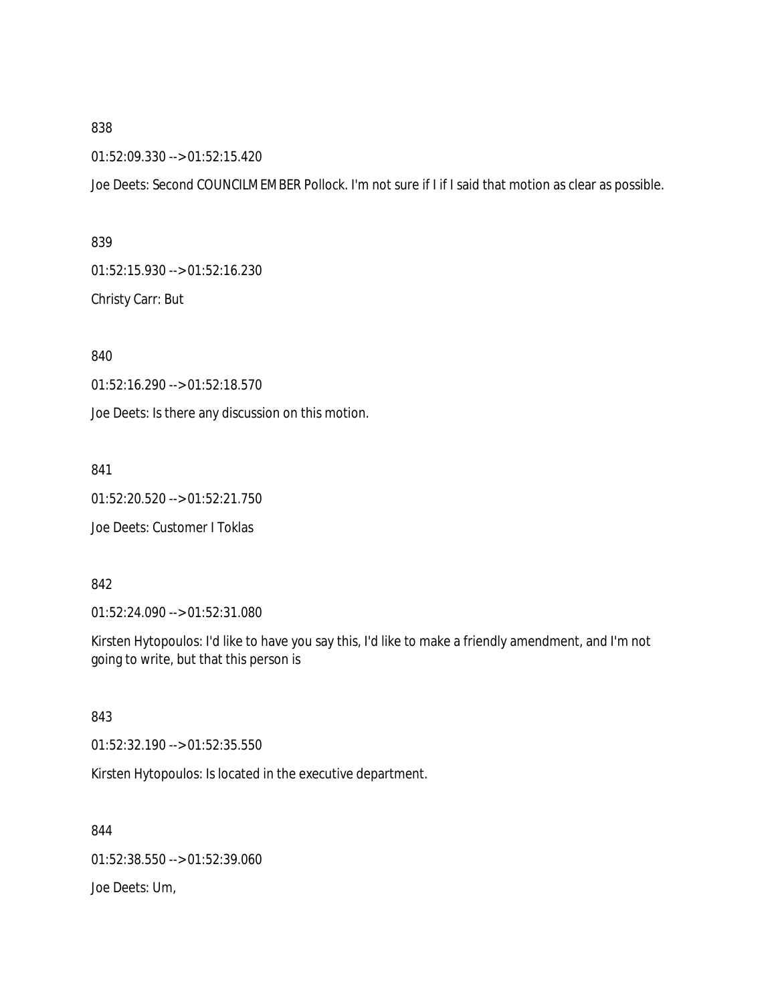01:52:09.330 --> 01:52:15.420

Joe Deets: Second COUNCILMEMBER Pollock. I'm not sure if I if I said that motion as clear as possible.

839

01:52:15.930 --> 01:52:16.230

Christy Carr: But

840

01:52:16.290 --> 01:52:18.570

Joe Deets: Is there any discussion on this motion.

841

01:52:20.520 --> 01:52:21.750

Joe Deets: Customer I Toklas

842

01:52:24.090 --> 01:52:31.080

Kirsten Hytopoulos: I'd like to have you say this, I'd like to make a friendly amendment, and I'm not going to write, but that this person is

843

01:52:32.190 --> 01:52:35.550

Kirsten Hytopoulos: Is located in the executive department.

844 01:52:38.550 --> 01:52:39.060 Joe Deets: Um,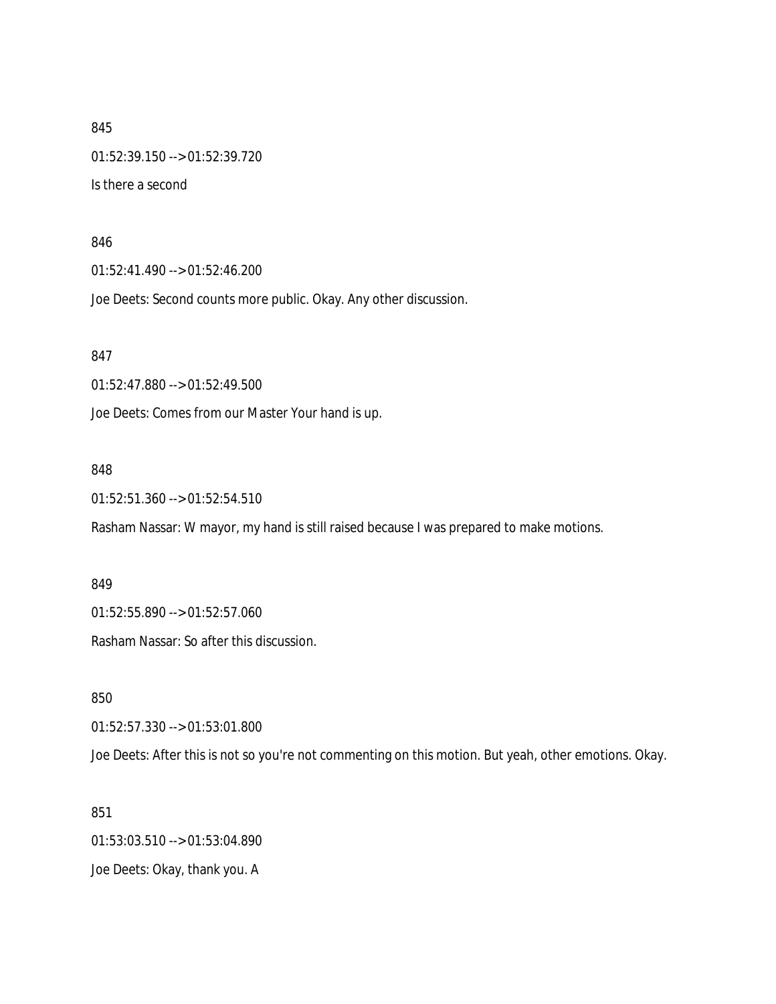845 01:52:39.150 --> 01:52:39.720 Is there a second

#### 846

01:52:41.490 --> 01:52:46.200

Joe Deets: Second counts more public. Okay. Any other discussion.

847

01:52:47.880 --> 01:52:49.500

Joe Deets: Comes from our Master Your hand is up.

### 848

01:52:51.360 --> 01:52:54.510

Rasham Nassar: W mayor, my hand is still raised because I was prepared to make motions.

849

01:52:55.890 --> 01:52:57.060

Rasham Nassar: So after this discussion.

850

01:52:57.330 --> 01:53:01.800

Joe Deets: After this is not so you're not commenting on this motion. But yeah, other emotions. Okay.

851

01:53:03.510 --> 01:53:04.890 Joe Deets: Okay, thank you. A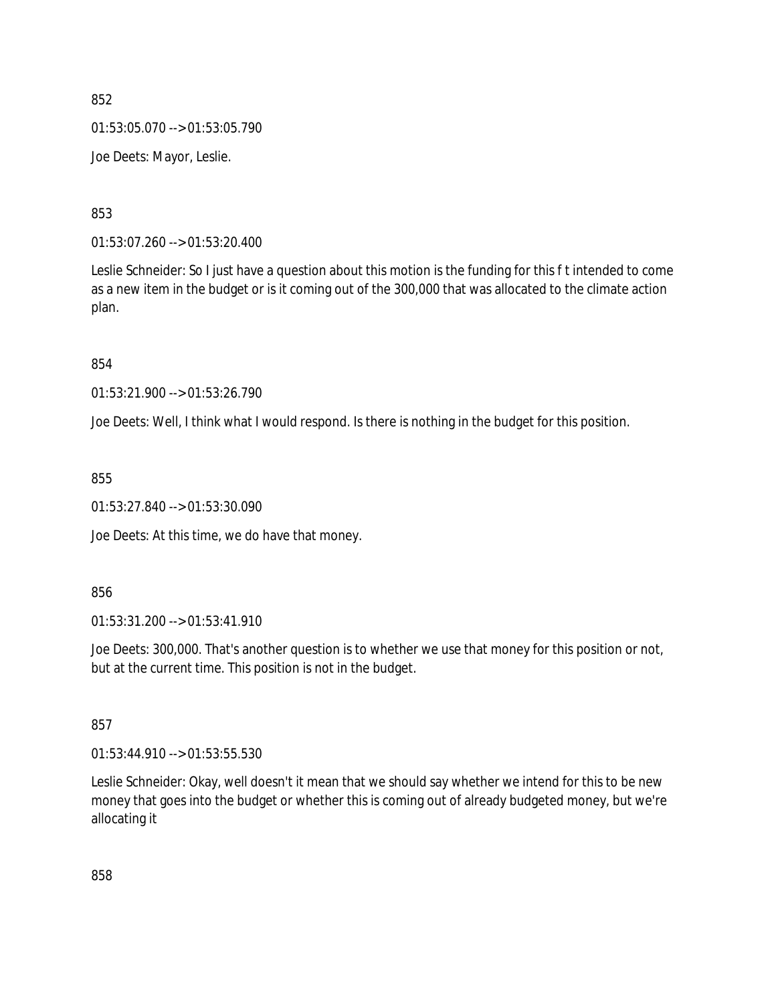01:53:05.070 --> 01:53:05.790

Joe Deets: Mayor, Leslie.

853

01:53:07.260 --> 01:53:20.400

Leslie Schneider: So I just have a question about this motion is the funding for this f t intended to come as a new item in the budget or is it coming out of the 300,000 that was allocated to the climate action plan.

854

01:53:21.900 --> 01:53:26.790

Joe Deets: Well, I think what I would respond. Is there is nothing in the budget for this position.

855

01:53:27.840 --> 01:53:30.090

Joe Deets: At this time, we do have that money.

856

01:53:31.200 --> 01:53:41.910

Joe Deets: 300,000. That's another question is to whether we use that money for this position or not, but at the current time. This position is not in the budget.

857

01:53:44.910 --> 01:53:55.530

Leslie Schneider: Okay, well doesn't it mean that we should say whether we intend for this to be new money that goes into the budget or whether this is coming out of already budgeted money, but we're allocating it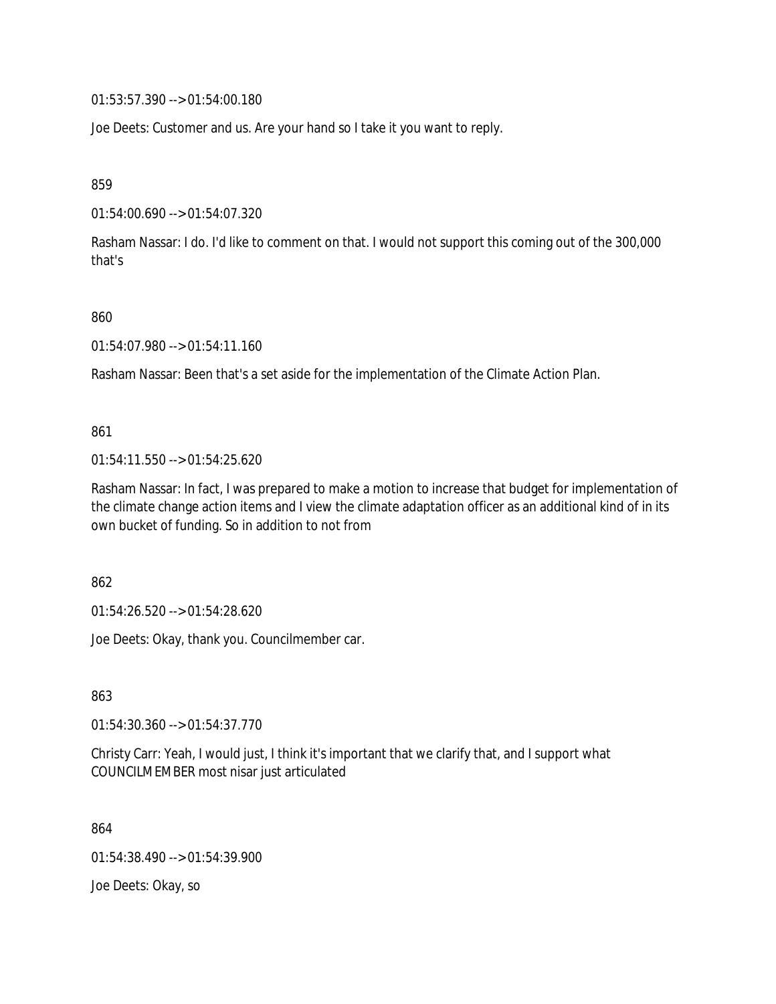01:53:57.390 --> 01:54:00.180

Joe Deets: Customer and us. Are your hand so I take it you want to reply.

859

01:54:00.690 --> 01:54:07.320

Rasham Nassar: I do. I'd like to comment on that. I would not support this coming out of the 300,000 that's

860

01:54:07.980 --> 01:54:11.160

Rasham Nassar: Been that's a set aside for the implementation of the Climate Action Plan.

861

01:54:11.550 --> 01:54:25.620

Rasham Nassar: In fact, I was prepared to make a motion to increase that budget for implementation of the climate change action items and I view the climate adaptation officer as an additional kind of in its own bucket of funding. So in addition to not from

862

01:54:26.520 --> 01:54:28.620

Joe Deets: Okay, thank you. Councilmember car.

863

01:54:30.360 --> 01:54:37.770

Christy Carr: Yeah, I would just, I think it's important that we clarify that, and I support what COUNCILMEMBER most nisar just articulated

864

01:54:38.490 --> 01:54:39.900

Joe Deets: Okay, so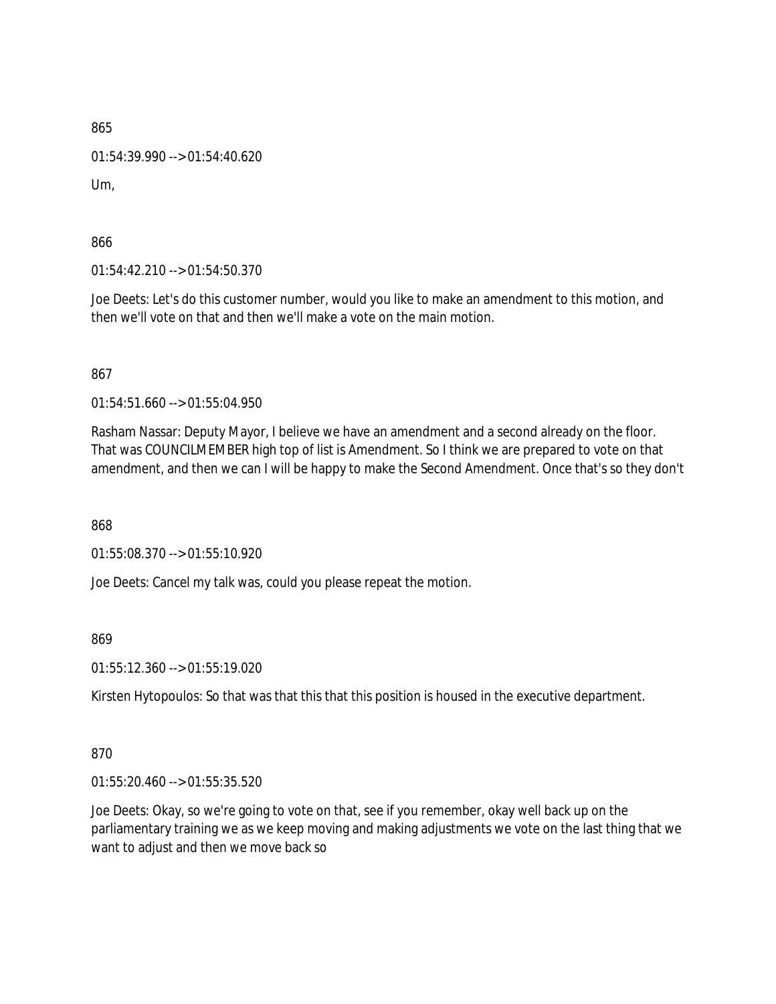01:54:39.990 --> 01:54:40.620

Um,

866

01:54:42.210 --> 01:54:50.370

Joe Deets: Let's do this customer number, would you like to make an amendment to this motion, and then we'll vote on that and then we'll make a vote on the main motion.

867

01:54:51.660 --> 01:55:04.950

Rasham Nassar: Deputy Mayor, I believe we have an amendment and a second already on the floor. That was COUNCILMEMBER high top of list is Amendment. So I think we are prepared to vote on that amendment, and then we can I will be happy to make the Second Amendment. Once that's so they don't

868

01:55:08.370 --> 01:55:10.920

Joe Deets: Cancel my talk was, could you please repeat the motion.

869

01:55:12.360 --> 01:55:19.020

Kirsten Hytopoulos: So that was that this that this position is housed in the executive department.

870

01:55:20.460 --> 01:55:35.520

Joe Deets: Okay, so we're going to vote on that, see if you remember, okay well back up on the parliamentary training we as we keep moving and making adjustments we vote on the last thing that we want to adjust and then we move back so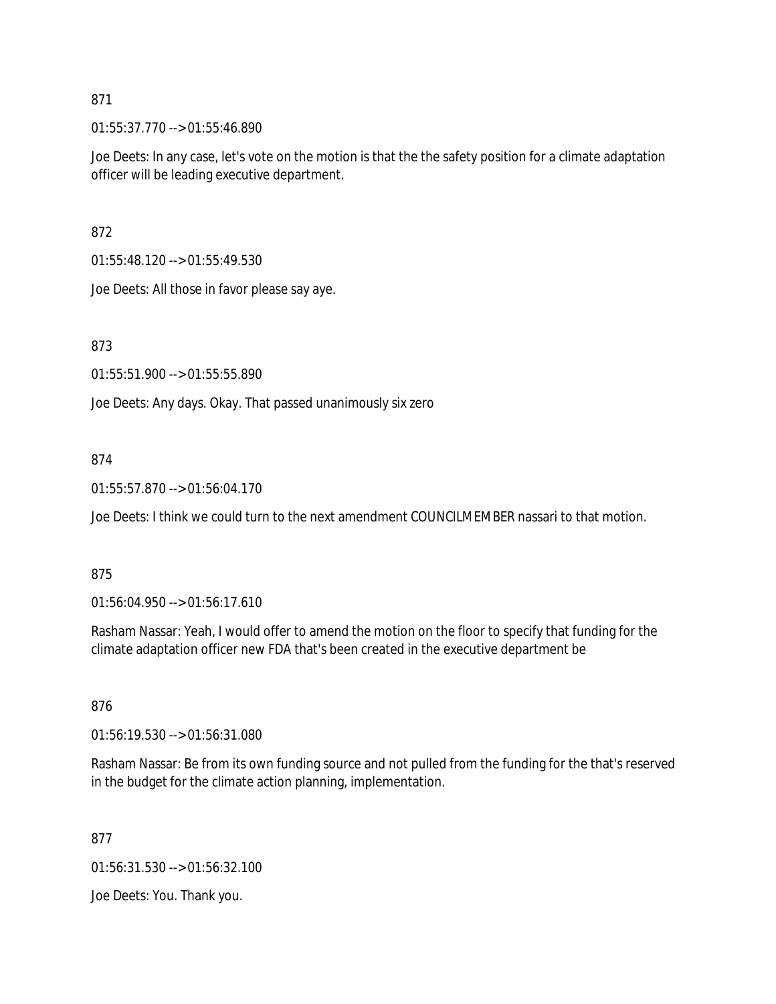01:55:37.770 --> 01:55:46.890

Joe Deets: In any case, let's vote on the motion is that the the safety position for a climate adaptation officer will be leading executive department.

872

01:55:48.120 --> 01:55:49.530

Joe Deets: All those in favor please say aye.

873

01:55:51.900 --> 01:55:55.890

Joe Deets: Any days. Okay. That passed unanimously six zero

## 874

01:55:57.870 --> 01:56:04.170

Joe Deets: I think we could turn to the next amendment COUNCILMEMBER nassari to that motion.

### 875

01:56:04.950 --> 01:56:17.610

Rasham Nassar: Yeah, I would offer to amend the motion on the floor to specify that funding for the climate adaptation officer new FDA that's been created in the executive department be

### 876

01:56:19.530 --> 01:56:31.080

Rasham Nassar: Be from its own funding source and not pulled from the funding for the that's reserved in the budget for the climate action planning, implementation.

877

01:56:31.530 --> 01:56:32.100

Joe Deets: You. Thank you.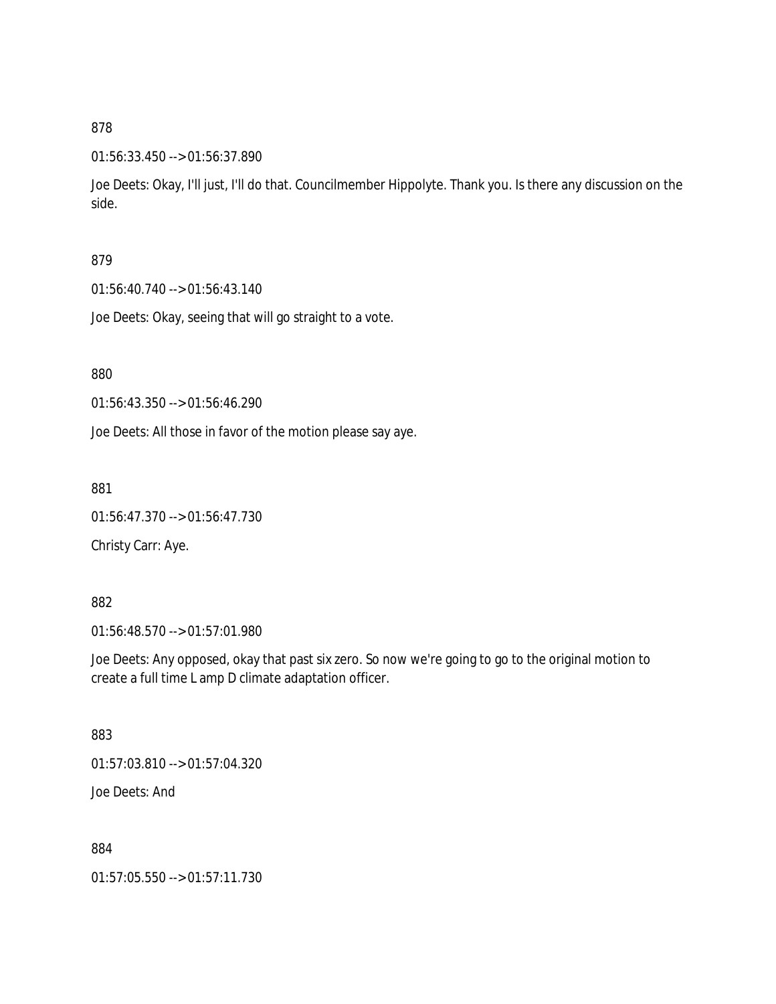### 01:56:33.450 --> 01:56:37.890

Joe Deets: Okay, I'll just, I'll do that. Councilmember Hippolyte. Thank you. Is there any discussion on the side.

## 879

01:56:40.740 --> 01:56:43.140

Joe Deets: Okay, seeing that will go straight to a vote.

### 880

01:56:43.350 --> 01:56:46.290

Joe Deets: All those in favor of the motion please say aye.

881

01:56:47.370 --> 01:56:47.730

Christy Carr: Aye.

### 882

01:56:48.570 --> 01:57:01.980

Joe Deets: Any opposed, okay that past six zero. So now we're going to go to the original motion to create a full time L amp D climate adaptation officer.

### 883

01:57:03.810 --> 01:57:04.320

Joe Deets: And

884

01:57:05.550 --> 01:57:11.730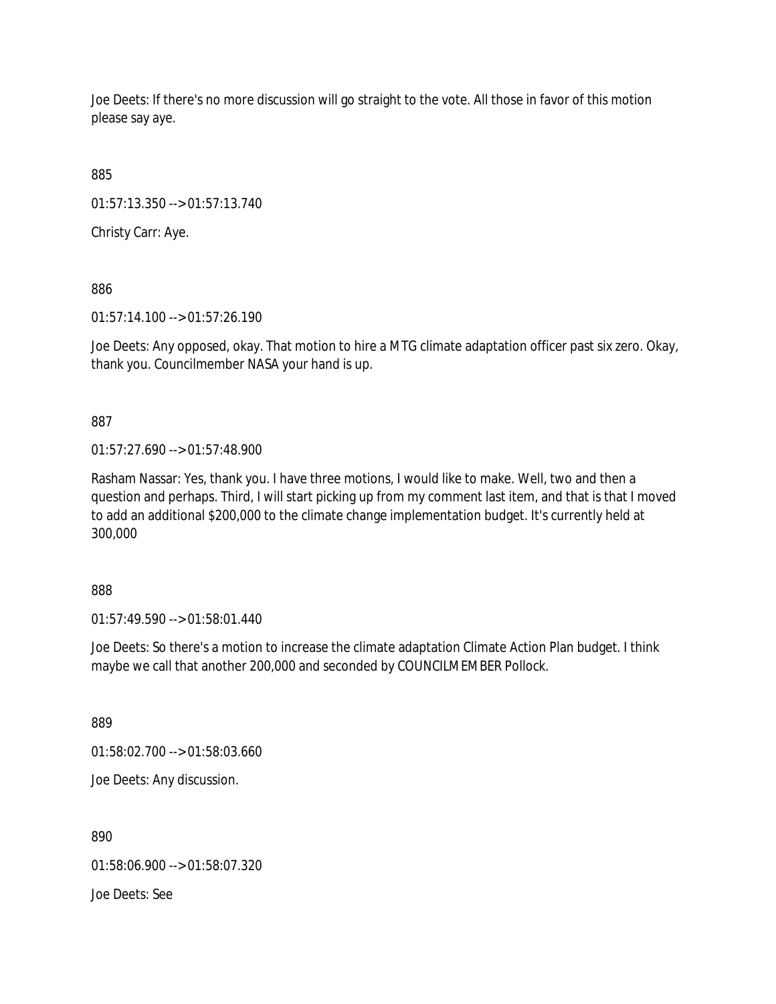Joe Deets: If there's no more discussion will go straight to the vote. All those in favor of this motion please say aye.

885

01:57:13.350 --> 01:57:13.740

Christy Carr: Aye.

886

01:57:14.100 --> 01:57:26.190

Joe Deets: Any opposed, okay. That motion to hire a MTG climate adaptation officer past six zero. Okay, thank you. Councilmember NASA your hand is up.

887

01:57:27.690 --> 01:57:48.900

Rasham Nassar: Yes, thank you. I have three motions, I would like to make. Well, two and then a question and perhaps. Third, I will start picking up from my comment last item, and that is that I moved to add an additional \$200,000 to the climate change implementation budget. It's currently held at 300,000

888

01:57:49.590 --> 01:58:01.440

Joe Deets: So there's a motion to increase the climate adaptation Climate Action Plan budget. I think maybe we call that another 200,000 and seconded by COUNCILMEMBER Pollock.

889

01:58:02.700 --> 01:58:03.660

Joe Deets: Any discussion.

890

01:58:06.900 --> 01:58:07.320

Joe Deets: See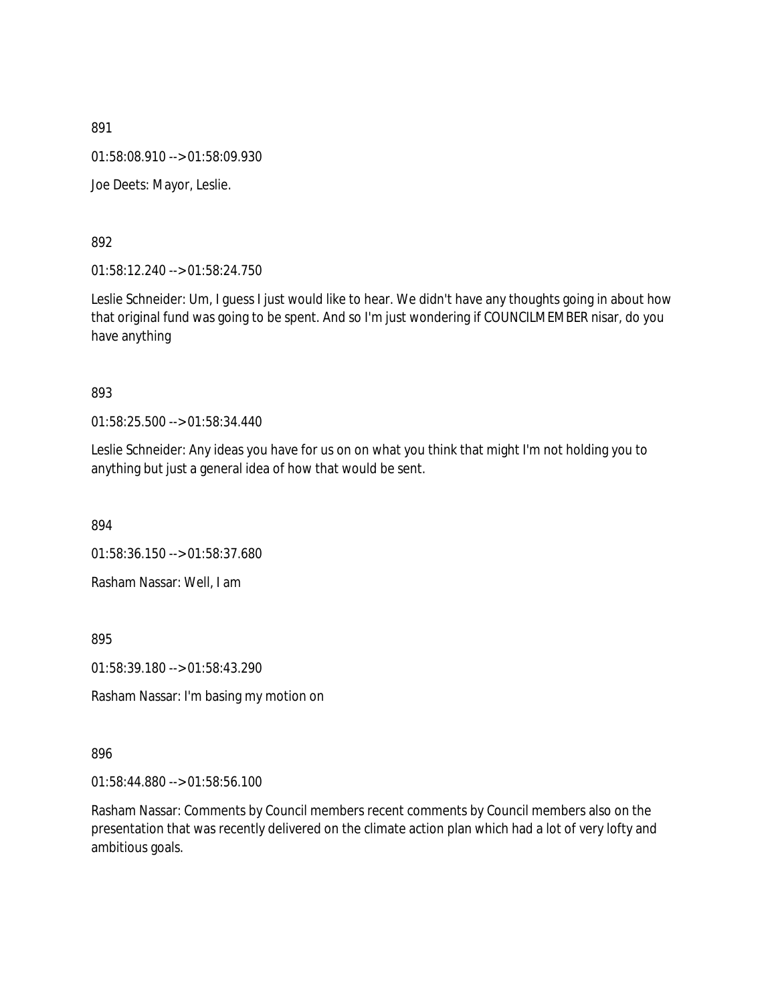01:58:08.910 --> 01:58:09.930

Joe Deets: Mayor, Leslie.

892

01:58:12.240 --> 01:58:24.750

Leslie Schneider: Um, I guess I just would like to hear. We didn't have any thoughts going in about how that original fund was going to be spent. And so I'm just wondering if COUNCILMEMBER nisar, do you have anything

### 893

01:58:25.500 --> 01:58:34.440

Leslie Schneider: Any ideas you have for us on on what you think that might I'm not holding you to anything but just a general idea of how that would be sent.

894

01:58:36.150 --> 01:58:37.680

Rasham Nassar: Well, I am

895

01:58:39.180 --> 01:58:43.290

Rasham Nassar: I'm basing my motion on

### 896

01:58:44.880 --> 01:58:56.100

Rasham Nassar: Comments by Council members recent comments by Council members also on the presentation that was recently delivered on the climate action plan which had a lot of very lofty and ambitious goals.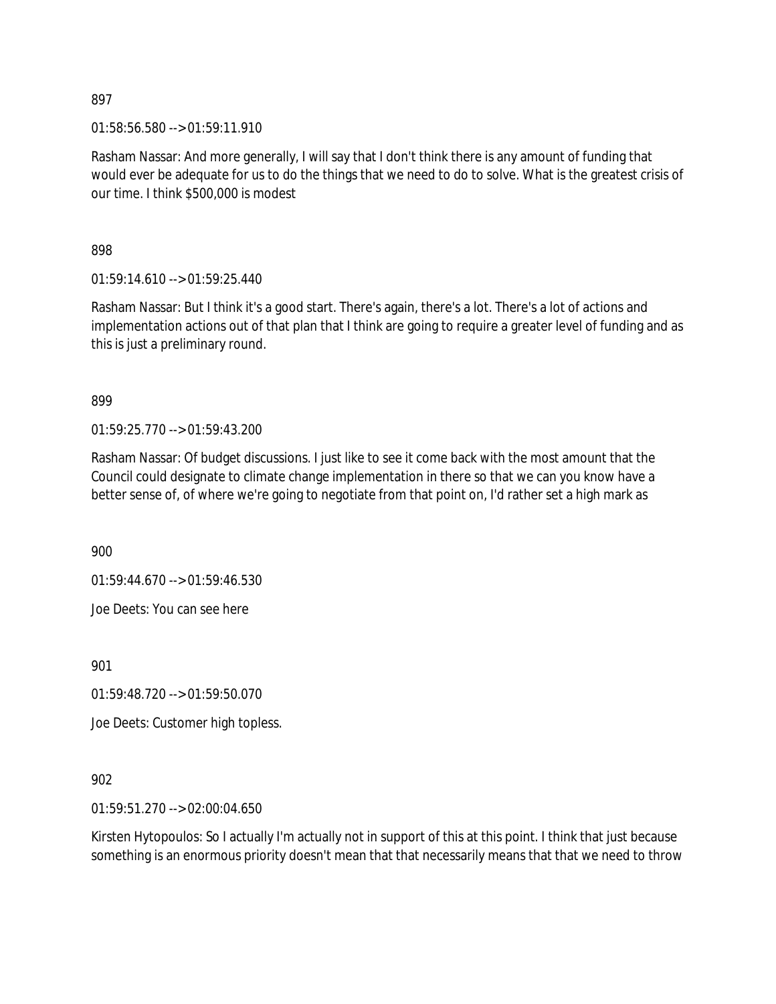01:58:56.580 --> 01:59:11.910

Rasham Nassar: And more generally, I will say that I don't think there is any amount of funding that would ever be adequate for us to do the things that we need to do to solve. What is the greatest crisis of our time. I think \$500,000 is modest

898

01:59:14.610 --> 01:59:25.440

Rasham Nassar: But I think it's a good start. There's again, there's a lot. There's a lot of actions and implementation actions out of that plan that I think are going to require a greater level of funding and as this is just a preliminary round.

899

01:59:25.770 --> 01:59:43.200

Rasham Nassar: Of budget discussions. I just like to see it come back with the most amount that the Council could designate to climate change implementation in there so that we can you know have a better sense of, of where we're going to negotiate from that point on, I'd rather set a high mark as

900

01:59:44.670 --> 01:59:46.530

Joe Deets: You can see here

901

01:59:48.720 --> 01:59:50.070

Joe Deets: Customer high topless.

902

01:59:51.270 --> 02:00:04.650

Kirsten Hytopoulos: So I actually I'm actually not in support of this at this point. I think that just because something is an enormous priority doesn't mean that that necessarily means that that we need to throw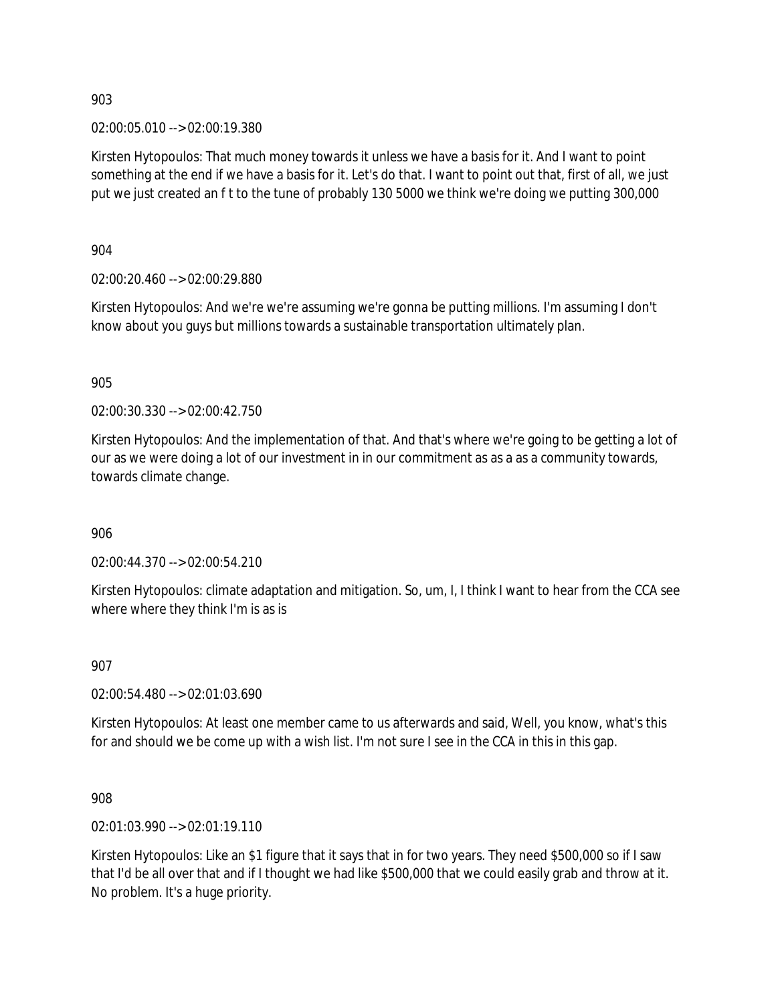02:00:05.010 --> 02:00:19.380

Kirsten Hytopoulos: That much money towards it unless we have a basis for it. And I want to point something at the end if we have a basis for it. Let's do that. I want to point out that, first of all, we just put we just created an f t to the tune of probably 130 5000 we think we're doing we putting 300,000

904

02:00:20.460 --> 02:00:29.880

Kirsten Hytopoulos: And we're we're assuming we're gonna be putting millions. I'm assuming I don't know about you guys but millions towards a sustainable transportation ultimately plan.

905

02:00:30.330 --> 02:00:42.750

Kirsten Hytopoulos: And the implementation of that. And that's where we're going to be getting a lot of our as we were doing a lot of our investment in in our commitment as as a as a community towards, towards climate change.

906

02:00:44.370 --> 02:00:54.210

Kirsten Hytopoulos: climate adaptation and mitigation. So, um, I, I think I want to hear from the CCA see where where they think I'm is as is

907

02:00:54.480 --> 02:01:03.690

Kirsten Hytopoulos: At least one member came to us afterwards and said, Well, you know, what's this for and should we be come up with a wish list. I'm not sure I see in the CCA in this in this gap.

908

02:01:03.990 --> 02:01:19.110

Kirsten Hytopoulos: Like an \$1 figure that it says that in for two years. They need \$500,000 so if I saw that I'd be all over that and if I thought we had like \$500,000 that we could easily grab and throw at it. No problem. It's a huge priority.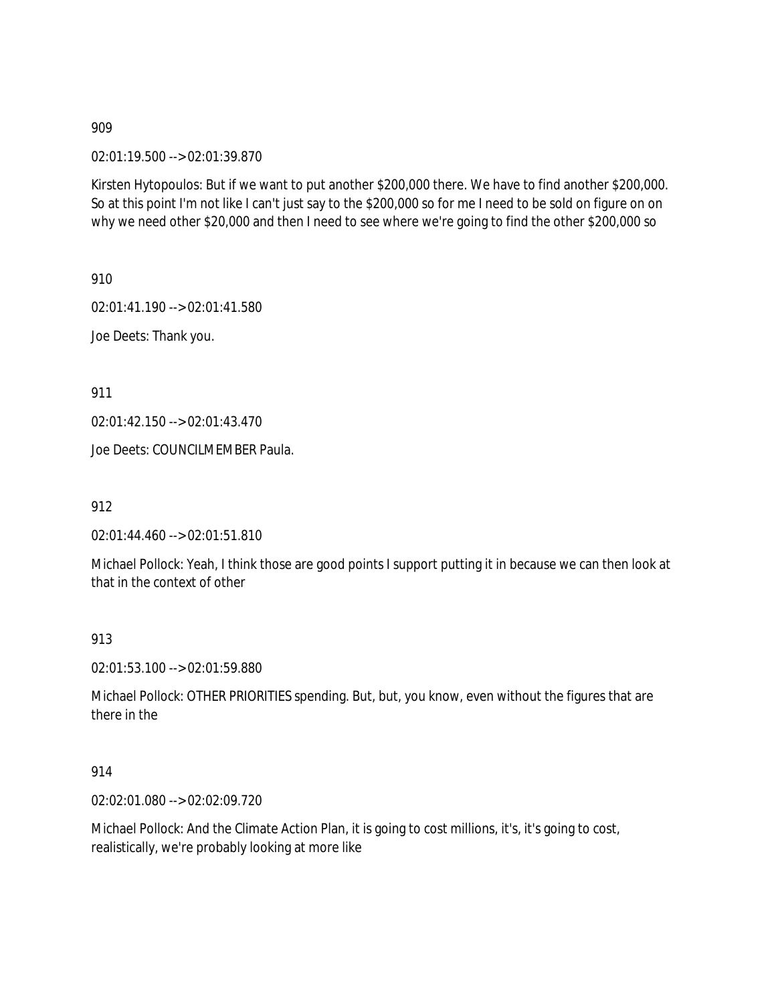02:01:19.500 --> 02:01:39.870

Kirsten Hytopoulos: But if we want to put another \$200,000 there. We have to find another \$200,000. So at this point I'm not like I can't just say to the \$200,000 so for me I need to be sold on figure on on why we need other \$20,000 and then I need to see where we're going to find the other \$200,000 so

910

02:01:41.190 --> 02:01:41.580

Joe Deets: Thank you.

911

02:01:42.150 --> 02:01:43.470

Joe Deets: COUNCILMEMBER Paula.

912

02:01:44.460 --> 02:01:51.810

Michael Pollock: Yeah, I think those are good points I support putting it in because we can then look at that in the context of other

913

02:01:53.100 --> 02:01:59.880

Michael Pollock: OTHER PRIORITIES spending. But, but, you know, even without the figures that are there in the

914

02:02:01.080 --> 02:02:09.720

Michael Pollock: And the Climate Action Plan, it is going to cost millions, it's, it's going to cost, realistically, we're probably looking at more like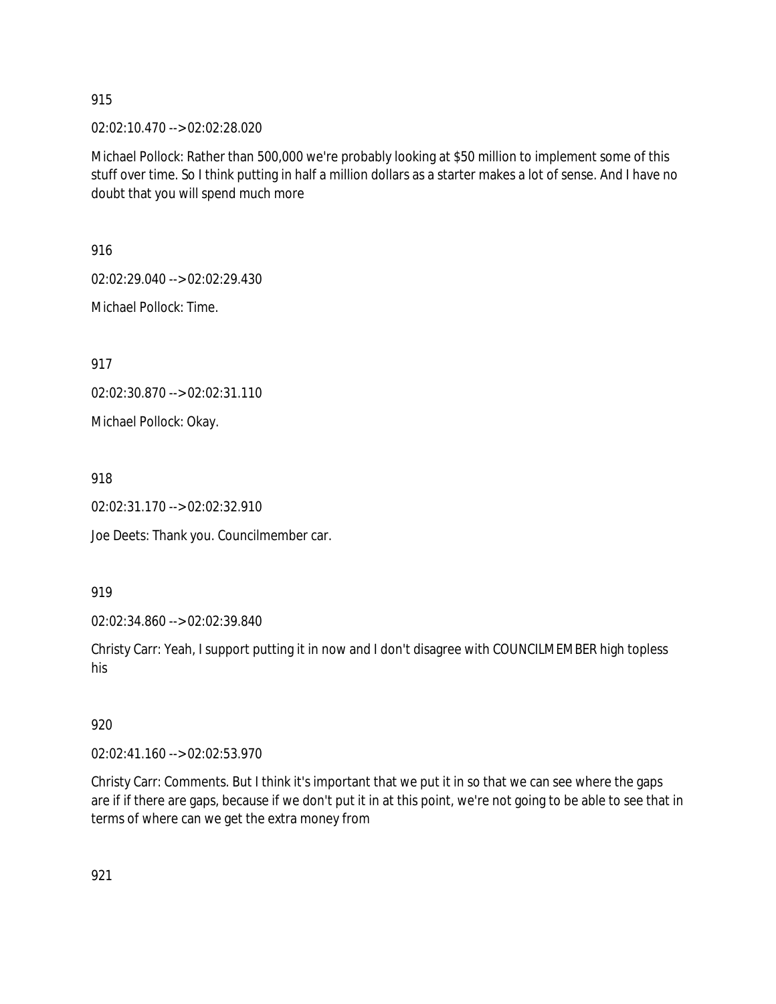02:02:10.470 --> 02:02:28.020

Michael Pollock: Rather than 500,000 we're probably looking at \$50 million to implement some of this stuff over time. So I think putting in half a million dollars as a starter makes a lot of sense. And I have no doubt that you will spend much more

916

02:02:29.040 --> 02:02:29.430

Michael Pollock: Time.

917

02:02:30.870 --> 02:02:31.110

Michael Pollock: Okay.

918

02:02:31.170 --> 02:02:32.910

Joe Deets: Thank you. Councilmember car.

919

02:02:34.860 --> 02:02:39.840

Christy Carr: Yeah, I support putting it in now and I don't disagree with COUNCILMEMBER high topless his

920

02:02:41.160 --> 02:02:53.970

Christy Carr: Comments. But I think it's important that we put it in so that we can see where the gaps are if if there are gaps, because if we don't put it in at this point, we're not going to be able to see that in terms of where can we get the extra money from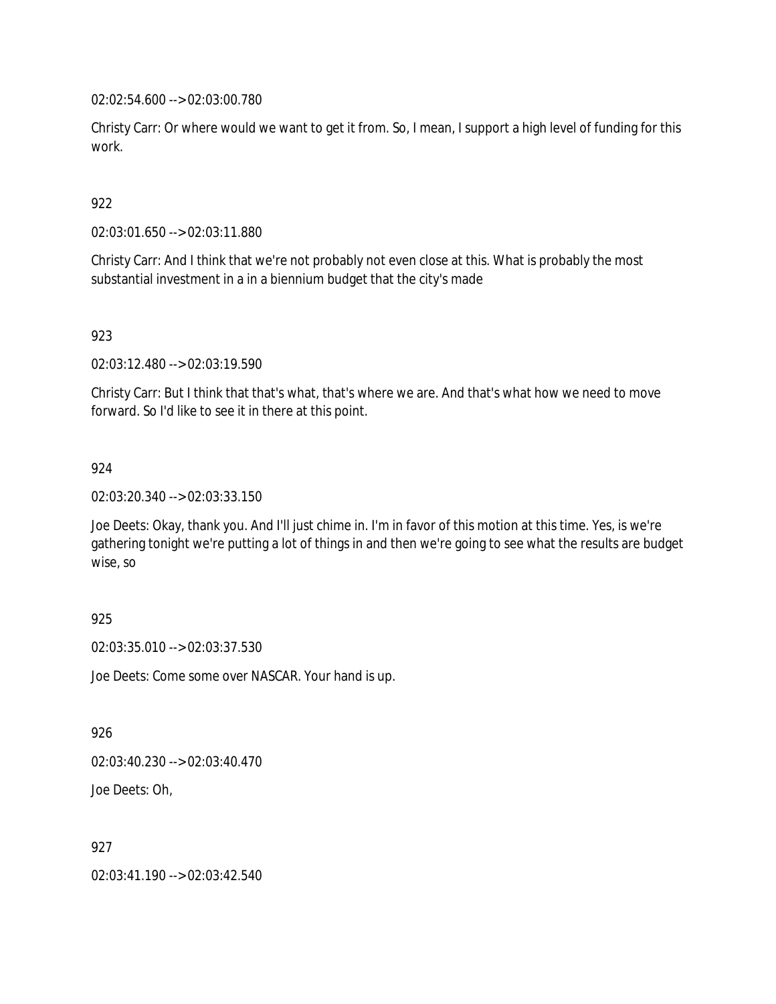02:02:54.600 --> 02:03:00.780

Christy Carr: Or where would we want to get it from. So, I mean, I support a high level of funding for this work.

# 922

02:03:01.650 --> 02:03:11.880

Christy Carr: And I think that we're not probably not even close at this. What is probably the most substantial investment in a in a biennium budget that the city's made

# 923

02:03:12.480 --> 02:03:19.590

Christy Carr: But I think that that's what, that's where we are. And that's what how we need to move forward. So I'd like to see it in there at this point.

# 924

02:03:20.340 --> 02:03:33.150

Joe Deets: Okay, thank you. And I'll just chime in. I'm in favor of this motion at this time. Yes, is we're gathering tonight we're putting a lot of things in and then we're going to see what the results are budget wise, so

# 925

02:03:35.010 --> 02:03:37.530

Joe Deets: Come some over NASCAR. Your hand is up.

#### 926

02:03:40.230 --> 02:03:40.470

Joe Deets: Oh,

# 927

02:03:41.190 --> 02:03:42.540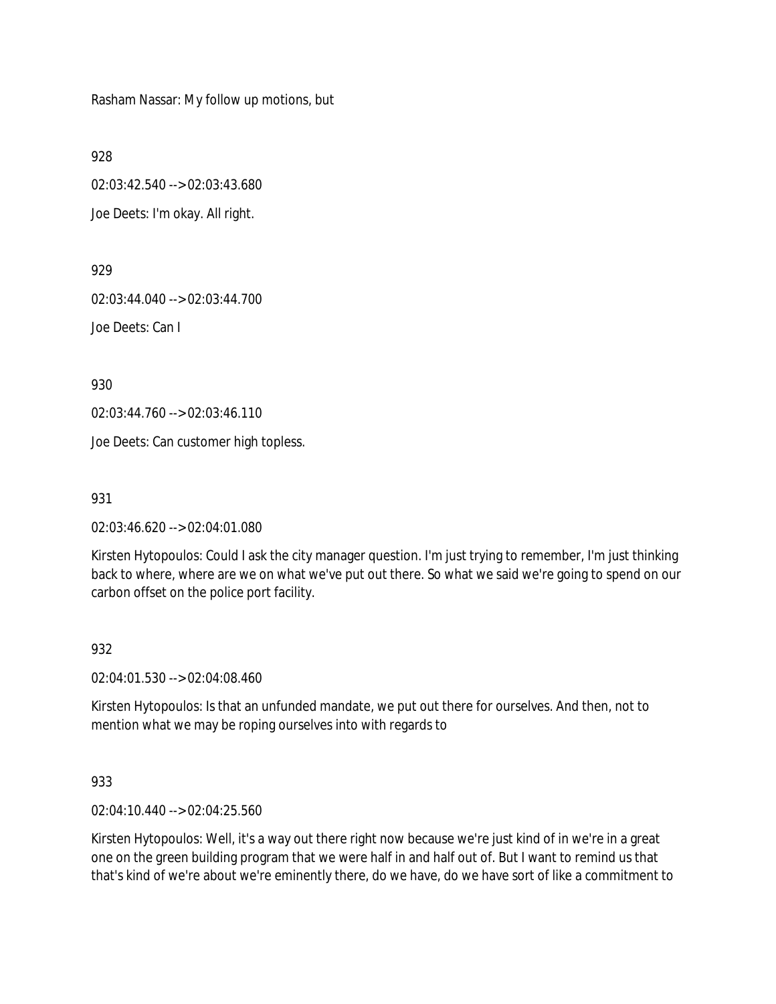Rasham Nassar: My follow up motions, but

928

02:03:42.540 --> 02:03:43.680 Joe Deets: I'm okay. All right.

929

02:03:44.040 --> 02:03:44.700

Joe Deets: Can I

930

02:03:44.760 --> 02:03:46.110

Joe Deets: Can customer high topless.

931

02:03:46.620 --> 02:04:01.080

Kirsten Hytopoulos: Could I ask the city manager question. I'm just trying to remember, I'm just thinking back to where, where are we on what we've put out there. So what we said we're going to spend on our carbon offset on the police port facility.

# 932

02:04:01.530 --> 02:04:08.460

Kirsten Hytopoulos: Is that an unfunded mandate, we put out there for ourselves. And then, not to mention what we may be roping ourselves into with regards to

#### 933

02:04:10.440 --> 02:04:25.560

Kirsten Hytopoulos: Well, it's a way out there right now because we're just kind of in we're in a great one on the green building program that we were half in and half out of. But I want to remind us that that's kind of we're about we're eminently there, do we have, do we have sort of like a commitment to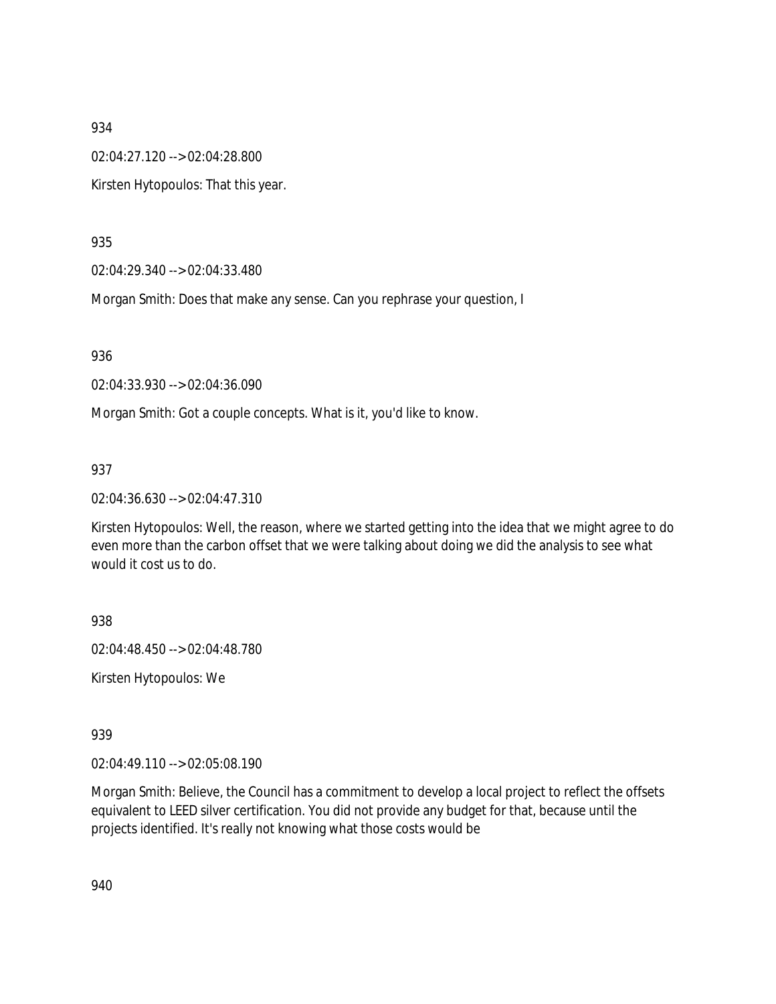02:04:27.120 --> 02:04:28.800

Kirsten Hytopoulos: That this year.

935

02:04:29.340 --> 02:04:33.480

Morgan Smith: Does that make any sense. Can you rephrase your question, I

936

02:04:33.930 --> 02:04:36.090

Morgan Smith: Got a couple concepts. What is it, you'd like to know.

937

02:04:36.630 --> 02:04:47.310

Kirsten Hytopoulos: Well, the reason, where we started getting into the idea that we might agree to do even more than the carbon offset that we were talking about doing we did the analysis to see what would it cost us to do.

938

02:04:48.450 --> 02:04:48.780

Kirsten Hytopoulos: We

939

02:04:49.110 --> 02:05:08.190

Morgan Smith: Believe, the Council has a commitment to develop a local project to reflect the offsets equivalent to LEED silver certification. You did not provide any budget for that, because until the projects identified. It's really not knowing what those costs would be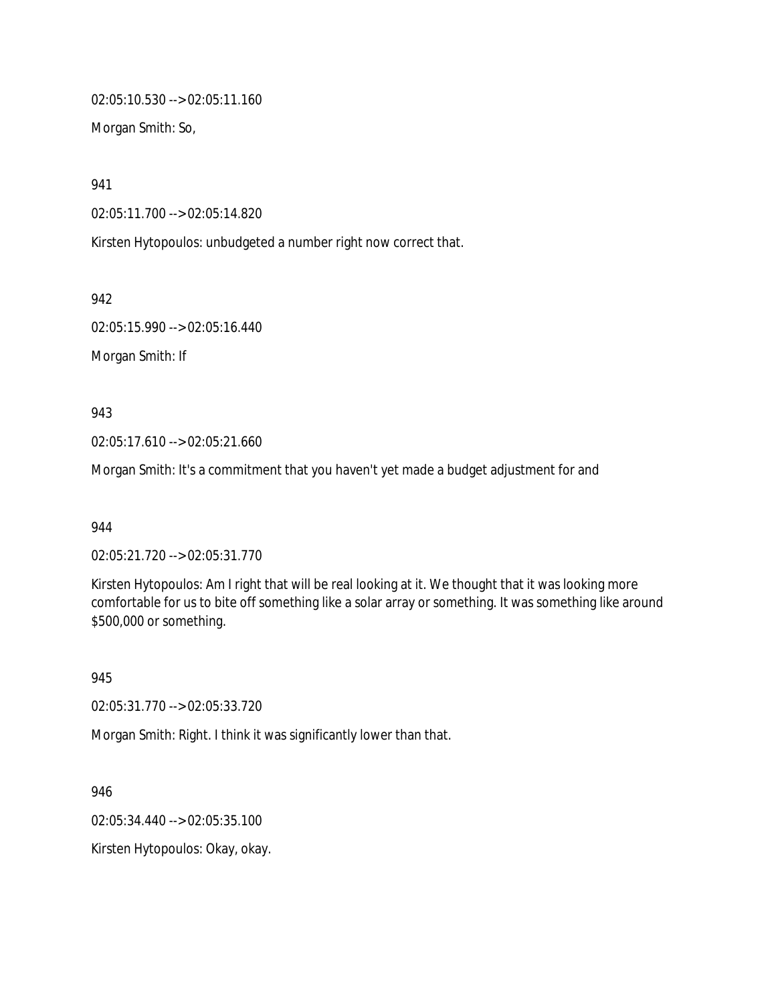02:05:10.530 --> 02:05:11.160

Morgan Smith: So,

941

02:05:11.700 --> 02:05:14.820

Kirsten Hytopoulos: unbudgeted a number right now correct that.

942

02:05:15.990 --> 02:05:16.440

Morgan Smith: If

943

02:05:17.610 --> 02:05:21.660

Morgan Smith: It's a commitment that you haven't yet made a budget adjustment for and

944

02:05:21.720 --> 02:05:31.770

Kirsten Hytopoulos: Am I right that will be real looking at it. We thought that it was looking more comfortable for us to bite off something like a solar array or something. It was something like around \$500,000 or something.

945

02:05:31.770 --> 02:05:33.720

Morgan Smith: Right. I think it was significantly lower than that.

946

02:05:34.440 --> 02:05:35.100

Kirsten Hytopoulos: Okay, okay.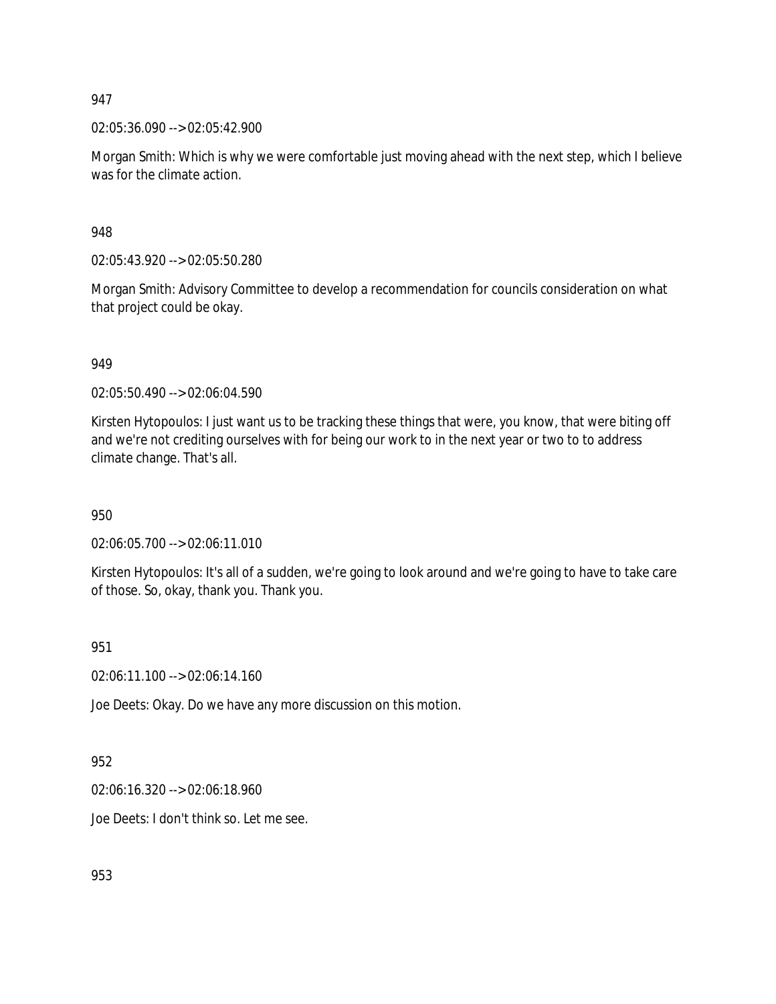02:05:36.090 --> 02:05:42.900

Morgan Smith: Which is why we were comfortable just moving ahead with the next step, which I believe was for the climate action.

948

02:05:43.920 --> 02:05:50.280

Morgan Smith: Advisory Committee to develop a recommendation for councils consideration on what that project could be okay.

949

02:05:50.490 --> 02:06:04.590

Kirsten Hytopoulos: I just want us to be tracking these things that were, you know, that were biting off and we're not crediting ourselves with for being our work to in the next year or two to to address climate change. That's all.

950

02:06:05.700 --> 02:06:11.010

Kirsten Hytopoulos: It's all of a sudden, we're going to look around and we're going to have to take care of those. So, okay, thank you. Thank you.

951

02:06:11.100 --> 02:06:14.160

Joe Deets: Okay. Do we have any more discussion on this motion.

952

02:06:16.320 --> 02:06:18.960

Joe Deets: I don't think so. Let me see.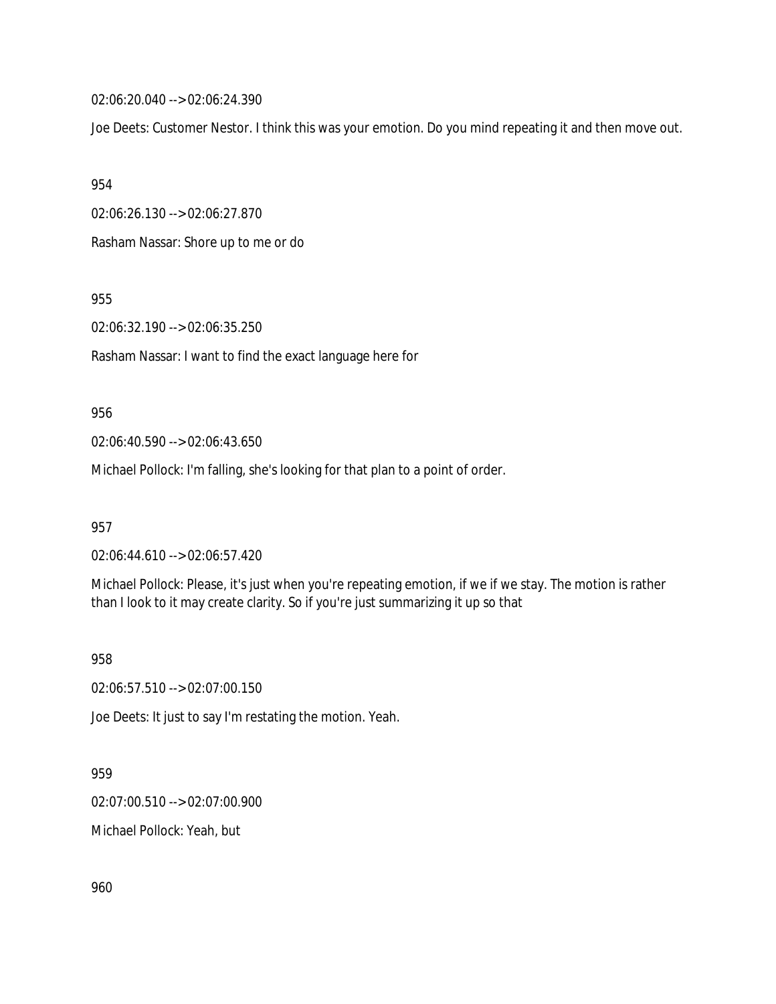02:06:20.040 --> 02:06:24.390

Joe Deets: Customer Nestor. I think this was your emotion. Do you mind repeating it and then move out.

954

02:06:26.130 --> 02:06:27.870

Rasham Nassar: Shore up to me or do

955

02:06:32.190 --> 02:06:35.250

Rasham Nassar: I want to find the exact language here for

### 956

02:06:40.590 --> 02:06:43.650

Michael Pollock: I'm falling, she's looking for that plan to a point of order.

957

02:06:44.610 --> 02:06:57.420

Michael Pollock: Please, it's just when you're repeating emotion, if we if we stay. The motion is rather than I look to it may create clarity. So if you're just summarizing it up so that

958

02:06:57.510 --> 02:07:00.150

Joe Deets: It just to say I'm restating the motion. Yeah.

# 959

02:07:00.510 --> 02:07:00.900

Michael Pollock: Yeah, but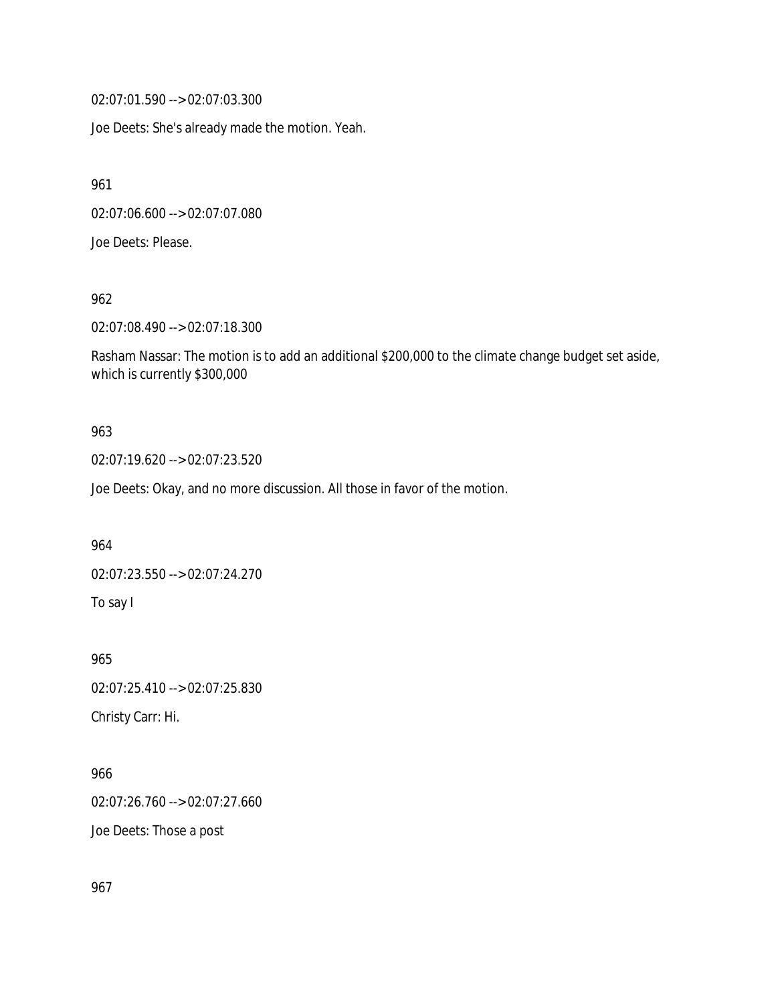02:07:01.590 --> 02:07:03.300

Joe Deets: She's already made the motion. Yeah.

961

02:07:06.600 --> 02:07:07.080

Joe Deets: Please.

962

02:07:08.490 --> 02:07:18.300

Rasham Nassar: The motion is to add an additional \$200,000 to the climate change budget set aside, which is currently \$300,000

### 963

02:07:19.620 --> 02:07:23.520

Joe Deets: Okay, and no more discussion. All those in favor of the motion.

964

02:07:23.550 --> 02:07:24.270

To say I

965 02:07:25.410 --> 02:07:25.830 Christy Carr: Hi.

966

02:07:26.760 --> 02:07:27.660

Joe Deets: Those a post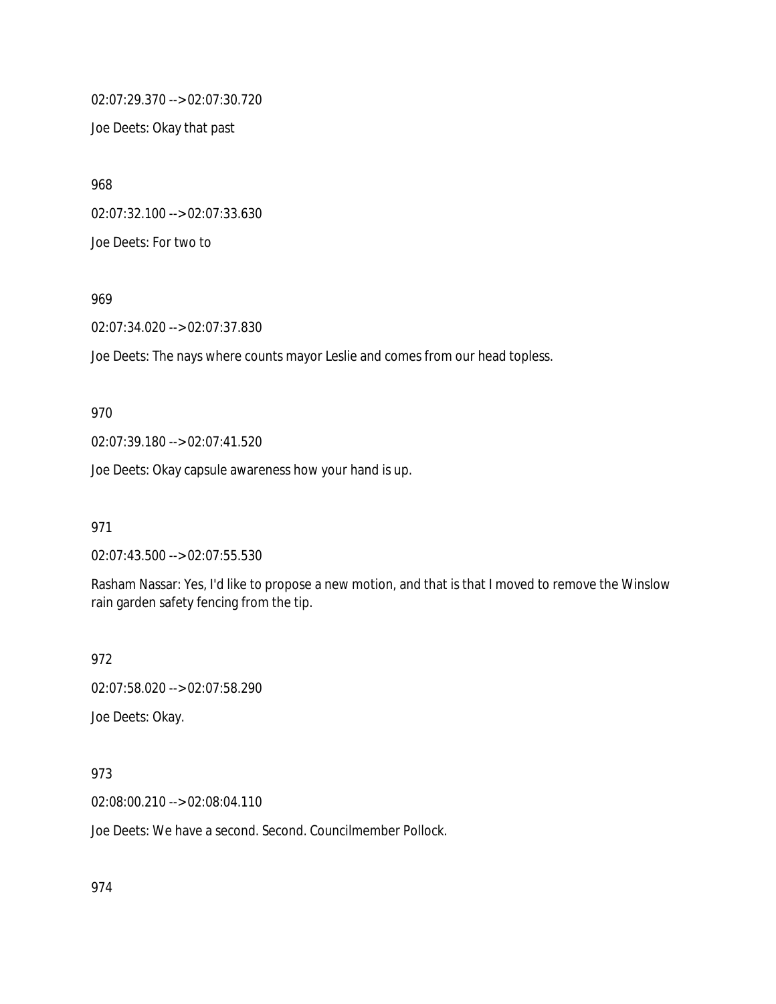02:07:29.370 --> 02:07:30.720

Joe Deets: Okay that past

968 02:07:32.100 --> 02:07:33.630 Joe Deets: For two to

969

02:07:34.020 --> 02:07:37.830

Joe Deets: The nays where counts mayor Leslie and comes from our head topless.

970

02:07:39.180 --> 02:07:41.520

Joe Deets: Okay capsule awareness how your hand is up.

971

02:07:43.500 --> 02:07:55.530

Rasham Nassar: Yes, I'd like to propose a new motion, and that is that I moved to remove the Winslow rain garden safety fencing from the tip.

972

02:07:58.020 --> 02:07:58.290

Joe Deets: Okay.

973

02:08:00.210 --> 02:08:04.110

Joe Deets: We have a second. Second. Councilmember Pollock.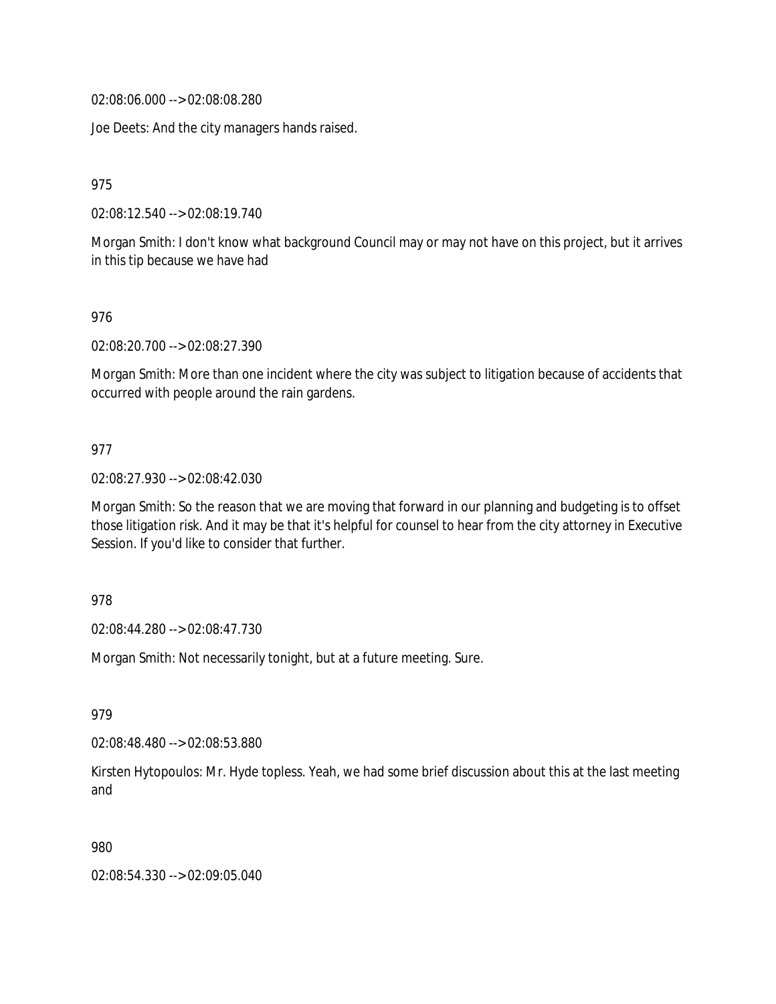02:08:06.000 --> 02:08:08.280

Joe Deets: And the city managers hands raised.

975

02:08:12.540 --> 02:08:19.740

Morgan Smith: I don't know what background Council may or may not have on this project, but it arrives in this tip because we have had

976

02:08:20.700 --> 02:08:27.390

Morgan Smith: More than one incident where the city was subject to litigation because of accidents that occurred with people around the rain gardens.

### 977

02:08:27.930 --> 02:08:42.030

Morgan Smith: So the reason that we are moving that forward in our planning and budgeting is to offset those litigation risk. And it may be that it's helpful for counsel to hear from the city attorney in Executive Session. If you'd like to consider that further.

### 978

02:08:44.280 --> 02:08:47.730

Morgan Smith: Not necessarily tonight, but at a future meeting. Sure.

979

02:08:48.480 --> 02:08:53.880

Kirsten Hytopoulos: Mr. Hyde topless. Yeah, we had some brief discussion about this at the last meeting and

980

02:08:54.330 --> 02:09:05.040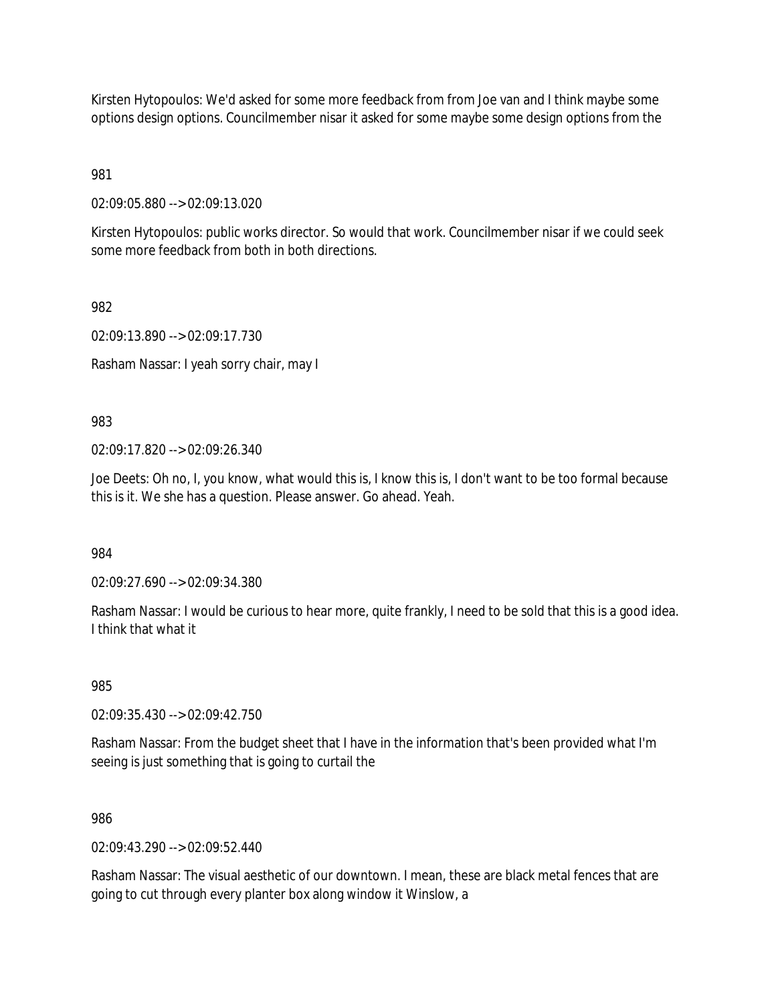Kirsten Hytopoulos: We'd asked for some more feedback from from Joe van and I think maybe some options design options. Councilmember nisar it asked for some maybe some design options from the

981

02:09:05.880 --> 02:09:13.020

Kirsten Hytopoulos: public works director. So would that work. Councilmember nisar if we could seek some more feedback from both in both directions.

982

02:09:13.890 --> 02:09:17.730

Rasham Nassar: I yeah sorry chair, may I

983

02:09:17.820 --> 02:09:26.340

Joe Deets: Oh no, I, you know, what would this is, I know this is, I don't want to be too formal because this is it. We she has a question. Please answer. Go ahead. Yeah.

984

02:09:27.690 --> 02:09:34.380

Rasham Nassar: I would be curious to hear more, quite frankly, I need to be sold that this is a good idea. I think that what it

985

02:09:35.430 --> 02:09:42.750

Rasham Nassar: From the budget sheet that I have in the information that's been provided what I'm seeing is just something that is going to curtail the

986

02:09:43.290 --> 02:09:52.440

Rasham Nassar: The visual aesthetic of our downtown. I mean, these are black metal fences that are going to cut through every planter box along window it Winslow, a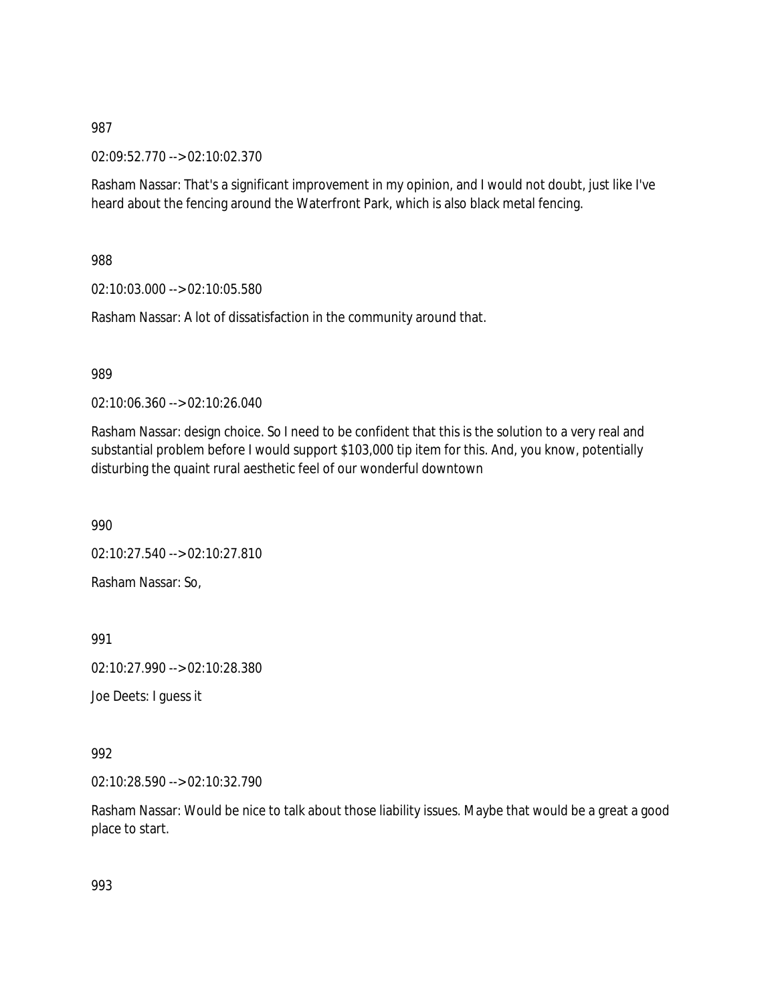02:09:52.770 --> 02:10:02.370

Rasham Nassar: That's a significant improvement in my opinion, and I would not doubt, just like I've heard about the fencing around the Waterfront Park, which is also black metal fencing.

988

02:10:03.000 --> 02:10:05.580

Rasham Nassar: A lot of dissatisfaction in the community around that.

989

02:10:06.360 --> 02:10:26.040

Rasham Nassar: design choice. So I need to be confident that this is the solution to a very real and substantial problem before I would support \$103,000 tip item for this. And, you know, potentially disturbing the quaint rural aesthetic feel of our wonderful downtown

990

02:10:27.540 --> 02:10:27.810

Rasham Nassar: So,

991

02:10:27.990 --> 02:10:28.380

Joe Deets: I guess it

992

02:10:28.590 --> 02:10:32.790

Rasham Nassar: Would be nice to talk about those liability issues. Maybe that would be a great a good place to start.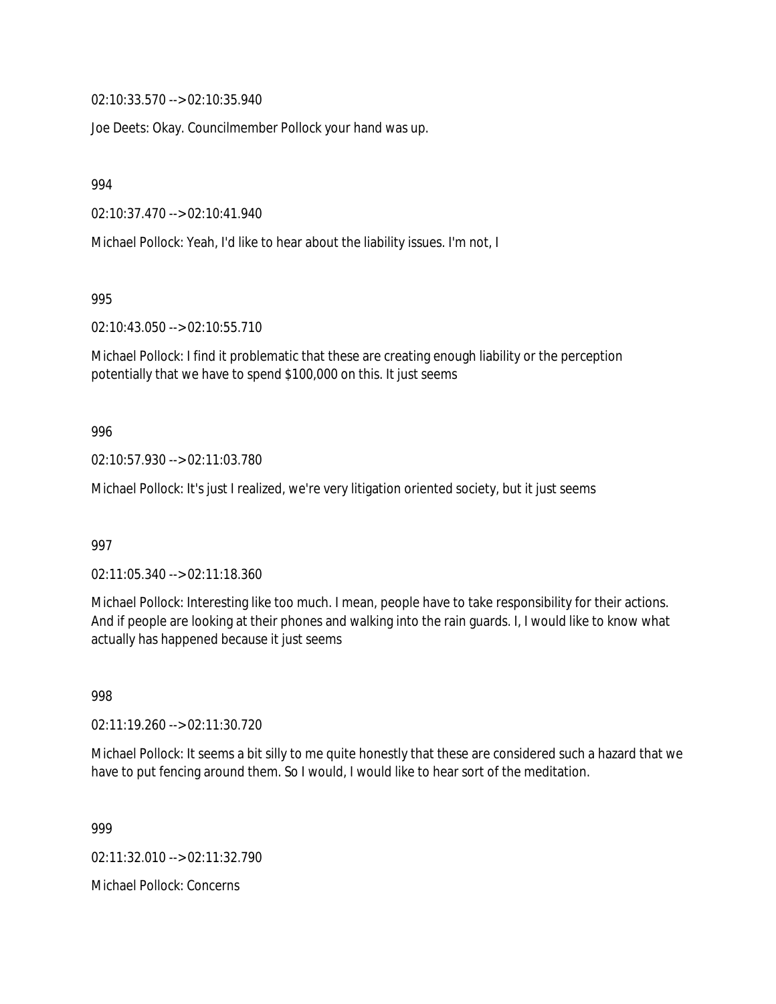02:10:33.570 --> 02:10:35.940

Joe Deets: Okay. Councilmember Pollock your hand was up.

994

02:10:37.470 --> 02:10:41.940

Michael Pollock: Yeah, I'd like to hear about the liability issues. I'm not, I

995

02:10:43.050 --> 02:10:55.710

Michael Pollock: I find it problematic that these are creating enough liability or the perception potentially that we have to spend \$100,000 on this. It just seems

### 996

02:10:57.930 --> 02:11:03.780

Michael Pollock: It's just I realized, we're very litigation oriented society, but it just seems

997

02:11:05.340 --> 02:11:18.360

Michael Pollock: Interesting like too much. I mean, people have to take responsibility for their actions. And if people are looking at their phones and walking into the rain guards. I, I would like to know what actually has happened because it just seems

998

02:11:19.260 --> 02:11:30.720

Michael Pollock: It seems a bit silly to me quite honestly that these are considered such a hazard that we have to put fencing around them. So I would, I would like to hear sort of the meditation.

999

02:11:32.010 --> 02:11:32.790

Michael Pollock: Concerns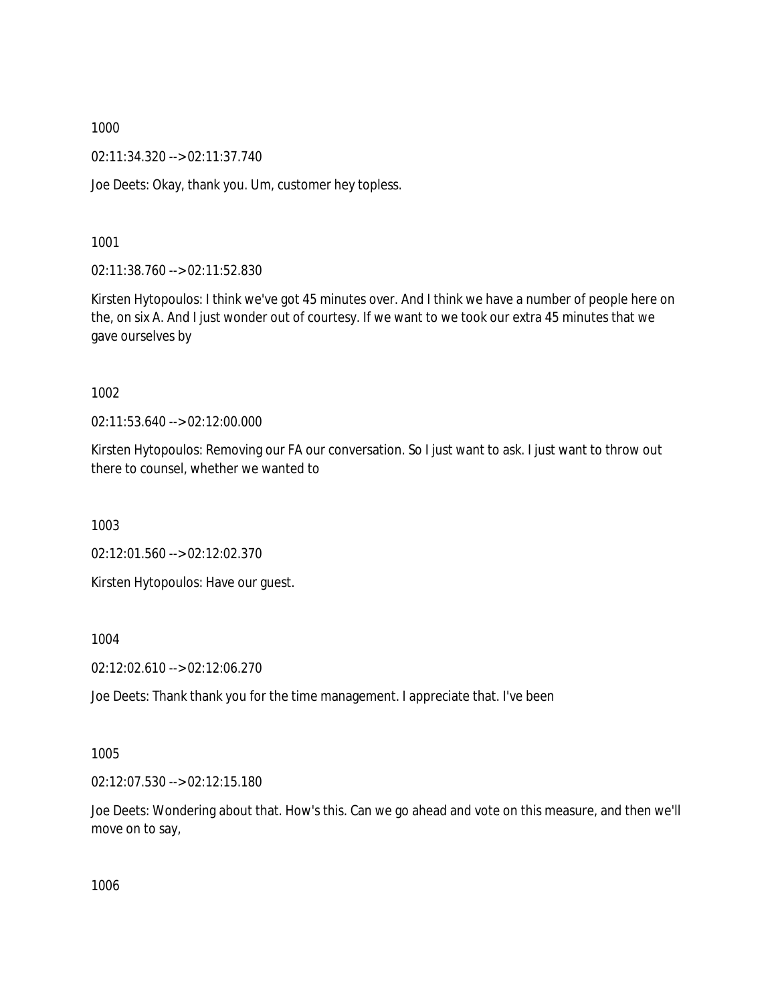02:11:34.320 --> 02:11:37.740

Joe Deets: Okay, thank you. Um, customer hey topless.

1001

02:11:38.760 --> 02:11:52.830

Kirsten Hytopoulos: I think we've got 45 minutes over. And I think we have a number of people here on the, on six A. And I just wonder out of courtesy. If we want to we took our extra 45 minutes that we gave ourselves by

1002

02:11:53.640 --> 02:12:00.000

Kirsten Hytopoulos: Removing our FA our conversation. So I just want to ask. I just want to throw out there to counsel, whether we wanted to

1003

02:12:01.560 --> 02:12:02.370

Kirsten Hytopoulos: Have our guest.

1004

02:12:02.610 --> 02:12:06.270

Joe Deets: Thank thank you for the time management. I appreciate that. I've been

1005

02:12:07.530 --> 02:12:15.180

Joe Deets: Wondering about that. How's this. Can we go ahead and vote on this measure, and then we'll move on to say,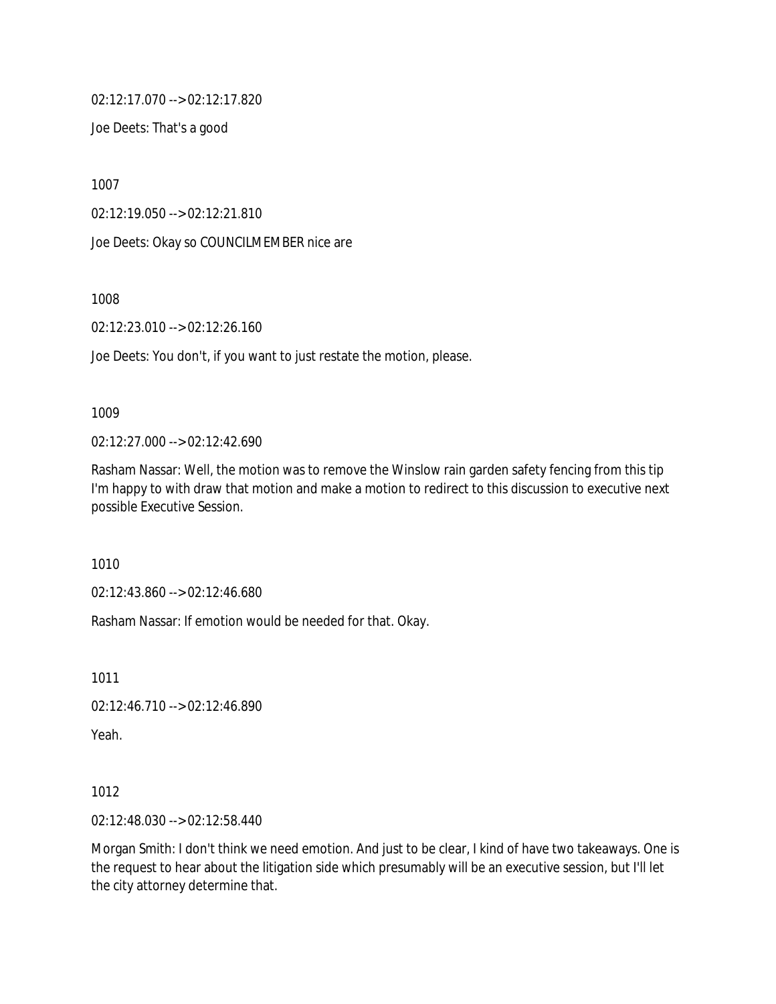02:12:17.070 --> 02:12:17.820

Joe Deets: That's a good

1007

02:12:19.050 --> 02:12:21.810

Joe Deets: Okay so COUNCILMEMBER nice are

1008

02:12:23.010 --> 02:12:26.160

Joe Deets: You don't, if you want to just restate the motion, please.

#### 1009

02:12:27.000 --> 02:12:42.690

Rasham Nassar: Well, the motion was to remove the Winslow rain garden safety fencing from this tip I'm happy to with draw that motion and make a motion to redirect to this discussion to executive next possible Executive Session.

1010

02:12:43.860 --> 02:12:46.680

Rasham Nassar: If emotion would be needed for that. Okay.

1011

02:12:46.710 --> 02:12:46.890

Yeah.

1012

02:12:48.030 --> 02:12:58.440

Morgan Smith: I don't think we need emotion. And just to be clear, I kind of have two takeaways. One is the request to hear about the litigation side which presumably will be an executive session, but I'll let the city attorney determine that.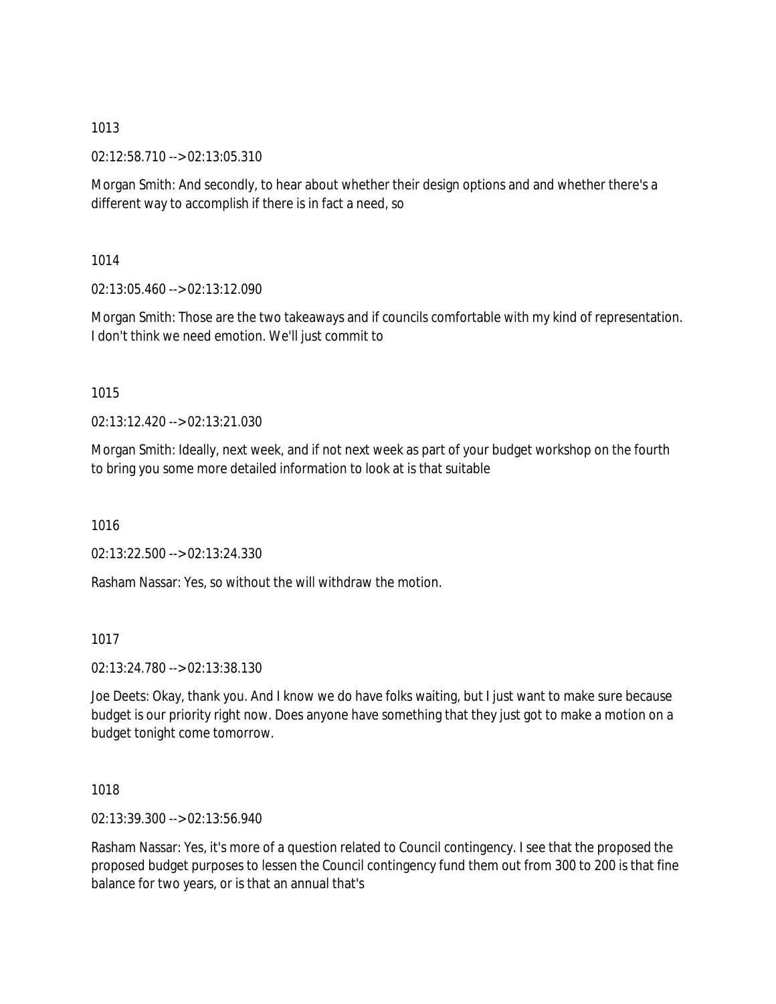02:12:58.710 --> 02:13:05.310

Morgan Smith: And secondly, to hear about whether their design options and and whether there's a different way to accomplish if there is in fact a need, so

1014

02:13:05.460 --> 02:13:12.090

Morgan Smith: Those are the two takeaways and if councils comfortable with my kind of representation. I don't think we need emotion. We'll just commit to

# 1015

02:13:12.420 --> 02:13:21.030

Morgan Smith: Ideally, next week, and if not next week as part of your budget workshop on the fourth to bring you some more detailed information to look at is that suitable

1016

02:13:22.500 --> 02:13:24.330

Rasham Nassar: Yes, so without the will withdraw the motion.

1017

02:13:24.780 --> 02:13:38.130

Joe Deets: Okay, thank you. And I know we do have folks waiting, but I just want to make sure because budget is our priority right now. Does anyone have something that they just got to make a motion on a budget tonight come tomorrow.

1018

02:13:39.300 --> 02:13:56.940

Rasham Nassar: Yes, it's more of a question related to Council contingency. I see that the proposed the proposed budget purposes to lessen the Council contingency fund them out from 300 to 200 is that fine balance for two years, or is that an annual that's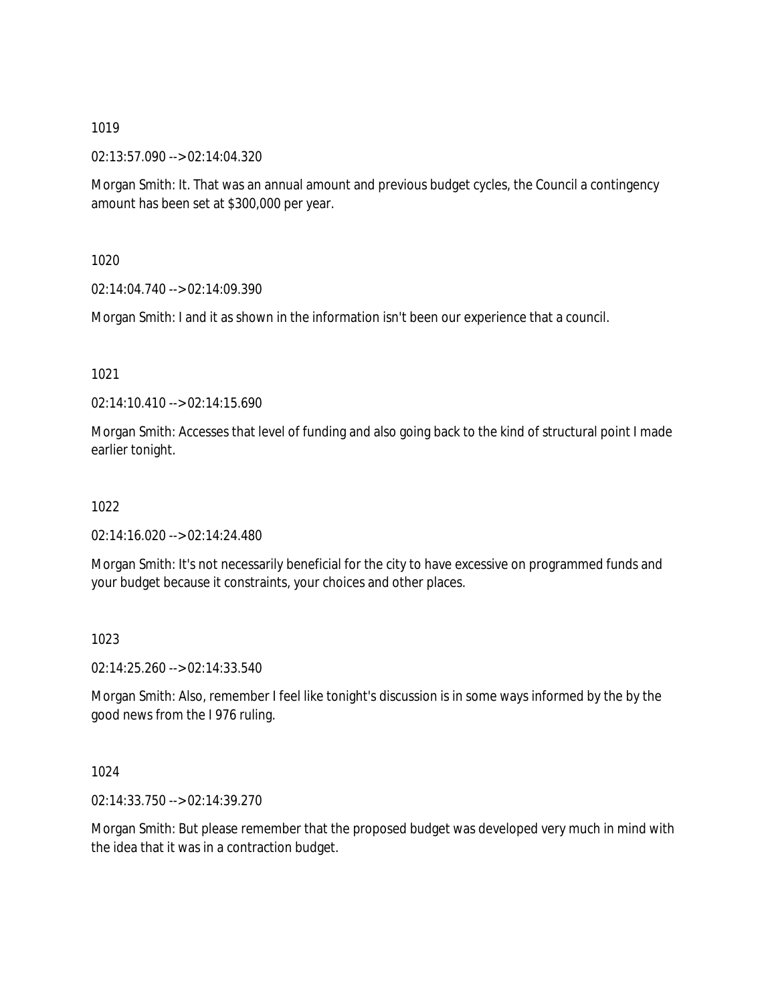02:13:57.090 --> 02:14:04.320

Morgan Smith: It. That was an annual amount and previous budget cycles, the Council a contingency amount has been set at \$300,000 per year.

1020

02:14:04.740 --> 02:14:09.390

Morgan Smith: I and it as shown in the information isn't been our experience that a council.

1021

02:14:10.410 --> 02:14:15.690

Morgan Smith: Accesses that level of funding and also going back to the kind of structural point I made earlier tonight.

1022

02:14:16.020 --> 02:14:24.480

Morgan Smith: It's not necessarily beneficial for the city to have excessive on programmed funds and your budget because it constraints, your choices and other places.

1023

02:14:25.260 --> 02:14:33.540

Morgan Smith: Also, remember I feel like tonight's discussion is in some ways informed by the by the good news from the I 976 ruling.

1024

02:14:33.750 --> 02:14:39.270

Morgan Smith: But please remember that the proposed budget was developed very much in mind with the idea that it was in a contraction budget.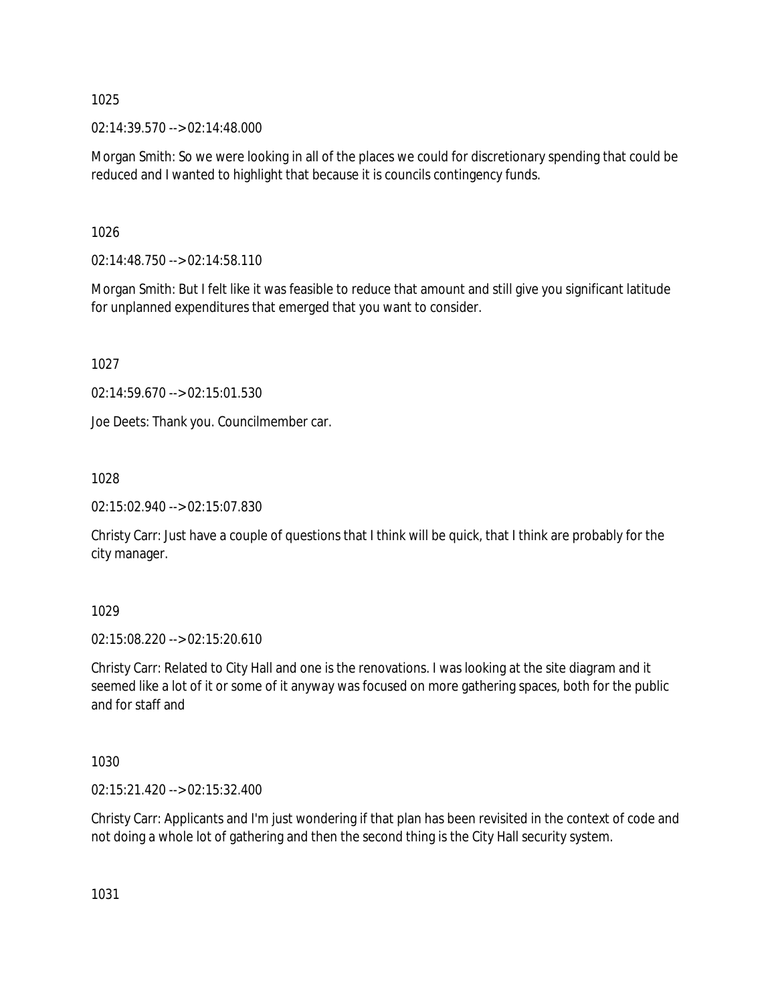02:14:39.570 --> 02:14:48.000

Morgan Smith: So we were looking in all of the places we could for discretionary spending that could be reduced and I wanted to highlight that because it is councils contingency funds.

1026

02:14:48.750 --> 02:14:58.110

Morgan Smith: But I felt like it was feasible to reduce that amount and still give you significant latitude for unplanned expenditures that emerged that you want to consider.

1027

02:14:59.670 --> 02:15:01.530

Joe Deets: Thank you. Councilmember car.

1028

02:15:02.940 --> 02:15:07.830

Christy Carr: Just have a couple of questions that I think will be quick, that I think are probably for the city manager.

1029

02:15:08.220 --> 02:15:20.610

Christy Carr: Related to City Hall and one is the renovations. I was looking at the site diagram and it seemed like a lot of it or some of it anyway was focused on more gathering spaces, both for the public and for staff and

1030

02:15:21.420 --> 02:15:32.400

Christy Carr: Applicants and I'm just wondering if that plan has been revisited in the context of code and not doing a whole lot of gathering and then the second thing is the City Hall security system.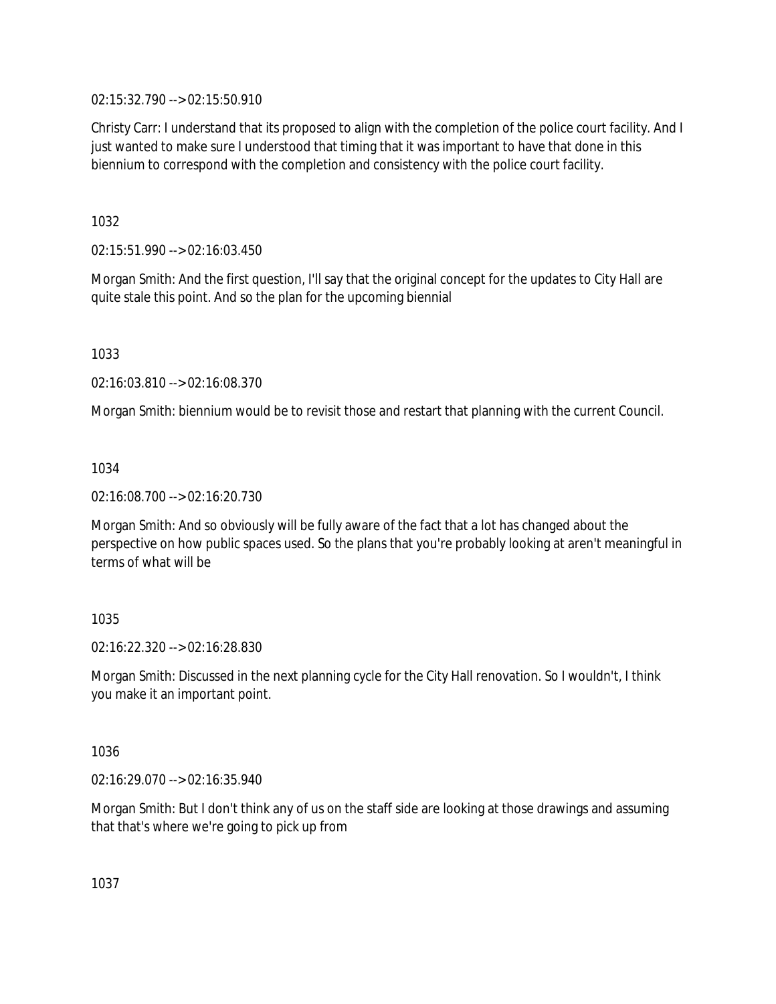02:15:32.790 --> 02:15:50.910

Christy Carr: I understand that its proposed to align with the completion of the police court facility. And I just wanted to make sure I understood that timing that it was important to have that done in this biennium to correspond with the completion and consistency with the police court facility.

1032

02:15:51.990 --> 02:16:03.450

Morgan Smith: And the first question, I'll say that the original concept for the updates to City Hall are quite stale this point. And so the plan for the upcoming biennial

1033

02:16:03.810 --> 02:16:08.370

Morgan Smith: biennium would be to revisit those and restart that planning with the current Council.

1034

02:16:08.700 --> 02:16:20.730

Morgan Smith: And so obviously will be fully aware of the fact that a lot has changed about the perspective on how public spaces used. So the plans that you're probably looking at aren't meaningful in terms of what will be

# 1035

02:16:22.320 --> 02:16:28.830

Morgan Smith: Discussed in the next planning cycle for the City Hall renovation. So I wouldn't, I think you make it an important point.

1036

02:16:29.070 --> 02:16:35.940

Morgan Smith: But I don't think any of us on the staff side are looking at those drawings and assuming that that's where we're going to pick up from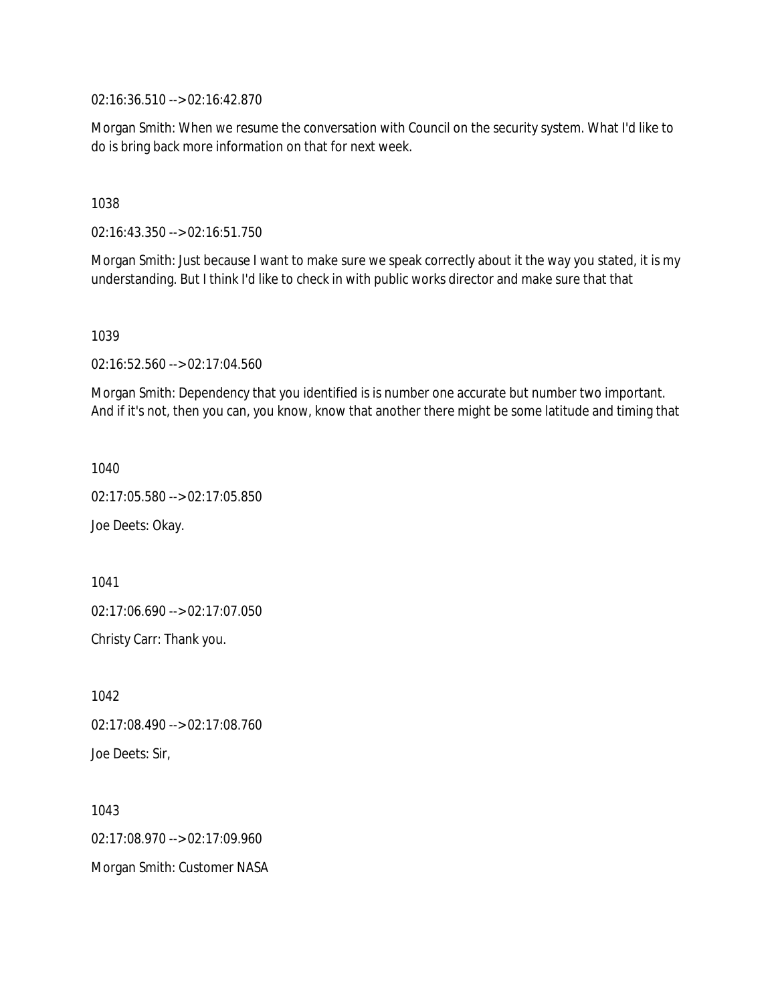02:16:36.510 --> 02:16:42.870

Morgan Smith: When we resume the conversation with Council on the security system. What I'd like to do is bring back more information on that for next week.

1038

02:16:43.350 --> 02:16:51.750

Morgan Smith: Just because I want to make sure we speak correctly about it the way you stated, it is my understanding. But I think I'd like to check in with public works director and make sure that that

1039

02:16:52.560 --> 02:17:04.560

Morgan Smith: Dependency that you identified is is number one accurate but number two important. And if it's not, then you can, you know, know that another there might be some latitude and timing that

1040

02:17:05.580 --> 02:17:05.850

Joe Deets: Okay.

1041 02:17:06.690 --> 02:17:07.050 Christy Carr: Thank you.

1042 02:17:08.490 --> 02:17:08.760 Joe Deets: Sir,

1043 02:17:08.970 --> 02:17:09.960 Morgan Smith: Customer NASA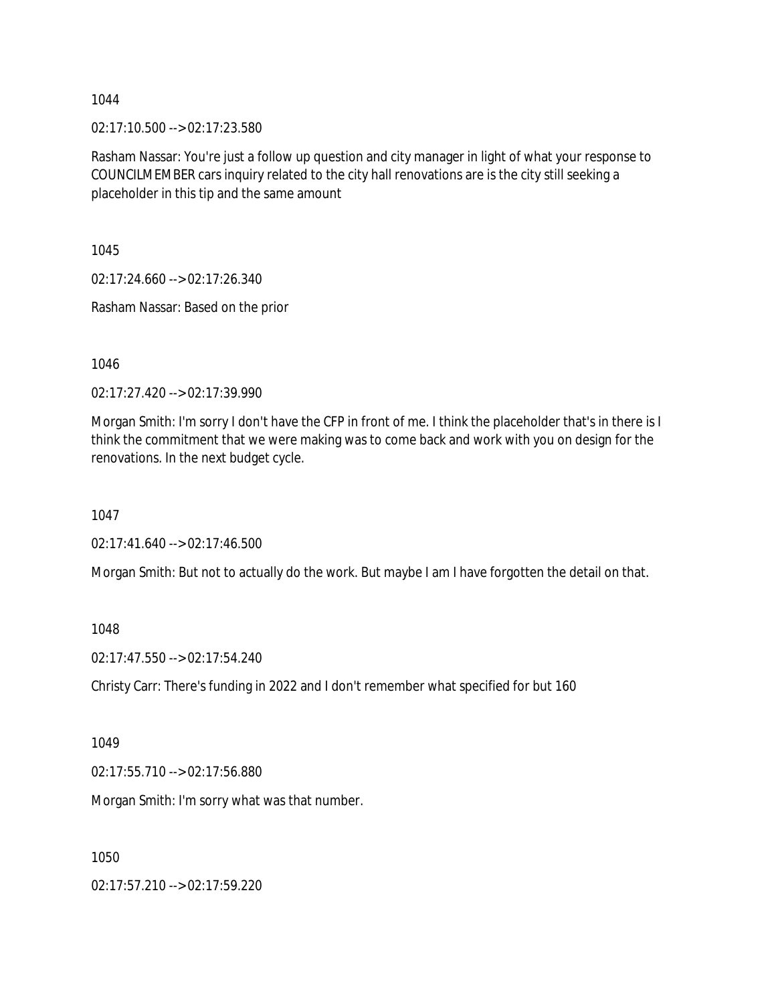02:17:10.500 --> 02:17:23.580

Rasham Nassar: You're just a follow up question and city manager in light of what your response to COUNCILMEMBER cars inquiry related to the city hall renovations are is the city still seeking a placeholder in this tip and the same amount

1045

02:17:24.660 --> 02:17:26.340

Rasham Nassar: Based on the prior

1046

02:17:27.420 --> 02:17:39.990

Morgan Smith: I'm sorry I don't have the CFP in front of me. I think the placeholder that's in there is I think the commitment that we were making was to come back and work with you on design for the renovations. In the next budget cycle.

1047

02:17:41.640 --> 02:17:46.500

Morgan Smith: But not to actually do the work. But maybe I am I have forgotten the detail on that.

1048

02:17:47.550 --> 02:17:54.240

Christy Carr: There's funding in 2022 and I don't remember what specified for but 160

1049

02:17:55.710 --> 02:17:56.880

Morgan Smith: I'm sorry what was that number.

1050

02:17:57.210 --> 02:17:59.220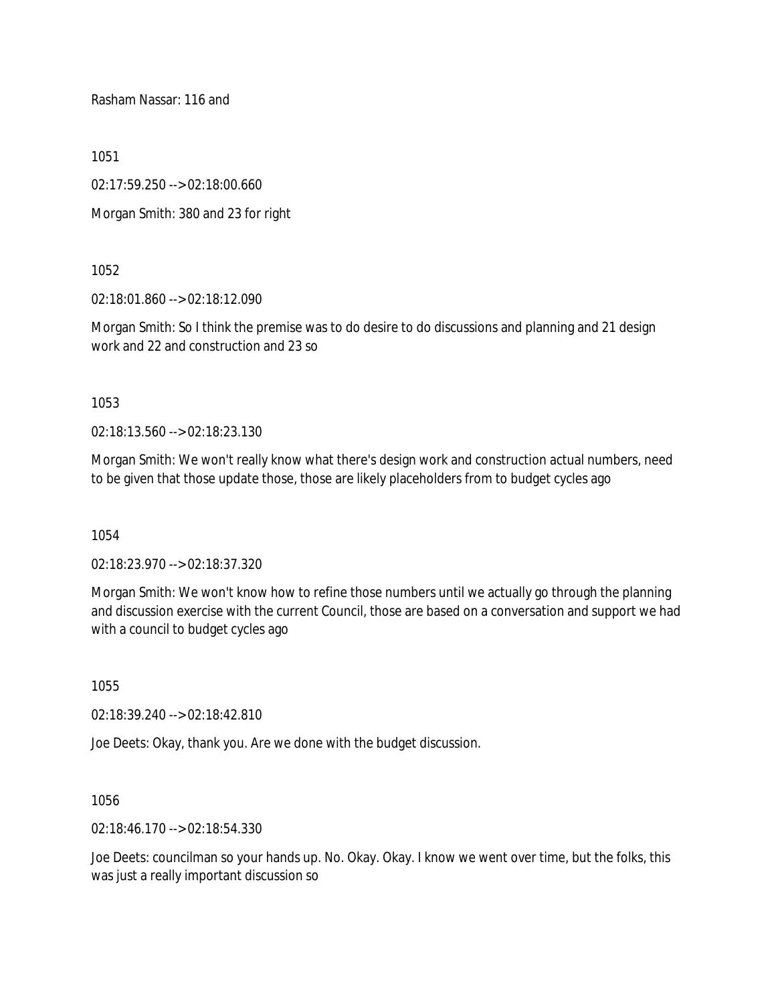Rasham Nassar: 116 and

1051

02:17:59.250 --> 02:18:00.660

Morgan Smith: 380 and 23 for right

1052

02:18:01.860 --> 02:18:12.090

Morgan Smith: So I think the premise was to do desire to do discussions and planning and 21 design work and 22 and construction and 23 so

1053

02:18:13.560 --> 02:18:23.130

Morgan Smith: We won't really know what there's design work and construction actual numbers, need to be given that those update those, those are likely placeholders from to budget cycles ago

1054

02:18:23.970 --> 02:18:37.320

Morgan Smith: We won't know how to refine those numbers until we actually go through the planning and discussion exercise with the current Council, those are based on a conversation and support we had with a council to budget cycles ago

1055

02:18:39.240 --> 02:18:42.810

Joe Deets: Okay, thank you. Are we done with the budget discussion.

1056

02:18:46.170 --> 02:18:54.330

Joe Deets: councilman so your hands up. No. Okay. Okay. I know we went over time, but the folks, this was just a really important discussion so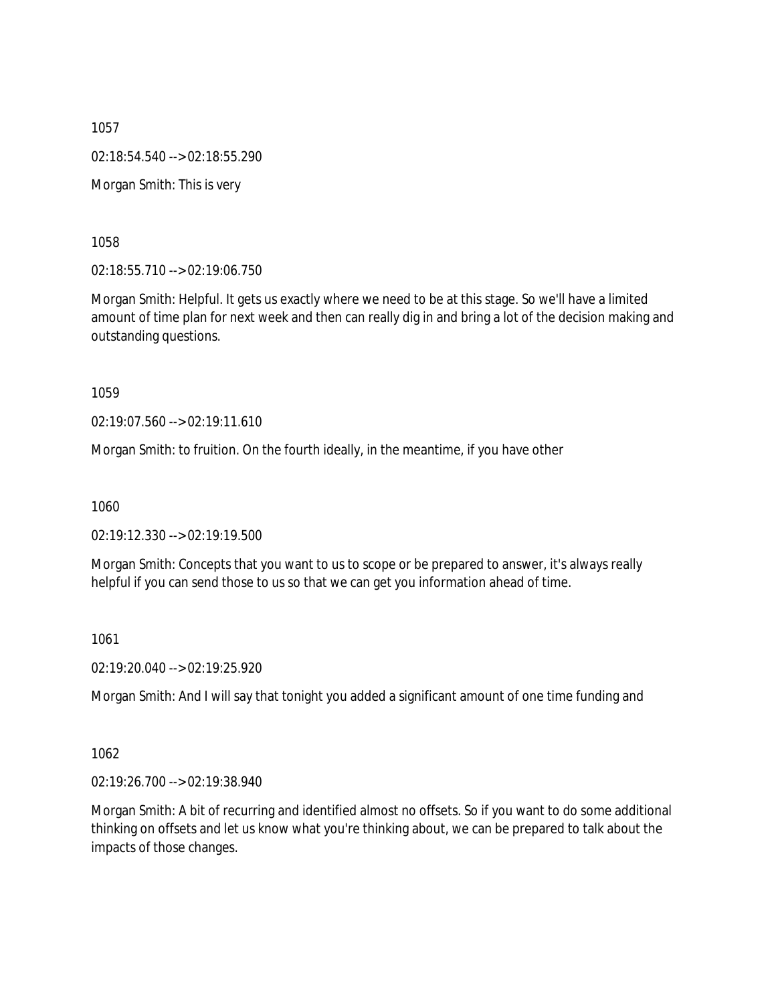1057 02:18:54.540 --> 02:18:55.290 Morgan Smith: This is very

1058

02:18:55.710 --> 02:19:06.750

Morgan Smith: Helpful. It gets us exactly where we need to be at this stage. So we'll have a limited amount of time plan for next week and then can really dig in and bring a lot of the decision making and outstanding questions.

1059

02:19:07.560 --> 02:19:11.610

Morgan Smith: to fruition. On the fourth ideally, in the meantime, if you have other

1060

02:19:12.330 --> 02:19:19.500

Morgan Smith: Concepts that you want to us to scope or be prepared to answer, it's always really helpful if you can send those to us so that we can get you information ahead of time.

1061

02:19:20.040 --> 02:19:25.920

Morgan Smith: And I will say that tonight you added a significant amount of one time funding and

1062

02:19:26.700 --> 02:19:38.940

Morgan Smith: A bit of recurring and identified almost no offsets. So if you want to do some additional thinking on offsets and let us know what you're thinking about, we can be prepared to talk about the impacts of those changes.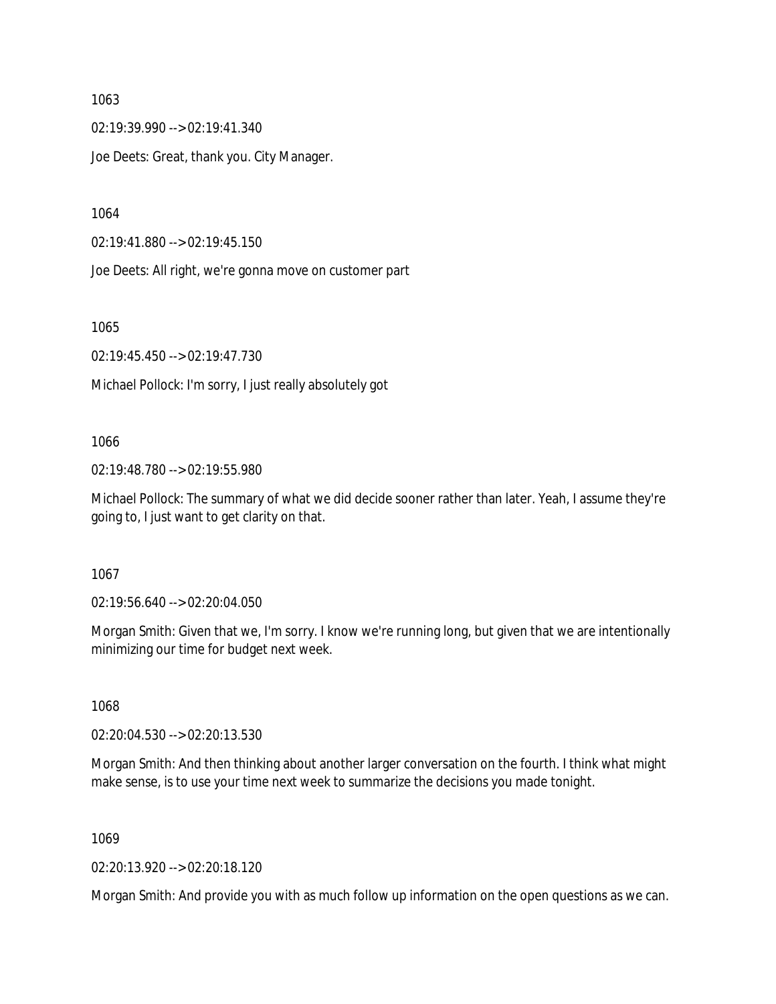02:19:39.990 --> 02:19:41.340

Joe Deets: Great, thank you. City Manager.

1064

02:19:41.880 --> 02:19:45.150

Joe Deets: All right, we're gonna move on customer part

1065

02:19:45.450 --> 02:19:47.730

Michael Pollock: I'm sorry, I just really absolutely got

### 1066

02:19:48.780 --> 02:19:55.980

Michael Pollock: The summary of what we did decide sooner rather than later. Yeah, I assume they're going to, I just want to get clarity on that.

### 1067

02:19:56.640 --> 02:20:04.050

Morgan Smith: Given that we, I'm sorry. I know we're running long, but given that we are intentionally minimizing our time for budget next week.

1068

02:20:04.530 --> 02:20:13.530

Morgan Smith: And then thinking about another larger conversation on the fourth. I think what might make sense, is to use your time next week to summarize the decisions you made tonight.

1069

02:20:13.920 --> 02:20:18.120

Morgan Smith: And provide you with as much follow up information on the open questions as we can.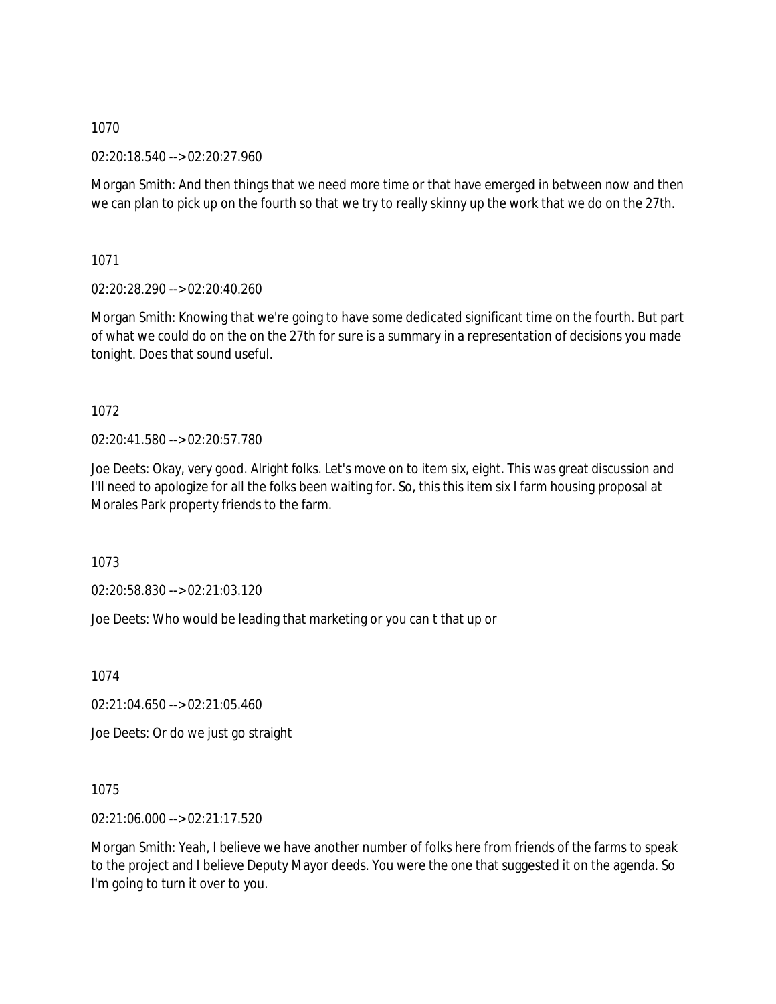02:20:18.540 --> 02:20:27.960

Morgan Smith: And then things that we need more time or that have emerged in between now and then we can plan to pick up on the fourth so that we try to really skinny up the work that we do on the 27th.

1071

02:20:28.290 --> 02:20:40.260

Morgan Smith: Knowing that we're going to have some dedicated significant time on the fourth. But part of what we could do on the on the 27th for sure is a summary in a representation of decisions you made tonight. Does that sound useful.

1072

02:20:41.580 --> 02:20:57.780

Joe Deets: Okay, very good. Alright folks. Let's move on to item six, eight. This was great discussion and I'll need to apologize for all the folks been waiting for. So, this this item six I farm housing proposal at Morales Park property friends to the farm.

1073

02:20:58.830 --> 02:21:03.120

Joe Deets: Who would be leading that marketing or you can t that up or

1074

02:21:04.650 --> 02:21:05.460

Joe Deets: Or do we just go straight

1075

02:21:06.000 --> 02:21:17.520

Morgan Smith: Yeah, I believe we have another number of folks here from friends of the farms to speak to the project and I believe Deputy Mayor deeds. You were the one that suggested it on the agenda. So I'm going to turn it over to you.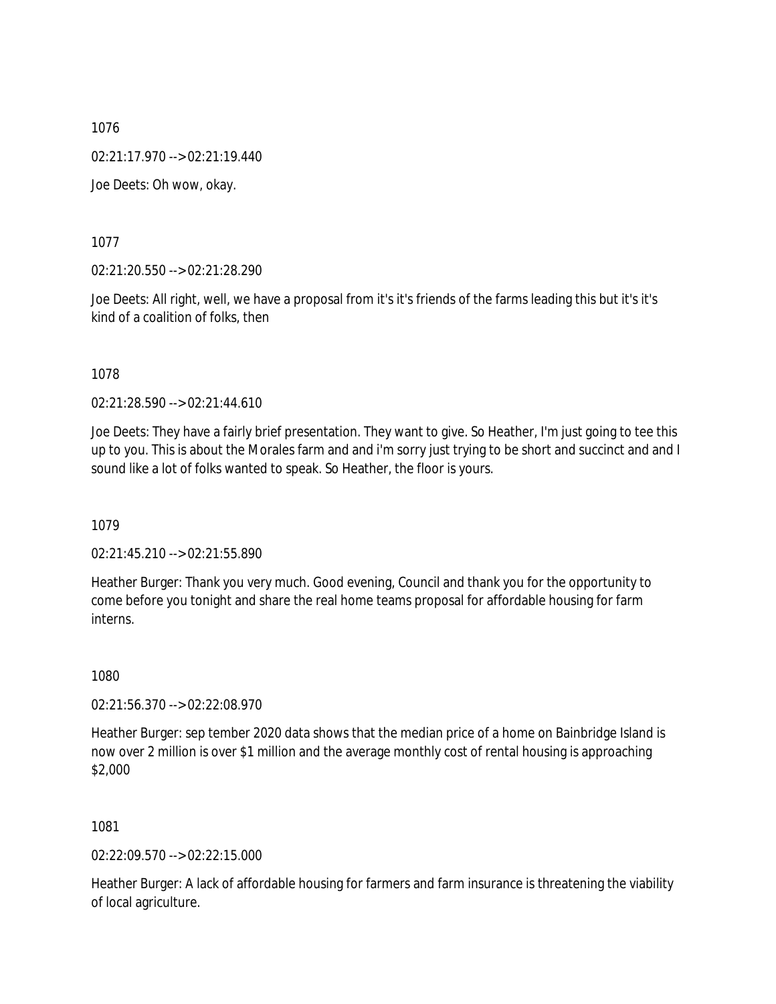02:21:17.970 --> 02:21:19.440

Joe Deets: Oh wow, okay.

1077

02:21:20.550 --> 02:21:28.290

Joe Deets: All right, well, we have a proposal from it's it's friends of the farms leading this but it's it's kind of a coalition of folks, then

1078

02:21:28.590 --> 02:21:44.610

Joe Deets: They have a fairly brief presentation. They want to give. So Heather, I'm just going to tee this up to you. This is about the Morales farm and and i'm sorry just trying to be short and succinct and and I sound like a lot of folks wanted to speak. So Heather, the floor is yours.

1079

02:21:45.210 --> 02:21:55.890

Heather Burger: Thank you very much. Good evening, Council and thank you for the opportunity to come before you tonight and share the real home teams proposal for affordable housing for farm interns.

1080

02:21:56.370 --> 02:22:08.970

Heather Burger: sep tember 2020 data shows that the median price of a home on Bainbridge Island is now over 2 million is over \$1 million and the average monthly cost of rental housing is approaching \$2,000

1081

02:22:09.570 --> 02:22:15.000

Heather Burger: A lack of affordable housing for farmers and farm insurance is threatening the viability of local agriculture.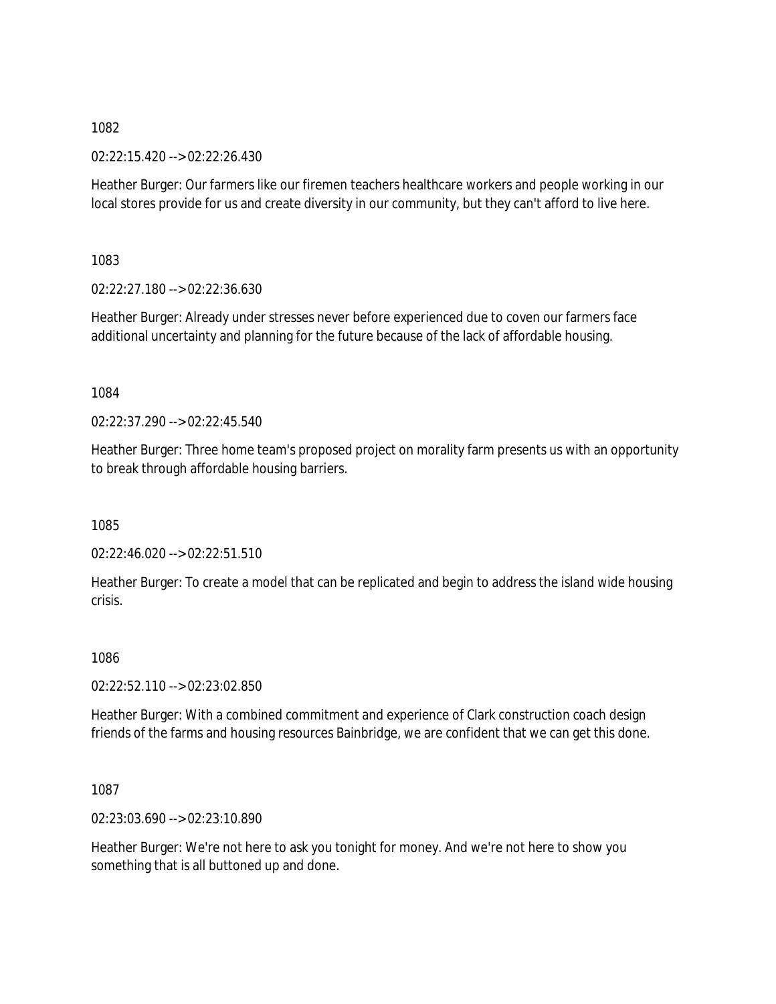02:22:15.420 --> 02:22:26.430

Heather Burger: Our farmers like our firemen teachers healthcare workers and people working in our local stores provide for us and create diversity in our community, but they can't afford to live here.

1083

02:22:27.180 --> 02:22:36.630

Heather Burger: Already under stresses never before experienced due to coven our farmers face additional uncertainty and planning for the future because of the lack of affordable housing.

1084

02:22:37.290 --> 02:22:45.540

Heather Burger: Three home team's proposed project on morality farm presents us with an opportunity to break through affordable housing barriers.

1085

02:22:46.020 --> 02:22:51.510

Heather Burger: To create a model that can be replicated and begin to address the island wide housing crisis.

1086

02:22:52.110 --> 02:23:02.850

Heather Burger: With a combined commitment and experience of Clark construction coach design friends of the farms and housing resources Bainbridge, we are confident that we can get this done.

1087

02:23:03.690 --> 02:23:10.890

Heather Burger: We're not here to ask you tonight for money. And we're not here to show you something that is all buttoned up and done.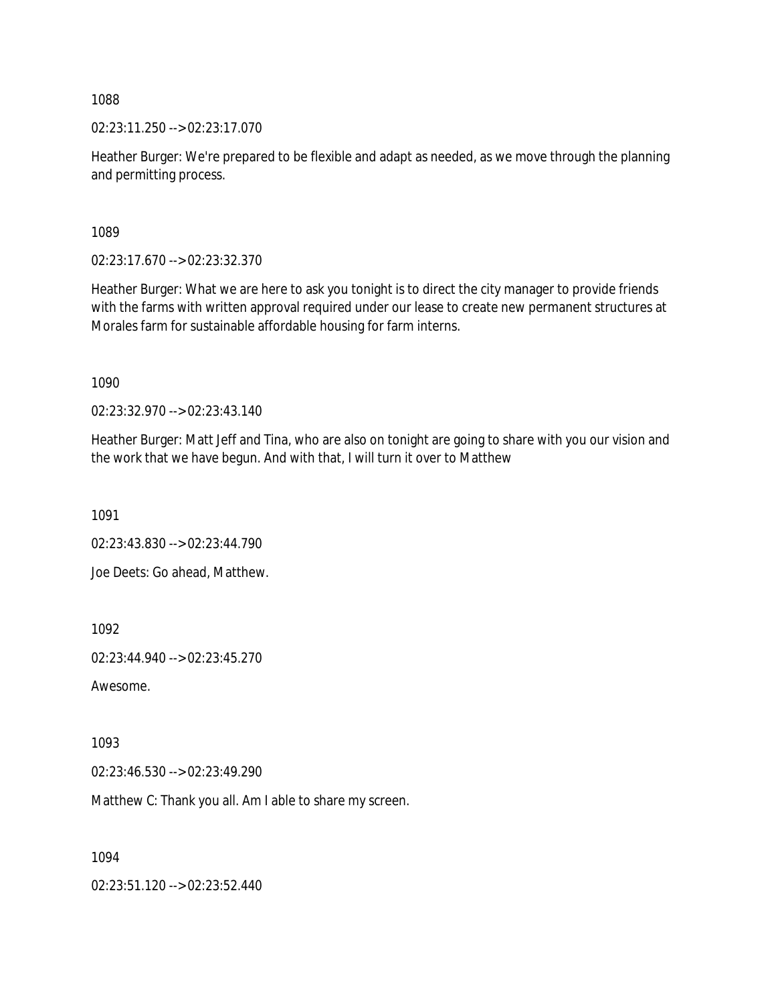02:23:11.250 --> 02:23:17.070

Heather Burger: We're prepared to be flexible and adapt as needed, as we move through the planning and permitting process.

1089

02:23:17.670 --> 02:23:32.370

Heather Burger: What we are here to ask you tonight is to direct the city manager to provide friends with the farms with written approval required under our lease to create new permanent structures at Morales farm for sustainable affordable housing for farm interns.

1090

02:23:32.970 --> 02:23:43.140

Heather Burger: Matt Jeff and Tina, who are also on tonight are going to share with you our vision and the work that we have begun. And with that, I will turn it over to Matthew

1091

02:23:43.830 --> 02:23:44.790

Joe Deets: Go ahead, Matthew.

1092

02:23:44.940 --> 02:23:45.270

Awesome.

1093

02:23:46.530 --> 02:23:49.290

Matthew C: Thank you all. Am I able to share my screen.

1094

02:23:51.120 --> 02:23:52.440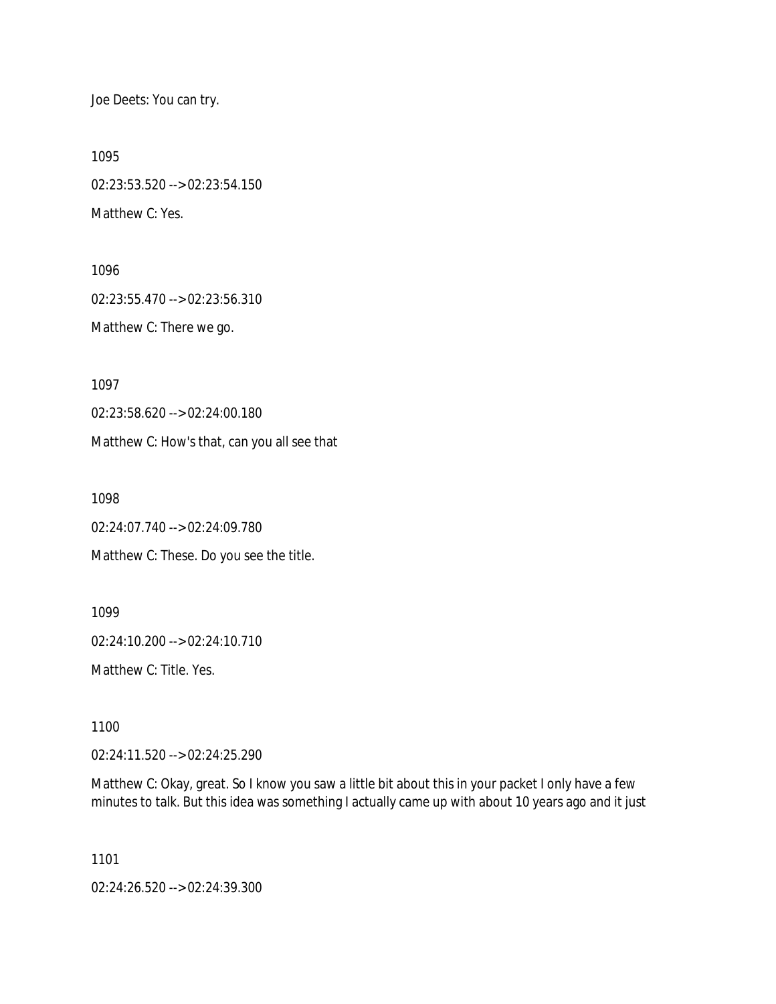Joe Deets: You can try.

1095

02:23:53.520 --> 02:23:54.150 Matthew C: Yes.

1096 02:23:55.470 --> 02:23:56.310 Matthew C: There we go.

1097

02:23:58.620 --> 02:24:00.180

Matthew C: How's that, can you all see that

1098

02:24:07.740 --> 02:24:09.780 Matthew C: These. Do you see the title.

1099 02:24:10.200 --> 02:24:10.710 Matthew C: Title. Yes.

1100

02:24:11.520 --> 02:24:25.290

Matthew C: Okay, great. So I know you saw a little bit about this in your packet I only have a few minutes to talk. But this idea was something I actually came up with about 10 years ago and it just

1101

02:24:26.520 --> 02:24:39.300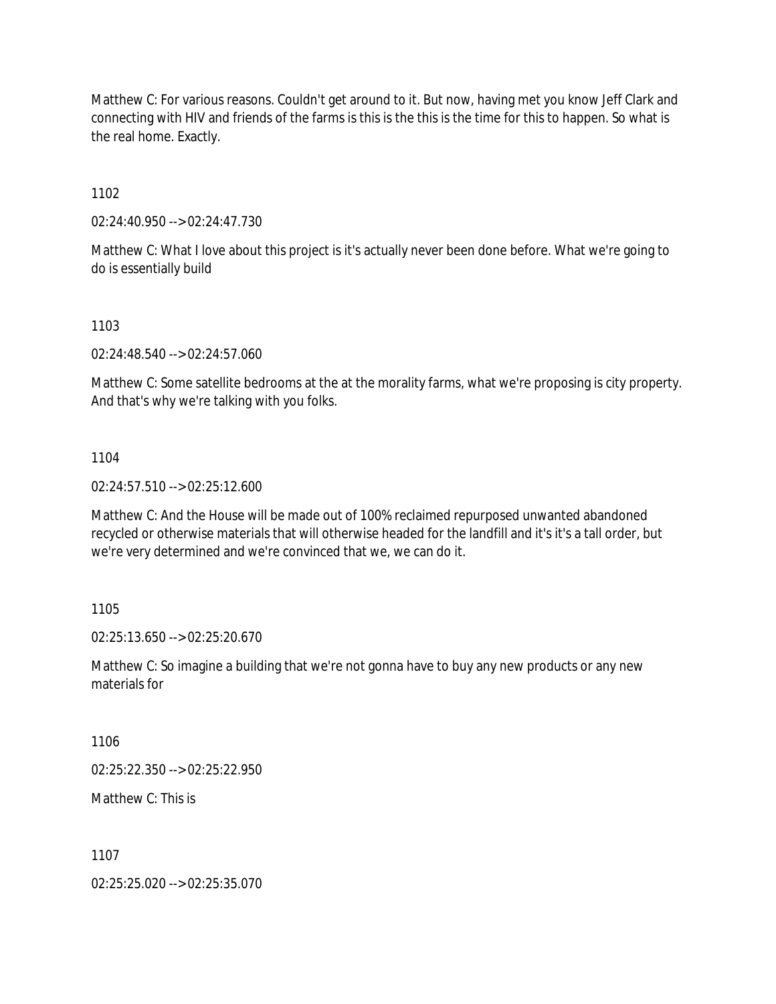Matthew C: For various reasons. Couldn't get around to it. But now, having met you know Jeff Clark and connecting with HIV and friends of the farms is this is the this is the time for this to happen. So what is the real home. Exactly.

1102

02:24:40.950 --> 02:24:47.730

Matthew C: What I love about this project is it's actually never been done before. What we're going to do is essentially build

1103

02:24:48.540 --> 02:24:57.060

Matthew C: Some satellite bedrooms at the at the morality farms, what we're proposing is city property. And that's why we're talking with you folks.

1104

02:24:57.510 --> 02:25:12.600

Matthew C: And the House will be made out of 100% reclaimed repurposed unwanted abandoned recycled or otherwise materials that will otherwise headed for the landfill and it's it's a tall order, but we're very determined and we're convinced that we, we can do it.

1105

02:25:13.650 --> 02:25:20.670

Matthew C: So imagine a building that we're not gonna have to buy any new products or any new materials for

1106

02:25:22.350 --> 02:25:22.950

Matthew C: This is

1107

02:25:25.020 --> 02:25:35.070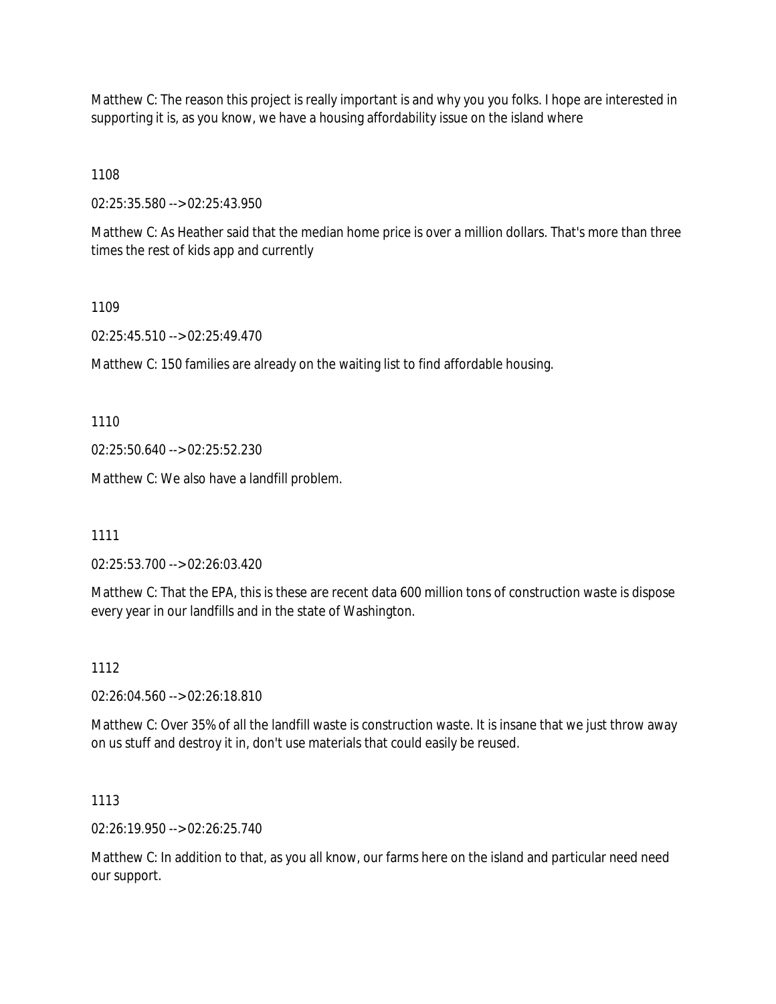Matthew C: The reason this project is really important is and why you you folks. I hope are interested in supporting it is, as you know, we have a housing affordability issue on the island where

1108

02:25:35.580 --> 02:25:43.950

Matthew C: As Heather said that the median home price is over a million dollars. That's more than three times the rest of kids app and currently

1109

02:25:45.510 --> 02:25:49.470

Matthew C: 150 families are already on the waiting list to find affordable housing.

1110

02:25:50.640 --> 02:25:52.230

Matthew C: We also have a landfill problem.

1111

02:25:53.700 --> 02:26:03.420

Matthew C: That the EPA, this is these are recent data 600 million tons of construction waste is dispose every year in our landfills and in the state of Washington.

1112

02:26:04.560 --> 02:26:18.810

Matthew C: Over 35% of all the landfill waste is construction waste. It is insane that we just throw away on us stuff and destroy it in, don't use materials that could easily be reused.

1113

02:26:19.950 --> 02:26:25.740

Matthew C: In addition to that, as you all know, our farms here on the island and particular need need our support.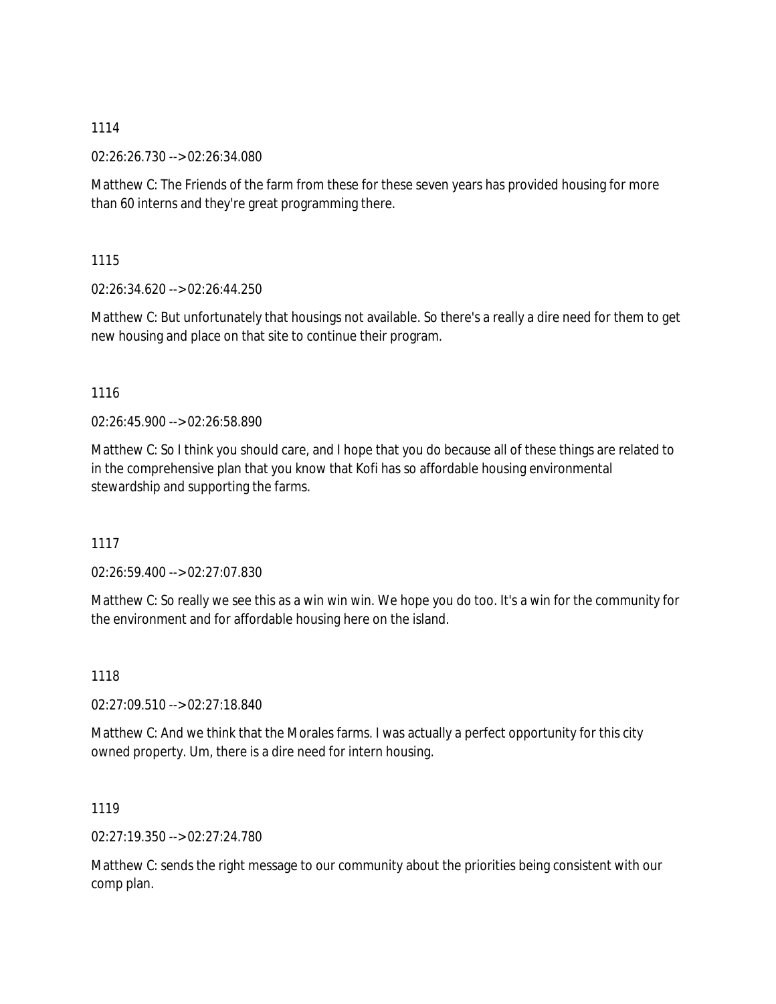02:26:26.730 --> 02:26:34.080

Matthew C: The Friends of the farm from these for these seven years has provided housing for more than 60 interns and they're great programming there.

1115

02:26:34.620 --> 02:26:44.250

Matthew C: But unfortunately that housings not available. So there's a really a dire need for them to get new housing and place on that site to continue their program.

1116

02:26:45.900 --> 02:26:58.890

Matthew C: So I think you should care, and I hope that you do because all of these things are related to in the comprehensive plan that you know that Kofi has so affordable housing environmental stewardship and supporting the farms.

1117

02:26:59.400 --> 02:27:07.830

Matthew C: So really we see this as a win win win. We hope you do too. It's a win for the community for the environment and for affordable housing here on the island.

1118

02:27:09.510 --> 02:27:18.840

Matthew C: And we think that the Morales farms. I was actually a perfect opportunity for this city owned property. Um, there is a dire need for intern housing.

1119

02:27:19.350 --> 02:27:24.780

Matthew C: sends the right message to our community about the priorities being consistent with our comp plan.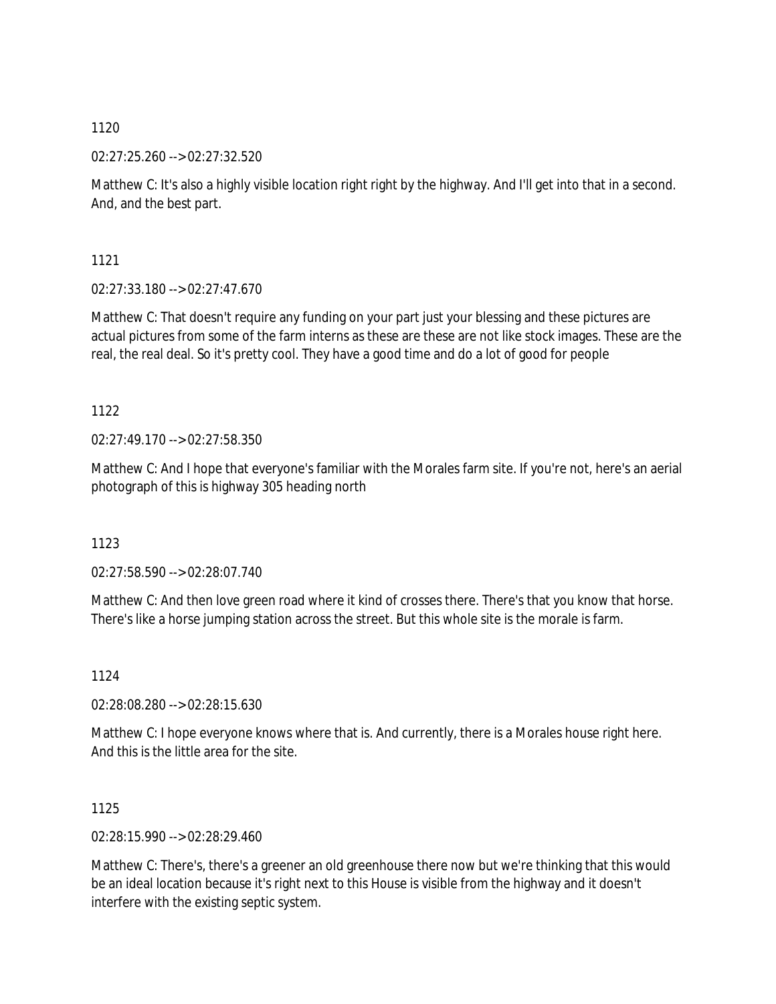02:27:25.260 --> 02:27:32.520

Matthew C: It's also a highly visible location right right by the highway. And I'll get into that in a second. And, and the best part.

1121

02:27:33.180 --> 02:27:47.670

Matthew C: That doesn't require any funding on your part just your blessing and these pictures are actual pictures from some of the farm interns as these are these are not like stock images. These are the real, the real deal. So it's pretty cool. They have a good time and do a lot of good for people

1122

02:27:49.170 --> 02:27:58.350

Matthew C: And I hope that everyone's familiar with the Morales farm site. If you're not, here's an aerial photograph of this is highway 305 heading north

1123

02:27:58.590 --> 02:28:07.740

Matthew C: And then love green road where it kind of crosses there. There's that you know that horse. There's like a horse jumping station across the street. But this whole site is the morale is farm.

1124

02:28:08.280 --> 02:28:15.630

Matthew C: I hope everyone knows where that is. And currently, there is a Morales house right here. And this is the little area for the site.

1125

02:28:15.990 --> 02:28:29.460

Matthew C: There's, there's a greener an old greenhouse there now but we're thinking that this would be an ideal location because it's right next to this House is visible from the highway and it doesn't interfere with the existing septic system.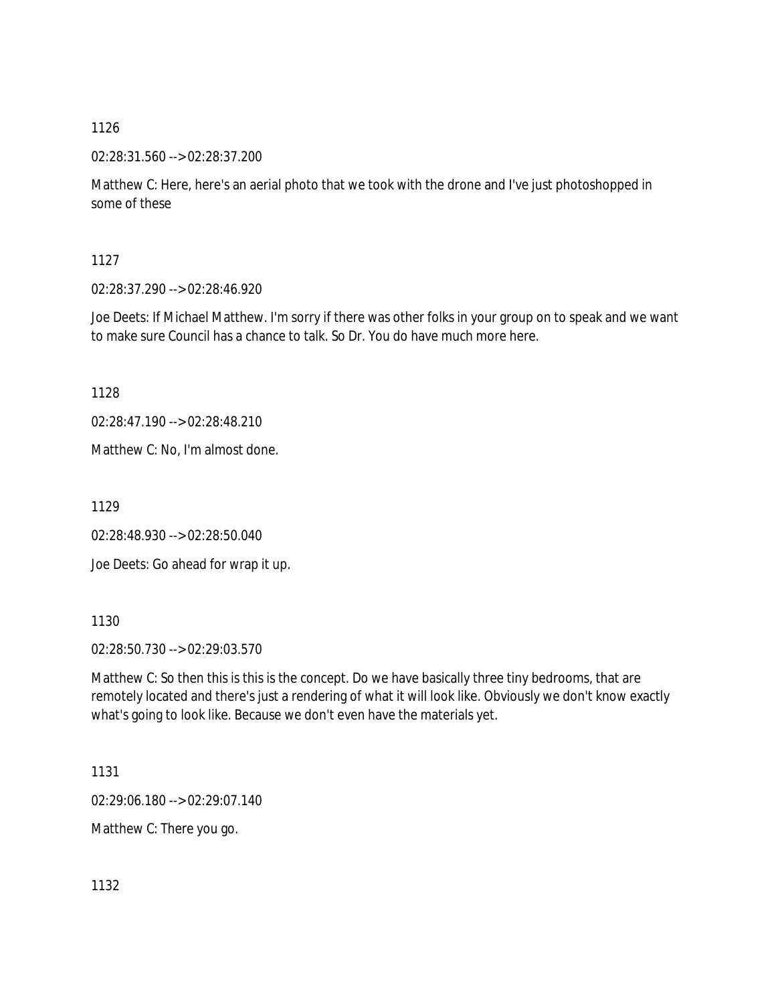02:28:31.560 --> 02:28:37.200

Matthew C: Here, here's an aerial photo that we took with the drone and I've just photoshopped in some of these

1127

02:28:37.290 --> 02:28:46.920

Joe Deets: If Michael Matthew. I'm sorry if there was other folks in your group on to speak and we want to make sure Council has a chance to talk. So Dr. You do have much more here.

1128

02:28:47.190 --> 02:28:48.210

Matthew C: No, I'm almost done.

1129

02:28:48.930 --> 02:28:50.040

Joe Deets: Go ahead for wrap it up.

1130

02:28:50.730 --> 02:29:03.570

Matthew C: So then this is this is the concept. Do we have basically three tiny bedrooms, that are remotely located and there's just a rendering of what it will look like. Obviously we don't know exactly what's going to look like. Because we don't even have the materials yet.

1131

02:29:06.180 --> 02:29:07.140

Matthew C: There you go.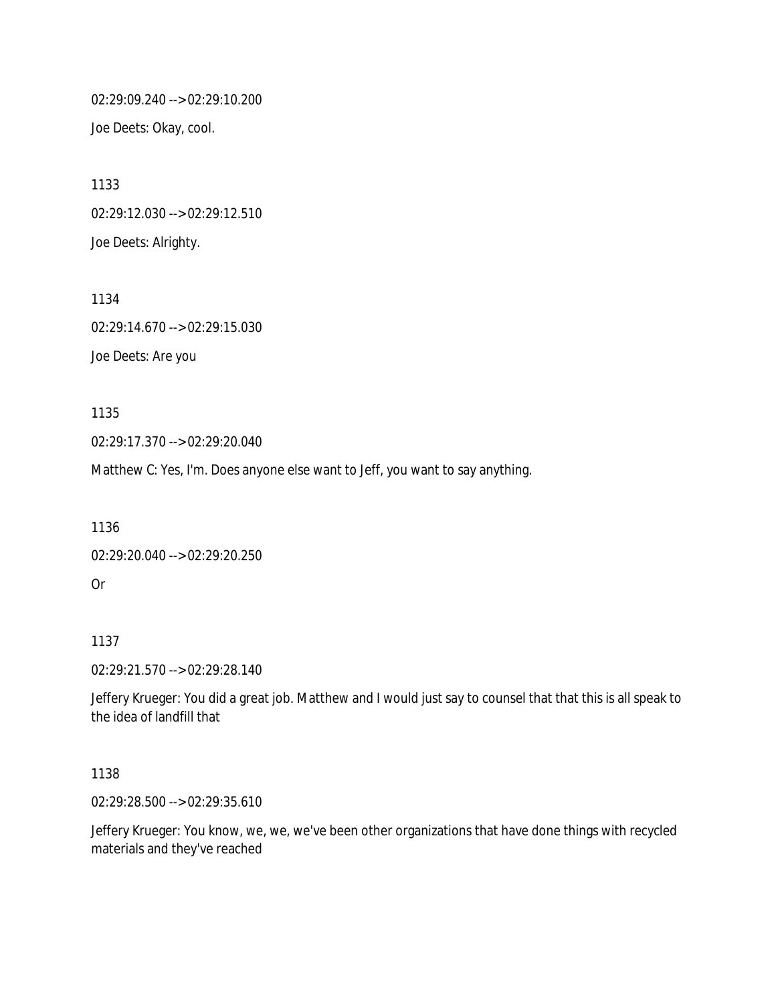02:29:09.240 --> 02:29:10.200 Joe Deets: Okay, cool.

1133 02:29:12.030 --> 02:29:12.510 Joe Deets: Alrighty.

1134 02:29:14.670 --> 02:29:15.030 Joe Deets: Are you

1135

02:29:17.370 --> 02:29:20.040

Matthew C: Yes, I'm. Does anyone else want to Jeff, you want to say anything.

1136

```
02:29:20.040 --> 02:29:20.250
Or
```
1137

02:29:21.570 --> 02:29:28.140

Jeffery Krueger: You did a great job. Matthew and I would just say to counsel that that this is all speak to the idea of landfill that

1138

02:29:28.500 --> 02:29:35.610

Jeffery Krueger: You know, we, we, we've been other organizations that have done things with recycled materials and they've reached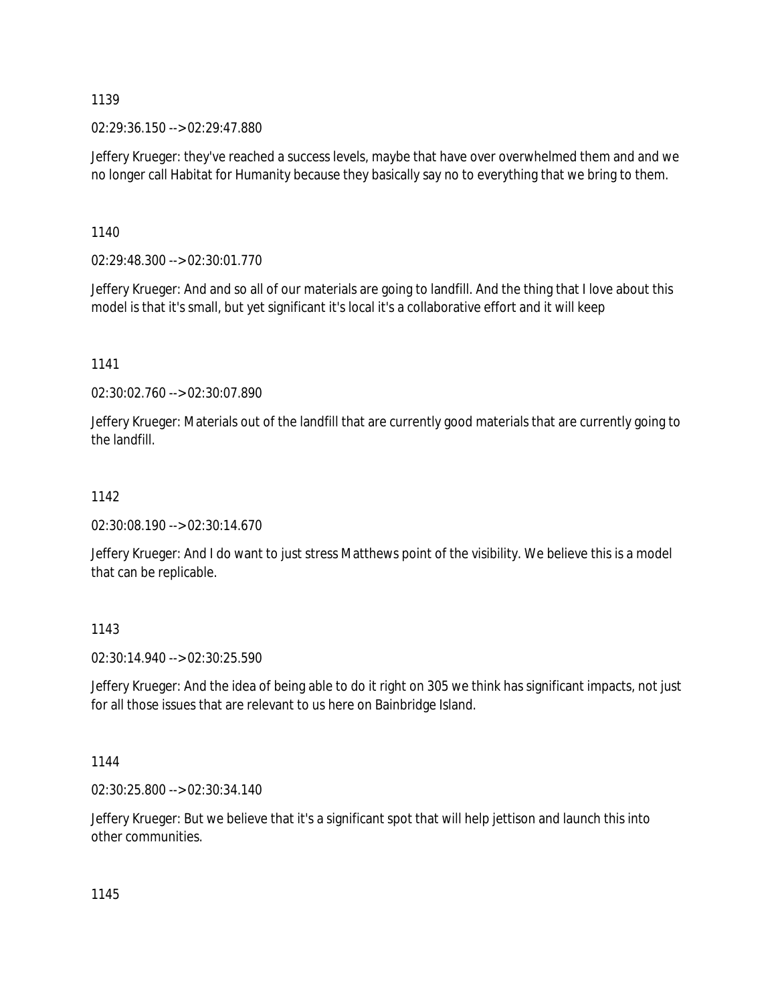02:29:36.150 --> 02:29:47.880

Jeffery Krueger: they've reached a success levels, maybe that have over overwhelmed them and and we no longer call Habitat for Humanity because they basically say no to everything that we bring to them.

1140

02:29:48.300 --> 02:30:01.770

Jeffery Krueger: And and so all of our materials are going to landfill. And the thing that I love about this model is that it's small, but yet significant it's local it's a collaborative effort and it will keep

1141

02:30:02.760 --> 02:30:07.890

Jeffery Krueger: Materials out of the landfill that are currently good materials that are currently going to the landfill.

# 1142

02:30:08.190 --> 02:30:14.670

Jeffery Krueger: And I do want to just stress Matthews point of the visibility. We believe this is a model that can be replicable.

1143

02:30:14.940 --> 02:30:25.590

Jeffery Krueger: And the idea of being able to do it right on 305 we think has significant impacts, not just for all those issues that are relevant to us here on Bainbridge Island.

1144

02:30:25.800 --> 02:30:34.140

Jeffery Krueger: But we believe that it's a significant spot that will help jettison and launch this into other communities.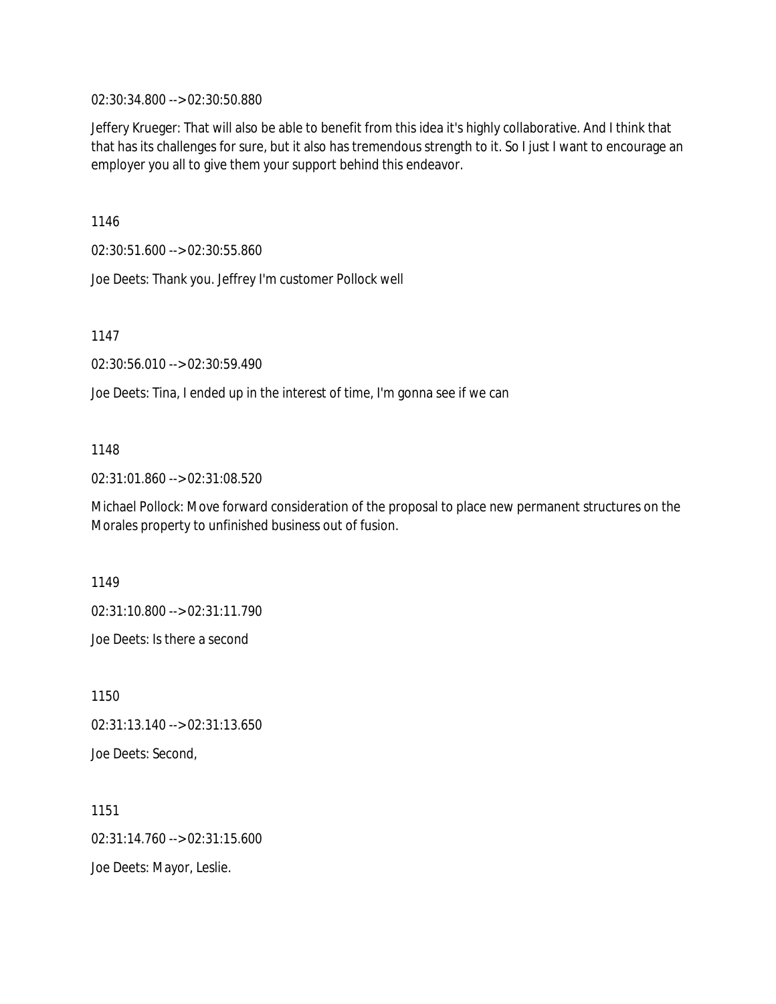02:30:34.800 --> 02:30:50.880

Jeffery Krueger: That will also be able to benefit from this idea it's highly collaborative. And I think that that has its challenges for sure, but it also has tremendous strength to it. So I just I want to encourage an employer you all to give them your support behind this endeavor.

1146

02:30:51.600 --> 02:30:55.860

Joe Deets: Thank you. Jeffrey I'm customer Pollock well

1147

02:30:56.010 --> 02:30:59.490

Joe Deets: Tina, I ended up in the interest of time, I'm gonna see if we can

# 1148

02:31:01.860 --> 02:31:08.520

Michael Pollock: Move forward consideration of the proposal to place new permanent structures on the Morales property to unfinished business out of fusion.

1149

02:31:10.800 --> 02:31:11.790

Joe Deets: Is there a second

1150 02:31:13.140 --> 02:31:13.650 Joe Deets: Second,

1151 02:31:14.760 --> 02:31:15.600 Joe Deets: Mayor, Leslie.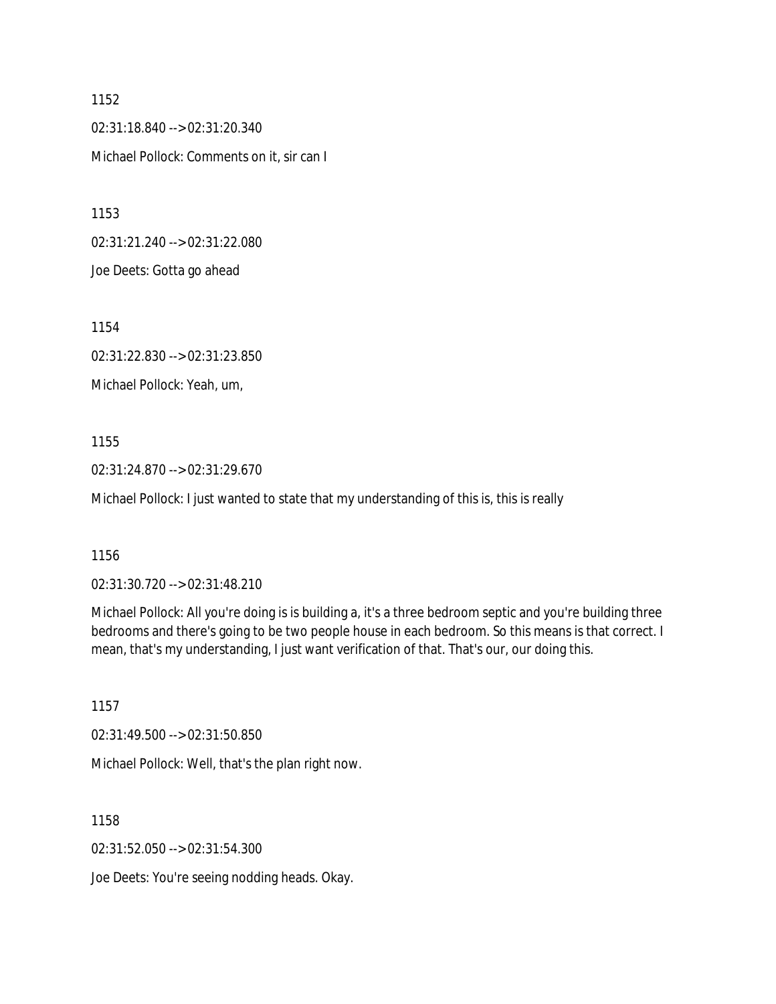1152 02:31:18.840 --> 02:31:20.340 Michael Pollock: Comments on it, sir can I

1153

02:31:21.240 --> 02:31:22.080

Joe Deets: Gotta go ahead

1154

02:31:22.830 --> 02:31:23.850

Michael Pollock: Yeah, um,

1155

02:31:24.870 --> 02:31:29.670

Michael Pollock: I just wanted to state that my understanding of this is, this is really

1156

02:31:30.720 --> 02:31:48.210

Michael Pollock: All you're doing is is building a, it's a three bedroom septic and you're building three bedrooms and there's going to be two people house in each bedroom. So this means is that correct. I mean, that's my understanding, I just want verification of that. That's our, our doing this.

1157

02:31:49.500 --> 02:31:50.850

Michael Pollock: Well, that's the plan right now.

1158

02:31:52.050 --> 02:31:54.300

Joe Deets: You're seeing nodding heads. Okay.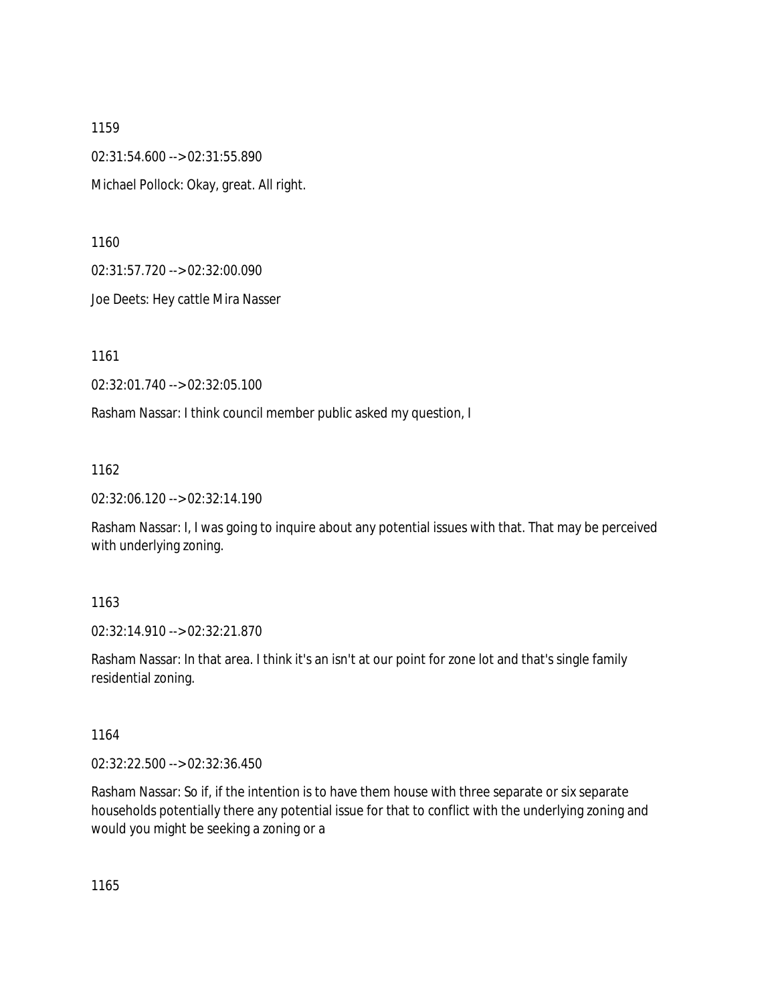1159 02:31:54.600 --> 02:31:55.890 Michael Pollock: Okay, great. All right.

1160

02:31:57.720 --> 02:32:00.090

Joe Deets: Hey cattle Mira Nasser

1161

02:32:01.740 --> 02:32:05.100

Rasham Nassar: I think council member public asked my question, I

1162

02:32:06.120 --> 02:32:14.190

Rasham Nassar: I, I was going to inquire about any potential issues with that. That may be perceived with underlying zoning.

### 1163

02:32:14.910 --> 02:32:21.870

Rasham Nassar: In that area. I think it's an isn't at our point for zone lot and that's single family residential zoning.

1164

02:32:22.500 --> 02:32:36.450

Rasham Nassar: So if, if the intention is to have them house with three separate or six separate households potentially there any potential issue for that to conflict with the underlying zoning and would you might be seeking a zoning or a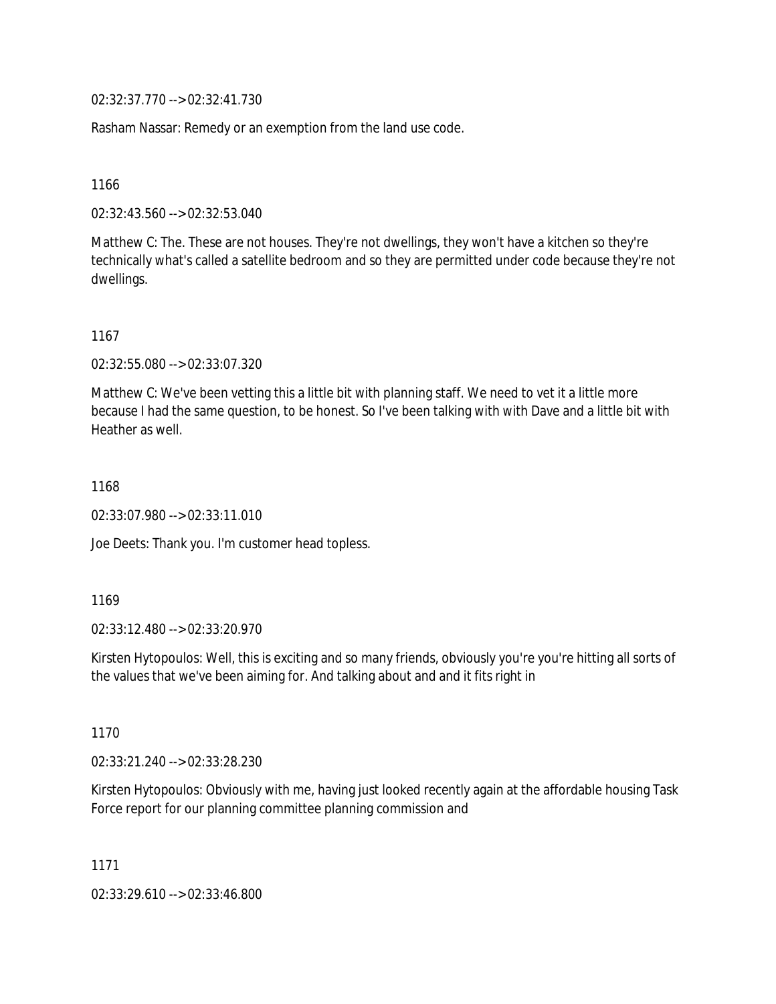02:32:37.770 --> 02:32:41.730

Rasham Nassar: Remedy or an exemption from the land use code.

1166

02:32:43.560 --> 02:32:53.040

Matthew C: The. These are not houses. They're not dwellings, they won't have a kitchen so they're technically what's called a satellite bedroom and so they are permitted under code because they're not dwellings.

1167

02:32:55.080 --> 02:33:07.320

Matthew C: We've been vetting this a little bit with planning staff. We need to vet it a little more because I had the same question, to be honest. So I've been talking with with Dave and a little bit with Heather as well.

1168

02:33:07.980 --> 02:33:11.010

Joe Deets: Thank you. I'm customer head topless.

1169

02:33:12.480 --> 02:33:20.970

Kirsten Hytopoulos: Well, this is exciting and so many friends, obviously you're you're hitting all sorts of the values that we've been aiming for. And talking about and and it fits right in

1170

02:33:21.240 --> 02:33:28.230

Kirsten Hytopoulos: Obviously with me, having just looked recently again at the affordable housing Task Force report for our planning committee planning commission and

1171

02:33:29.610 --> 02:33:46.800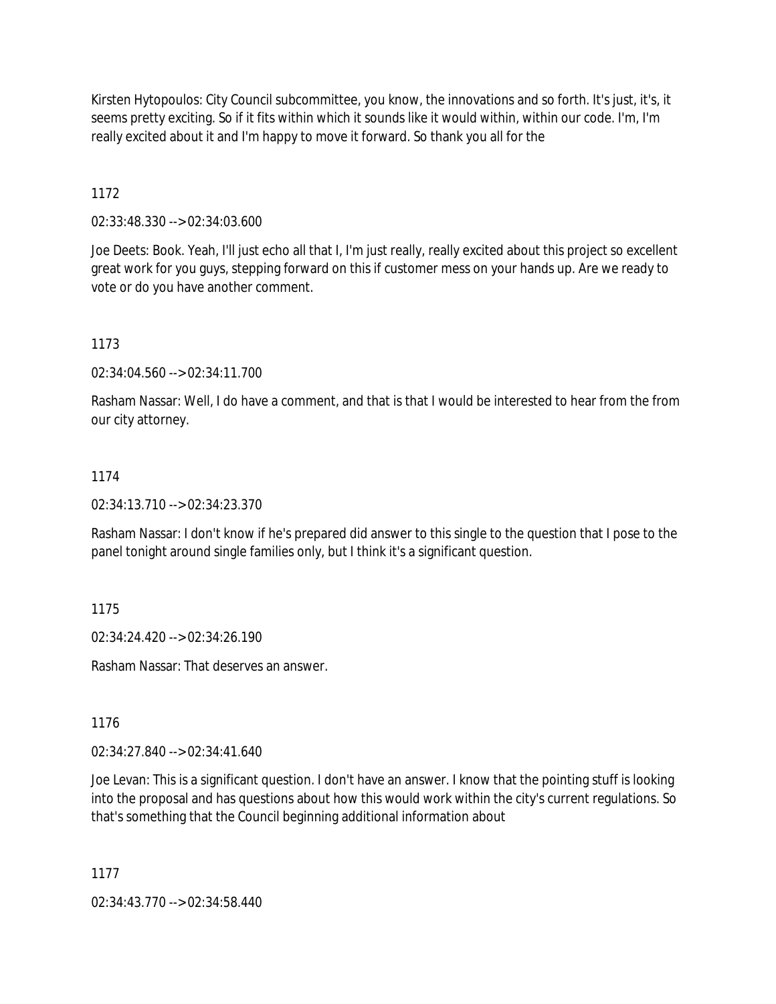Kirsten Hytopoulos: City Council subcommittee, you know, the innovations and so forth. It's just, it's, it seems pretty exciting. So if it fits within which it sounds like it would within, within our code. I'm, I'm really excited about it and I'm happy to move it forward. So thank you all for the

1172

02:33:48.330 --> 02:34:03.600

Joe Deets: Book. Yeah, I'll just echo all that I, I'm just really, really excited about this project so excellent great work for you guys, stepping forward on this if customer mess on your hands up. Are we ready to vote or do you have another comment.

1173

02:34:04.560 --> 02:34:11.700

Rasham Nassar: Well, I do have a comment, and that is that I would be interested to hear from the from our city attorney.

### 1174

02:34:13.710 --> 02:34:23.370

Rasham Nassar: I don't know if he's prepared did answer to this single to the question that I pose to the panel tonight around single families only, but I think it's a significant question.

1175

02:34:24.420 --> 02:34:26.190

Rasham Nassar: That deserves an answer.

1176

02:34:27.840 --> 02:34:41.640

Joe Levan: This is a significant question. I don't have an answer. I know that the pointing stuff is looking into the proposal and has questions about how this would work within the city's current regulations. So that's something that the Council beginning additional information about

1177

02:34:43.770 --> 02:34:58.440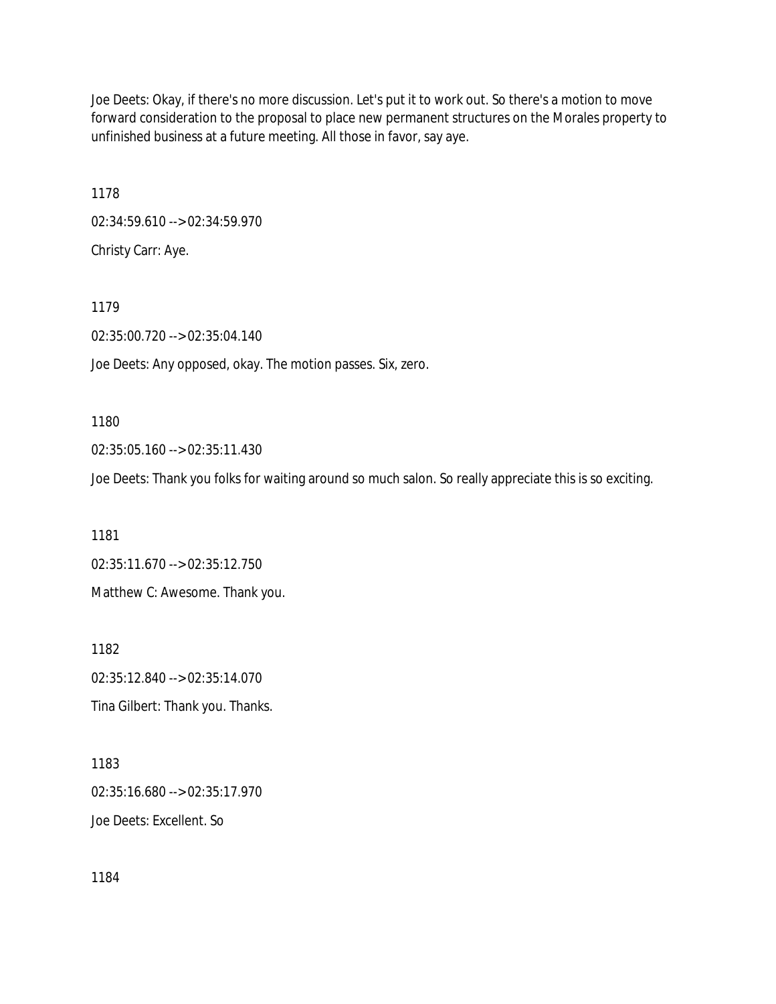Joe Deets: Okay, if there's no more discussion. Let's put it to work out. So there's a motion to move forward consideration to the proposal to place new permanent structures on the Morales property to unfinished business at a future meeting. All those in favor, say aye.

1178 02:34:59.610 --> 02:34:59.970 Christy Carr: Aye.

1179 02:35:00.720 --> 02:35:04.140 Joe Deets: Any opposed, okay. The motion passes. Six, zero.

1180

02:35:05.160 --> 02:35:11.430

Joe Deets: Thank you folks for waiting around so much salon. So really appreciate this is so exciting.

1181 02:35:11.670 --> 02:35:12.750 Matthew C: Awesome. Thank you.

1182 02:35:12.840 --> 02:35:14.070 Tina Gilbert: Thank you. Thanks.

1183 02:35:16.680 --> 02:35:17.970 Joe Deets: Excellent. So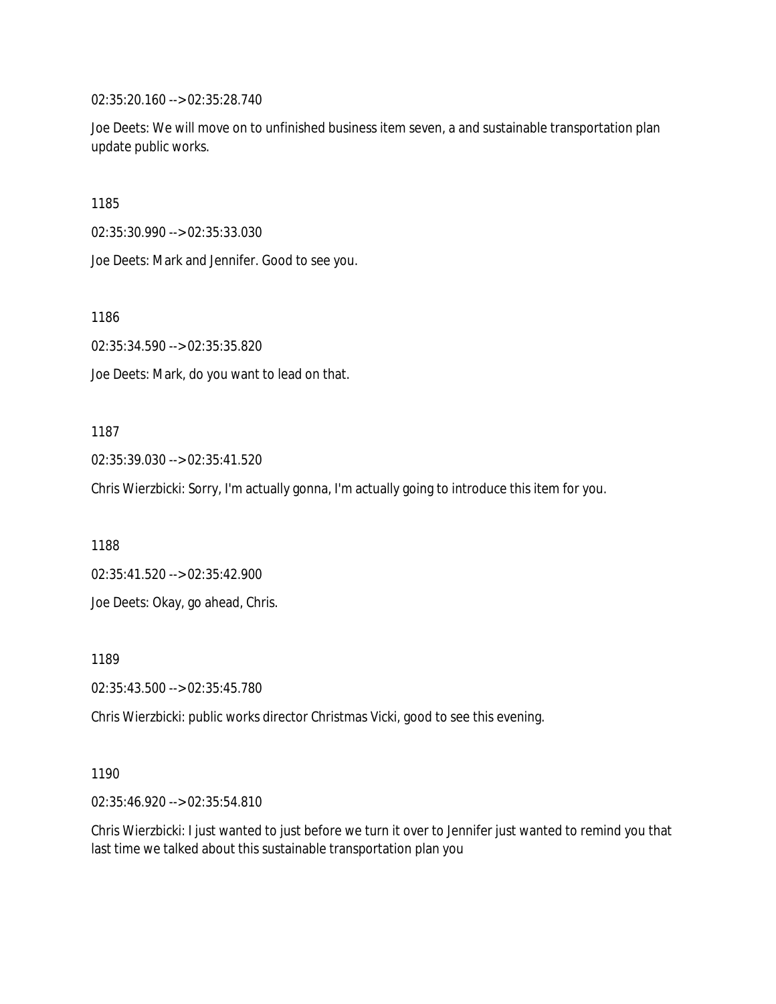02:35:20.160 --> 02:35:28.740

Joe Deets: We will move on to unfinished business item seven, a and sustainable transportation plan update public works.

1185

02:35:30.990 --> 02:35:33.030

Joe Deets: Mark and Jennifer. Good to see you.

1186

02:35:34.590 --> 02:35:35.820

Joe Deets: Mark, do you want to lead on that.

#### 1187

02:35:39.030 --> 02:35:41.520

Chris Wierzbicki: Sorry, I'm actually gonna, I'm actually going to introduce this item for you.

1188

02:35:41.520 --> 02:35:42.900

Joe Deets: Okay, go ahead, Chris.

1189

02:35:43.500 --> 02:35:45.780

Chris Wierzbicki: public works director Christmas Vicki, good to see this evening.

#### 1190

02:35:46.920 --> 02:35:54.810

Chris Wierzbicki: I just wanted to just before we turn it over to Jennifer just wanted to remind you that last time we talked about this sustainable transportation plan you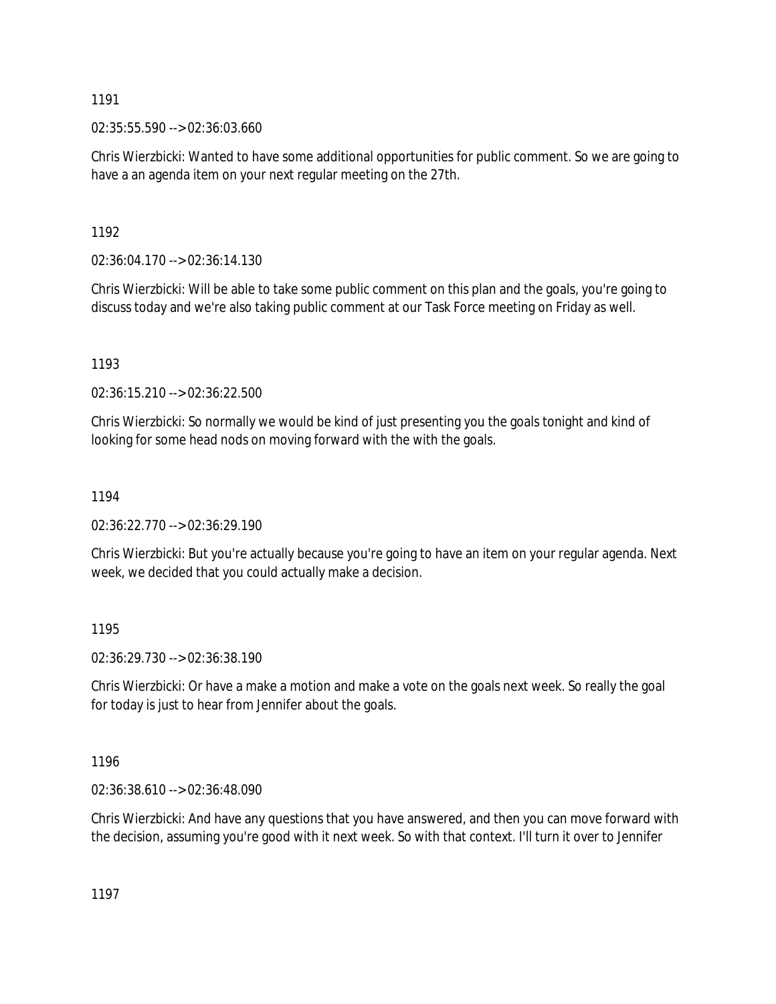02:35:55.590 --> 02:36:03.660

Chris Wierzbicki: Wanted to have some additional opportunities for public comment. So we are going to have a an agenda item on your next regular meeting on the 27th.

1192

02:36:04.170 --> 02:36:14.130

Chris Wierzbicki: Will be able to take some public comment on this plan and the goals, you're going to discuss today and we're also taking public comment at our Task Force meeting on Friday as well.

1193

02:36:15.210 --> 02:36:22.500

Chris Wierzbicki: So normally we would be kind of just presenting you the goals tonight and kind of looking for some head nods on moving forward with the with the goals.

1194

02:36:22.770 --> 02:36:29.190

Chris Wierzbicki: But you're actually because you're going to have an item on your regular agenda. Next week, we decided that you could actually make a decision.

1195

02:36:29.730 --> 02:36:38.190

Chris Wierzbicki: Or have a make a motion and make a vote on the goals next week. So really the goal for today is just to hear from Jennifer about the goals.

1196

02:36:38.610 --> 02:36:48.090

Chris Wierzbicki: And have any questions that you have answered, and then you can move forward with the decision, assuming you're good with it next week. So with that context. I'll turn it over to Jennifer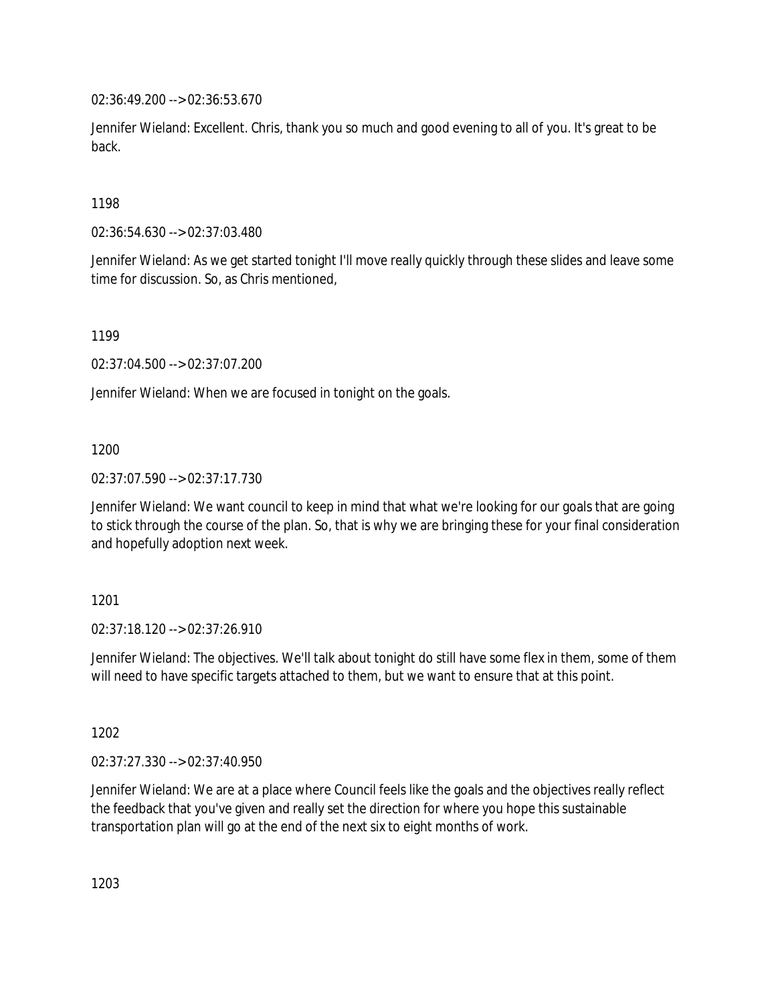02:36:49.200 --> 02:36:53.670

Jennifer Wieland: Excellent. Chris, thank you so much and good evening to all of you. It's great to be back.

1198

02:36:54.630 --> 02:37:03.480

Jennifer Wieland: As we get started tonight I'll move really quickly through these slides and leave some time for discussion. So, as Chris mentioned,

1199

02:37:04.500 --> 02:37:07.200

Jennifer Wieland: When we are focused in tonight on the goals.

1200

02:37:07.590 --> 02:37:17.730

Jennifer Wieland: We want council to keep in mind that what we're looking for our goals that are going to stick through the course of the plan. So, that is why we are bringing these for your final consideration and hopefully adoption next week.

1201

02:37:18.120 --> 02:37:26.910

Jennifer Wieland: The objectives. We'll talk about tonight do still have some flex in them, some of them will need to have specific targets attached to them, but we want to ensure that at this point.

1202

02:37:27.330 --> 02:37:40.950

Jennifer Wieland: We are at a place where Council feels like the goals and the objectives really reflect the feedback that you've given and really set the direction for where you hope this sustainable transportation plan will go at the end of the next six to eight months of work.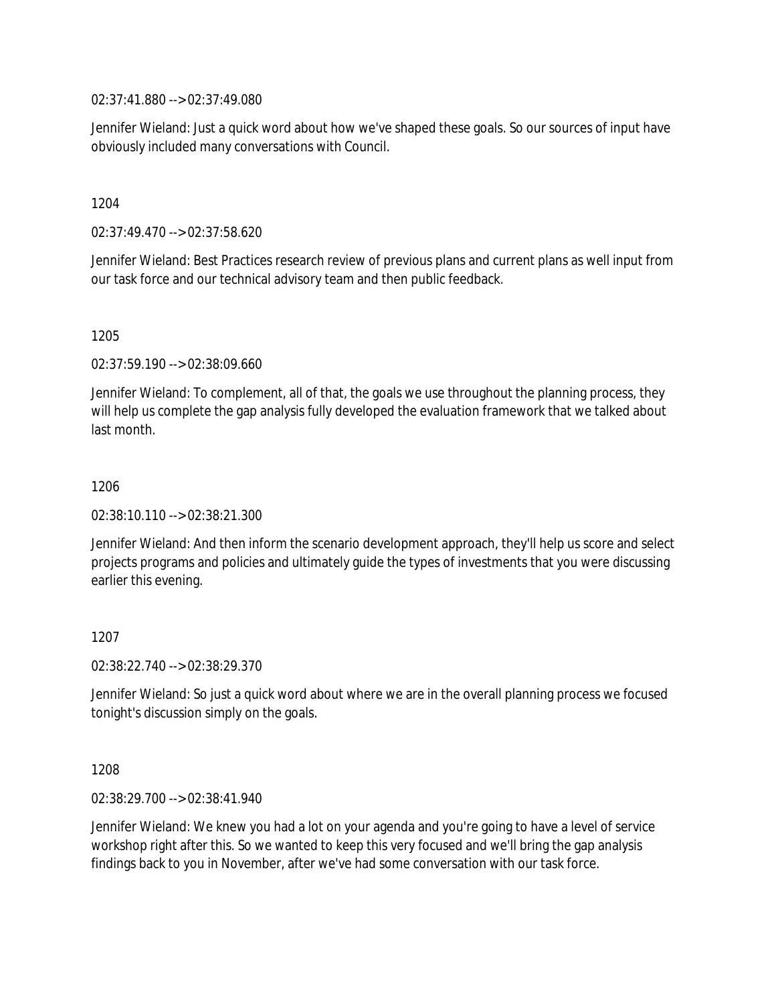02:37:41.880 --> 02:37:49.080

Jennifer Wieland: Just a quick word about how we've shaped these goals. So our sources of input have obviously included many conversations with Council.

1204

02:37:49.470 --> 02:37:58.620

Jennifer Wieland: Best Practices research review of previous plans and current plans as well input from our task force and our technical advisory team and then public feedback.

1205

02:37:59.190 --> 02:38:09.660

Jennifer Wieland: To complement, all of that, the goals we use throughout the planning process, they will help us complete the gap analysis fully developed the evaluation framework that we talked about last month.

1206

02:38:10.110 --> 02:38:21.300

Jennifer Wieland: And then inform the scenario development approach, they'll help us score and select projects programs and policies and ultimately guide the types of investments that you were discussing earlier this evening.

1207

02:38:22.740 --> 02:38:29.370

Jennifer Wieland: So just a quick word about where we are in the overall planning process we focused tonight's discussion simply on the goals.

1208

02:38:29.700 --> 02:38:41.940

Jennifer Wieland: We knew you had a lot on your agenda and you're going to have a level of service workshop right after this. So we wanted to keep this very focused and we'll bring the gap analysis findings back to you in November, after we've had some conversation with our task force.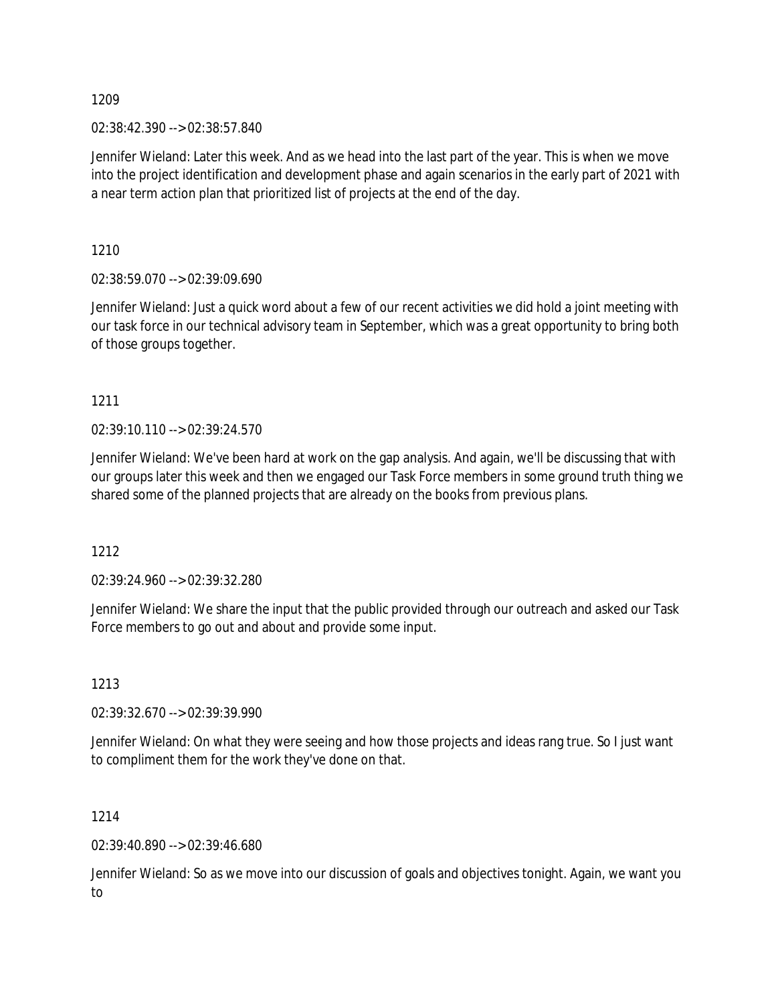02:38:42.390 --> 02:38:57.840

Jennifer Wieland: Later this week. And as we head into the last part of the year. This is when we move into the project identification and development phase and again scenarios in the early part of 2021 with a near term action plan that prioritized list of projects at the end of the day.

1210

02:38:59.070 --> 02:39:09.690

Jennifer Wieland: Just a quick word about a few of our recent activities we did hold a joint meeting with our task force in our technical advisory team in September, which was a great opportunity to bring both of those groups together.

1211

02:39:10.110 --> 02:39:24.570

Jennifer Wieland: We've been hard at work on the gap analysis. And again, we'll be discussing that with our groups later this week and then we engaged our Task Force members in some ground truth thing we shared some of the planned projects that are already on the books from previous plans.

1212

02:39:24.960 --> 02:39:32.280

Jennifer Wieland: We share the input that the public provided through our outreach and asked our Task Force members to go out and about and provide some input.

1213

02:39:32.670 --> 02:39:39.990

Jennifer Wieland: On what they were seeing and how those projects and ideas rang true. So I just want to compliment them for the work they've done on that.

1214

02:39:40.890 --> 02:39:46.680

Jennifer Wieland: So as we move into our discussion of goals and objectives tonight. Again, we want you to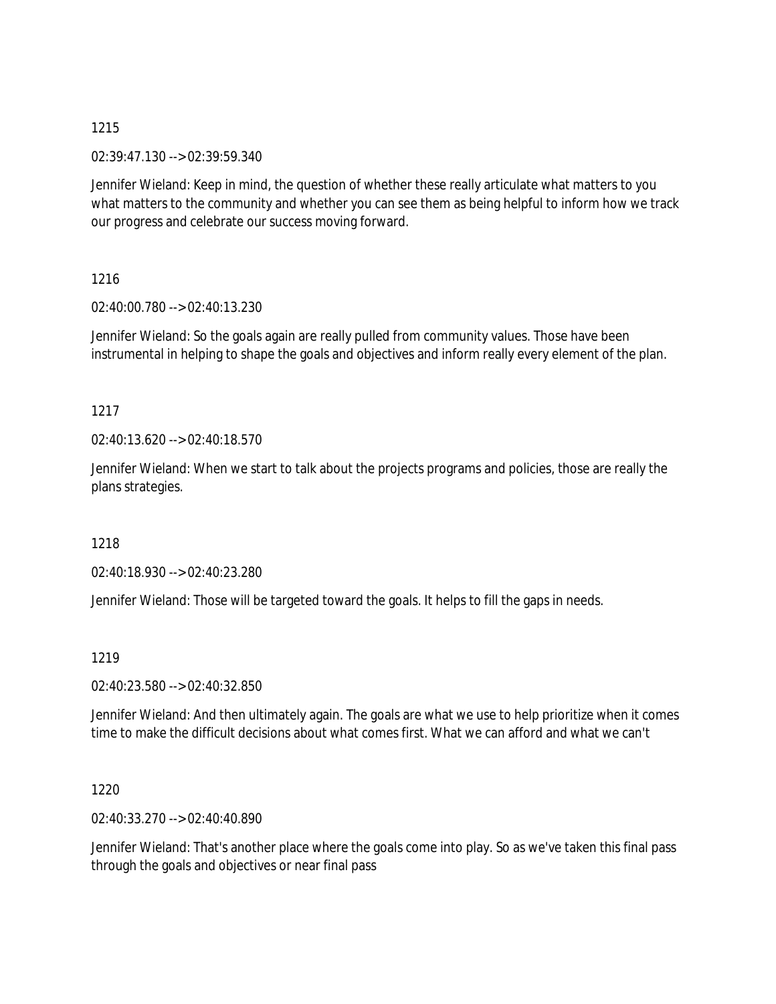02:39:47.130 --> 02:39:59.340

Jennifer Wieland: Keep in mind, the question of whether these really articulate what matters to you what matters to the community and whether you can see them as being helpful to inform how we track our progress and celebrate our success moving forward.

# 1216

02:40:00.780 --> 02:40:13.230

Jennifer Wieland: So the goals again are really pulled from community values. Those have been instrumental in helping to shape the goals and objectives and inform really every element of the plan.

# 1217

02:40:13.620 --> 02:40:18.570

Jennifer Wieland: When we start to talk about the projects programs and policies, those are really the plans strategies.

# 1218

02:40:18.930 --> 02:40:23.280

Jennifer Wieland: Those will be targeted toward the goals. It helps to fill the gaps in needs.

# 1219

02:40:23.580 --> 02:40:32.850

Jennifer Wieland: And then ultimately again. The goals are what we use to help prioritize when it comes time to make the difficult decisions about what comes first. What we can afford and what we can't

# 1220

02:40:33.270 --> 02:40:40.890

Jennifer Wieland: That's another place where the goals come into play. So as we've taken this final pass through the goals and objectives or near final pass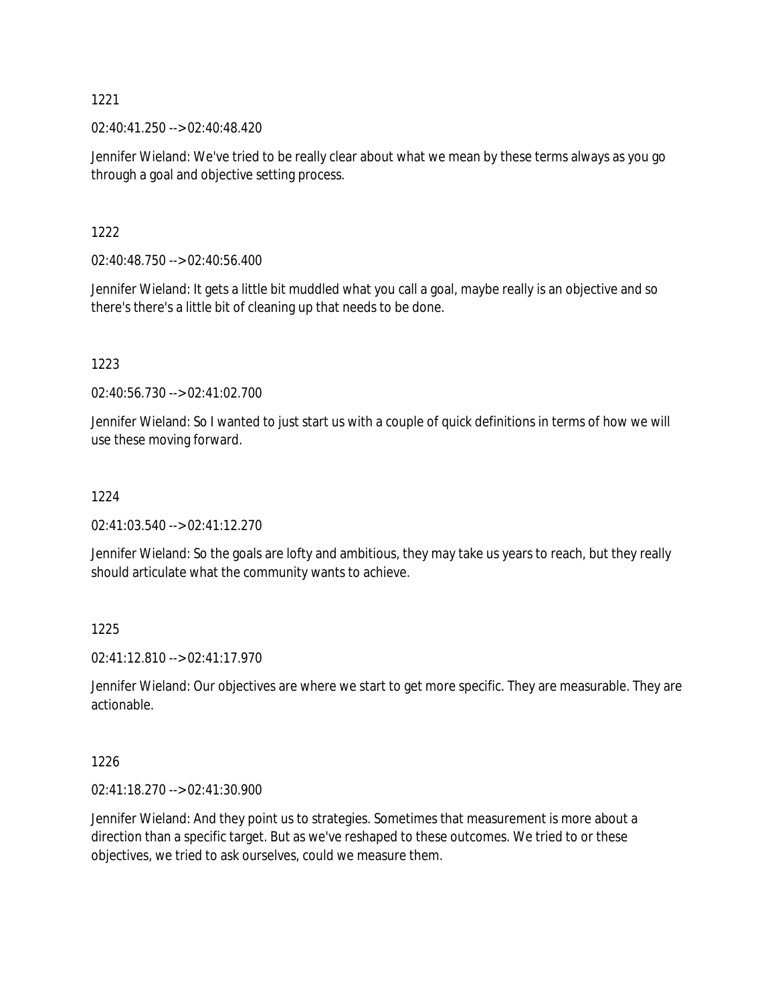02:40:41.250 --> 02:40:48.420

Jennifer Wieland: We've tried to be really clear about what we mean by these terms always as you go through a goal and objective setting process.

1222

02:40:48.750 --> 02:40:56.400

Jennifer Wieland: It gets a little bit muddled what you call a goal, maybe really is an objective and so there's there's a little bit of cleaning up that needs to be done.

1223

02:40:56.730 --> 02:41:02.700

Jennifer Wieland: So I wanted to just start us with a couple of quick definitions in terms of how we will use these moving forward.

### 1224

02:41:03.540 --> 02:41:12.270

Jennifer Wieland: So the goals are lofty and ambitious, they may take us years to reach, but they really should articulate what the community wants to achieve.

1225

02:41:12.810 --> 02:41:17.970

Jennifer Wieland: Our objectives are where we start to get more specific. They are measurable. They are actionable.

1226

02:41:18.270 --> 02:41:30.900

Jennifer Wieland: And they point us to strategies. Sometimes that measurement is more about a direction than a specific target. But as we've reshaped to these outcomes. We tried to or these objectives, we tried to ask ourselves, could we measure them.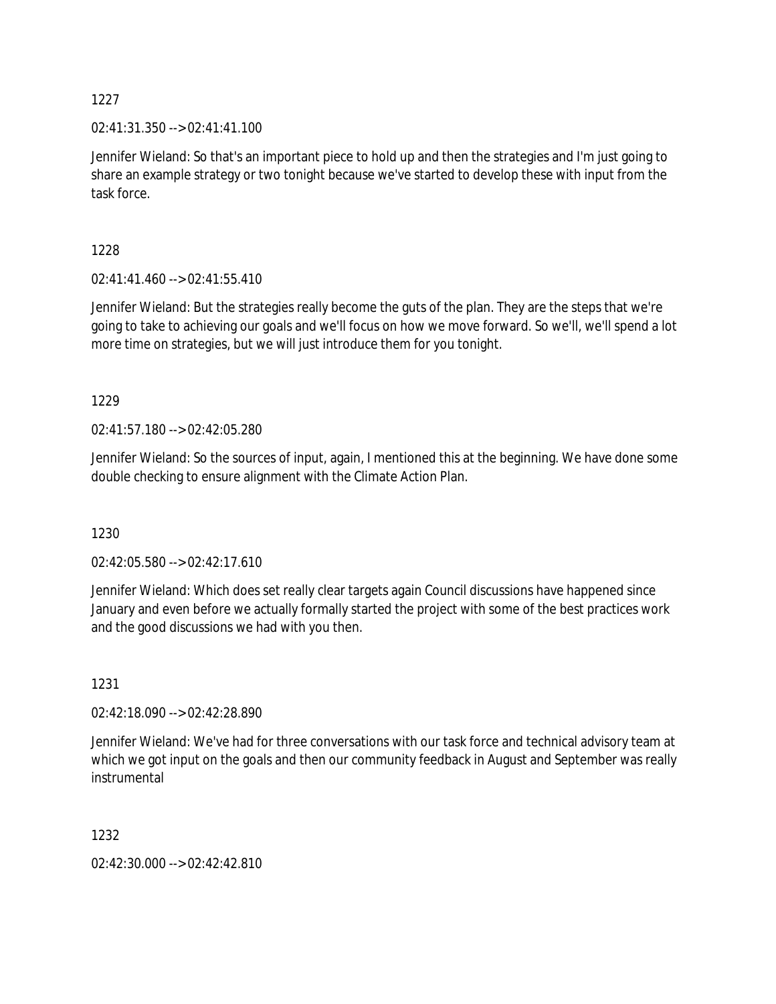02:41:31.350 --> 02:41:41.100

Jennifer Wieland: So that's an important piece to hold up and then the strategies and I'm just going to share an example strategy or two tonight because we've started to develop these with input from the task force.

1228

02:41:41.460 --> 02:41:55.410

Jennifer Wieland: But the strategies really become the guts of the plan. They are the steps that we're going to take to achieving our goals and we'll focus on how we move forward. So we'll, we'll spend a lot more time on strategies, but we will just introduce them for you tonight.

1229

02:41:57.180 --> 02:42:05.280

Jennifer Wieland: So the sources of input, again, I mentioned this at the beginning. We have done some double checking to ensure alignment with the Climate Action Plan.

1230

02:42:05.580 --> 02:42:17.610

Jennifer Wieland: Which does set really clear targets again Council discussions have happened since January and even before we actually formally started the project with some of the best practices work and the good discussions we had with you then.

1231

02:42:18.090 --> 02:42:28.890

Jennifer Wieland: We've had for three conversations with our task force and technical advisory team at which we got input on the goals and then our community feedback in August and September was really instrumental

1232

02:42:30.000 --> 02:42:42.810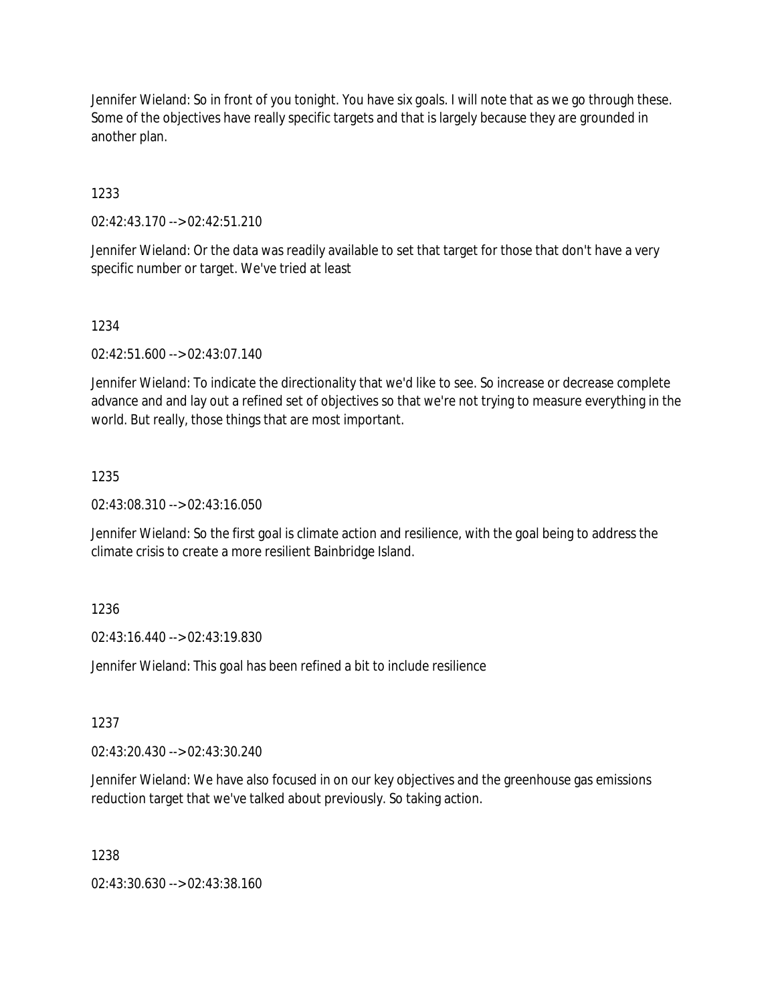Jennifer Wieland: So in front of you tonight. You have six goals. I will note that as we go through these. Some of the objectives have really specific targets and that is largely because they are grounded in another plan.

# 1233

02:42:43.170 --> 02:42:51.210

Jennifer Wieland: Or the data was readily available to set that target for those that don't have a very specific number or target. We've tried at least

### 1234

02:42:51.600 --> 02:43:07.140

Jennifer Wieland: To indicate the directionality that we'd like to see. So increase or decrease complete advance and and lay out a refined set of objectives so that we're not trying to measure everything in the world. But really, those things that are most important.

# 1235

02:43:08.310 --> 02:43:16.050

Jennifer Wieland: So the first goal is climate action and resilience, with the goal being to address the climate crisis to create a more resilient Bainbridge Island.

# 1236

02:43:16.440 --> 02:43:19.830

Jennifer Wieland: This goal has been refined a bit to include resilience

### 1237

02:43:20.430 --> 02:43:30.240

Jennifer Wieland: We have also focused in on our key objectives and the greenhouse gas emissions reduction target that we've talked about previously. So taking action.

### 1238

02:43:30.630 --> 02:43:38.160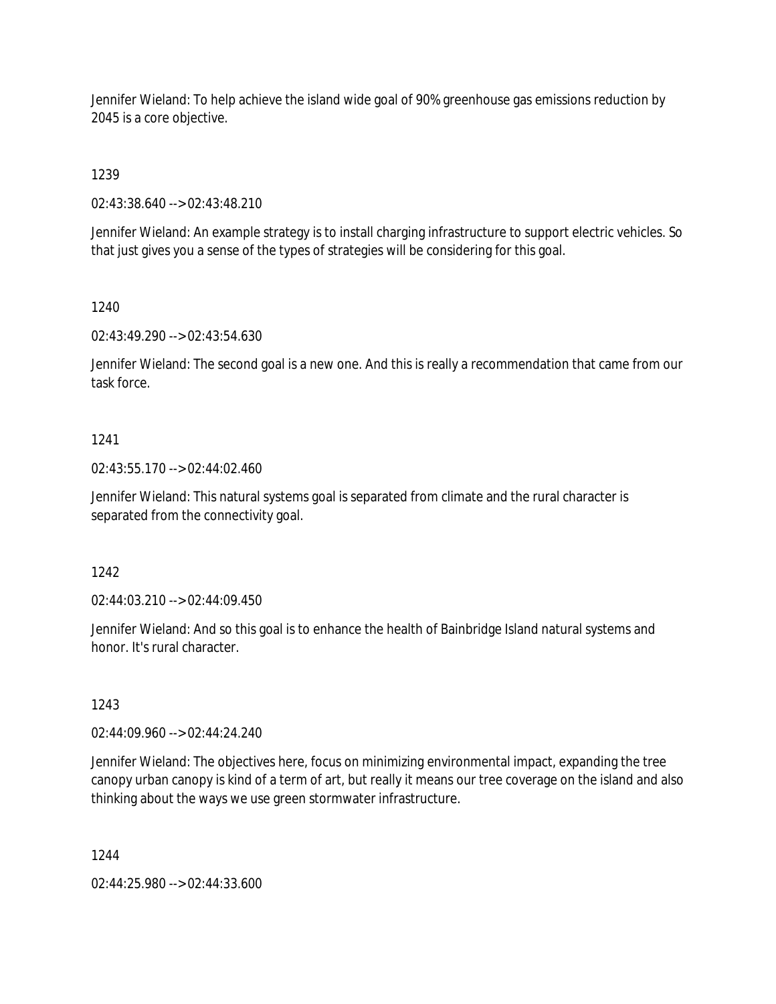Jennifer Wieland: To help achieve the island wide goal of 90% greenhouse gas emissions reduction by 2045 is a core objective.

1239

02:43:38.640 --> 02:43:48.210

Jennifer Wieland: An example strategy is to install charging infrastructure to support electric vehicles. So that just gives you a sense of the types of strategies will be considering for this goal.

1240

02:43:49.290 --> 02:43:54.630

Jennifer Wieland: The second goal is a new one. And this is really a recommendation that came from our task force.

# 1241

02:43:55.170 --> 02:44:02.460

Jennifer Wieland: This natural systems goal is separated from climate and the rural character is separated from the connectivity goal.

# 1242

02:44:03.210 --> 02:44:09.450

Jennifer Wieland: And so this goal is to enhance the health of Bainbridge Island natural systems and honor. It's rural character.

1243

02:44:09.960 --> 02:44:24.240

Jennifer Wieland: The objectives here, focus on minimizing environmental impact, expanding the tree canopy urban canopy is kind of a term of art, but really it means our tree coverage on the island and also thinking about the ways we use green stormwater infrastructure.

1244

02:44:25.980 --> 02:44:33.600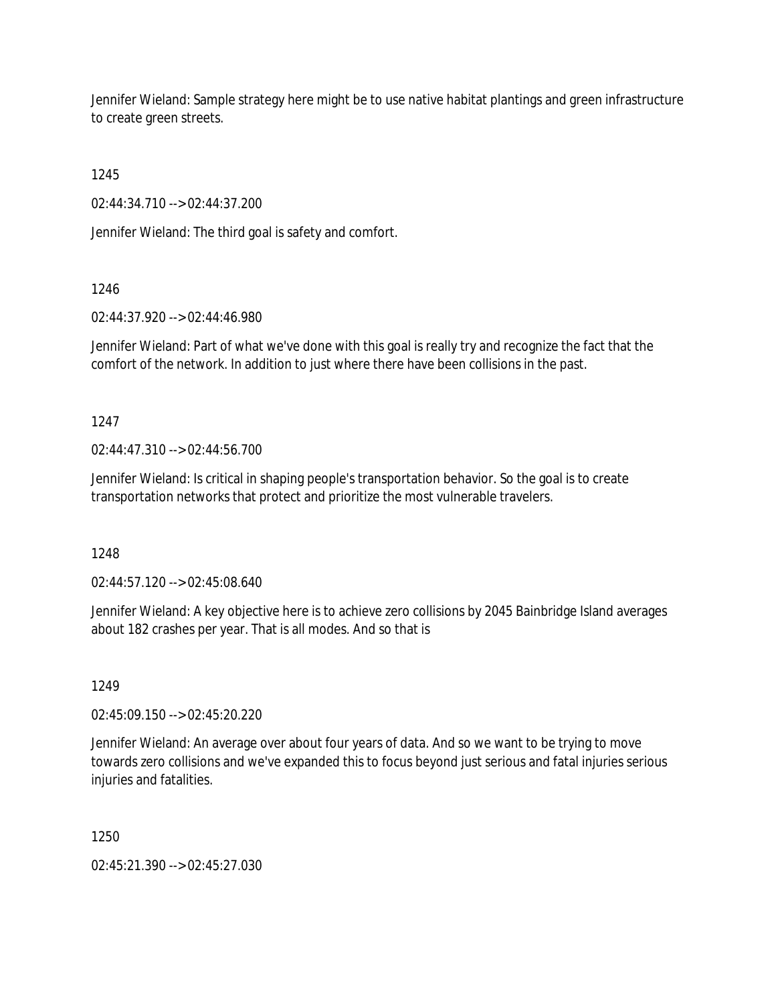Jennifer Wieland: Sample strategy here might be to use native habitat plantings and green infrastructure to create green streets.

1245

02:44:34.710 --> 02:44:37.200

Jennifer Wieland: The third goal is safety and comfort.

# 1246

02:44:37.920 --> 02:44:46.980

Jennifer Wieland: Part of what we've done with this goal is really try and recognize the fact that the comfort of the network. In addition to just where there have been collisions in the past.

1247

02:44:47.310 --> 02:44:56.700

Jennifer Wieland: Is critical in shaping people's transportation behavior. So the goal is to create transportation networks that protect and prioritize the most vulnerable travelers.

1248

02:44:57.120 --> 02:45:08.640

Jennifer Wieland: A key objective here is to achieve zero collisions by 2045 Bainbridge Island averages about 182 crashes per year. That is all modes. And so that is

1249

02:45:09.150 --> 02:45:20.220

Jennifer Wieland: An average over about four years of data. And so we want to be trying to move towards zero collisions and we've expanded this to focus beyond just serious and fatal injuries serious injuries and fatalities.

1250

02:45:21.390 --> 02:45:27.030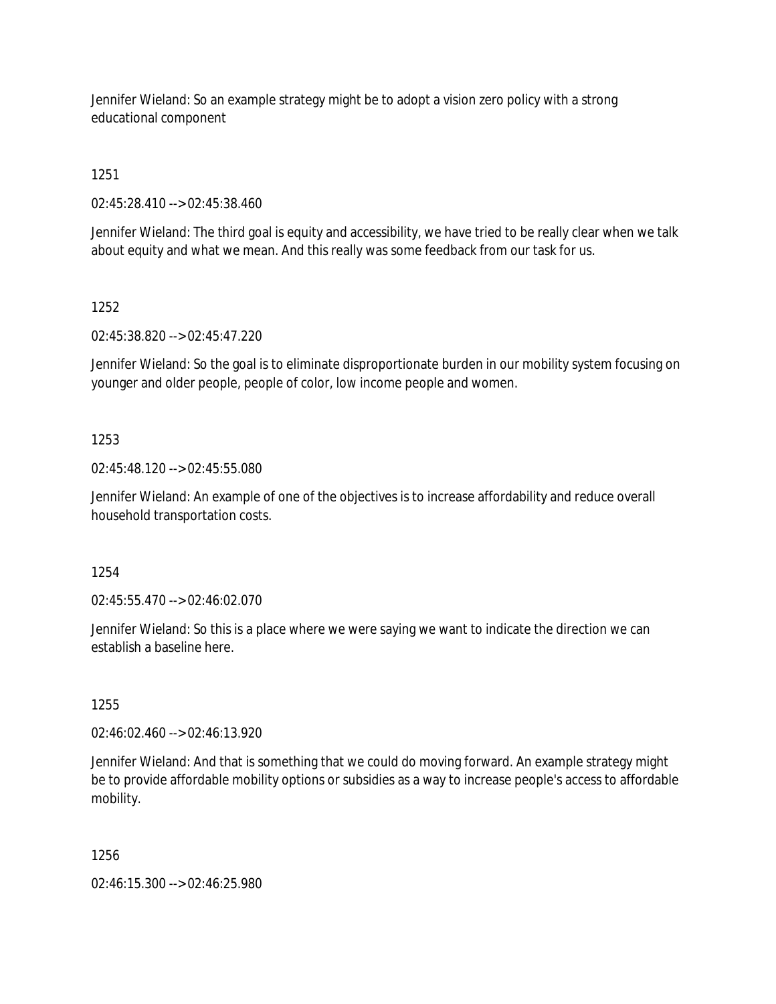Jennifer Wieland: So an example strategy might be to adopt a vision zero policy with a strong educational component

1251

02:45:28.410 --> 02:45:38.460

Jennifer Wieland: The third goal is equity and accessibility, we have tried to be really clear when we talk about equity and what we mean. And this really was some feedback from our task for us.

1252

02:45:38.820 --> 02:45:47.220

Jennifer Wieland: So the goal is to eliminate disproportionate burden in our mobility system focusing on younger and older people, people of color, low income people and women.

# 1253

02:45:48.120 --> 02:45:55.080

Jennifer Wieland: An example of one of the objectives is to increase affordability and reduce overall household transportation costs.

1254

02:45:55.470 --> 02:46:02.070

Jennifer Wieland: So this is a place where we were saying we want to indicate the direction we can establish a baseline here.

1255

02:46:02.460 --> 02:46:13.920

Jennifer Wieland: And that is something that we could do moving forward. An example strategy might be to provide affordable mobility options or subsidies as a way to increase people's access to affordable mobility.

1256

02:46:15.300 --> 02:46:25.980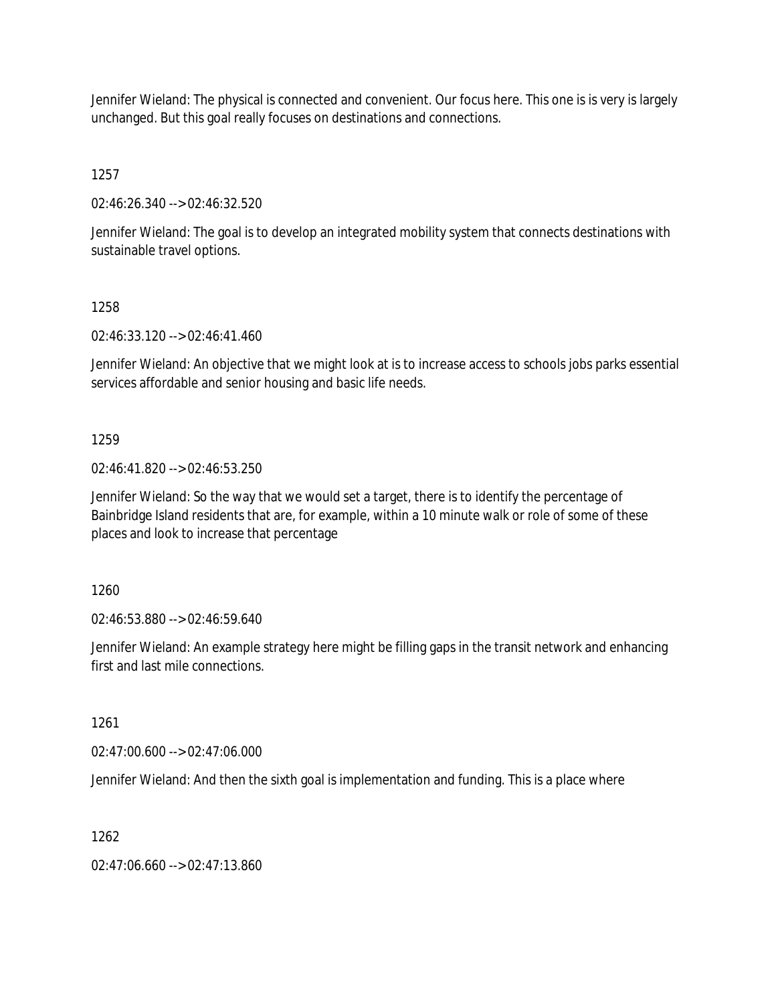Jennifer Wieland: The physical is connected and convenient. Our focus here. This one is is very is largely unchanged. But this goal really focuses on destinations and connections.

1257

02:46:26.340 --> 02:46:32.520

Jennifer Wieland: The goal is to develop an integrated mobility system that connects destinations with sustainable travel options.

# 1258

02:46:33.120 --> 02:46:41.460

Jennifer Wieland: An objective that we might look at is to increase access to schools jobs parks essential services affordable and senior housing and basic life needs.

# 1259

02:46:41.820 --> 02:46:53.250

Jennifer Wieland: So the way that we would set a target, there is to identify the percentage of Bainbridge Island residents that are, for example, within a 10 minute walk or role of some of these places and look to increase that percentage

1260

02:46:53.880 --> 02:46:59.640

Jennifer Wieland: An example strategy here might be filling gaps in the transit network and enhancing first and last mile connections.

1261

02:47:00.600 --> 02:47:06.000

Jennifer Wieland: And then the sixth goal is implementation and funding. This is a place where

1262

02:47:06.660 --> 02:47:13.860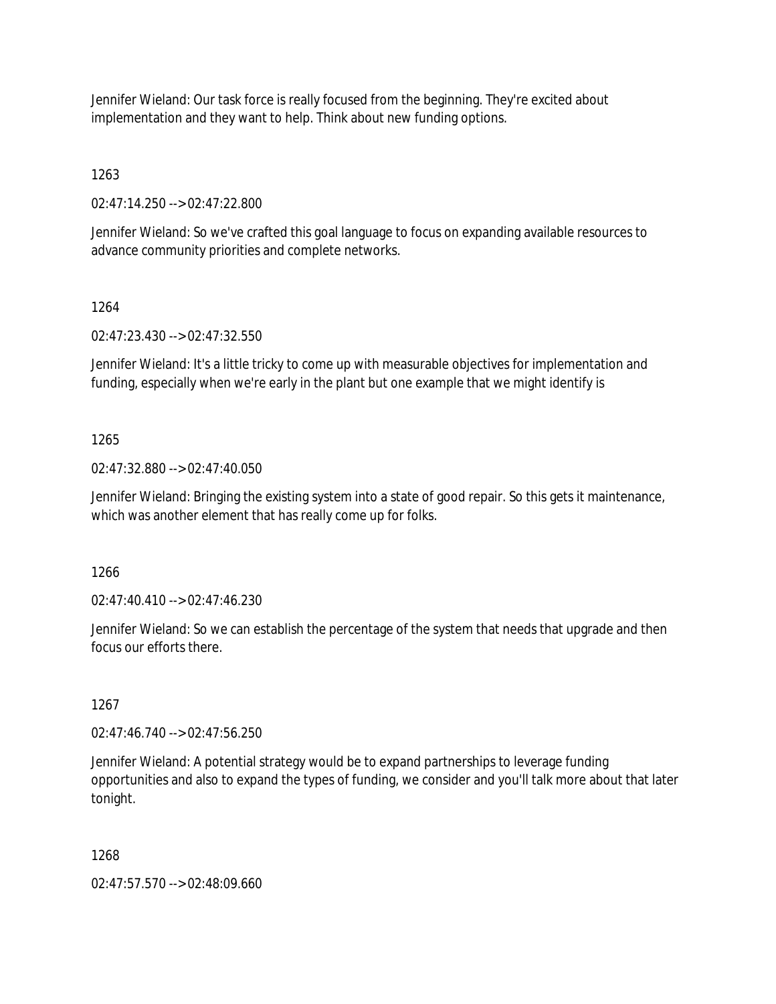Jennifer Wieland: Our task force is really focused from the beginning. They're excited about implementation and they want to help. Think about new funding options.

1263

02:47:14.250 --> 02:47:22.800

Jennifer Wieland: So we've crafted this goal language to focus on expanding available resources to advance community priorities and complete networks.

# 1264

02:47:23.430 --> 02:47:32.550

Jennifer Wieland: It's a little tricky to come up with measurable objectives for implementation and funding, especially when we're early in the plant but one example that we might identify is

# 1265

02:47:32.880 --> 02:47:40.050

Jennifer Wieland: Bringing the existing system into a state of good repair. So this gets it maintenance, which was another element that has really come up for folks.

1266

02:47:40.410 --> 02:47:46.230

Jennifer Wieland: So we can establish the percentage of the system that needs that upgrade and then focus our efforts there.

# 1267

02:47:46.740 --> 02:47:56.250

Jennifer Wieland: A potential strategy would be to expand partnerships to leverage funding opportunities and also to expand the types of funding, we consider and you'll talk more about that later tonight.

# 1268

02:47:57.570 --> 02:48:09.660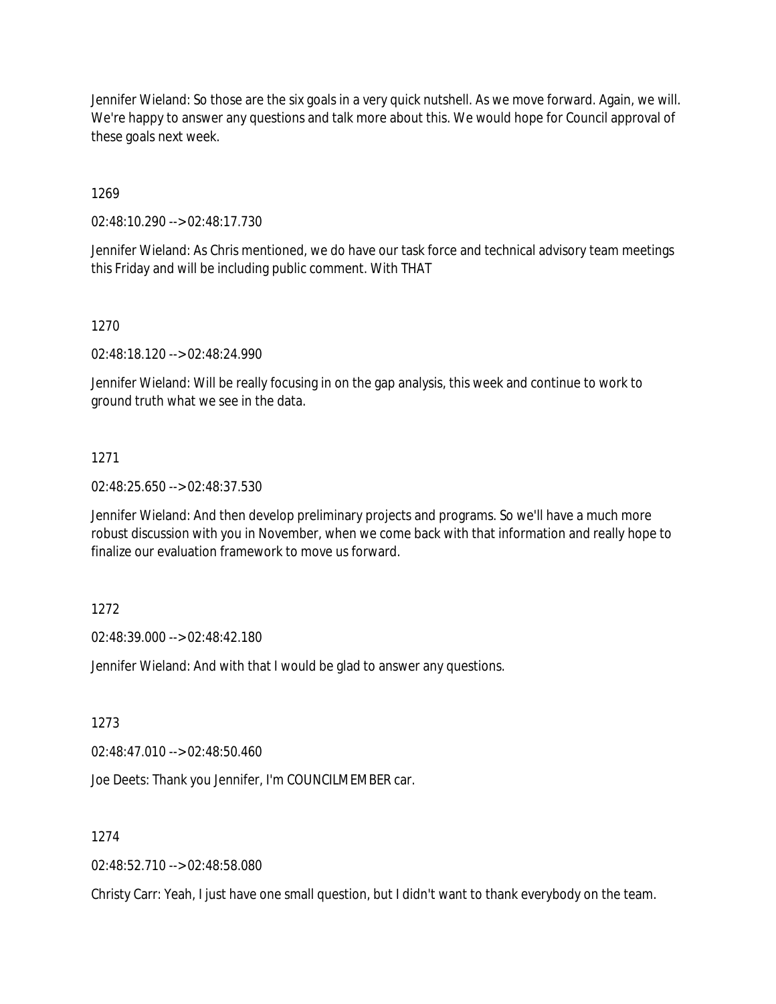Jennifer Wieland: So those are the six goals in a very quick nutshell. As we move forward. Again, we will. We're happy to answer any questions and talk more about this. We would hope for Council approval of these goals next week.

1269

02:48:10.290 --> 02:48:17.730

Jennifer Wieland: As Chris mentioned, we do have our task force and technical advisory team meetings this Friday and will be including public comment. With THAT

1270

02:48:18.120 --> 02:48:24.990

Jennifer Wieland: Will be really focusing in on the gap analysis, this week and continue to work to ground truth what we see in the data.

### 1271

02:48:25.650 --> 02:48:37.530

Jennifer Wieland: And then develop preliminary projects and programs. So we'll have a much more robust discussion with you in November, when we come back with that information and really hope to finalize our evaluation framework to move us forward.

### 1272

02:48:39.000 --> 02:48:42.180

Jennifer Wieland: And with that I would be glad to answer any questions.

1273

02:48:47.010 --> 02:48:50.460

Joe Deets: Thank you Jennifer, I'm COUNCILMEMBER car.

### 1274

02:48:52.710 --> 02:48:58.080

Christy Carr: Yeah, I just have one small question, but I didn't want to thank everybody on the team.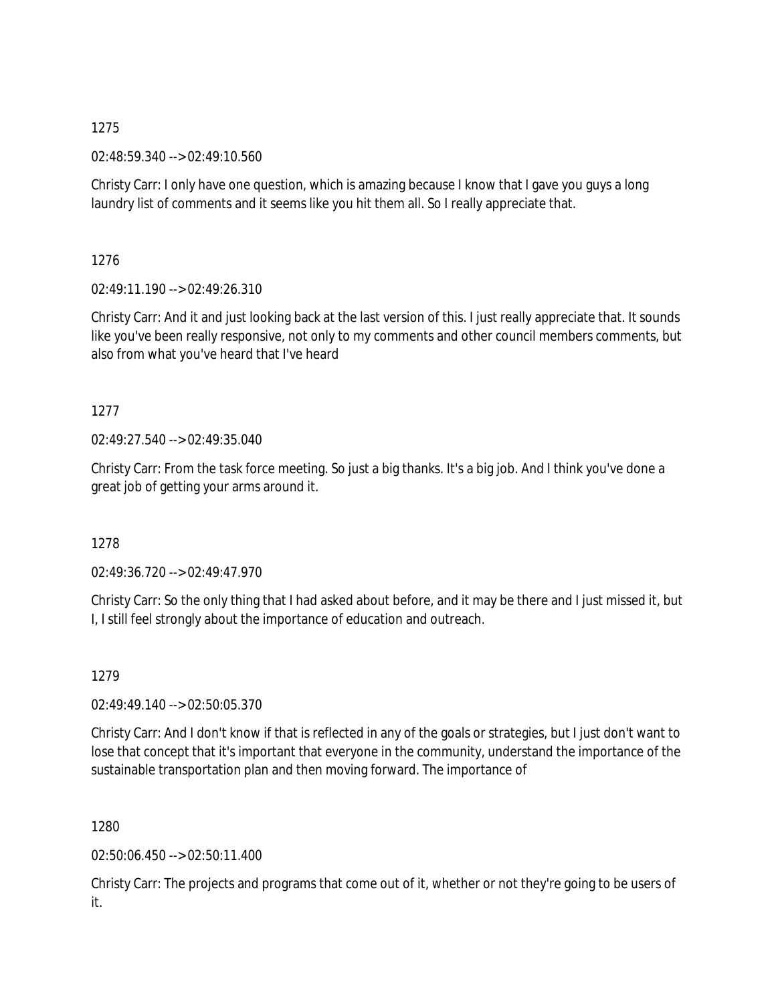02:48:59.340 --> 02:49:10.560

Christy Carr: I only have one question, which is amazing because I know that I gave you guys a long laundry list of comments and it seems like you hit them all. So I really appreciate that.

1276

02:49:11.190 --> 02:49:26.310

Christy Carr: And it and just looking back at the last version of this. I just really appreciate that. It sounds like you've been really responsive, not only to my comments and other council members comments, but also from what you've heard that I've heard

# 1277

02:49:27.540 --> 02:49:35.040

Christy Carr: From the task force meeting. So just a big thanks. It's a big job. And I think you've done a great job of getting your arms around it.

# 1278

02:49:36.720 --> 02:49:47.970

Christy Carr: So the only thing that I had asked about before, and it may be there and I just missed it, but I, I still feel strongly about the importance of education and outreach.

1279

02:49:49.140 --> 02:50:05.370

Christy Carr: And I don't know if that is reflected in any of the goals or strategies, but I just don't want to lose that concept that it's important that everyone in the community, understand the importance of the sustainable transportation plan and then moving forward. The importance of

1280

02:50:06.450 --> 02:50:11.400

Christy Carr: The projects and programs that come out of it, whether or not they're going to be users of it.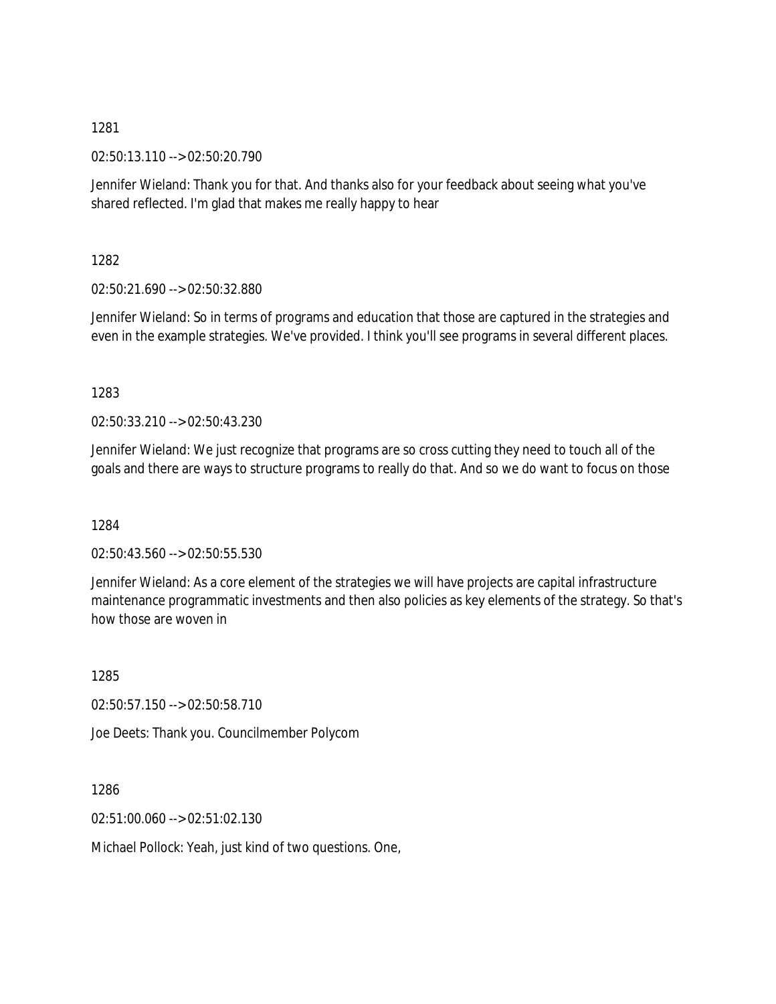02:50:13.110 --> 02:50:20.790

Jennifer Wieland: Thank you for that. And thanks also for your feedback about seeing what you've shared reflected. I'm glad that makes me really happy to hear

1282

02:50:21.690 --> 02:50:32.880

Jennifer Wieland: So in terms of programs and education that those are captured in the strategies and even in the example strategies. We've provided. I think you'll see programs in several different places.

1283

02:50:33.210 --> 02:50:43.230

Jennifer Wieland: We just recognize that programs are so cross cutting they need to touch all of the goals and there are ways to structure programs to really do that. And so we do want to focus on those

1284

02:50:43.560 --> 02:50:55.530

Jennifer Wieland: As a core element of the strategies we will have projects are capital infrastructure maintenance programmatic investments and then also policies as key elements of the strategy. So that's how those are woven in

1285 02:50:57.150 --> 02:50:58.710 Joe Deets: Thank you. Councilmember Polycom

1286

02:51:00.060 --> 02:51:02.130

Michael Pollock: Yeah, just kind of two questions. One,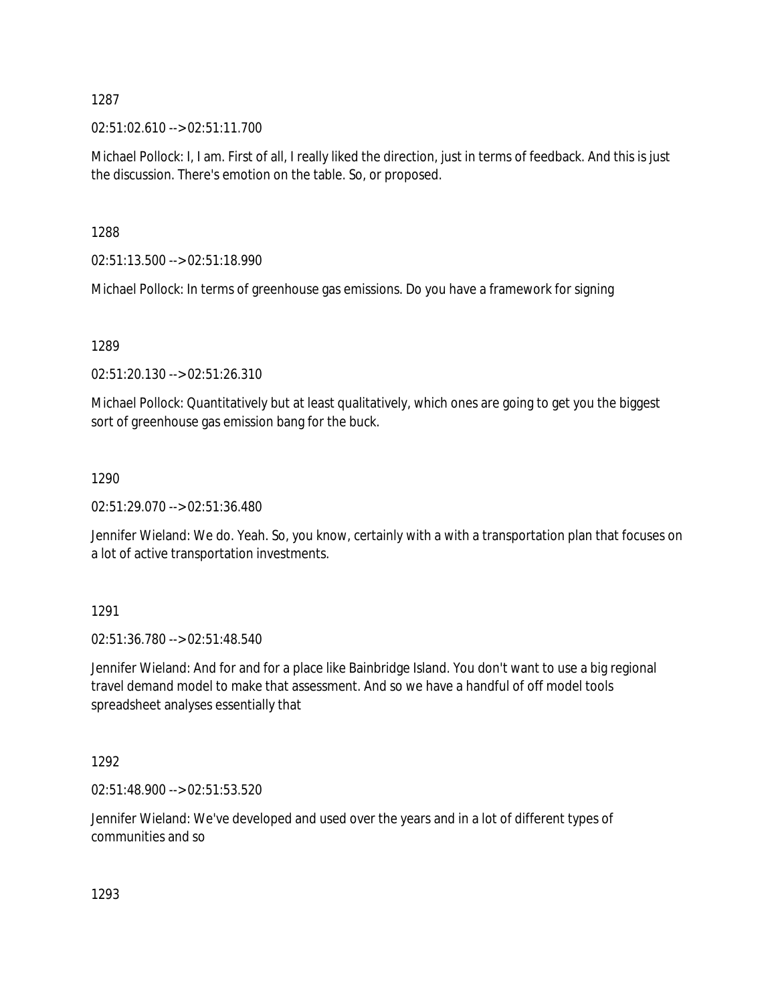02:51:02.610 --> 02:51:11.700

Michael Pollock: I, I am. First of all, I really liked the direction, just in terms of feedback. And this is just the discussion. There's emotion on the table. So, or proposed.

1288

02:51:13.500 --> 02:51:18.990

Michael Pollock: In terms of greenhouse gas emissions. Do you have a framework for signing

1289

02:51:20.130 --> 02:51:26.310

Michael Pollock: Quantitatively but at least qualitatively, which ones are going to get you the biggest sort of greenhouse gas emission bang for the buck.

1290

02:51:29.070 --> 02:51:36.480

Jennifer Wieland: We do. Yeah. So, you know, certainly with a with a transportation plan that focuses on a lot of active transportation investments.

1291

02:51:36.780 --> 02:51:48.540

Jennifer Wieland: And for and for a place like Bainbridge Island. You don't want to use a big regional travel demand model to make that assessment. And so we have a handful of off model tools spreadsheet analyses essentially that

1292

02:51:48.900 --> 02:51:53.520

Jennifer Wieland: We've developed and used over the years and in a lot of different types of communities and so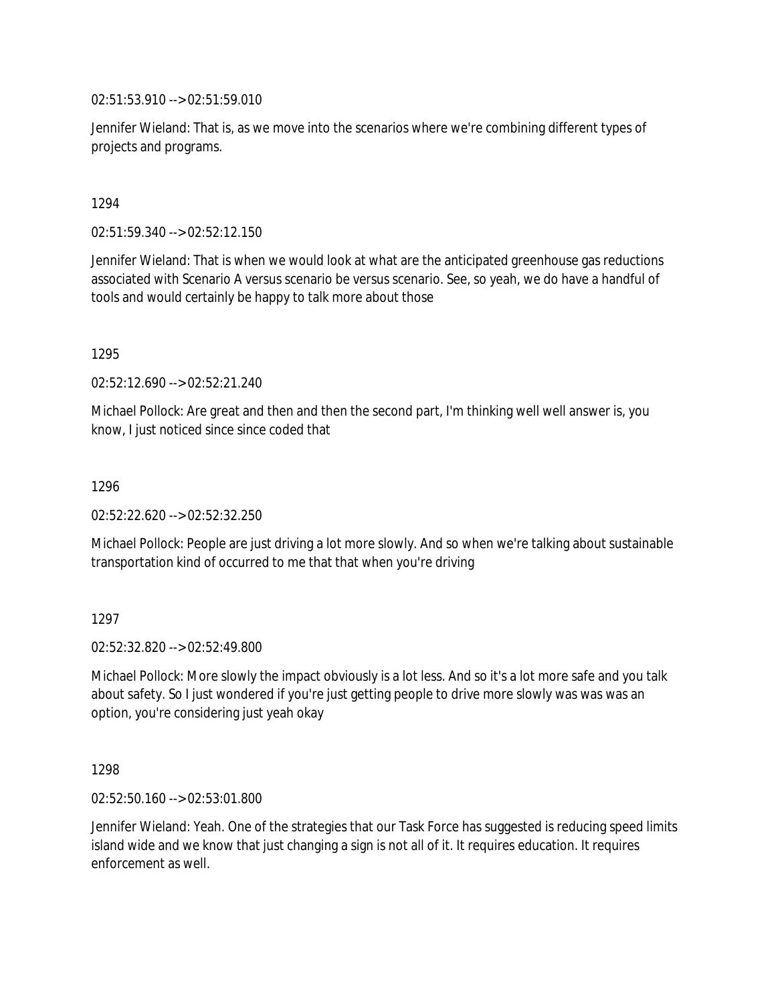02:51:53.910 --> 02:51:59.010

Jennifer Wieland: That is, as we move into the scenarios where we're combining different types of projects and programs.

1294

02:51:59.340 --> 02:52:12.150

Jennifer Wieland: That is when we would look at what are the anticipated greenhouse gas reductions associated with Scenario A versus scenario be versus scenario. See, so yeah, we do have a handful of tools and would certainly be happy to talk more about those

1295

02:52:12.690 --> 02:52:21.240

Michael Pollock: Are great and then and then the second part, I'm thinking well well answer is, you know, I just noticed since since coded that

1296

02:52:22.620 --> 02:52:32.250

Michael Pollock: People are just driving a lot more slowly. And so when we're talking about sustainable transportation kind of occurred to me that that when you're driving

1297

02:52:32.820 --> 02:52:49.800

Michael Pollock: More slowly the impact obviously is a lot less. And so it's a lot more safe and you talk about safety. So I just wondered if you're just getting people to drive more slowly was was was an option, you're considering just yeah okay

1298

02:52:50.160 --> 02:53:01.800

Jennifer Wieland: Yeah. One of the strategies that our Task Force has suggested is reducing speed limits island wide and we know that just changing a sign is not all of it. It requires education. It requires enforcement as well.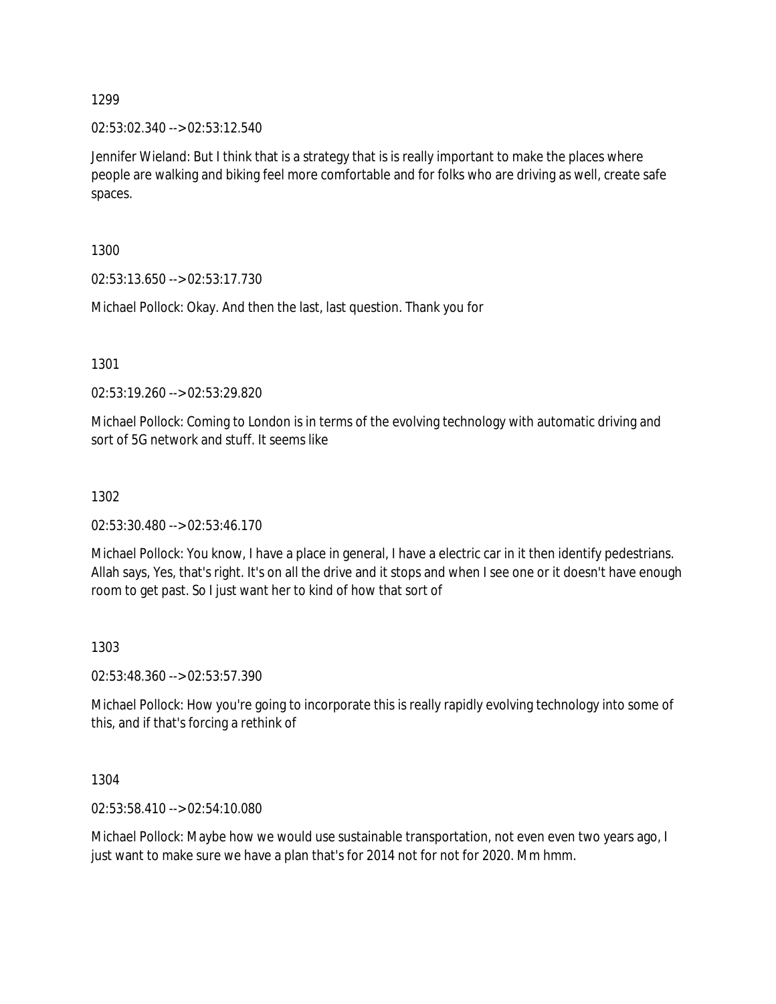02:53:02.340 --> 02:53:12.540

Jennifer Wieland: But I think that is a strategy that is is really important to make the places where people are walking and biking feel more comfortable and for folks who are driving as well, create safe spaces.

1300

02:53:13.650 --> 02:53:17.730

Michael Pollock: Okay. And then the last, last question. Thank you for

1301

02:53:19.260 --> 02:53:29.820

Michael Pollock: Coming to London is in terms of the evolving technology with automatic driving and sort of 5G network and stuff. It seems like

1302

02:53:30.480 --> 02:53:46.170

Michael Pollock: You know, I have a place in general, I have a electric car in it then identify pedestrians. Allah says, Yes, that's right. It's on all the drive and it stops and when I see one or it doesn't have enough room to get past. So I just want her to kind of how that sort of

1303

02:53:48.360 --> 02:53:57.390

Michael Pollock: How you're going to incorporate this is really rapidly evolving technology into some of this, and if that's forcing a rethink of

1304

02:53:58.410 --> 02:54:10.080

Michael Pollock: Maybe how we would use sustainable transportation, not even even two years ago, I just want to make sure we have a plan that's for 2014 not for not for 2020. Mm hmm.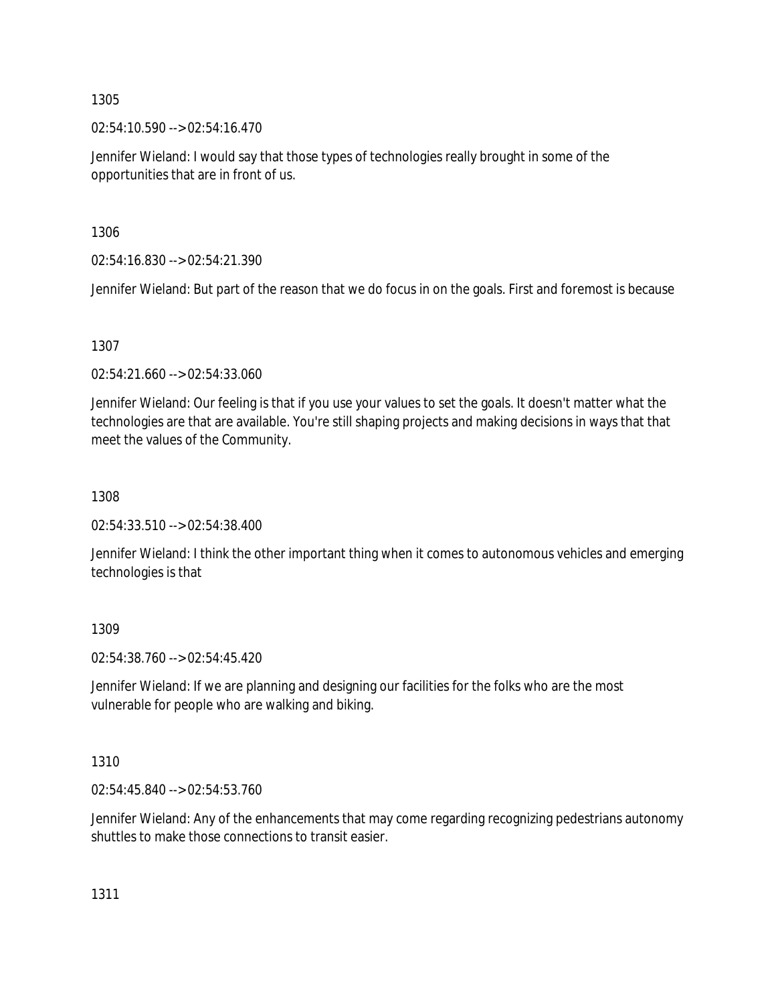02:54:10.590 --> 02:54:16.470

Jennifer Wieland: I would say that those types of technologies really brought in some of the opportunities that are in front of us.

1306

02:54:16.830 --> 02:54:21.390

Jennifer Wieland: But part of the reason that we do focus in on the goals. First and foremost is because

1307

02:54:21.660 --> 02:54:33.060

Jennifer Wieland: Our feeling is that if you use your values to set the goals. It doesn't matter what the technologies are that are available. You're still shaping projects and making decisions in ways that that meet the values of the Community.

1308

02:54:33.510 --> 02:54:38.400

Jennifer Wieland: I think the other important thing when it comes to autonomous vehicles and emerging technologies is that

1309

02:54:38.760 --> 02:54:45.420

Jennifer Wieland: If we are planning and designing our facilities for the folks who are the most vulnerable for people who are walking and biking.

1310

02:54:45.840 --> 02:54:53.760

Jennifer Wieland: Any of the enhancements that may come regarding recognizing pedestrians autonomy shuttles to make those connections to transit easier.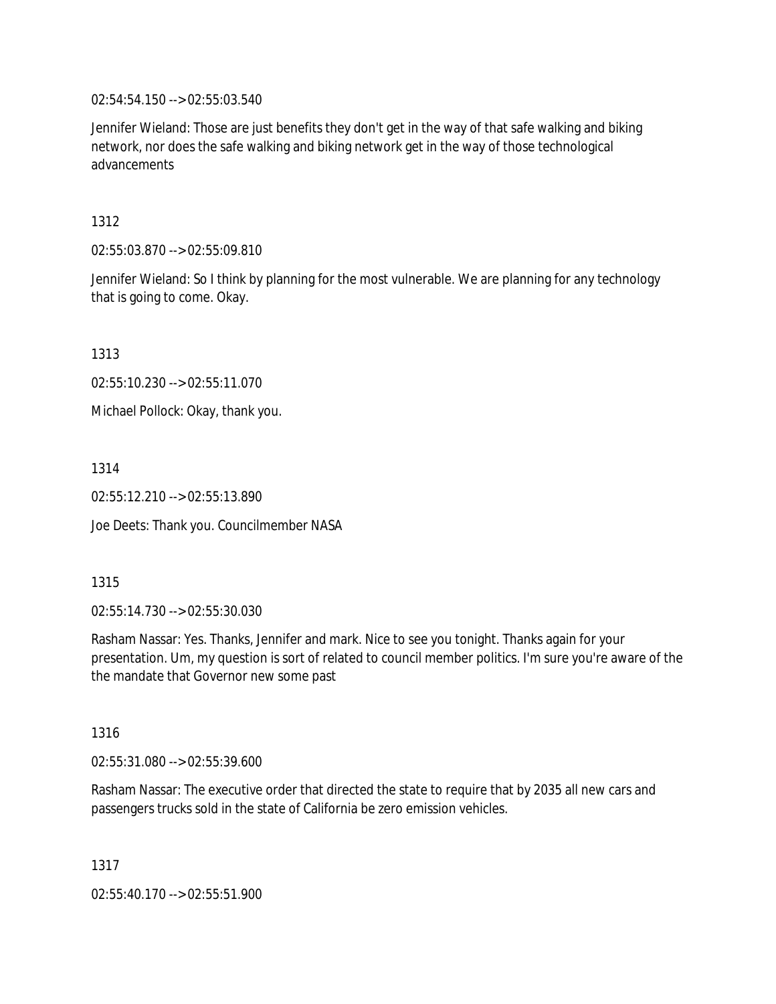02:54:54.150 --> 02:55:03.540

Jennifer Wieland: Those are just benefits they don't get in the way of that safe walking and biking network, nor does the safe walking and biking network get in the way of those technological advancements

1312

02:55:03.870 --> 02:55:09.810

Jennifer Wieland: So I think by planning for the most vulnerable. We are planning for any technology that is going to come. Okay.

1313

02:55:10.230 --> 02:55:11.070

Michael Pollock: Okay, thank you.

1314

02:55:12.210 --> 02:55:13.890

Joe Deets: Thank you. Councilmember NASA

1315

02:55:14.730 --> 02:55:30.030

Rasham Nassar: Yes. Thanks, Jennifer and mark. Nice to see you tonight. Thanks again for your presentation. Um, my question is sort of related to council member politics. I'm sure you're aware of the the mandate that Governor new some past

1316

02:55:31.080 --> 02:55:39.600

Rasham Nassar: The executive order that directed the state to require that by 2035 all new cars and passengers trucks sold in the state of California be zero emission vehicles.

1317

02:55:40.170 --> 02:55:51.900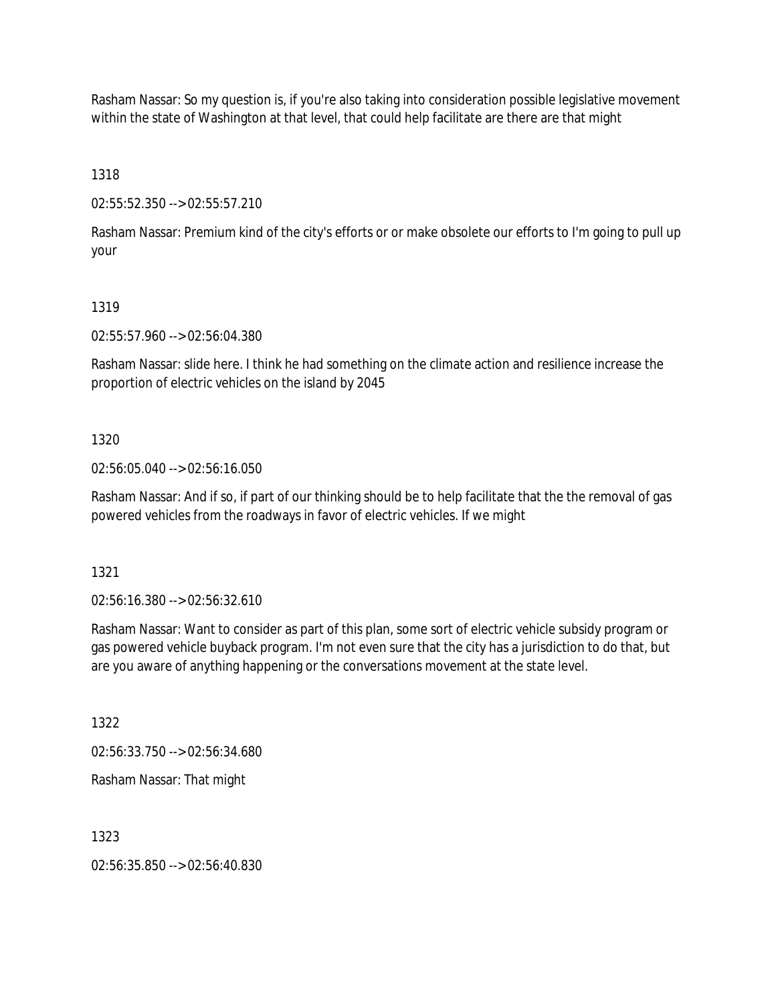Rasham Nassar: So my question is, if you're also taking into consideration possible legislative movement within the state of Washington at that level, that could help facilitate are there are that might

1318

02:55:52.350 --> 02:55:57.210

Rasham Nassar: Premium kind of the city's efforts or or make obsolete our efforts to I'm going to pull up your

#### 1319

02:55:57.960 --> 02:56:04.380

Rasham Nassar: slide here. I think he had something on the climate action and resilience increase the proportion of electric vehicles on the island by 2045

#### 1320

02:56:05.040 --> 02:56:16.050

Rasham Nassar: And if so, if part of our thinking should be to help facilitate that the the removal of gas powered vehicles from the roadways in favor of electric vehicles. If we might

1321

02:56:16.380 --> 02:56:32.610

Rasham Nassar: Want to consider as part of this plan, some sort of electric vehicle subsidy program or gas powered vehicle buyback program. I'm not even sure that the city has a jurisdiction to do that, but are you aware of anything happening or the conversations movement at the state level.

1322

02:56:33.750 --> 02:56:34.680

Rasham Nassar: That might

1323

02:56:35.850 --> 02:56:40.830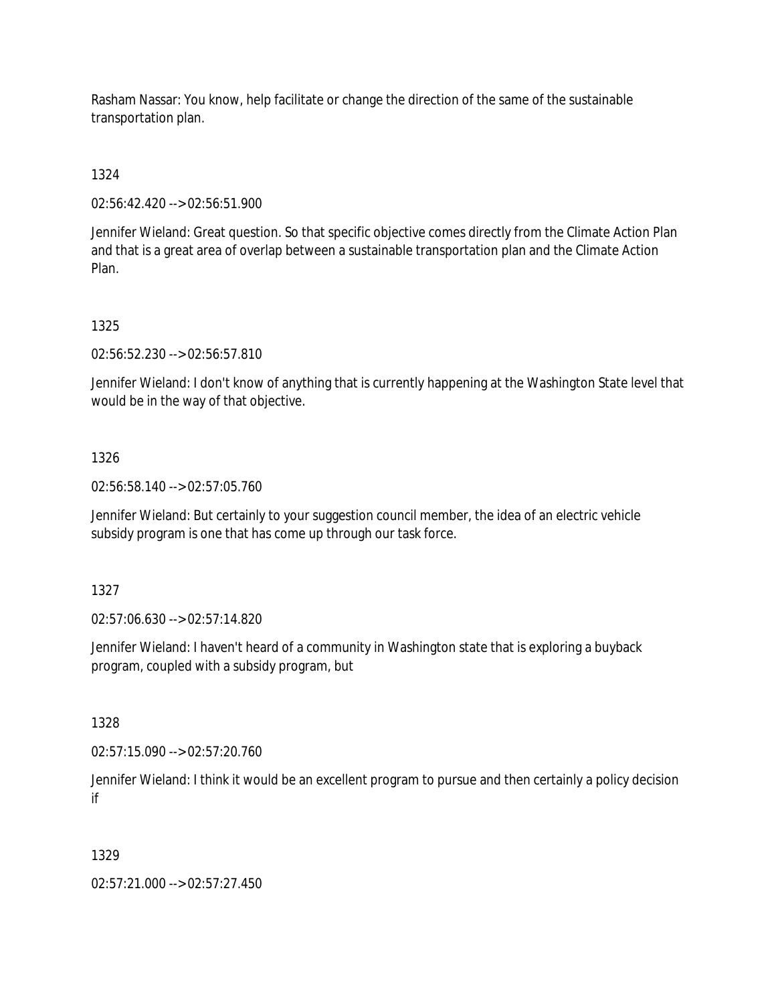Rasham Nassar: You know, help facilitate or change the direction of the same of the sustainable transportation plan.

1324

02:56:42.420 --> 02:56:51.900

Jennifer Wieland: Great question. So that specific objective comes directly from the Climate Action Plan and that is a great area of overlap between a sustainable transportation plan and the Climate Action Plan.

1325

02:56:52.230 --> 02:56:57.810

Jennifer Wieland: I don't know of anything that is currently happening at the Washington State level that would be in the way of that objective.

1326

02:56:58.140 --> 02:57:05.760

Jennifer Wieland: But certainly to your suggestion council member, the idea of an electric vehicle subsidy program is one that has come up through our task force.

1327

02:57:06.630 --> 02:57:14.820

Jennifer Wieland: I haven't heard of a community in Washington state that is exploring a buyback program, coupled with a subsidy program, but

1328

02:57:15.090 --> 02:57:20.760

Jennifer Wieland: I think it would be an excellent program to pursue and then certainly a policy decision if

1329

02:57:21.000 --> 02:57:27.450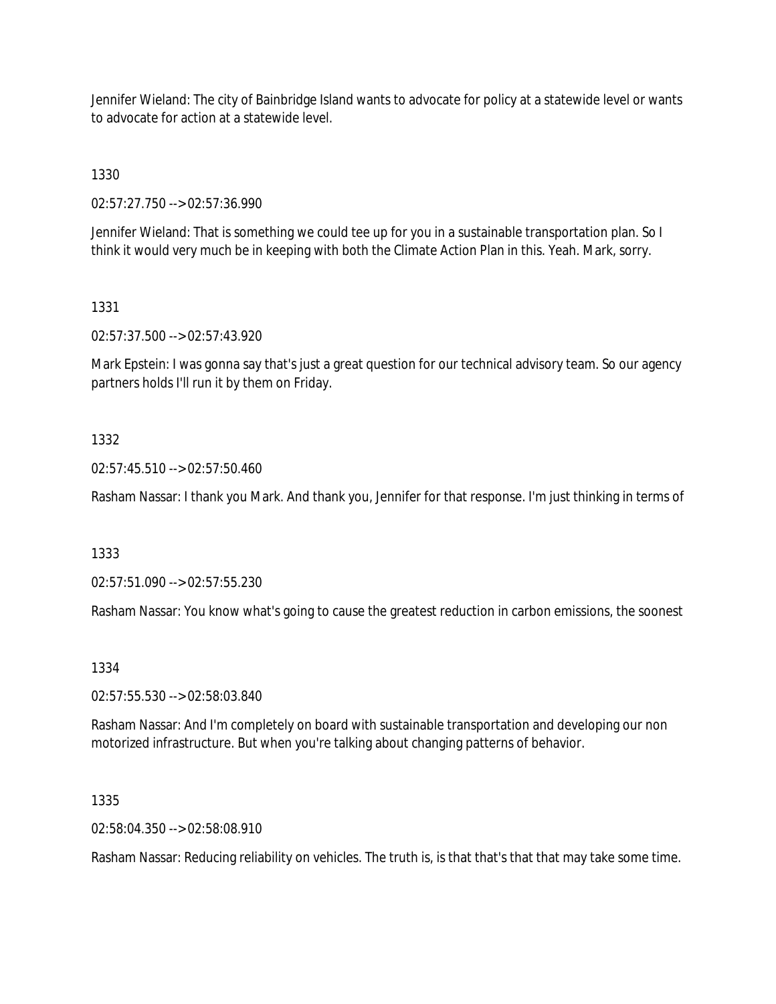Jennifer Wieland: The city of Bainbridge Island wants to advocate for policy at a statewide level or wants to advocate for action at a statewide level.

1330

02:57:27.750 --> 02:57:36.990

Jennifer Wieland: That is something we could tee up for you in a sustainable transportation plan. So I think it would very much be in keeping with both the Climate Action Plan in this. Yeah. Mark, sorry.

# 1331

02:57:37.500 --> 02:57:43.920

Mark Epstein: I was gonna say that's just a great question for our technical advisory team. So our agency partners holds I'll run it by them on Friday.

# 1332

02:57:45.510 --> 02:57:50.460

Rasham Nassar: I thank you Mark. And thank you, Jennifer for that response. I'm just thinking in terms of

1333

02:57:51.090 --> 02:57:55.230

Rasham Nassar: You know what's going to cause the greatest reduction in carbon emissions, the soonest

### 1334

02:57:55.530 --> 02:58:03.840

Rasham Nassar: And I'm completely on board with sustainable transportation and developing our non motorized infrastructure. But when you're talking about changing patterns of behavior.

1335

02:58:04.350 --> 02:58:08.910

Rasham Nassar: Reducing reliability on vehicles. The truth is, is that that's that that may take some time.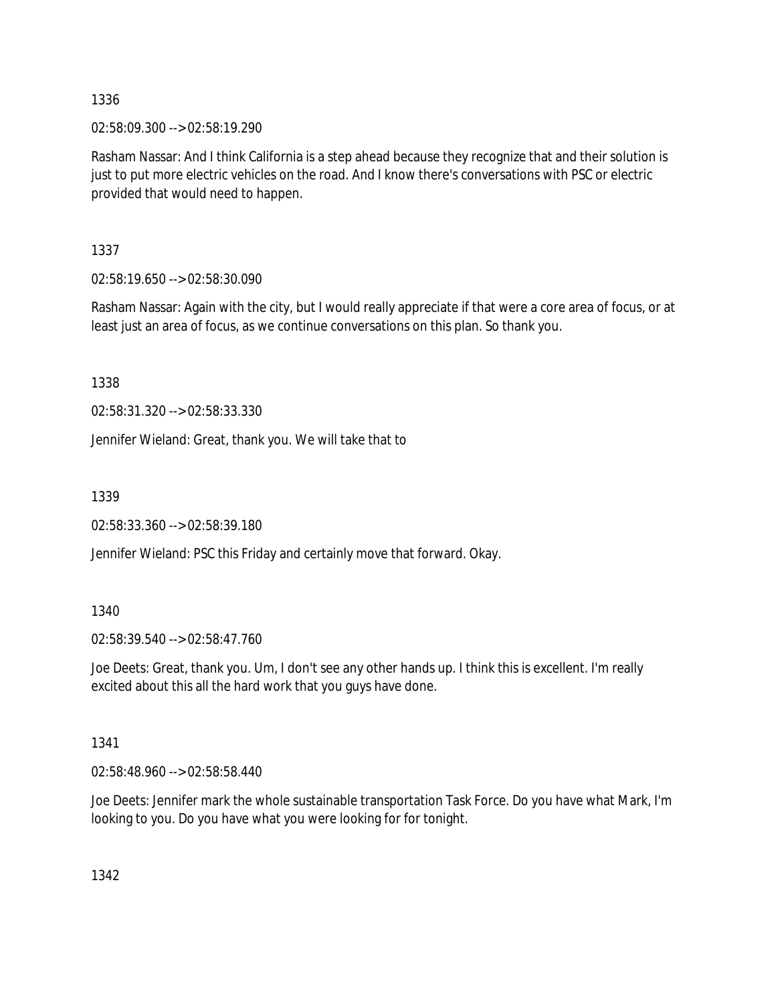02:58:09.300 --> 02:58:19.290

Rasham Nassar: And I think California is a step ahead because they recognize that and their solution is just to put more electric vehicles on the road. And I know there's conversations with PSC or electric provided that would need to happen.

1337

02:58:19.650 --> 02:58:30.090

Rasham Nassar: Again with the city, but I would really appreciate if that were a core area of focus, or at least just an area of focus, as we continue conversations on this plan. So thank you.

1338

02:58:31.320 --> 02:58:33.330

Jennifer Wieland: Great, thank you. We will take that to

1339

02:58:33.360 --> 02:58:39.180

Jennifer Wieland: PSC this Friday and certainly move that forward. Okay.

### 1340

02:58:39.540 --> 02:58:47.760

Joe Deets: Great, thank you. Um, I don't see any other hands up. I think this is excellent. I'm really excited about this all the hard work that you guys have done.

### 1341

02:58:48.960 --> 02:58:58.440

Joe Deets: Jennifer mark the whole sustainable transportation Task Force. Do you have what Mark, I'm looking to you. Do you have what you were looking for for tonight.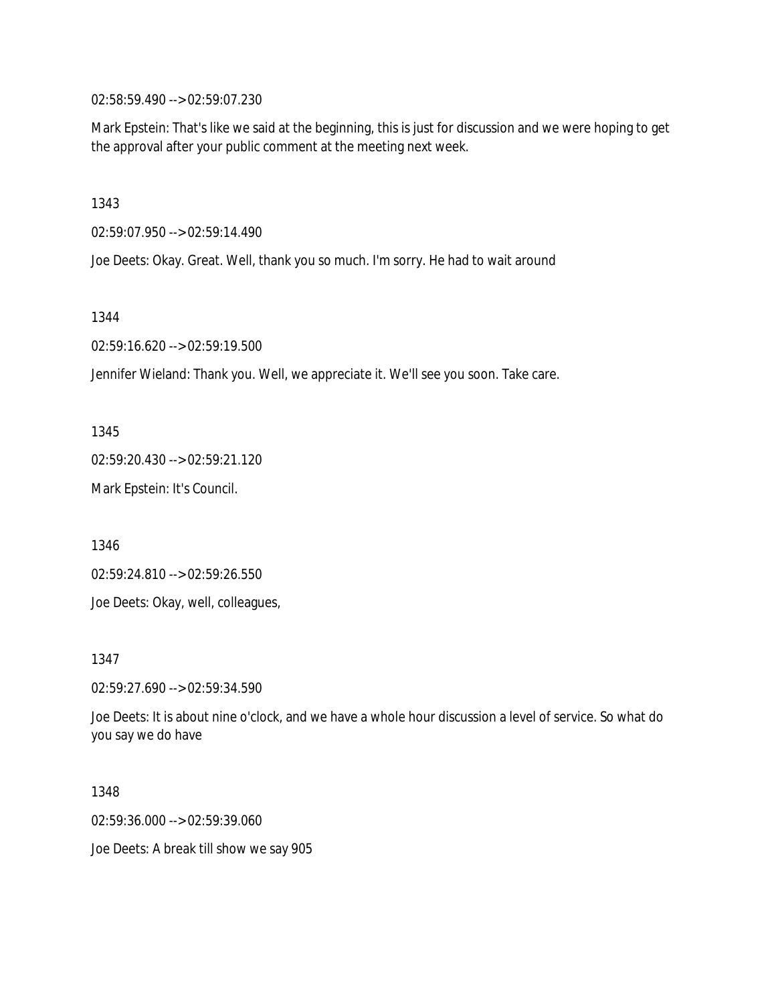02:58:59.490 --> 02:59:07.230

Mark Epstein: That's like we said at the beginning, this is just for discussion and we were hoping to get the approval after your public comment at the meeting next week.

1343

02:59:07.950 --> 02:59:14.490

Joe Deets: Okay. Great. Well, thank you so much. I'm sorry. He had to wait around

1344

02:59:16.620 --> 02:59:19.500

Jennifer Wieland: Thank you. Well, we appreciate it. We'll see you soon. Take care.

1345

02:59:20.430 --> 02:59:21.120

Mark Epstein: It's Council.

1346

02:59:24.810 --> 02:59:26.550

Joe Deets: Okay, well, colleagues,

1347

02:59:27.690 --> 02:59:34.590

Joe Deets: It is about nine o'clock, and we have a whole hour discussion a level of service. So what do you say we do have

1348

02:59:36.000 --> 02:59:39.060

Joe Deets: A break till show we say 905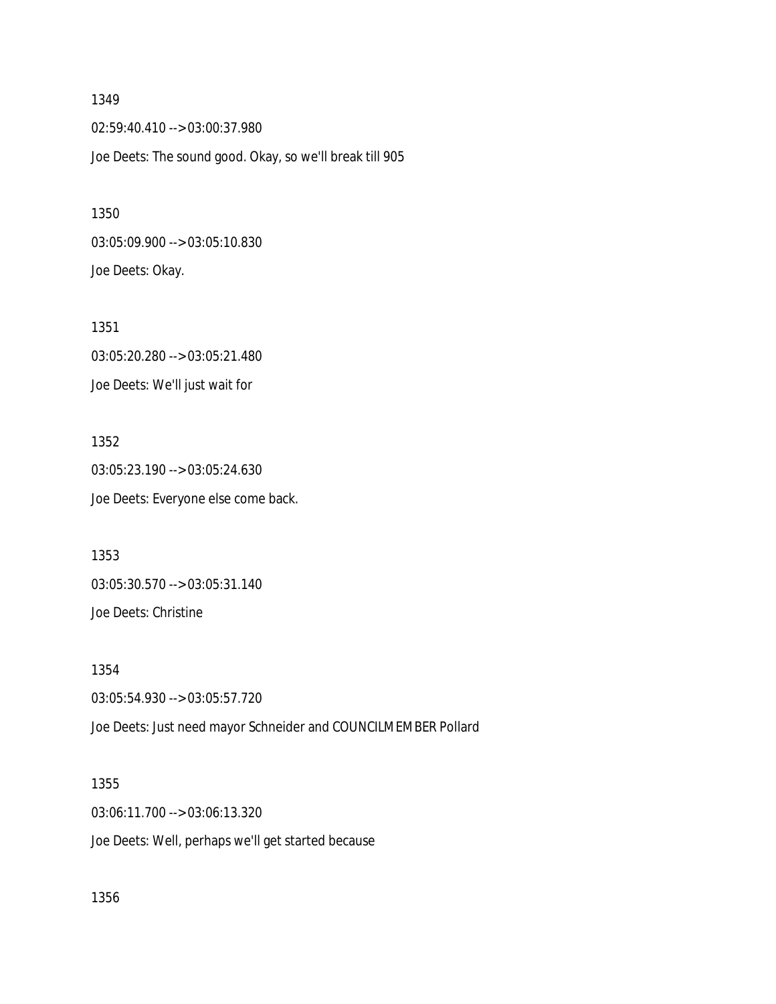1349 02:59:40.410 --> 03:00:37.980 Joe Deets: The sound good. Okay, so we'll break till 905

03:05:09.900 --> 03:05:10.830 Joe Deets: Okay.

1350

1351 03:05:20.280 --> 03:05:21.480 Joe Deets: We'll just wait for

1352 03:05:23.190 --> 03:05:24.630 Joe Deets: Everyone else come back.

1353 03:05:30.570 --> 03:05:31.140 Joe Deets: Christine

1354 03:05:54.930 --> 03:05:57.720 Joe Deets: Just need mayor Schneider and COUNCILMEMBER Pollard

1355 03:06:11.700 --> 03:06:13.320 Joe Deets: Well, perhaps we'll get started because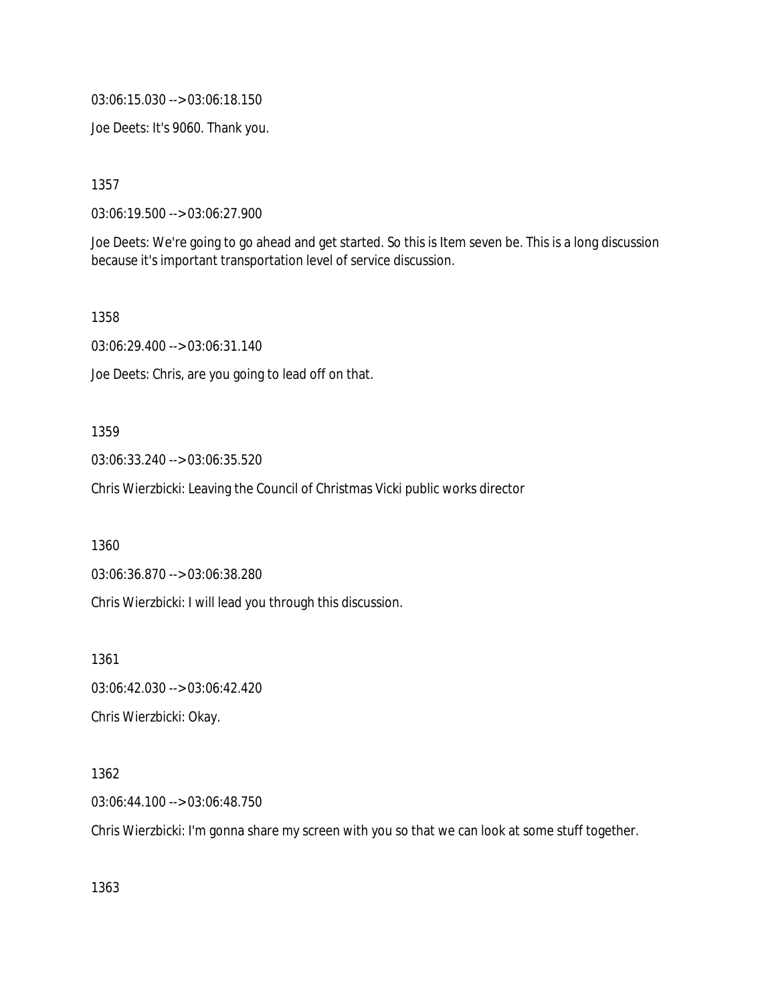03:06:15.030 --> 03:06:18.150

Joe Deets: It's 9060. Thank you.

1357

03:06:19.500 --> 03:06:27.900

Joe Deets: We're going to go ahead and get started. So this is Item seven be. This is a long discussion because it's important transportation level of service discussion.

1358

03:06:29.400 --> 03:06:31.140

Joe Deets: Chris, are you going to lead off on that.

#### 1359

03:06:33.240 --> 03:06:35.520

Chris Wierzbicki: Leaving the Council of Christmas Vicki public works director

1360

03:06:36.870 --> 03:06:38.280

Chris Wierzbicki: I will lead you through this discussion.

1361

03:06:42.030 --> 03:06:42.420

Chris Wierzbicki: Okay.

### 1362

03:06:44.100 --> 03:06:48.750

Chris Wierzbicki: I'm gonna share my screen with you so that we can look at some stuff together.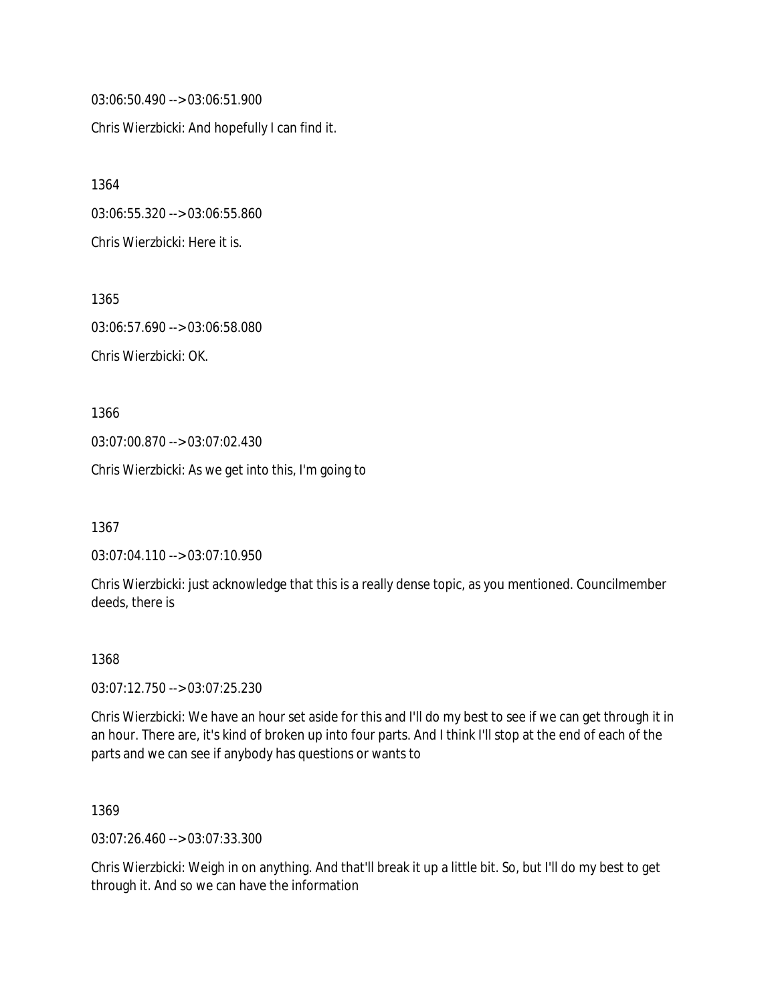03:06:50.490 --> 03:06:51.900 Chris Wierzbicki: And hopefully I can find it.

1364 03:06:55.320 --> 03:06:55.860 Chris Wierzbicki: Here it is.

1365 03:06:57.690 --> 03:06:58.080 Chris Wierzbicki: OK.

1366 03:07:00.870 --> 03:07:02.430 Chris Wierzbicki: As we get into this, I'm going to

1367

03:07:04.110 --> 03:07:10.950

Chris Wierzbicki: just acknowledge that this is a really dense topic, as you mentioned. Councilmember deeds, there is

### 1368

03:07:12.750 --> 03:07:25.230

Chris Wierzbicki: We have an hour set aside for this and I'll do my best to see if we can get through it in an hour. There are, it's kind of broken up into four parts. And I think I'll stop at the end of each of the parts and we can see if anybody has questions or wants to

1369

03:07:26.460 --> 03:07:33.300

Chris Wierzbicki: Weigh in on anything. And that'll break it up a little bit. So, but I'll do my best to get through it. And so we can have the information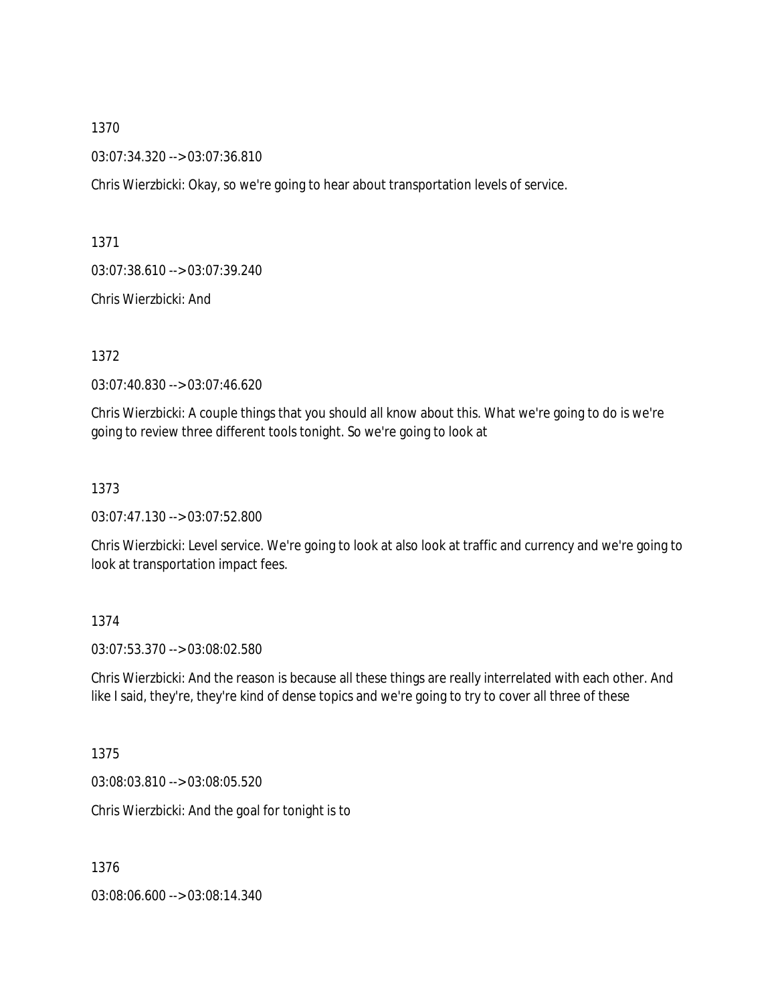03:07:34.320 --> 03:07:36.810

Chris Wierzbicki: Okay, so we're going to hear about transportation levels of service.

1371

03:07:38.610 --> 03:07:39.240

Chris Wierzbicki: And

1372

03:07:40.830 --> 03:07:46.620

Chris Wierzbicki: A couple things that you should all know about this. What we're going to do is we're going to review three different tools tonight. So we're going to look at

1373

03:07:47.130 --> 03:07:52.800

Chris Wierzbicki: Level service. We're going to look at also look at traffic and currency and we're going to look at transportation impact fees.

### 1374

03:07:53.370 --> 03:08:02.580

Chris Wierzbicki: And the reason is because all these things are really interrelated with each other. And like I said, they're, they're kind of dense topics and we're going to try to cover all three of these

1375

03:08:03.810 --> 03:08:05.520

Chris Wierzbicki: And the goal for tonight is to

1376

03:08:06.600 --> 03:08:14.340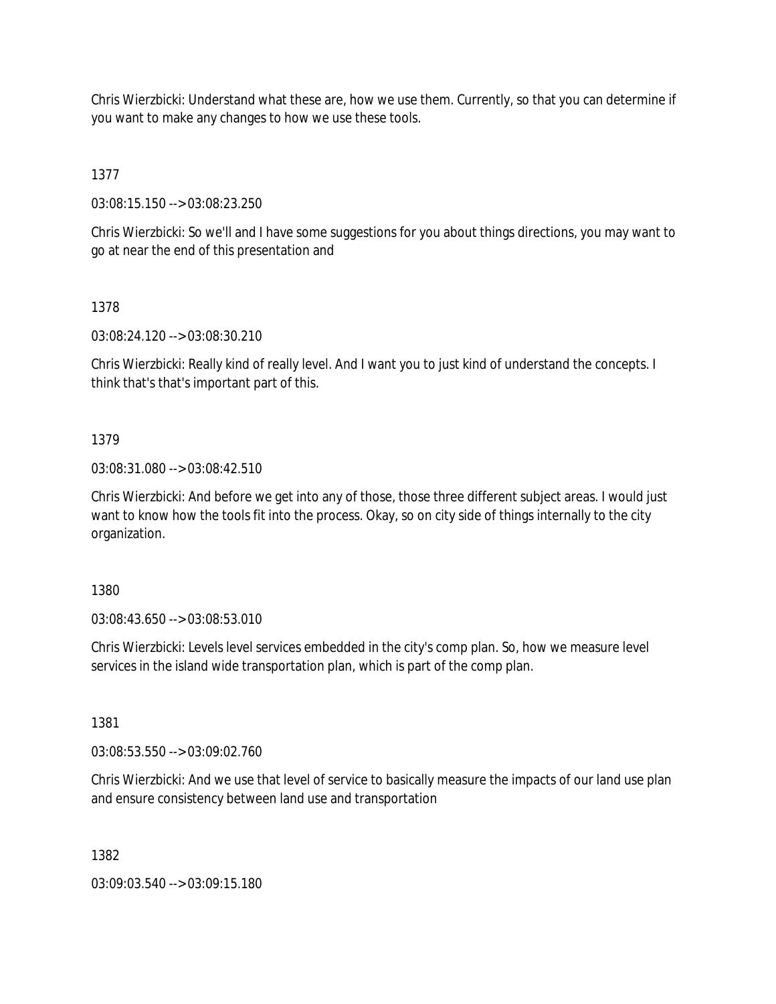Chris Wierzbicki: Understand what these are, how we use them. Currently, so that you can determine if you want to make any changes to how we use these tools.

1377

03:08:15.150 --> 03:08:23.250

Chris Wierzbicki: So we'll and I have some suggestions for you about things directions, you may want to go at near the end of this presentation and

1378

03:08:24.120 --> 03:08:30.210

Chris Wierzbicki: Really kind of really level. And I want you to just kind of understand the concepts. I think that's that's important part of this.

## 1379

03:08:31.080 --> 03:08:42.510

Chris Wierzbicki: And before we get into any of those, those three different subject areas. I would just want to know how the tools fit into the process. Okay, so on city side of things internally to the city organization.

1380

03:08:43.650 --> 03:08:53.010

Chris Wierzbicki: Levels level services embedded in the city's comp plan. So, how we measure level services in the island wide transportation plan, which is part of the comp plan.

1381

03:08:53.550 --> 03:09:02.760

Chris Wierzbicki: And we use that level of service to basically measure the impacts of our land use plan and ensure consistency between land use and transportation

1382

03:09:03.540 --> 03:09:15.180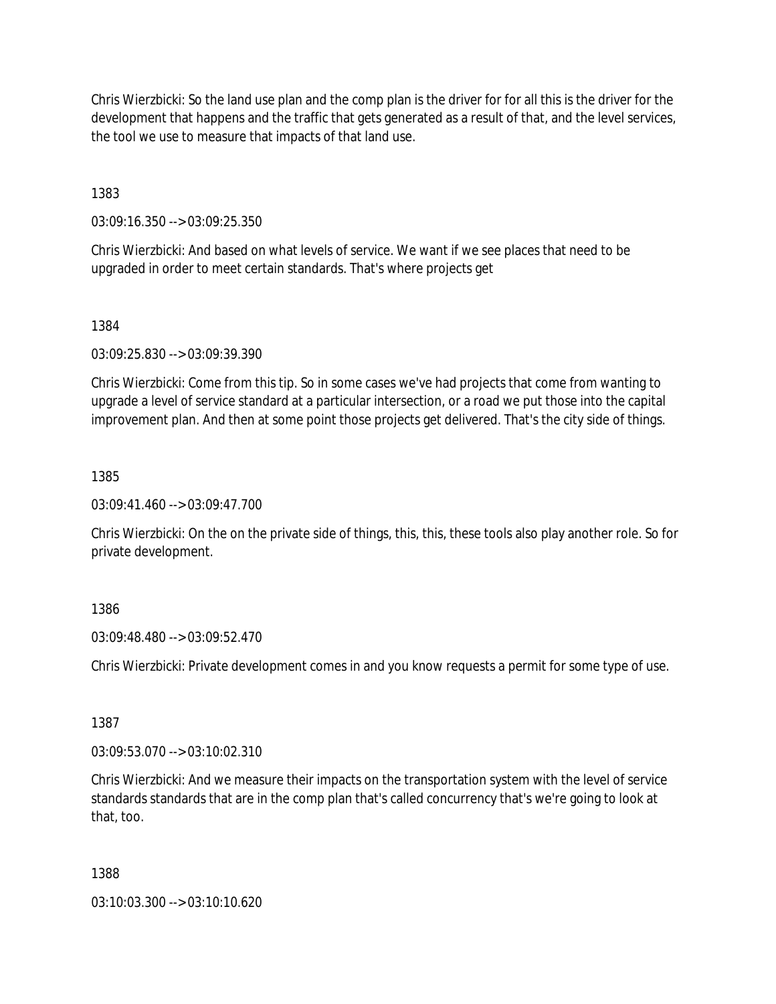Chris Wierzbicki: So the land use plan and the comp plan is the driver for for all this is the driver for the development that happens and the traffic that gets generated as a result of that, and the level services, the tool we use to measure that impacts of that land use.

1383

03:09:16.350 --> 03:09:25.350

Chris Wierzbicki: And based on what levels of service. We want if we see places that need to be upgraded in order to meet certain standards. That's where projects get

1384

03:09:25.830 --> 03:09:39.390

Chris Wierzbicki: Come from this tip. So in some cases we've had projects that come from wanting to upgrade a level of service standard at a particular intersection, or a road we put those into the capital improvement plan. And then at some point those projects get delivered. That's the city side of things.

1385

03:09:41.460 --> 03:09:47.700

Chris Wierzbicki: On the on the private side of things, this, this, these tools also play another role. So for private development.

1386

03:09:48.480 --> 03:09:52.470

Chris Wierzbicki: Private development comes in and you know requests a permit for some type of use.

1387

03:09:53.070 --> 03:10:02.310

Chris Wierzbicki: And we measure their impacts on the transportation system with the level of service standards standards that are in the comp plan that's called concurrency that's we're going to look at that, too.

1388

03:10:03.300 --> 03:10:10.620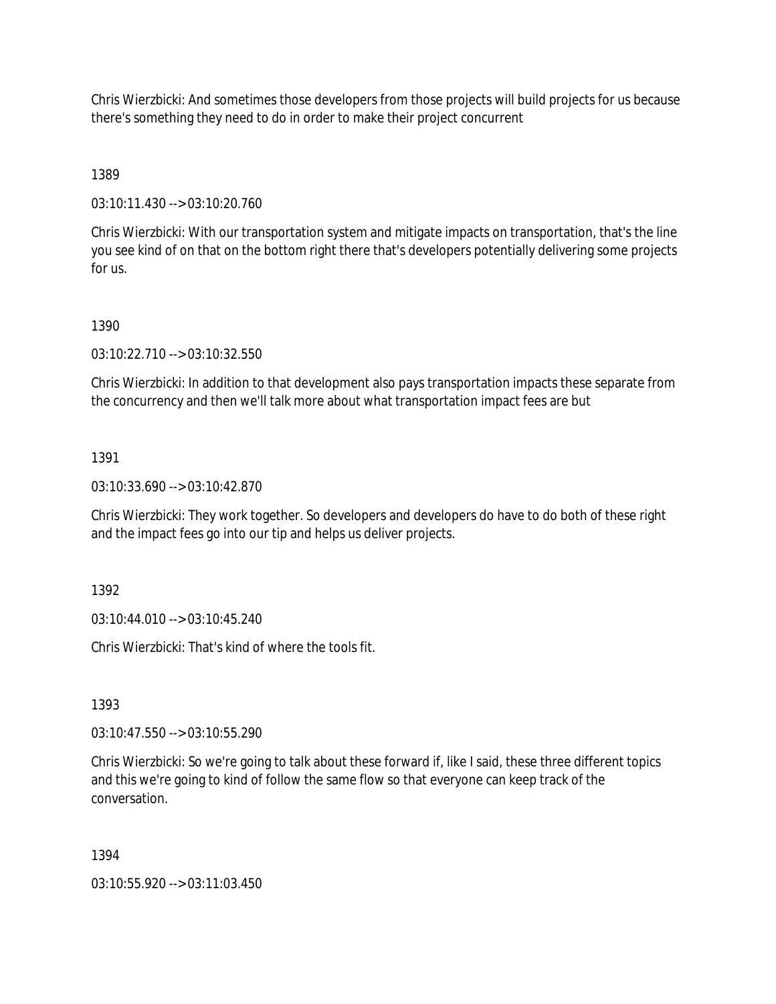Chris Wierzbicki: And sometimes those developers from those projects will build projects for us because there's something they need to do in order to make their project concurrent

1389

03:10:11.430 --> 03:10:20.760

Chris Wierzbicki: With our transportation system and mitigate impacts on transportation, that's the line you see kind of on that on the bottom right there that's developers potentially delivering some projects for us.

### 1390

03:10:22.710 --> 03:10:32.550

Chris Wierzbicki: In addition to that development also pays transportation impacts these separate from the concurrency and then we'll talk more about what transportation impact fees are but

### 1391

03:10:33.690 --> 03:10:42.870

Chris Wierzbicki: They work together. So developers and developers do have to do both of these right and the impact fees go into our tip and helps us deliver projects.

1392

03:10:44.010 --> 03:10:45.240

Chris Wierzbicki: That's kind of where the tools fit.

1393

03:10:47.550 --> 03:10:55.290

Chris Wierzbicki: So we're going to talk about these forward if, like I said, these three different topics and this we're going to kind of follow the same flow so that everyone can keep track of the conversation.

### 1394

03:10:55.920 --> 03:11:03.450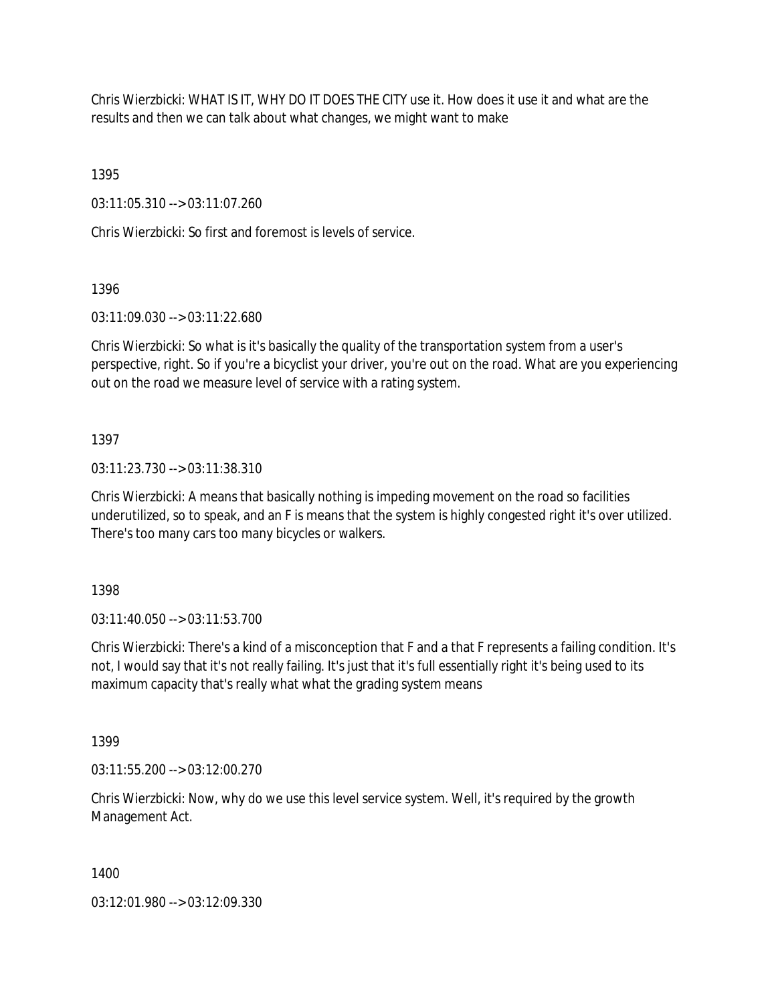Chris Wierzbicki: WHAT IS IT, WHY DO IT DOES THE CITY use it. How does it use it and what are the results and then we can talk about what changes, we might want to make

1395

03:11:05.310 --> 03:11:07.260

Chris Wierzbicki: So first and foremost is levels of service.

1396

03:11:09.030 --> 03:11:22.680

Chris Wierzbicki: So what is it's basically the quality of the transportation system from a user's perspective, right. So if you're a bicyclist your driver, you're out on the road. What are you experiencing out on the road we measure level of service with a rating system.

1397

03:11:23.730 --> 03:11:38.310

Chris Wierzbicki: A means that basically nothing is impeding movement on the road so facilities underutilized, so to speak, and an F is means that the system is highly congested right it's over utilized. There's too many cars too many bicycles or walkers.

1398

03:11:40.050 --> 03:11:53.700

Chris Wierzbicki: There's a kind of a misconception that F and a that F represents a failing condition. It's not, I would say that it's not really failing. It's just that it's full essentially right it's being used to its maximum capacity that's really what what the grading system means

1399

03:11:55.200 --> 03:12:00.270

Chris Wierzbicki: Now, why do we use this level service system. Well, it's required by the growth Management Act.

1400

03:12:01.980 --> 03:12:09.330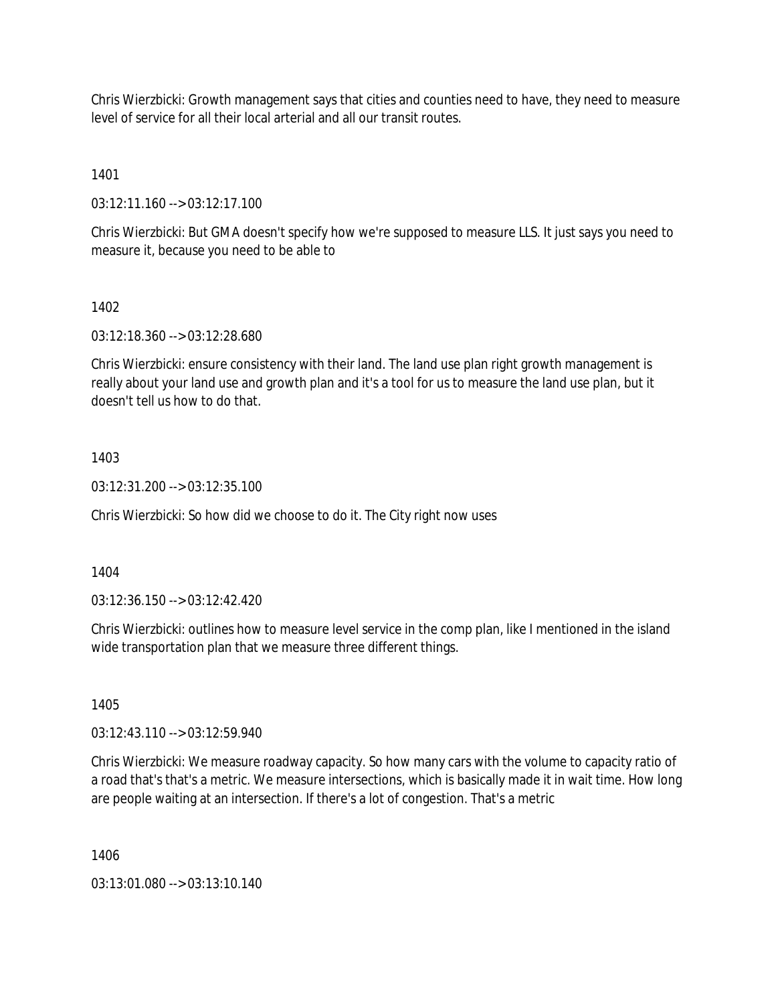Chris Wierzbicki: Growth management says that cities and counties need to have, they need to measure level of service for all their local arterial and all our transit routes.

1401

03:12:11.160 --> 03:12:17.100

Chris Wierzbicki: But GMA doesn't specify how we're supposed to measure LLS. It just says you need to measure it, because you need to be able to

1402

03:12:18.360 --> 03:12:28.680

Chris Wierzbicki: ensure consistency with their land. The land use plan right growth management is really about your land use and growth plan and it's a tool for us to measure the land use plan, but it doesn't tell us how to do that.

1403

03:12:31.200 --> 03:12:35.100

Chris Wierzbicki: So how did we choose to do it. The City right now uses

1404

03:12:36.150 --> 03:12:42.420

Chris Wierzbicki: outlines how to measure level service in the comp plan, like I mentioned in the island wide transportation plan that we measure three different things.

1405

03:12:43.110 --> 03:12:59.940

Chris Wierzbicki: We measure roadway capacity. So how many cars with the volume to capacity ratio of a road that's that's a metric. We measure intersections, which is basically made it in wait time. How long are people waiting at an intersection. If there's a lot of congestion. That's a metric

1406

 $03:13:01.080 \rightarrow 03:13:10.140$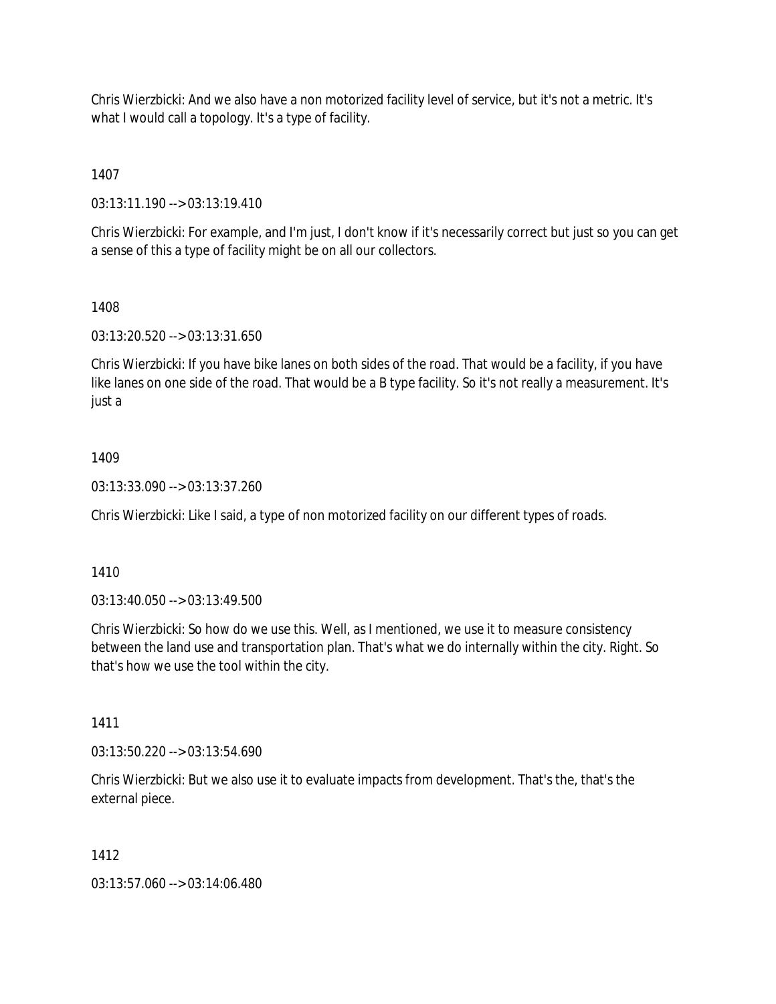Chris Wierzbicki: And we also have a non motorized facility level of service, but it's not a metric. It's what I would call a topology. It's a type of facility.

1407

03:13:11.190 --> 03:13:19.410

Chris Wierzbicki: For example, and I'm just, I don't know if it's necessarily correct but just so you can get a sense of this a type of facility might be on all our collectors.

## 1408

03:13:20.520 --> 03:13:31.650

Chris Wierzbicki: If you have bike lanes on both sides of the road. That would be a facility, if you have like lanes on one side of the road. That would be a B type facility. So it's not really a measurement. It's just a

# 1409

03:13:33.090 --> 03:13:37.260

Chris Wierzbicki: Like I said, a type of non motorized facility on our different types of roads.

### 1410

03:13:40.050 --> 03:13:49.500

Chris Wierzbicki: So how do we use this. Well, as I mentioned, we use it to measure consistency between the land use and transportation plan. That's what we do internally within the city. Right. So that's how we use the tool within the city.

1411

03:13:50.220 --> 03:13:54.690

Chris Wierzbicki: But we also use it to evaluate impacts from development. That's the, that's the external piece.

### 1412

03:13:57.060 --> 03:14:06.480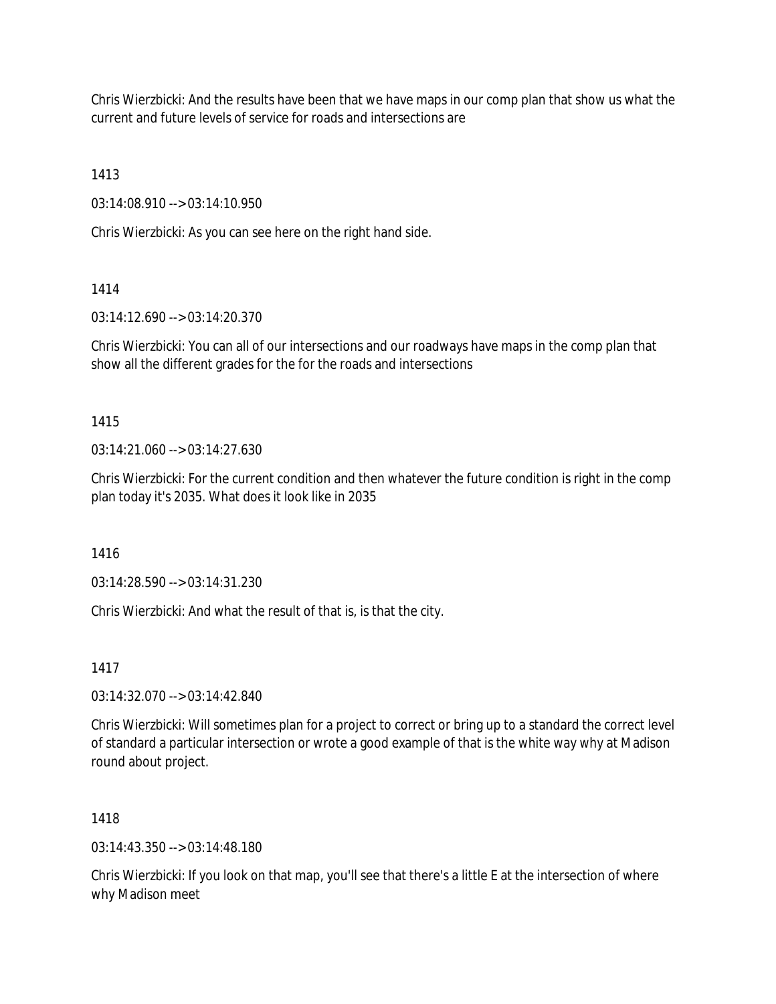Chris Wierzbicki: And the results have been that we have maps in our comp plan that show us what the current and future levels of service for roads and intersections are

1413

03:14:08.910 --> 03:14:10.950

Chris Wierzbicki: As you can see here on the right hand side.

1414

03:14:12.690 --> 03:14:20.370

Chris Wierzbicki: You can all of our intersections and our roadways have maps in the comp plan that show all the different grades for the for the roads and intersections

1415

03:14:21.060 --> 03:14:27.630

Chris Wierzbicki: For the current condition and then whatever the future condition is right in the comp plan today it's 2035. What does it look like in 2035

1416

03:14:28.590 --> 03:14:31.230

Chris Wierzbicki: And what the result of that is, is that the city.

1417

03:14:32.070 --> 03:14:42.840

Chris Wierzbicki: Will sometimes plan for a project to correct or bring up to a standard the correct level of standard a particular intersection or wrote a good example of that is the white way why at Madison round about project.

1418

03:14:43.350 --> 03:14:48.180

Chris Wierzbicki: If you look on that map, you'll see that there's a little E at the intersection of where why Madison meet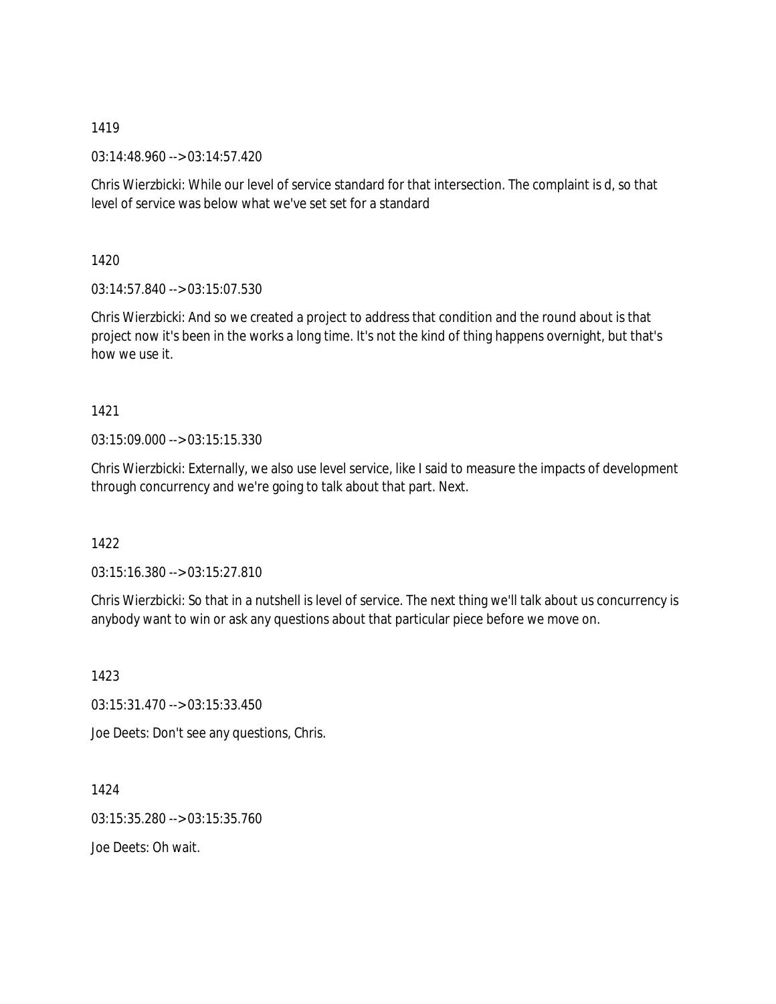03:14:48.960 --> 03:14:57.420

Chris Wierzbicki: While our level of service standard for that intersection. The complaint is d, so that level of service was below what we've set set for a standard

1420

03:14:57.840 --> 03:15:07.530

Chris Wierzbicki: And so we created a project to address that condition and the round about is that project now it's been in the works a long time. It's not the kind of thing happens overnight, but that's how we use it.

1421

03:15:09.000 --> 03:15:15.330

Chris Wierzbicki: Externally, we also use level service, like I said to measure the impacts of development through concurrency and we're going to talk about that part. Next.

1422

03:15:16.380 --> 03:15:27.810

Chris Wierzbicki: So that in a nutshell is level of service. The next thing we'll talk about us concurrency is anybody want to win or ask any questions about that particular piece before we move on.

1423

03:15:31.470 --> 03:15:33.450

Joe Deets: Don't see any questions, Chris.

1424 03:15:35.280 --> 03:15:35.760

Joe Deets: Oh wait.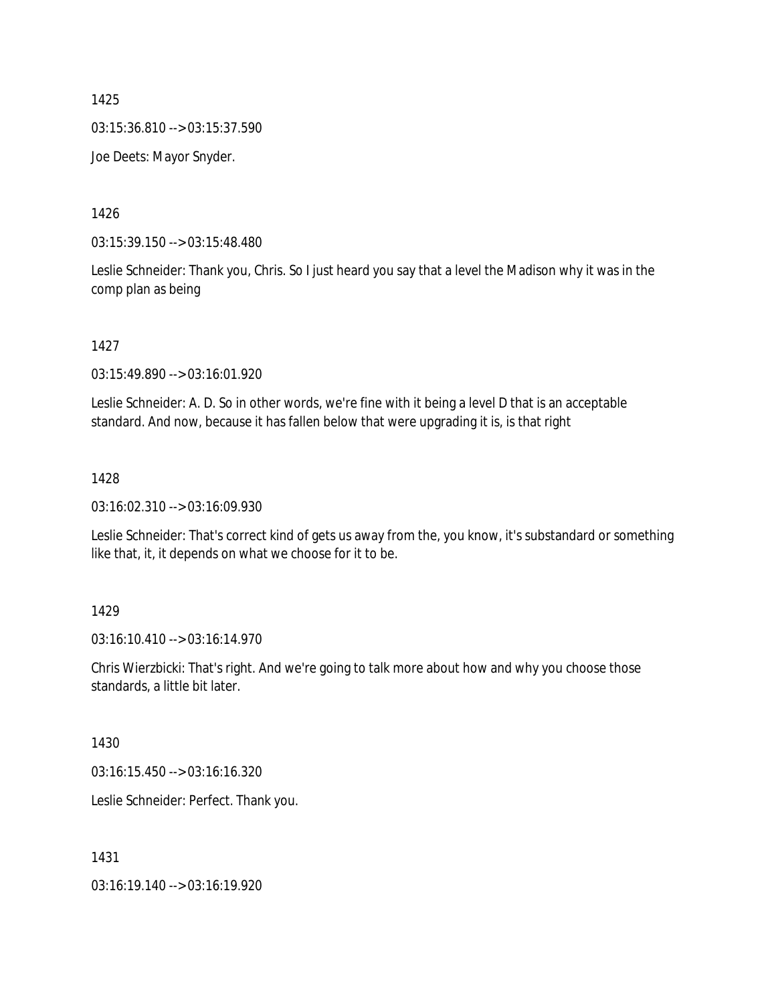03:15:36.810 --> 03:15:37.590

Joe Deets: Mayor Snyder.

1426

03:15:39.150 --> 03:15:48.480

Leslie Schneider: Thank you, Chris. So I just heard you say that a level the Madison why it was in the comp plan as being

1427

03:15:49.890 --> 03:16:01.920

Leslie Schneider: A. D. So in other words, we're fine with it being a level D that is an acceptable standard. And now, because it has fallen below that were upgrading it is, is that right

### 1428

03:16:02.310 --> 03:16:09.930

Leslie Schneider: That's correct kind of gets us away from the, you know, it's substandard or something like that, it, it depends on what we choose for it to be.

### 1429

03:16:10.410 --> 03:16:14.970

Chris Wierzbicki: That's right. And we're going to talk more about how and why you choose those standards, a little bit later.

1430

03:16:15.450 --> 03:16:16.320

Leslie Schneider: Perfect. Thank you.

1431

03:16:19.140 --> 03:16:19.920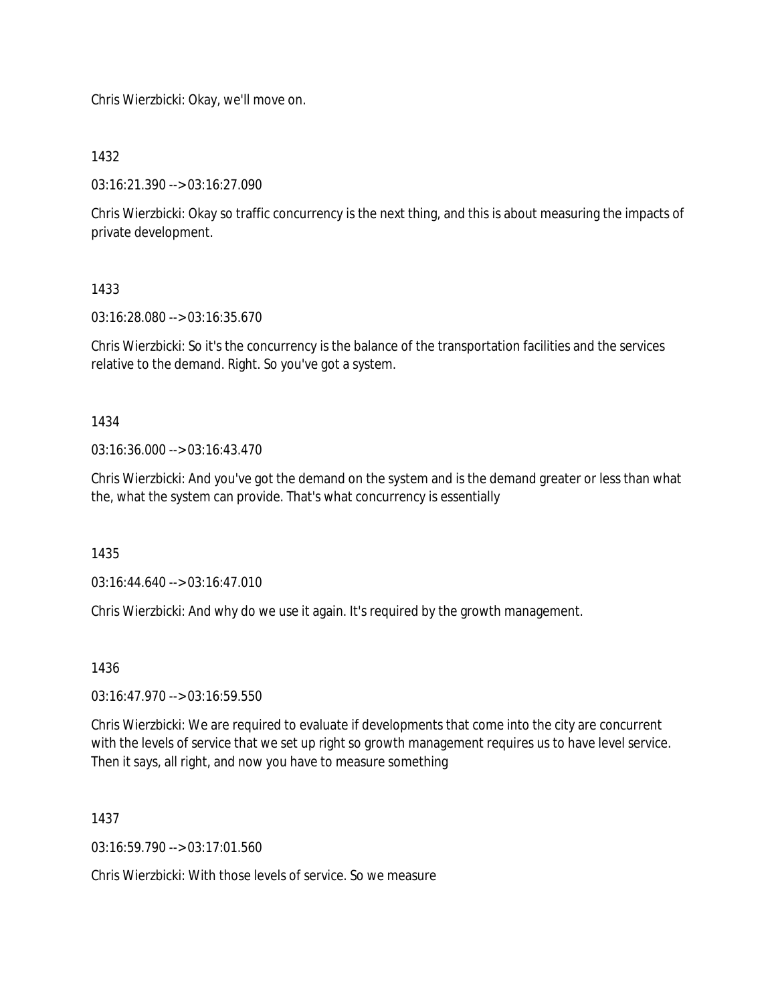Chris Wierzbicki: Okay, we'll move on.

1432

03:16:21.390 --> 03:16:27.090

Chris Wierzbicki: Okay so traffic concurrency is the next thing, and this is about measuring the impacts of private development.

1433

03:16:28.080 --> 03:16:35.670

Chris Wierzbicki: So it's the concurrency is the balance of the transportation facilities and the services relative to the demand. Right. So you've got a system.

1434

03:16:36.000 --> 03:16:43.470

Chris Wierzbicki: And you've got the demand on the system and is the demand greater or less than what the, what the system can provide. That's what concurrency is essentially

1435

03:16:44.640 --> 03:16:47.010

Chris Wierzbicki: And why do we use it again. It's required by the growth management.

1436

03:16:47.970 --> 03:16:59.550

Chris Wierzbicki: We are required to evaluate if developments that come into the city are concurrent with the levels of service that we set up right so growth management requires us to have level service. Then it says, all right, and now you have to measure something

1437

 $03:16:59.790 \rightarrow 03:17:01.560$ 

Chris Wierzbicki: With those levels of service. So we measure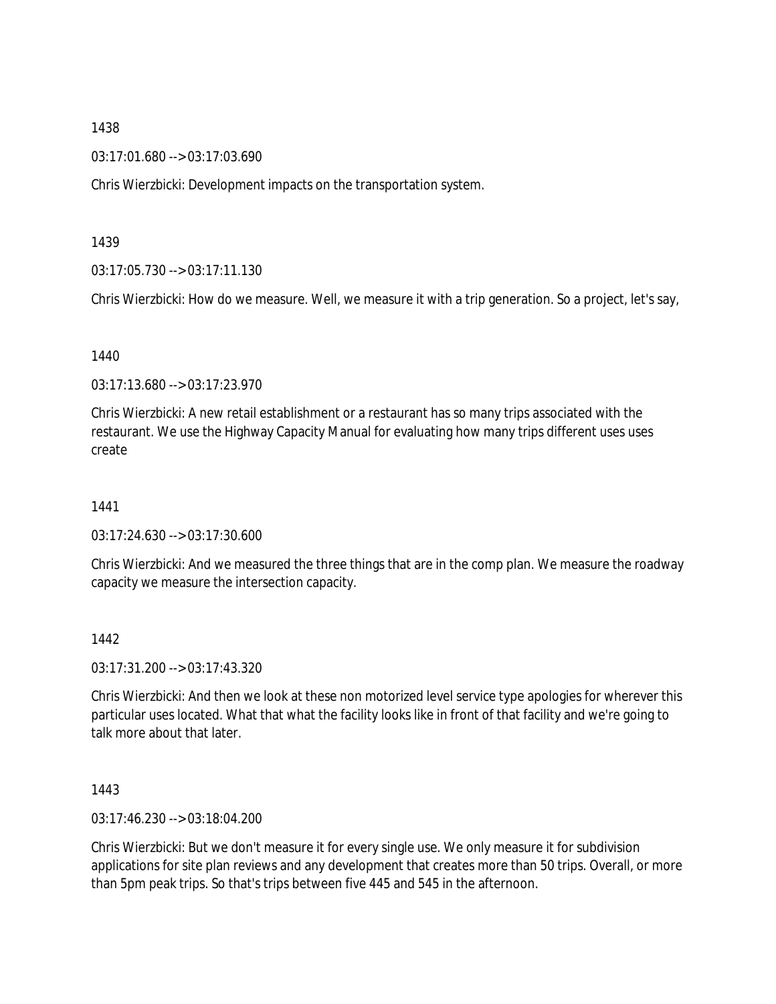03:17:01.680 --> 03:17:03.690

Chris Wierzbicki: Development impacts on the transportation system.

#### 1439

03:17:05.730 --> 03:17:11.130

Chris Wierzbicki: How do we measure. Well, we measure it with a trip generation. So a project, let's say,

#### 1440

03:17:13.680 --> 03:17:23.970

Chris Wierzbicki: A new retail establishment or a restaurant has so many trips associated with the restaurant. We use the Highway Capacity Manual for evaluating how many trips different uses uses create

### 1441

03:17:24.630 --> 03:17:30.600

Chris Wierzbicki: And we measured the three things that are in the comp plan. We measure the roadway capacity we measure the intersection capacity.

### 1442

03:17:31.200 --> 03:17:43.320

Chris Wierzbicki: And then we look at these non motorized level service type apologies for wherever this particular uses located. What that what the facility looks like in front of that facility and we're going to talk more about that later.

### 1443

03:17:46.230 --> 03:18:04.200

Chris Wierzbicki: But we don't measure it for every single use. We only measure it for subdivision applications for site plan reviews and any development that creates more than 50 trips. Overall, or more than 5pm peak trips. So that's trips between five 445 and 545 in the afternoon.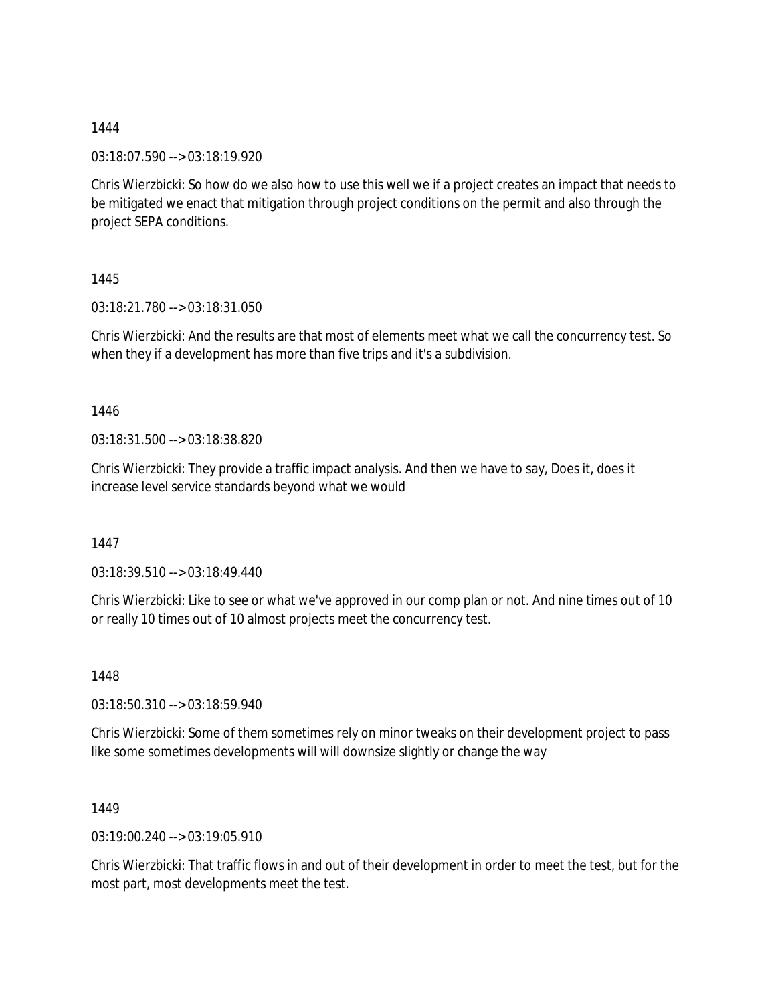03:18:07.590 --> 03:18:19.920

Chris Wierzbicki: So how do we also how to use this well we if a project creates an impact that needs to be mitigated we enact that mitigation through project conditions on the permit and also through the project SEPA conditions.

1445

03:18:21.780 --> 03:18:31.050

Chris Wierzbicki: And the results are that most of elements meet what we call the concurrency test. So when they if a development has more than five trips and it's a subdivision.

1446

03:18:31.500 --> 03:18:38.820

Chris Wierzbicki: They provide a traffic impact analysis. And then we have to say, Does it, does it increase level service standards beyond what we would

1447

03:18:39.510 --> 03:18:49.440

Chris Wierzbicki: Like to see or what we've approved in our comp plan or not. And nine times out of 10 or really 10 times out of 10 almost projects meet the concurrency test.

1448

03:18:50.310 --> 03:18:59.940

Chris Wierzbicki: Some of them sometimes rely on minor tweaks on their development project to pass like some sometimes developments will will downsize slightly or change the way

1449

03:19:00.240 --> 03:19:05.910

Chris Wierzbicki: That traffic flows in and out of their development in order to meet the test, but for the most part, most developments meet the test.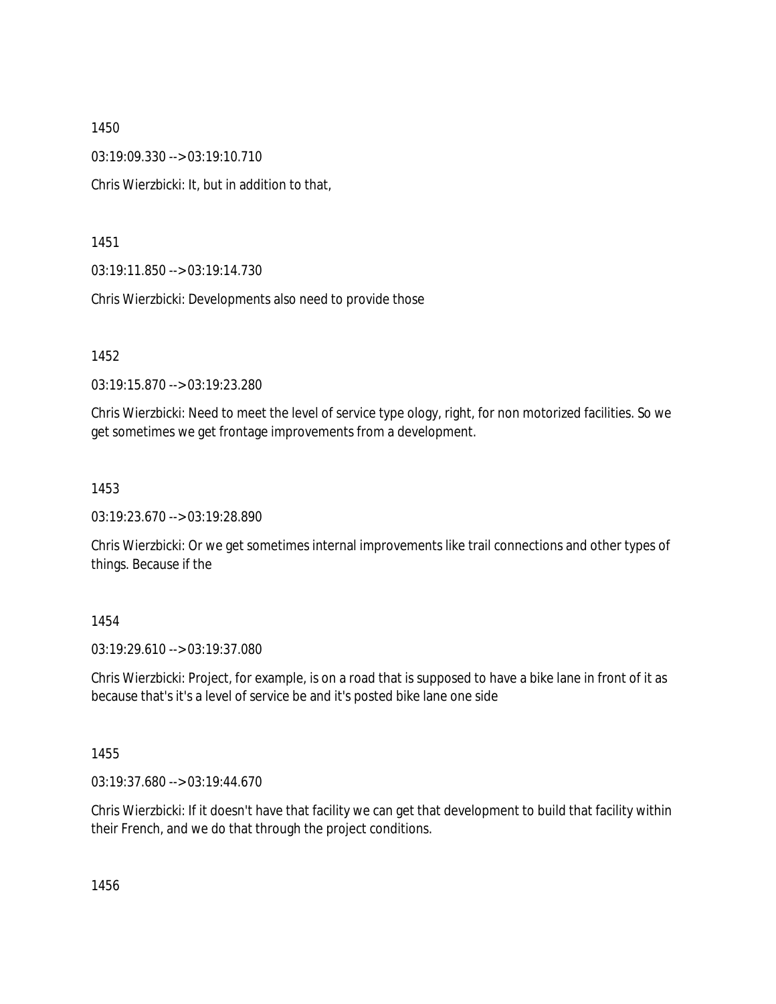03:19:09.330 --> 03:19:10.710

Chris Wierzbicki: It, but in addition to that,

1451

03:19:11.850 --> 03:19:14.730

Chris Wierzbicki: Developments also need to provide those

1452

03:19:15.870 --> 03:19:23.280

Chris Wierzbicki: Need to meet the level of service type ology, right, for non motorized facilities. So we get sometimes we get frontage improvements from a development.

1453

03:19:23.670 --> 03:19:28.890

Chris Wierzbicki: Or we get sometimes internal improvements like trail connections and other types of things. Because if the

1454

03:19:29.610 --> 03:19:37.080

Chris Wierzbicki: Project, for example, is on a road that is supposed to have a bike lane in front of it as because that's it's a level of service be and it's posted bike lane one side

1455

03:19:37.680 --> 03:19:44.670

Chris Wierzbicki: If it doesn't have that facility we can get that development to build that facility within their French, and we do that through the project conditions.

1456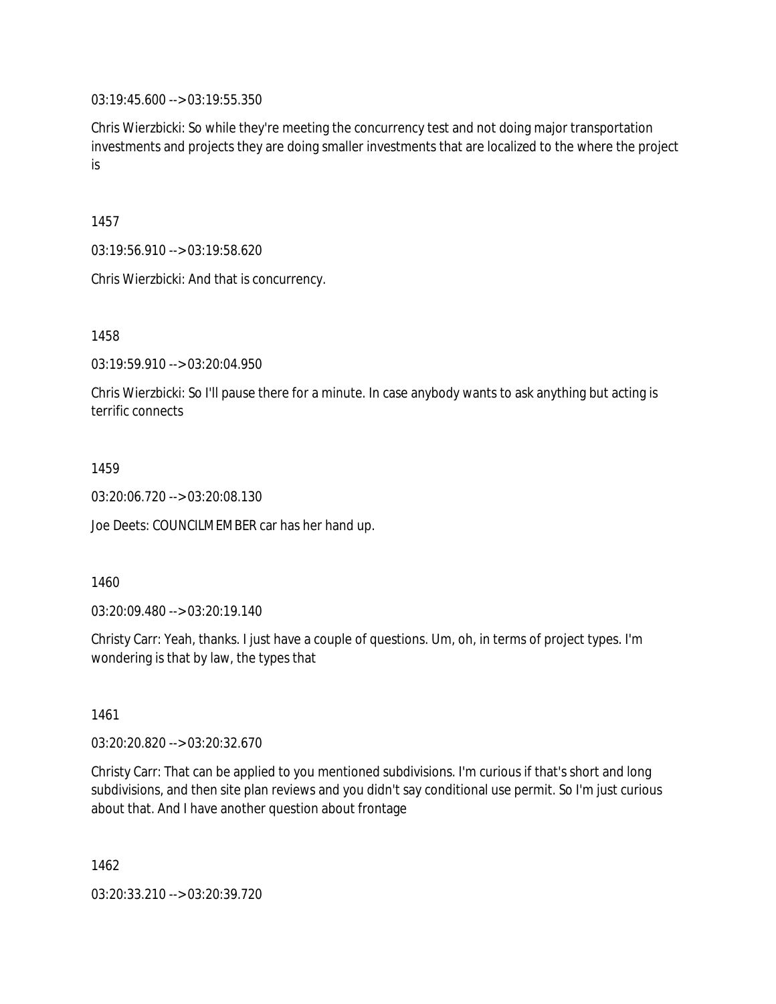03:19:45.600 --> 03:19:55.350

Chris Wierzbicki: So while they're meeting the concurrency test and not doing major transportation investments and projects they are doing smaller investments that are localized to the where the project is

1457

03:19:56.910 --> 03:19:58.620

Chris Wierzbicki: And that is concurrency.

1458

03:19:59.910 --> 03:20:04.950

Chris Wierzbicki: So I'll pause there for a minute. In case anybody wants to ask anything but acting is terrific connects

1459

03:20:06.720 --> 03:20:08.130

Joe Deets: COUNCILMEMBER car has her hand up.

1460

03:20:09.480 --> 03:20:19.140

Christy Carr: Yeah, thanks. I just have a couple of questions. Um, oh, in terms of project types. I'm wondering is that by law, the types that

1461

03:20:20.820 --> 03:20:32.670

Christy Carr: That can be applied to you mentioned subdivisions. I'm curious if that's short and long subdivisions, and then site plan reviews and you didn't say conditional use permit. So I'm just curious about that. And I have another question about frontage

1462

03:20:33.210 --> 03:20:39.720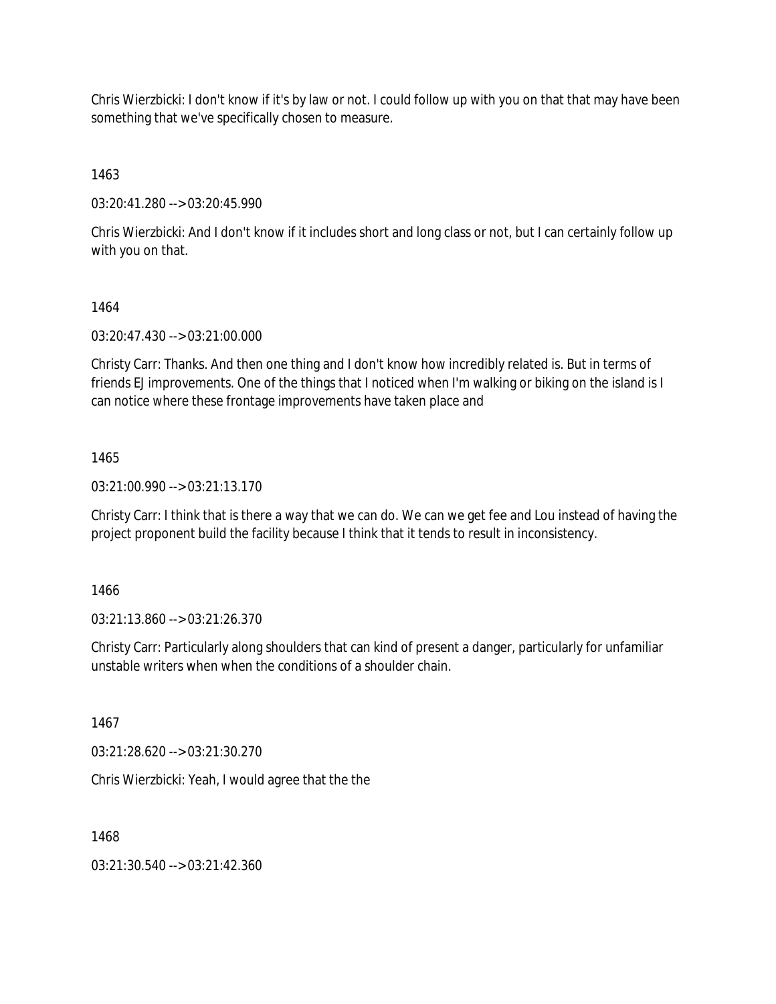Chris Wierzbicki: I don't know if it's by law or not. I could follow up with you on that that may have been something that we've specifically chosen to measure.

1463

03:20:41.280 --> 03:20:45.990

Chris Wierzbicki: And I don't know if it includes short and long class or not, but I can certainly follow up with you on that.

#### 1464

03:20:47.430 --> 03:21:00.000

Christy Carr: Thanks. And then one thing and I don't know how incredibly related is. But in terms of friends EJ improvements. One of the things that I noticed when I'm walking or biking on the island is I can notice where these frontage improvements have taken place and

#### 1465

03:21:00.990 --> 03:21:13.170

Christy Carr: I think that is there a way that we can do. We can we get fee and Lou instead of having the project proponent build the facility because I think that it tends to result in inconsistency.

1466

03:21:13.860 --> 03:21:26.370

Christy Carr: Particularly along shoulders that can kind of present a danger, particularly for unfamiliar unstable writers when when the conditions of a shoulder chain.

1467

03:21:28.620 --> 03:21:30.270

Chris Wierzbicki: Yeah, I would agree that the the

1468

03:21:30.540 --> 03:21:42.360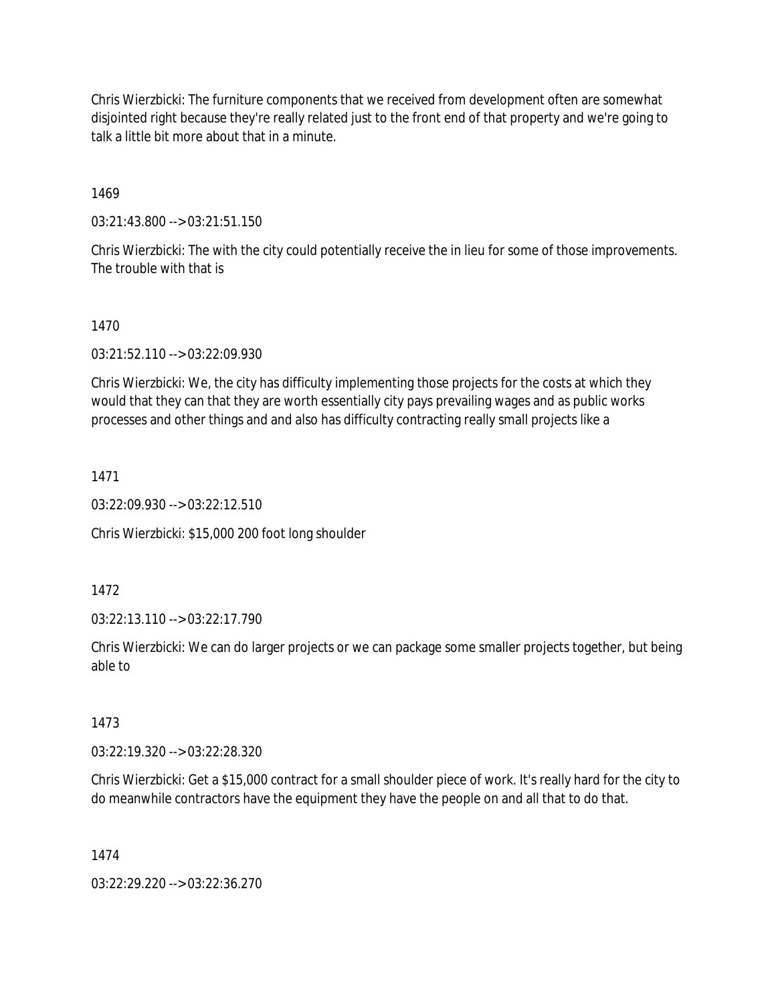Chris Wierzbicki: The furniture components that we received from development often are somewhat disjointed right because they're really related just to the front end of that property and we're going to talk a little bit more about that in a minute.

1469

03:21:43.800 --> 03:21:51.150

Chris Wierzbicki: The with the city could potentially receive the in lieu for some of those improvements. The trouble with that is

## 1470

03:21:52.110 --> 03:22:09.930

Chris Wierzbicki: We, the city has difficulty implementing those projects for the costs at which they would that they can that they are worth essentially city pays prevailing wages and as public works processes and other things and and also has difficulty contracting really small projects like a

1471

03:22:09.930 --> 03:22:12.510

Chris Wierzbicki: \$15,000 200 foot long shoulder

1472

03:22:13.110 --> 03:22:17.790

Chris Wierzbicki: We can do larger projects or we can package some smaller projects together, but being able to

### 1473

03:22:19.320 --> 03:22:28.320

Chris Wierzbicki: Get a \$15,000 contract for a small shoulder piece of work. It's really hard for the city to do meanwhile contractors have the equipment they have the people on and all that to do that.

### 1474

03:22:29.220 --> 03:22:36.270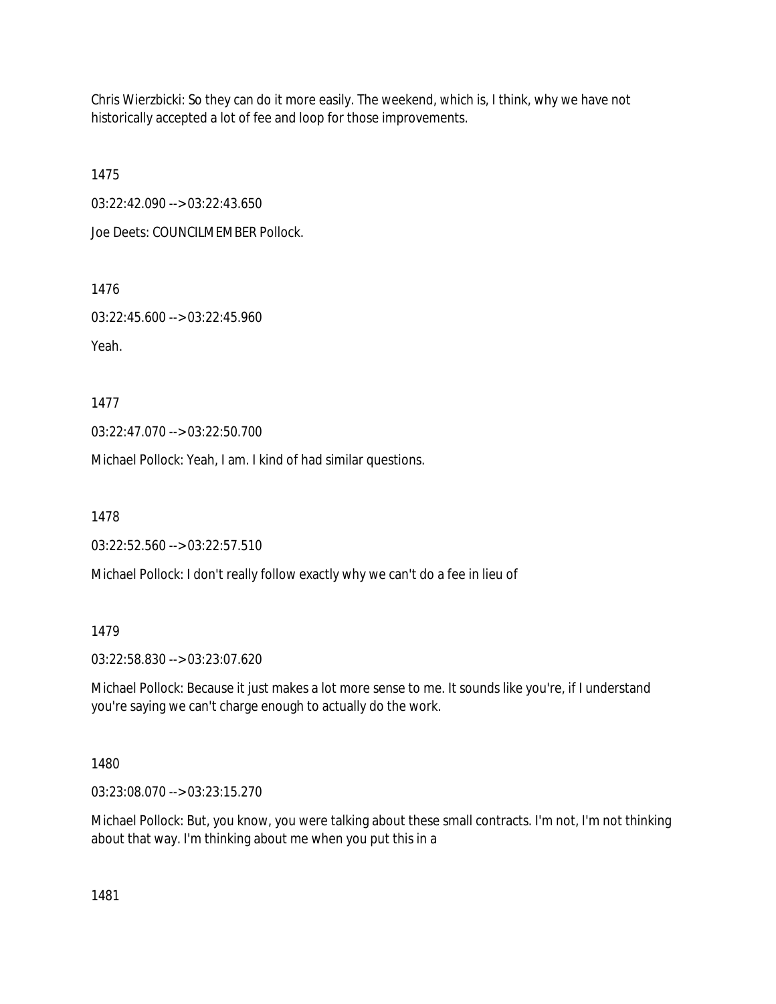Chris Wierzbicki: So they can do it more easily. The weekend, which is, I think, why we have not historically accepted a lot of fee and loop for those improvements.

1475

03:22:42.090 --> 03:22:43.650

Joe Deets: COUNCILMEMBER Pollock.

1476

03:22:45.600 --> 03:22:45.960

Yeah.

1477

03:22:47.070 --> 03:22:50.700

Michael Pollock: Yeah, I am. I kind of had similar questions.

1478

03:22:52.560 --> 03:22:57.510

Michael Pollock: I don't really follow exactly why we can't do a fee in lieu of

1479

03:22:58.830 --> 03:23:07.620

Michael Pollock: Because it just makes a lot more sense to me. It sounds like you're, if I understand you're saying we can't charge enough to actually do the work.

1480

03:23:08.070 --> 03:23:15.270

Michael Pollock: But, you know, you were talking about these small contracts. I'm not, I'm not thinking about that way. I'm thinking about me when you put this in a

1481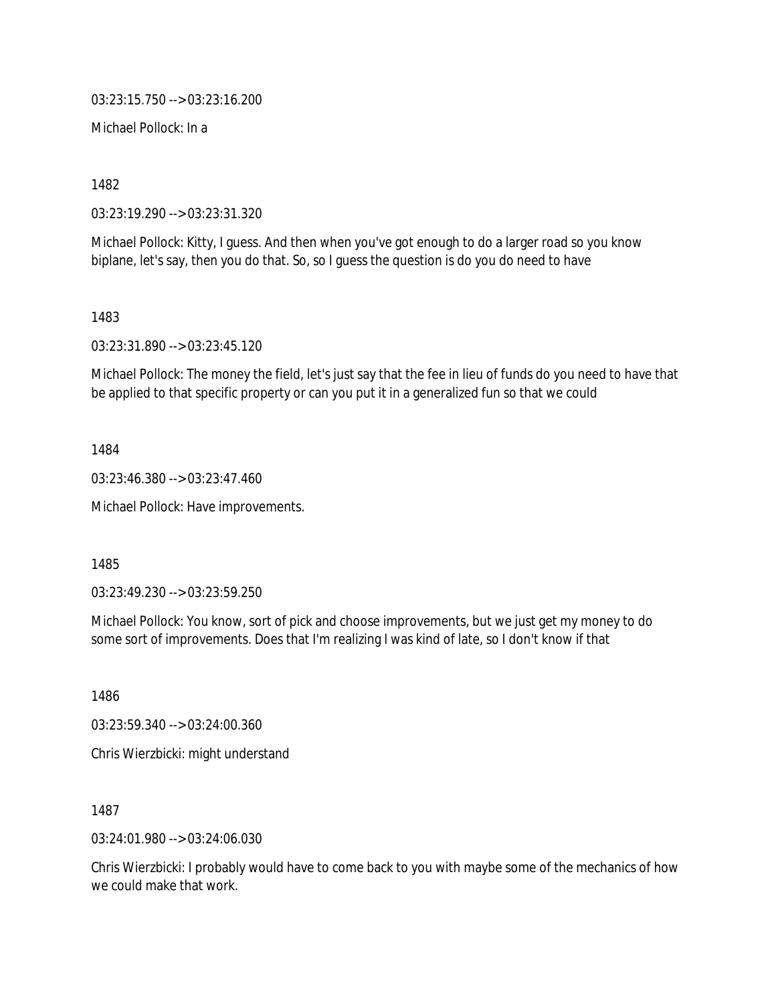03:23:15.750 --> 03:23:16.200

Michael Pollock: In a

1482

03:23:19.290 --> 03:23:31.320

Michael Pollock: Kitty, I guess. And then when you've got enough to do a larger road so you know biplane, let's say, then you do that. So, so I guess the question is do you do need to have

1483

03:23:31.890 --> 03:23:45.120

Michael Pollock: The money the field, let's just say that the fee in lieu of funds do you need to have that be applied to that specific property or can you put it in a generalized fun so that we could

1484

03:23:46.380 --> 03:23:47.460

Michael Pollock: Have improvements.

1485

03:23:49.230 --> 03:23:59.250

Michael Pollock: You know, sort of pick and choose improvements, but we just get my money to do some sort of improvements. Does that I'm realizing I was kind of late, so I don't know if that

1486

03:23:59.340 --> 03:24:00.360 Chris Wierzbicki: might understand

1487

03:24:01.980 --> 03:24:06.030

Chris Wierzbicki: I probably would have to come back to you with maybe some of the mechanics of how we could make that work.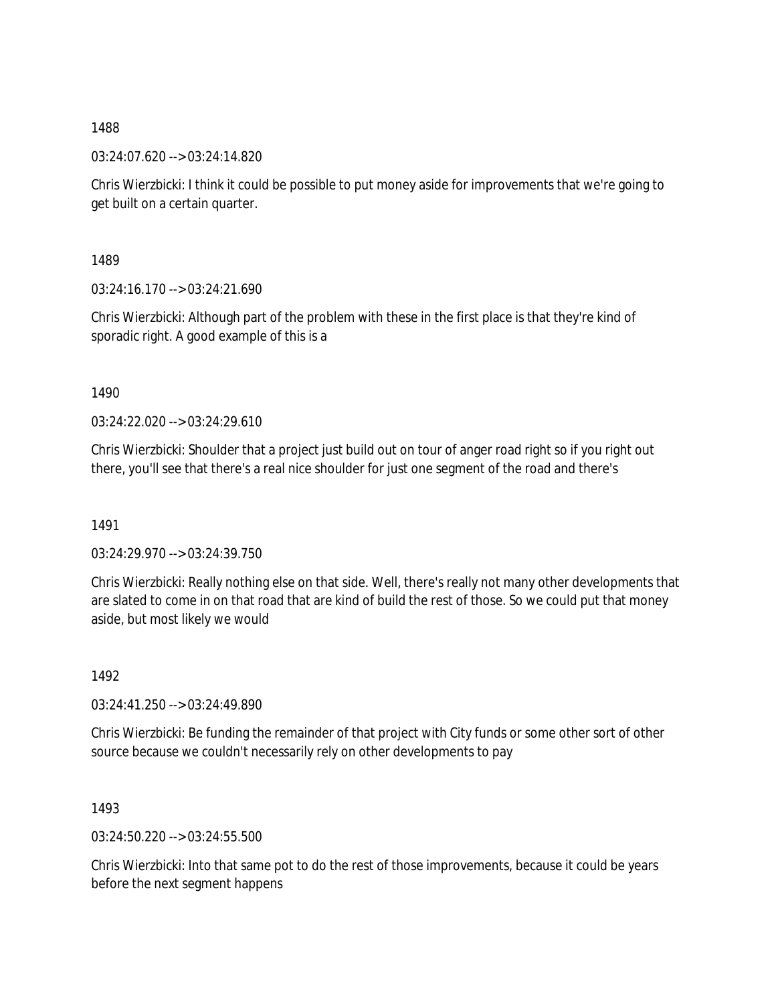03:24:07.620 --> 03:24:14.820

Chris Wierzbicki: I think it could be possible to put money aside for improvements that we're going to get built on a certain quarter.

1489

03:24:16.170 --> 03:24:21.690

Chris Wierzbicki: Although part of the problem with these in the first place is that they're kind of sporadic right. A good example of this is a

1490

03:24:22.020 --> 03:24:29.610

Chris Wierzbicki: Shoulder that a project just build out on tour of anger road right so if you right out there, you'll see that there's a real nice shoulder for just one segment of the road and there's

1491

03:24:29.970 --> 03:24:39.750

Chris Wierzbicki: Really nothing else on that side. Well, there's really not many other developments that are slated to come in on that road that are kind of build the rest of those. So we could put that money aside, but most likely we would

1492

03:24:41.250 --> 03:24:49.890

Chris Wierzbicki: Be funding the remainder of that project with City funds or some other sort of other source because we couldn't necessarily rely on other developments to pay

1493

03:24:50.220 --> 03:24:55.500

Chris Wierzbicki: Into that same pot to do the rest of those improvements, because it could be years before the next segment happens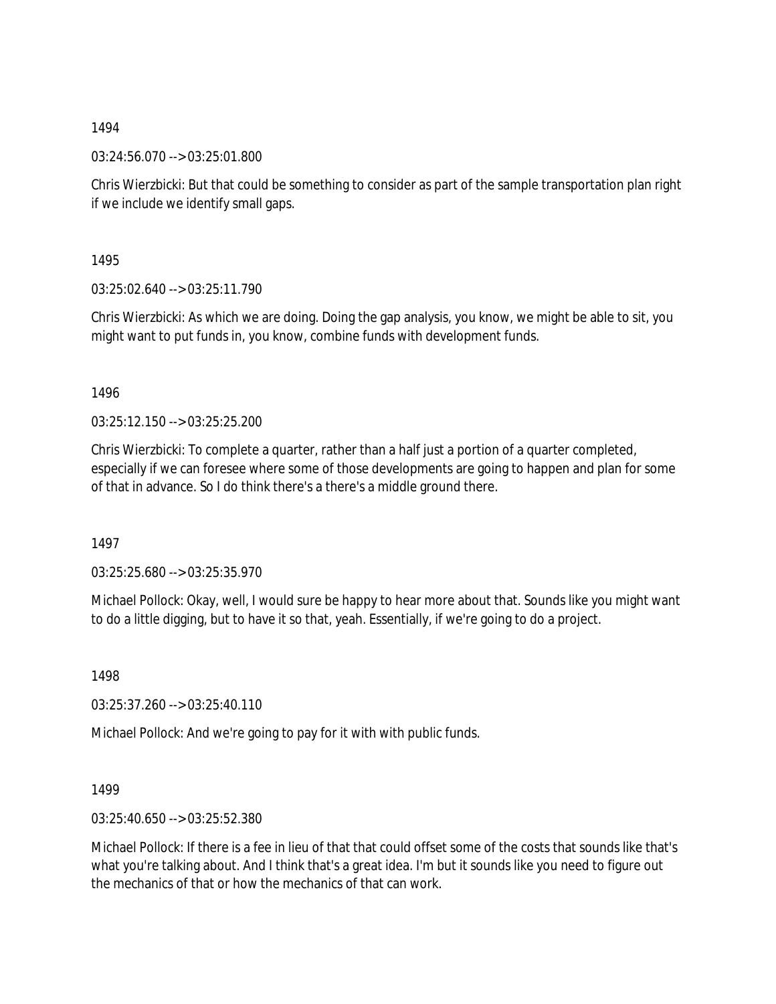03:24:56.070 --> 03:25:01.800

Chris Wierzbicki: But that could be something to consider as part of the sample transportation plan right if we include we identify small gaps.

1495

03:25:02.640 --> 03:25:11.790

Chris Wierzbicki: As which we are doing. Doing the gap analysis, you know, we might be able to sit, you might want to put funds in, you know, combine funds with development funds.

1496

03:25:12.150 --> 03:25:25.200

Chris Wierzbicki: To complete a quarter, rather than a half just a portion of a quarter completed, especially if we can foresee where some of those developments are going to happen and plan for some of that in advance. So I do think there's a there's a middle ground there.

1497

03:25:25.680 --> 03:25:35.970

Michael Pollock: Okay, well, I would sure be happy to hear more about that. Sounds like you might want to do a little digging, but to have it so that, yeah. Essentially, if we're going to do a project.

1498

03:25:37.260 --> 03:25:40.110

Michael Pollock: And we're going to pay for it with with public funds.

1499

03:25:40.650 --> 03:25:52.380

Michael Pollock: If there is a fee in lieu of that that could offset some of the costs that sounds like that's what you're talking about. And I think that's a great idea. I'm but it sounds like you need to figure out the mechanics of that or how the mechanics of that can work.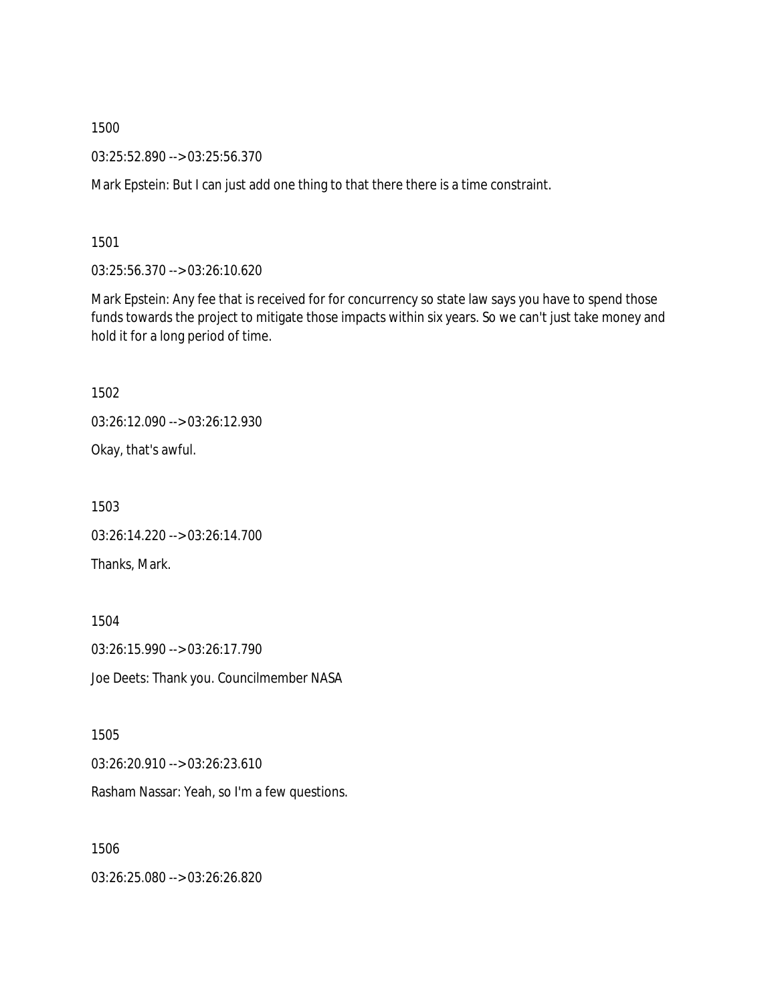03:25:52.890 --> 03:25:56.370

Mark Epstein: But I can just add one thing to that there there is a time constraint.

1501

03:25:56.370 --> 03:26:10.620

Mark Epstein: Any fee that is received for for concurrency so state law says you have to spend those funds towards the project to mitigate those impacts within six years. So we can't just take money and hold it for a long period of time.

1502

03:26:12.090 --> 03:26:12.930

Okay, that's awful.

1503

03:26:14.220 --> 03:26:14.700 Thanks, Mark.

1504

03:26:15.990 --> 03:26:17.790 Joe Deets: Thank you. Councilmember NASA

1505

03:26:20.910 --> 03:26:23.610

Rasham Nassar: Yeah, so I'm a few questions.

1506

03:26:25.080 --> 03:26:26.820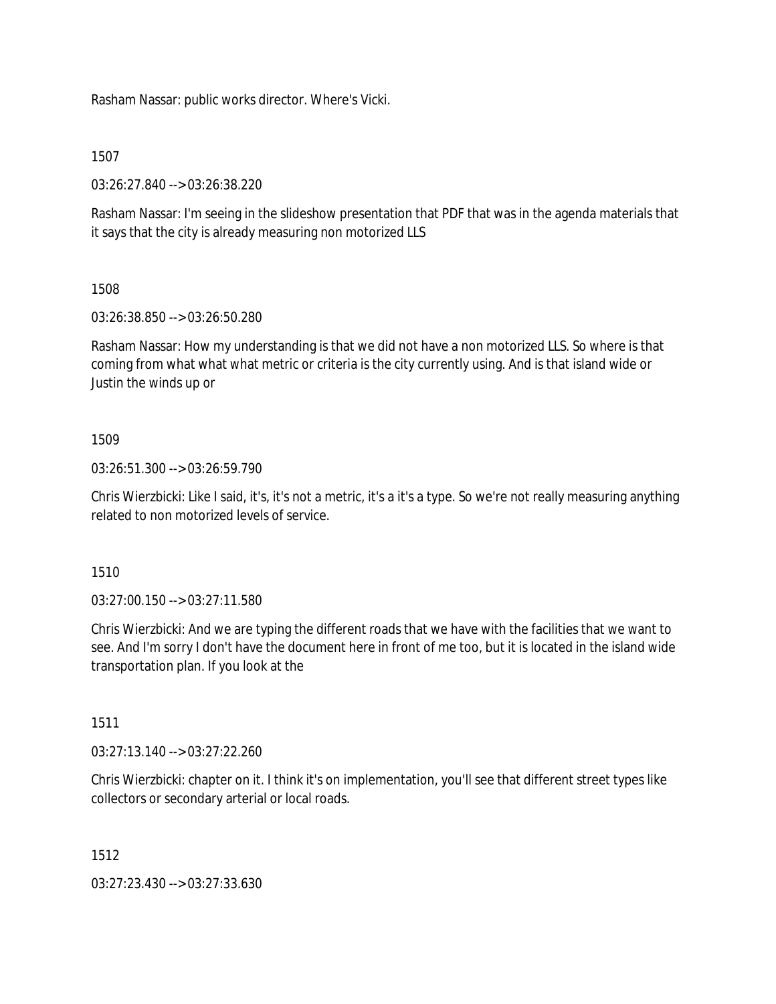Rasham Nassar: public works director. Where's Vicki.

### 1507

03:26:27.840 --> 03:26:38.220

Rasham Nassar: I'm seeing in the slideshow presentation that PDF that was in the agenda materials that it says that the city is already measuring non motorized LLS

### 1508

03:26:38.850 --> 03:26:50.280

Rasham Nassar: How my understanding is that we did not have a non motorized LLS. So where is that coming from what what what metric or criteria is the city currently using. And is that island wide or Justin the winds up or

### 1509

03:26:51.300 --> 03:26:59.790

Chris Wierzbicki: Like I said, it's, it's not a metric, it's a it's a type. So we're not really measuring anything related to non motorized levels of service.

### 1510

03:27:00.150 --> 03:27:11.580

Chris Wierzbicki: And we are typing the different roads that we have with the facilities that we want to see. And I'm sorry I don't have the document here in front of me too, but it is located in the island wide transportation plan. If you look at the

### 1511

03:27:13.140 --> 03:27:22.260

Chris Wierzbicki: chapter on it. I think it's on implementation, you'll see that different street types like collectors or secondary arterial or local roads.

### 1512

03:27:23.430 --> 03:27:33.630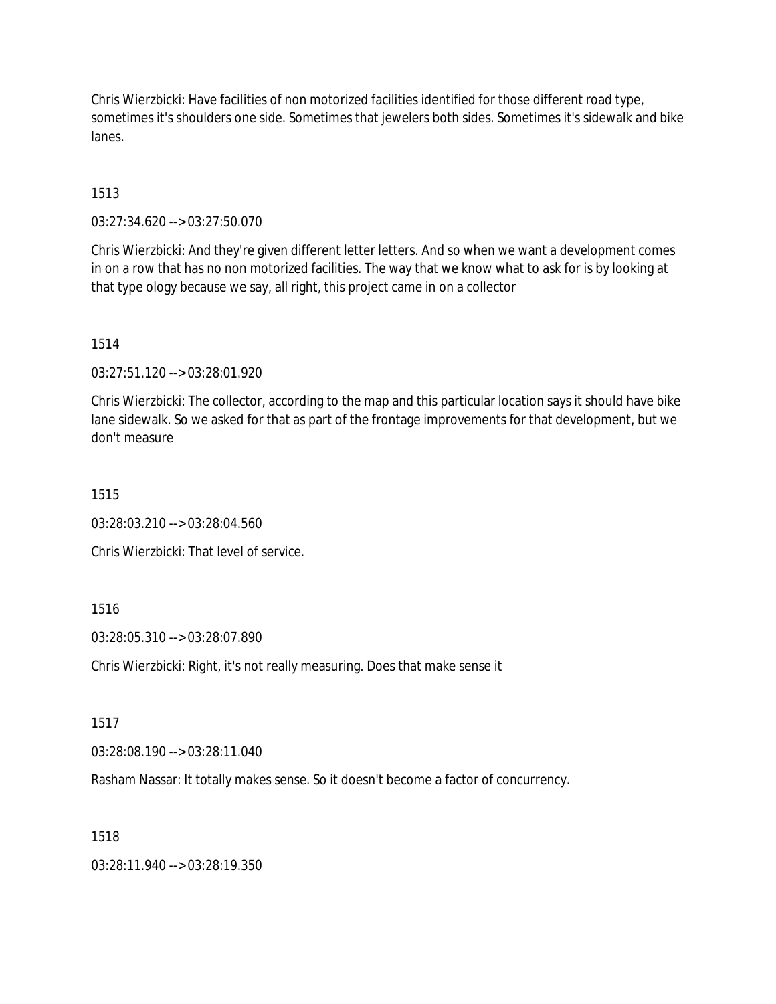Chris Wierzbicki: Have facilities of non motorized facilities identified for those different road type, sometimes it's shoulders one side. Sometimes that jewelers both sides. Sometimes it's sidewalk and bike lanes.

## 1513

03:27:34.620 --> 03:27:50.070

Chris Wierzbicki: And they're given different letter letters. And so when we want a development comes in on a row that has no non motorized facilities. The way that we know what to ask for is by looking at that type ology because we say, all right, this project came in on a collector

1514

03:27:51.120 --> 03:28:01.920

Chris Wierzbicki: The collector, according to the map and this particular location says it should have bike lane sidewalk. So we asked for that as part of the frontage improvements for that development, but we don't measure

1515

03:28:03.210 --> 03:28:04.560

Chris Wierzbicki: That level of service.

### 1516

03:28:05.310 --> 03:28:07.890

Chris Wierzbicki: Right, it's not really measuring. Does that make sense it

1517

03:28:08.190 --> 03:28:11.040

Rasham Nassar: It totally makes sense. So it doesn't become a factor of concurrency.

#### 1518

03:28:11.940 --> 03:28:19.350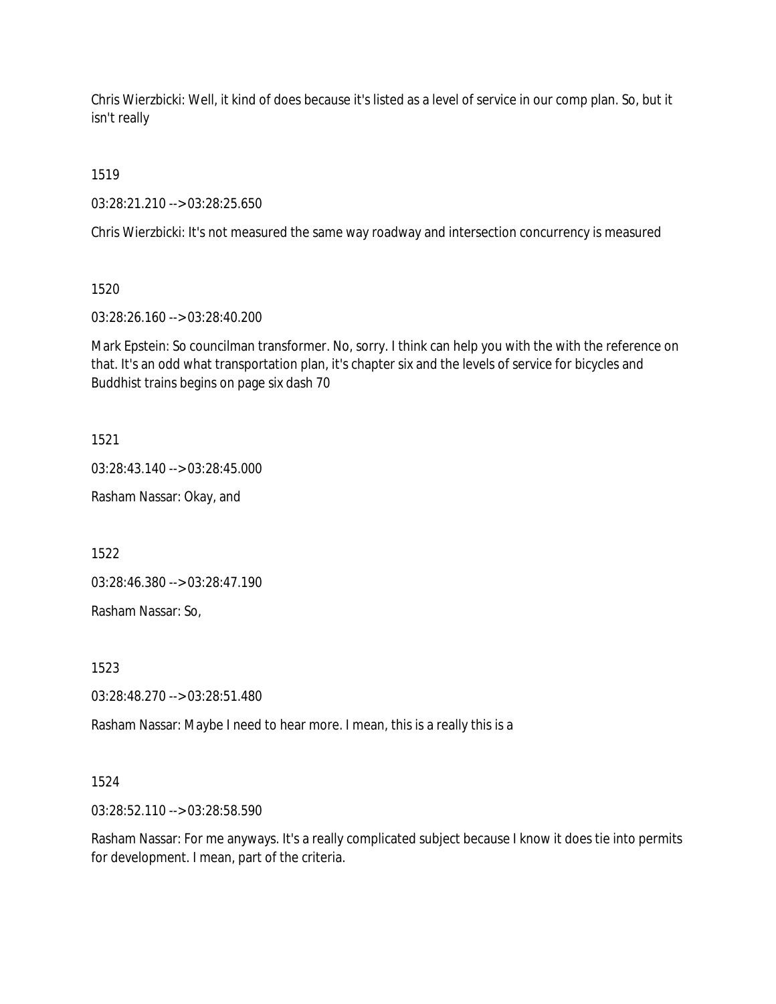Chris Wierzbicki: Well, it kind of does because it's listed as a level of service in our comp plan. So, but it isn't really

1519

03:28:21.210 --> 03:28:25.650

Chris Wierzbicki: It's not measured the same way roadway and intersection concurrency is measured

1520

03:28:26.160 --> 03:28:40.200

Mark Epstein: So councilman transformer. No, sorry. I think can help you with the with the reference on that. It's an odd what transportation plan, it's chapter six and the levels of service for bicycles and Buddhist trains begins on page six dash 70

1521

03:28:43.140 --> 03:28:45.000

Rasham Nassar: Okay, and

1522

03:28:46.380 --> 03:28:47.190

Rasham Nassar: So,

1523

03:28:48.270 --> 03:28:51.480

Rasham Nassar: Maybe I need to hear more. I mean, this is a really this is a

1524

03:28:52.110 --> 03:28:58.590

Rasham Nassar: For me anyways. It's a really complicated subject because I know it does tie into permits for development. I mean, part of the criteria.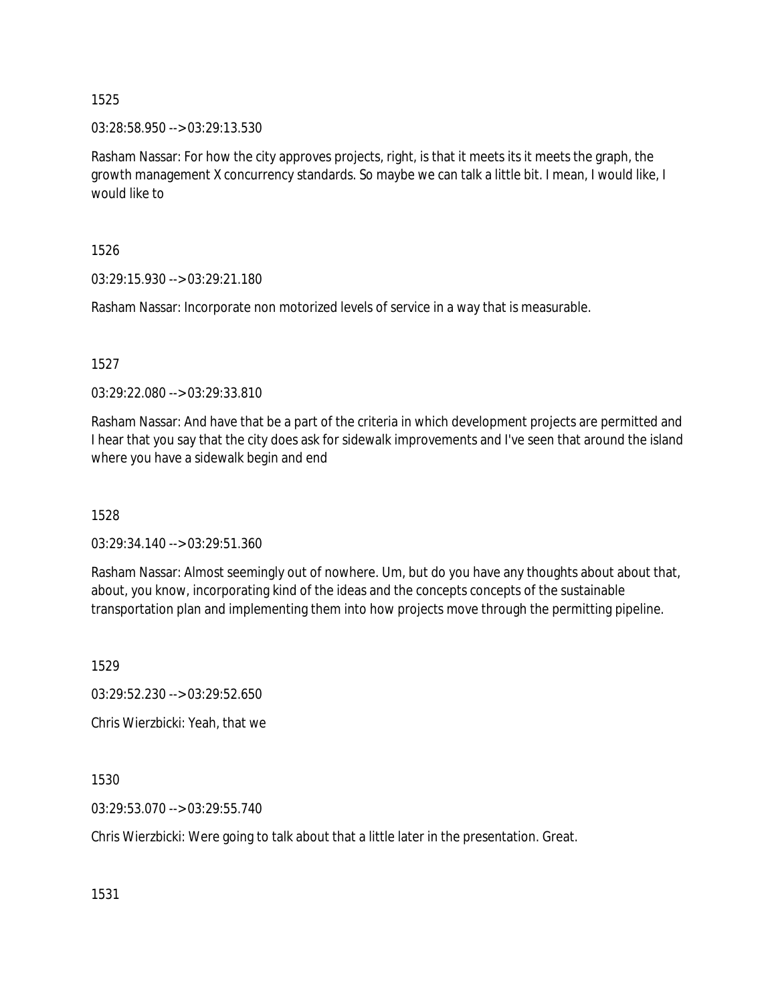03:28:58.950 --> 03:29:13.530

Rasham Nassar: For how the city approves projects, right, is that it meets its it meets the graph, the growth management X concurrency standards. So maybe we can talk a little bit. I mean, I would like, I would like to

1526

03:29:15.930 --> 03:29:21.180

Rasham Nassar: Incorporate non motorized levels of service in a way that is measurable.

1527

03:29:22.080 --> 03:29:33.810

Rasham Nassar: And have that be a part of the criteria in which development projects are permitted and I hear that you say that the city does ask for sidewalk improvements and I've seen that around the island where you have a sidewalk begin and end

1528

03:29:34.140 --> 03:29:51.360

Rasham Nassar: Almost seemingly out of nowhere. Um, but do you have any thoughts about about that, about, you know, incorporating kind of the ideas and the concepts concepts of the sustainable transportation plan and implementing them into how projects move through the permitting pipeline.

1529

03:29:52.230 --> 03:29:52.650

Chris Wierzbicki: Yeah, that we

1530

03:29:53.070 --> 03:29:55.740

Chris Wierzbicki: Were going to talk about that a little later in the presentation. Great.

1531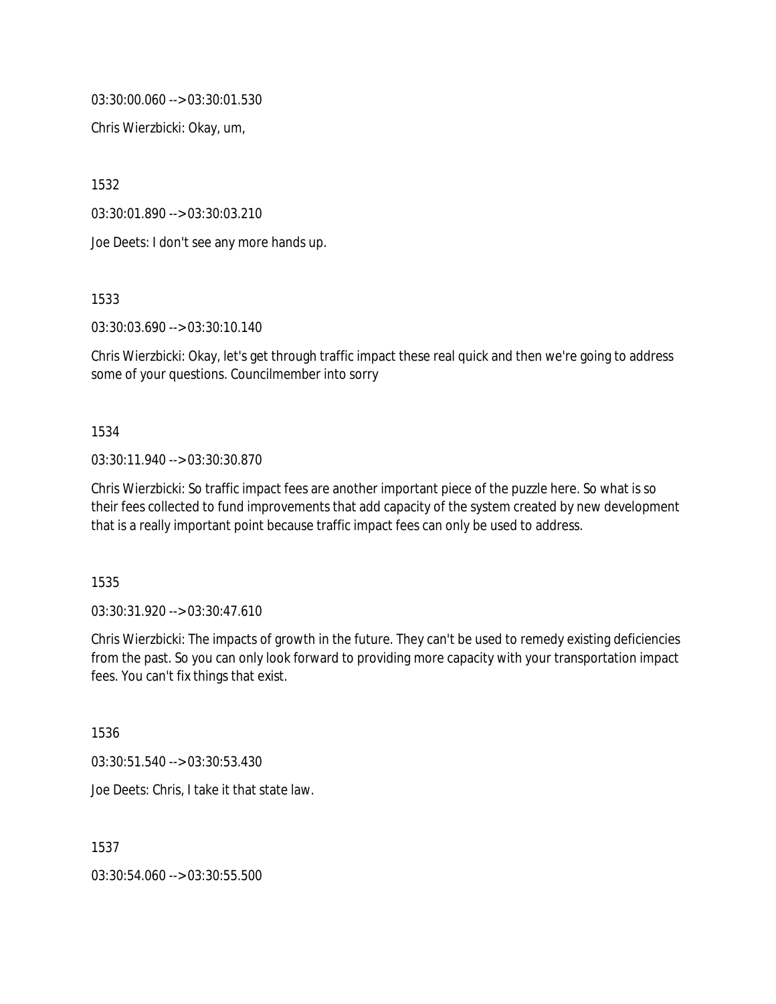03:30:00.060 --> 03:30:01.530

Chris Wierzbicki: Okay, um,

1532

03:30:01.890 --> 03:30:03.210

Joe Deets: I don't see any more hands up.

1533

03:30:03.690 --> 03:30:10.140

Chris Wierzbicki: Okay, let's get through traffic impact these real quick and then we're going to address some of your questions. Councilmember into sorry

#### 1534

03:30:11.940 --> 03:30:30.870

Chris Wierzbicki: So traffic impact fees are another important piece of the puzzle here. So what is so their fees collected to fund improvements that add capacity of the system created by new development that is a really important point because traffic impact fees can only be used to address.

1535

03:30:31.920 --> 03:30:47.610

Chris Wierzbicki: The impacts of growth in the future. They can't be used to remedy existing deficiencies from the past. So you can only look forward to providing more capacity with your transportation impact fees. You can't fix things that exist.

1536

03:30:51.540 --> 03:30:53.430

Joe Deets: Chris, I take it that state law.

1537

03:30:54.060 --> 03:30:55.500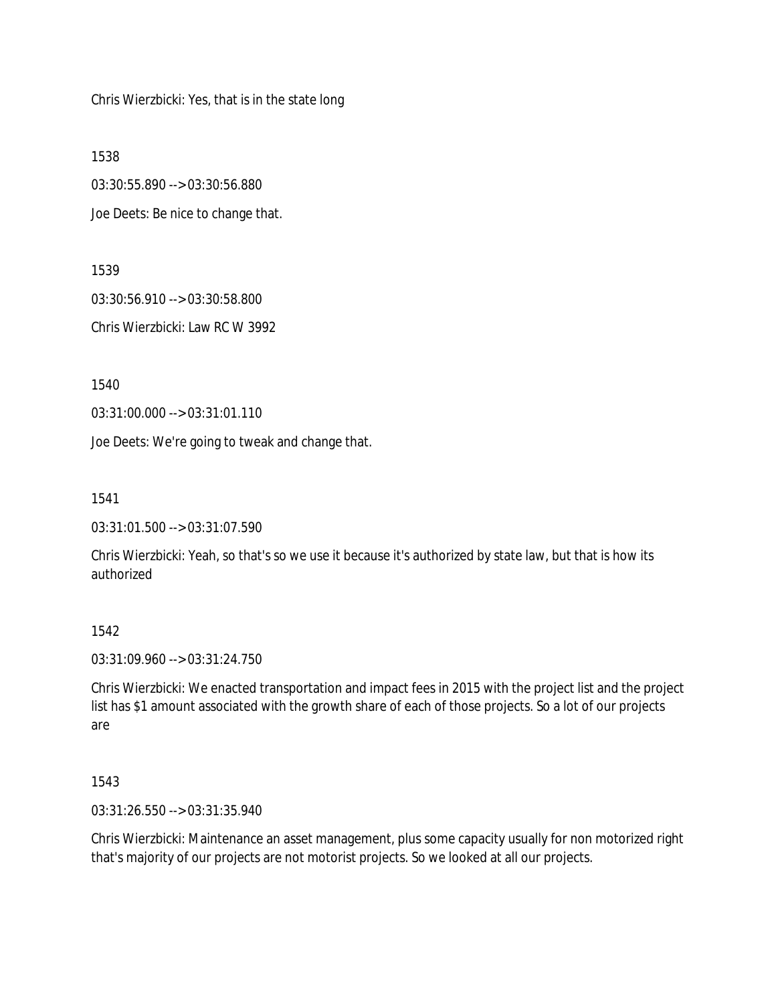Chris Wierzbicki: Yes, that is in the state long

1538

03:30:55.890 --> 03:30:56.880

Joe Deets: Be nice to change that.

1539

03:30:56.910 --> 03:30:58.800 Chris Wierzbicki: Law RC W 3992

1540

03:31:00.000 --> 03:31:01.110

Joe Deets: We're going to tweak and change that.

1541

03:31:01.500 --> 03:31:07.590

Chris Wierzbicki: Yeah, so that's so we use it because it's authorized by state law, but that is how its authorized

1542

03:31:09.960 --> 03:31:24.750

Chris Wierzbicki: We enacted transportation and impact fees in 2015 with the project list and the project list has \$1 amount associated with the growth share of each of those projects. So a lot of our projects are

1543

03:31:26.550 --> 03:31:35.940

Chris Wierzbicki: Maintenance an asset management, plus some capacity usually for non motorized right that's majority of our projects are not motorist projects. So we looked at all our projects.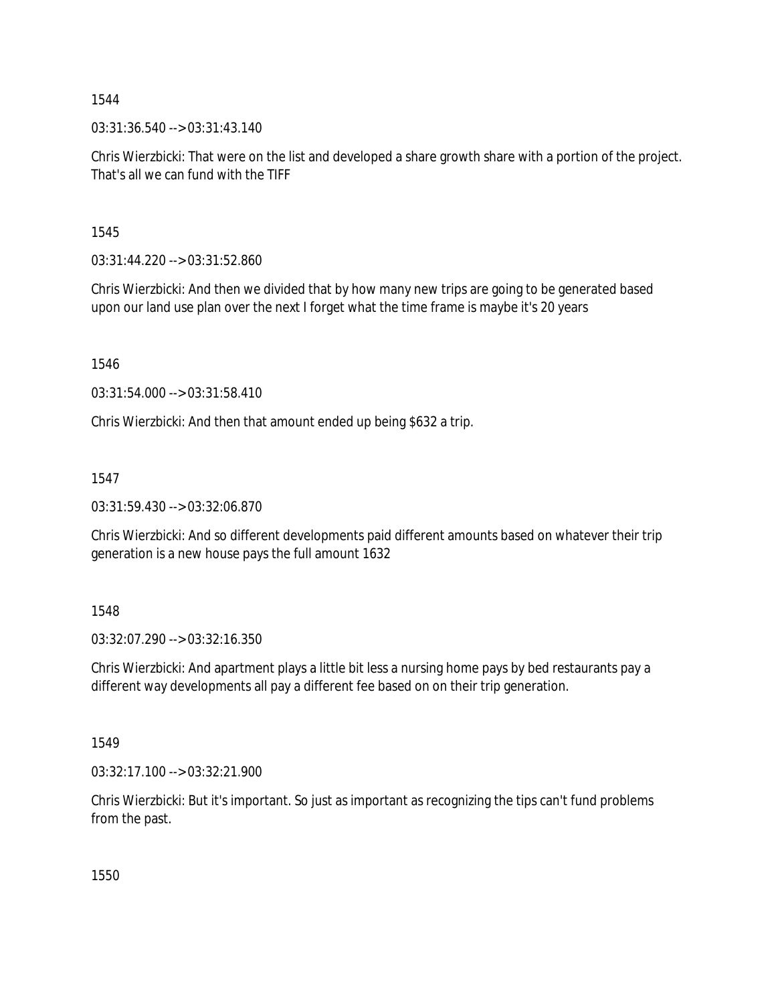03:31:36.540 --> 03:31:43.140

Chris Wierzbicki: That were on the list and developed a share growth share with a portion of the project. That's all we can fund with the TIFF

1545

03:31:44.220 --> 03:31:52.860

Chris Wierzbicki: And then we divided that by how many new trips are going to be generated based upon our land use plan over the next I forget what the time frame is maybe it's 20 years

1546

03:31:54.000 --> 03:31:58.410

Chris Wierzbicki: And then that amount ended up being \$632 a trip.

1547

03:31:59.430 --> 03:32:06.870

Chris Wierzbicki: And so different developments paid different amounts based on whatever their trip generation is a new house pays the full amount 1632

1548

03:32:07.290 --> 03:32:16.350

Chris Wierzbicki: And apartment plays a little bit less a nursing home pays by bed restaurants pay a different way developments all pay a different fee based on on their trip generation.

1549

03:32:17.100 --> 03:32:21.900

Chris Wierzbicki: But it's important. So just as important as recognizing the tips can't fund problems from the past.

1550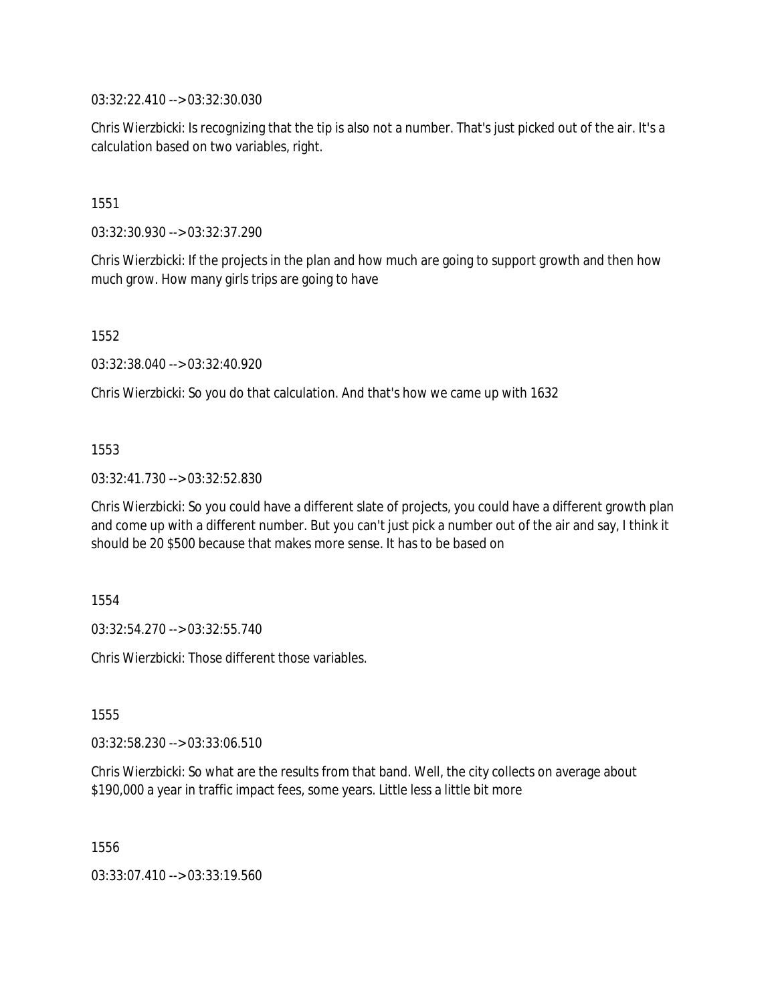03:32:22.410 --> 03:32:30.030

Chris Wierzbicki: Is recognizing that the tip is also not a number. That's just picked out of the air. It's a calculation based on two variables, right.

1551

03:32:30.930 --> 03:32:37.290

Chris Wierzbicki: If the projects in the plan and how much are going to support growth and then how much grow. How many girls trips are going to have

1552

03:32:38.040 --> 03:32:40.920

Chris Wierzbicki: So you do that calculation. And that's how we came up with 1632

### 1553

03:32:41.730 --> 03:32:52.830

Chris Wierzbicki: So you could have a different slate of projects, you could have a different growth plan and come up with a different number. But you can't just pick a number out of the air and say, I think it should be 20 \$500 because that makes more sense. It has to be based on

1554

03:32:54.270 --> 03:32:55.740

Chris Wierzbicki: Those different those variables.

1555

03:32:58.230 --> 03:33:06.510

Chris Wierzbicki: So what are the results from that band. Well, the city collects on average about \$190,000 a year in traffic impact fees, some years. Little less a little bit more

1556

03:33:07.410 --> 03:33:19.560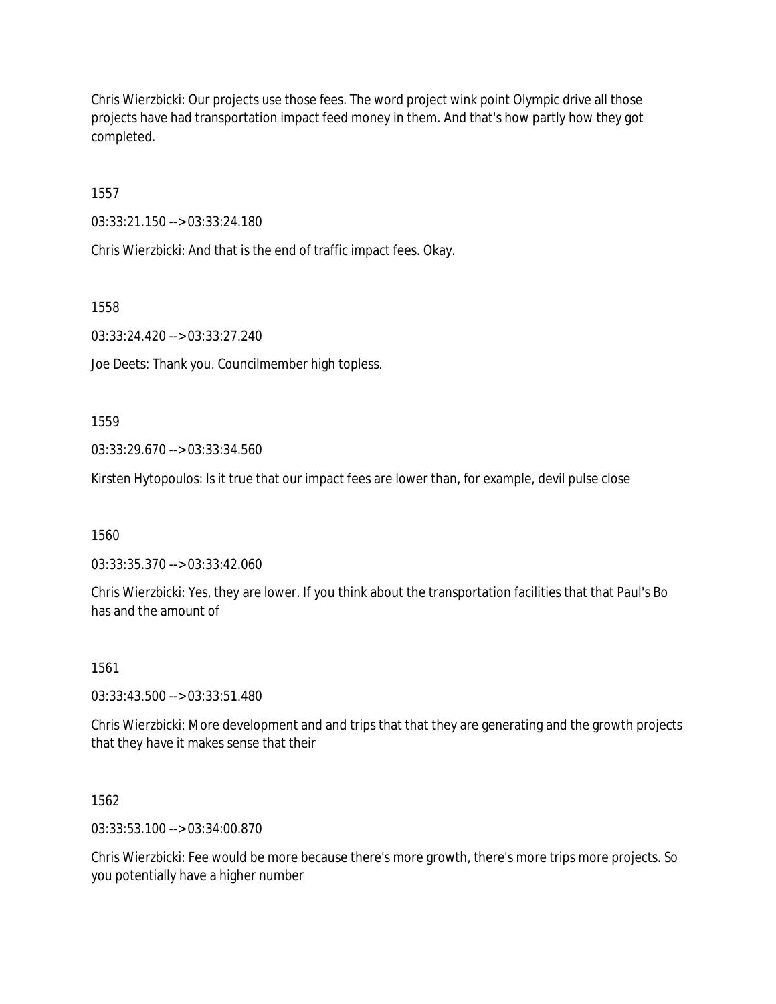Chris Wierzbicki: Our projects use those fees. The word project wink point Olympic drive all those projects have had transportation impact feed money in them. And that's how partly how they got completed.

1557

03:33:21.150 --> 03:33:24.180

Chris Wierzbicki: And that is the end of traffic impact fees. Okay.

1558

03:33:24.420 --> 03:33:27.240

Joe Deets: Thank you. Councilmember high topless.

1559

03:33:29.670 --> 03:33:34.560

Kirsten Hytopoulos: Is it true that our impact fees are lower than, for example, devil pulse close

1560

03:33:35.370 --> 03:33:42.060

Chris Wierzbicki: Yes, they are lower. If you think about the transportation facilities that that Paul's Bo has and the amount of

1561

03:33:43.500 --> 03:33:51.480

Chris Wierzbicki: More development and and trips that that they are generating and the growth projects that they have it makes sense that their

1562

03:33:53.100 --> 03:34:00.870

Chris Wierzbicki: Fee would be more because there's more growth, there's more trips more projects. So you potentially have a higher number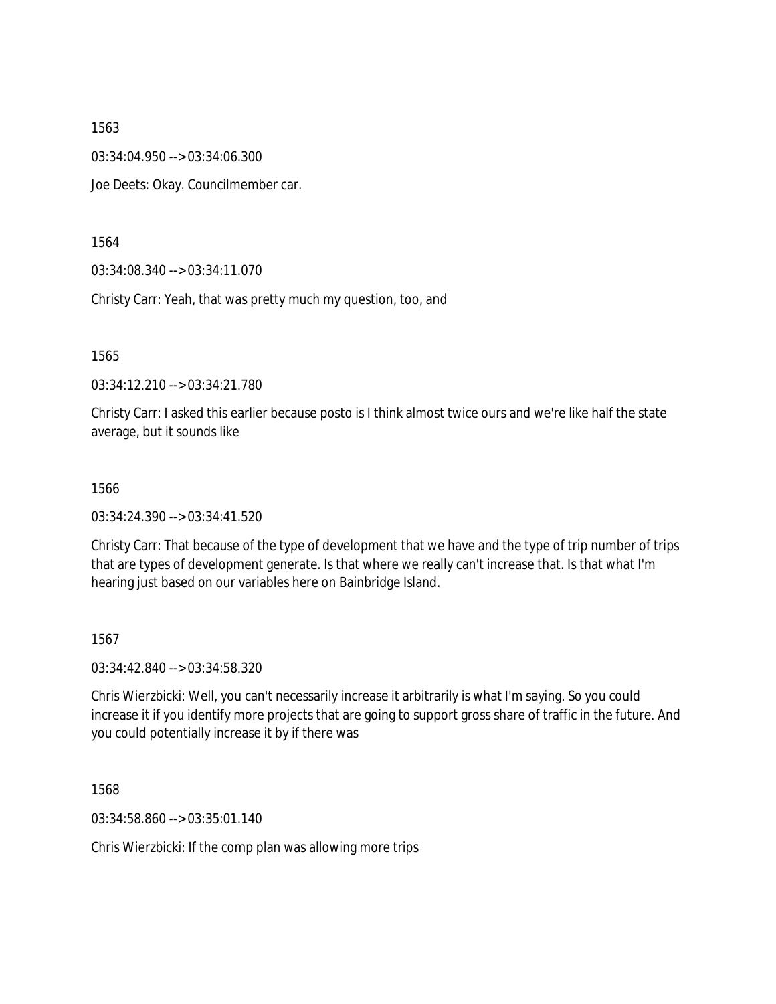03:34:04.950 --> 03:34:06.300

Joe Deets: Okay. Councilmember car.

1564

03:34:08.340 --> 03:34:11.070

Christy Carr: Yeah, that was pretty much my question, too, and

1565

03:34:12.210 --> 03:34:21.780

Christy Carr: I asked this earlier because posto is I think almost twice ours and we're like half the state average, but it sounds like

1566

03:34:24.390 --> 03:34:41.520

Christy Carr: That because of the type of development that we have and the type of trip number of trips that are types of development generate. Is that where we really can't increase that. Is that what I'm hearing just based on our variables here on Bainbridge Island.

1567

03:34:42.840 --> 03:34:58.320

Chris Wierzbicki: Well, you can't necessarily increase it arbitrarily is what I'm saying. So you could increase it if you identify more projects that are going to support gross share of traffic in the future. And you could potentially increase it by if there was

1568

03:34:58.860 --> 03:35:01.140

Chris Wierzbicki: If the comp plan was allowing more trips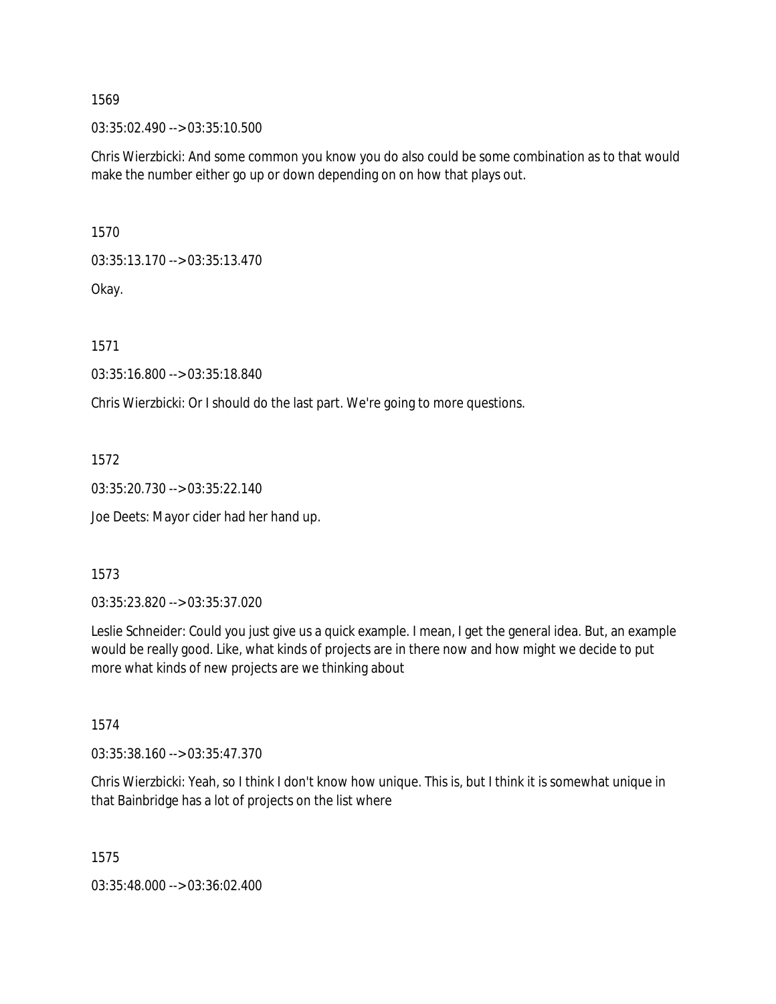03:35:02.490 --> 03:35:10.500

Chris Wierzbicki: And some common you know you do also could be some combination as to that would make the number either go up or down depending on on how that plays out.

1570

03:35:13.170 --> 03:35:13.470

Okay.

1571

03:35:16.800 --> 03:35:18.840

Chris Wierzbicki: Or I should do the last part. We're going to more questions.

1572

03:35:20.730 --> 03:35:22.140

Joe Deets: Mayor cider had her hand up.

1573

03:35:23.820 --> 03:35:37.020

Leslie Schneider: Could you just give us a quick example. I mean, I get the general idea. But, an example would be really good. Like, what kinds of projects are in there now and how might we decide to put more what kinds of new projects are we thinking about

1574

03:35:38.160 --> 03:35:47.370

Chris Wierzbicki: Yeah, so I think I don't know how unique. This is, but I think it is somewhat unique in that Bainbridge has a lot of projects on the list where

1575

03:35:48.000 --> 03:36:02.400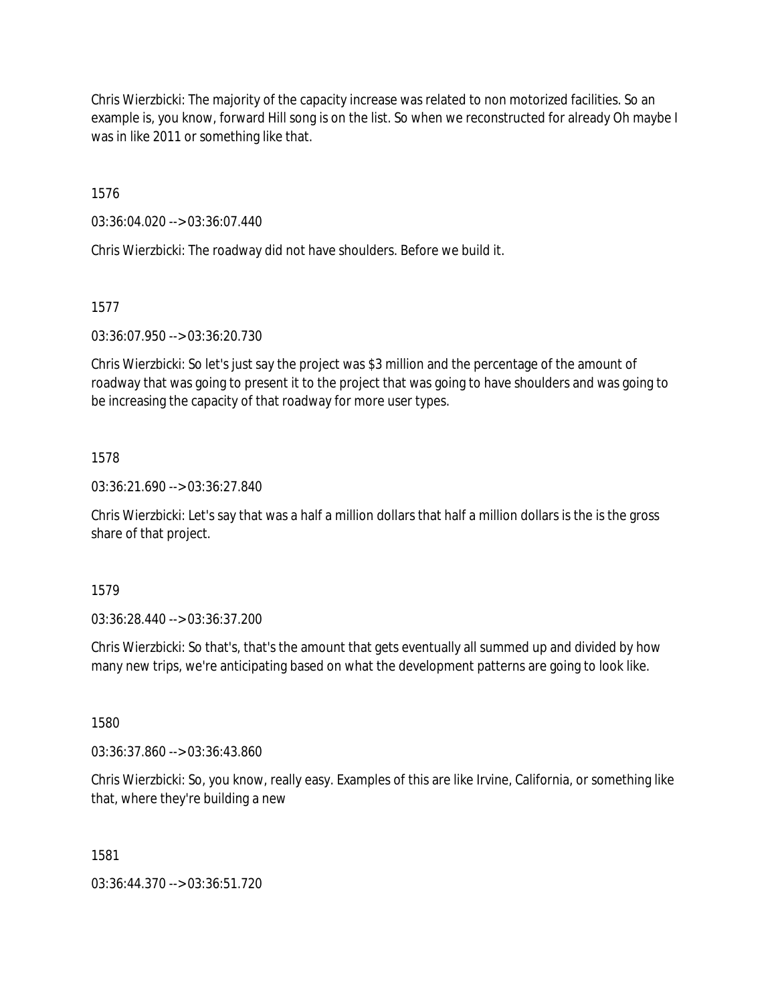Chris Wierzbicki: The majority of the capacity increase was related to non motorized facilities. So an example is, you know, forward Hill song is on the list. So when we reconstructed for already Oh maybe I was in like 2011 or something like that.

1576

03:36:04.020 --> 03:36:07.440

Chris Wierzbicki: The roadway did not have shoulders. Before we build it.

1577

03:36:07.950 --> 03:36:20.730

Chris Wierzbicki: So let's just say the project was \$3 million and the percentage of the amount of roadway that was going to present it to the project that was going to have shoulders and was going to be increasing the capacity of that roadway for more user types.

## 1578

03:36:21.690 --> 03:36:27.840

Chris Wierzbicki: Let's say that was a half a million dollars that half a million dollars is the is the gross share of that project.

1579

03:36:28.440 --> 03:36:37.200

Chris Wierzbicki: So that's, that's the amount that gets eventually all summed up and divided by how many new trips, we're anticipating based on what the development patterns are going to look like.

1580

03:36:37.860 --> 03:36:43.860

Chris Wierzbicki: So, you know, really easy. Examples of this are like Irvine, California, or something like that, where they're building a new

1581

03:36:44.370 --> 03:36:51.720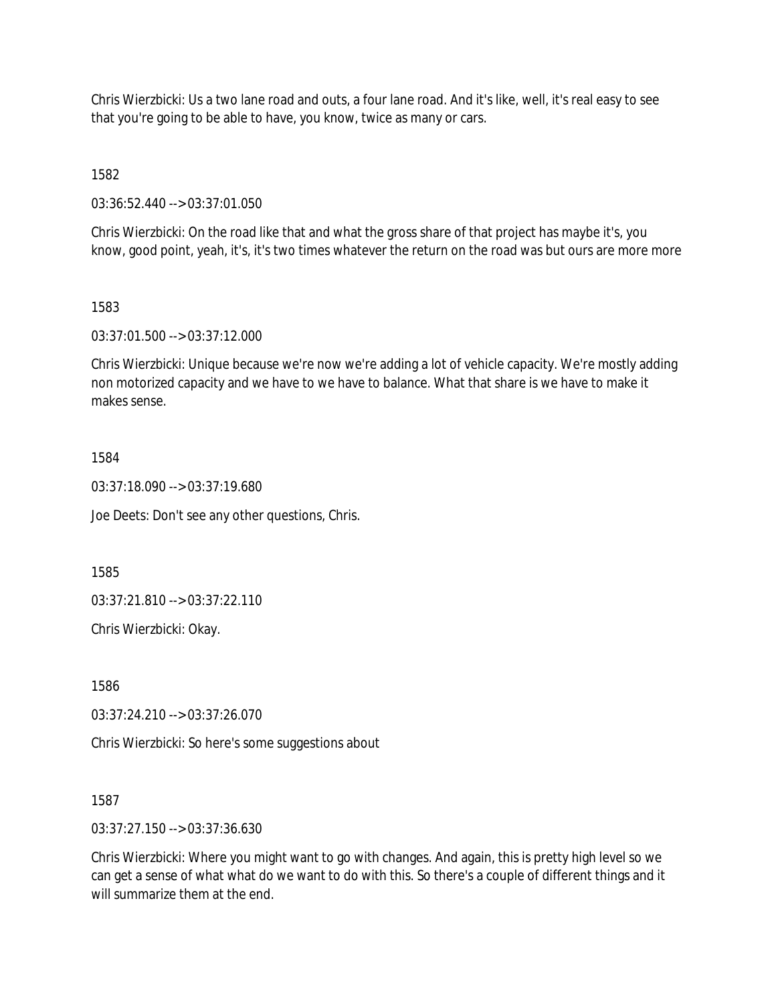Chris Wierzbicki: Us a two lane road and outs, a four lane road. And it's like, well, it's real easy to see that you're going to be able to have, you know, twice as many or cars.

1582

03:36:52.440 --> 03:37:01.050

Chris Wierzbicki: On the road like that and what the gross share of that project has maybe it's, you know, good point, yeah, it's, it's two times whatever the return on the road was but ours are more more

### 1583

03:37:01.500 --> 03:37:12.000

Chris Wierzbicki: Unique because we're now we're adding a lot of vehicle capacity. We're mostly adding non motorized capacity and we have to we have to balance. What that share is we have to make it makes sense.

## 1584

03:37:18.090 --> 03:37:19.680

Joe Deets: Don't see any other questions, Chris.

1585

03:37:21.810 --> 03:37:22.110

Chris Wierzbicki: Okay.

1586

03:37:24.210 --> 03:37:26.070

Chris Wierzbicki: So here's some suggestions about

1587

03:37:27.150 --> 03:37:36.630

Chris Wierzbicki: Where you might want to go with changes. And again, this is pretty high level so we can get a sense of what what do we want to do with this. So there's a couple of different things and it will summarize them at the end.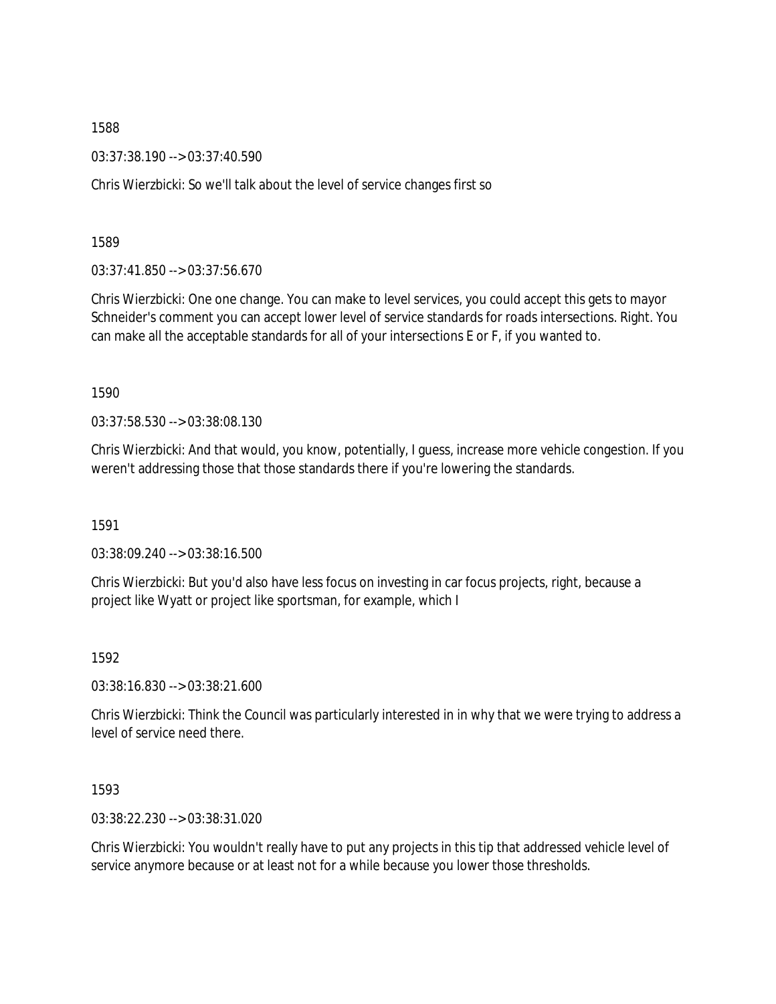03:37:38.190 --> 03:37:40.590

Chris Wierzbicki: So we'll talk about the level of service changes first so

1589

03:37:41.850 --> 03:37:56.670

Chris Wierzbicki: One one change. You can make to level services, you could accept this gets to mayor Schneider's comment you can accept lower level of service standards for roads intersections. Right. You can make all the acceptable standards for all of your intersections E or F, if you wanted to.

1590

03:37:58.530 --> 03:38:08.130

Chris Wierzbicki: And that would, you know, potentially, I guess, increase more vehicle congestion. If you weren't addressing those that those standards there if you're lowering the standards.

1591

03:38:09.240 --> 03:38:16.500

Chris Wierzbicki: But you'd also have less focus on investing in car focus projects, right, because a project like Wyatt or project like sportsman, for example, which I

1592

03:38:16.830 --> 03:38:21.600

Chris Wierzbicki: Think the Council was particularly interested in in why that we were trying to address a level of service need there.

1593

03:38:22.230 --> 03:38:31.020

Chris Wierzbicki: You wouldn't really have to put any projects in this tip that addressed vehicle level of service anymore because or at least not for a while because you lower those thresholds.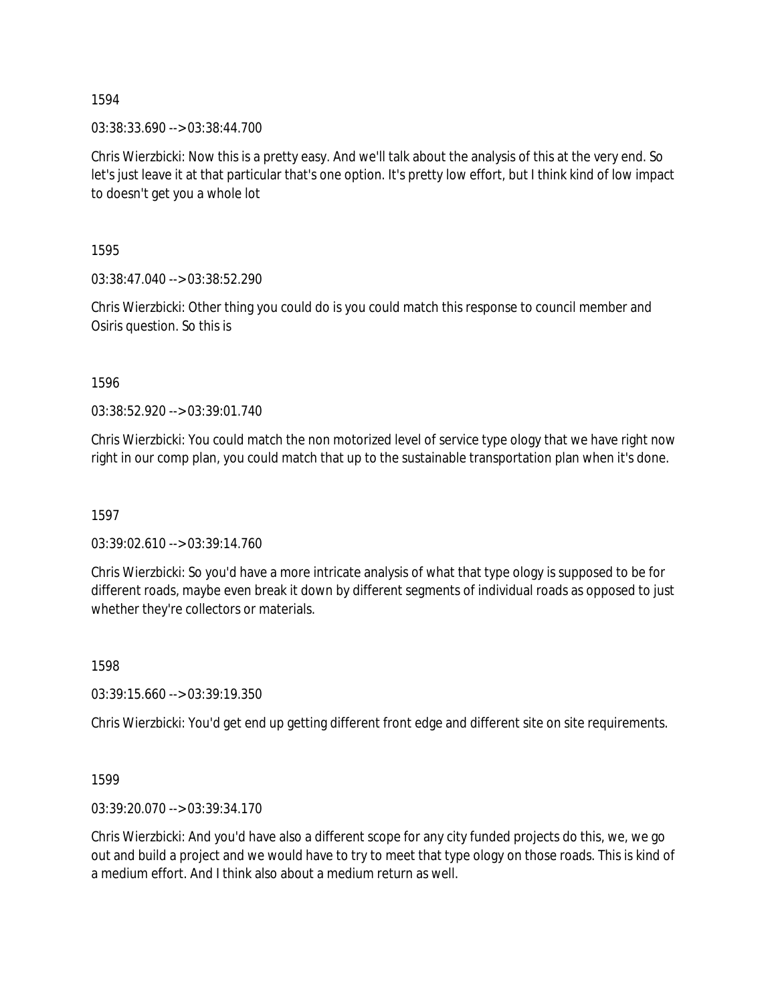03:38:33.690 --> 03:38:44.700

Chris Wierzbicki: Now this is a pretty easy. And we'll talk about the analysis of this at the very end. So let's just leave it at that particular that's one option. It's pretty low effort, but I think kind of low impact to doesn't get you a whole lot

1595

03:38:47.040 --> 03:38:52.290

Chris Wierzbicki: Other thing you could do is you could match this response to council member and Osiris question. So this is

1596

03:38:52.920 --> 03:39:01.740

Chris Wierzbicki: You could match the non motorized level of service type ology that we have right now right in our comp plan, you could match that up to the sustainable transportation plan when it's done.

1597

03:39:02.610 --> 03:39:14.760

Chris Wierzbicki: So you'd have a more intricate analysis of what that type ology is supposed to be for different roads, maybe even break it down by different segments of individual roads as opposed to just whether they're collectors or materials.

1598

03:39:15.660 --> 03:39:19.350

Chris Wierzbicki: You'd get end up getting different front edge and different site on site requirements.

1599

03:39:20.070 --> 03:39:34.170

Chris Wierzbicki: And you'd have also a different scope for any city funded projects do this, we, we go out and build a project and we would have to try to meet that type ology on those roads. This is kind of a medium effort. And I think also about a medium return as well.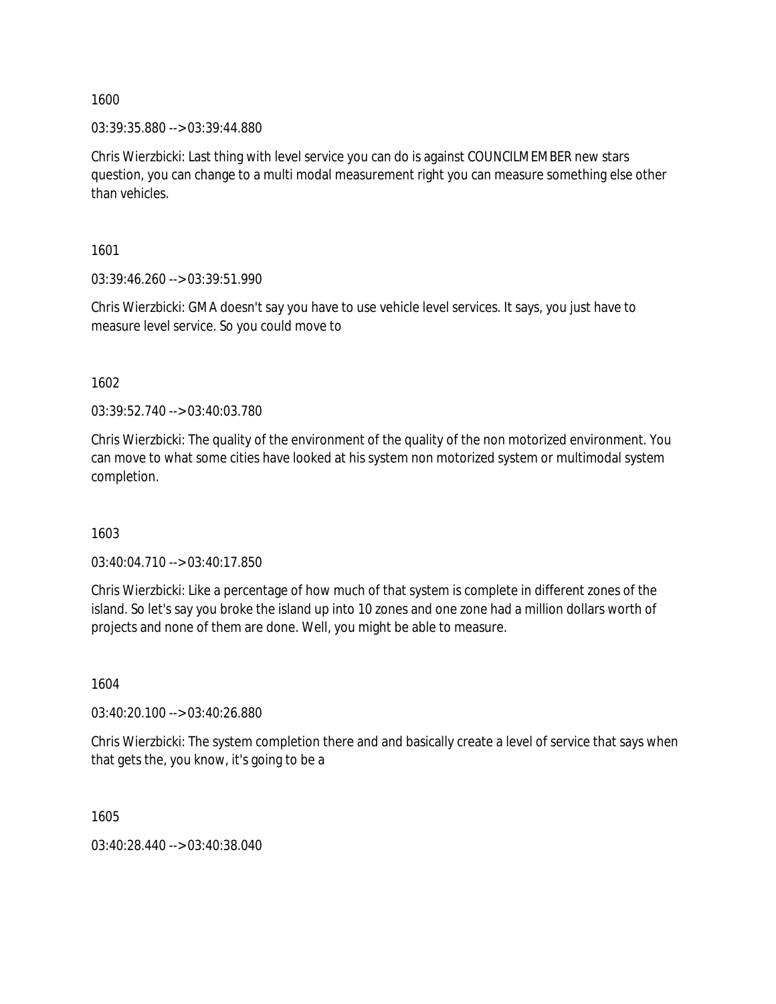03:39:35.880 --> 03:39:44.880

Chris Wierzbicki: Last thing with level service you can do is against COUNCILMEMBER new stars question, you can change to a multi modal measurement right you can measure something else other than vehicles.

1601

03:39:46.260 --> 03:39:51.990

Chris Wierzbicki: GMA doesn't say you have to use vehicle level services. It says, you just have to measure level service. So you could move to

1602

03:39:52.740 --> 03:40:03.780

Chris Wierzbicki: The quality of the environment of the quality of the non motorized environment. You can move to what some cities have looked at his system non motorized system or multimodal system completion.

1603

03:40:04.710 --> 03:40:17.850

Chris Wierzbicki: Like a percentage of how much of that system is complete in different zones of the island. So let's say you broke the island up into 10 zones and one zone had a million dollars worth of projects and none of them are done. Well, you might be able to measure.

1604

03:40:20.100 --> 03:40:26.880

Chris Wierzbicki: The system completion there and and basically create a level of service that says when that gets the, you know, it's going to be a

1605

03:40:28.440 --> 03:40:38.040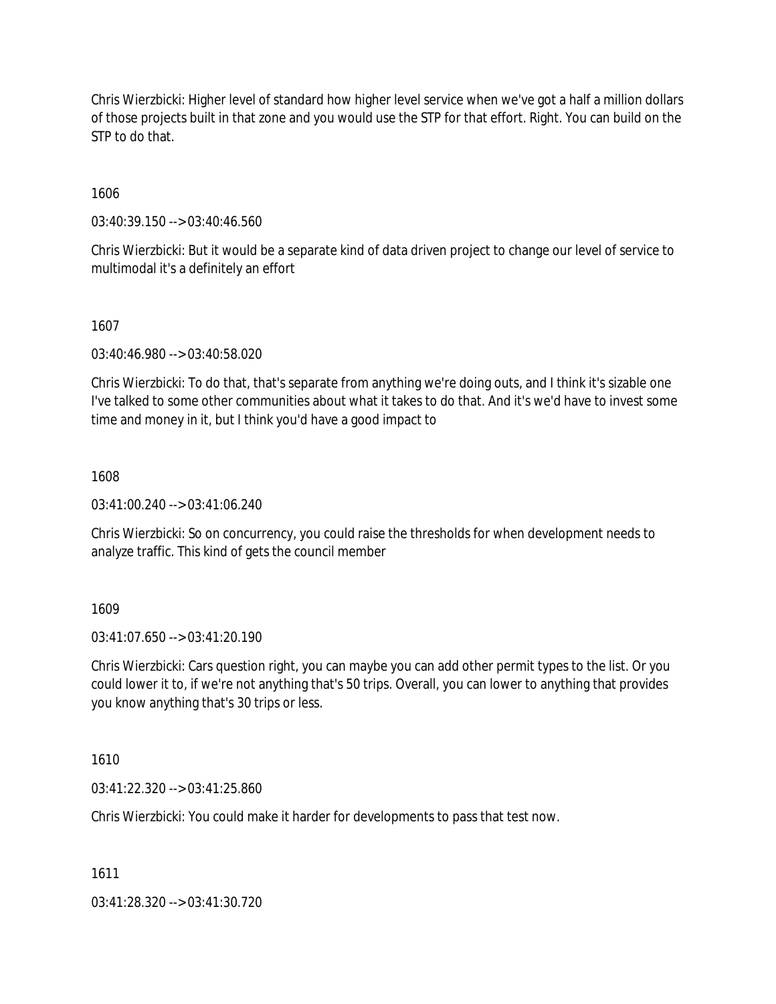Chris Wierzbicki: Higher level of standard how higher level service when we've got a half a million dollars of those projects built in that zone and you would use the STP for that effort. Right. You can build on the STP to do that.

1606

03:40:39.150 --> 03:40:46.560

Chris Wierzbicki: But it would be a separate kind of data driven project to change our level of service to multimodal it's a definitely an effort

1607

03:40:46.980 --> 03:40:58.020

Chris Wierzbicki: To do that, that's separate from anything we're doing outs, and I think it's sizable one I've talked to some other communities about what it takes to do that. And it's we'd have to invest some time and money in it, but I think you'd have a good impact to

1608

03:41:00.240 --> 03:41:06.240

Chris Wierzbicki: So on concurrency, you could raise the thresholds for when development needs to analyze traffic. This kind of gets the council member

1609

03:41:07.650 --> 03:41:20.190

Chris Wierzbicki: Cars question right, you can maybe you can add other permit types to the list. Or you could lower it to, if we're not anything that's 50 trips. Overall, you can lower to anything that provides you know anything that's 30 trips or less.

1610

03:41:22.320 --> 03:41:25.860

Chris Wierzbicki: You could make it harder for developments to pass that test now.

1611

03:41:28.320 --> 03:41:30.720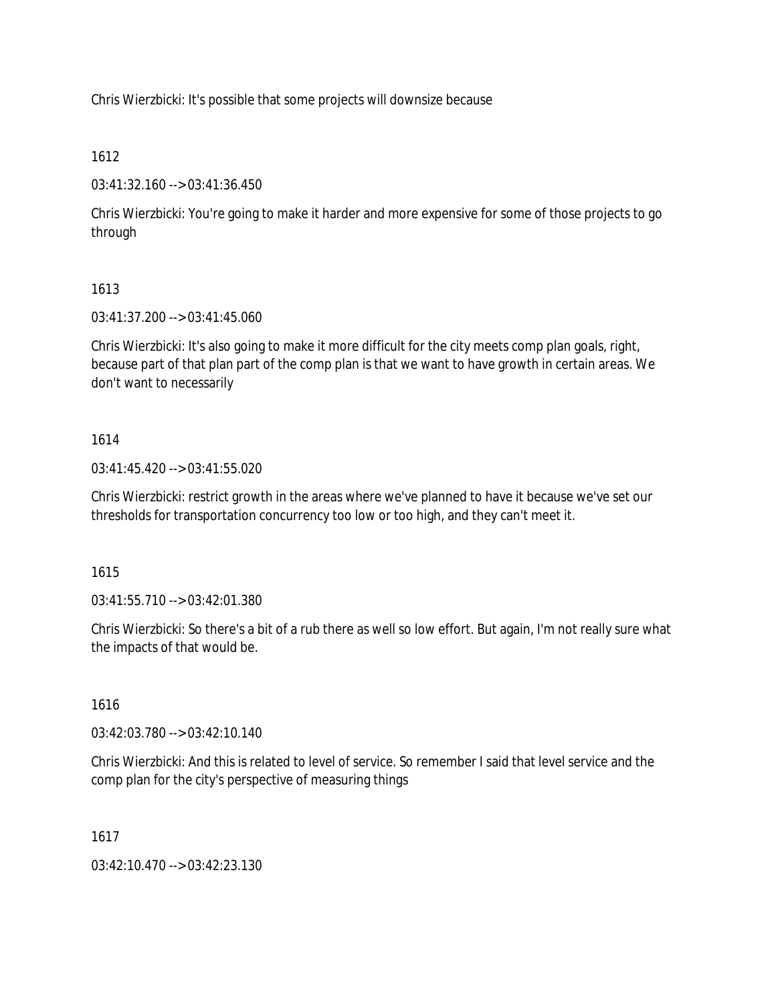Chris Wierzbicki: It's possible that some projects will downsize because

## 1612

03:41:32.160 --> 03:41:36.450

Chris Wierzbicki: You're going to make it harder and more expensive for some of those projects to go through

# 1613

03:41:37.200 --> 03:41:45.060

Chris Wierzbicki: It's also going to make it more difficult for the city meets comp plan goals, right, because part of that plan part of the comp plan is that we want to have growth in certain areas. We don't want to necessarily

## 1614

03:41:45.420 --> 03:41:55.020

Chris Wierzbicki: restrict growth in the areas where we've planned to have it because we've set our thresholds for transportation concurrency too low or too high, and they can't meet it.

## 1615

03:41:55.710 --> 03:42:01.380

Chris Wierzbicki: So there's a bit of a rub there as well so low effort. But again, I'm not really sure what the impacts of that would be.

## 1616

03:42:03.780 --> 03:42:10.140

Chris Wierzbicki: And this is related to level of service. So remember I said that level service and the comp plan for the city's perspective of measuring things

## 1617

03:42:10.470 --> 03:42:23.130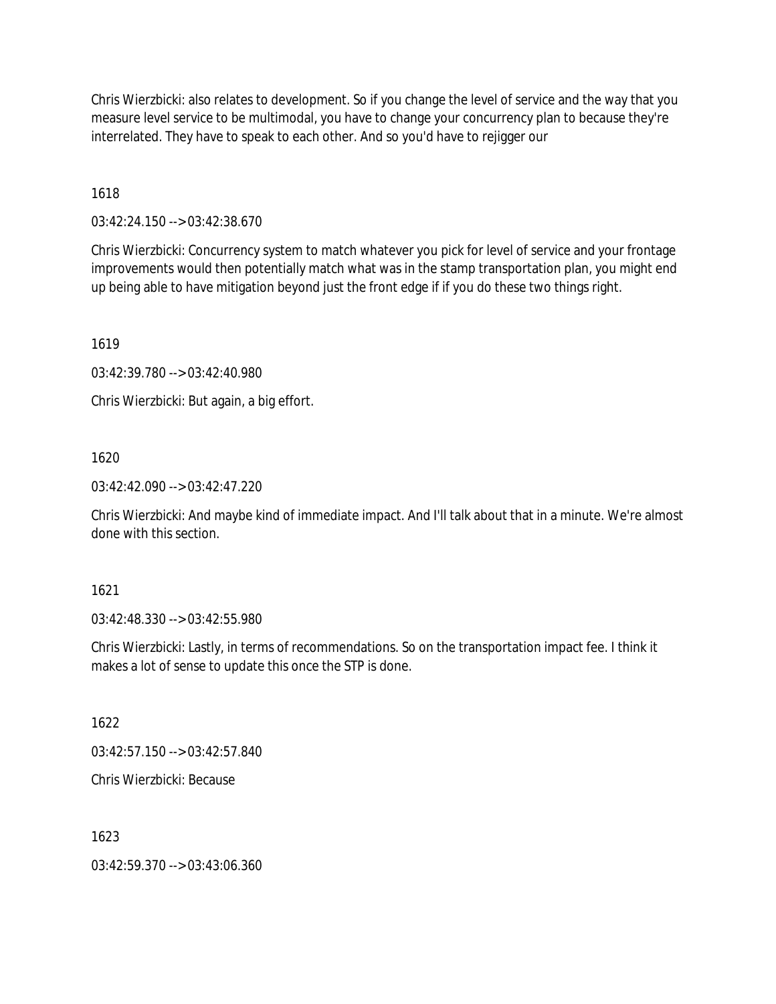Chris Wierzbicki: also relates to development. So if you change the level of service and the way that you measure level service to be multimodal, you have to change your concurrency plan to because they're interrelated. They have to speak to each other. And so you'd have to rejigger our

1618

03:42:24.150 --> 03:42:38.670

Chris Wierzbicki: Concurrency system to match whatever you pick for level of service and your frontage improvements would then potentially match what was in the stamp transportation plan, you might end up being able to have mitigation beyond just the front edge if if you do these two things right.

1619

03:42:39.780 --> 03:42:40.980

Chris Wierzbicki: But again, a big effort.

1620

03:42:42.090 --> 03:42:47.220

Chris Wierzbicki: And maybe kind of immediate impact. And I'll talk about that in a minute. We're almost done with this section.

1621

03:42:48.330 --> 03:42:55.980

Chris Wierzbicki: Lastly, in terms of recommendations. So on the transportation impact fee. I think it makes a lot of sense to update this once the STP is done.

1622

03:42:57.150 --> 03:42:57.840

Chris Wierzbicki: Because

1623

03:42:59.370 --> 03:43:06.360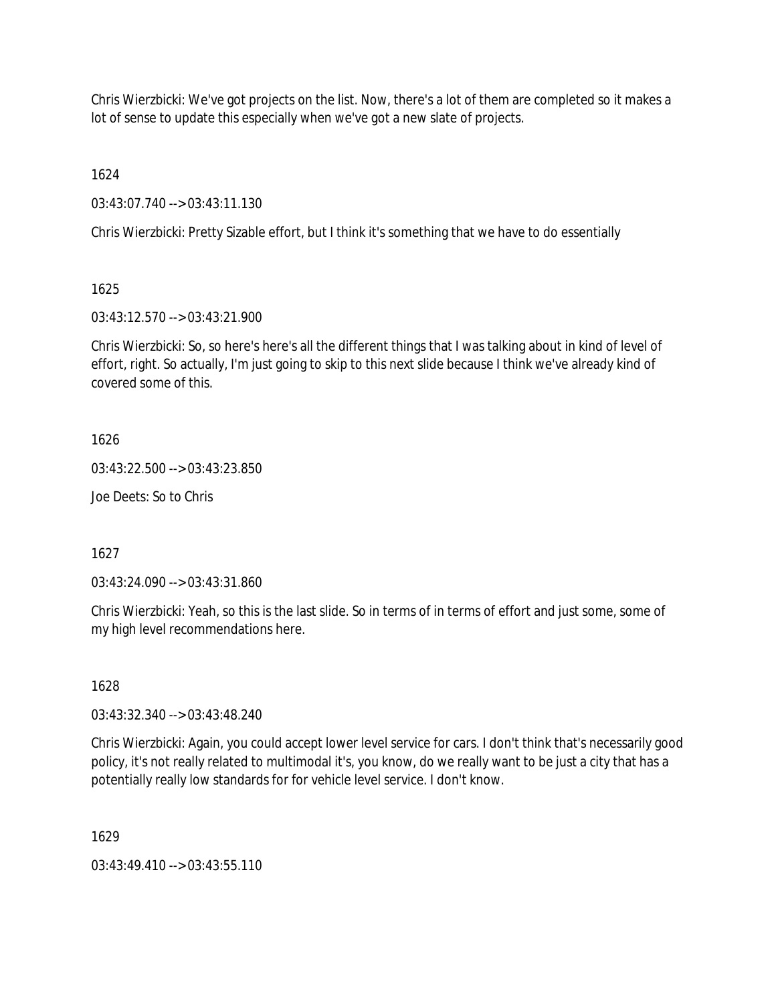Chris Wierzbicki: We've got projects on the list. Now, there's a lot of them are completed so it makes a lot of sense to update this especially when we've got a new slate of projects.

1624

03:43:07.740 --> 03:43:11.130

Chris Wierzbicki: Pretty Sizable effort, but I think it's something that we have to do essentially

1625

03:43:12.570 --> 03:43:21.900

Chris Wierzbicki: So, so here's here's all the different things that I was talking about in kind of level of effort, right. So actually, I'm just going to skip to this next slide because I think we've already kind of covered some of this.

1626

03:43:22.500 --> 03:43:23.850

Joe Deets: So to Chris

1627

03:43:24.090 --> 03:43:31.860

Chris Wierzbicki: Yeah, so this is the last slide. So in terms of in terms of effort and just some, some of my high level recommendations here.

1628

03:43:32.340 --> 03:43:48.240

Chris Wierzbicki: Again, you could accept lower level service for cars. I don't think that's necessarily good policy, it's not really related to multimodal it's, you know, do we really want to be just a city that has a potentially really low standards for for vehicle level service. I don't know.

1629

03:43:49.410 --> 03:43:55.110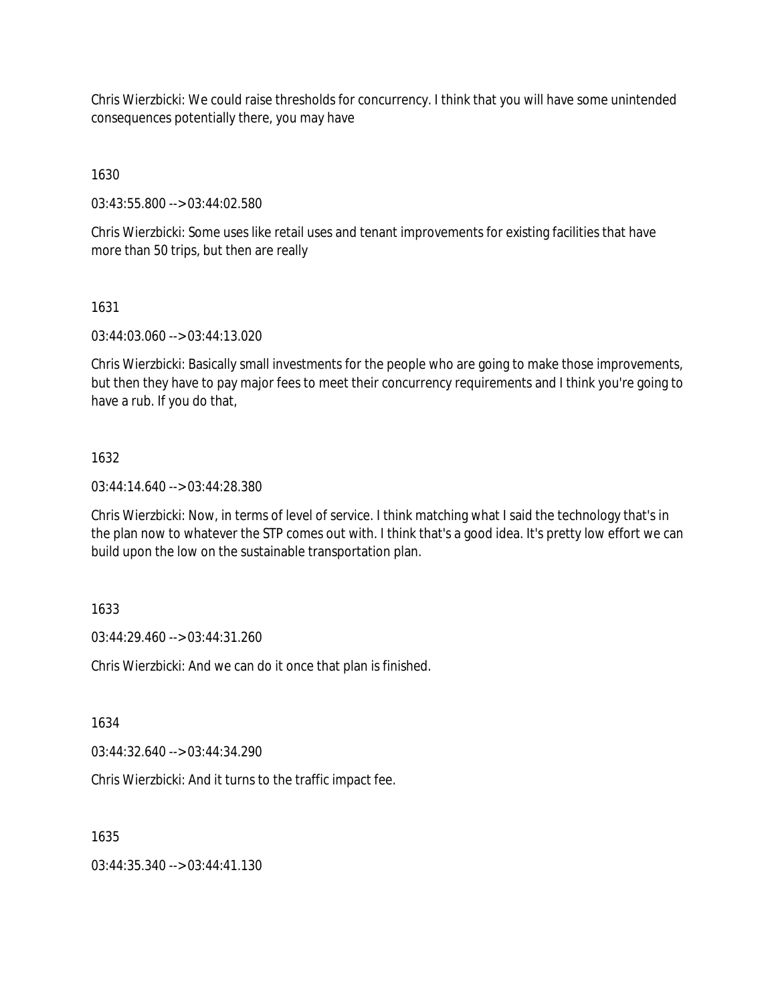Chris Wierzbicki: We could raise thresholds for concurrency. I think that you will have some unintended consequences potentially there, you may have

1630

03:43:55.800 --> 03:44:02.580

Chris Wierzbicki: Some uses like retail uses and tenant improvements for existing facilities that have more than 50 trips, but then are really

1631

03:44:03.060 --> 03:44:13.020

Chris Wierzbicki: Basically small investments for the people who are going to make those improvements, but then they have to pay major fees to meet their concurrency requirements and I think you're going to have a rub. If you do that,

## 1632

03:44:14.640 --> 03:44:28.380

Chris Wierzbicki: Now, in terms of level of service. I think matching what I said the technology that's in the plan now to whatever the STP comes out with. I think that's a good idea. It's pretty low effort we can build upon the low on the sustainable transportation plan.

# 1633

03:44:29.460 --> 03:44:31.260

Chris Wierzbicki: And we can do it once that plan is finished.

1634

03:44:32.640 --> 03:44:34.290

Chris Wierzbicki: And it turns to the traffic impact fee.

1635

03:44:35.340 --> 03:44:41.130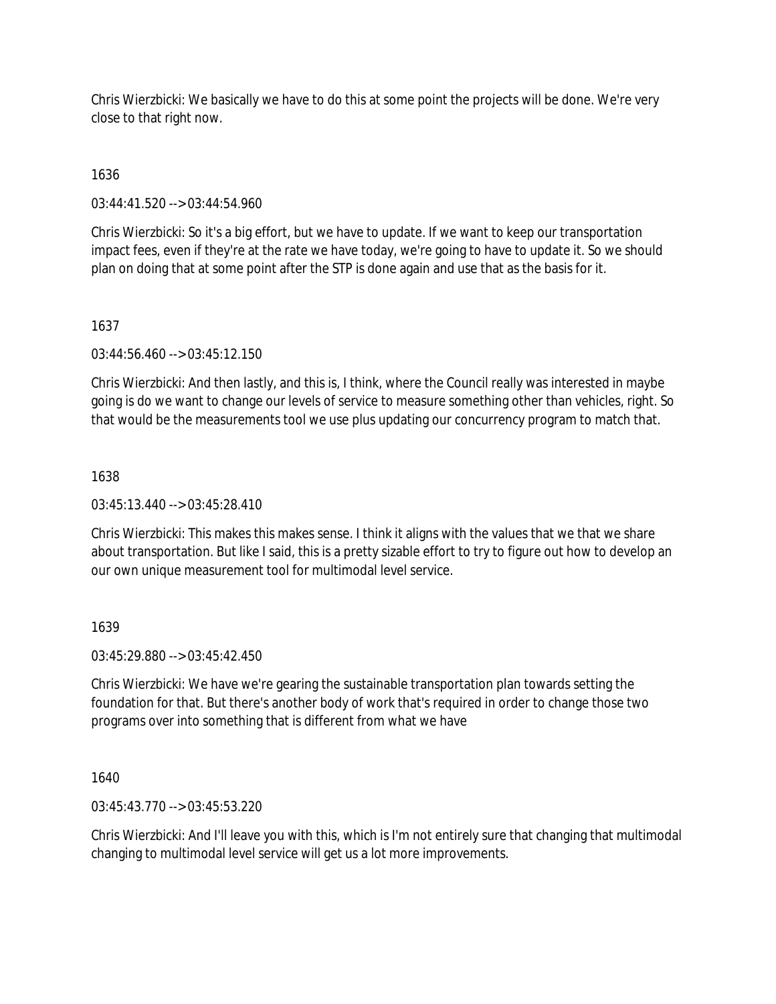Chris Wierzbicki: We basically we have to do this at some point the projects will be done. We're very close to that right now.

1636

03:44:41.520 --> 03:44:54.960

Chris Wierzbicki: So it's a big effort, but we have to update. If we want to keep our transportation impact fees, even if they're at the rate we have today, we're going to have to update it. So we should plan on doing that at some point after the STP is done again and use that as the basis for it.

## 1637

03:44:56.460 --> 03:45:12.150

Chris Wierzbicki: And then lastly, and this is, I think, where the Council really was interested in maybe going is do we want to change our levels of service to measure something other than vehicles, right. So that would be the measurements tool we use plus updating our concurrency program to match that.

## 1638

 $03:45:13.440 \rightarrow 03:45:28.410$ 

Chris Wierzbicki: This makes this makes sense. I think it aligns with the values that we that we share about transportation. But like I said, this is a pretty sizable effort to try to figure out how to develop an our own unique measurement tool for multimodal level service.

# 1639

03:45:29.880 --> 03:45:42.450

Chris Wierzbicki: We have we're gearing the sustainable transportation plan towards setting the foundation for that. But there's another body of work that's required in order to change those two programs over into something that is different from what we have

1640

03:45:43.770 --> 03:45:53.220

Chris Wierzbicki: And I'll leave you with this, which is I'm not entirely sure that changing that multimodal changing to multimodal level service will get us a lot more improvements.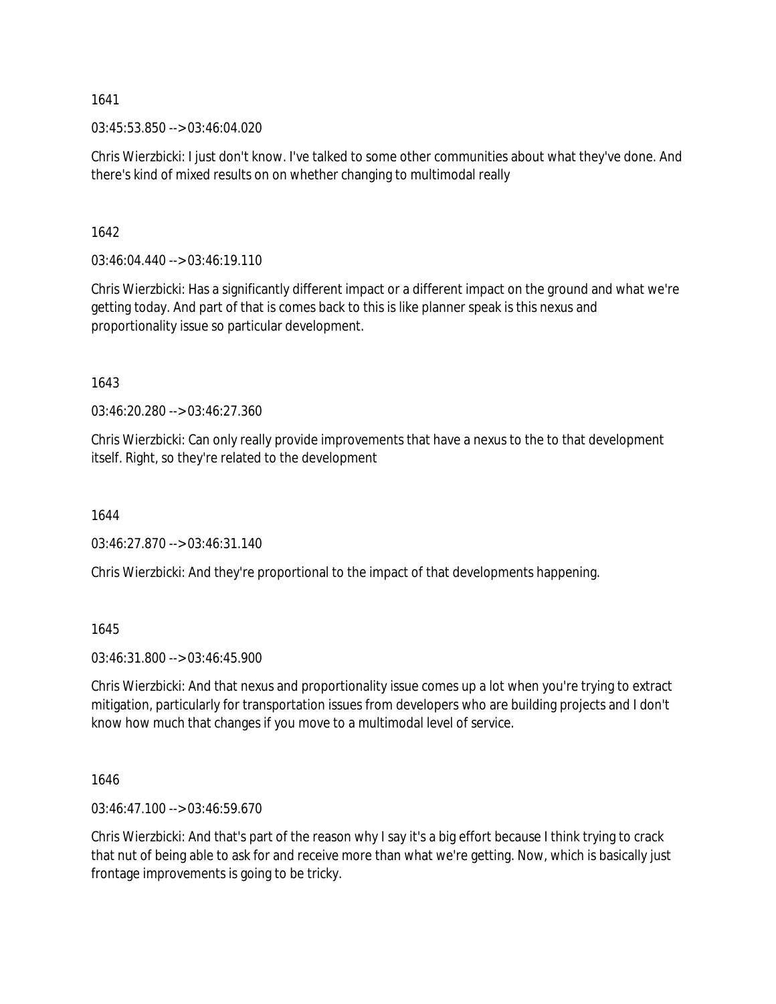03:45:53.850 --> 03:46:04.020

Chris Wierzbicki: I just don't know. I've talked to some other communities about what they've done. And there's kind of mixed results on on whether changing to multimodal really

1642

 $03:46:04.440 \rightarrow 03:46:19.110$ 

Chris Wierzbicki: Has a significantly different impact or a different impact on the ground and what we're getting today. And part of that is comes back to this is like planner speak is this nexus and proportionality issue so particular development.

1643

03:46:20.280 --> 03:46:27.360

Chris Wierzbicki: Can only really provide improvements that have a nexus to the to that development itself. Right, so they're related to the development

1644

03:46:27.870 --> 03:46:31.140

Chris Wierzbicki: And they're proportional to the impact of that developments happening.

1645

03:46:31.800 --> 03:46:45.900

Chris Wierzbicki: And that nexus and proportionality issue comes up a lot when you're trying to extract mitigation, particularly for transportation issues from developers who are building projects and I don't know how much that changes if you move to a multimodal level of service.

1646

03:46:47.100 --> 03:46:59.670

Chris Wierzbicki: And that's part of the reason why I say it's a big effort because I think trying to crack that nut of being able to ask for and receive more than what we're getting. Now, which is basically just frontage improvements is going to be tricky.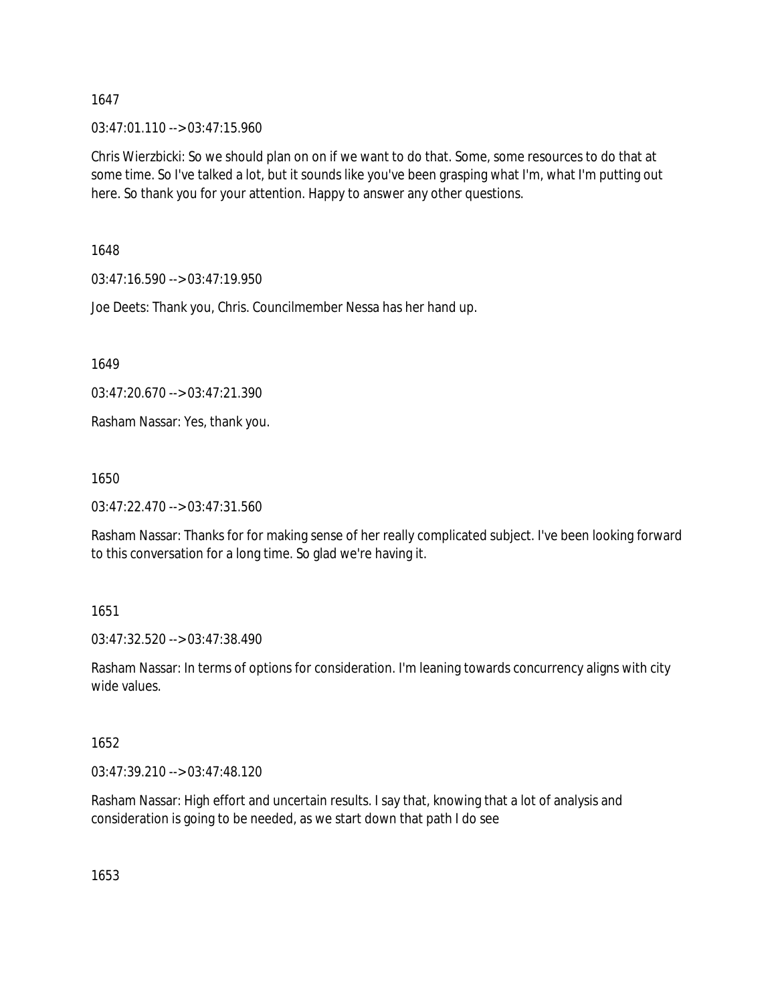$03:47:01.110 \rightarrow 03:47:15.960$ 

Chris Wierzbicki: So we should plan on on if we want to do that. Some, some resources to do that at some time. So I've talked a lot, but it sounds like you've been grasping what I'm, what I'm putting out here. So thank you for your attention. Happy to answer any other questions.

1648

03:47:16.590 --> 03:47:19.950

Joe Deets: Thank you, Chris. Councilmember Nessa has her hand up.

1649

03:47:20.670 --> 03:47:21.390

Rasham Nassar: Yes, thank you.

1650

03:47:22.470 --> 03:47:31.560

Rasham Nassar: Thanks for for making sense of her really complicated subject. I've been looking forward to this conversation for a long time. So glad we're having it.

1651

03:47:32.520 --> 03:47:38.490

Rasham Nassar: In terms of options for consideration. I'm leaning towards concurrency aligns with city wide values.

1652

03:47:39.210 --> 03:47:48.120

Rasham Nassar: High effort and uncertain results. I say that, knowing that a lot of analysis and consideration is going to be needed, as we start down that path I do see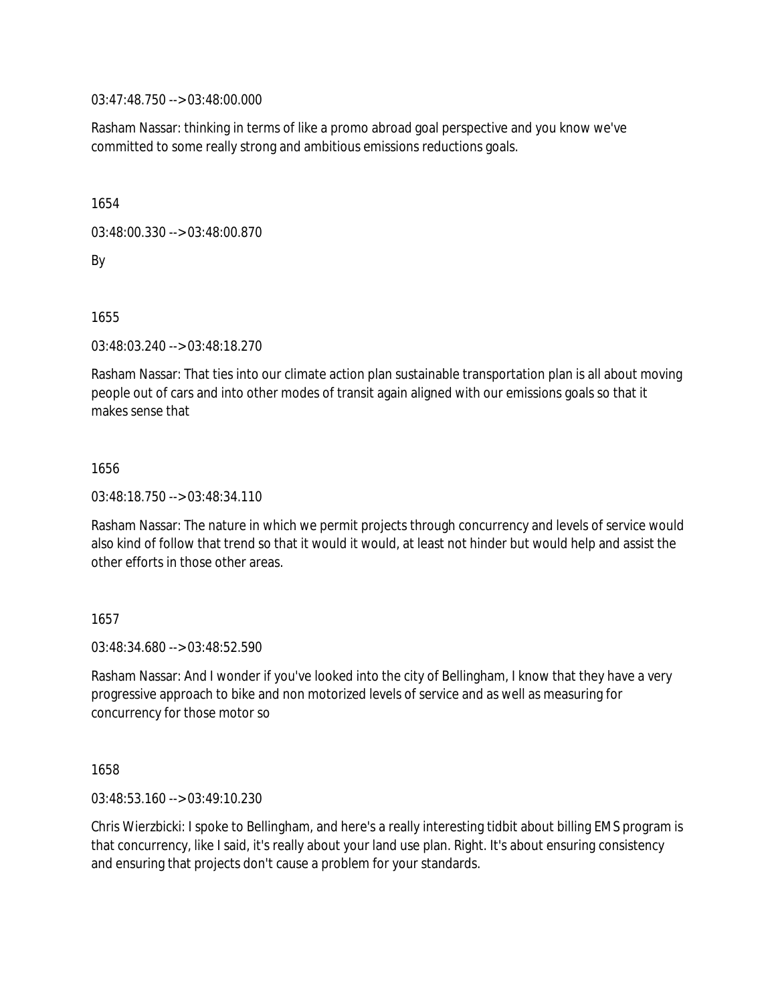03:47:48.750 --> 03:48:00.000

Rasham Nassar: thinking in terms of like a promo abroad goal perspective and you know we've committed to some really strong and ambitious emissions reductions goals.

1654

03:48:00.330 --> 03:48:00.870

By

1655

03:48:03.240 --> 03:48:18.270

Rasham Nassar: That ties into our climate action plan sustainable transportation plan is all about moving people out of cars and into other modes of transit again aligned with our emissions goals so that it makes sense that

1656

03:48:18.750 --> 03:48:34.110

Rasham Nassar: The nature in which we permit projects through concurrency and levels of service would also kind of follow that trend so that it would it would, at least not hinder but would help and assist the other efforts in those other areas.

1657

03:48:34.680 --> 03:48:52.590

Rasham Nassar: And I wonder if you've looked into the city of Bellingham, I know that they have a very progressive approach to bike and non motorized levels of service and as well as measuring for concurrency for those motor so

1658

03:48:53.160 --> 03:49:10.230

Chris Wierzbicki: I spoke to Bellingham, and here's a really interesting tidbit about billing EMS program is that concurrency, like I said, it's really about your land use plan. Right. It's about ensuring consistency and ensuring that projects don't cause a problem for your standards.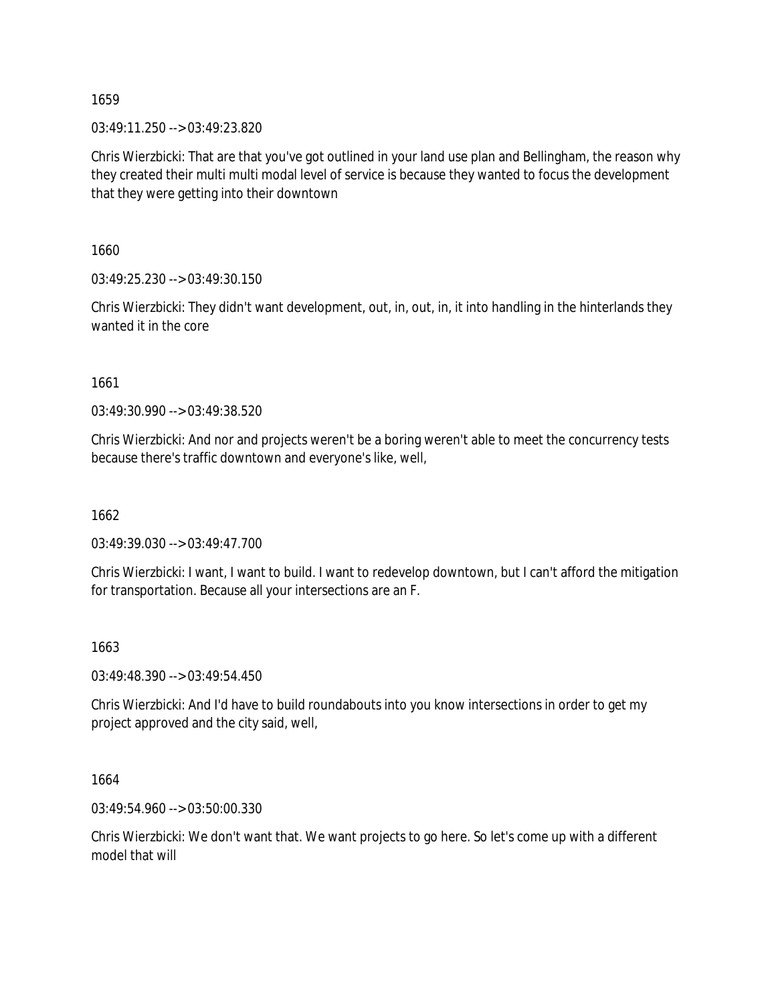03:49:11.250 --> 03:49:23.820

Chris Wierzbicki: That are that you've got outlined in your land use plan and Bellingham, the reason why they created their multi multi modal level of service is because they wanted to focus the development that they were getting into their downtown

1660

03:49:25.230 --> 03:49:30.150

Chris Wierzbicki: They didn't want development, out, in, out, in, it into handling in the hinterlands they wanted it in the core

1661

03:49:30.990 --> 03:49:38.520

Chris Wierzbicki: And nor and projects weren't be a boring weren't able to meet the concurrency tests because there's traffic downtown and everyone's like, well,

1662

03:49:39.030 --> 03:49:47.700

Chris Wierzbicki: I want, I want to build. I want to redevelop downtown, but I can't afford the mitigation for transportation. Because all your intersections are an F.

## 1663

03:49:48.390 --> 03:49:54.450

Chris Wierzbicki: And I'd have to build roundabouts into you know intersections in order to get my project approved and the city said, well,

1664

03:49:54.960 --> 03:50:00.330

Chris Wierzbicki: We don't want that. We want projects to go here. So let's come up with a different model that will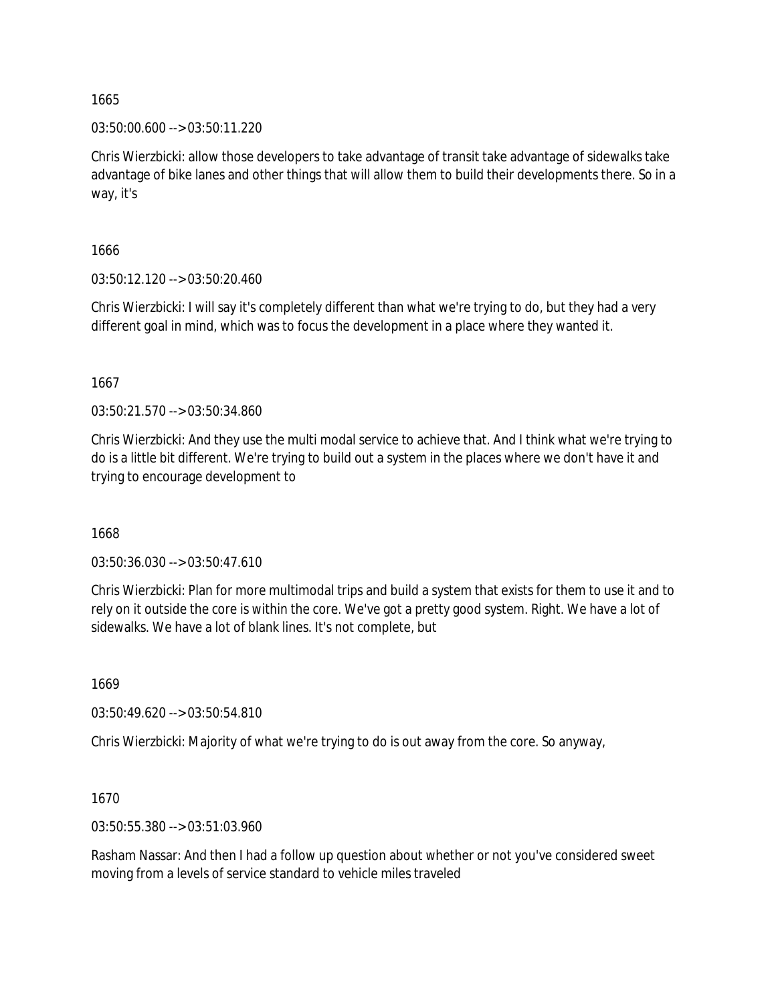03:50:00.600 --> 03:50:11.220

Chris Wierzbicki: allow those developers to take advantage of transit take advantage of sidewalks take advantage of bike lanes and other things that will allow them to build their developments there. So in a way, it's

1666

03:50:12.120 --> 03:50:20.460

Chris Wierzbicki: I will say it's completely different than what we're trying to do, but they had a very different goal in mind, which was to focus the development in a place where they wanted it.

1667

03:50:21.570 --> 03:50:34.860

Chris Wierzbicki: And they use the multi modal service to achieve that. And I think what we're trying to do is a little bit different. We're trying to build out a system in the places where we don't have it and trying to encourage development to

1668

03:50:36.030 --> 03:50:47.610

Chris Wierzbicki: Plan for more multimodal trips and build a system that exists for them to use it and to rely on it outside the core is within the core. We've got a pretty good system. Right. We have a lot of sidewalks. We have a lot of blank lines. It's not complete, but

1669

03:50:49.620 --> 03:50:54.810

Chris Wierzbicki: Majority of what we're trying to do is out away from the core. So anyway,

1670

03:50:55.380 --> 03:51:03.960

Rasham Nassar: And then I had a follow up question about whether or not you've considered sweet moving from a levels of service standard to vehicle miles traveled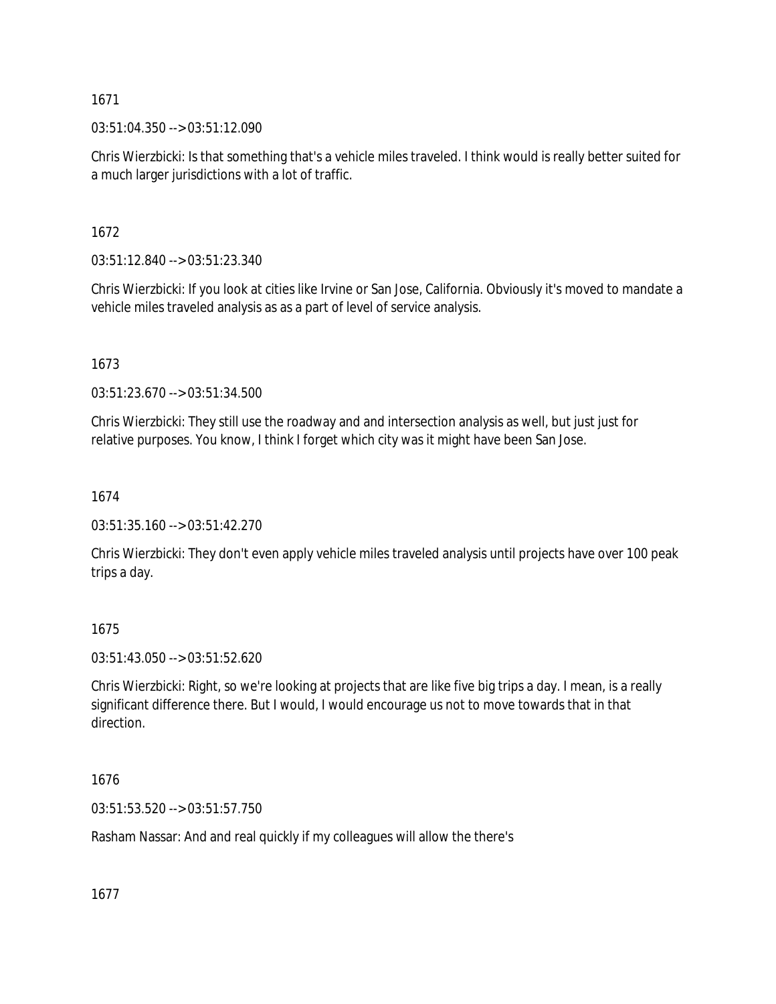$03:51:04.350 \rightarrow 03:51:12.090$ 

Chris Wierzbicki: Is that something that's a vehicle miles traveled. I think would is really better suited for a much larger jurisdictions with a lot of traffic.

1672

03:51:12.840 --> 03:51:23.340

Chris Wierzbicki: If you look at cities like Irvine or San Jose, California. Obviously it's moved to mandate a vehicle miles traveled analysis as as a part of level of service analysis.

1673

03:51:23.670 --> 03:51:34.500

Chris Wierzbicki: They still use the roadway and and intersection analysis as well, but just just for relative purposes. You know, I think I forget which city was it might have been San Jose.

1674

03:51:35.160 --> 03:51:42.270

Chris Wierzbicki: They don't even apply vehicle miles traveled analysis until projects have over 100 peak trips a day.

1675

03:51:43.050 --> 03:51:52.620

Chris Wierzbicki: Right, so we're looking at projects that are like five big trips a day. I mean, is a really significant difference there. But I would, I would encourage us not to move towards that in that direction.

1676

03:51:53.520 --> 03:51:57.750

Rasham Nassar: And and real quickly if my colleagues will allow the there's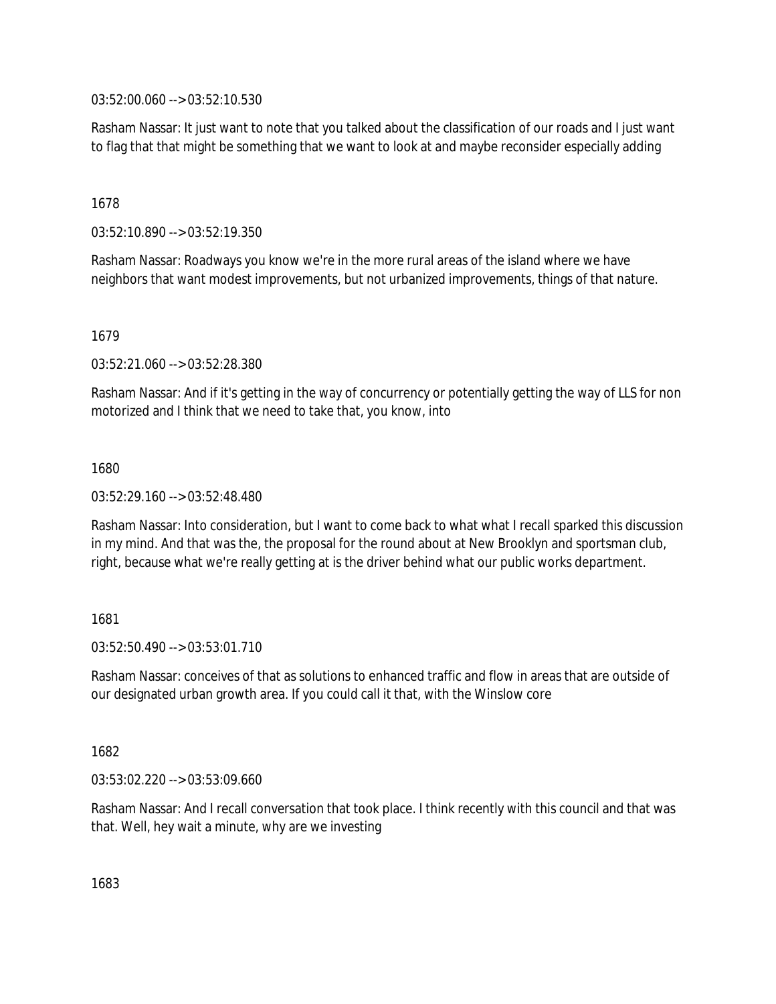03:52:00.060 --> 03:52:10.530

Rasham Nassar: It just want to note that you talked about the classification of our roads and I just want to flag that that might be something that we want to look at and maybe reconsider especially adding

1678

03:52:10.890 --> 03:52:19.350

Rasham Nassar: Roadways you know we're in the more rural areas of the island where we have neighbors that want modest improvements, but not urbanized improvements, things of that nature.

1679

03:52:21.060 --> 03:52:28.380

Rasham Nassar: And if it's getting in the way of concurrency or potentially getting the way of LLS for non motorized and I think that we need to take that, you know, into

1680

03:52:29.160 --> 03:52:48.480

Rasham Nassar: Into consideration, but I want to come back to what what I recall sparked this discussion in my mind. And that was the, the proposal for the round about at New Brooklyn and sportsman club, right, because what we're really getting at is the driver behind what our public works department.

1681

 $03:52:50.490 \rightarrow 03:53:01.710$ 

Rasham Nassar: conceives of that as solutions to enhanced traffic and flow in areas that are outside of our designated urban growth area. If you could call it that, with the Winslow core

1682

03:53:02.220 --> 03:53:09.660

Rasham Nassar: And I recall conversation that took place. I think recently with this council and that was that. Well, hey wait a minute, why are we investing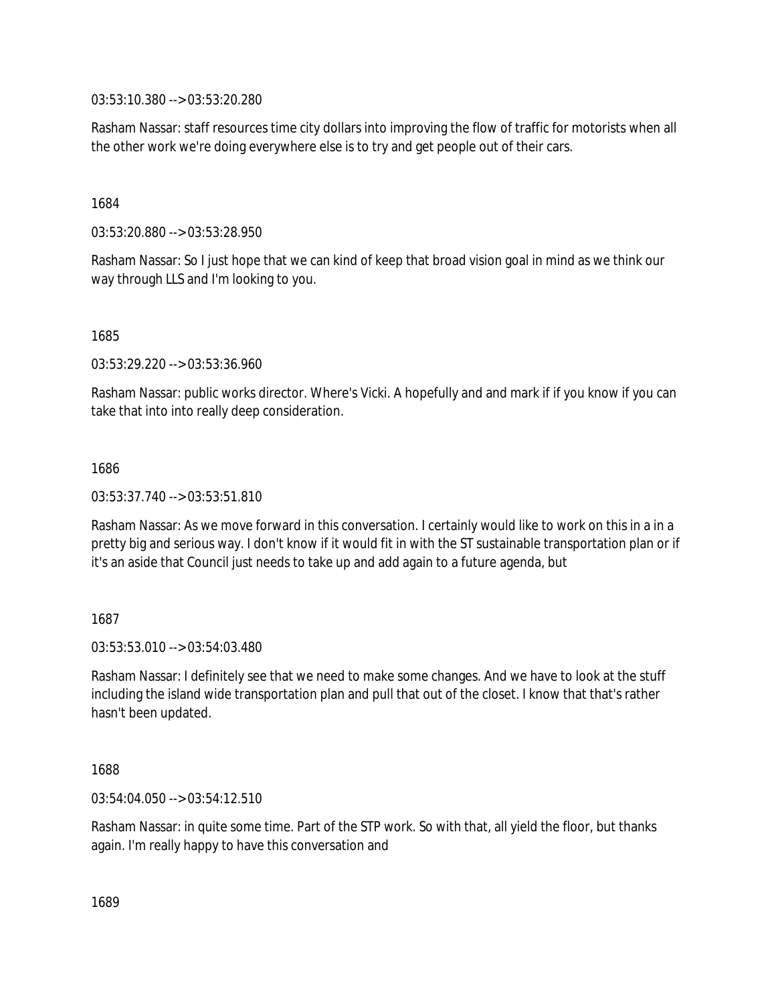03:53:10.380 --> 03:53:20.280

Rasham Nassar: staff resources time city dollars into improving the flow of traffic for motorists when all the other work we're doing everywhere else is to try and get people out of their cars.

1684

03:53:20.880 --> 03:53:28.950

Rasham Nassar: So I just hope that we can kind of keep that broad vision goal in mind as we think our way through LLS and I'm looking to you.

1685

03:53:29.220 --> 03:53:36.960

Rasham Nassar: public works director. Where's Vicki. A hopefully and and mark if if you know if you can take that into into really deep consideration.

1686

03:53:37.740 --> 03:53:51.810

Rasham Nassar: As we move forward in this conversation. I certainly would like to work on this in a in a pretty big and serious way. I don't know if it would fit in with the ST sustainable transportation plan or if it's an aside that Council just needs to take up and add again to a future agenda, but

1687

03:53:53.010 --> 03:54:03.480

Rasham Nassar: I definitely see that we need to make some changes. And we have to look at the stuff including the island wide transportation plan and pull that out of the closet. I know that that's rather hasn't been updated.

1688

03:54:04.050 --> 03:54:12.510

Rasham Nassar: in quite some time. Part of the STP work. So with that, all yield the floor, but thanks again. I'm really happy to have this conversation and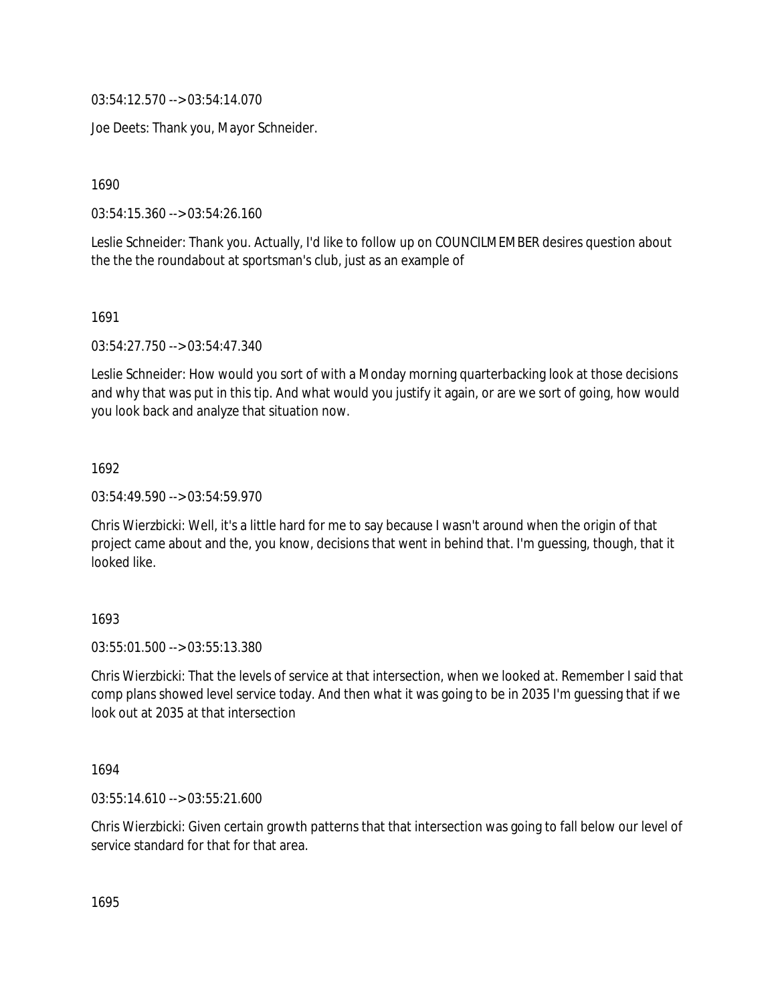03:54:12.570 --> 03:54:14.070

Joe Deets: Thank you, Mayor Schneider.

1690

03:54:15.360 --> 03:54:26.160

Leslie Schneider: Thank you. Actually, I'd like to follow up on COUNCILMEMBER desires question about the the the roundabout at sportsman's club, just as an example of

1691

03:54:27.750 --> 03:54:47.340

Leslie Schneider: How would you sort of with a Monday morning quarterbacking look at those decisions and why that was put in this tip. And what would you justify it again, or are we sort of going, how would you look back and analyze that situation now.

1692

03:54:49.590 --> 03:54:59.970

Chris Wierzbicki: Well, it's a little hard for me to say because I wasn't around when the origin of that project came about and the, you know, decisions that went in behind that. I'm guessing, though, that it looked like.

## 1693

03:55:01.500 --> 03:55:13.380

Chris Wierzbicki: That the levels of service at that intersection, when we looked at. Remember I said that comp plans showed level service today. And then what it was going to be in 2035 I'm guessing that if we look out at 2035 at that intersection

1694

03:55:14.610 --> 03:55:21.600

Chris Wierzbicki: Given certain growth patterns that that intersection was going to fall below our level of service standard for that for that area.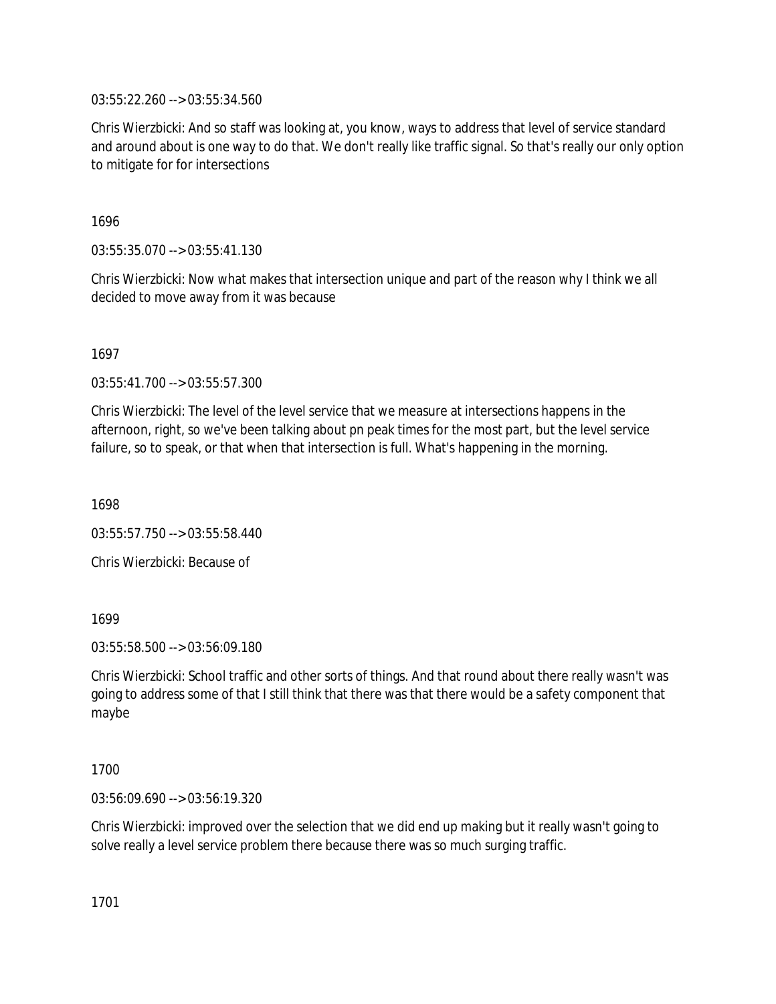03:55:22.260 --> 03:55:34.560

Chris Wierzbicki: And so staff was looking at, you know, ways to address that level of service standard and around about is one way to do that. We don't really like traffic signal. So that's really our only option to mitigate for for intersections

1696

03:55:35.070 --> 03:55:41.130

Chris Wierzbicki: Now what makes that intersection unique and part of the reason why I think we all decided to move away from it was because

1697

03:55:41.700 --> 03:55:57.300

Chris Wierzbicki: The level of the level service that we measure at intersections happens in the afternoon, right, so we've been talking about pn peak times for the most part, but the level service failure, so to speak, or that when that intersection is full. What's happening in the morning.

1698

03:55:57.750 --> 03:55:58.440

Chris Wierzbicki: Because of

1699

03:55:58.500 --> 03:56:09.180

Chris Wierzbicki: School traffic and other sorts of things. And that round about there really wasn't was going to address some of that I still think that there was that there would be a safety component that maybe

1700

03:56:09.690 --> 03:56:19.320

Chris Wierzbicki: improved over the selection that we did end up making but it really wasn't going to solve really a level service problem there because there was so much surging traffic.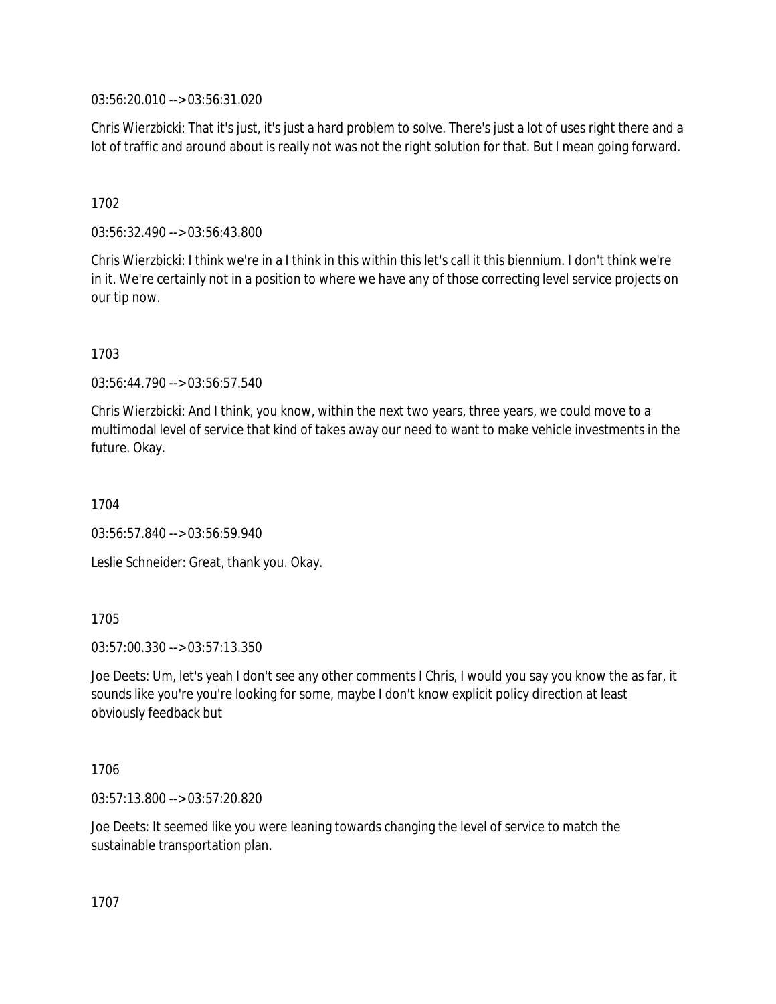03:56:20.010 --> 03:56:31.020

Chris Wierzbicki: That it's just, it's just a hard problem to solve. There's just a lot of uses right there and a lot of traffic and around about is really not was not the right solution for that. But I mean going forward.

## 1702

03:56:32.490 --> 03:56:43.800

Chris Wierzbicki: I think we're in a I think in this within this let's call it this biennium. I don't think we're in it. We're certainly not in a position to where we have any of those correcting level service projects on our tip now.

## 1703

03:56:44.790 --> 03:56:57.540

Chris Wierzbicki: And I think, you know, within the next two years, three years, we could move to a multimodal level of service that kind of takes away our need to want to make vehicle investments in the future. Okay.

1704

03:56:57.840 --> 03:56:59.940

Leslie Schneider: Great, thank you. Okay.

## 1705

03:57:00.330 --> 03:57:13.350

Joe Deets: Um, let's yeah I don't see any other comments I Chris, I would you say you know the as far, it sounds like you're you're looking for some, maybe I don't know explicit policy direction at least obviously feedback but

## 1706

03:57:13.800 --> 03:57:20.820

Joe Deets: It seemed like you were leaning towards changing the level of service to match the sustainable transportation plan.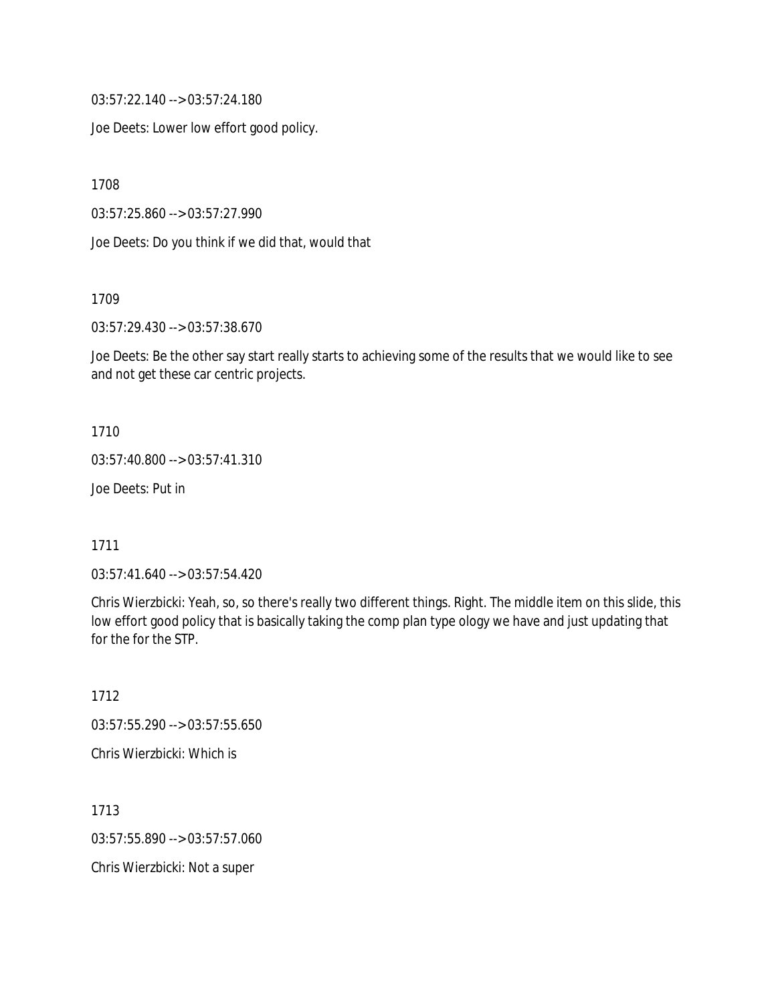03:57:22.140 --> 03:57:24.180

Joe Deets: Lower low effort good policy.

1708

03:57:25.860 --> 03:57:27.990

Joe Deets: Do you think if we did that, would that

1709

03:57:29.430 --> 03:57:38.670

Joe Deets: Be the other say start really starts to achieving some of the results that we would like to see and not get these car centric projects.

1710

03:57:40.800 --> 03:57:41.310

Joe Deets: Put in

1711

03:57:41.640 --> 03:57:54.420

Chris Wierzbicki: Yeah, so, so there's really two different things. Right. The middle item on this slide, this low effort good policy that is basically taking the comp plan type ology we have and just updating that for the for the STP.

1712 03:57:55.290 --> 03:57:55.650 Chris Wierzbicki: Which is

1713 03:57:55.890 --> 03:57:57.060 Chris Wierzbicki: Not a super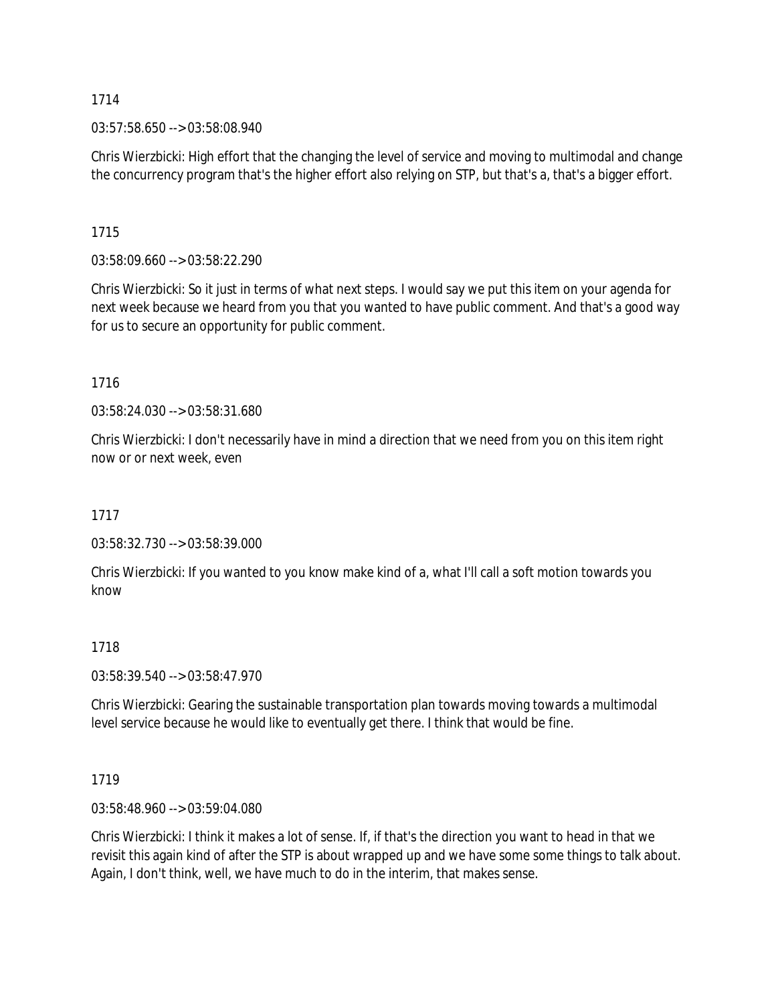03:57:58.650 --> 03:58:08.940

Chris Wierzbicki: High effort that the changing the level of service and moving to multimodal and change the concurrency program that's the higher effort also relying on STP, but that's a, that's a bigger effort.

1715

03:58:09.660 --> 03:58:22.290

Chris Wierzbicki: So it just in terms of what next steps. I would say we put this item on your agenda for next week because we heard from you that you wanted to have public comment. And that's a good way for us to secure an opportunity for public comment.

1716

03:58:24.030 --> 03:58:31.680

Chris Wierzbicki: I don't necessarily have in mind a direction that we need from you on this item right now or or next week, even

1717

03:58:32.730 --> 03:58:39.000

Chris Wierzbicki: If you wanted to you know make kind of a, what I'll call a soft motion towards you know

# 1718

03:58:39.540 --> 03:58:47.970

Chris Wierzbicki: Gearing the sustainable transportation plan towards moving towards a multimodal level service because he would like to eventually get there. I think that would be fine.

1719

03:58:48.960 --> 03:59:04.080

Chris Wierzbicki: I think it makes a lot of sense. If, if that's the direction you want to head in that we revisit this again kind of after the STP is about wrapped up and we have some some things to talk about. Again, I don't think, well, we have much to do in the interim, that makes sense.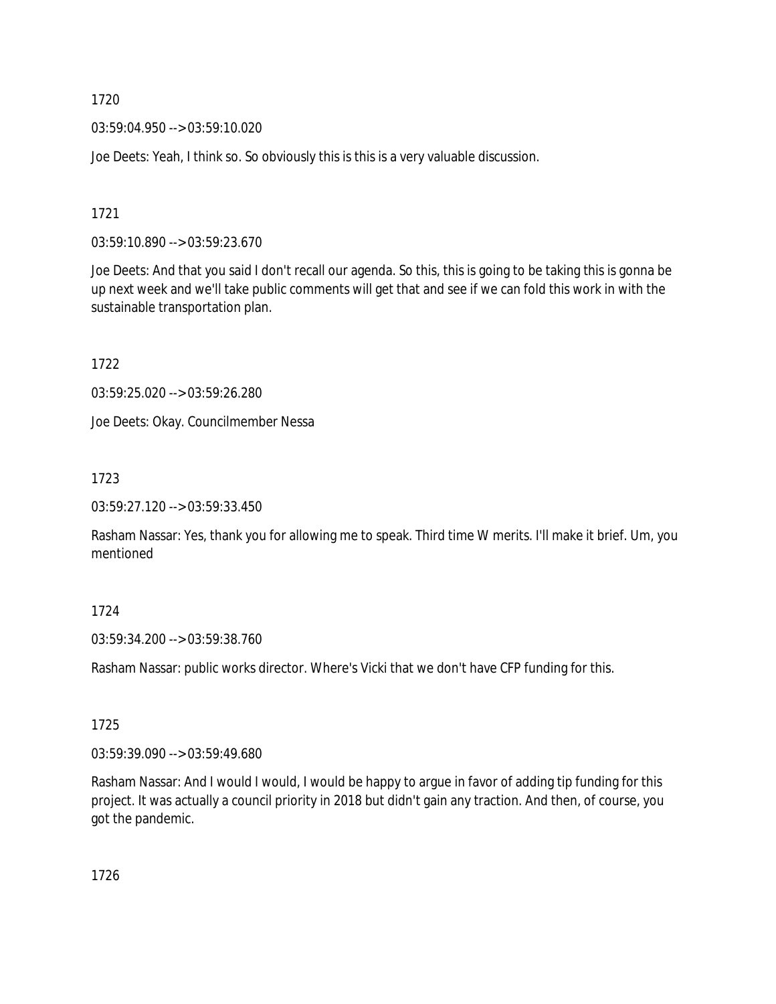03:59:04.950 --> 03:59:10.020

Joe Deets: Yeah, I think so. So obviously this is this is a very valuable discussion.

1721

03:59:10.890 --> 03:59:23.670

Joe Deets: And that you said I don't recall our agenda. So this, this is going to be taking this is gonna be up next week and we'll take public comments will get that and see if we can fold this work in with the sustainable transportation plan.

1722

03:59:25.020 --> 03:59:26.280

Joe Deets: Okay. Councilmember Nessa

1723

03:59:27.120 --> 03:59:33.450

Rasham Nassar: Yes, thank you for allowing me to speak. Third time W merits. I'll make it brief. Um, you mentioned

## 1724

03:59:34.200 --> 03:59:38.760

Rasham Nassar: public works director. Where's Vicki that we don't have CFP funding for this.

## 1725

03:59:39.090 --> 03:59:49.680

Rasham Nassar: And I would I would, I would be happy to argue in favor of adding tip funding for this project. It was actually a council priority in 2018 but didn't gain any traction. And then, of course, you got the pandemic.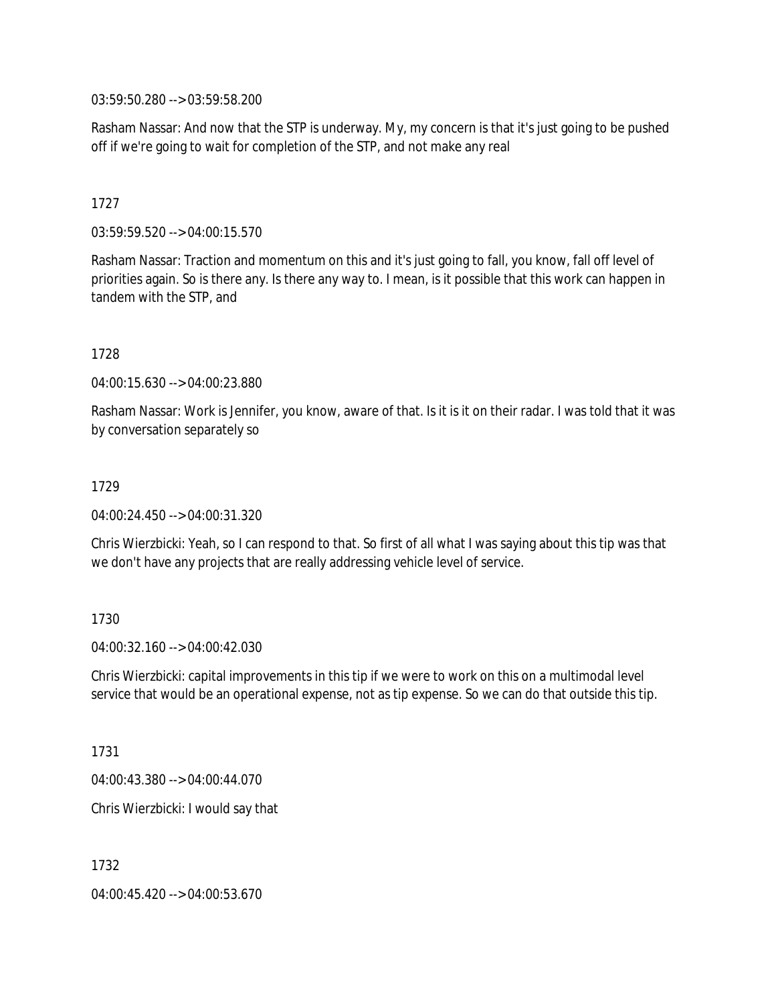03:59:50.280 --> 03:59:58.200

Rasham Nassar: And now that the STP is underway. My, my concern is that it's just going to be pushed off if we're going to wait for completion of the STP, and not make any real

## 1727

03:59:59.520 --> 04:00:15.570

Rasham Nassar: Traction and momentum on this and it's just going to fall, you know, fall off level of priorities again. So is there any. Is there any way to. I mean, is it possible that this work can happen in tandem with the STP, and

1728

04:00:15.630 --> 04:00:23.880

Rasham Nassar: Work is Jennifer, you know, aware of that. Is it is it on their radar. I was told that it was by conversation separately so

#### 1729

04:00:24.450 --> 04:00:31.320

Chris Wierzbicki: Yeah, so I can respond to that. So first of all what I was saying about this tip was that we don't have any projects that are really addressing vehicle level of service.

## 1730

 $04.00.32.160 -> 04.00.42.030$ 

Chris Wierzbicki: capital improvements in this tip if we were to work on this on a multimodal level service that would be an operational expense, not as tip expense. So we can do that outside this tip.

1731

04:00:43.380 --> 04:00:44.070

Chris Wierzbicki: I would say that

1732

04:00:45.420 --> 04:00:53.670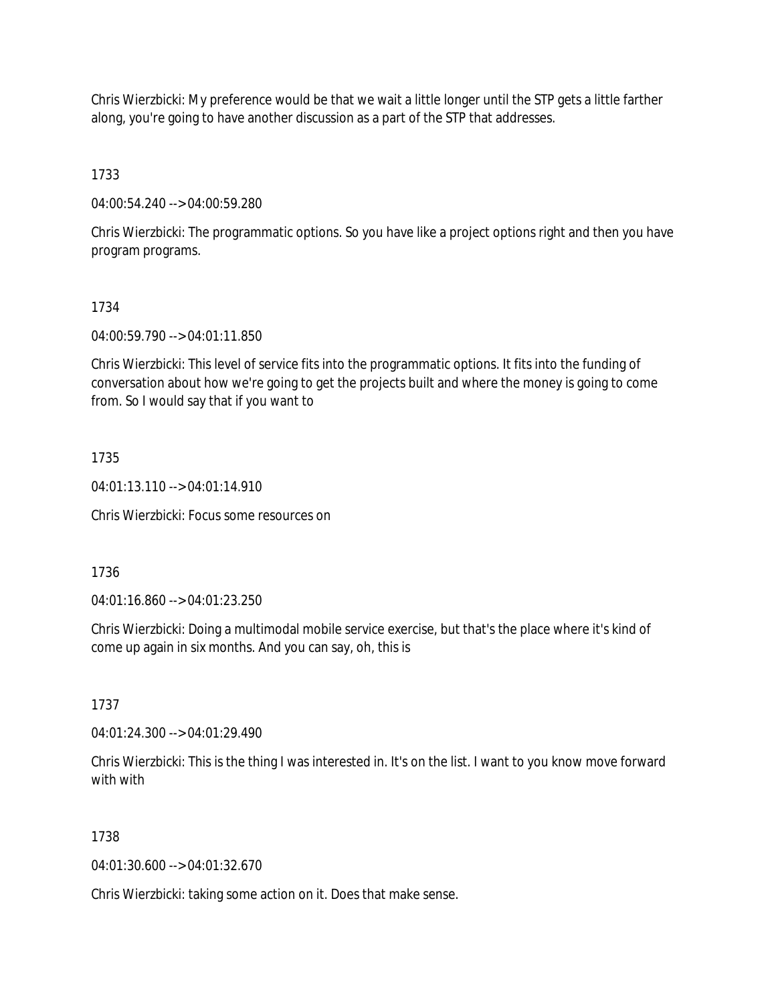Chris Wierzbicki: My preference would be that we wait a little longer until the STP gets a little farther along, you're going to have another discussion as a part of the STP that addresses.

1733

04:00:54.240 --> 04:00:59.280

Chris Wierzbicki: The programmatic options. So you have like a project options right and then you have program programs.

## 1734

04:00:59.790 --> 04:01:11.850

Chris Wierzbicki: This level of service fits into the programmatic options. It fits into the funding of conversation about how we're going to get the projects built and where the money is going to come from. So I would say that if you want to

## 1735

04:01:13.110 --> 04:01:14.910

Chris Wierzbicki: Focus some resources on

1736

04:01:16.860 --> 04:01:23.250

Chris Wierzbicki: Doing a multimodal mobile service exercise, but that's the place where it's kind of come up again in six months. And you can say, oh, this is

1737

04:01:24.300 --> 04:01:29.490

Chris Wierzbicki: This is the thing I was interested in. It's on the list. I want to you know move forward with with

# 1738

04:01:30.600 --> 04:01:32.670

Chris Wierzbicki: taking some action on it. Does that make sense.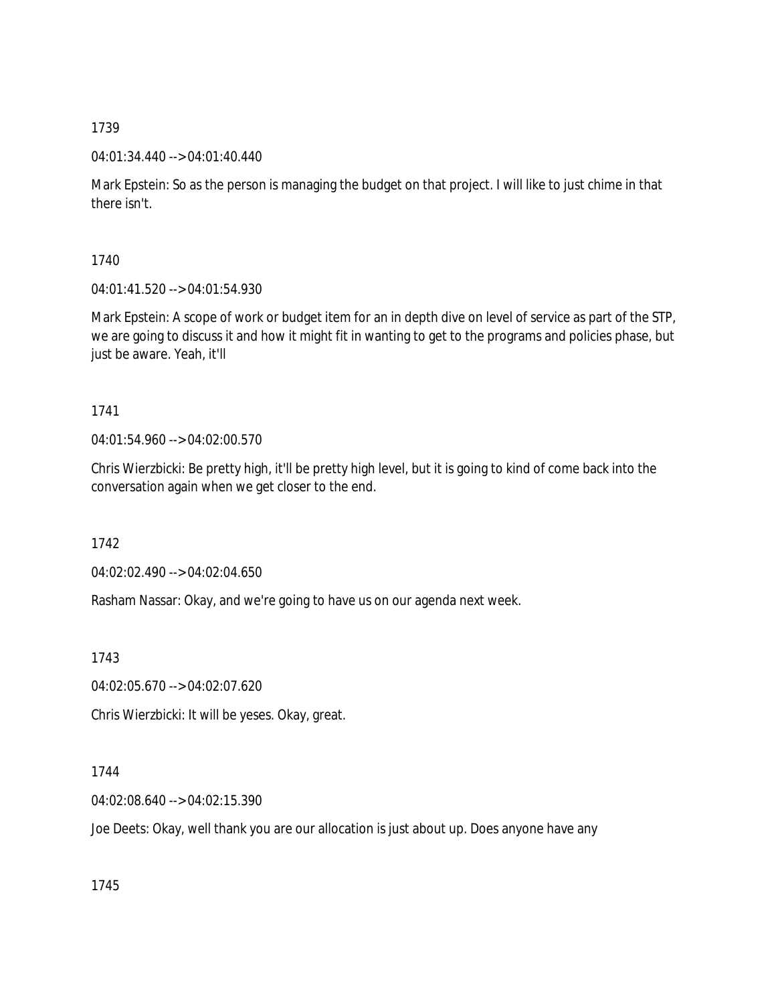## 04:01:34.440 --> 04:01:40.440

Mark Epstein: So as the person is managing the budget on that project. I will like to just chime in that there isn't.

1740

04:01:41.520 --> 04:01:54.930

Mark Epstein: A scope of work or budget item for an in depth dive on level of service as part of the STP, we are going to discuss it and how it might fit in wanting to get to the programs and policies phase, but just be aware. Yeah, it'll

# 1741

04:01:54.960 --> 04:02:00.570

Chris Wierzbicki: Be pretty high, it'll be pretty high level, but it is going to kind of come back into the conversation again when we get closer to the end.

1742

04:02:02.490 --> 04:02:04.650

Rasham Nassar: Okay, and we're going to have us on our agenda next week.

1743

04:02:05.670 --> 04:02:07.620

Chris Wierzbicki: It will be yeses. Okay, great.

# 1744

04:02:08.640 --> 04:02:15.390

Joe Deets: Okay, well thank you are our allocation is just about up. Does anyone have any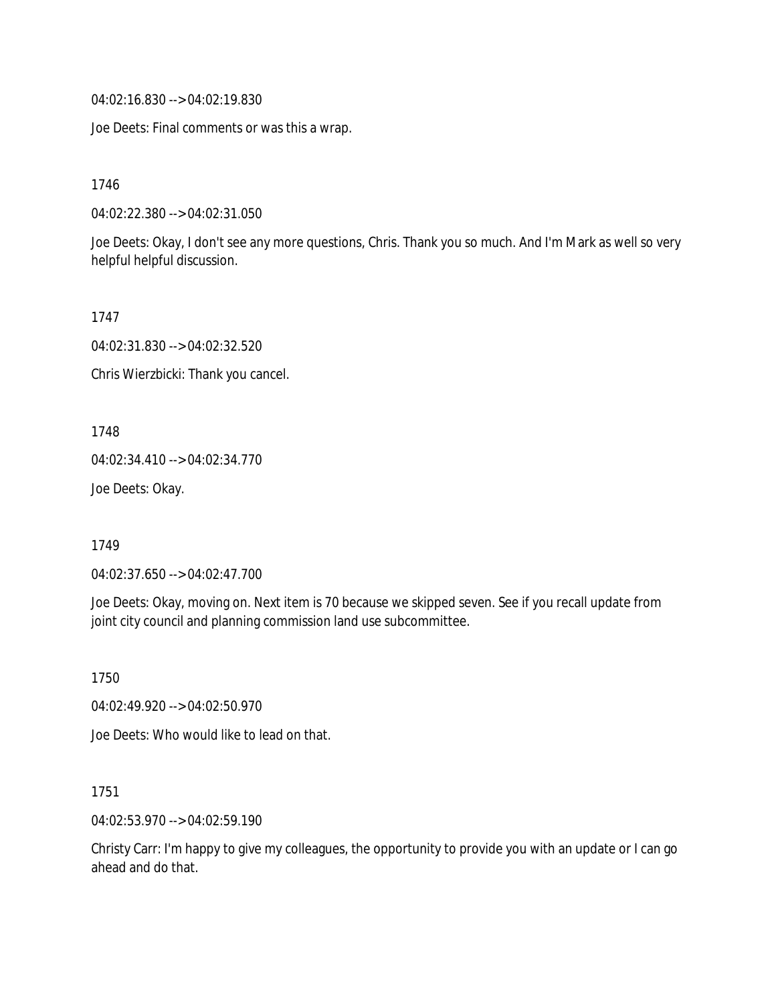04:02:16.830 --> 04:02:19.830

Joe Deets: Final comments or was this a wrap.

1746

04:02:22.380 --> 04:02:31.050

Joe Deets: Okay, I don't see any more questions, Chris. Thank you so much. And I'm Mark as well so very helpful helpful discussion.

1747

04:02:31.830 --> 04:02:32.520

Chris Wierzbicki: Thank you cancel.

1748

04:02:34.410 --> 04:02:34.770

Joe Deets: Okay.

1749

04:02:37.650 --> 04:02:47.700

Joe Deets: Okay, moving on. Next item is 70 because we skipped seven. See if you recall update from joint city council and planning commission land use subcommittee.

1750

04:02:49.920 --> 04:02:50.970

Joe Deets: Who would like to lead on that.

1751

04:02:53.970 --> 04:02:59.190

Christy Carr: I'm happy to give my colleagues, the opportunity to provide you with an update or I can go ahead and do that.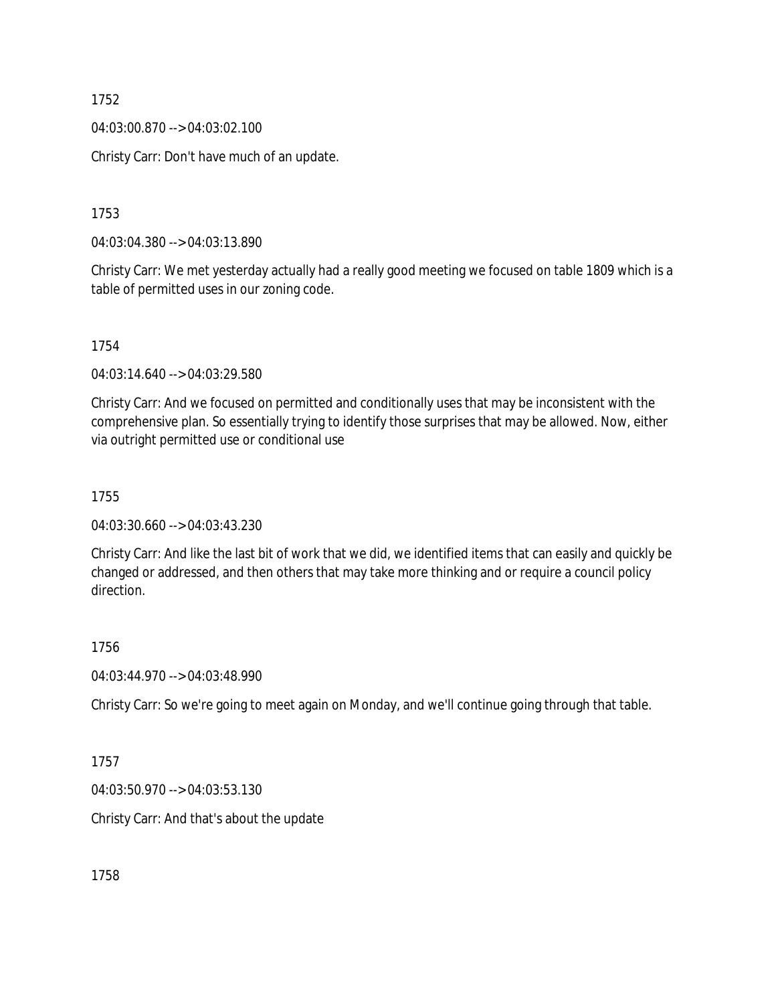04:03:00.870 --> 04:03:02.100

Christy Carr: Don't have much of an update.

1753

04:03:04.380 --> 04:03:13.890

Christy Carr: We met yesterday actually had a really good meeting we focused on table 1809 which is a table of permitted uses in our zoning code.

1754

04:03:14.640 --> 04:03:29.580

Christy Carr: And we focused on permitted and conditionally uses that may be inconsistent with the comprehensive plan. So essentially trying to identify those surprises that may be allowed. Now, either via outright permitted use or conditional use

1755

04:03:30.660 --> 04:03:43.230

Christy Carr: And like the last bit of work that we did, we identified items that can easily and quickly be changed or addressed, and then others that may take more thinking and or require a council policy direction.

1756

04:03:44.970 --> 04:03:48.990

Christy Carr: So we're going to meet again on Monday, and we'll continue going through that table.

1757

04:03:50.970 --> 04:03:53.130

Christy Carr: And that's about the update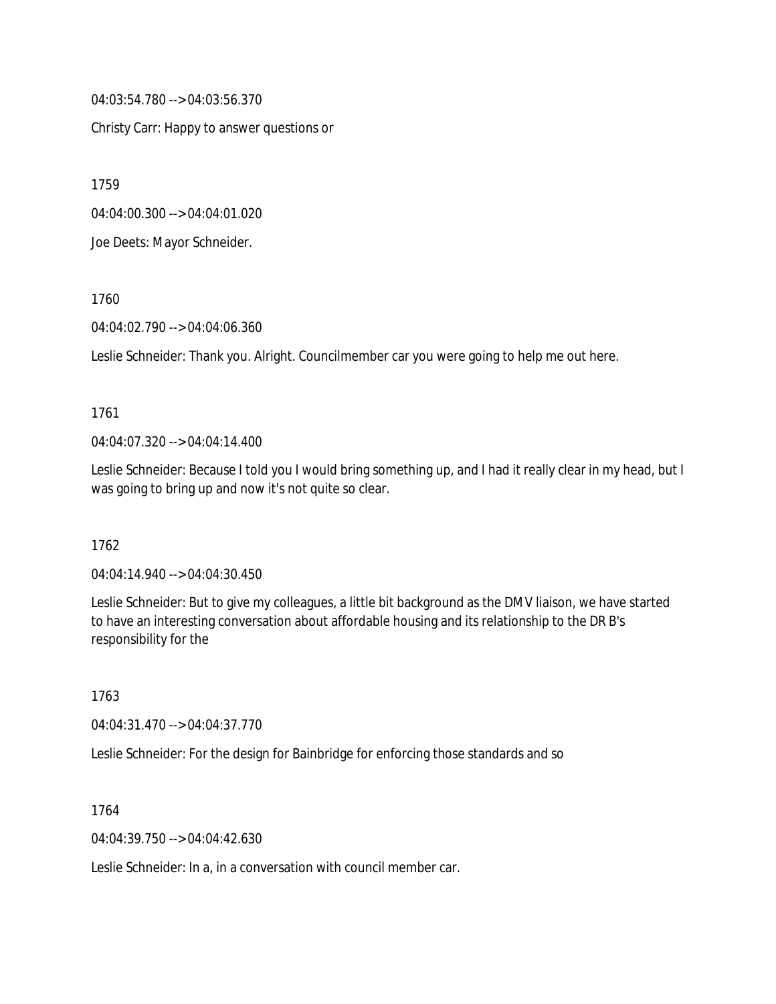04:03:54.780 --> 04:03:56.370

Christy Carr: Happy to answer questions or

1759

04:04:00.300 --> 04:04:01.020

Joe Deets: Mayor Schneider.

1760

04:04:02.790 --> 04:04:06.360

Leslie Schneider: Thank you. Alright. Councilmember car you were going to help me out here.

#### 1761

04:04:07.320 --> 04:04:14.400

Leslie Schneider: Because I told you I would bring something up, and I had it really clear in my head, but I was going to bring up and now it's not quite so clear.

## 1762

04:04:14.940 --> 04:04:30.450

Leslie Schneider: But to give my colleagues, a little bit background as the DMV liaison, we have started to have an interesting conversation about affordable housing and its relationship to the DR B's responsibility for the

1763

04:04:31.470 --> 04:04:37.770

Leslie Schneider: For the design for Bainbridge for enforcing those standards and so

1764

04:04:39.750 --> 04:04:42.630

Leslie Schneider: In a, in a conversation with council member car.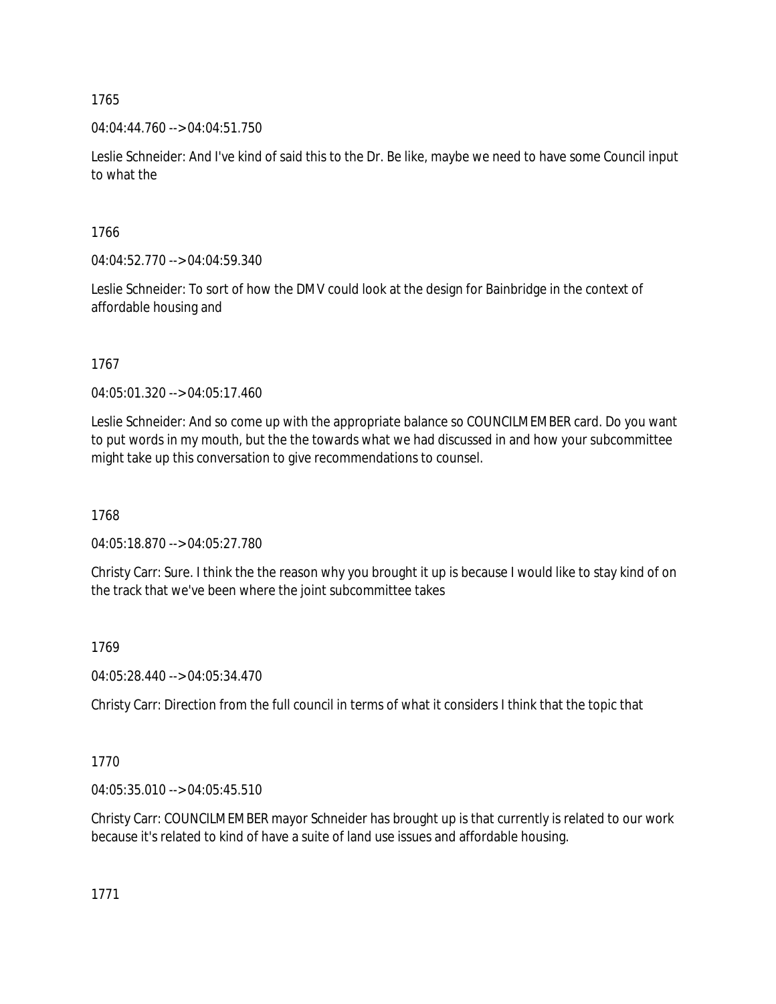04:04:44.760 --> 04:04:51.750

Leslie Schneider: And I've kind of said this to the Dr. Be like, maybe we need to have some Council input to what the

1766

04:04:52.770 --> 04:04:59.340

Leslie Schneider: To sort of how the DMV could look at the design for Bainbridge in the context of affordable housing and

1767

04:05:01.320 --> 04:05:17.460

Leslie Schneider: And so come up with the appropriate balance so COUNCILMEMBER card. Do you want to put words in my mouth, but the the towards what we had discussed in and how your subcommittee might take up this conversation to give recommendations to counsel.

1768

04:05:18.870 --> 04:05:27.780

Christy Carr: Sure. I think the the reason why you brought it up is because I would like to stay kind of on the track that we've been where the joint subcommittee takes

1769

04:05:28.440 --> 04:05:34.470

Christy Carr: Direction from the full council in terms of what it considers I think that the topic that

1770

04:05:35.010 --> 04:05:45.510

Christy Carr: COUNCILMEMBER mayor Schneider has brought up is that currently is related to our work because it's related to kind of have a suite of land use issues and affordable housing.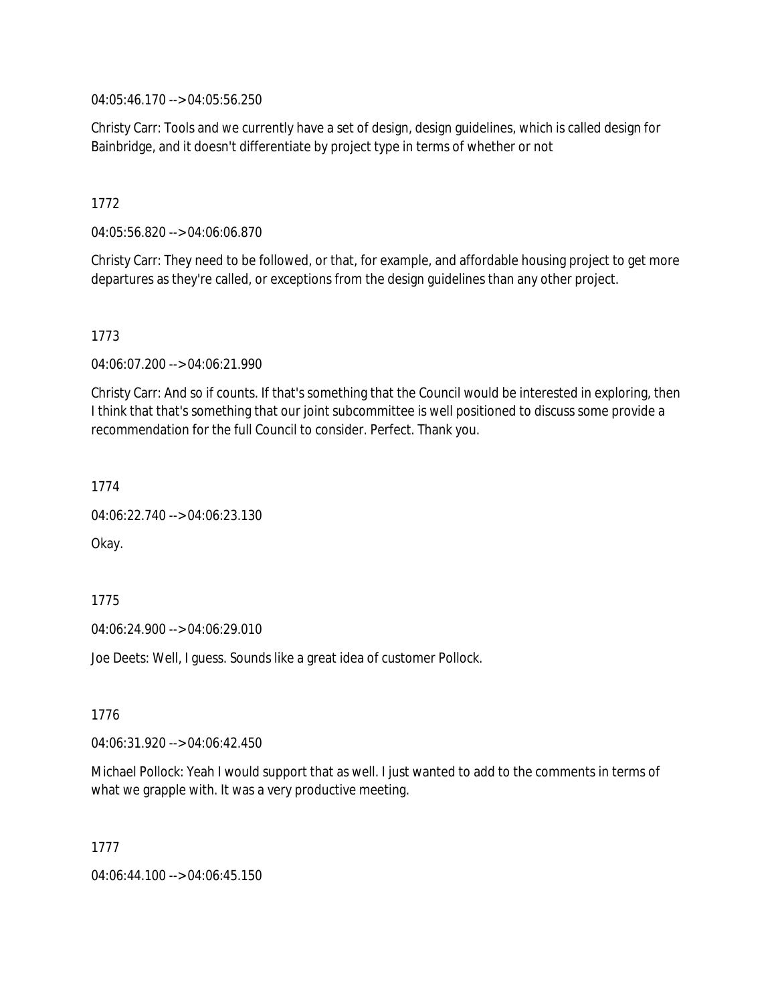04:05:46.170 --> 04:05:56.250

Christy Carr: Tools and we currently have a set of design, design guidelines, which is called design for Bainbridge, and it doesn't differentiate by project type in terms of whether or not

## 1772

04:05:56.820 --> 04:06:06.870

Christy Carr: They need to be followed, or that, for example, and affordable housing project to get more departures as they're called, or exceptions from the design guidelines than any other project.

## 1773

04:06:07.200 --> 04:06:21.990

Christy Carr: And so if counts. If that's something that the Council would be interested in exploring, then I think that that's something that our joint subcommittee is well positioned to discuss some provide a recommendation for the full Council to consider. Perfect. Thank you.

1774

```
04:06:22.740 --> 04:06:23.130
```
Okay.

1775

04:06:24.900 --> 04:06:29.010

Joe Deets: Well, I guess. Sounds like a great idea of customer Pollock.

1776

04:06:31.920 --> 04:06:42.450

Michael Pollock: Yeah I would support that as well. I just wanted to add to the comments in terms of what we grapple with. It was a very productive meeting.

1777

04:06:44.100 --> 04:06:45.150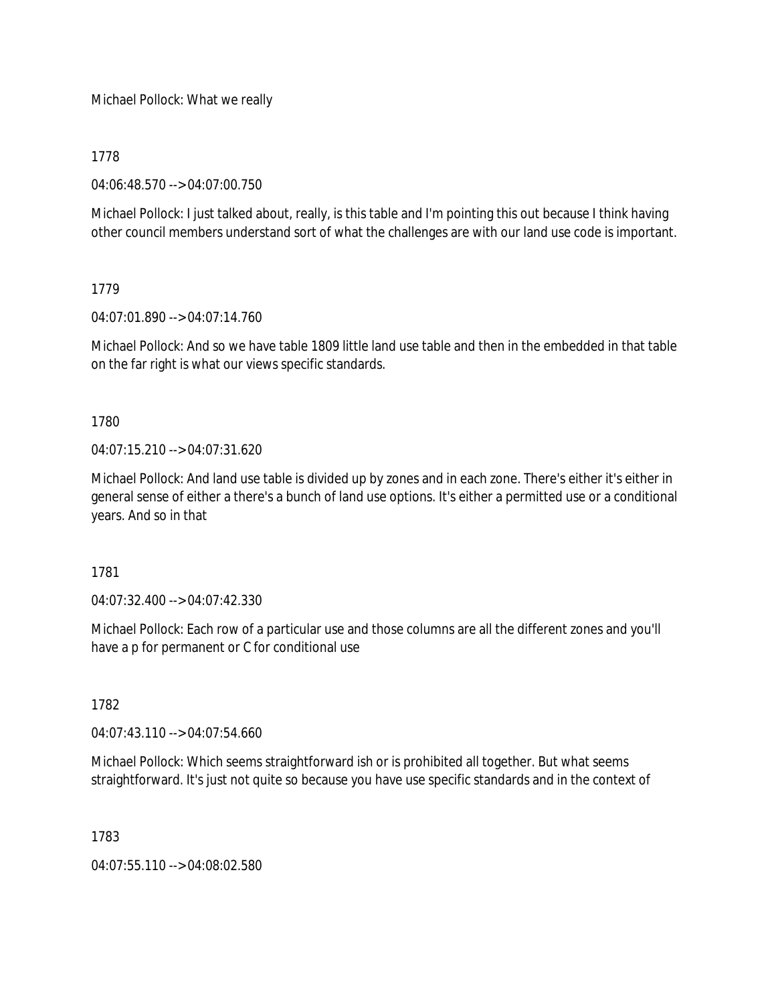Michael Pollock: What we really

## 1778

04:06:48.570 --> 04:07:00.750

Michael Pollock: I just talked about, really, is this table and I'm pointing this out because I think having other council members understand sort of what the challenges are with our land use code is important.

## 1779

04:07:01.890 --> 04:07:14.760

Michael Pollock: And so we have table 1809 little land use table and then in the embedded in that table on the far right is what our views specific standards.

1780

04:07:15.210 --> 04:07:31.620

Michael Pollock: And land use table is divided up by zones and in each zone. There's either it's either in general sense of either a there's a bunch of land use options. It's either a permitted use or a conditional years. And so in that

1781

04:07:32.400 --> 04:07:42.330

Michael Pollock: Each row of a particular use and those columns are all the different zones and you'll have a p for permanent or C for conditional use

1782

04:07:43.110 --> 04:07:54.660

Michael Pollock: Which seems straightforward ish or is prohibited all together. But what seems straightforward. It's just not quite so because you have use specific standards and in the context of

1783

04:07:55.110 --> 04:08:02.580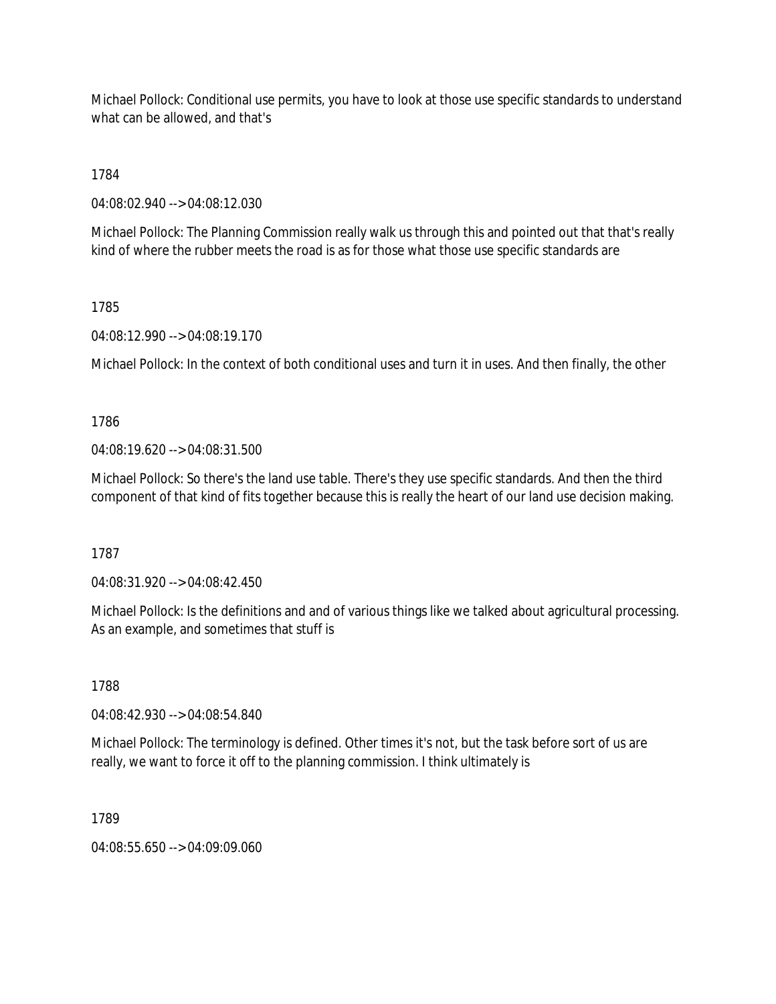Michael Pollock: Conditional use permits, you have to look at those use specific standards to understand what can be allowed, and that's

1784

04:08:02.940 --> 04:08:12.030

Michael Pollock: The Planning Commission really walk us through this and pointed out that that's really kind of where the rubber meets the road is as for those what those use specific standards are

## 1785

04:08:12.990 --> 04:08:19.170

Michael Pollock: In the context of both conditional uses and turn it in uses. And then finally, the other

1786

04:08:19.620 --> 04:08:31.500

Michael Pollock: So there's the land use table. There's they use specific standards. And then the third component of that kind of fits together because this is really the heart of our land use decision making.

1787

04:08:31.920 --> 04:08:42.450

Michael Pollock: Is the definitions and and of various things like we talked about agricultural processing. As an example, and sometimes that stuff is

1788

04:08:42.930 --> 04:08:54.840

Michael Pollock: The terminology is defined. Other times it's not, but the task before sort of us are really, we want to force it off to the planning commission. I think ultimately is

1789

04:08:55.650 --> 04:09:09.060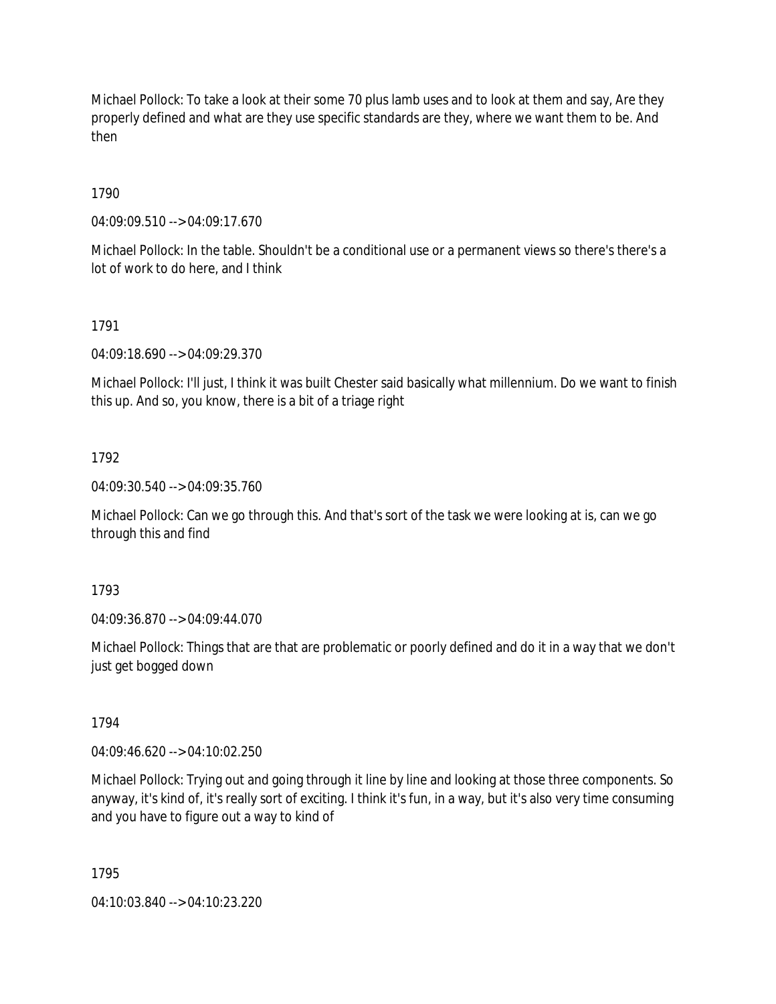Michael Pollock: To take a look at their some 70 plus lamb uses and to look at them and say, Are they properly defined and what are they use specific standards are they, where we want them to be. And then

## 1790

04:09:09.510 --> 04:09:17.670

Michael Pollock: In the table. Shouldn't be a conditional use or a permanent views so there's there's a lot of work to do here, and I think

## 1791

04:09:18.690 --> 04:09:29.370

Michael Pollock: I'll just, I think it was built Chester said basically what millennium. Do we want to finish this up. And so, you know, there is a bit of a triage right

## 1792

04:09:30.540 --> 04:09:35.760

Michael Pollock: Can we go through this. And that's sort of the task we were looking at is, can we go through this and find

## 1793

04:09:36.870 --> 04:09:44.070

Michael Pollock: Things that are that are problematic or poorly defined and do it in a way that we don't just get bogged down

## 1794

04:09:46.620 --> 04:10:02.250

Michael Pollock: Trying out and going through it line by line and looking at those three components. So anyway, it's kind of, it's really sort of exciting. I think it's fun, in a way, but it's also very time consuming and you have to figure out a way to kind of

1795

04:10:03.840 --> 04:10:23.220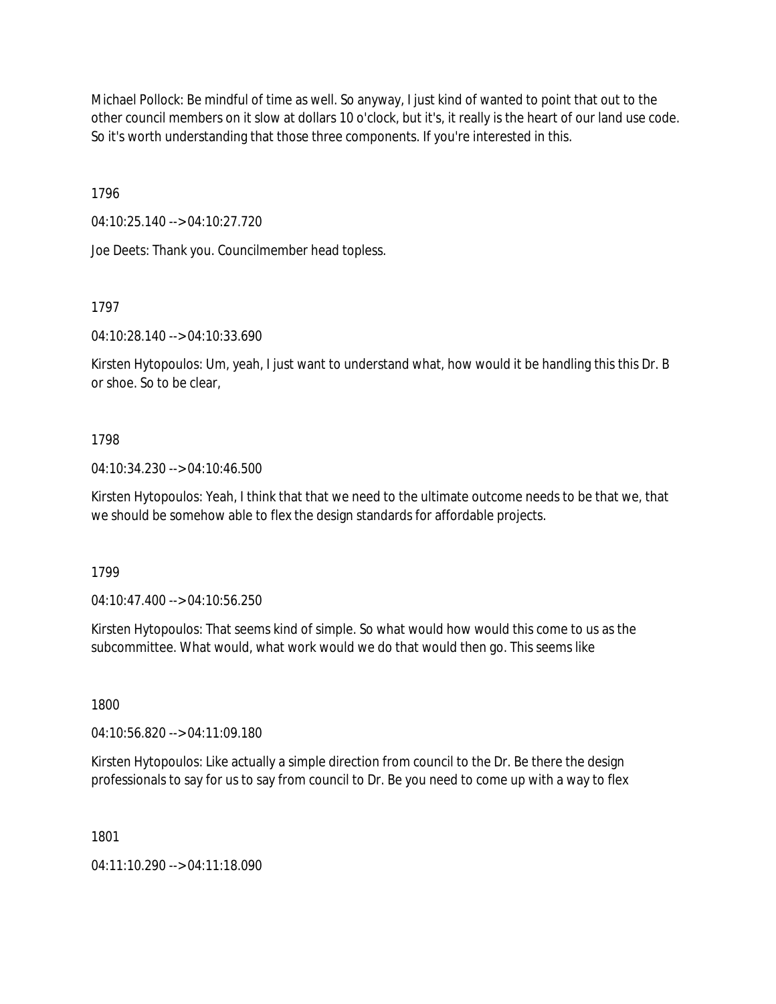Michael Pollock: Be mindful of time as well. So anyway, I just kind of wanted to point that out to the other council members on it slow at dollars 10 o'clock, but it's, it really is the heart of our land use code. So it's worth understanding that those three components. If you're interested in this.

1796

04:10:25.140 --> 04:10:27.720

Joe Deets: Thank you. Councilmember head topless.

1797

04:10:28.140 --> 04:10:33.690

Kirsten Hytopoulos: Um, yeah, I just want to understand what, how would it be handling this this Dr. B or shoe. So to be clear,

## 1798

04:10:34.230 --> 04:10:46.500

Kirsten Hytopoulos: Yeah, I think that that we need to the ultimate outcome needs to be that we, that we should be somehow able to flex the design standards for affordable projects.

1799

04:10:47.400 --> 04:10:56.250

Kirsten Hytopoulos: That seems kind of simple. So what would how would this come to us as the subcommittee. What would, what work would we do that would then go. This seems like

1800

04:10:56.820 --> 04:11:09.180

Kirsten Hytopoulos: Like actually a simple direction from council to the Dr. Be there the design professionals to say for us to say from council to Dr. Be you need to come up with a way to flex

1801

04:11:10.290 --> 04:11:18.090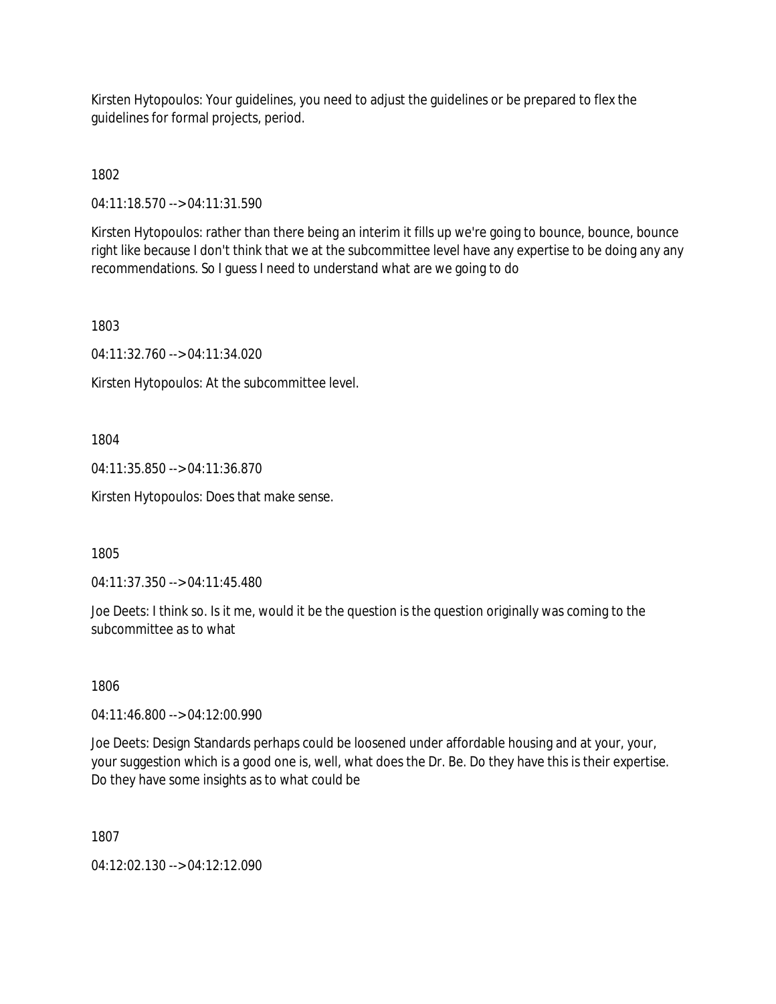Kirsten Hytopoulos: Your guidelines, you need to adjust the guidelines or be prepared to flex the guidelines for formal projects, period.

1802

04:11:18.570 --> 04:11:31.590

Kirsten Hytopoulos: rather than there being an interim it fills up we're going to bounce, bounce, bounce right like because I don't think that we at the subcommittee level have any expertise to be doing any any recommendations. So I guess I need to understand what are we going to do

1803

04:11:32.760 --> 04:11:34.020

Kirsten Hytopoulos: At the subcommittee level.

1804

04:11:35.850 --> 04:11:36.870

Kirsten Hytopoulos: Does that make sense.

1805

04:11:37.350 --> 04:11:45.480

Joe Deets: I think so. Is it me, would it be the question is the question originally was coming to the subcommittee as to what

1806

04:11:46.800 --> 04:12:00.990

Joe Deets: Design Standards perhaps could be loosened under affordable housing and at your, your, your suggestion which is a good one is, well, what does the Dr. Be. Do they have this is their expertise. Do they have some insights as to what could be

1807

04:12:02.130 --> 04:12:12.090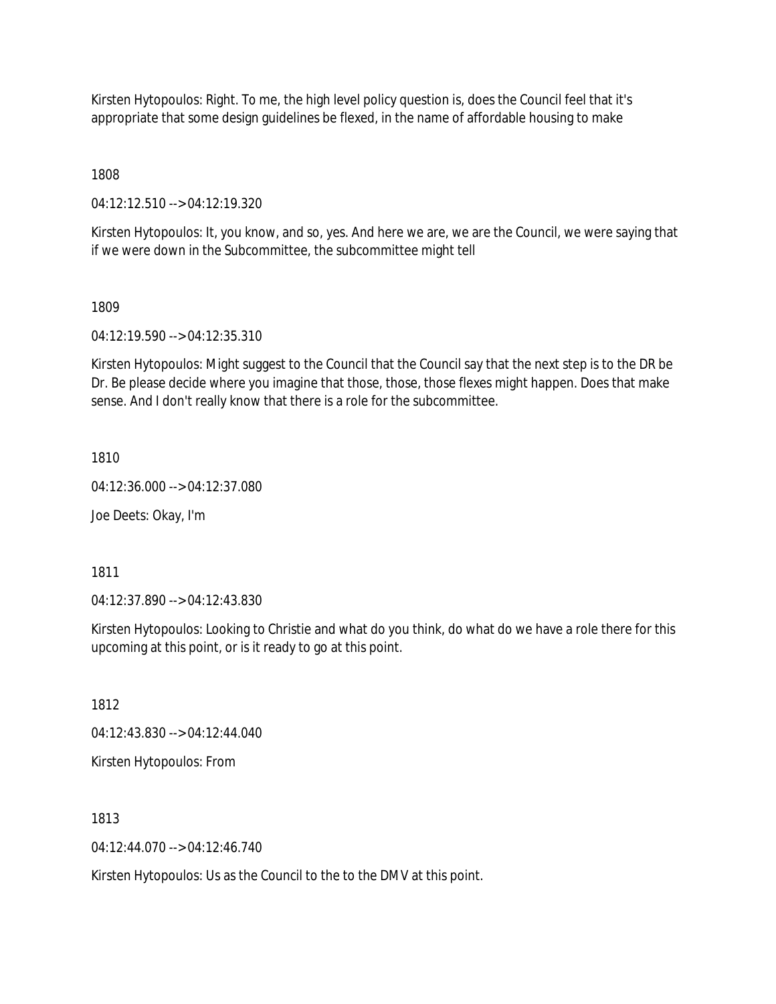Kirsten Hytopoulos: Right. To me, the high level policy question is, does the Council feel that it's appropriate that some design guidelines be flexed, in the name of affordable housing to make

1808

04:12:12.510 --> 04:12:19.320

Kirsten Hytopoulos: It, you know, and so, yes. And here we are, we are the Council, we were saying that if we were down in the Subcommittee, the subcommittee might tell

## 1809

04:12:19.590 --> 04:12:35.310

Kirsten Hytopoulos: Might suggest to the Council that the Council say that the next step is to the DR be Dr. Be please decide where you imagine that those, those, those flexes might happen. Does that make sense. And I don't really know that there is a role for the subcommittee.

1810

04:12:36.000 --> 04:12:37.080

Joe Deets: Okay, I'm

1811

04:12:37.890 --> 04:12:43.830

Kirsten Hytopoulos: Looking to Christie and what do you think, do what do we have a role there for this upcoming at this point, or is it ready to go at this point.

1812

04:12:43.830 --> 04:12:44.040

Kirsten Hytopoulos: From

1813

 $04.12.44.070 - 04.12.46.740$ 

Kirsten Hytopoulos: Us as the Council to the to the DMV at this point.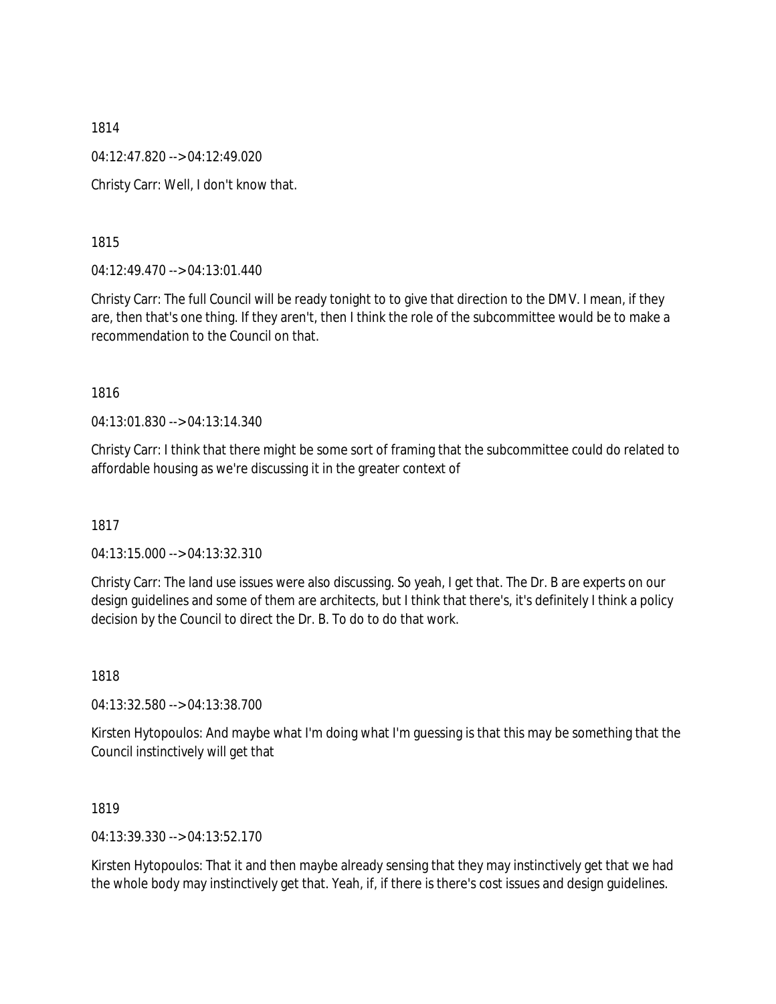1814 04:12:47.820 --> 04:12:49.020 Christy Carr: Well, I don't know that.

1815

04:12:49.470 --> 04:13:01.440

Christy Carr: The full Council will be ready tonight to to give that direction to the DMV. I mean, if they are, then that's one thing. If they aren't, then I think the role of the subcommittee would be to make a recommendation to the Council on that.

1816

04:13:01.830 --> 04:13:14.340

Christy Carr: I think that there might be some sort of framing that the subcommittee could do related to affordable housing as we're discussing it in the greater context of

1817

04:13:15.000 --> 04:13:32.310

Christy Carr: The land use issues were also discussing. So yeah, I get that. The Dr. B are experts on our design guidelines and some of them are architects, but I think that there's, it's definitely I think a policy decision by the Council to direct the Dr. B. To do to do that work.

1818

04:13:32.580 --> 04:13:38.700

Kirsten Hytopoulos: And maybe what I'm doing what I'm guessing is that this may be something that the Council instinctively will get that

1819

04:13:39.330 --> 04:13:52.170

Kirsten Hytopoulos: That it and then maybe already sensing that they may instinctively get that we had the whole body may instinctively get that. Yeah, if, if there is there's cost issues and design guidelines.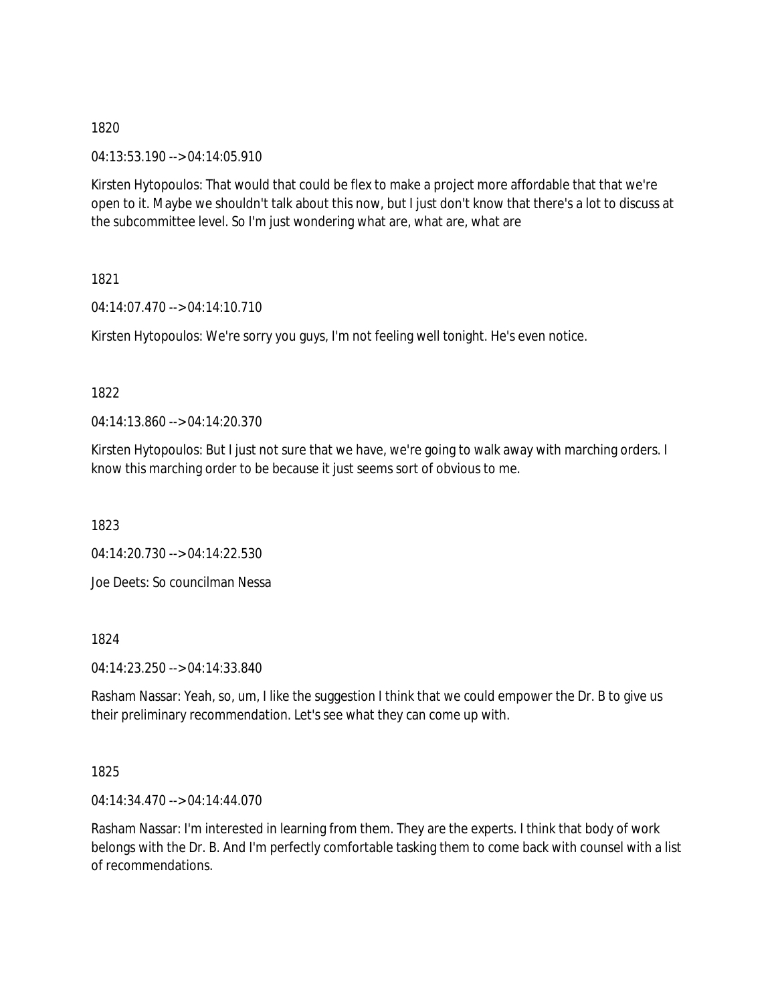04:13:53.190 --> 04:14:05.910

Kirsten Hytopoulos: That would that could be flex to make a project more affordable that that we're open to it. Maybe we shouldn't talk about this now, but I just don't know that there's a lot to discuss at the subcommittee level. So I'm just wondering what are, what are, what are

1821

04:14:07.470 --> 04:14:10.710

Kirsten Hytopoulos: We're sorry you guys, I'm not feeling well tonight. He's even notice.

1822

04:14:13.860 --> 04:14:20.370

Kirsten Hytopoulos: But I just not sure that we have, we're going to walk away with marching orders. I know this marching order to be because it just seems sort of obvious to me.

1823

04:14:20.730 --> 04:14:22.530

Joe Deets: So councilman Nessa

1824

04:14:23.250 --> 04:14:33.840

Rasham Nassar: Yeah, so, um, I like the suggestion I think that we could empower the Dr. B to give us their preliminary recommendation. Let's see what they can come up with.

1825

04:14:34.470 --> 04:14:44.070

Rasham Nassar: I'm interested in learning from them. They are the experts. I think that body of work belongs with the Dr. B. And I'm perfectly comfortable tasking them to come back with counsel with a list of recommendations.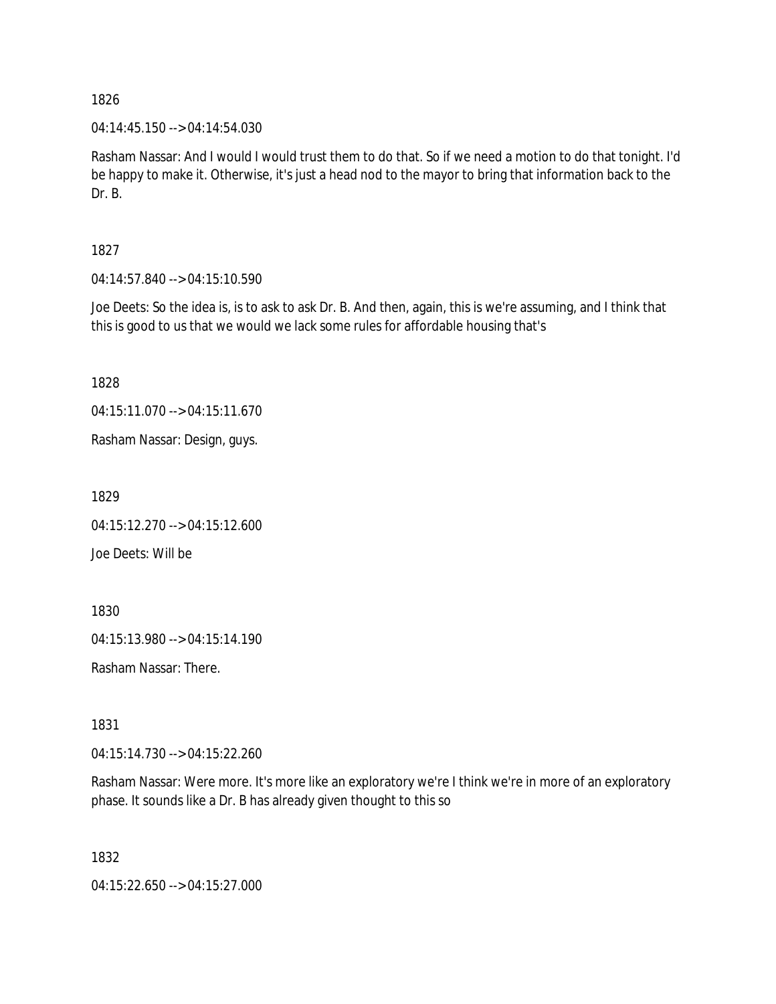04:14:45.150 --> 04:14:54.030

Rasham Nassar: And I would I would trust them to do that. So if we need a motion to do that tonight. I'd be happy to make it. Otherwise, it's just a head nod to the mayor to bring that information back to the Dr. B.

1827

04:14:57.840 --> 04:15:10.590

Joe Deets: So the idea is, is to ask to ask Dr. B. And then, again, this is we're assuming, and I think that this is good to us that we would we lack some rules for affordable housing that's

1828

04:15:11.070 --> 04:15:11.670

Rasham Nassar: Design, guys.

1829

04:15:12.270 --> 04:15:12.600 Joe Deets: Will be

1830

04:15:13.980 --> 04:15:14.190

Rasham Nassar: There.

1831

04:15:14.730 --> 04:15:22.260

Rasham Nassar: Were more. It's more like an exploratory we're I think we're in more of an exploratory phase. It sounds like a Dr. B has already given thought to this so

1832

04:15:22.650 --> 04:15:27.000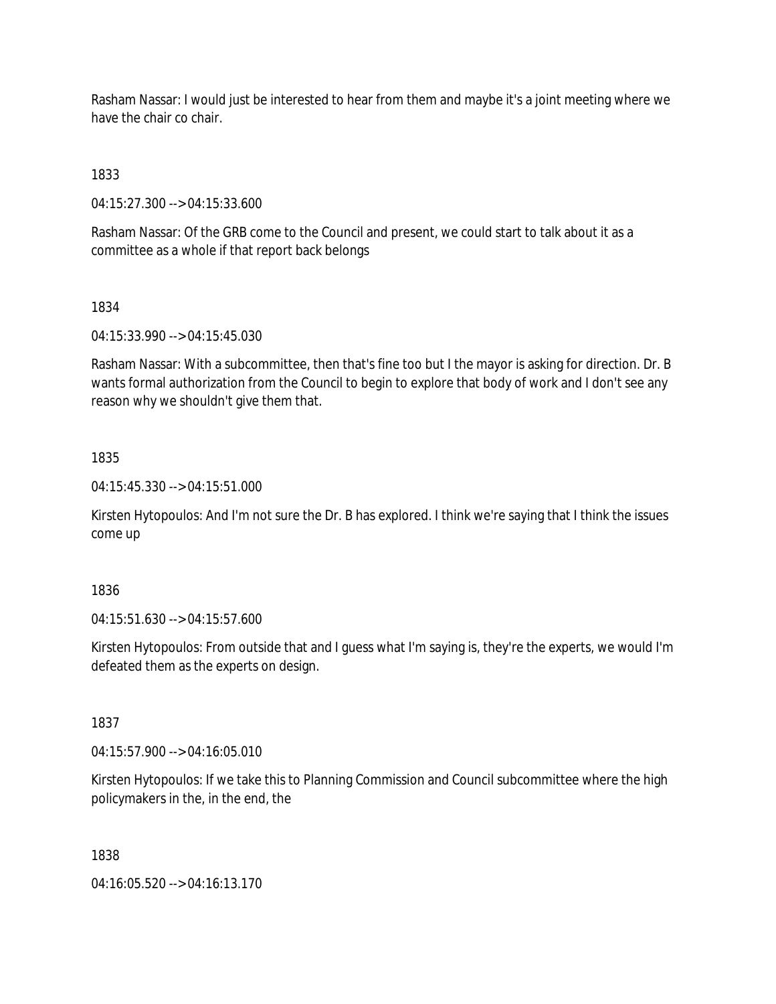Rasham Nassar: I would just be interested to hear from them and maybe it's a joint meeting where we have the chair co chair.

1833

04:15:27.300 --> 04:15:33.600

Rasham Nassar: Of the GRB come to the Council and present, we could start to talk about it as a committee as a whole if that report back belongs

# 1834

04:15:33.990 --> 04:15:45.030

Rasham Nassar: With a subcommittee, then that's fine too but I the mayor is asking for direction. Dr. B wants formal authorization from the Council to begin to explore that body of work and I don't see any reason why we shouldn't give them that.

# 1835

04:15:45.330 --> 04:15:51.000

Kirsten Hytopoulos: And I'm not sure the Dr. B has explored. I think we're saying that I think the issues come up

1836

04:15:51.630 --> 04:15:57.600

Kirsten Hytopoulos: From outside that and I guess what I'm saying is, they're the experts, we would I'm defeated them as the experts on design.

1837

04:15:57.900 --> 04:16:05.010

Kirsten Hytopoulos: If we take this to Planning Commission and Council subcommittee where the high policymakers in the, in the end, the

1838

04:16:05.520 --> 04:16:13.170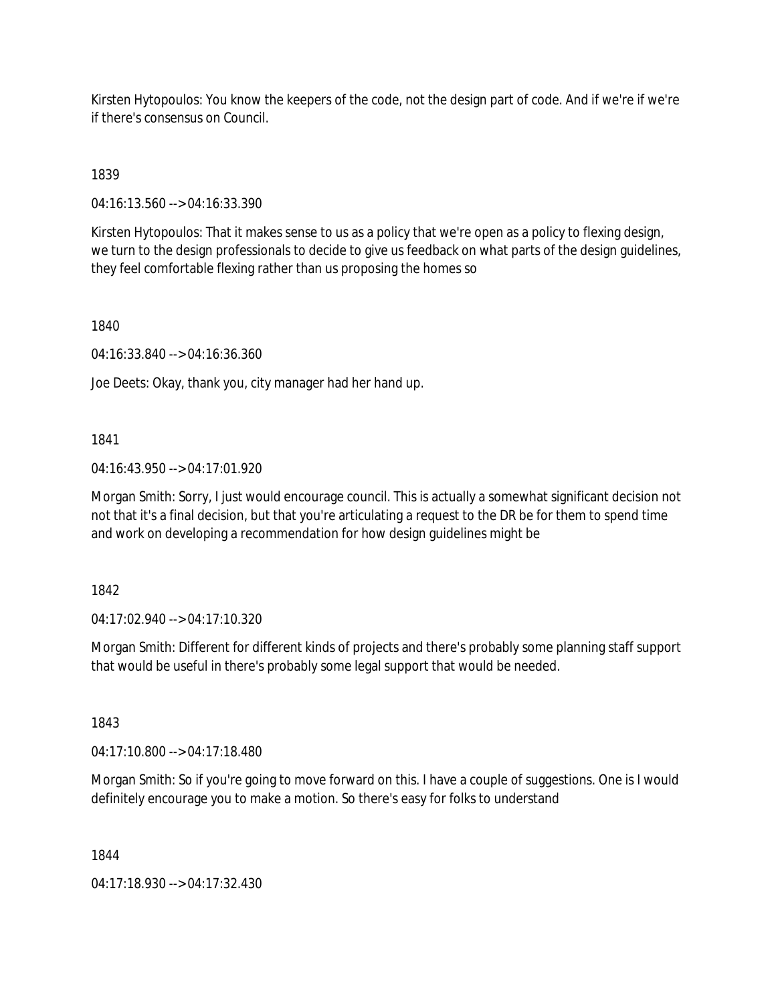Kirsten Hytopoulos: You know the keepers of the code, not the design part of code. And if we're if we're if there's consensus on Council.

1839

04:16:13.560 --> 04:16:33.390

Kirsten Hytopoulos: That it makes sense to us as a policy that we're open as a policy to flexing design, we turn to the design professionals to decide to give us feedback on what parts of the design guidelines, they feel comfortable flexing rather than us proposing the homes so

1840

04:16:33.840 --> 04:16:36.360

Joe Deets: Okay, thank you, city manager had her hand up.

1841

04:16:43.950 --> 04:17:01.920

Morgan Smith: Sorry, I just would encourage council. This is actually a somewhat significant decision not not that it's a final decision, but that you're articulating a request to the DR be for them to spend time and work on developing a recommendation for how design guidelines might be

1842

04:17:02.940 --> 04:17:10.320

Morgan Smith: Different for different kinds of projects and there's probably some planning staff support that would be useful in there's probably some legal support that would be needed.

1843

04:17:10.800 --> 04:17:18.480

Morgan Smith: So if you're going to move forward on this. I have a couple of suggestions. One is I would definitely encourage you to make a motion. So there's easy for folks to understand

1844

04:17:18.930 --> 04:17:32.430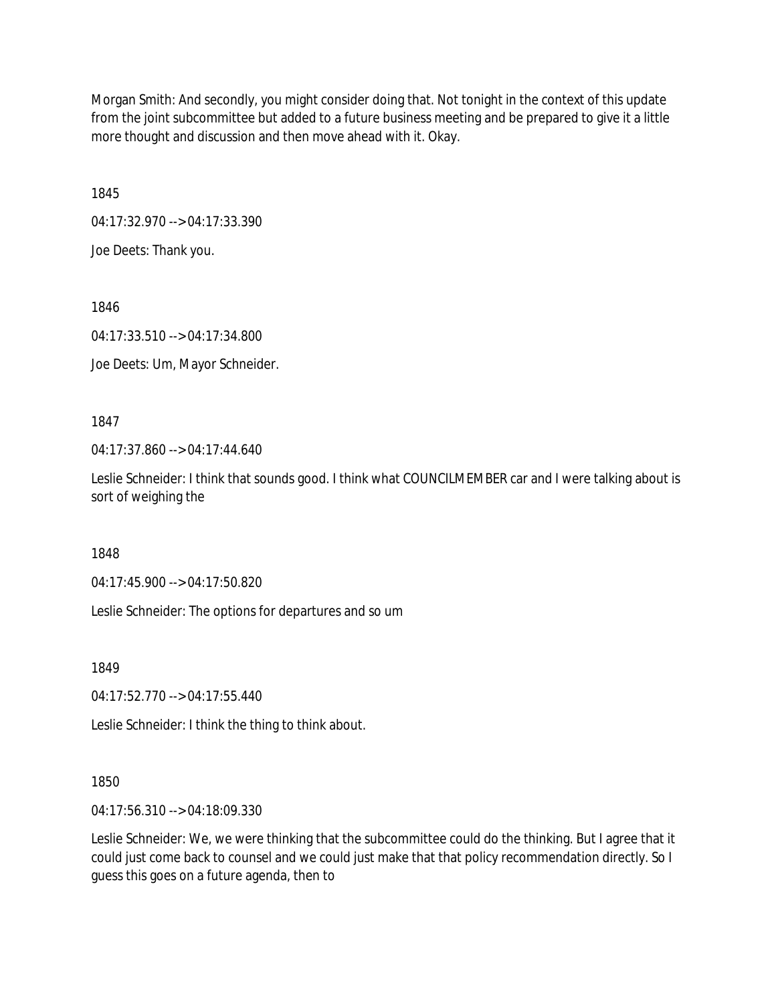Morgan Smith: And secondly, you might consider doing that. Not tonight in the context of this update from the joint subcommittee but added to a future business meeting and be prepared to give it a little more thought and discussion and then move ahead with it. Okay.

1845

04:17:32.970 --> 04:17:33.390

Joe Deets: Thank you.

1846

04:17:33.510 --> 04:17:34.800

Joe Deets: Um, Mayor Schneider.

1847

04:17:37.860 --> 04:17:44.640

Leslie Schneider: I think that sounds good. I think what COUNCILMEMBER car and I were talking about is sort of weighing the

1848

04:17:45.900 --> 04:17:50.820

Leslie Schneider: The options for departures and so um

1849

04:17:52.770 --> 04:17:55.440

Leslie Schneider: I think the thing to think about.

# 1850

04:17:56.310 --> 04:18:09.330

Leslie Schneider: We, we were thinking that the subcommittee could do the thinking. But I agree that it could just come back to counsel and we could just make that that policy recommendation directly. So I guess this goes on a future agenda, then to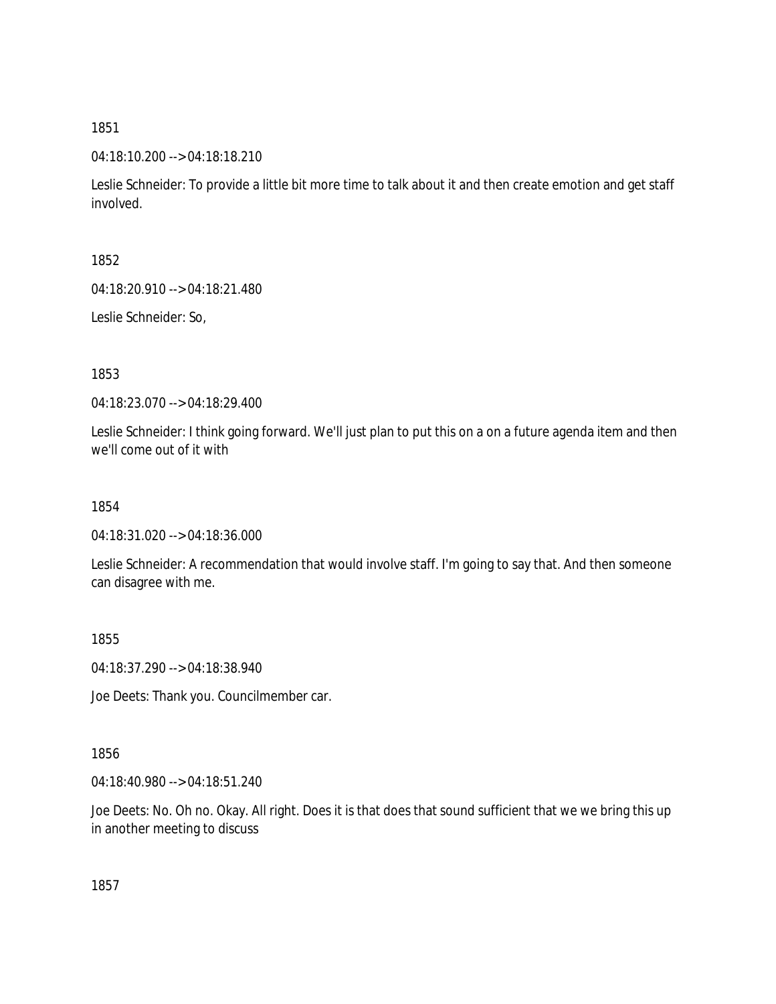04:18:10.200 --> 04:18:18.210

Leslie Schneider: To provide a little bit more time to talk about it and then create emotion and get staff involved.

1852

04:18:20.910 --> 04:18:21.480

Leslie Schneider: So,

1853

04:18:23.070 --> 04:18:29.400

Leslie Schneider: I think going forward. We'll just plan to put this on a on a future agenda item and then we'll come out of it with

1854

04:18:31.020 --> 04:18:36.000

Leslie Schneider: A recommendation that would involve staff. I'm going to say that. And then someone can disagree with me.

1855

04:18:37.290 --> 04:18:38.940

Joe Deets: Thank you. Councilmember car.

1856

04:18:40.980 --> 04:18:51.240

Joe Deets: No. Oh no. Okay. All right. Does it is that does that sound sufficient that we we bring this up in another meeting to discuss

1857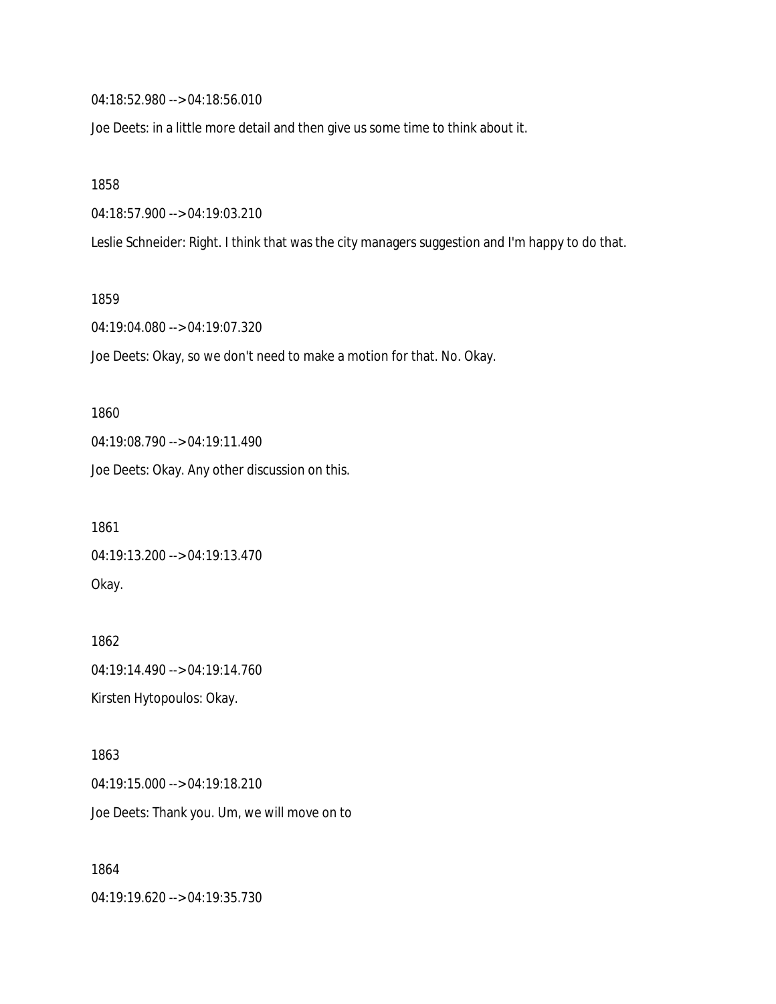04:18:52.980 --> 04:18:56.010

Joe Deets: in a little more detail and then give us some time to think about it.

1858

04:18:57.900 --> 04:19:03.210

Leslie Schneider: Right. I think that was the city managers suggestion and I'm happy to do that.

1859

04:19:04.080 --> 04:19:07.320

Joe Deets: Okay, so we don't need to make a motion for that. No. Okay.

1860 04:19:08.790 --> 04:19:11.490 Joe Deets: Okay. Any other discussion on this.

1861 04:19:13.200 --> 04:19:13.470 Okay.

1862 04:19:14.490 --> 04:19:14.760 Kirsten Hytopoulos: Okay.

1863 04:19:15.000 --> 04:19:18.210 Joe Deets: Thank you. Um, we will move on to

1864 04:19:19.620 --> 04:19:35.730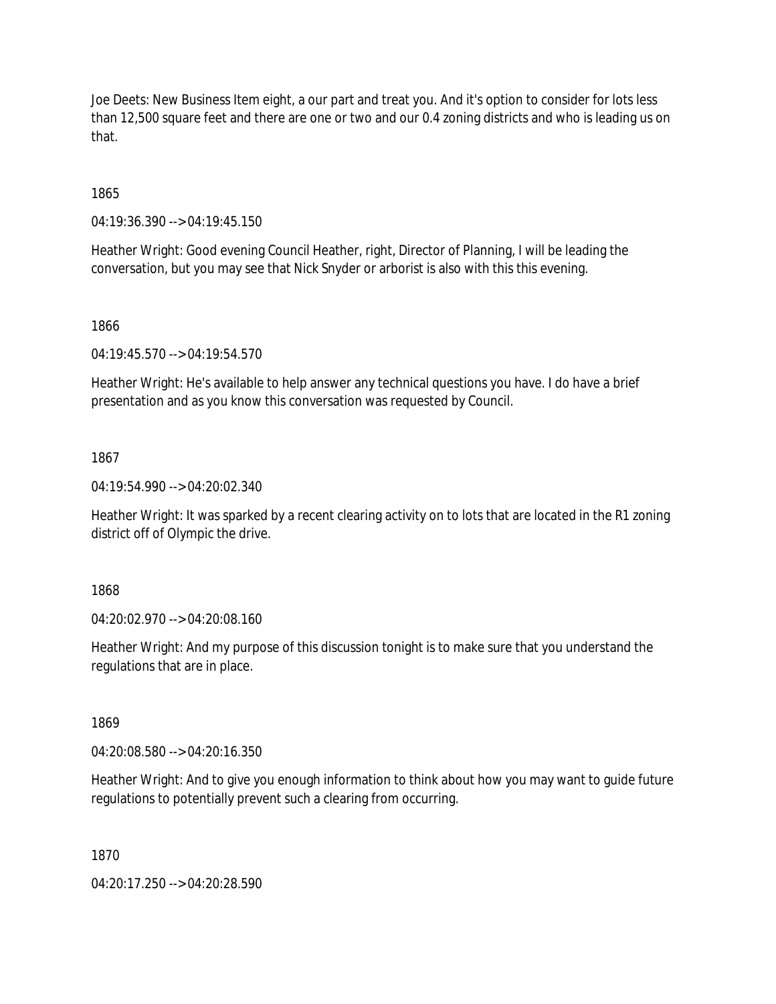Joe Deets: New Business Item eight, a our part and treat you. And it's option to consider for lots less than 12,500 square feet and there are one or two and our 0.4 zoning districts and who is leading us on that.

1865

04:19:36.390 --> 04:19:45.150

Heather Wright: Good evening Council Heather, right, Director of Planning, I will be leading the conversation, but you may see that Nick Snyder or arborist is also with this this evening.

1866

04:19:45.570 --> 04:19:54.570

Heather Wright: He's available to help answer any technical questions you have. I do have a brief presentation and as you know this conversation was requested by Council.

1867

04:19:54.990 --> 04:20:02.340

Heather Wright: It was sparked by a recent clearing activity on to lots that are located in the R1 zoning district off of Olympic the drive.

1868

04:20:02.970 --> 04:20:08.160

Heather Wright: And my purpose of this discussion tonight is to make sure that you understand the regulations that are in place.

1869

04:20:08.580 --> 04:20:16.350

Heather Wright: And to give you enough information to think about how you may want to guide future regulations to potentially prevent such a clearing from occurring.

1870

04:20:17.250 --> 04:20:28.590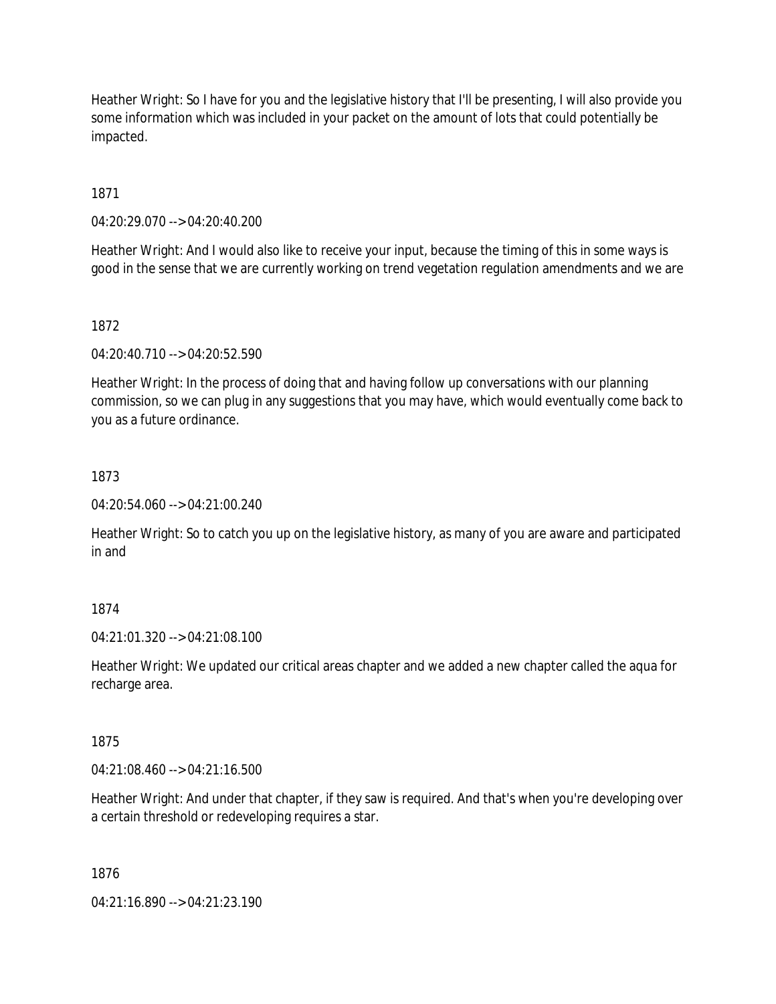Heather Wright: So I have for you and the legislative history that I'll be presenting, I will also provide you some information which was included in your packet on the amount of lots that could potentially be impacted.

1871

04:20:29.070 --> 04:20:40.200

Heather Wright: And I would also like to receive your input, because the timing of this in some ways is good in the sense that we are currently working on trend vegetation regulation amendments and we are

## 1872

04:20:40.710 --> 04:20:52.590

Heather Wright: In the process of doing that and having follow up conversations with our planning commission, so we can plug in any suggestions that you may have, which would eventually come back to you as a future ordinance.

# 1873

04:20:54.060 --> 04:21:00.240

Heather Wright: So to catch you up on the legislative history, as many of you are aware and participated in and

# 1874

04:21:01.320 --> 04:21:08.100

Heather Wright: We updated our critical areas chapter and we added a new chapter called the aqua for recharge area.

## 1875

04:21:08.460 --> 04:21:16.500

Heather Wright: And under that chapter, if they saw is required. And that's when you're developing over a certain threshold or redeveloping requires a star.

## 1876

04:21:16.890 --> 04:21:23.190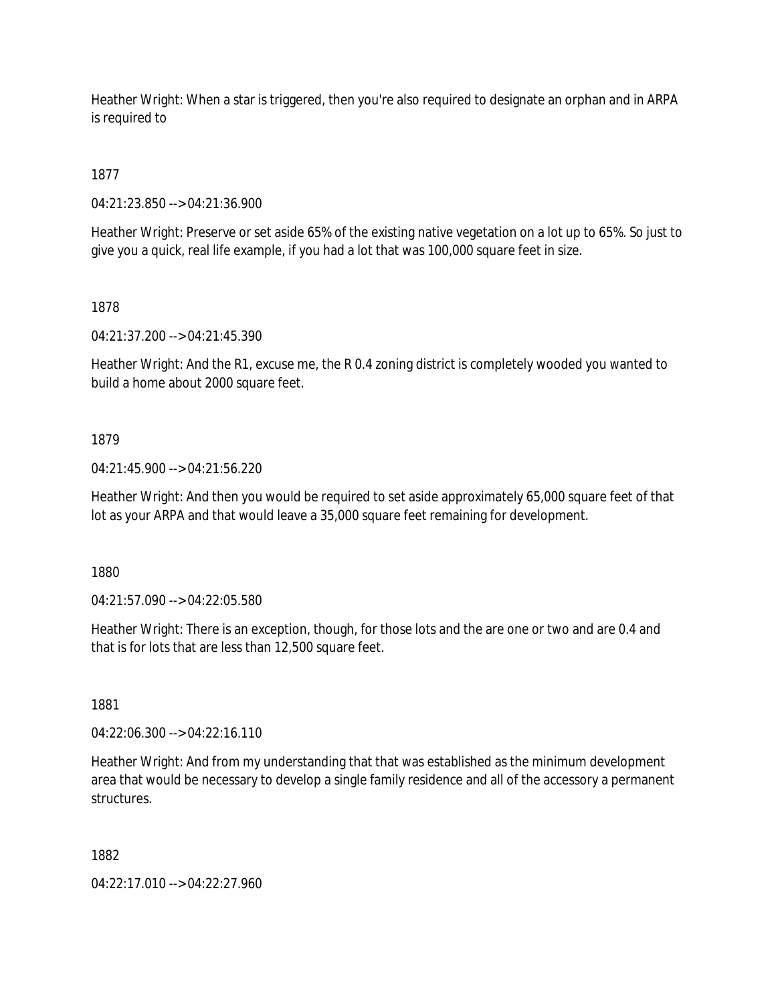Heather Wright: When a star is triggered, then you're also required to designate an orphan and in ARPA is required to

1877

04:21:23.850 --> 04:21:36.900

Heather Wright: Preserve or set aside 65% of the existing native vegetation on a lot up to 65%. So just to give you a quick, real life example, if you had a lot that was 100,000 square feet in size.

1878

04:21:37.200 --> 04:21:45.390

Heather Wright: And the R1, excuse me, the R 0.4 zoning district is completely wooded you wanted to build a home about 2000 square feet.

# 1879

04:21:45.900 --> 04:21:56.220

Heather Wright: And then you would be required to set aside approximately 65,000 square feet of that lot as your ARPA and that would leave a 35,000 square feet remaining for development.

1880

04:21:57.090 --> 04:22:05.580

Heather Wright: There is an exception, though, for those lots and the are one or two and are 0.4 and that is for lots that are less than 12,500 square feet.

1881

04:22:06.300 --> 04:22:16.110

Heather Wright: And from my understanding that that was established as the minimum development area that would be necessary to develop a single family residence and all of the accessory a permanent structures.

1882

04:22:17.010 --> 04:22:27.960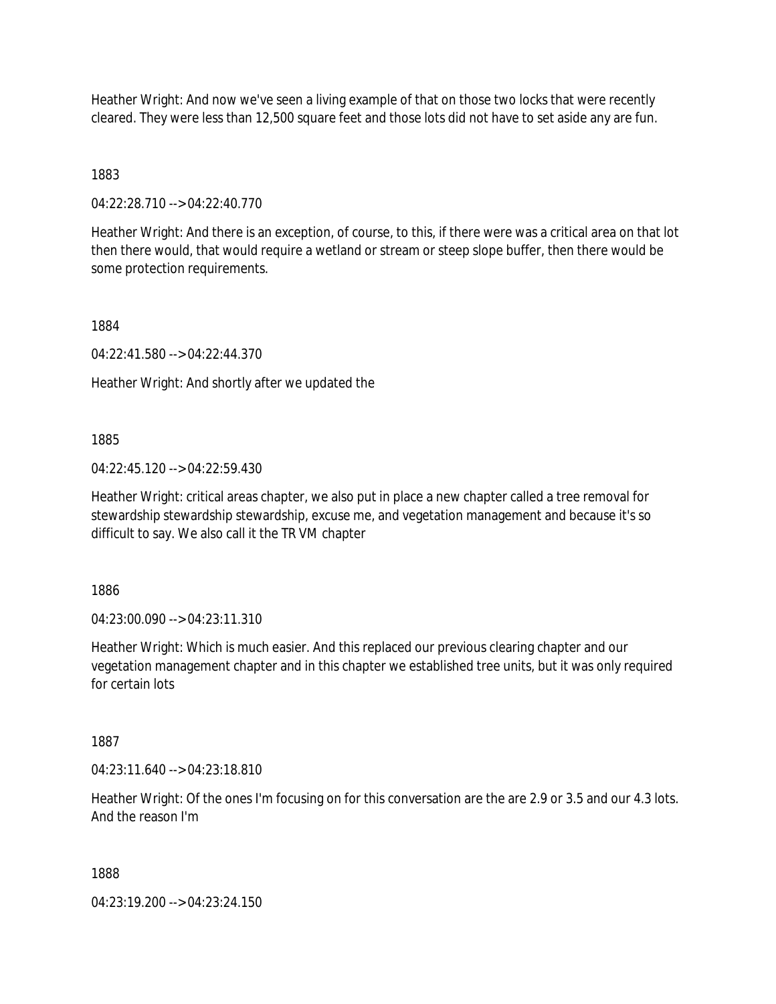Heather Wright: And now we've seen a living example of that on those two locks that were recently cleared. They were less than 12,500 square feet and those lots did not have to set aside any are fun.

1883

04:22:28.710 --> 04:22:40.770

Heather Wright: And there is an exception, of course, to this, if there were was a critical area on that lot then there would, that would require a wetland or stream or steep slope buffer, then there would be some protection requirements.

1884

04:22:41.580 --> 04:22:44.370

Heather Wright: And shortly after we updated the

1885

04:22:45.120 --> 04:22:59.430

Heather Wright: critical areas chapter, we also put in place a new chapter called a tree removal for stewardship stewardship stewardship, excuse me, and vegetation management and because it's so difficult to say. We also call it the TR VM chapter

1886

04:23:00.090 --> 04:23:11.310

Heather Wright: Which is much easier. And this replaced our previous clearing chapter and our vegetation management chapter and in this chapter we established tree units, but it was only required for certain lots

1887

04:23:11.640 --> 04:23:18.810

Heather Wright: Of the ones I'm focusing on for this conversation are the are 2.9 or 3.5 and our 4.3 lots. And the reason I'm

1888

04:23:19.200 --> 04:23:24.150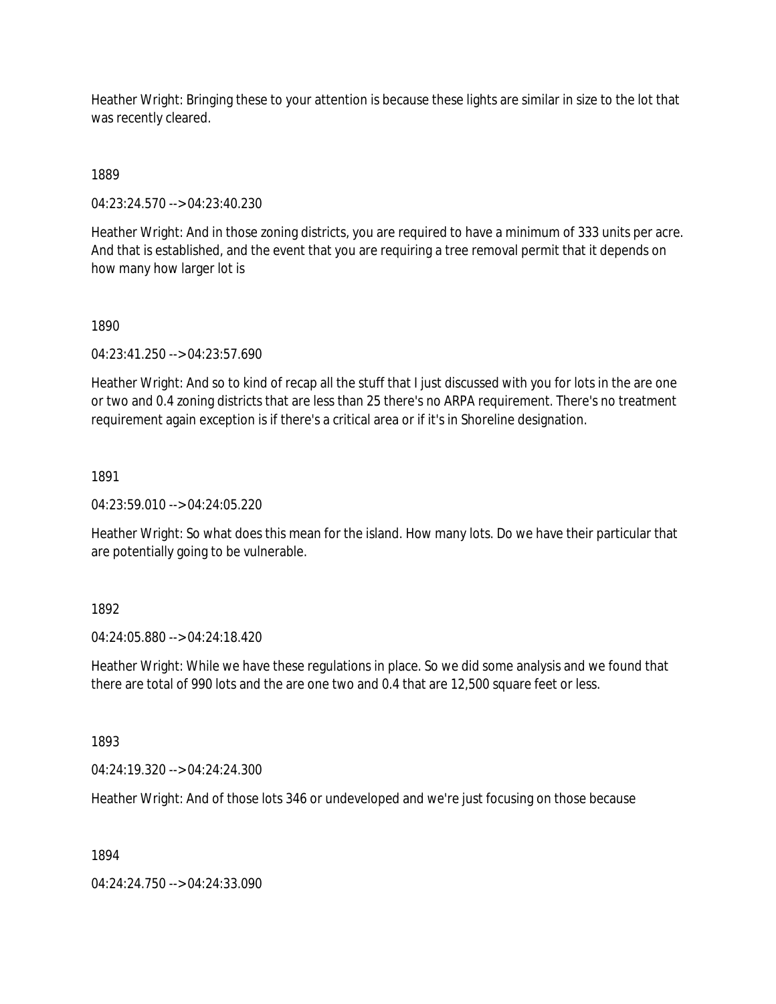Heather Wright: Bringing these to your attention is because these lights are similar in size to the lot that was recently cleared.

1889

04:23:24.570 --> 04:23:40.230

Heather Wright: And in those zoning districts, you are required to have a minimum of 333 units per acre. And that is established, and the event that you are requiring a tree removal permit that it depends on how many how larger lot is

1890

04:23:41.250 --> 04:23:57.690

Heather Wright: And so to kind of recap all the stuff that I just discussed with you for lots in the are one or two and 0.4 zoning districts that are less than 25 there's no ARPA requirement. There's no treatment requirement again exception is if there's a critical area or if it's in Shoreline designation.

1891

04:23:59.010 --> 04:24:05.220

Heather Wright: So what does this mean for the island. How many lots. Do we have their particular that are potentially going to be vulnerable.

1892

04:24:05.880 --> 04:24:18.420

Heather Wright: While we have these regulations in place. So we did some analysis and we found that there are total of 990 lots and the are one two and 0.4 that are 12,500 square feet or less.

1893

04:24:19.320 --> 04:24:24.300

Heather Wright: And of those lots 346 or undeveloped and we're just focusing on those because

1894

04:24:24.750 --> 04:24:33.090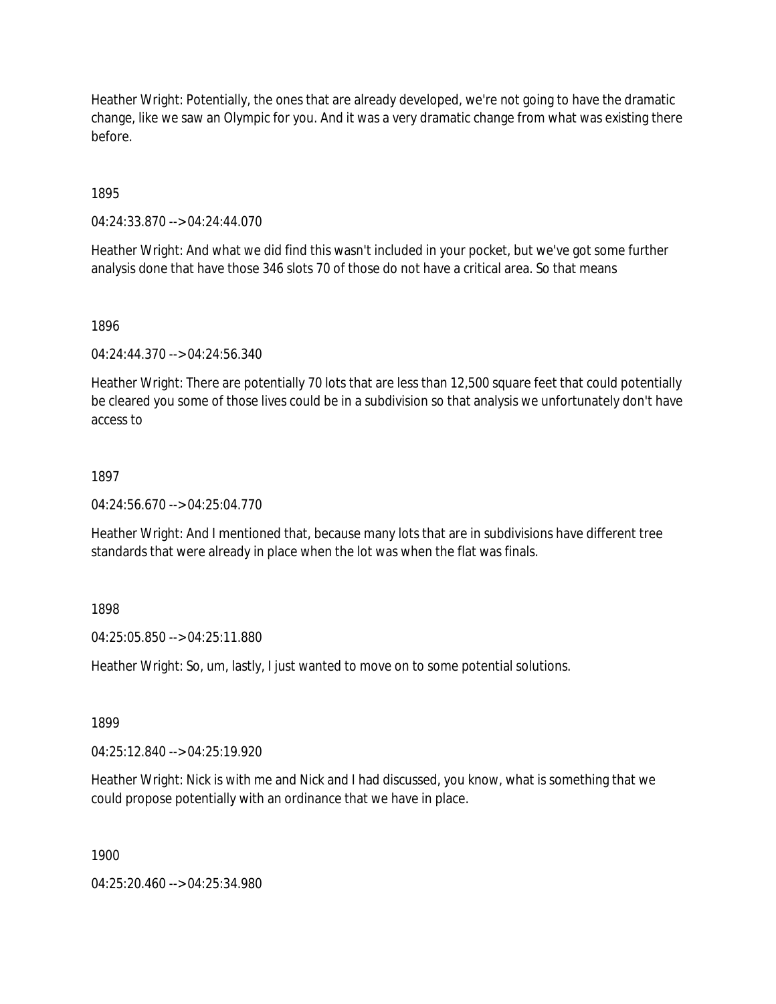Heather Wright: Potentially, the ones that are already developed, we're not going to have the dramatic change, like we saw an Olympic for you. And it was a very dramatic change from what was existing there before.

1895

04:24:33.870 --> 04:24:44.070

Heather Wright: And what we did find this wasn't included in your pocket, but we've got some further analysis done that have those 346 slots 70 of those do not have a critical area. So that means

1896

04:24:44.370 --> 04:24:56.340

Heather Wright: There are potentially 70 lots that are less than 12,500 square feet that could potentially be cleared you some of those lives could be in a subdivision so that analysis we unfortunately don't have access to

## 1897

04:24:56.670 --> 04:25:04.770

Heather Wright: And I mentioned that, because many lots that are in subdivisions have different tree standards that were already in place when the lot was when the flat was finals.

1898

04:25:05.850 --> 04:25:11.880

Heather Wright: So, um, lastly, I just wanted to move on to some potential solutions.

1899

04:25:12.840 --> 04:25:19.920

Heather Wright: Nick is with me and Nick and I had discussed, you know, what is something that we could propose potentially with an ordinance that we have in place.

1900

04:25:20.460 --> 04:25:34.980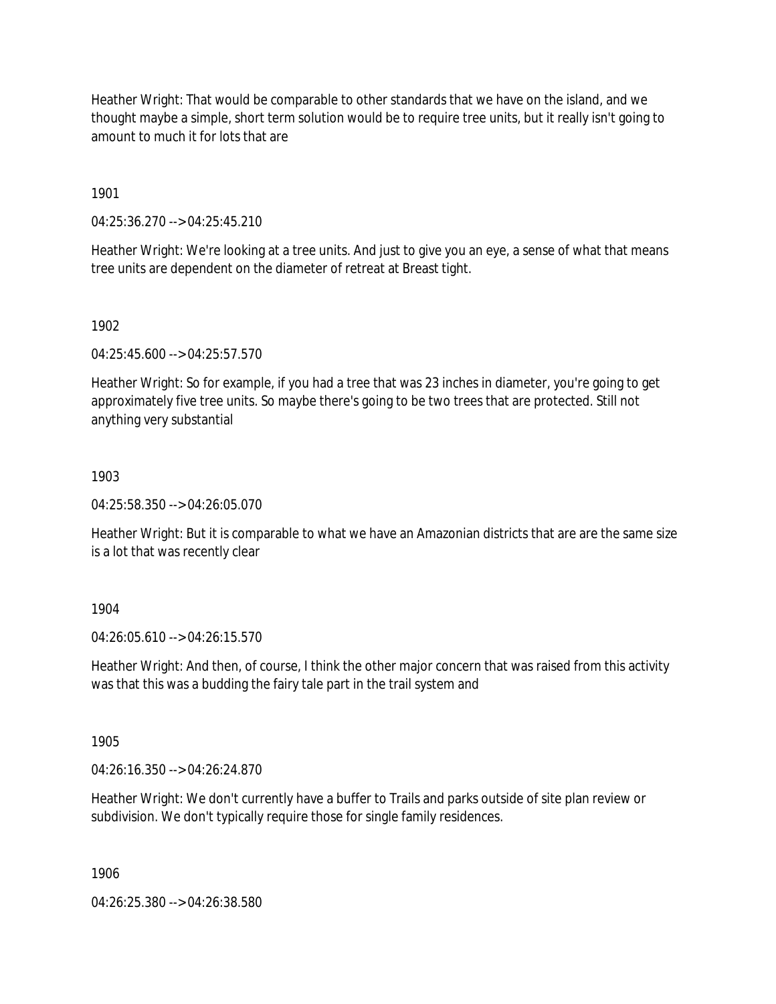Heather Wright: That would be comparable to other standards that we have on the island, and we thought maybe a simple, short term solution would be to require tree units, but it really isn't going to amount to much it for lots that are

1901

04:25:36.270 --> 04:25:45.210

Heather Wright: We're looking at a tree units. And just to give you an eye, a sense of what that means tree units are dependent on the diameter of retreat at Breast tight.

1902

04:25:45.600 --> 04:25:57.570

Heather Wright: So for example, if you had a tree that was 23 inches in diameter, you're going to get approximately five tree units. So maybe there's going to be two trees that are protected. Still not anything very substantial

## 1903

04:25:58.350 --> 04:26:05.070

Heather Wright: But it is comparable to what we have an Amazonian districts that are are the same size is a lot that was recently clear

## 1904

04:26:05.610 --> 04:26:15.570

Heather Wright: And then, of course, I think the other major concern that was raised from this activity was that this was a budding the fairy tale part in the trail system and

1905

04:26:16.350 --> 04:26:24.870

Heather Wright: We don't currently have a buffer to Trails and parks outside of site plan review or subdivision. We don't typically require those for single family residences.

1906

04:26:25.380 --> 04:26:38.580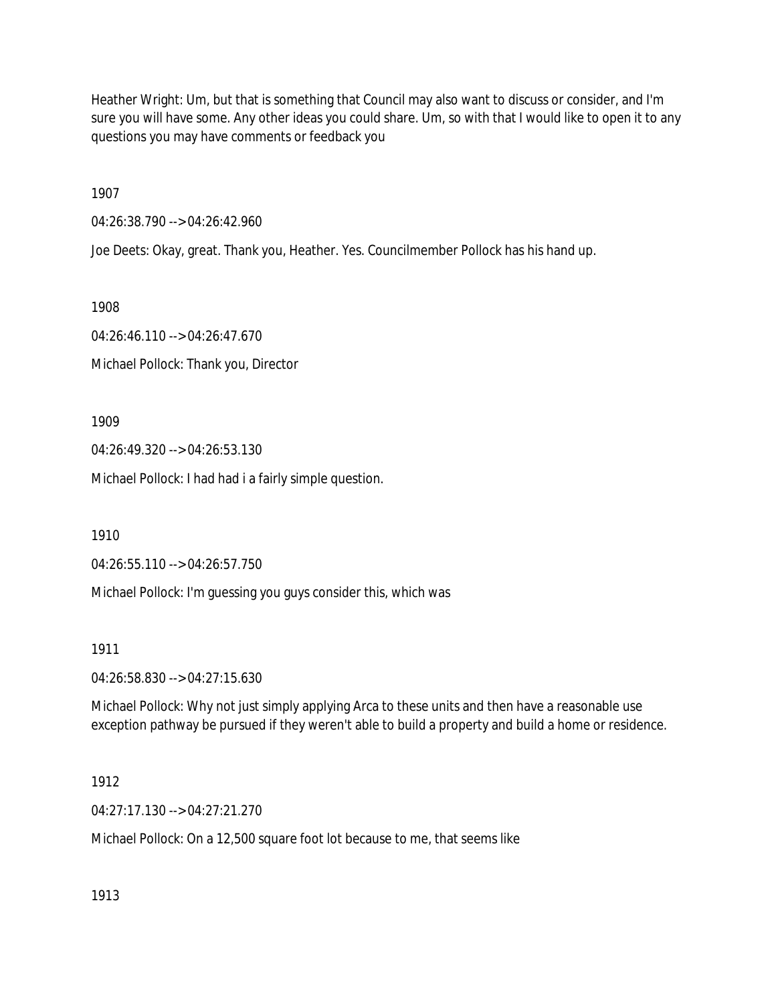Heather Wright: Um, but that is something that Council may also want to discuss or consider, and I'm sure you will have some. Any other ideas you could share. Um, so with that I would like to open it to any questions you may have comments or feedback you

1907

04:26:38.790 --> 04:26:42.960

Joe Deets: Okay, great. Thank you, Heather. Yes. Councilmember Pollock has his hand up.

1908

04:26:46.110 --> 04:26:47.670 Michael Pollock: Thank you, Director

1909

04:26:49.320 --> 04:26:53.130

Michael Pollock: I had had i a fairly simple question.

1910

04:26:55.110 --> 04:26:57.750

Michael Pollock: I'm guessing you guys consider this, which was

1911

04:26:58.830 --> 04:27:15.630

Michael Pollock: Why not just simply applying Arca to these units and then have a reasonable use exception pathway be pursued if they weren't able to build a property and build a home or residence.

1912

04:27:17.130 --> 04:27:21.270

Michael Pollock: On a 12,500 square foot lot because to me, that seems like

1913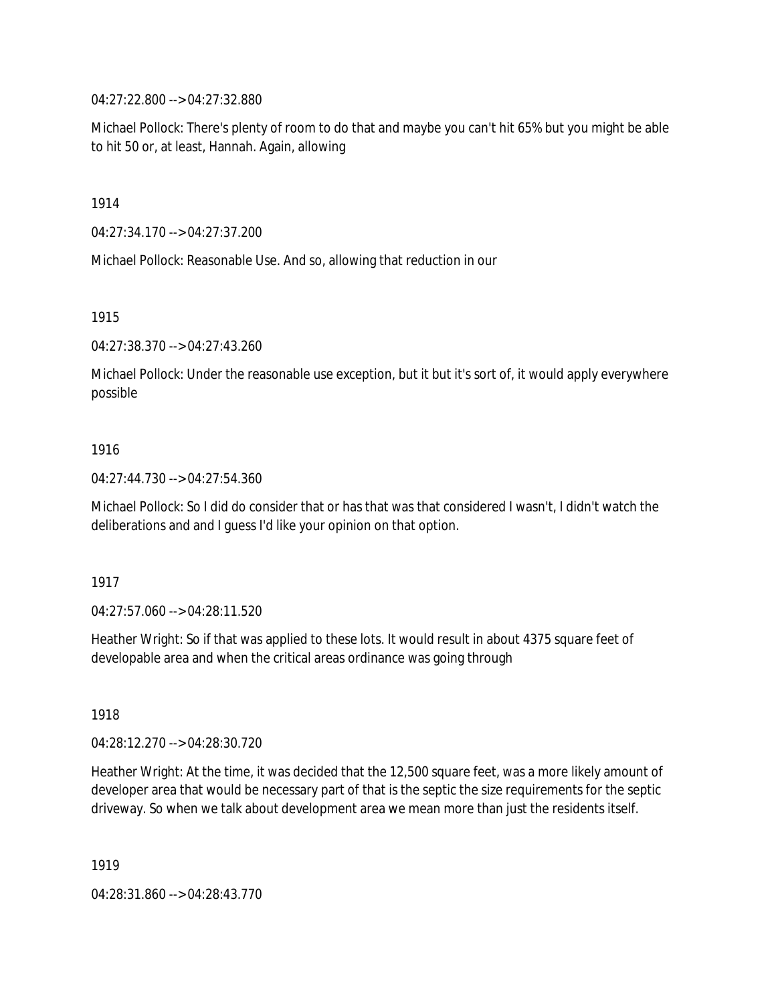04:27:22.800 --> 04:27:32.880

Michael Pollock: There's plenty of room to do that and maybe you can't hit 65% but you might be able to hit 50 or, at least, Hannah. Again, allowing

1914

04:27:34.170 --> 04:27:37.200

Michael Pollock: Reasonable Use. And so, allowing that reduction in our

1915

04:27:38.370 --> 04:27:43.260

Michael Pollock: Under the reasonable use exception, but it but it's sort of, it would apply everywhere possible

## 1916

04:27:44.730 --> 04:27:54.360

Michael Pollock: So I did do consider that or has that was that considered I wasn't, I didn't watch the deliberations and and I guess I'd like your opinion on that option.

## 1917

04:27:57.060 --> 04:28:11.520

Heather Wright: So if that was applied to these lots. It would result in about 4375 square feet of developable area and when the critical areas ordinance was going through

1918

04:28:12.270 --> 04:28:30.720

Heather Wright: At the time, it was decided that the 12,500 square feet, was a more likely amount of developer area that would be necessary part of that is the septic the size requirements for the septic driveway. So when we talk about development area we mean more than just the residents itself.

1919

04:28:31.860 --> 04:28:43.770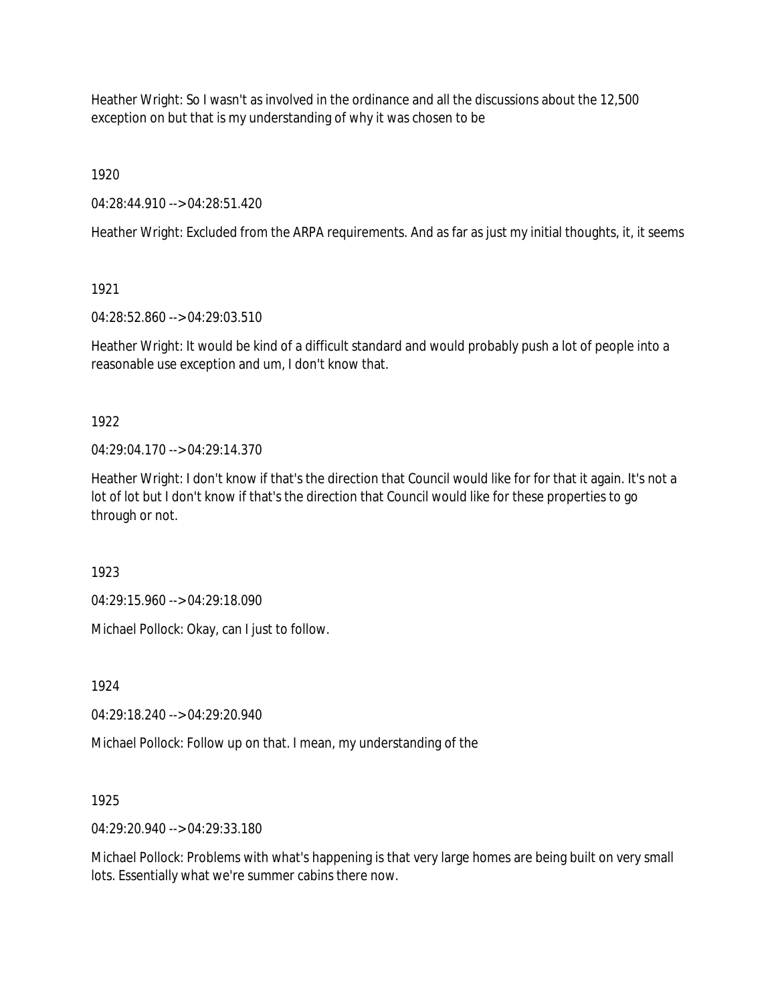Heather Wright: So I wasn't as involved in the ordinance and all the discussions about the 12,500 exception on but that is my understanding of why it was chosen to be

1920

04:28:44.910 --> 04:28:51.420

Heather Wright: Excluded from the ARPA requirements. And as far as just my initial thoughts, it, it seems

1921

04:28:52.860 --> 04:29:03.510

Heather Wright: It would be kind of a difficult standard and would probably push a lot of people into a reasonable use exception and um, I don't know that.

1922

 $04.29.04.170 -> 04.29.14.370$ 

Heather Wright: I don't know if that's the direction that Council would like for for that it again. It's not a lot of lot but I don't know if that's the direction that Council would like for these properties to go through or not.

1923

04:29:15.960 --> 04:29:18.090

Michael Pollock: Okay, can I just to follow.

1924

04:29:18.240 --> 04:29:20.940

Michael Pollock: Follow up on that. I mean, my understanding of the

1925

04:29:20.940 --> 04:29:33.180

Michael Pollock: Problems with what's happening is that very large homes are being built on very small lots. Essentially what we're summer cabins there now.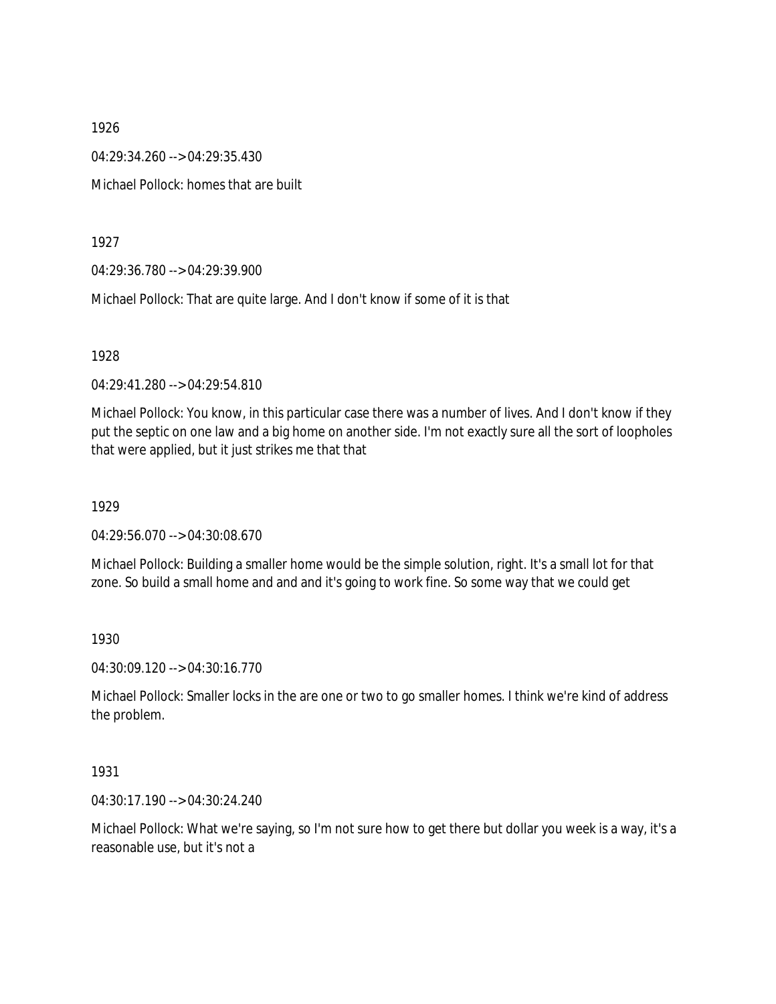1926 04:29:34.260 --> 04:29:35.430 Michael Pollock: homes that are built

1927

04:29:36.780 --> 04:29:39.900

Michael Pollock: That are quite large. And I don't know if some of it is that

1928

04:29:41.280 --> 04:29:54.810

Michael Pollock: You know, in this particular case there was a number of lives. And I don't know if they put the septic on one law and a big home on another side. I'm not exactly sure all the sort of loopholes that were applied, but it just strikes me that that

1929

04:29:56.070 --> 04:30:08.670

Michael Pollock: Building a smaller home would be the simple solution, right. It's a small lot for that zone. So build a small home and and and it's going to work fine. So some way that we could get

1930

04:30:09.120 --> 04:30:16.770

Michael Pollock: Smaller locks in the are one or two to go smaller homes. I think we're kind of address the problem.

1931

04:30:17.190 --> 04:30:24.240

Michael Pollock: What we're saying, so I'm not sure how to get there but dollar you week is a way, it's a reasonable use, but it's not a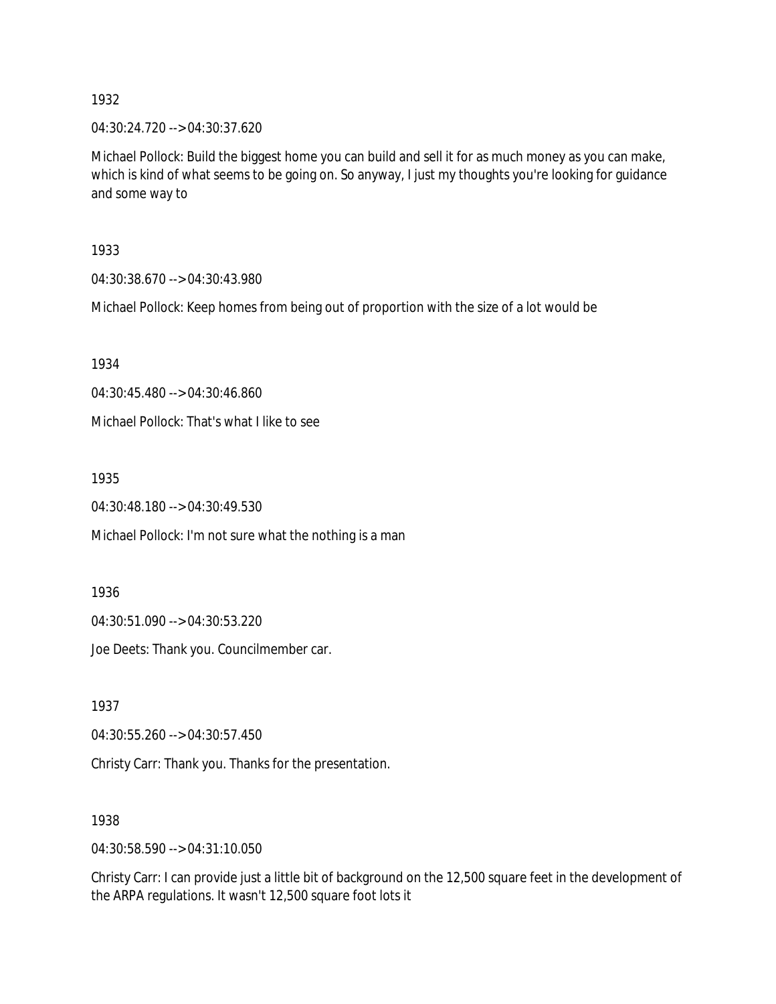04:30:24.720 --> 04:30:37.620

Michael Pollock: Build the biggest home you can build and sell it for as much money as you can make, which is kind of what seems to be going on. So anyway, I just my thoughts you're looking for guidance and some way to

1933

04:30:38.670 --> 04:30:43.980

Michael Pollock: Keep homes from being out of proportion with the size of a lot would be

1934

04:30:45.480 --> 04:30:46.860

Michael Pollock: That's what I like to see

1935

04:30:48.180 --> 04:30:49.530

Michael Pollock: I'm not sure what the nothing is a man

1936

04:30:51.090 --> 04:30:53.220

Joe Deets: Thank you. Councilmember car.

1937

04:30:55.260 --> 04:30:57.450

Christy Carr: Thank you. Thanks for the presentation.

1938

04:30:58.590 --> 04:31:10.050

Christy Carr: I can provide just a little bit of background on the 12,500 square feet in the development of the ARPA regulations. It wasn't 12,500 square foot lots it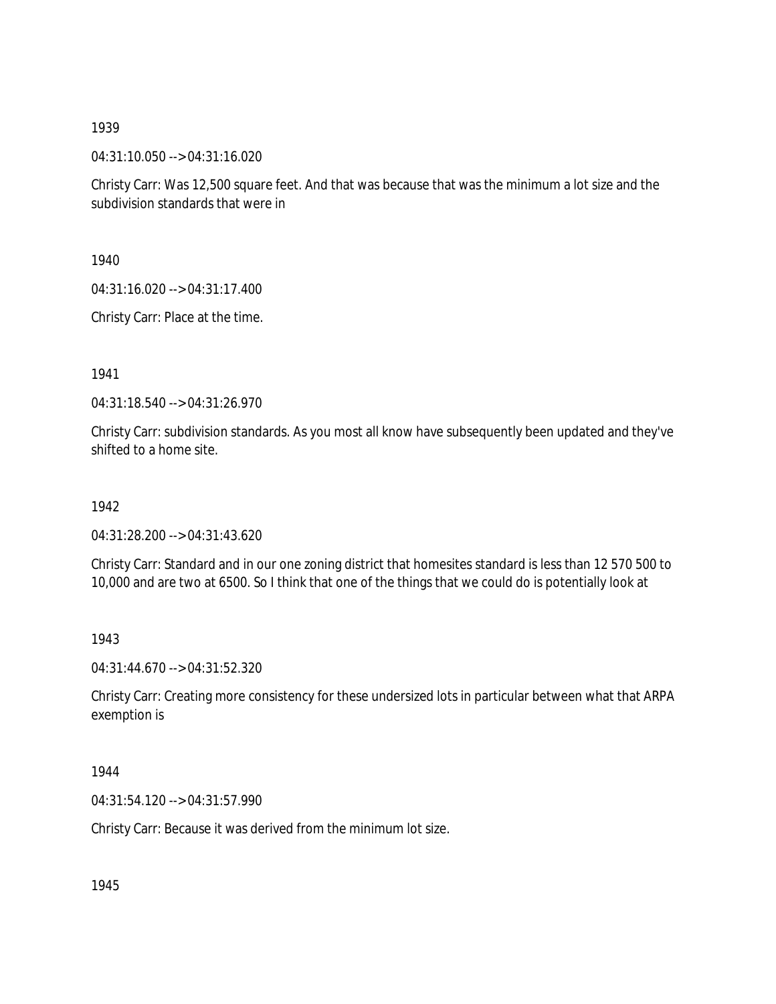04:31:10.050 --> 04:31:16.020

Christy Carr: Was 12,500 square feet. And that was because that was the minimum a lot size and the subdivision standards that were in

1940

04:31:16.020 --> 04:31:17.400

Christy Carr: Place at the time.

1941

04:31:18.540 --> 04:31:26.970

Christy Carr: subdivision standards. As you most all know have subsequently been updated and they've shifted to a home site.

1942

04:31:28.200 --> 04:31:43.620

Christy Carr: Standard and in our one zoning district that homesites standard is less than 12 570 500 to 10,000 and are two at 6500. So I think that one of the things that we could do is potentially look at

1943

04:31:44.670 --> 04:31:52.320

Christy Carr: Creating more consistency for these undersized lots in particular between what that ARPA exemption is

1944

04:31:54.120 --> 04:31:57.990

Christy Carr: Because it was derived from the minimum lot size.

1945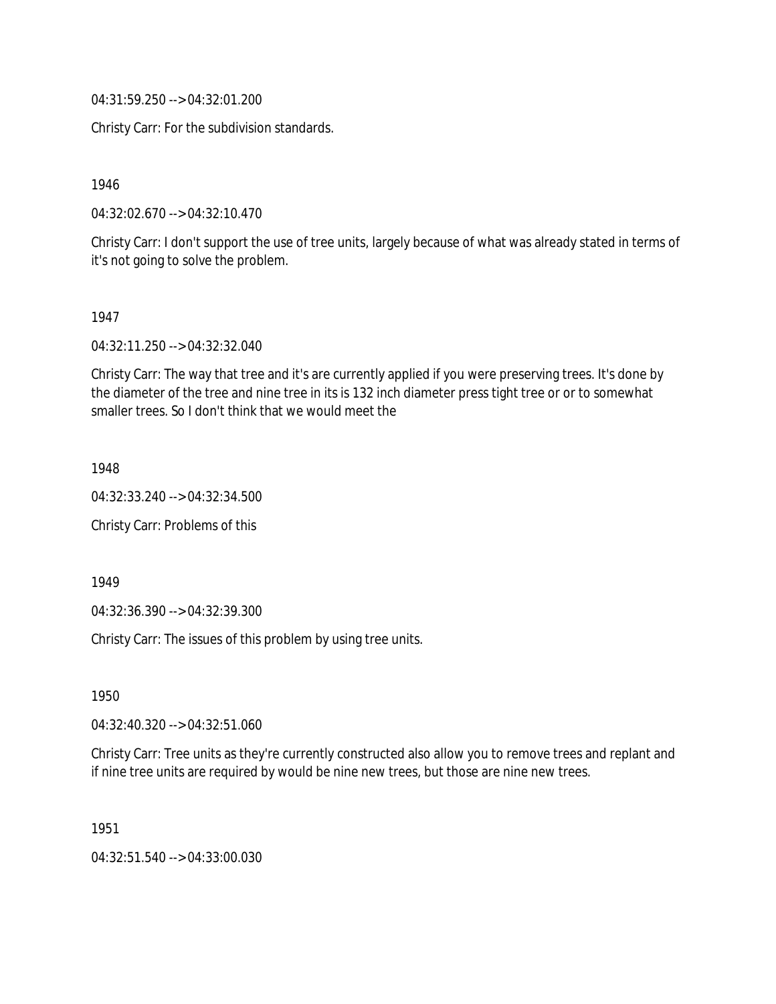04:31:59.250 --> 04:32:01.200

Christy Carr: For the subdivision standards.

1946

04:32:02.670 --> 04:32:10.470

Christy Carr: I don't support the use of tree units, largely because of what was already stated in terms of it's not going to solve the problem.

1947

04:32:11.250 --> 04:32:32.040

Christy Carr: The way that tree and it's are currently applied if you were preserving trees. It's done by the diameter of the tree and nine tree in its is 132 inch diameter press tight tree or or to somewhat smaller trees. So I don't think that we would meet the

1948

04:32:33.240 --> 04:32:34.500

Christy Carr: Problems of this

1949

04:32:36.390 --> 04:32:39.300

Christy Carr: The issues of this problem by using tree units.

1950

04:32:40.320 --> 04:32:51.060

Christy Carr: Tree units as they're currently constructed also allow you to remove trees and replant and if nine tree units are required by would be nine new trees, but those are nine new trees.

1951

04:32:51.540 --> 04:33:00.030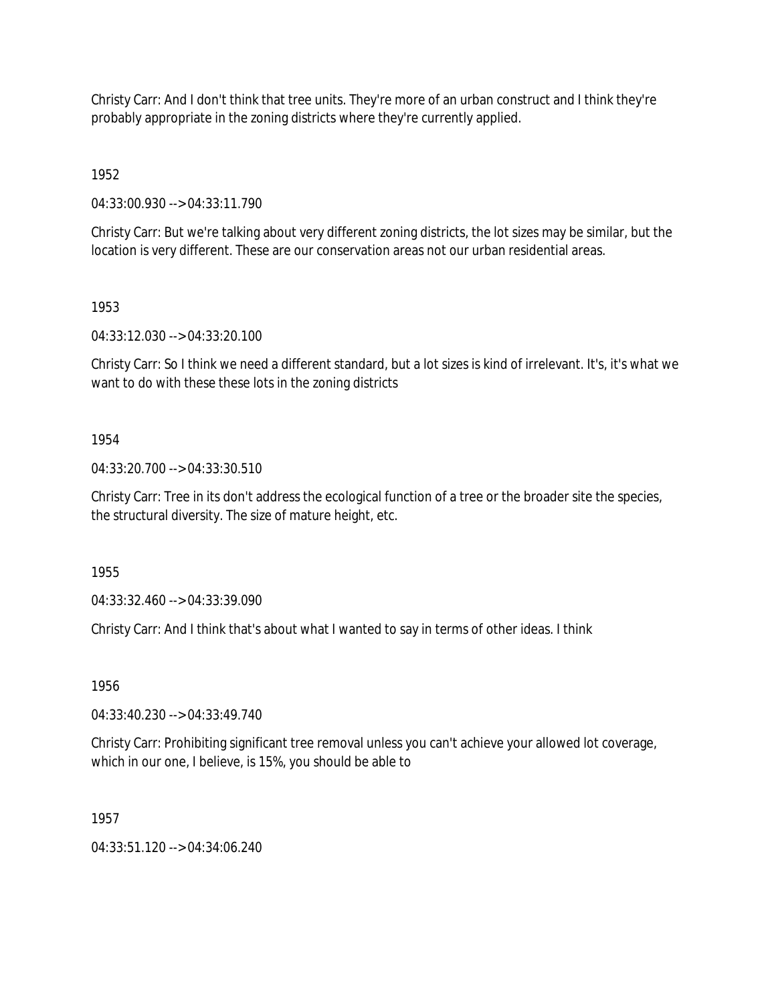Christy Carr: And I don't think that tree units. They're more of an urban construct and I think they're probably appropriate in the zoning districts where they're currently applied.

1952

04:33:00.930 --> 04:33:11.790

Christy Carr: But we're talking about very different zoning districts, the lot sizes may be similar, but the location is very different. These are our conservation areas not our urban residential areas.

1953

04:33:12.030 --> 04:33:20.100

Christy Carr: So I think we need a different standard, but a lot sizes is kind of irrelevant. It's, it's what we want to do with these these lots in the zoning districts

1954

04:33:20.700 --> 04:33:30.510

Christy Carr: Tree in its don't address the ecological function of a tree or the broader site the species, the structural diversity. The size of mature height, etc.

1955

04:33:32.460 --> 04:33:39.090

Christy Carr: And I think that's about what I wanted to say in terms of other ideas. I think

1956

04:33:40.230 --> 04:33:49.740

Christy Carr: Prohibiting significant tree removal unless you can't achieve your allowed lot coverage, which in our one, I believe, is 15%, you should be able to

1957

 $04:33:51.120 \rightarrow 04:34:06.240$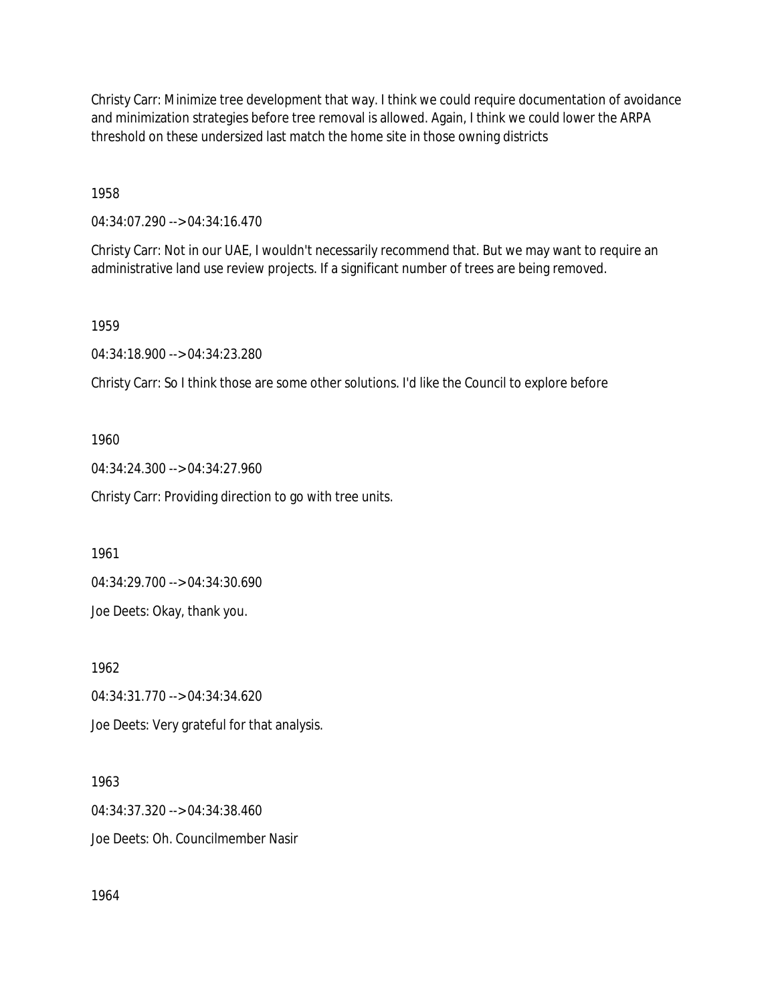Christy Carr: Minimize tree development that way. I think we could require documentation of avoidance and minimization strategies before tree removal is allowed. Again, I think we could lower the ARPA threshold on these undersized last match the home site in those owning districts

1958

04:34:07.290 --> 04:34:16.470

Christy Carr: Not in our UAE, I wouldn't necessarily recommend that. But we may want to require an administrative land use review projects. If a significant number of trees are being removed.

1959

04:34:18.900 --> 04:34:23.280

Christy Carr: So I think those are some other solutions. I'd like the Council to explore before

1960

04:34:24.300 --> 04:34:27.960

Christy Carr: Providing direction to go with tree units.

1961

04:34:29.700 --> 04:34:30.690

Joe Deets: Okay, thank you.

1962

04:34:31.770 --> 04:34:34.620 Joe Deets: Very grateful for that analysis.

1963 04:34:37.320 --> 04:34:38.460 Joe Deets: Oh. Councilmember Nasir

1964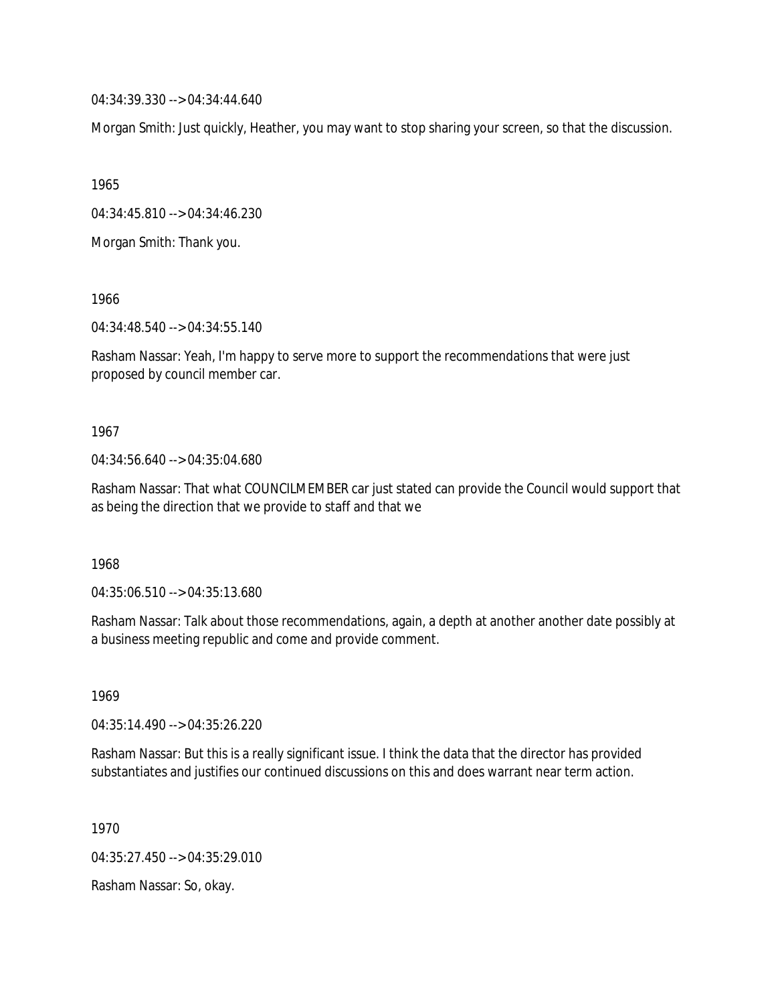04:34:39.330 --> 04:34:44.640

Morgan Smith: Just quickly, Heather, you may want to stop sharing your screen, so that the discussion.

1965

04:34:45.810 --> 04:34:46.230

Morgan Smith: Thank you.

1966

04:34:48.540 --> 04:34:55.140

Rasham Nassar: Yeah, I'm happy to serve more to support the recommendations that were just proposed by council member car.

1967

04:34:56.640 --> 04:35:04.680

Rasham Nassar: That what COUNCILMEMBER car just stated can provide the Council would support that as being the direction that we provide to staff and that we

1968

04:35:06.510 --> 04:35:13.680

Rasham Nassar: Talk about those recommendations, again, a depth at another another date possibly at a business meeting republic and come and provide comment.

1969

04:35:14.490 --> 04:35:26.220

Rasham Nassar: But this is a really significant issue. I think the data that the director has provided substantiates and justifies our continued discussions on this and does warrant near term action.

1970

04:35:27.450 --> 04:35:29.010

Rasham Nassar: So, okay.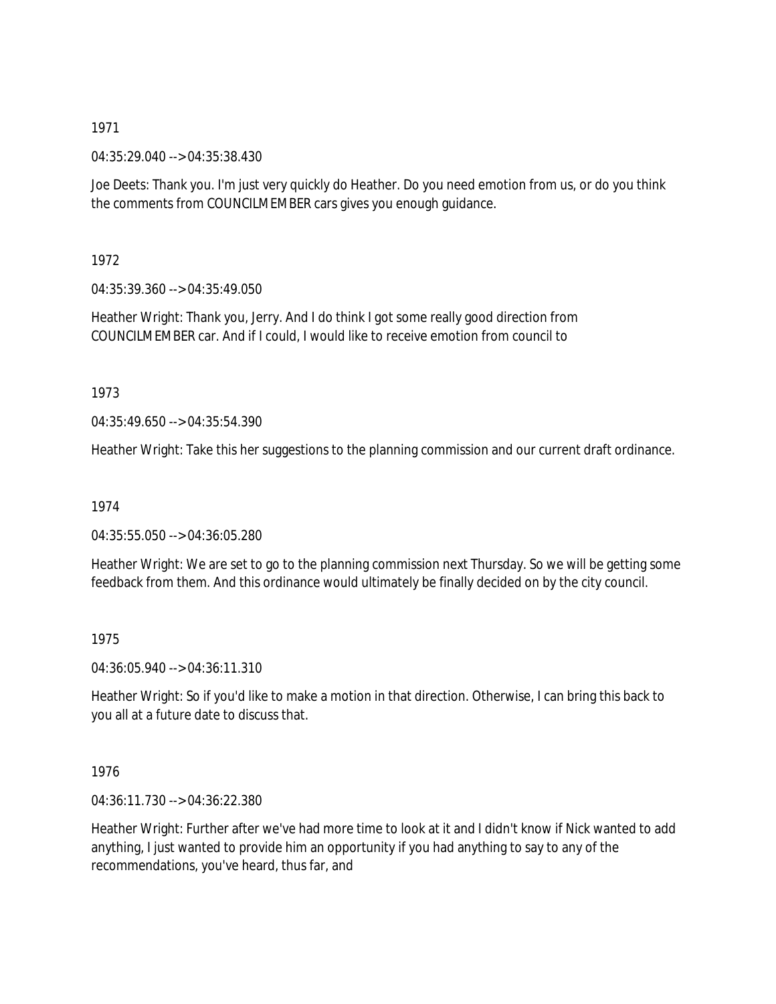04:35:29.040 --> 04:35:38.430

Joe Deets: Thank you. I'm just very quickly do Heather. Do you need emotion from us, or do you think the comments from COUNCILMEMBER cars gives you enough guidance.

1972

04:35:39.360 --> 04:35:49.050

Heather Wright: Thank you, Jerry. And I do think I got some really good direction from COUNCILMEMBER car. And if I could, I would like to receive emotion from council to

1973

04:35:49.650 --> 04:35:54.390

Heather Wright: Take this her suggestions to the planning commission and our current draft ordinance.

1974

04:35:55.050 --> 04:36:05.280

Heather Wright: We are set to go to the planning commission next Thursday. So we will be getting some feedback from them. And this ordinance would ultimately be finally decided on by the city council.

1975

04:36:05.940 --> 04:36:11.310

Heather Wright: So if you'd like to make a motion in that direction. Otherwise, I can bring this back to you all at a future date to discuss that.

1976

04:36:11.730 --> 04:36:22.380

Heather Wright: Further after we've had more time to look at it and I didn't know if Nick wanted to add anything, I just wanted to provide him an opportunity if you had anything to say to any of the recommendations, you've heard, thus far, and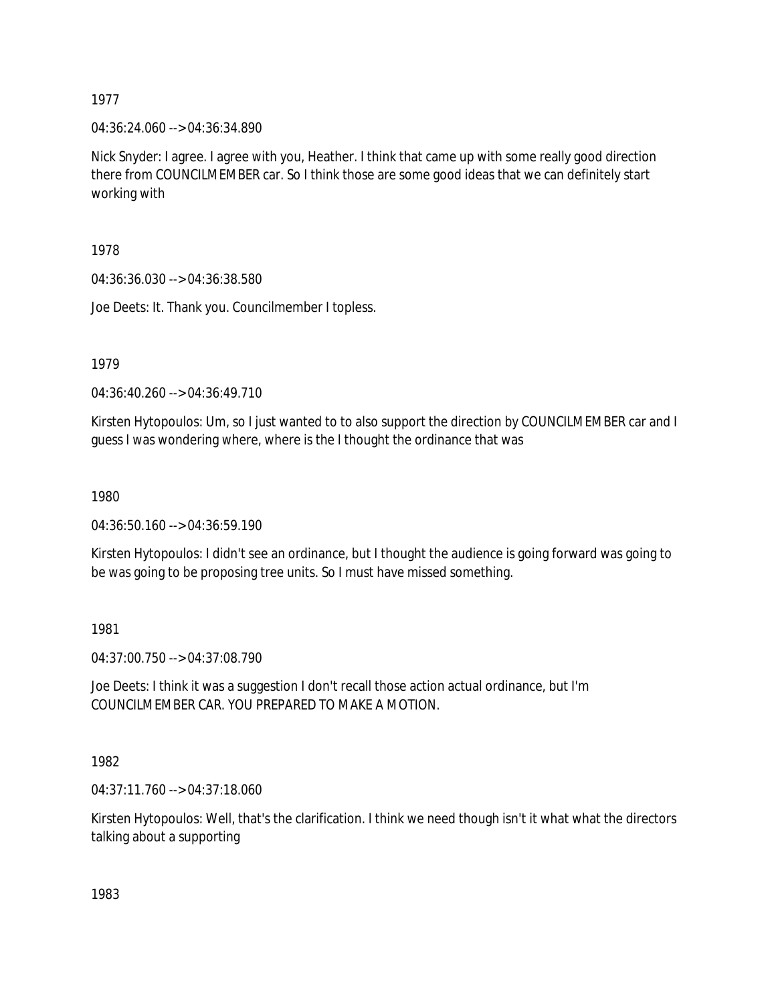04:36:24.060 --> 04:36:34.890

Nick Snyder: I agree. I agree with you, Heather. I think that came up with some really good direction there from COUNCILMEMBER car. So I think those are some good ideas that we can definitely start working with

1978

04:36:36.030 --> 04:36:38.580

Joe Deets: It. Thank you. Councilmember I topless.

1979

04:36:40.260 --> 04:36:49.710

Kirsten Hytopoulos: Um, so I just wanted to to also support the direction by COUNCILMEMBER car and I guess I was wondering where, where is the I thought the ordinance that was

1980

04:36:50.160 --> 04:36:59.190

Kirsten Hytopoulos: I didn't see an ordinance, but I thought the audience is going forward was going to be was going to be proposing tree units. So I must have missed something.

1981

04:37:00.750 --> 04:37:08.790

Joe Deets: I think it was a suggestion I don't recall those action actual ordinance, but I'm COUNCILMEMBER CAR. YOU PREPARED TO MAKE A MOTION.

1982

04:37:11.760 --> 04:37:18.060

Kirsten Hytopoulos: Well, that's the clarification. I think we need though isn't it what what the directors talking about a supporting

1983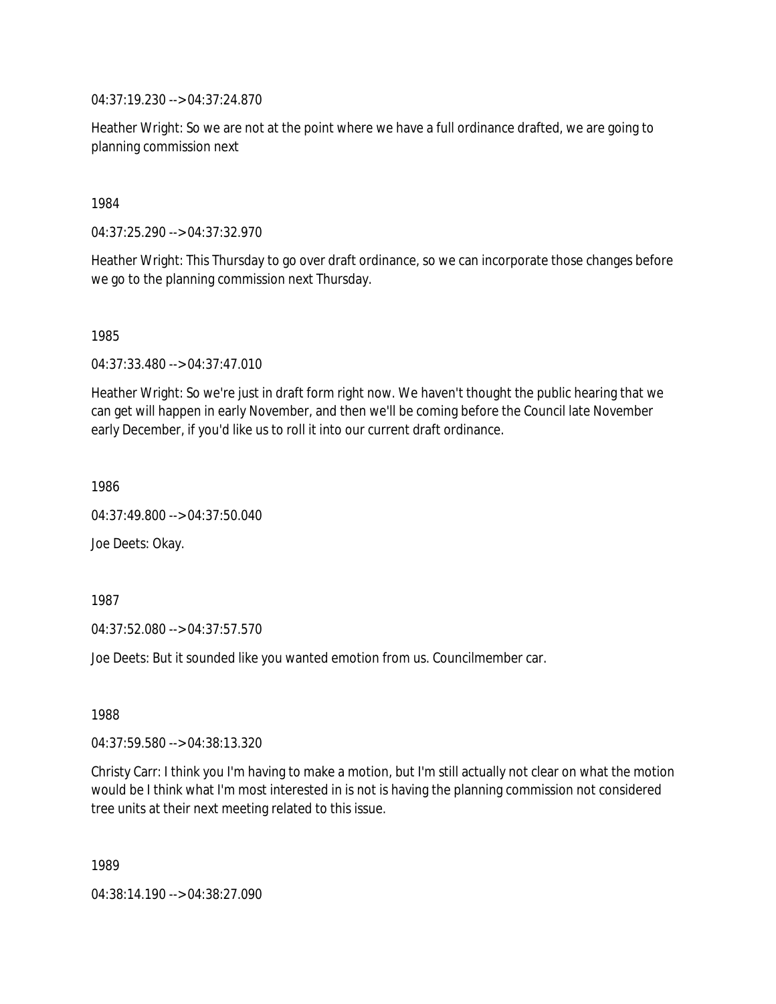04:37:19.230 --> 04:37:24.870

Heather Wright: So we are not at the point where we have a full ordinance drafted, we are going to planning commission next

1984

04:37:25.290 --> 04:37:32.970

Heather Wright: This Thursday to go over draft ordinance, so we can incorporate those changes before we go to the planning commission next Thursday.

1985

04:37:33.480 --> 04:37:47.010

Heather Wright: So we're just in draft form right now. We haven't thought the public hearing that we can get will happen in early November, and then we'll be coming before the Council late November early December, if you'd like us to roll it into our current draft ordinance.

1986

04:37:49.800 --> 04:37:50.040

Joe Deets: Okay.

1987

04:37:52.080 --> 04:37:57.570

Joe Deets: But it sounded like you wanted emotion from us. Councilmember car.

1988

04:37:59.580 --> 04:38:13.320

Christy Carr: I think you I'm having to make a motion, but I'm still actually not clear on what the motion would be I think what I'm most interested in is not is having the planning commission not considered tree units at their next meeting related to this issue.

1989

04:38:14.190 --> 04:38:27.090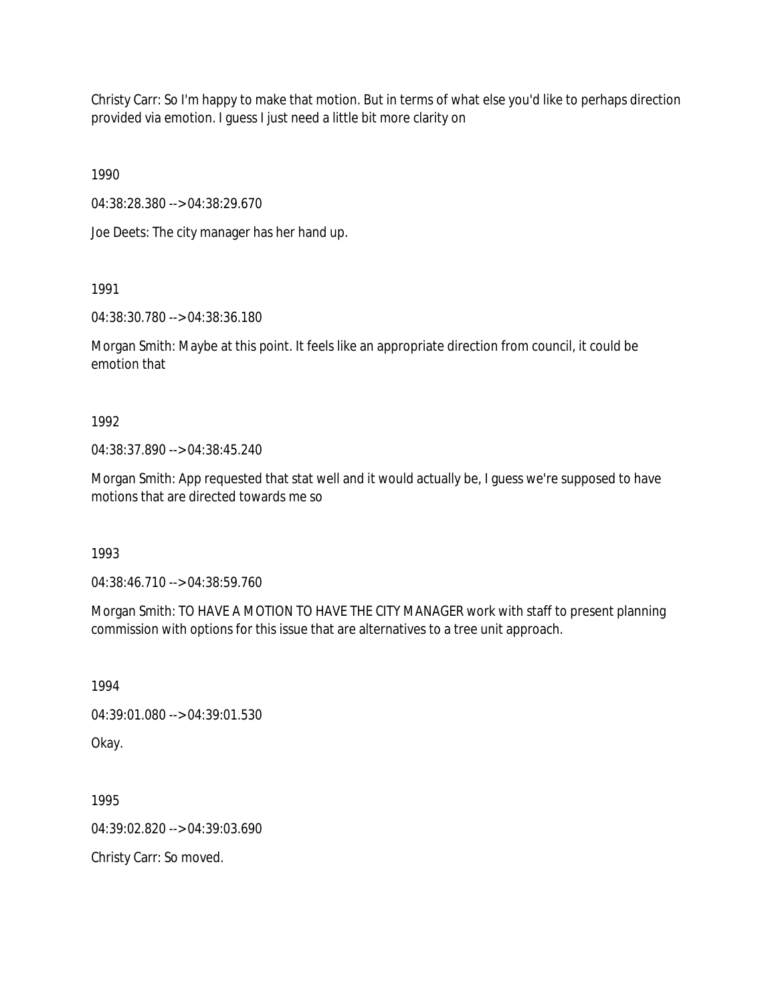Christy Carr: So I'm happy to make that motion. But in terms of what else you'd like to perhaps direction provided via emotion. I guess I just need a little bit more clarity on

1990

04:38:28.380 --> 04:38:29.670

Joe Deets: The city manager has her hand up.

1991

04:38:30.780 --> 04:38:36.180

Morgan Smith: Maybe at this point. It feels like an appropriate direction from council, it could be emotion that

1992

04:38:37.890 --> 04:38:45.240

Morgan Smith: App requested that stat well and it would actually be, I guess we're supposed to have motions that are directed towards me so

1993

04:38:46.710 --> 04:38:59.760

Morgan Smith: TO HAVE A MOTION TO HAVE THE CITY MANAGER work with staff to present planning commission with options for this issue that are alternatives to a tree unit approach.

1994

04:39:01.080 --> 04:39:01.530

Okay.

1995

04:39:02.820 --> 04:39:03.690

Christy Carr: So moved.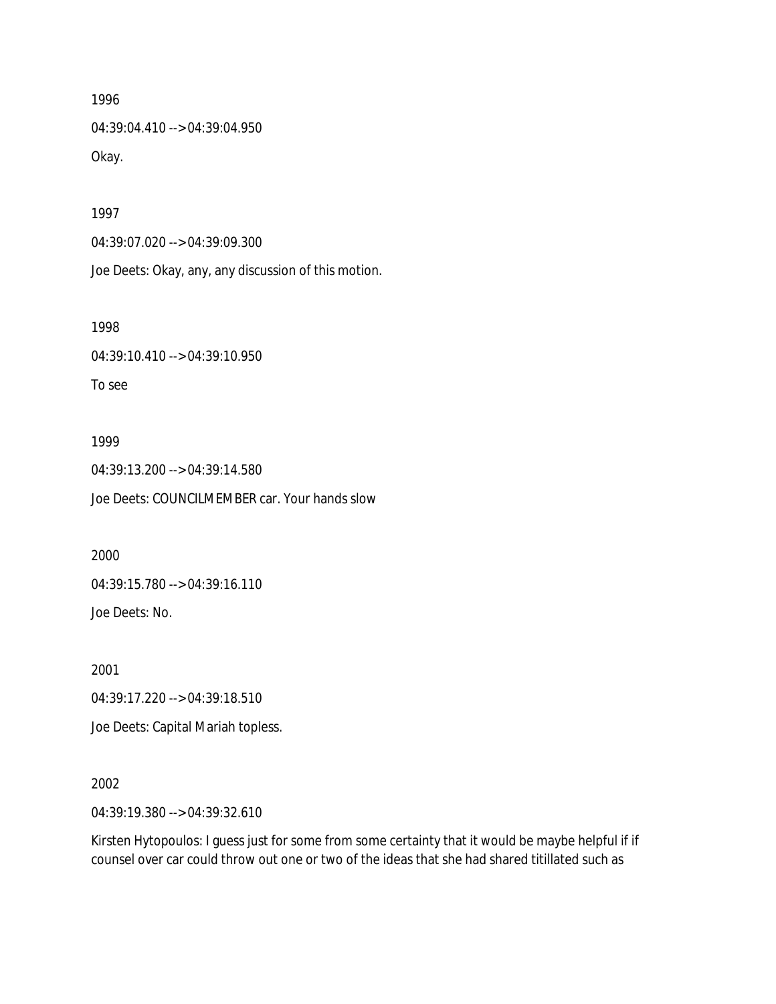04:39:04.410 --> 04:39:04.950 Okay.

1997

04:39:07.020 --> 04:39:09.300

Joe Deets: Okay, any, any discussion of this motion.

1998

04:39:10.410 --> 04:39:10.950

To see

#### 1999

04:39:13.200 --> 04:39:14.580 Joe Deets: COUNCILMEMBER car. Your hands slow

2000

04:39:15.780 --> 04:39:16.110

Joe Deets: No.

2001

04:39:17.220 --> 04:39:18.510

Joe Deets: Capital Mariah topless.

#### 2002

04:39:19.380 --> 04:39:32.610

Kirsten Hytopoulos: I guess just for some from some certainty that it would be maybe helpful if if counsel over car could throw out one or two of the ideas that she had shared titillated such as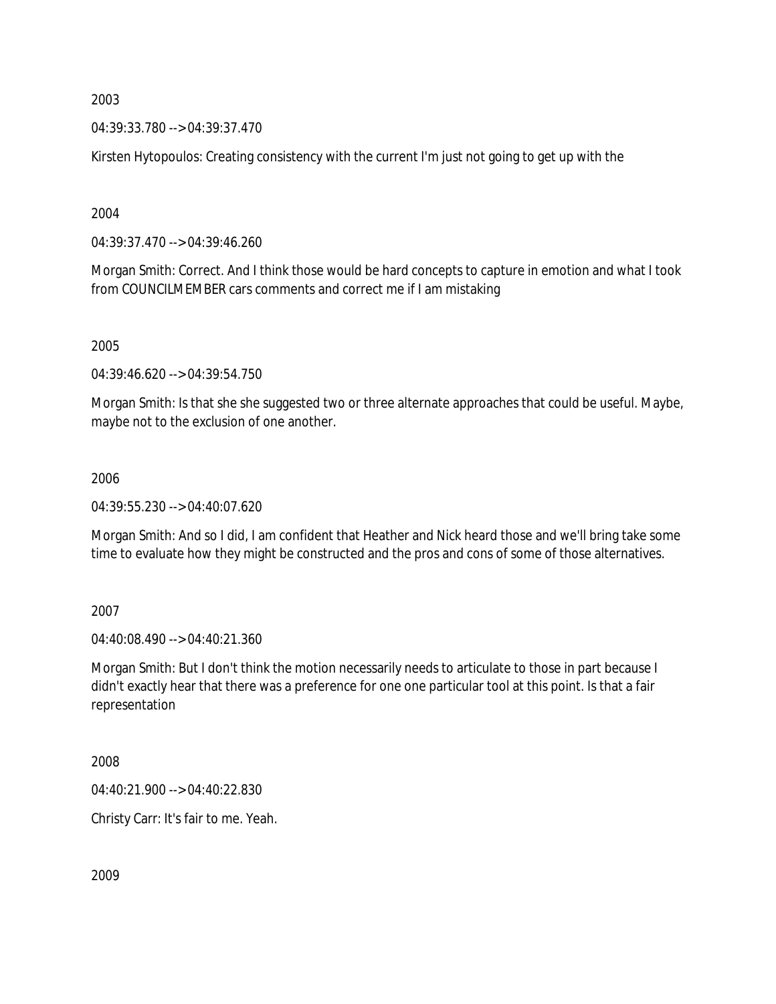04:39:33.780 --> 04:39:37.470

Kirsten Hytopoulos: Creating consistency with the current I'm just not going to get up with the

2004

04:39:37.470 --> 04:39:46.260

Morgan Smith: Correct. And I think those would be hard concepts to capture in emotion and what I took from COUNCILMEMBER cars comments and correct me if I am mistaking

2005

04:39:46.620 --> 04:39:54.750

Morgan Smith: Is that she she suggested two or three alternate approaches that could be useful. Maybe, maybe not to the exclusion of one another.

## 2006

04:39:55.230 --> 04:40:07.620

Morgan Smith: And so I did, I am confident that Heather and Nick heard those and we'll bring take some time to evaluate how they might be constructed and the pros and cons of some of those alternatives.

2007

04:40:08.490 --> 04:40:21.360

Morgan Smith: But I don't think the motion necessarily needs to articulate to those in part because I didn't exactly hear that there was a preference for one one particular tool at this point. Is that a fair representation

2008

04:40:21.900 --> 04:40:22.830

Christy Carr: It's fair to me. Yeah.

2009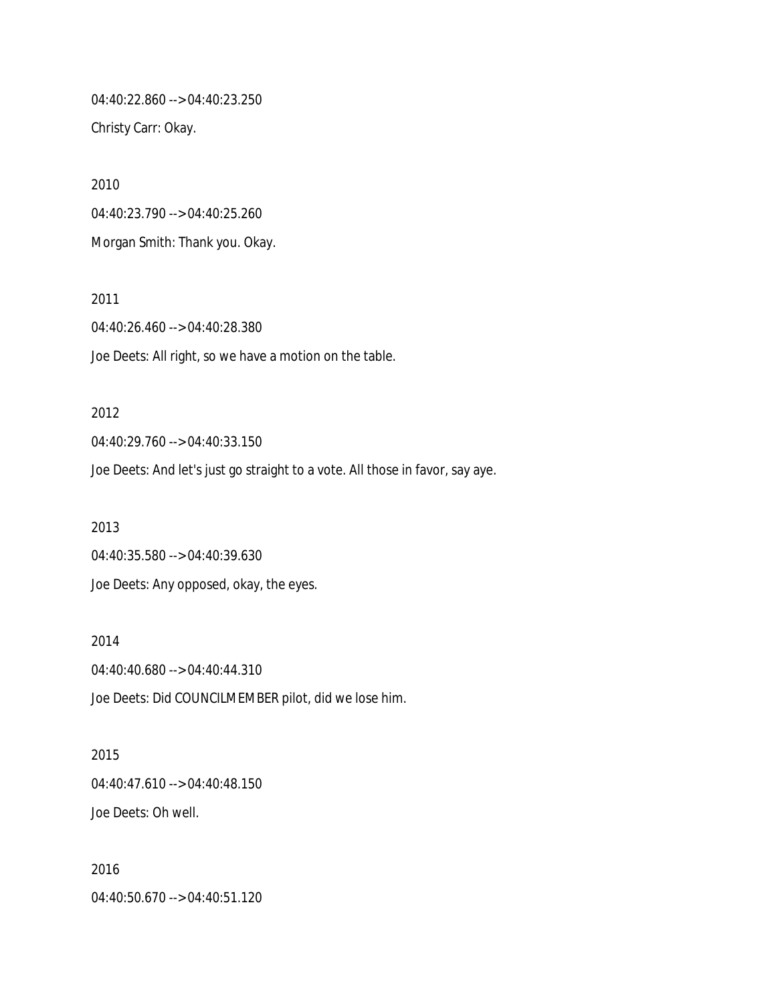04:40:22.860 --> 04:40:23.250 Christy Carr: Okay.

2010 04:40:23.790 --> 04:40:25.260 Morgan Smith: Thank you. Okay.

2012

2011 04:40:26.460 --> 04:40:28.380 Joe Deets: All right, so we have a motion on the table.

04:40:29.760 --> 04:40:33.150 Joe Deets: And let's just go straight to a vote. All those in favor, say aye. 2013 04:40:35.580 --> 04:40:39.630

Joe Deets: Any opposed, okay, the eyes.

2014 04:40:40.680 --> 04:40:44.310 Joe Deets: Did COUNCILMEMBER pilot, did we lose him.

2015 04:40:47.610 --> 04:40:48.150 Joe Deets: Oh well.

2016 04:40:50.670 --> 04:40:51.120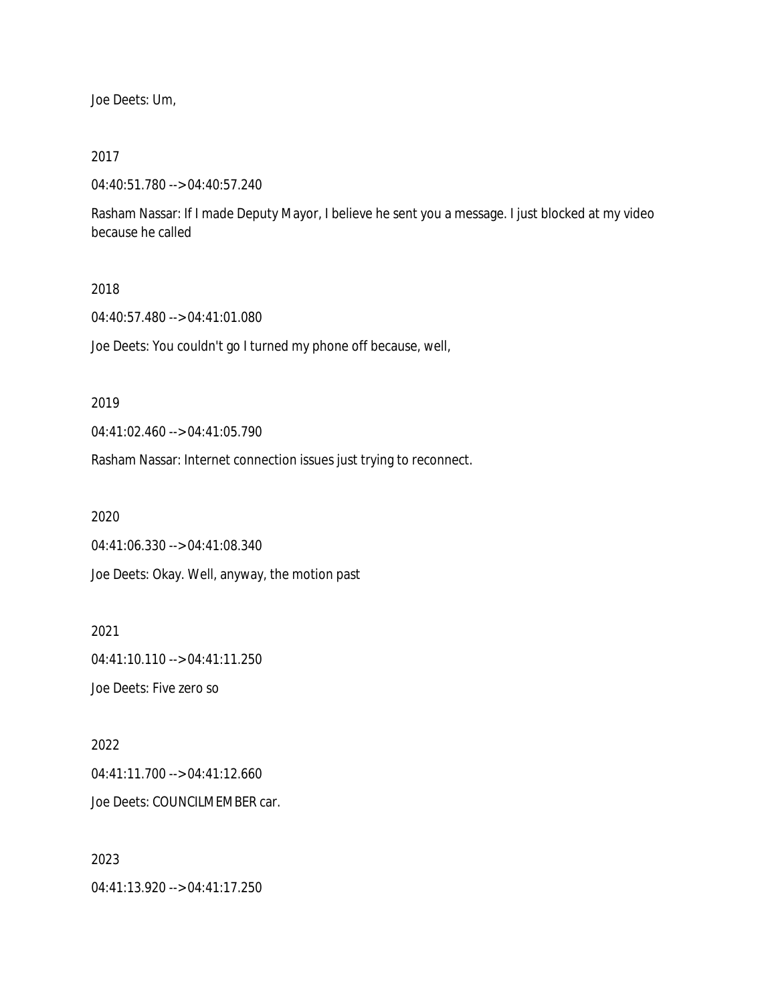Joe Deets: Um,

#### 2017

04:40:51.780 --> 04:40:57.240

Rasham Nassar: If I made Deputy Mayor, I believe he sent you a message. I just blocked at my video because he called

## 2018

04:40:57.480 --> 04:41:01.080

Joe Deets: You couldn't go I turned my phone off because, well,

#### 2019

04:41:02.460 --> 04:41:05.790

Rasham Nassar: Internet connection issues just trying to reconnect.

2020

04:41:06.330 --> 04:41:08.340

Joe Deets: Okay. Well, anyway, the motion past

2021 04:41:10.110 --> 04:41:11.250 Joe Deets: Five zero so

2022 04:41:11.700 --> 04:41:12.660 Joe Deets: COUNCILMEMBER car.

2023 04:41:13.920 --> 04:41:17.250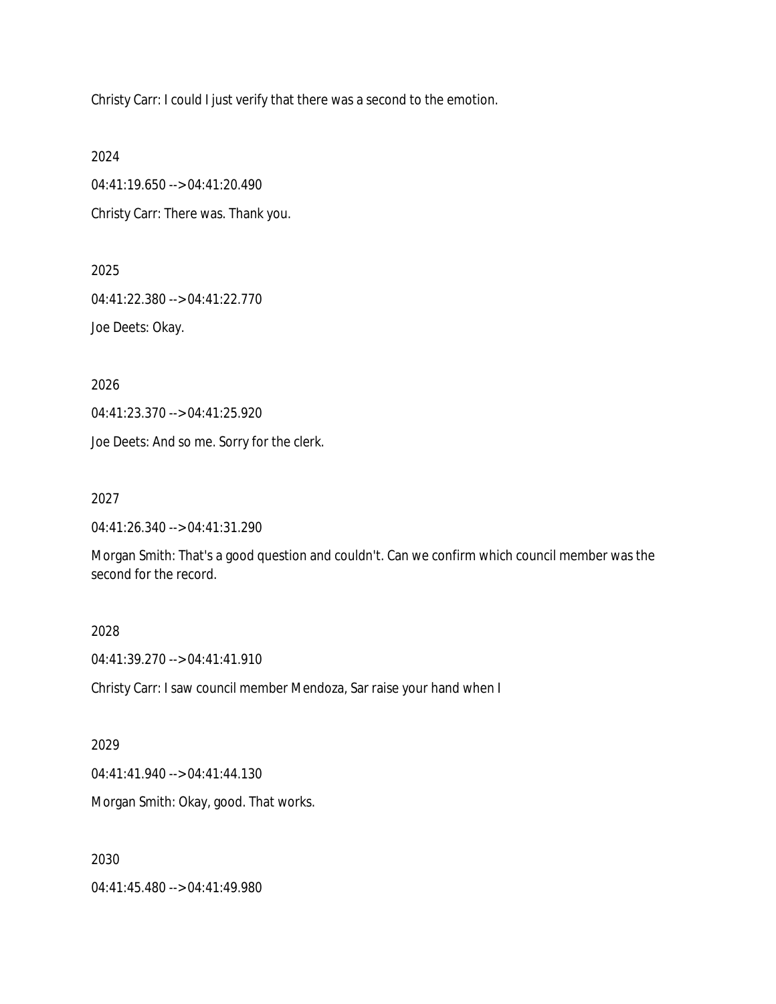Christy Carr: I could I just verify that there was a second to the emotion.

2024

04:41:19.650 --> 04:41:20.490 Christy Carr: There was. Thank you.

2025

04:41:22.380 --> 04:41:22.770

Joe Deets: Okay.

2026

04:41:23.370 --> 04:41:25.920

Joe Deets: And so me. Sorry for the clerk.

2027

04:41:26.340 --> 04:41:31.290

Morgan Smith: That's a good question and couldn't. Can we confirm which council member was the second for the record.

2028

04:41:39.270 --> 04:41:41.910

Christy Carr: I saw council member Mendoza, Sar raise your hand when I

2029

04:41:41.940 --> 04:41:44.130

Morgan Smith: Okay, good. That works.

2030

04:41:45.480 --> 04:41:49.980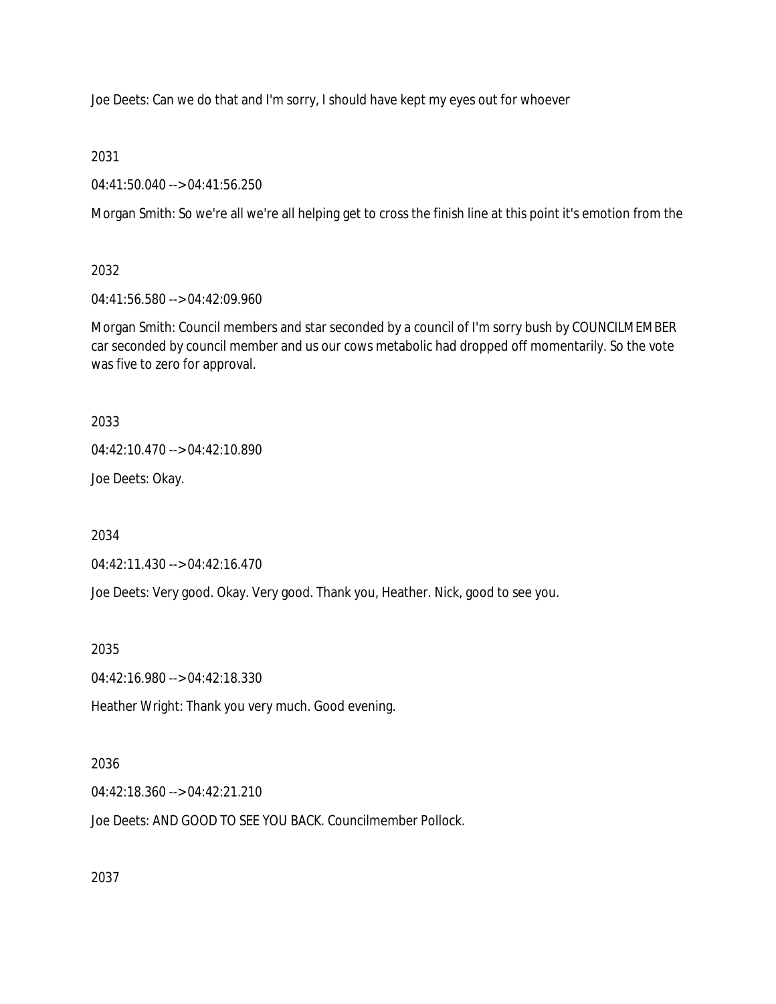Joe Deets: Can we do that and I'm sorry, I should have kept my eyes out for whoever

2031

04:41:50.040 --> 04:41:56.250

Morgan Smith: So we're all we're all helping get to cross the finish line at this point it's emotion from the

2032

04:41:56.580 --> 04:42:09.960

Morgan Smith: Council members and star seconded by a council of I'm sorry bush by COUNCILMEMBER car seconded by council member and us our cows metabolic had dropped off momentarily. So the vote was five to zero for approval.

2033

04:42:10.470 --> 04:42:10.890

Joe Deets: Okay.

2034

04:42:11.430 --> 04:42:16.470

Joe Deets: Very good. Okay. Very good. Thank you, Heather. Nick, good to see you.

2035

04:42:16.980 --> 04:42:18.330

Heather Wright: Thank you very much. Good evening.

## 2036

04:42:18.360 --> 04:42:21.210

Joe Deets: AND GOOD TO SEE YOU BACK. Councilmember Pollock.

2037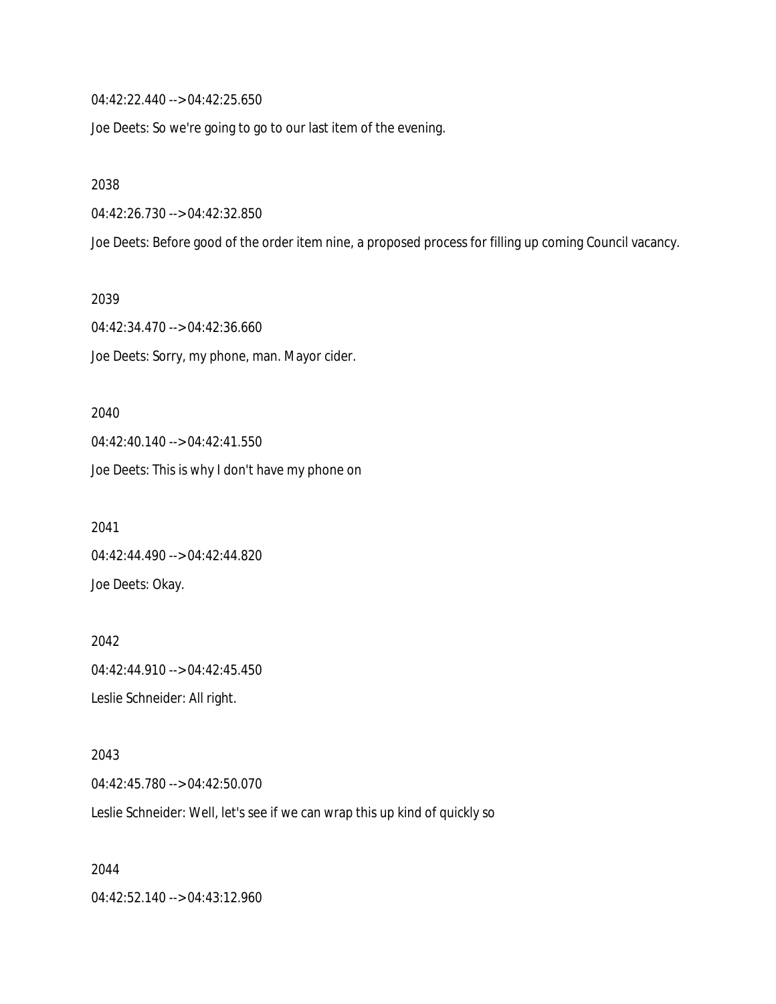04:42:22.440 --> 04:42:25.650

Joe Deets: So we're going to go to our last item of the evening.

2038

04:42:26.730 --> 04:42:32.850

Joe Deets: Before good of the order item nine, a proposed process for filling up coming Council vacancy.

2039

04:42:34.470 --> 04:42:36.660 Joe Deets: Sorry, my phone, man. Mayor cider.

2040 04:42:40.140 --> 04:42:41.550 Joe Deets: This is why I don't have my phone on

2041 04:42:44.490 --> 04:42:44.820 Joe Deets: Okay.

2042 04:42:44.910 --> 04:42:45.450 Leslie Schneider: All right.

2043 04:42:45.780 --> 04:42:50.070 Leslie Schneider: Well, let's see if we can wrap this up kind of quickly so

2044 04:42:52.140 --> 04:43:12.960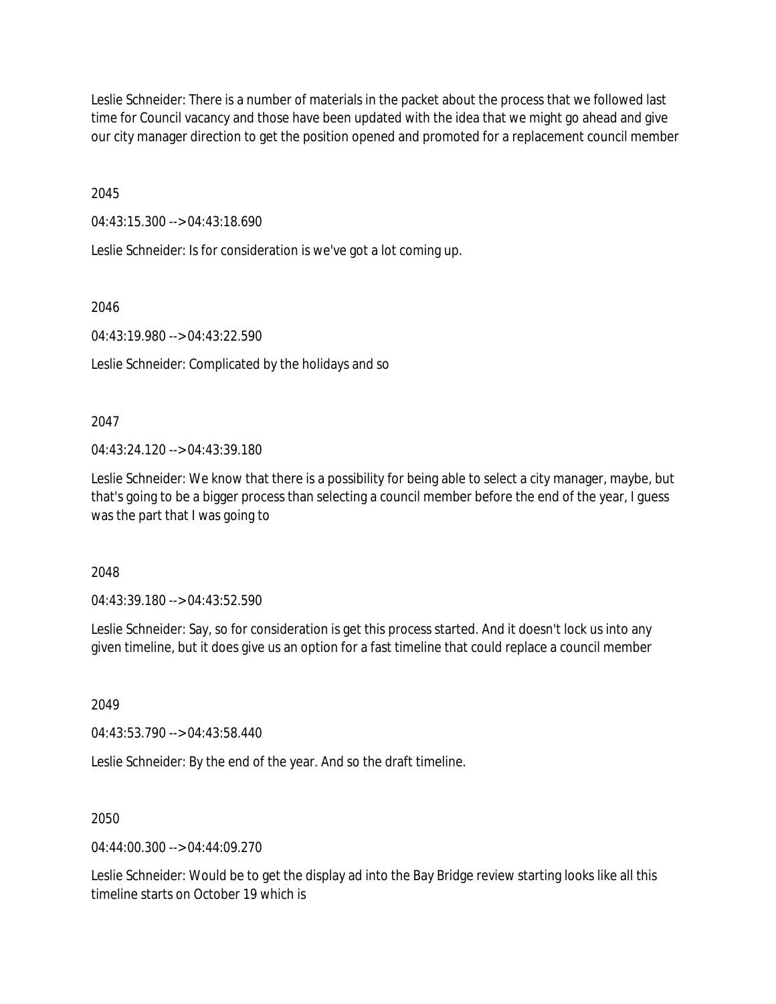Leslie Schneider: There is a number of materials in the packet about the process that we followed last time for Council vacancy and those have been updated with the idea that we might go ahead and give our city manager direction to get the position opened and promoted for a replacement council member

2045

04:43:15.300 --> 04:43:18.690

Leslie Schneider: Is for consideration is we've got a lot coming up.

2046

04:43:19.980 --> 04:43:22.590

Leslie Schneider: Complicated by the holidays and so

2047

04:43:24.120 --> 04:43:39.180

Leslie Schneider: We know that there is a possibility for being able to select a city manager, maybe, but that's going to be a bigger process than selecting a council member before the end of the year, I guess was the part that I was going to

2048

04:43:39.180 --> 04:43:52.590

Leslie Schneider: Say, so for consideration is get this process started. And it doesn't lock us into any given timeline, but it does give us an option for a fast timeline that could replace a council member

2049

04:43:53.790 --> 04:43:58.440

Leslie Schneider: By the end of the year. And so the draft timeline.

2050

 $04.44.00.300 -> 04.44.09.270$ 

Leslie Schneider: Would be to get the display ad into the Bay Bridge review starting looks like all this timeline starts on October 19 which is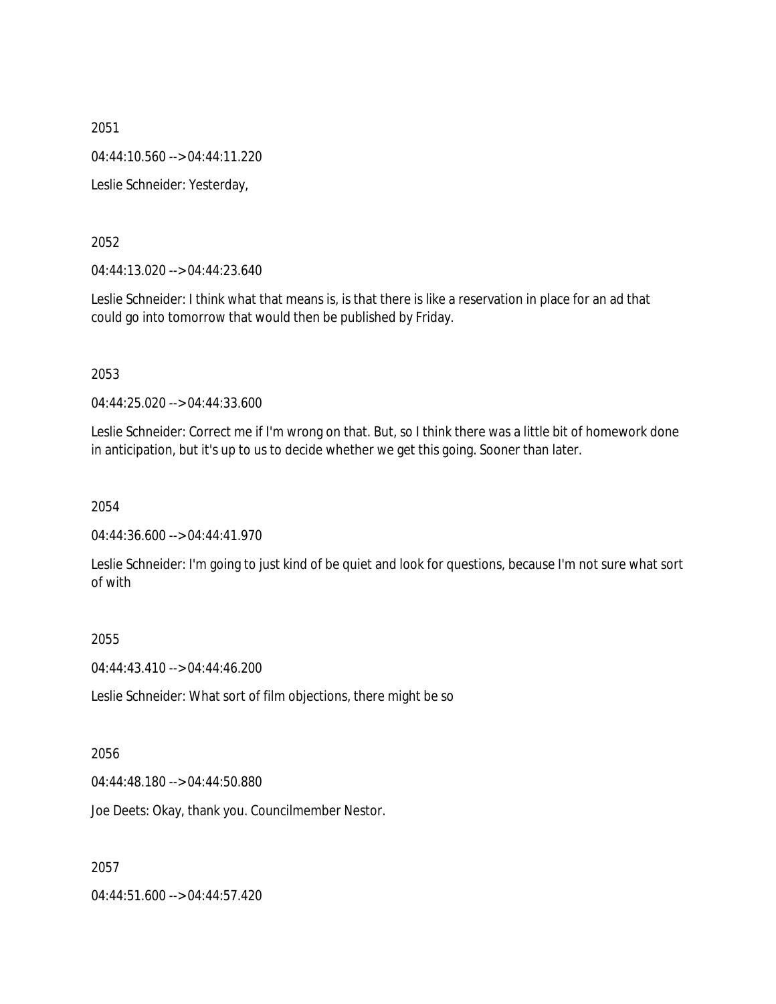04:44:10.560 --> 04:44:11.220

Leslie Schneider: Yesterday,

2052

04:44:13.020 --> 04:44:23.640

Leslie Schneider: I think what that means is, is that there is like a reservation in place for an ad that could go into tomorrow that would then be published by Friday.

2053

04:44:25.020 --> 04:44:33.600

Leslie Schneider: Correct me if I'm wrong on that. But, so I think there was a little bit of homework done in anticipation, but it's up to us to decide whether we get this going. Sooner than later.

2054

04:44:36.600 --> 04:44:41.970

Leslie Schneider: I'm going to just kind of be quiet and look for questions, because I'm not sure what sort of with

2055

04:44:43.410 --> 04:44:46.200

Leslie Schneider: What sort of film objections, there might be so

2056

04:44:48.180 --> 04:44:50.880

Joe Deets: Okay, thank you. Councilmember Nestor.

2057

04:44:51.600 --> 04:44:57.420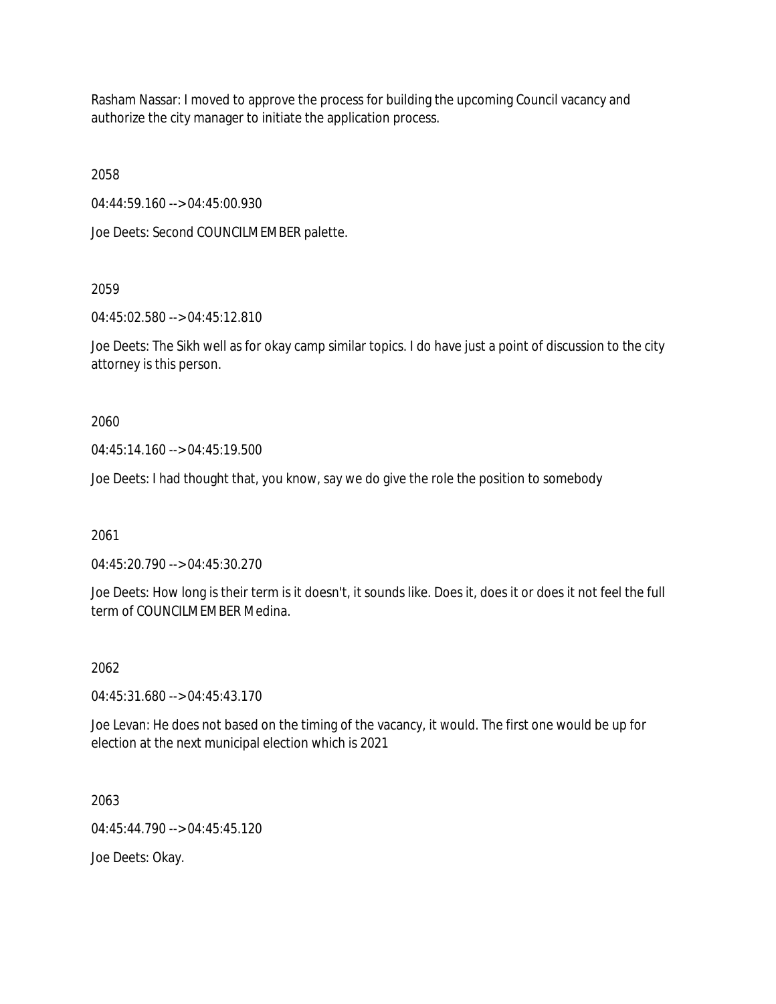Rasham Nassar: I moved to approve the process for building the upcoming Council vacancy and authorize the city manager to initiate the application process.

2058

04:44:59.160 --> 04:45:00.930

Joe Deets: Second COUNCILMEMBER palette.

2059

04:45:02.580 --> 04:45:12.810

Joe Deets: The Sikh well as for okay camp similar topics. I do have just a point of discussion to the city attorney is this person.

2060

04:45:14.160 --> 04:45:19.500

Joe Deets: I had thought that, you know, say we do give the role the position to somebody

2061

04:45:20.790 --> 04:45:30.270

Joe Deets: How long is their term is it doesn't, it sounds like. Does it, does it or does it not feel the full term of COUNCILMEMBER Medina.

2062

04:45:31.680 --> 04:45:43.170

Joe Levan: He does not based on the timing of the vacancy, it would. The first one would be up for election at the next municipal election which is 2021

2063

04:45:44.790 --> 04:45:45.120

Joe Deets: Okay.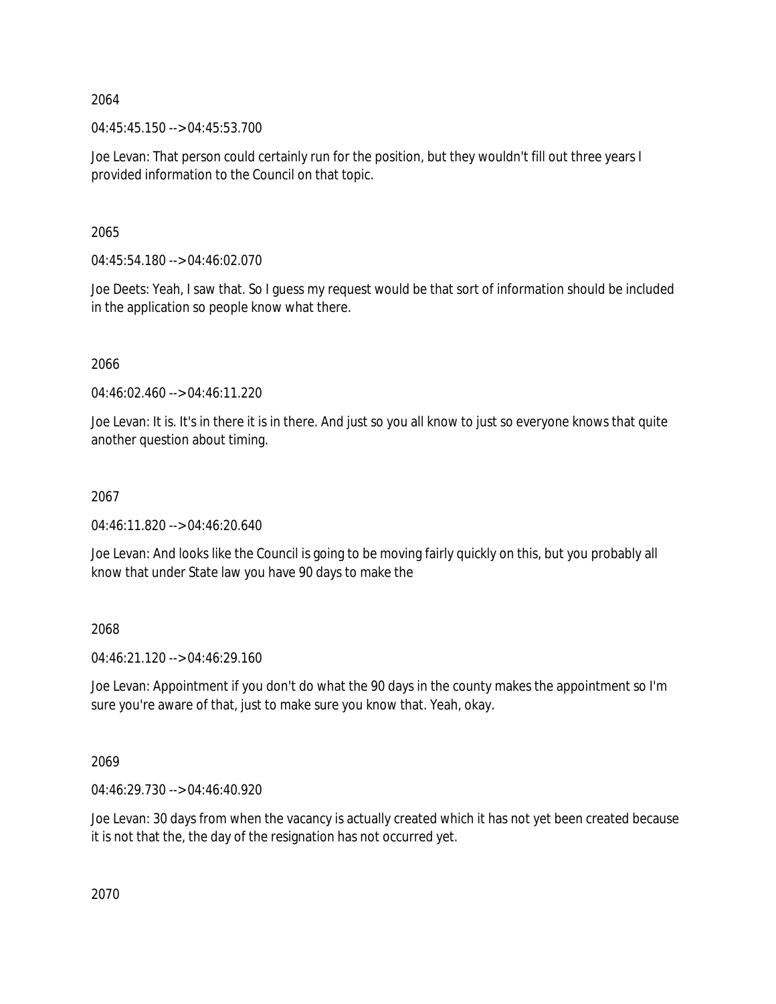04:45:45.150 --> 04:45:53.700

Joe Levan: That person could certainly run for the position, but they wouldn't fill out three years I provided information to the Council on that topic.

2065

 $04:45:54.180 \rightarrow 04:46:02.070$ 

Joe Deets: Yeah, I saw that. So I guess my request would be that sort of information should be included in the application so people know what there.

2066

04:46:02.460 --> 04:46:11.220

Joe Levan: It is. It's in there it is in there. And just so you all know to just so everyone knows that quite another question about timing.

2067

04:46:11.820 --> 04:46:20.640

Joe Levan: And looks like the Council is going to be moving fairly quickly on this, but you probably all know that under State law you have 90 days to make the

2068

04:46:21.120 --> 04:46:29.160

Joe Levan: Appointment if you don't do what the 90 days in the county makes the appointment so I'm sure you're aware of that, just to make sure you know that. Yeah, okay.

2069

04:46:29.730 --> 04:46:40.920

Joe Levan: 30 days from when the vacancy is actually created which it has not yet been created because it is not that the, the day of the resignation has not occurred yet.

2070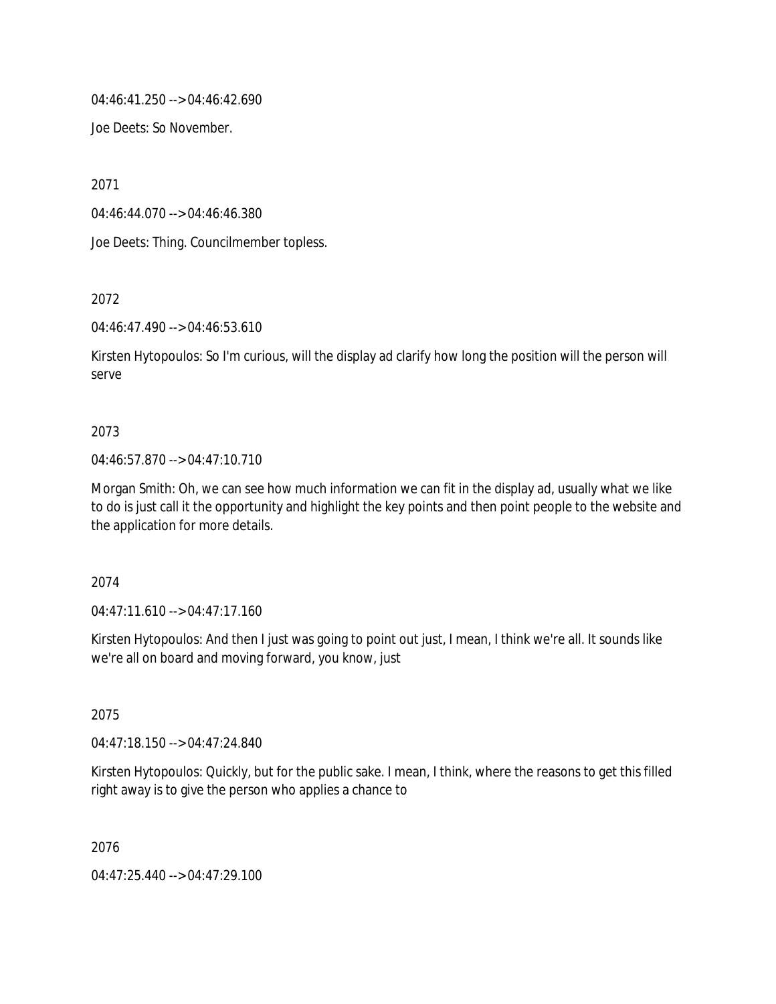04:46:41.250 --> 04:46:42.690

Joe Deets: So November.

2071

04:46:44.070 --> 04:46:46.380

Joe Deets: Thing. Councilmember topless.

2072

04:46:47.490 --> 04:46:53.610

Kirsten Hytopoulos: So I'm curious, will the display ad clarify how long the position will the person will serve

#### 2073

#### 04:46:57.870 --> 04:47:10.710

Morgan Smith: Oh, we can see how much information we can fit in the display ad, usually what we like to do is just call it the opportunity and highlight the key points and then point people to the website and the application for more details.

2074

04:47:11.610 --> 04:47:17.160

Kirsten Hytopoulos: And then I just was going to point out just, I mean, I think we're all. It sounds like we're all on board and moving forward, you know, just

2075

04:47:18.150 --> 04:47:24.840

Kirsten Hytopoulos: Quickly, but for the public sake. I mean, I think, where the reasons to get this filled right away is to give the person who applies a chance to

2076

04:47:25.440 --> 04:47:29.100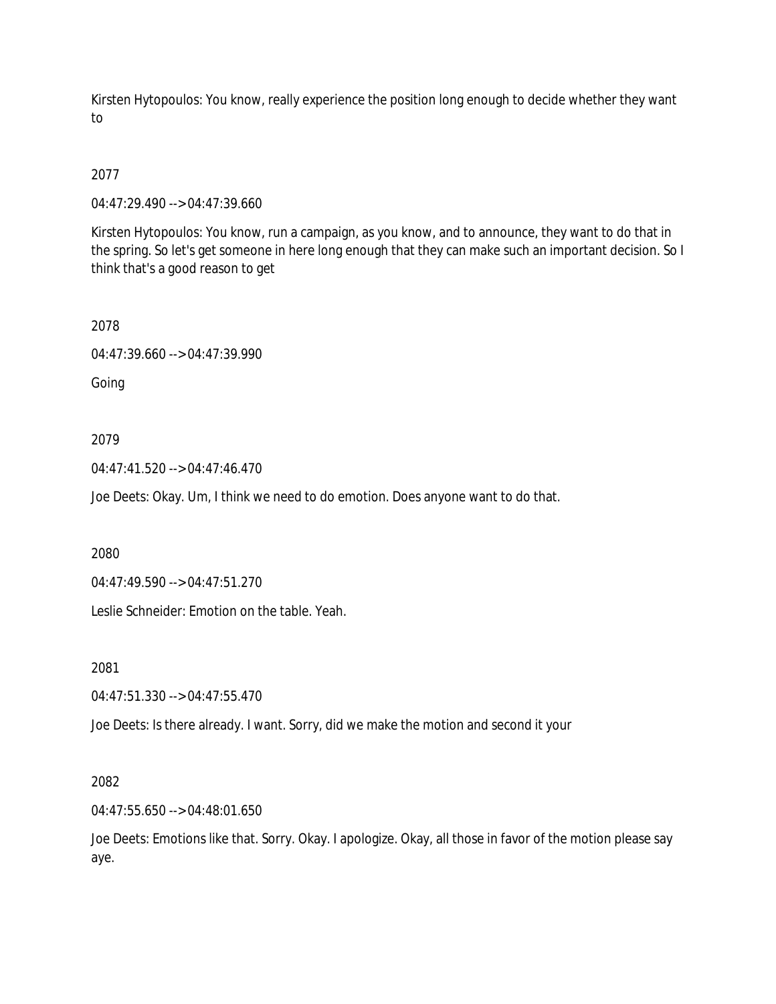Kirsten Hytopoulos: You know, really experience the position long enough to decide whether they want to

## 2077

04:47:29.490 --> 04:47:39.660

Kirsten Hytopoulos: You know, run a campaign, as you know, and to announce, they want to do that in the spring. So let's get someone in here long enough that they can make such an important decision. So I think that's a good reason to get

#### 2078

04:47:39.660 --> 04:47:39.990

Going

## 2079

04:47:41.520 --> 04:47:46.470

Joe Deets: Okay. Um, I think we need to do emotion. Does anyone want to do that.

2080

04:47:49.590 --> 04:47:51.270

Leslie Schneider: Emotion on the table. Yeah.

2081

04:47:51.330 --> 04:47:55.470

Joe Deets: Is there already. I want. Sorry, did we make the motion and second it your

## 2082

04:47:55.650 --> 04:48:01.650

Joe Deets: Emotions like that. Sorry. Okay. I apologize. Okay, all those in favor of the motion please say aye.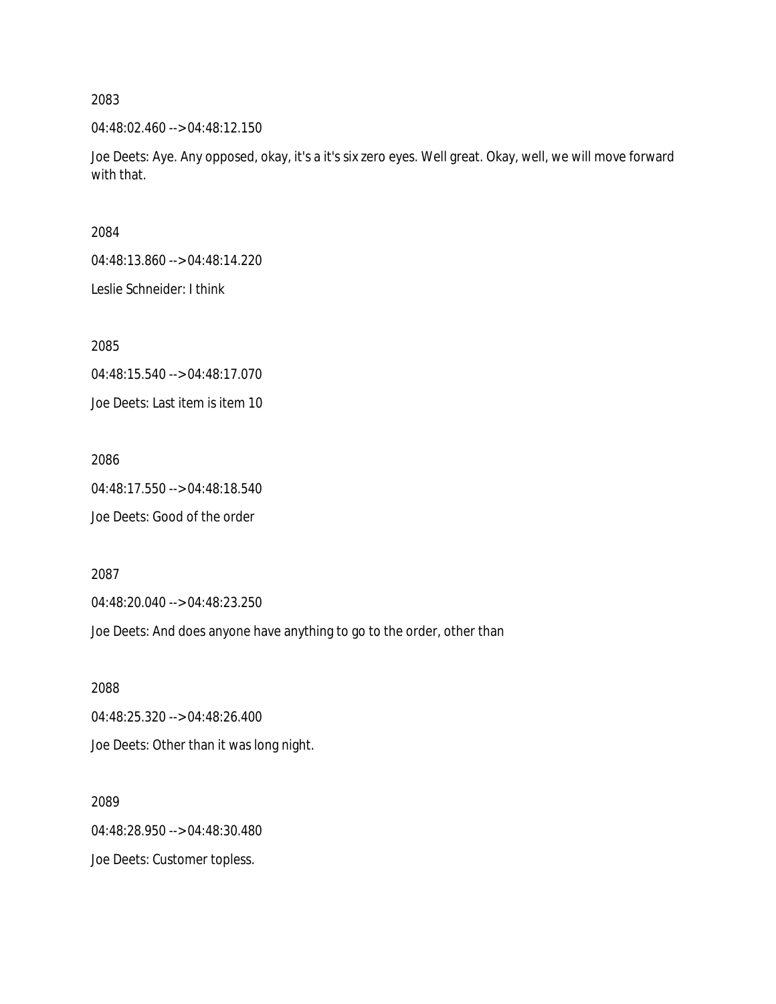04:48:02.460 --> 04:48:12.150

Joe Deets: Aye. Any opposed, okay, it's a it's six zero eyes. Well great. Okay, well, we will move forward with that.

2084

04:48:13.860 --> 04:48:14.220

Leslie Schneider: I think

2085

04:48:15.540 --> 04:48:17.070

Joe Deets: Last item is item 10

2086

04:48:17.550 --> 04:48:18.540 Joe Deets: Good of the order

2087

04:48:20.040 --> 04:48:23.250

Joe Deets: And does anyone have anything to go to the order, other than

2088

04:48:25.320 --> 04:48:26.400

Joe Deets: Other than it was long night.

2089 04:48:28.950 --> 04:48:30.480

Joe Deets: Customer topless.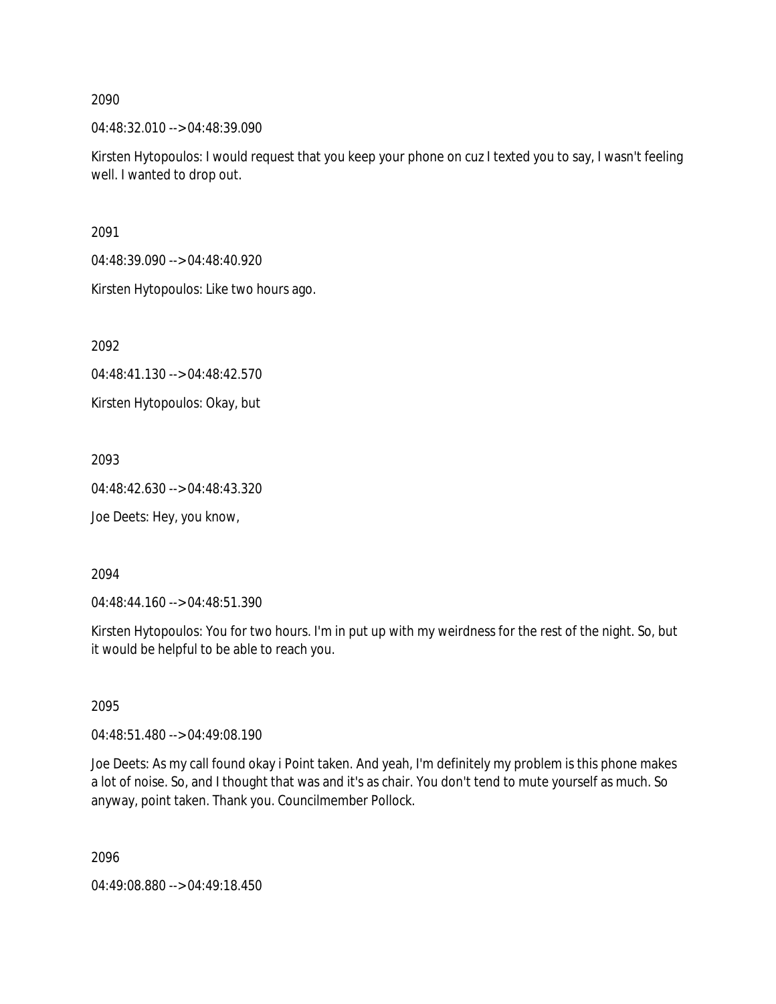04:48:32.010 --> 04:48:39.090

Kirsten Hytopoulos: I would request that you keep your phone on cuz I texted you to say, I wasn't feeling well. I wanted to drop out.

2091

04:48:39.090 --> 04:48:40.920

Kirsten Hytopoulos: Like two hours ago.

2092

04:48:41.130 --> 04:48:42.570

Kirsten Hytopoulos: Okay, but

2093

04:48:42.630 --> 04:48:43.320

Joe Deets: Hey, you know,

2094

04:48:44.160 --> 04:48:51.390

Kirsten Hytopoulos: You for two hours. I'm in put up with my weirdness for the rest of the night. So, but it would be helpful to be able to reach you.

2095

04:48:51.480 --> 04:49:08.190

Joe Deets: As my call found okay i Point taken. And yeah, I'm definitely my problem is this phone makes a lot of noise. So, and I thought that was and it's as chair. You don't tend to mute yourself as much. So anyway, point taken. Thank you. Councilmember Pollock.

2096

04:49:08.880 --> 04:49:18.450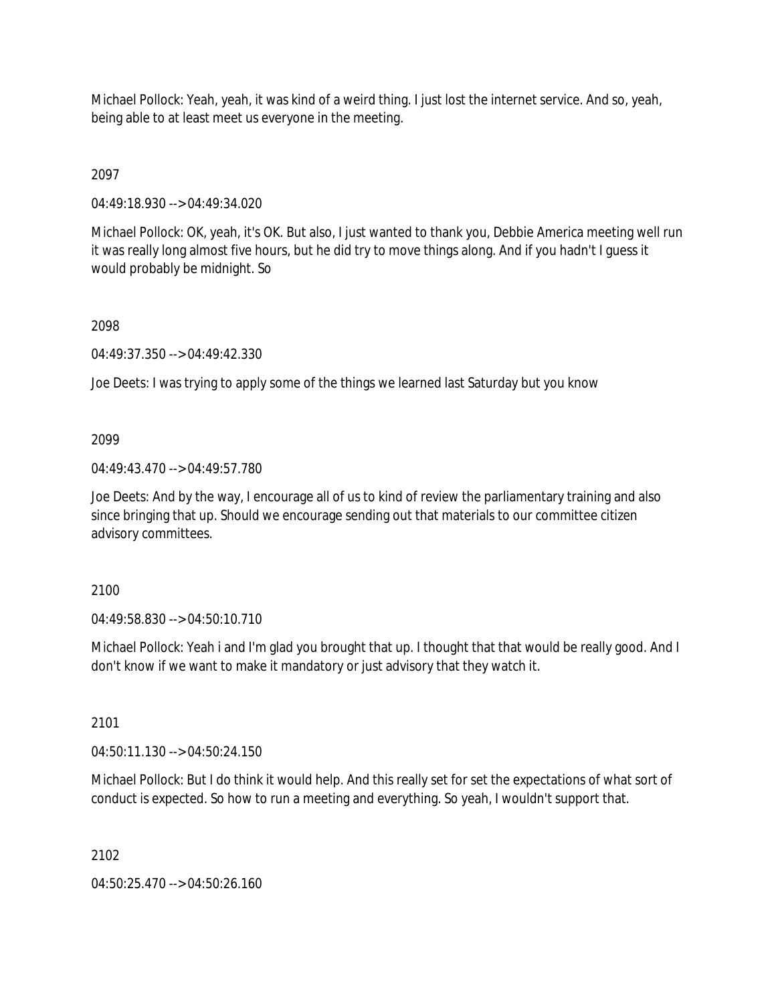Michael Pollock: Yeah, yeah, it was kind of a weird thing. I just lost the internet service. And so, yeah, being able to at least meet us everyone in the meeting.

2097

04:49:18.930 --> 04:49:34.020

Michael Pollock: OK, yeah, it's OK. But also, I just wanted to thank you, Debbie America meeting well run it was really long almost five hours, but he did try to move things along. And if you hadn't I guess it would probably be midnight. So

### 2098

04:49:37.350 --> 04:49:42.330

Joe Deets: I was trying to apply some of the things we learned last Saturday but you know

### 2099

04:49:43.470 --> 04:49:57.780

Joe Deets: And by the way, I encourage all of us to kind of review the parliamentary training and also since bringing that up. Should we encourage sending out that materials to our committee citizen advisory committees.

2100

04:49:58.830 --> 04:50:10.710

Michael Pollock: Yeah i and I'm glad you brought that up. I thought that that would be really good. And I don't know if we want to make it mandatory or just advisory that they watch it.

2101

04:50:11.130 --> 04:50:24.150

Michael Pollock: But I do think it would help. And this really set for set the expectations of what sort of conduct is expected. So how to run a meeting and everything. So yeah, I wouldn't support that.

2102

04:50:25.470 --> 04:50:26.160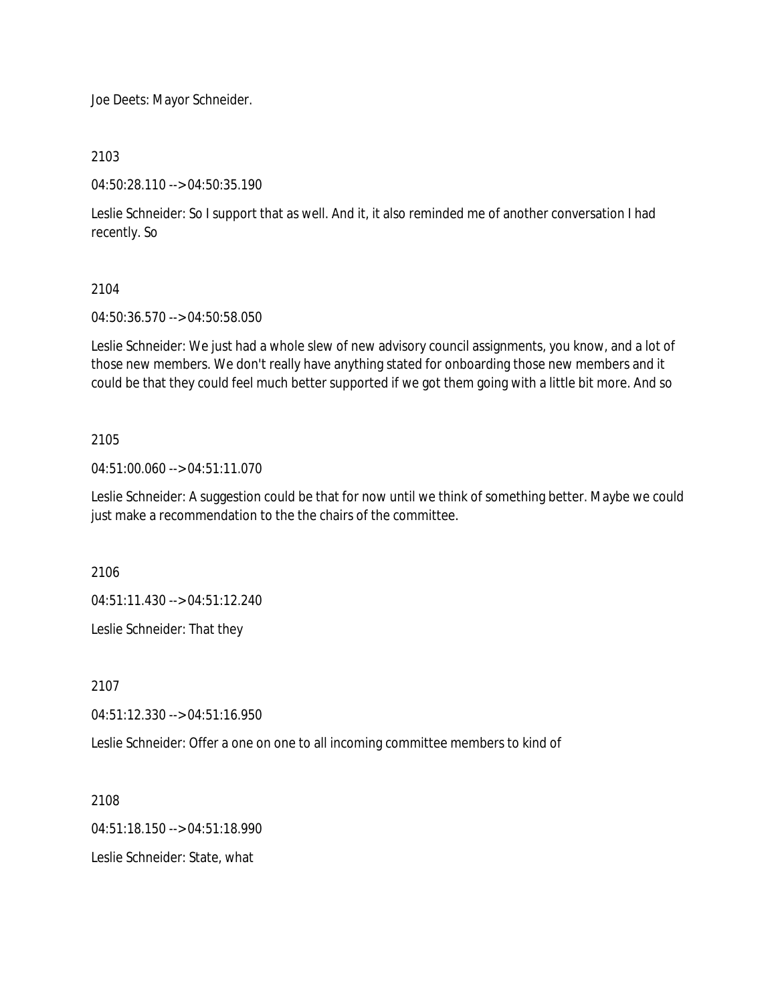Joe Deets: Mayor Schneider.

2103

04:50:28.110 --> 04:50:35.190

Leslie Schneider: So I support that as well. And it, it also reminded me of another conversation I had recently. So

### 2104

04:50:36.570 --> 04:50:58.050

Leslie Schneider: We just had a whole slew of new advisory council assignments, you know, and a lot of those new members. We don't really have anything stated for onboarding those new members and it could be that they could feel much better supported if we got them going with a little bit more. And so

### 2105

04:51:00.060 --> 04:51:11.070

Leslie Schneider: A suggestion could be that for now until we think of something better. Maybe we could just make a recommendation to the the chairs of the committee.

2106

04:51:11.430 --> 04:51:12.240

Leslie Schneider: That they

2107

04:51:12.330 --> 04:51:16.950

Leslie Schneider: Offer a one on one to all incoming committee members to kind of

2108

04:51:18.150 --> 04:51:18.990

Leslie Schneider: State, what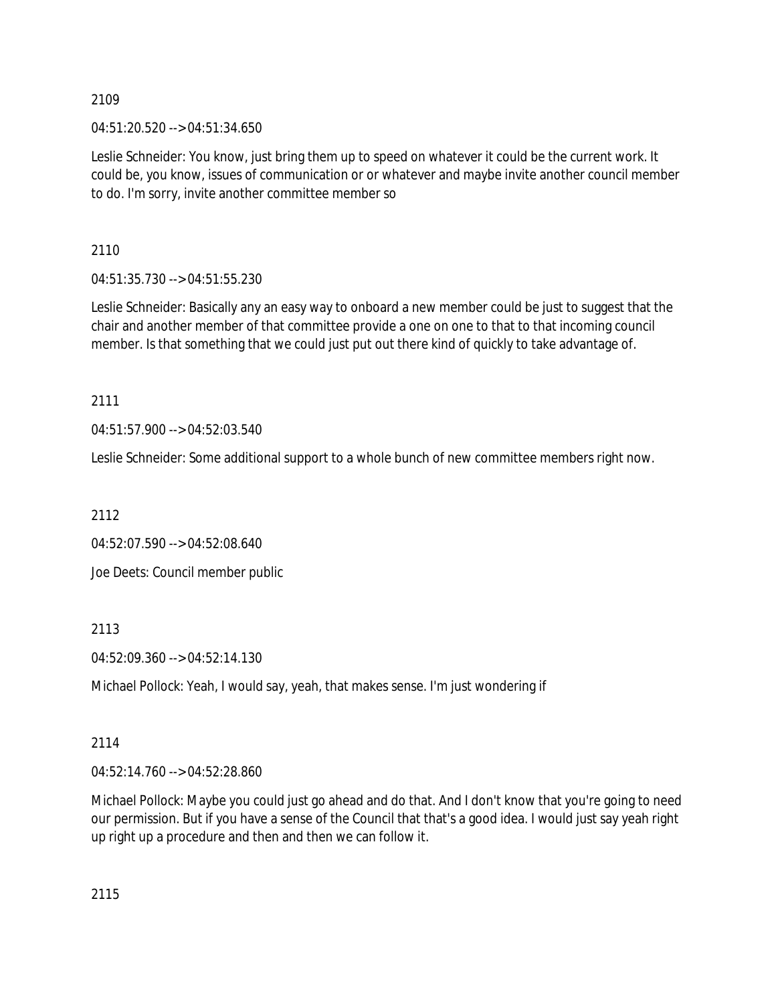04:51:20.520 --> 04:51:34.650

Leslie Schneider: You know, just bring them up to speed on whatever it could be the current work. It could be, you know, issues of communication or or whatever and maybe invite another council member to do. I'm sorry, invite another committee member so

2110

04:51:35.730 --> 04:51:55.230

Leslie Schneider: Basically any an easy way to onboard a new member could be just to suggest that the chair and another member of that committee provide a one on one to that to that incoming council member. Is that something that we could just put out there kind of quickly to take advantage of.

2111

04:51:57.900 --> 04:52:03.540

Leslie Schneider: Some additional support to a whole bunch of new committee members right now.

2112

04:52:07.590 --> 04:52:08.640

Joe Deets: Council member public

2113

04:52:09.360 --> 04:52:14.130

Michael Pollock: Yeah, I would say, yeah, that makes sense. I'm just wondering if

# 2114

04:52:14.760 --> 04:52:28.860

Michael Pollock: Maybe you could just go ahead and do that. And I don't know that you're going to need our permission. But if you have a sense of the Council that that's a good idea. I would just say yeah right up right up a procedure and then and then we can follow it.

2115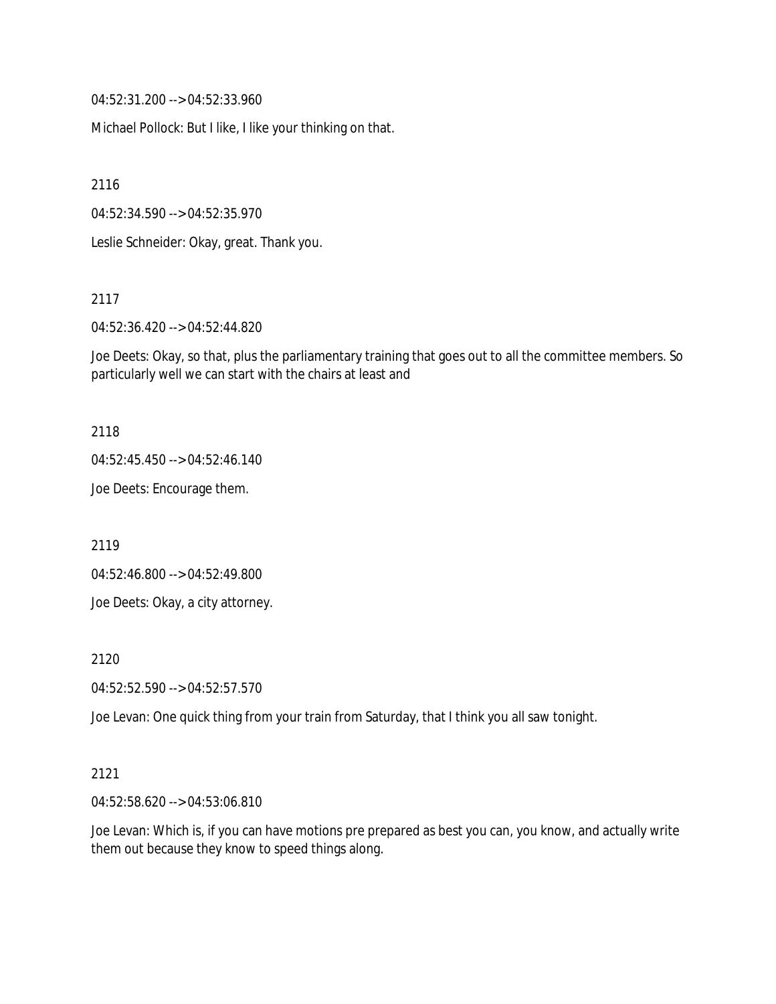04:52:31.200 --> 04:52:33.960

Michael Pollock: But I like, I like your thinking on that.

2116

04:52:34.590 --> 04:52:35.970

Leslie Schneider: Okay, great. Thank you.

2117

04:52:36.420 --> 04:52:44.820

Joe Deets: Okay, so that, plus the parliamentary training that goes out to all the committee members. So particularly well we can start with the chairs at least and

2118

04:52:45.450 --> 04:52:46.140

Joe Deets: Encourage them.

2119

04:52:46.800 --> 04:52:49.800

Joe Deets: Okay, a city attorney.

2120

04:52:52.590 --> 04:52:57.570

Joe Levan: One quick thing from your train from Saturday, that I think you all saw tonight.

#### 2121

04:52:58.620 --> 04:53:06.810

Joe Levan: Which is, if you can have motions pre prepared as best you can, you know, and actually write them out because they know to speed things along.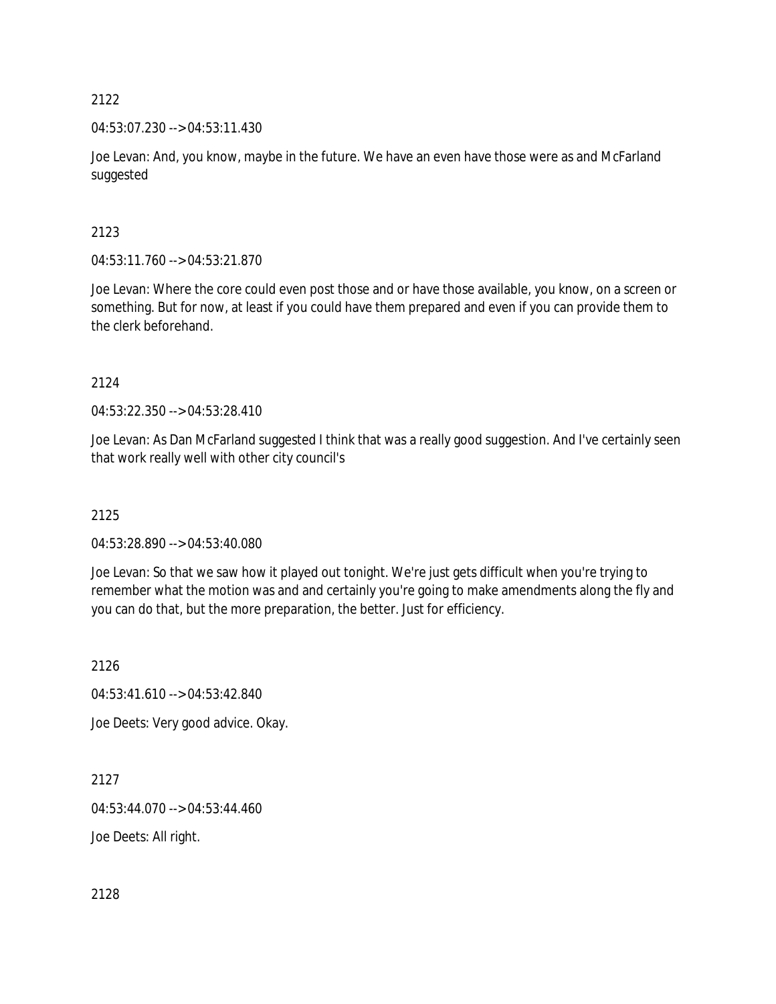04:53:07.230 --> 04:53:11.430

Joe Levan: And, you know, maybe in the future. We have an even have those were as and McFarland suggested

# 2123

04:53:11.760 --> 04:53:21.870

Joe Levan: Where the core could even post those and or have those available, you know, on a screen or something. But for now, at least if you could have them prepared and even if you can provide them to the clerk beforehand.

2124

04:53:22.350 --> 04:53:28.410

Joe Levan: As Dan McFarland suggested I think that was a really good suggestion. And I've certainly seen that work really well with other city council's

2125

04:53:28.890 --> 04:53:40.080

Joe Levan: So that we saw how it played out tonight. We're just gets difficult when you're trying to remember what the motion was and and certainly you're going to make amendments along the fly and you can do that, but the more preparation, the better. Just for efficiency.

2126

04:53:41.610 --> 04:53:42.840

Joe Deets: Very good advice. Okay.

2127

04:53:44.070 --> 04:53:44.460

Joe Deets: All right.

2128